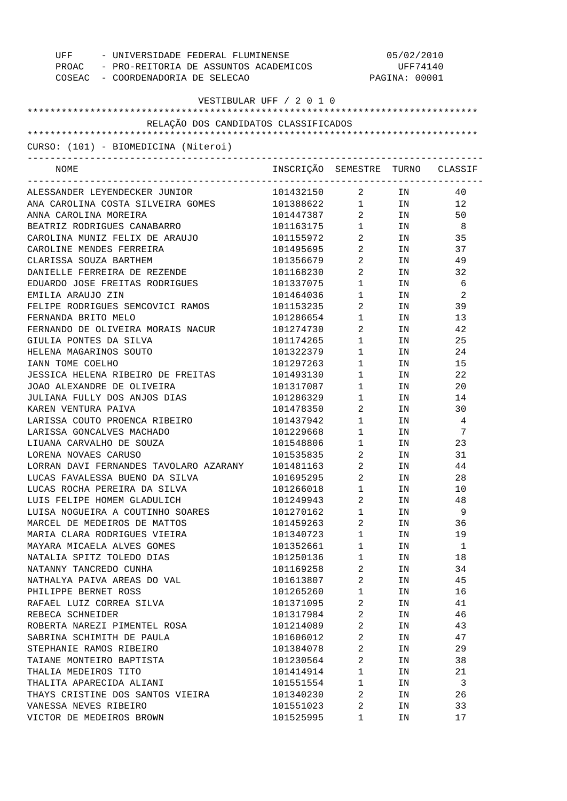| - UNIVERSIDADE FEDERAL FLUMINENSE<br>UFF    |                                  |                                  | 05/02/2010    |                |
|---------------------------------------------|----------------------------------|----------------------------------|---------------|----------------|
| PROAC - PRO-REITORIA DE ASSUNTOS ACADEMICOS |                                  |                                  | UFF74140      |                |
| COSEAC - COORDENADORIA DE SELECAO           |                                  |                                  | PAGINA: 00001 |                |
|                                             |                                  |                                  |               |                |
| VESTIBULAR UFF / 2 0 1 0                    |                                  |                                  |               |                |
| RELAÇÃO DOS CANDIDATOS CLASSIFICADOS        |                                  |                                  |               |                |
|                                             |                                  |                                  |               |                |
| CURSO: (101) - BIOMEDICINA (Niteroi)        |                                  |                                  |               |                |
| NOME                                        | INSCRIÇÃO SEMESTRE TURNO CLASSIF |                                  |               |                |
| ALESSANDER LEYENDECKER JUNIOR               | 101432150                        | $\overline{a}$                   | IN            | 40             |
| ANA CAROLINA COSTA SILVEIRA GOMES           | 101388622                        |                                  | $1$ IN        | 12             |
| ANNA CAROLINA MOREIRA                       | 101447387                        |                                  | 2 IN          | 50             |
| BEATRIZ RODRIGUES CANABARRO                 | 101163175                        | $\mathbf{1}$                     | IN            | - 8            |
| CAROLINA MUNIZ FELIX DE ARAUJO              | 101155972                        | $\overline{a}$                   | IN            | 35             |
| CAROLINE MENDES FERREIRA                    | 101495695                        | $\overline{a}$                   | IN            | 37             |
| CLARISSA SOUZA BARTHEM                      | 101356679                        | $\overline{a}$                   | IN            | 49             |
| DANIELLE FERREIRA DE REZENDE                | 101168230                        | $\overline{a}$                   | IN            | 32             |
| EDUARDO JOSE FREITAS RODRIGUES              | 101337075                        | $1 \qquad \qquad$                | IN            | - 6            |
| EMILIA ARAUJO ZIN                           | 101464036                        | $1$ $\hfill$                     | IN            | $\overline{2}$ |
| FELIPE RODRIGUES SEMCOVICI RAMOS            | 101153235                        | $\overline{a}$                   | IN            | 39             |
| FERNANDA BRITO MELO                         | 101286654                        | $1$ $\hfill$                     | IN            | 13             |
| FERNANDO DE OLIVEIRA MORAIS NACUR           | 101274730                        | $\overline{a}$                   | IN            | 42             |
| GIULIA PONTES DA SILVA                      | 101174265                        | $1 \quad \Box$                   | IN            | 25             |
| HELENA MAGARINOS SOUTO                      | 101322379                        | $1 \quad \blacksquare$           | IN            | 24             |
| IANN TOME COELHO                            | 101297263                        | $1 \quad \Box$                   | IN            | 15             |
| JESSICA HELENA RIBEIRO DE FREITAS           | 101493130                        | $1 \quad \blacksquare$           | IN            | 22             |
| JOAO ALEXANDRE DE OLIVEIRA                  | 101317087                        | $1 \quad \blacksquare$           | IN            | 20             |
| JULIANA FULLY DOS ANJOS DIAS                | 101286329                        | $\mathbf 1$                      | IN            | 14             |
| KAREN VENTURA PAIVA                         | 101478350                        | $\overline{a}$                   | IN            | 30             |
| LARISSA COUTO PROENCA RIBEIRO               | 101437942                        | $1 \qquad \qquad$                | IN            | $\overline{4}$ |
| LARISSA GONCALVES MACHADO                   | 101229668                        |                                  | IN            | 7              |
| LIUANA CARVALHO DE SOUZA                    | 101548806                        | $1 \qquad \qquad$                | IN            | 23             |
| LORENA NOVAES CARUSO                        |                                  | $\mathbf{1}$                     | IN            | 31             |
| LORRAN DAVI FERNANDES TAVOLARO AZARANY      | 101535835<br>101481163           | $\overline{2}$<br>$\overline{2}$ | IN            | 44             |
|                                             |                                  | $\overline{\mathbf{2}}$          | IN            | 28             |
| LUCAS FAVALESSA BUENO DA SILVA              | 101695295                        |                                  |               |                |
| LUCAS ROCHA PEREIRA DA SILVA                | 101266018                        | 1                                | ΙN            | 10             |
| LUIS FELIPE HOMEM GLADULICH                 | 101249943                        | $\overline{c}$                   | ΙN            | 48             |
| LUISA NOGUEIRA A COUTINHO SOARES            | 101270162                        | $\mathbf 1$                      | ΙN            | 9              |
| MARCEL DE MEDEIROS DE MATTOS                | 101459263                        | $\overline{a}$                   | ΙN            | 36             |
| MARIA CLARA RODRIGUES VIEIRA                | 101340723                        | $\mathbf 1$                      | ΙN            | 19             |
| MAYARA MICAELA ALVES GOMES                  | 101352661                        | 1                                | ΙN            | 1              |
| NATALIA SPITZ TOLEDO DIAS                   | 101250136                        | $\mathbf 1$                      | ΙN            | 18             |
| NATANNY TANCREDO CUNHA                      | 101169258                        | $\overline{\mathbf{c}}$          | ΙN            | 34             |
| NATHALYA PAIVA AREAS DO VAL                 | 101613807                        | $\overline{a}$                   | ΙN            | 45             |
| PHILIPPE BERNET ROSS                        | 101265260                        | $\mathbf 1$                      | ΙN            | 16             |
| RAFAEL LUIZ CORREA SILVA                    | 101371095                        | $\overline{\mathbf{c}}$          | ΙN            | 41             |
| REBECA SCHNEIDER                            | 101317984                        | $\overline{a}$                   | ΙN            | 46             |
| ROBERTA NAREZI PIMENTEL ROSA                | 101214089                        | 2                                | ΙN            | 43             |
| SABRINA SCHIMITH DE PAULA                   | 101606012                        | $\overline{2}$                   | ΙN            | 47             |
| STEPHANIE RAMOS RIBEIRO                     | 101384078                        | $\overline{a}$                   | ΙN            | 29             |
| TAIANE MONTEIRO BAPTISTA                    | 101230564                        | $\overline{a}$                   | ΙN            | 38             |
| THALIA MEDEIROS TITO                        | 101414914                        | $\mathbf 1$                      | ΙN            | 21             |
| THALITA APARECIDA ALIANI                    | 101551554                        | $\mathbf 1$                      | ΙN            | 3              |
| THAYS CRISTINE DOS SANTOS VIEIRA            | 101340230                        | $\overline{2}$                   | ΙN            | 26             |
| VANESSA NEVES RIBEIRO                       | 101551023                        | $\overline{2}$                   | ΙN            | 33             |
| VICTOR DE MEDEIROS BROWN                    | 101525995                        | 1                                | ΙN            | 17             |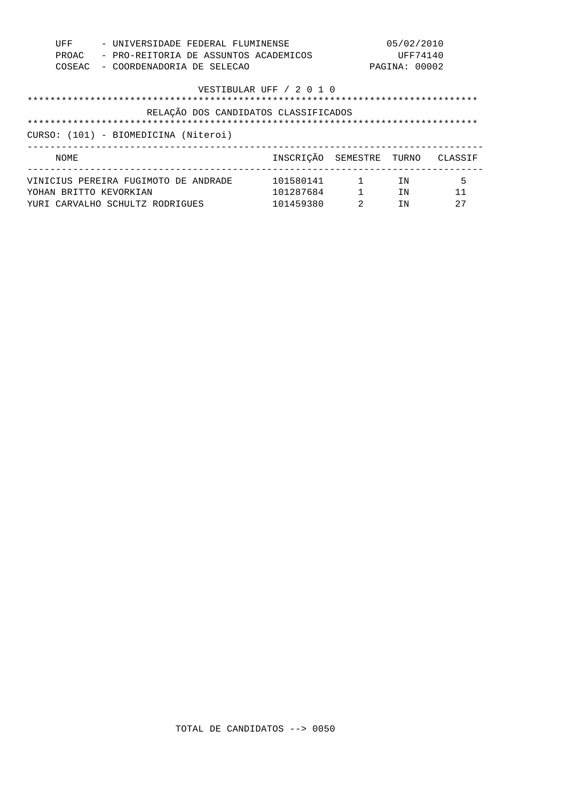| UFF                    | - UNIVERSIDADE FEDERAL FLUMINENSE     |                          |                                           | 05/02/2010    |         |
|------------------------|---------------------------------------|--------------------------|-------------------------------------------|---------------|---------|
| PROAC                  | - PRO-REITORIA DE ASSUNTOS ACADEMICOS |                          |                                           | UFF74140      |         |
| COSEAC                 | - COORDENADORIA DE SELECAO            |                          |                                           | PAGINA: 00002 |         |
|                        |                                       | VESTIBULAR UFF / 2 0 1 0 |                                           |               |         |
|                        |                                       |                          |                                           |               |         |
|                        | RELAÇÃO DOS CANDIDATOS CLASSIFICADOS  |                          |                                           |               |         |
|                        |                                       |                          |                                           |               |         |
|                        |                                       |                          |                                           |               |         |
|                        | CURSO: (101) - BIOMEDICINA (Niteroi)  |                          |                                           |               |         |
| NOME                   |                                       | INSCRICÃO SEMESTRE TURNO |                                           |               | CLASSIF |
|                        | VINICIUS PEREIRA FUGIMOTO DE ANDRADE  | 101580141                | $\sim$ $\sim$ $\sim$ $\sim$ $\sim$ $\sim$ | ΙN            | 5       |
| YOHAN BRITTO KEVORKIAN |                                       | 101287684                | $\mathbf{1}$                              | TN            | 11      |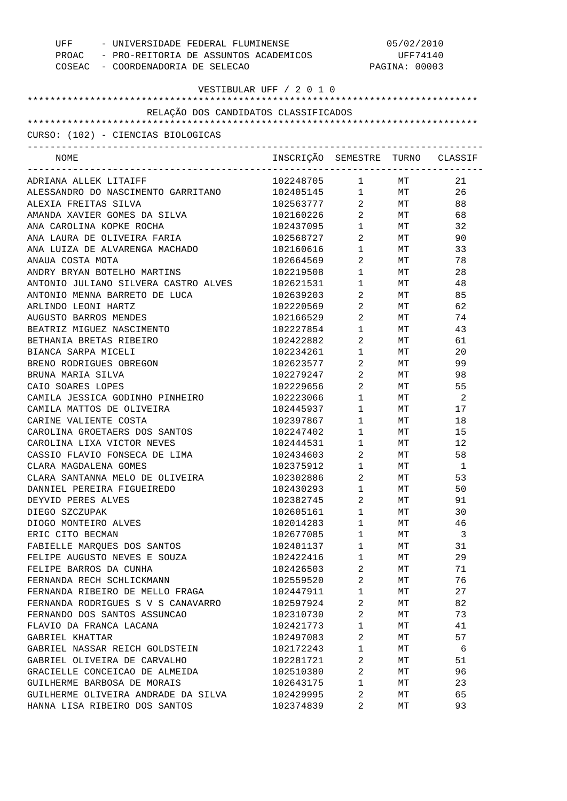| - UNIVERSIDADE FEDERAL FLUMINENSE<br>UFF    |                                  | 05/02/2010                                    |               |                |  |
|---------------------------------------------|----------------------------------|-----------------------------------------------|---------------|----------------|--|
| PROAC - PRO-REITORIA DE ASSUNTOS ACADEMICOS |                                  |                                               | UFF74140      |                |  |
| COSEAC - COORDENADORIA DE SELECAO           |                                  |                                               | PAGINA: 00003 |                |  |
|                                             |                                  |                                               |               |                |  |
|                                             | VESTIBULAR UFF / 2 0 1 0         |                                               |               |                |  |
|                                             |                                  |                                               |               |                |  |
| RELAÇÃO DOS CANDIDATOS CLASSIFICADOS        |                                  |                                               |               |                |  |
|                                             |                                  |                                               |               |                |  |
| CURSO: (102) - CIENCIAS BIOLOGICAS          |                                  |                                               |               |                |  |
| NOME                                        | INSCRIÇÃO SEMESTRE TURNO CLASSIF |                                               |               |                |  |
|                                             |                                  | _____________________________                 |               |                |  |
| ADRIANA ALLEK LITAIFF                       | 102248705                        | $1 \quad \cdots$                              | $\text{MT}{}$ | 21             |  |
| ALESSANDRO DO NASCIMENTO GARRITANO          | 102405145                        | $\mathbf{1}$                                  | MT            | 26             |  |
| ALEXIA FREITAS SILVA                        | 102563777                        | $\overline{a}$                                | MT            | 88             |  |
| AMANDA XAVIER GOMES DA SILVA                | 102160226                        | $\overline{a}$                                | MT            | 68             |  |
| ANA CAROLINA KOPKE ROCHA                    | 102437095                        | $\begin{array}{ccc} 1 & & \\ & & \end{array}$ | MT            | 32             |  |
| ANA LAURA DE OLIVEIRA FARIA                 | 102568727                        | $\overline{a}$                                | MT            | 90             |  |
| ANA LUIZA DE ALVARENGA MACHADO              | 102160616                        | $\begin{array}{ccc} 1 & & \\ & & \end{array}$ | MT            | 33             |  |
| ANAUA COSTA MOTA                            | 102664569                        | $\overline{a}$                                | MT            | 78             |  |
| ANDRY BRYAN BOTELHO MARTINS                 | 102219508                        | $\begin{array}{ccc} 1 & & \\ & & \end{array}$ | MT            | 28             |  |
| ANTONIO JULIANO SILVERA CASTRO ALVES        | 102621531                        | $\mathbf{1}$                                  | MT            | 48             |  |
| ANTONIO MENNA BARRETO DE LUCA               | 102639203                        | $\overline{a}$                                | МT            | 85             |  |
| ARLINDO LEONI HARTZ                         | 102220569                        | $\overline{a}$                                | MT            | 62             |  |
| AUGUSTO BARROS MENDES                       | 102166529                        | $\overline{a}$                                | МT            | 74             |  |
| BEATRIZ MIGUEZ NASCIMENTO                   | 102227854                        | 1                                             | МT            | 43             |  |
| BETHANIA BRETAS RIBEIRO                     | 102422882                        | $\overline{a}$                                | MT            | 61             |  |
| BIANCA SARPA MICELI                         | 102234261                        | $1$ $\,$                                      | МT            | 20             |  |
| BRENO RODRIGUES OBREGON                     | 102623577                        | $\overline{a}$                                | МT            | 99             |  |
| BRUNA MARIA SILVA                           | 102279247                        | $\overline{a}$                                | МT            | 98             |  |
| CAIO SOARES LOPES                           | 102229656                        | $\overline{a}$                                | МT            | 55             |  |
| CAMILA JESSICA GODINHO PINHEIRO             | 102223066                        | $1 \quad \blacksquare$                        | МT            | - 2            |  |
| CAMILA MATTOS DE OLIVEIRA                   | 102445937                        | $\begin{array}{ccc} 1 & & \\ & & \end{array}$ | МT            | 17             |  |
| CARINE VALIENTE COSTA                       | 102397867                        | $\begin{array}{ccc} 1 & & \\ & & \end{array}$ | MT            | 18             |  |
| CAROLINA GROETAERS DOS SANTOS               | 102247402                        | $\mathbf 1$                                   | MT            | 15             |  |
| CAROLINA LIXA VICTOR NEVES                  | 102444531                        | 1                                             | MT            | 12             |  |
| CASSIO FLAVIO FONSECA DE LIMA               | 102434603                        | $\overline{a}$                                | МT            | 58             |  |
| CLARA MAGDALENA GOMES                       | 102375912                        | 1                                             | MT            | $\overline{1}$ |  |
| CLARA SANTANNA MELO DE OLIVEIRA             | 102302886                        | 2                                             | МT            | 53             |  |
| DANNIEL PEREIRA FIGUEIREDO                  | 102430293                        | $\mathbf 1$                                   | МT            | 50             |  |
| DEYVID PERES ALVES                          | 102382745                        | 2                                             | МT            | 91             |  |
| DIEGO SZCZUPAK                              | 102605161                        | 1                                             | МT            | 30             |  |
| DIOGO MONTEIRO ALVES                        | 102014283                        | 1                                             | МT            | 46             |  |
| ERIC CITO BECMAN                            | 102677085                        | 1                                             | МT            | 3              |  |
| FABIELLE MARQUES DOS SANTOS                 | 102401137                        | 1                                             | МT            | 31             |  |
| FELIPE AUGUSTO NEVES E SOUZA                | 102422416                        | 1                                             | МT            | 29             |  |
| FELIPE BARROS DA CUNHA                      | 102426503                        | $\overline{a}$                                | МT            | 71             |  |
| FERNANDA RECH SCHLICKMANN                   | 102559520                        | $\overline{2}$                                | МT            | 76             |  |
| FERNANDA RIBEIRO DE MELLO FRAGA             | 102447911                        | $\mathbf 1$                                   | МT            | 27             |  |
| FERNANDA RODRIGUES S V S CANAVARRO          | 102597924                        | 2                                             | МT            | 82             |  |
| FERNANDO DOS SANTOS ASSUNCAO                | 102310730                        | 2                                             | МT            | 73             |  |
| FLAVIO DA FRANCA LACANA                     | 102421773                        | 1                                             | МT            | 41             |  |
|                                             |                                  | 2                                             |               | 57             |  |
| GABRIEL KHATTAR                             | 102497083                        |                                               | МT            |                |  |
| GABRIEL NASSAR REICH GOLDSTEIN              | 102172243                        | 1                                             | МT            | 6              |  |
| GABRIEL OLIVEIRA DE CARVALHO                | 102281721                        | 2                                             | МT            | 51             |  |
| GRACIELLE CONCEICAO DE ALMEIDA              | 102510380                        | $\overline{2}$                                | МT            | 96             |  |
| GUILHERME BARBOSA DE MORAIS                 | 102643175                        | 1                                             | МT            | 23             |  |
| GUILHERME OLIVEIRA ANDRADE DA SILVA         | 102429995                        | 2                                             | МT            | 65             |  |
| HANNA LISA RIBEIRO DOS SANTOS               | 102374839                        | 2                                             | MТ            | 93             |  |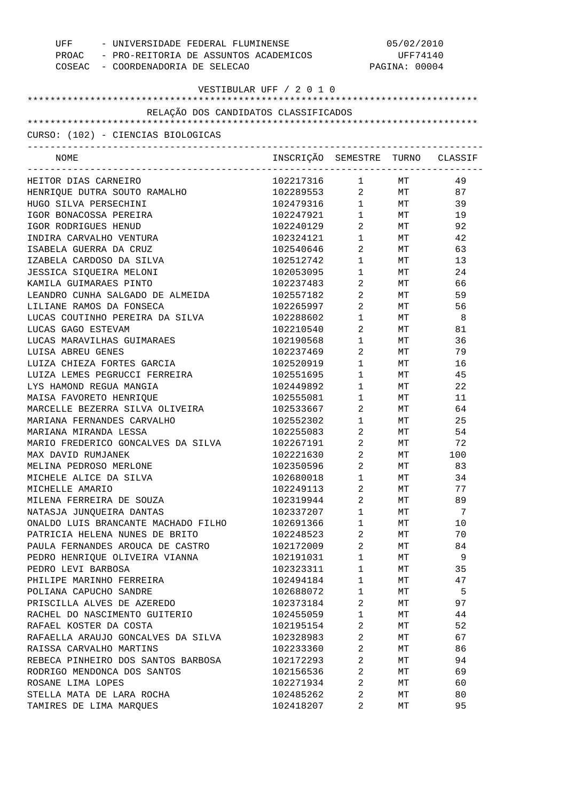| - UNIVERSIDADE FEDERAL FLUMINENSE<br>UFF    |                                  | 05/02/2010                                    |                 |          |  |
|---------------------------------------------|----------------------------------|-----------------------------------------------|-----------------|----------|--|
| PROAC - PRO-REITORIA DE ASSUNTOS ACADEMICOS |                                  |                                               | UFF74140        |          |  |
| COSEAC - COORDENADORIA DE SELECAO           |                                  |                                               | PAGINA: 00004   |          |  |
|                                             |                                  |                                               |                 |          |  |
|                                             | VESTIBULAR UFF / 2 0 1 0         |                                               |                 |          |  |
|                                             |                                  |                                               |                 |          |  |
| RELAÇÃO DOS CANDIDATOS CLASSIFICADOS        |                                  |                                               |                 |          |  |
|                                             |                                  |                                               |                 |          |  |
| CURSO: (102) - CIENCIAS BIOLOGICAS          |                                  |                                               |                 |          |  |
| NOME                                        | INSCRIÇÃO SEMESTRE TURNO CLASSIF |                                               |                 |          |  |
|                                             |                                  | ---------------------------------             |                 |          |  |
| HEITOR DIAS CARNEIRO                        | 102217316<br>102289553           |                                               |                 | 49<br>87 |  |
| HENRIQUE DUTRA SOUTO RAMALHO                |                                  |                                               |                 |          |  |
| HUGO SILVA PERSECHINI                       | 102479316                        |                                               |                 | 39       |  |
| IGOR BONACOSSA PEREIRA                      | 102247921                        | $\mathbf{1}$                                  | MT              | 19       |  |
| IGOR RODRIGUES HENUD                        | 102240129                        | $\overline{a}$                                | $\texttt{MT}^-$ | 92       |  |
| INDIRA CARVALHO VENTURA                     | 102324121                        | $\mathbf{1}$                                  | MT              | 42       |  |
| ISABELA GUERRA DA CRUZ                      | 102540646                        | $\overline{a}$                                | MT              | 63       |  |
| IZABELA CARDOSO DA SILVA                    | 102512742                        | $\begin{array}{ccc} 1 & & \\ & & \end{array}$ | MT              | 13       |  |
| JESSICA SIQUEIRA MELONI                     | 102053095                        | $\begin{array}{ccc} 1 & & \\ & & \end{array}$ | MT              | 24       |  |
| KAMILA GUIMARAES PINTO                      | 102237483                        | $\overline{a}$                                | MT              | 66       |  |
| LEANDRO CUNHA SALGADO DE ALMEIDA            | 102557182                        | $\overline{a}$                                | MT              | 59       |  |
| LILIANE RAMOS DA FONSECA                    | 102265997                        | $\overline{a}$                                | MT              | 56       |  |
| LUCAS COUTINHO PEREIRA DA SILVA             | 102288602                        | $\begin{array}{ccc} 1 & & \\ & & \end{array}$ | МT              | - 8      |  |
| LUCAS GAGO ESTEVAM                          | 102210540                        | $\overline{a}$                                | МT              | 81       |  |
| LUCAS MARAVILHAS GUIMARAES                  | 102190568                        | $\begin{array}{ccc} 1 & & \\ & & \end{array}$ | МT              | 36       |  |
| LUISA ABREU GENES                           | 102237469                        | $\overline{a}$                                | МT              | 79       |  |
| LUIZA CHIEZA FORTES GARCIA                  | 102520919                        | $\begin{array}{ccc} 1 & & \\ & & \end{array}$ | МT              | 16       |  |
| LUIZA LEMES PEGRUCCI FERREIRA               | 102551695                        | $\begin{array}{ccc} 1 & & \\ & & \end{array}$ | МT              | 45       |  |
| LYS HAMOND REGUA MANGIA                     | 102449892                        | $\begin{array}{ccc} 1 & & \\ & & \end{array}$ | МT              | 22       |  |
| MAISA FAVORETO HENRIQUE                     | 102555081                        | $\begin{array}{ccc} 1 & & \\ & & \end{array}$ | МT              | 11       |  |
| MARCELLE BEZERRA SILVA OLIVEIRA             | 102533667                        | $\overline{a}$                                | МT              | 64       |  |
| MARIANA FERNANDES CARVALHO                  | 102552302                        | $\begin{array}{ccc} 1 & & \\ & & \end{array}$ | MT              | 25       |  |
| MARIANA MIRANDA LESSA                       | 102255083                        | $\overline{a}$                                | MT              | 54       |  |
| MARIO FREDERICO GONCALVES DA SILVA          | 102267191                        | $\overline{a}$                                | MT              | 72       |  |
| MAX DAVID RUMJANEK                          | 102221630                        | $2^{\circ}$                                   | МT              | 100      |  |
| MELINA PEDROSO MERLONE                      | 102350596                        | $\overline{2}$                                | <b>MT</b>       | 83       |  |
| MICHELE ALICE DA SILVA                      | 102680018                        | 1                                             | МT              | 34       |  |
| MICHELLE AMARIO                             | 102249113                        | $\overline{2}$                                | МT              | 77       |  |
| MILENA FERREIRA DE SOUZA                    | 102319944                        | $\overline{2}$                                | МT              | 89       |  |
| NATASJA JUNQUEIRA DANTAS                    | 102337207                        | $\mathbf 1$                                   | МT              | 7        |  |
| ONALDO LUIS BRANCANTE MACHADO FILHO         | 102691366                        | $\mathbf 1$                                   | МT              | 10       |  |
| PATRICIA HELENA NUNES DE BRITO              | 102248523                        | $\overline{a}$                                | МT              | 70       |  |
| PAULA FERNANDES AROUCA DE CASTRO            | 102172009                        | $\overline{2}$                                | МT              | 84       |  |
| PEDRO HENRIQUE OLIVEIRA VIANNA              | 102191031                        | $\mathbf{1}$                                  | МT              | 9        |  |
| PEDRO LEVI BARBOSA                          | 102323311                        | $\mathbf 1$                                   | МT              | 35       |  |
| PHILIPE MARINHO FERREIRA                    | 102494184                        | $\mathbf 1$                                   | МT              | 47       |  |
| POLIANA CAPUCHO SANDRE                      | 102688072                        | 1                                             | МT              | 5        |  |
| PRISCILLA ALVES DE AZEREDO                  | 102373184                        | $\overline{2}$                                | МT              | 97       |  |
| RACHEL DO NASCIMENTO GUITERIO               | 102455059                        | 1                                             | МT              | 44       |  |
| RAFAEL KOSTER DA COSTA                      | 102195154                        | $\overline{2}$                                | МT              | 52       |  |
| RAFAELLA ARAUJO GONCALVES DA SILVA          | 102328983                        | $\overline{2}$                                | МT              | 67       |  |
| RAISSA CARVALHO MARTINS                     | 102233360                        | $\overline{2}$                                | МT              | 86       |  |
| REBECA PINHEIRO DOS SANTOS BARBOSA          | 102172293                        | $\overline{2}$                                | МT              | 94       |  |
| RODRIGO MENDONCA DOS SANTOS                 | 102156536                        | $\overline{2}$                                | МT              | 69       |  |
|                                             |                                  | $\overline{2}$                                |                 |          |  |
| ROSANE LIMA LOPES                           | 102271934                        |                                               | МT              | 60       |  |
| STELLA MATA DE LARA ROCHA                   | 102485262                        | $\overline{2}$                                | МT              | 80       |  |
| TAMIRES DE LIMA MARQUES                     | 102418207                        | 2                                             | МT              | 95       |  |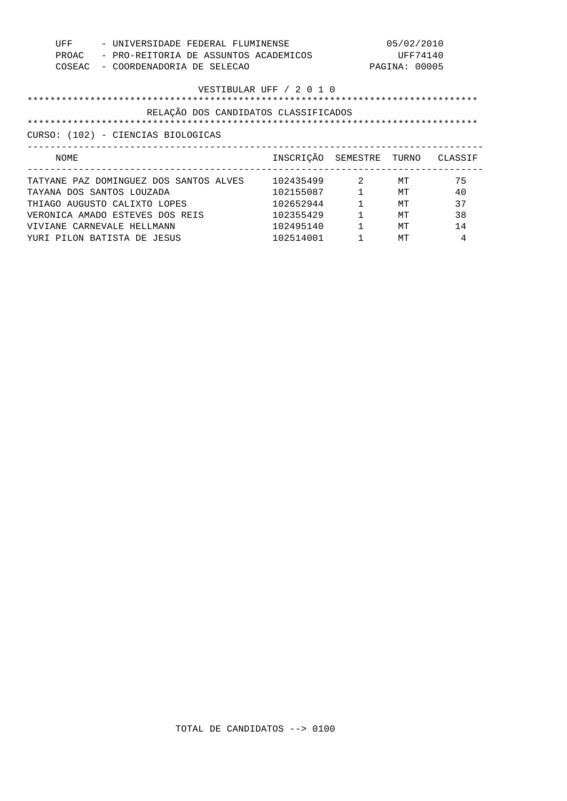| UFF<br>- UNIVERSIDADE FEDERAL FLUMINENSE<br>- PRO-REITORIA DE ASSUNTOS ACADEMICOS<br>PROAC<br>- COORDENADORIA DE SELECAO<br>COSEAC |                                      |              | 05/02/2010<br>UFF74140<br>PAGINA: 00005 |    |
|------------------------------------------------------------------------------------------------------------------------------------|--------------------------------------|--------------|-----------------------------------------|----|
|                                                                                                                                    | VESTIBULAR UFF / 2 0 1 0             |              |                                         |    |
|                                                                                                                                    | RELAÇÃO DOS CANDIDATOS CLASSIFICADOS |              |                                         |    |
|                                                                                                                                    |                                      |              |                                         |    |
| CURSO: (102) - CIENCIAS BIOLOGICAS                                                                                                 |                                      |              |                                         |    |
|                                                                                                                                    |                                      |              |                                         |    |
| NOME                                                                                                                               | INSCRIÇÃO SEMESTRE TURNO CLASSIF     |              |                                         |    |
| TATYANE PAZ DOMINGUEZ DOS SANTOS ALVES                                                                                             | 102435499 2                          |              | МT                                      | 75 |
| TAYANA DOS SANTOS LOUZADA                                                                                                          | 102155087                            | $\mathbf{1}$ | MТ                                      | 40 |
| THIAGO AUGUSTO CALIXTO LOPES                                                                                                       | 102652944                            | $\mathbf{1}$ | MТ                                      | 37 |
| VERONICA AMADO ESTEVES DOS REIS                                                                                                    | 102355429                            | $\mathbf{1}$ | MТ                                      | 38 |
| VIVIANE CARNEVALE HELLMANN                                                                                                         | 102495140                            | $\mathbf{1}$ | MТ                                      | 14 |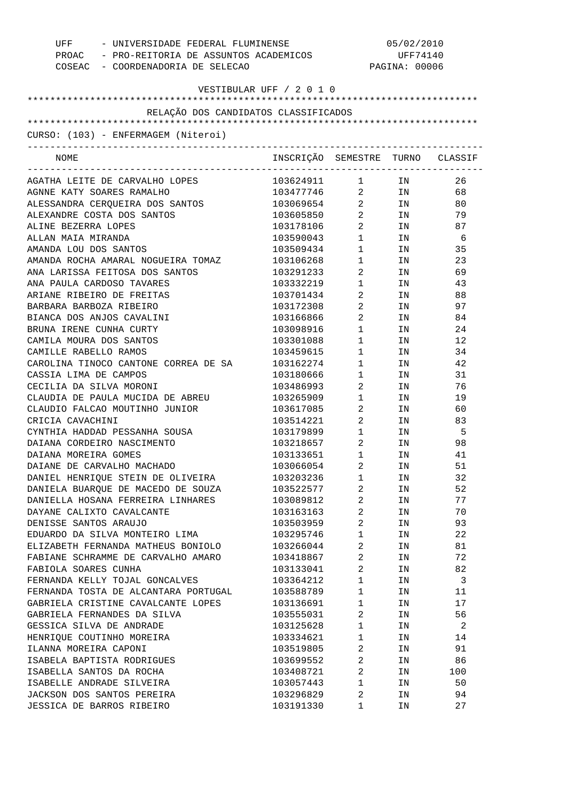| UFF - UNIVERSIDADE FEDERAL FLUMINENSE<br>PROAC - PRO-REITORIA DE ASSUNTOS ACADEMICOS<br>COSEAC - COORDENADORIA DE SELECAO |                                  |                                | 05/02/2010<br>UFF74140<br>PAGINA: 00006                                                                        |      |
|---------------------------------------------------------------------------------------------------------------------------|----------------------------------|--------------------------------|----------------------------------------------------------------------------------------------------------------|------|
| VESTIBULAR UFF / 2 0 1 0                                                                                                  |                                  |                                |                                                                                                                |      |
| RELAÇÃO DOS CANDIDATOS CLASSIFICADOS                                                                                      |                                  |                                |                                                                                                                |      |
|                                                                                                                           |                                  |                                |                                                                                                                |      |
| CURSO: (103) - ENFERMAGEM (Niteroi)                                                                                       |                                  |                                |                                                                                                                |      |
| NOME                                                                                                                      | INSCRIÇÃO SEMESTRE TURNO CLASSIF |                                |                                                                                                                |      |
| AGATHA LEITE DE CARVALHO LOPES                                                                                            | 103624911 1                      |                                | IN N                                                                                                           | 26   |
| AGNNE KATY SOARES RAMALHO                                                                                                 | 103477746 2 IN                   |                                |                                                                                                                | 68   |
| ALESSANDRA CERQUEIRA DOS SANTOS                                                                                           | 103069654 2 IN                   |                                |                                                                                                                | 80   |
| ALEXANDRE COSTA DOS SANTOS                                                                                                | 103605850 2                      |                                | IN THE TEST OF THE TEST OF THE TEST OF THE TEST OF THE TEST OF THE TEST OF THE TEST OF THE TEST OF THE TEST OF | 79   |
| ALINE BEZERRA LOPES                                                                                                       | 103178106                        | $2 \left( \frac{1}{2} \right)$ | IN THE TERM OF THE TERM OF THE TERM OF THE TERM OF THE TERM OF THE TERM OF THE TERM OF THE TERM OF THE TERM OF | 87   |
| ALLAN MAIA MIRANDA                                                                                                        | 103590043                        | $1 \quad \blacksquare$         |                                                                                                                | IN 6 |
| AMANDA LOU DOS SANTOS                                                                                                     | 103509434                        | $1 \quad \blacksquare$         | IN THE TERM OF THE TERM OF THE TERM OF THE TERM OF THE TERM OF THE TERM OF THE TERM OF THE TERM OF THE TERM OF | 35   |
| AMANDA ROCHA AMARAL NOGUEIRA TOMAZ                                                                                        | 103106268                        | $1 \qquad \qquad$              | IN                                                                                                             | 23   |
| ANA LARISSA FEITOSA DOS SANTOS                                                                                            | 103291233                        | $2 \left( \frac{1}{2} \right)$ | IN                                                                                                             | 69   |
| ANA PAULA CARDOSO TAVARES                                                                                                 | 103332219                        | $1 \qquad \qquad$              | IN                                                                                                             | 43   |
| ARIANE RIBEIRO DE FREITAS                                                                                                 | 103701434                        | $2 \left( \frac{1}{2} \right)$ | IN                                                                                                             | 88   |
| BARBARA BARBOZA RIBEIRO                                                                                                   | 103172308                        | $2 \left( \frac{1}{2} \right)$ | IN THE TEST OF THE TEST OF THE TEST OF THE TEST OF THE TEST OF THE TEST OF THE TEST OF THE TEST OF THE TEST OF | 97   |
| BIANCA DOS ANJOS CAVALINI                                                                                                 | 103166866                        | $2 \left( \frac{1}{2} \right)$ | IN                                                                                                             | 84   |
| BRUNA IRENE CUNHA CURTY                                                                                                   | 103098916                        | $1 \qquad \qquad$              | IN                                                                                                             | 24   |
| CAMILA MOURA DOS SANTOS                                                                                                   | 103301088                        | $1 \quad \blacksquare$         | IN                                                                                                             | 12   |
| CAMILLE RABELLO RAMOS                                                                                                     | 103459615                        | $1 \qquad \qquad$              | IN                                                                                                             | 34   |
| CAROLINA TINOCO CANTONE CORREA DE SA                                                                                      | 103162274                        | $1 \qquad \qquad$              | IN                                                                                                             | 42   |
| CASSIA LIMA DE CAMPOS                                                                                                     | 103180666                        | $1 \quad \blacksquare$         | IN THE TEST OF THE TEST OF THE TEST OF THE TEST OF THE TEST OF THE TEST OF THE TEST OF THE TEST OF THE TEST OF | 31   |
| CECILIA DA SILVA MORONI                                                                                                   | 103486993                        | $2 \left( \frac{1}{2} \right)$ | IN THE TEST OF THE TEST OF THE TEST OF THE TEST OF THE TEST OF THE TEST OF THE TEST OF THE TEST OF THE TEST OF | 76   |
| CLAUDIA DE PAULA MUCIDA DE ABREU                                                                                          | 103265909                        | $1 \qquad \qquad$              | IN THE TEST OF THE TEST OF THE TEST OF THE TEST OF THE TEST OF THE TEST OF THE TEST OF THE TEST OF THE TEST OF | 19   |
| CLAUDIO FALCAO MOUTINHO JUNIOR                                                                                            | 103617085                        | $\overline{2}$                 | IN THE TEST OF THE TEST OF THE TEST OF THE TEST OF THE TEST OF THE TEST OF THE TEST OF THE TEST OF THE TEST OF | 60   |
| CRICIA CAVACHINI                                                                                                          | 103514221                        | $2 \left( \frac{1}{2} \right)$ | IN                                                                                                             | 83   |
| CYNTHIA HADDAD PESSANHA SOUSA                                                                                             | 103179899                        | $1 \quad \blacksquare$         | IN                                                                                                             | - 5  |
| DAIANA CORDEIRO NASCIMENTO                                                                                                | 103218657                        | $2 \left( \frac{1}{2} \right)$ | IN THE TEST OF THE TEST OF THE TEST OF THE TEST OF THE TEST OF THE TEST OF THE TEST OF THE TEST OF THE TEST OF | 98   |
| DAIANA MOREIRA GOMES                                                                                                      | 103133651                        | $\mathbf{1}$                   | IN.                                                                                                            | 41   |
| DAIANE DE CARVALHO MACHADO                                                                                                | 103066054                        | 2                              | ΙN                                                                                                             | 51   |
| DANIEL HENRIQUE STEIN DE OLIVEIRA                                                                                         | 103203236                        | $\mathbf 1$                    | ΙN                                                                                                             | 32   |
| DANIELA BUARQUE DE MACEDO DE SOUZA                                                                                        | 103522577                        | 2                              | ΙN                                                                                                             | 52   |
| DANIELLA HOSANA FERREIRA LINHARES                                                                                         | 103089812                        | 2                              | ΙN                                                                                                             | 77   |
| DAYANE CALIXTO CAVALCANTE                                                                                                 | 103163163                        | $\overline{2}$                 | ΙN                                                                                                             | 70   |
| DENISSE SANTOS ARAUJO                                                                                                     | 103503959                        | 2                              | ΙN                                                                                                             | 93   |
| EDUARDO DA SILVA MONTEIRO LIMA                                                                                            | 103295746                        | $\mathbf{1}$                   | ΙN                                                                                                             | 22   |
| ELIZABETH FERNANDA MATHEUS BONIOLO                                                                                        | 103266044                        | 2                              | ΙN                                                                                                             | 81   |
| FABIANE SCHRAMME DE CARVALHO AMARO                                                                                        | 103418867                        | $\overline{2}$                 | ΙN                                                                                                             | 72   |
| FABIOLA SOARES CUNHA                                                                                                      | 103133041                        | 2                              | ΙN                                                                                                             | 82   |
| FERNANDA KELLY TOJAL GONCALVES                                                                                            | 103364212                        | $\mathbf{1}$                   | ΙN                                                                                                             | 3    |
| FERNANDA TOSTA DE ALCANTARA PORTUGAL                                                                                      | 103588789                        | $\mathbf{1}$                   | ΙN                                                                                                             | 11   |
| GABRIELA CRISTINE CAVALCANTE LOPES                                                                                        | 103136691                        | $\mathbf{1}$                   | ΙN                                                                                                             | 17   |
| GABRIELA FERNANDES DA SILVA                                                                                               | 103555031                        | 2                              | ΙN                                                                                                             | 56   |
| GESSICA SILVA DE ANDRADE                                                                                                  | 103125628                        | $\mathbf 1$                    | ΙN                                                                                                             | 2    |
| HENRIQUE COUTINHO MOREIRA                                                                                                 | 103334621                        | $\mathbf{1}$                   | ΙN                                                                                                             | 14   |
| ILANNA MOREIRA CAPONI                                                                                                     | 103519805                        | 2                              | ΙN                                                                                                             | 91   |
| ISABELA BAPTISTA RODRIGUES                                                                                                | 103699552                        | $\overline{2}$                 | ΙN                                                                                                             | 86   |
| ISABELLA SANTOS DA ROCHA                                                                                                  | 103408721                        | 2                              | ΙN                                                                                                             | 100  |
| ISABELLE ANDRADE SILVEIRA                                                                                                 | 103057443                        | $\mathbf{1}$                   | ΙN                                                                                                             | 50   |
| JACKSON DOS SANTOS PEREIRA                                                                                                | 103296829                        | 2                              | ΙN                                                                                                             | 94   |
| JESSICA DE BARROS RIBEIRO                                                                                                 | 103191330                        | 1                              | ΙN                                                                                                             | 27   |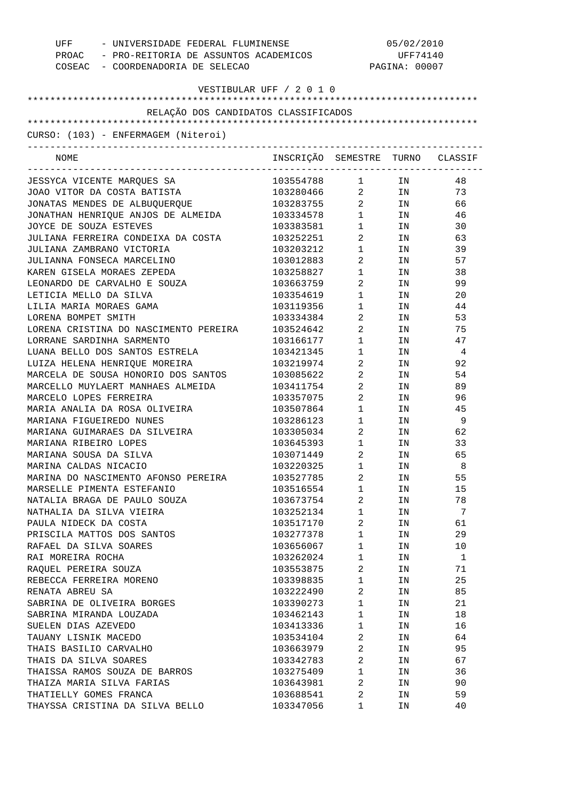| UFF - UNIVERSIDADE FEDERAL FLUMINENSE<br>PROAC - PRO-REITORIA DE ASSUNTOS ACADEMICOS<br>COSEAC - COORDENADORIA DE SELECAO |                                  |                                | 05/02/2010<br>UFF74140<br>PAGINA: 00007                                                                        |                |
|---------------------------------------------------------------------------------------------------------------------------|----------------------------------|--------------------------------|----------------------------------------------------------------------------------------------------------------|----------------|
| VESTIBULAR UFF / 2 0 1 0                                                                                                  |                                  |                                |                                                                                                                |                |
| RELAÇÃO DOS CANDIDATOS CLASSIFICADOS                                                                                      |                                  |                                |                                                                                                                |                |
|                                                                                                                           |                                  |                                |                                                                                                                |                |
| CURSO: (103) - ENFERMAGEM (Niteroi)<br>-------------------------------------                                              |                                  |                                |                                                                                                                |                |
| NOME<br>________________________________                                                                                  | INSCRIÇÃO SEMESTRE TURNO CLASSIF |                                |                                                                                                                |                |
| JESSYCA VICENTE MARQUES SA                                                                                                | 103554788 1 IN                   |                                |                                                                                                                | 48             |
| JOAO VITOR DA COSTA BATISTA                                                                                               | 103280466 2 IN                   |                                |                                                                                                                | 73             |
| JONATAS MENDES DE ALBUQUERQUE                                                                                             | 103283755                        | $\overline{2}$                 | IN                                                                                                             | 66             |
| JONATHAN HENRIQUE ANJOS DE ALMEIDA                                                                                        | 103334578                        | $1 \quad \blacksquare$         | IN                                                                                                             | 46             |
| JOYCE DE SOUZA ESTEVES                                                                                                    | 103383581                        | $1 \quad \blacksquare$         | IN                                                                                                             | 30             |
| JULIANA FERREIRA CONDEIXA DA COSTA                                                                                        | 103252251                        | $\overline{2}$                 | IN                                                                                                             | 63             |
| JULIANA ZAMBRANO VICTORIA                                                                                                 | 103203212                        | $1 \quad \blacksquare$         | IN THE TEST OF THE TEST OF THE TEST OF THE TEST OF THE TEST OF THE TEST OF THE TEST OF THE TEST OF THE TEST OF | 39             |
| JULIANNA FONSECA MARCELINO                                                                                                | 103012883                        | $2 \left( \frac{1}{2} \right)$ | IN THE TERM OF THE TERM OF THE TERM OF THE TERM OF THE TERM OF THE TERM OF THE TERM OF THE TERM OF THE TERM OF | 57             |
| KAREN GISELA MORAES ZEPEDA                                                                                                | 103258827                        | $1 \qquad \qquad$              | IN THE TEST OF THE TEST OF THE TEST OF THE TEST OF THE TEST OF THE TEST OF THE TEST OF THE TEST OF THE TEST OF | 38             |
| LEONARDO DE CARVALHO E SOUZA                                                                                              | 103663759                        | $2 \left( \frac{1}{2} \right)$ | IN THE TERM OF THE TERM OF THE TERM OF THE TERM OF THE TERM OF THE TERM OF THE TERM OF THE TERM OF THE TERM OF | 99             |
| LETICIA MELLO DA SILVA                                                                                                    | 103354619                        | $1 \qquad \qquad$              | IN THE TEST OF THE TEST OF THE TEST OF THE TEST OF THE TEST OF THE TEST OF THE TEST OF THE TEST OF THE TEST OF | 20             |
| LILIA MARIA MORAES GAMA                                                                                                   | 103119356                        | $1 \quad \blacksquare$         | IN THE TERM OF THE TERM OF THE TERM OF THE TERM OF THE TERM OF THE TERM OF THE TERM OF THE TERM OF THE TERM OF | 44             |
| LORENA BOMPET SMITH                                                                                                       | 103334384                        | $2 \left( \frac{1}{2} \right)$ | IN THE TERM OF THE TERM OF THE TERM OF THE TERM OF THE TERM OF THE TERM OF THE TERM OF THE TERM OF THE TERM OF | 53             |
| LORENA CRISTINA DO NASCIMENTO PEREIRA                                                                                     | 103524642                        | $\overline{2}$                 | IN                                                                                                             | 75             |
| LORRANE SARDINHA SARMENTO                                                                                                 | 103166177                        | $1 \quad \blacksquare$         | IN THE TERM OF THE TERM OF THE TERM OF THE TERM OF THE TERM OF THE TERM OF THE TERM OF THE TERM OF THE TERM OF | 47             |
| LUANA BELLO DOS SANTOS ESTRELA                                                                                            | 103421345                        | $1 \quad \blacksquare$         | IN                                                                                                             | $\overline{4}$ |
| LUIZA HELENA HENRIQUE MOREIRA                                                                                             | 103219974                        | $\overline{2}$                 | IN THE TERM OF THE TERM OF THE TERM OF THE TERM OF THE TERM OF THE TERM OF THE TERM OF THE TERM OF THE TERM OF | 92             |
| MARCELA DE SOUSA HONORIO DOS SANTOS                                                                                       | 103085622                        | $\overline{2}$                 | IN THE TEST OF THE TEST OF THE TEST OF THE TEST OF THE TEST OF THE TEST OF THE TEST OF THE TEST OF THE TEST OF | 54             |
| MARCELLO MUYLAERT MANHAES ALMEIDA                                                                                         | 103411754                        | $\overline{2}$                 | IN THE TERM OF THE TERM OF THE TERM OF THE TERM OF THE TERM OF THE TERM OF THE TERM OF THE TERM OF THE TERM OF | 89             |
| MARCELO LOPES FERREIRA                                                                                                    | 103357075                        | $2 \left( \frac{1}{2} \right)$ | IN                                                                                                             | 96             |
| MARIA ANALIA DA ROSA OLIVEIRA                                                                                             | 103507864                        | $1 \qquad \qquad$              | IN                                                                                                             | 45             |
| MARIANA FIGUEIREDO NUNES                                                                                                  | 103286123                        | $1 \qquad \qquad$              | IN                                                                                                             | - 9            |
| MARIANA GUIMARAES DA SILVEIRA                                                                                             | 103305034                        | $2 \left( \frac{1}{2} \right)$ | IN THE TEST OF THE TEST OF THE TEST OF THE TEST OF THE TEST OF THE TEST OF THE TEST OF THE TEST OF THE TEST OF | 62             |
| MARIANA RIBEIRO LOPES                                                                                                     | 103645393                        | $\mathbf{1}$                   | IN THE TERM OF THE TERM OF THE TERM OF THE TERM OF THE TERM OF THE TERM OF THE TERM OF THE TERM OF THE TERM OF | 33             |
| MARIANA SOUSA DA SILVA                                                                                                    | 103071449                        | 2                              | IN                                                                                                             | 65             |
| MARINA CALDAS NICACIO                                                                                                     | 103220325                        | 1                              | ΙN                                                                                                             | 8              |
| MARINA DO NASCIMENTO AFONSO PEREIRA                                                                                       | 103527785                        | 2                              | ΙN                                                                                                             | 55             |
| MARSELLE PIMENTA ESTEFANIO                                                                                                | 103516554                        | $\mathbf{1}$                   | ΙN                                                                                                             | 15             |
| NATALIA BRAGA DE PAULO SOUZA                                                                                              | 103673754                        | 2                              | ΙN                                                                                                             | 78             |
| NATHALIA DA SILVA VIEIRA                                                                                                  | 103252134                        | $\mathbf{1}$                   | ΙN                                                                                                             | 7              |
| PAULA NIDECK DA COSTA                                                                                                     | 103517170                        | 2                              | ΙN                                                                                                             | 61             |
| PRISCILA MATTOS DOS SANTOS                                                                                                | 103277378                        | $\mathbf{1}$                   | ΙN                                                                                                             | 29             |
| RAFAEL DA SILVA SOARES                                                                                                    | 103656067                        | $\mathbf{1}$                   | ΙN                                                                                                             | 10             |
| RAI MOREIRA ROCHA                                                                                                         | 103262024                        | $\mathbf{1}$                   | ΙN                                                                                                             | 1              |
| RAQUEL PEREIRA SOUZA                                                                                                      | 103553875                        | 2                              | ΙN                                                                                                             | 71             |
| REBECCA FERREIRA MORENO                                                                                                   | 103398835                        | $\mathbf{1}$                   | ΙN                                                                                                             | 25             |
| RENATA ABREU SA                                                                                                           | 103222490                        | 2                              | ΙN                                                                                                             | 85             |
| SABRINA DE OLIVEIRA BORGES                                                                                                | 103390273                        | $\mathbf{1}$                   | ΙN                                                                                                             | 21             |
| SABRINA MIRANDA LOUZADA                                                                                                   | 103462143                        | $\mathbf{1}$                   | ΙN                                                                                                             | 18             |
| SUELEN DIAS AZEVEDO                                                                                                       | 103413336                        | $\mathbf{1}$                   | ΙN                                                                                                             | 16             |
| TAUANY LISNIK MACEDO                                                                                                      | 103534104                        | 2                              | ΙN                                                                                                             | 64             |
| THAIS BASILIO CARVALHO                                                                                                    | 103663979                        | 2                              | ΙN                                                                                                             | 95             |
| THAIS DA SILVA SOARES                                                                                                     | 103342783                        | 2                              | ΙN                                                                                                             | 67             |
| THAISSA RAMOS SOUZA DE BARROS                                                                                             | 103275409                        | $\mathbf{1}$                   | ΙN                                                                                                             | 36             |
| THAIZA MARIA SILVA FARIAS                                                                                                 | 103643981                        | 2                              | ΙN                                                                                                             | 90             |
| THATIELLY GOMES FRANCA                                                                                                    | 103688541                        | 2                              | ΙN                                                                                                             | 59             |
| THAYSSA CRISTINA DA SILVA BELLO                                                                                           | 103347056                        | 1                              | ΙN                                                                                                             | 40             |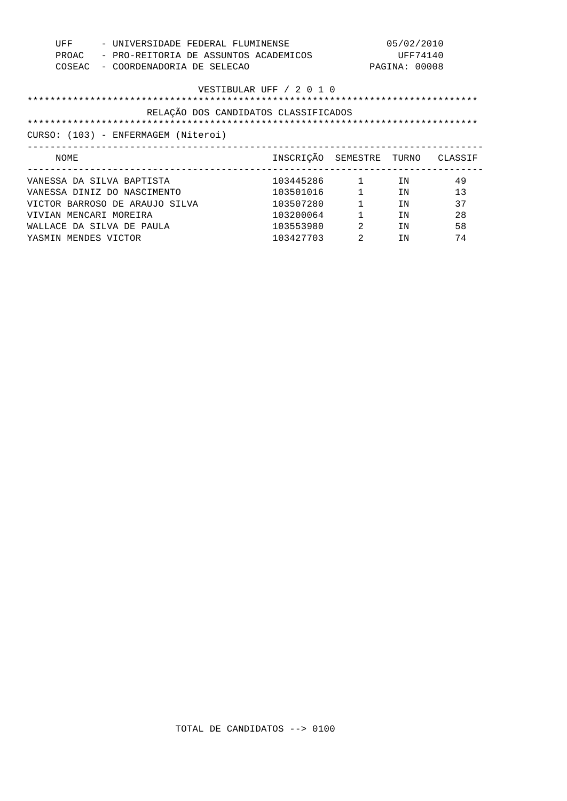| UFF<br>PROAC<br>COSEAC               | - UNIVERSIDADE FEDERAL FLUMINENSE<br>- PRO-REITORIA DE ASSUNTOS ACADEMICOS<br>- COORDENADORIA DE SELECAO |                | 05/02/2010<br>UFF74140<br>PAGINA: 00008 |    |
|--------------------------------------|----------------------------------------------------------------------------------------------------------|----------------|-----------------------------------------|----|
|                                      | VESTIBULAR UFF / 2 0 1 0                                                                                 |                |                                         |    |
| RELAÇÃO DOS CANDIDATOS CLASSIFICADOS |                                                                                                          |                |                                         |    |
|                                      |                                                                                                          |                |                                         |    |
| CURSO: (103) - ENFERMAGEM (Niteroi)  |                                                                                                          |                |                                         |    |
|                                      |                                                                                                          |                |                                         |    |
| NOME                                 | INSCRIÇÃO SEMESTRE TURNO CLASSIF                                                                         |                |                                         |    |
| VANESSA DA SILVA BAPTISTA            | 103445286 1                                                                                              |                | IN                                      | 49 |
| VANESSA DINIZ DO NASCIMENTO          | 103501016                                                                                                |                | IN                                      | 13 |
| VICTOR BARROSO DE ARAUJO SILVA       | 103507280                                                                                                | $\mathbf{1}$   | IN                                      | 37 |
| VIVIAN MENCARI MOREIRA               | 103200064                                                                                                | $\mathbf{1}$   | TN                                      | 28 |
| WALLACE DA SILVA DE PAULA            | 103553980                                                                                                | $\mathfrak{D}$ | TN                                      | 58 |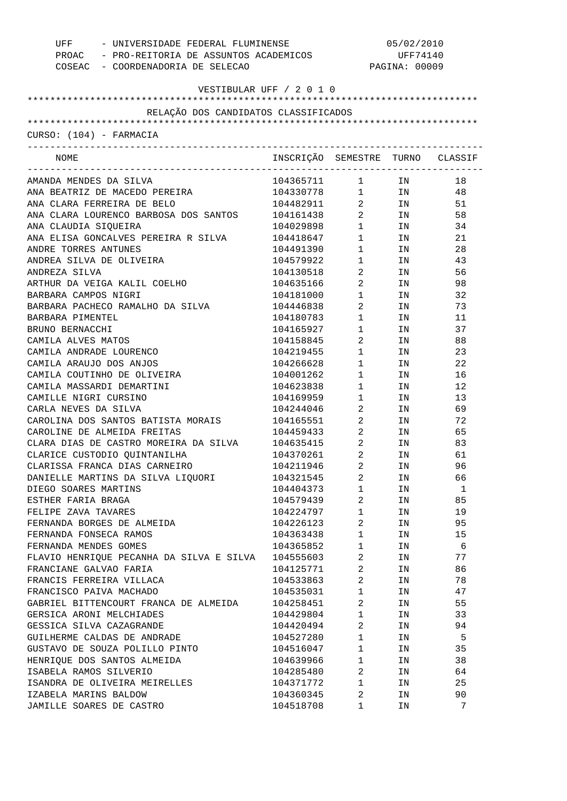| UFF<br>- UNIVERSIDADE FEDERAL FLUMINENSE<br>PROAC - PRO-REITORIA DE ASSUNTOS ACADEMICOS |                                  | 05/02/2010<br>UFF74140                        |               |          |  |
|-----------------------------------------------------------------------------------------|----------------------------------|-----------------------------------------------|---------------|----------|--|
| COSEAC - COORDENADORIA DE SELECAO                                                       |                                  |                                               | PAGINA: 00009 |          |  |
| VESTIBULAR UFF / 2 0 1 0                                                                |                                  |                                               |               |          |  |
|                                                                                         |                                  |                                               |               |          |  |
| RELAÇÃO DOS CANDIDATOS CLASSIFICADOS                                                    |                                  |                                               |               |          |  |
|                                                                                         |                                  |                                               |               |          |  |
| CURSO: (104) - FARMACIA                                                                 |                                  |                                               |               |          |  |
|                                                                                         |                                  |                                               |               |          |  |
| NOME                                                                                    | INSCRIÇÃO SEMESTRE TURNO CLASSIF |                                               |               |          |  |
| AMANDA MENDES DA SILVA                                                                  | 104365711                        | $1 \qquad \qquad$                             | IN            | 18       |  |
| ANA BEATRIZ DE MACEDO PEREIRA                                                           | 104330778                        |                                               | $1$ IN        | 48       |  |
| ANA CLARA FERREIRA DE BELO                                                              | 104482911                        |                                               | IN            | 51       |  |
| ANA CLARA LOURENCO BARBOSA DOS SANTOS                                                   | 104161438                        | $\frac{2}{2}$                                 | IN            | 58       |  |
| ANA CLAUDIA SIQUEIRA                                                                    | 104029898                        | $1 \quad \blacksquare$                        | IN            | 34       |  |
| ANA ELISA GONCALVES PEREIRA R SILVA                                                     | 104418647                        | $1 \quad \Box$                                | IN            | 21       |  |
| ANDRE TORRES ANTUNES                                                                    | 104491390                        | $1 \quad \Box$                                | IN            | 28       |  |
| ANDREA SILVA DE OLIVEIRA                                                                | 104579922                        | $\begin{array}{ccc} 1 & & \\ & & \end{array}$ | IN            | 43       |  |
| ANDREZA SILVA                                                                           | 104130518                        | $\overline{a}$                                | IN            | 56       |  |
| ARTHUR DA VEIGA KALIL COELHO                                                            | 104635166                        | $\overline{a}$                                | IN            | 98       |  |
| BARBARA CAMPOS NIGRI                                                                    | 104181000                        | $\mathbf{1}$                                  | IN            | 32       |  |
| BARBARA PACHECO RAMALHO DA SILVA                                                        | 104446838                        | $\overline{a}$                                | IN            | 73       |  |
| BARBARA PIMENTEL                                                                        | 104180783                        | $1 \quad \blacksquare$                        | IN            | 11       |  |
| BRUNO BERNACCHI                                                                         | 104165927                        | $1 \quad \Box$                                | IN            | 37       |  |
| CAMILA ALVES MATOS                                                                      | 104158845                        | $\overline{a}$                                | IN            | 88       |  |
| CAMILA ANDRADE LOURENCO                                                                 | 104219455                        | $\begin{array}{ccc} 1 & & \\ & & \end{array}$ | IN            | 23       |  |
| CAMILA ARAUJO DOS ANJOS                                                                 | 104266628                        | $1 \quad \blacksquare$                        | IN            | 22       |  |
| CAMILA COUTINHO DE OLIVEIRA                                                             | 104001262                        | $1 \quad \blacksquare$                        | IN            | 16       |  |
| CAMILA MASSARDI DEMARTINI                                                               | 104623838                        | $1 \quad \blacksquare$                        | IN            | 12       |  |
| CAMILLE NIGRI CURSINO                                                                   | 104169959                        | $\begin{array}{ccc} 1 & & \\ & & \end{array}$ | IN            | 13       |  |
| CARLA NEVES DA SILVA                                                                    | 104244046                        | $\overline{a}$                                | IN            | 69       |  |
| CAROLINA DOS SANTOS BATISTA MORAIS                                                      | 104165551                        | $\overline{a}$                                | IN            | 72       |  |
| CAROLINE DE ALMEIDA FREITAS                                                             | 104459433                        | $\overline{a}$                                | ΙN            | 65       |  |
| CLARA DIAS DE CASTRO MOREIRA DA SILVA                                                   | 104635415                        | $\overline{a}$                                | IN            | 83       |  |
| CLARICE CUSTODIO QUINTANILHA                                                            | 104370261                        | $2 \left( \frac{1}{2} \right)$                | ΙN            | 61       |  |
| CLARISSA FRANCA DIAS CARNEIRO                                                           | 104211946                        | $\overline{\mathbf{2}}$                       | IN            | 96       |  |
| DANIELLE MARTINS DA SILVA LIQUORI                                                       | 104321545                        | 2                                             | ΙN            | 66       |  |
| DIEGO SOARES MARTINS                                                                    | 104404373                        | $\mathbf 1$                                   | ΙN            | 1        |  |
| ESTHER FARIA BRAGA                                                                      | 104579439                        | 2                                             | ΙN            | 85       |  |
| FELIPE ZAVA TAVARES                                                                     | 104224797                        | $\mathbf 1$                                   | ΙN            | 19       |  |
| FERNANDA BORGES DE ALMEIDA                                                              | 104226123                        | 2                                             | ΙN            | 95       |  |
| FERNANDA FONSECA RAMOS                                                                  | 104363438                        | $\mathbf 1$                                   | ΙN            | 15       |  |
| FERNANDA MENDES GOMES                                                                   | 104365852                        | $\mathbf 1$                                   | ΙN            | 6        |  |
| FLAVIO HENRIQUE PECANHA DA SILVA E SILVA                                                | 104555603                        | 2                                             | ΙN            | 77       |  |
| FRANCIANE GALVAO FARIA                                                                  | 104125771                        | $\overline{a}$                                | ΙN            | 86       |  |
| FRANCIS FERREIRA VILLACA                                                                | 104533863                        | 2                                             | ΙN            | 78       |  |
| FRANCISCO PAIVA MACHADO                                                                 | 104535031                        | $\mathbf 1$                                   | ΙN            | 47       |  |
| GABRIEL BITTENCOURT FRANCA DE ALMEIDA                                                   | 104258451                        | $\overline{a}$                                | ΙN            | 55       |  |
| GERSICA ARONI MELCHIADES                                                                | 104429804                        | $\mathbf 1$                                   | ΙN            | 33       |  |
| GESSICA SILVA CAZAGRANDE                                                                | 104420494                        | 2                                             | ΙN            | 94       |  |
| GUILHERME CALDAS DE ANDRADE                                                             | 104527280                        | $\mathbf{1}$                                  | ΙN            | 5        |  |
| GUSTAVO DE SOUZA POLILLO PINTO                                                          | 104516047                        | $\mathbf{1}$                                  | ΙN            | 35       |  |
|                                                                                         |                                  | $\mathbf 1$                                   |               | 38       |  |
| HENRIQUE DOS SANTOS ALMEIDA<br>ISABELA RAMOS SILVERIO                                   | 104639966                        | 2                                             | ΙN            |          |  |
|                                                                                         | 104285480                        | $\mathbf 1$                                   | ΙN            | 64<br>25 |  |
| ISANDRA DE OLIVEIRA MEIRELLES                                                           | 104371772                        |                                               | ΙN            | 90       |  |
| IZABELA MARINS BALDOW                                                                   | 104360345                        | 2                                             | ΙN            | 7        |  |
| JAMILLE SOARES DE CASTRO                                                                | 104518708                        | 1                                             | ΙN            |          |  |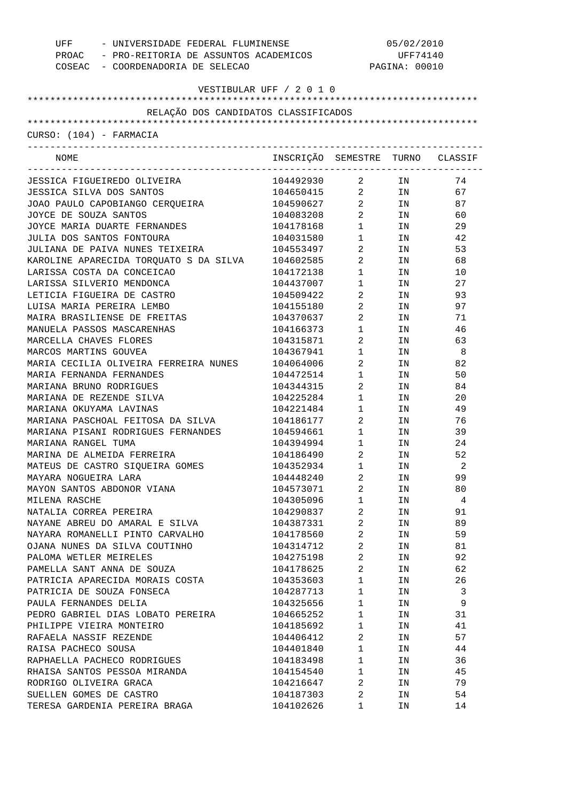| UFF - UNIVERSIDADE FEDERAL FLUMINENSE       |                                                        | 05/02/2010              |               |                            |  |
|---------------------------------------------|--------------------------------------------------------|-------------------------|---------------|----------------------------|--|
| PROAC - PRO-REITORIA DE ASSUNTOS ACADEMICOS |                                                        |                         | UFF74140      |                            |  |
| COSEAC - COORDENADORIA DE SELECAO           |                                                        |                         | PAGINA: 00010 |                            |  |
| VESTIBULAR UFF / 2 0 1 0                    |                                                        |                         |               |                            |  |
|                                             |                                                        |                         |               |                            |  |
| RELAÇÃO DOS CANDIDATOS CLASSIFICADOS        |                                                        |                         |               |                            |  |
|                                             |                                                        |                         |               |                            |  |
| CURSO: (104) - FARMACIA                     |                                                        |                         |               |                            |  |
| NOME                                        | INSCRIÇÃO SEMESTRE TURNO CLASSIF                       |                         |               |                            |  |
| JESSICA FIGUEIREDO OLIVEIRA                 | 104492930                                              | $\overline{a}$          | IN            | 74                         |  |
| JESSICA SILVA DOS SANTOS                    |                                                        |                         | IN            | 67                         |  |
| JOAO PAULO CAPOBIANGO CERQUEIRA             | 104650415<br>104590627 2<br>104083208 2<br>104083208 2 |                         | IN            | 87                         |  |
| JOYCE DE SOUZA SANTOS                       |                                                        |                         | IN            | 60                         |  |
| JOYCE MARIA DUARTE FERNANDES                | 104178168                                              | $1 \quad \Box$          | IN            | 29                         |  |
| JULIA DOS SANTOS FONTOURA                   | 104031580                                              | $\mathbf{1}$            | IN            | 42                         |  |
| JULIANA DE PAIVA NUNES TEIXEIRA             | 104553497                                              | $\overline{a}$          | IN            | 53                         |  |
| KAROLINE APARECIDA TORQUATO S DA SILVA      | 104602585                                              | $\overline{a}$          | IN            | 68                         |  |
| LARISSA COSTA DA CONCEICAO                  | 104172138                                              | $1 \quad \Box$          | IN            | 10                         |  |
| LARISSA SILVERIO MENDONCA                   | 104437007                                              | $1 \quad \blacksquare$  | IN            | 27                         |  |
| LETICIA FIGUEIRA DE CASTRO                  | 104509422                                              | $\overline{a}$          | IN            | 93                         |  |
| LUISA MARIA PEREIRA LEMBO                   | 104155180                                              | $\overline{a}$          | IN            | 97                         |  |
| MAIRA BRASILIENSE DE FREITAS                | 104370637                                              | $\overline{a}$          | IN            | 71                         |  |
| MANUELA PASSOS MASCARENHAS                  | 104166373                                              | $\mathbf 1$             | IN            | 46                         |  |
| MARCELLA CHAVES FLORES                      | 104315871                                              | $\overline{a}$          | IN            | 63                         |  |
| MARCOS MARTINS GOUVEA                       | 104367941                                              |                         | IN            | - 8                        |  |
| MARIA CECILIA OLIVEIRA FERREIRA NUNES       | 104064006                                              | $1 \quad \blacksquare$  | IN            | 82                         |  |
| MARIA FERNANDA FERNANDES                    | 104472514                                              | $\overline{a}$          | IN            | 50                         |  |
| MARIANA BRUNO RODRIGUES                     | 104344315                                              | $1 \quad \blacksquare$  | IN            | 84                         |  |
|                                             |                                                        | $\overline{a}$          |               |                            |  |
| MARIANA DE REZENDE SILVA                    | 104225284                                              | $\mathbf{1}$            | IN            | 20                         |  |
| MARIANA OKUYAMA LAVINAS                     | 104221484                                              | $\mathbf{1}$            | IN            | 49                         |  |
| MARIANA PASCHOAL FEITOSA DA SILVA           | 104186177                                              | $\overline{2}$          | IN            | 76                         |  |
| MARIANA PISANI RODRIGUES FERNANDES          | 104594661                                              | 1                       | IN            | 39                         |  |
| MARIANA RANGEL TUMA                         | 104394994                                              | $1 \quad \blacksquare$  | IN            | 24                         |  |
| MARINA DE ALMEIDA FERREIRA                  | 104186490                                              | $\overline{2}$          | IN            | 52                         |  |
| MATEUS DE CASTRO SIQUEIRA GOMES             | 104352934                                              | 1                       | IN            | $\overline{\phantom{0}}^2$ |  |
| MAYARA NOGUEIRA LARA                        | 104448240                                              | 2                       | ΙN            | 99                         |  |
| MAYON SANTOS ABDONOR VIANA                  | 104573071                                              | $\overline{2}$          | IN            | 80                         |  |
| MILENA RASCHE                               | 104305096                                              | $\mathbf 1$             | ΙN            | 4                          |  |
| NATALIA CORREA PEREIRA                      | 104290837                                              | $\overline{\mathbf{c}}$ | ΙN            | 91                         |  |
| NAYANE ABREU DO AMARAL E SILVA              | 104387331                                              | $\overline{\mathbf{c}}$ | ΙN            | 89                         |  |
| NAYARA ROMANELLI PINTO CARVALHO             | 104178560                                              | $\overline{c}$          | ΙN            | 59                         |  |
| OJANA NUNES DA SILVA COUTINHO               | 104314712                                              | $\overline{2}$          | ΙN            | 81                         |  |
| PALOMA WETLER MEIRELES                      | 104275198                                              | $\overline{2}$          | ΙN            | 92                         |  |
| PAMELLA SANT ANNA DE SOUZA                  | 104178625                                              | $\overline{2}$          | ΙN            | 62                         |  |
| PATRICIA APARECIDA MORAIS COSTA             | 104353603                                              | $\mathbf{1}$            | ΙN            | 26                         |  |
| PATRICIA DE SOUZA FONSECA                   | 104287713                                              | $\mathbf{1}$            | ΙN            | 3                          |  |
| PAULA FERNANDES DELIA                       | 104325656                                              | $\mathbf 1$             | ΙN            | 9                          |  |
| PEDRO GABRIEL DIAS LOBATO PEREIRA           | 104665252                                              | 1                       | ΙN            | 31                         |  |
| PHILIPPE VIEIRA MONTEIRO                    | 104185692                                              | $\mathbf 1$             | ΙN            | 41                         |  |
| RAFAELA NASSIF REZENDE                      | 104406412                                              | $\overline{2}$          | ΙN            | 57                         |  |
| RAISA PACHECO SOUSA                         | 104401840                                              | $\mathbf 1$             | ΙN            | 44                         |  |
| RAPHAELLA PACHECO RODRIGUES                 | 104183498                                              | $\mathbf{1}$            | ΙN            | 36                         |  |
| RHAISA SANTOS PESSOA MIRANDA                | 104154540                                              | $\mathbf 1$             | ΙN            | 45                         |  |
| RODRIGO OLIVEIRA GRACA                      | 104216647                                              | $\overline{a}$          | ΙN            | 79                         |  |
| SUELLEN GOMES DE CASTRO                     | 104187303                                              | $\sqrt{2}$              | ΙN            | 54                         |  |
| TERESA GARDENIA PEREIRA BRAGA               | 104102626                                              | 1                       | ΙN            | 14                         |  |
|                                             |                                                        |                         |               |                            |  |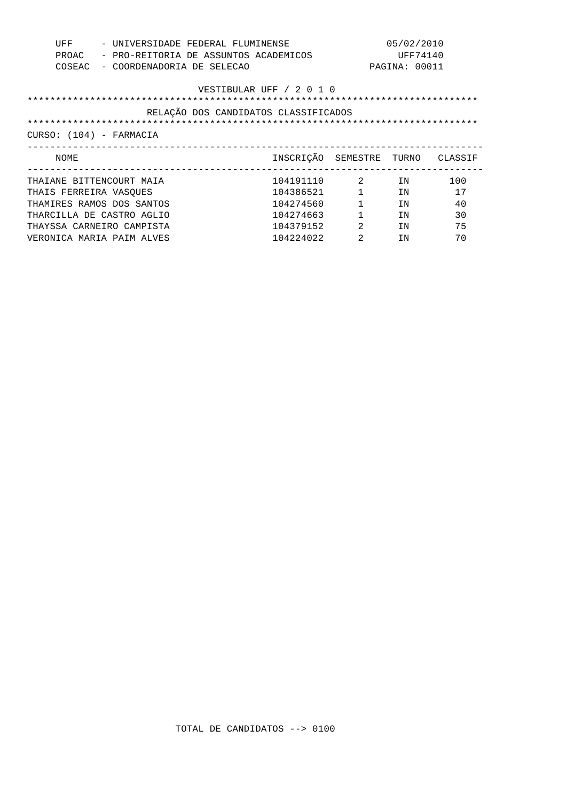| UFF<br>PROAC<br>COSEAC   | - UNIVERSIDADE FEDERAL FLUMINENSE<br>- PRO-REITORIA DE ASSUNTOS ACADEMICOS<br>- COORDENADORIA DE SELECAO |                                      |                  | 05/02/2010<br>UFF74140<br>PAGINA: 00011 |     |
|--------------------------|----------------------------------------------------------------------------------------------------------|--------------------------------------|------------------|-----------------------------------------|-----|
|                          |                                                                                                          | VESTIBULAR UFF / 2 0 1 0             |                  |                                         |     |
|                          |                                                                                                          | RELAÇÃO DOS CANDIDATOS CLASSIFICADOS |                  |                                         |     |
| CURSO: (104) - FARMACIA  |                                                                                                          |                                      |                  |                                         |     |
| NOME                     |                                                                                                          | INSCRIÇÃO SEMESTRE TURNO CLASSIF     |                  |                                         |     |
| THAIANE BITTENCOURT MAIA |                                                                                                          | 104191110                            | $2^{1}$          | TN                                      | 100 |
| THAIS FERREIRA VASQUES   |                                                                                                          | 104386521                            | $1 \quad \cdots$ | TN                                      | 17  |
|                          | THAMIRES RAMOS DOS SANTOS                                                                                | 104274560                            |                  | TN                                      | 40  |
|                          | THARCILLA DE CASTRO AGLIO                                                                                | 104274663                            |                  | TN                                      | 30  |
|                          | THAYSSA CARNEIRO CAMPISTA                                                                                | 104379152                            | 2                | TN                                      | 75  |
|                          | VERONICA MARIA PAIM ALVES                                                                                | 104224022                            | $\mathfrak{D}$   | TN                                      | 70  |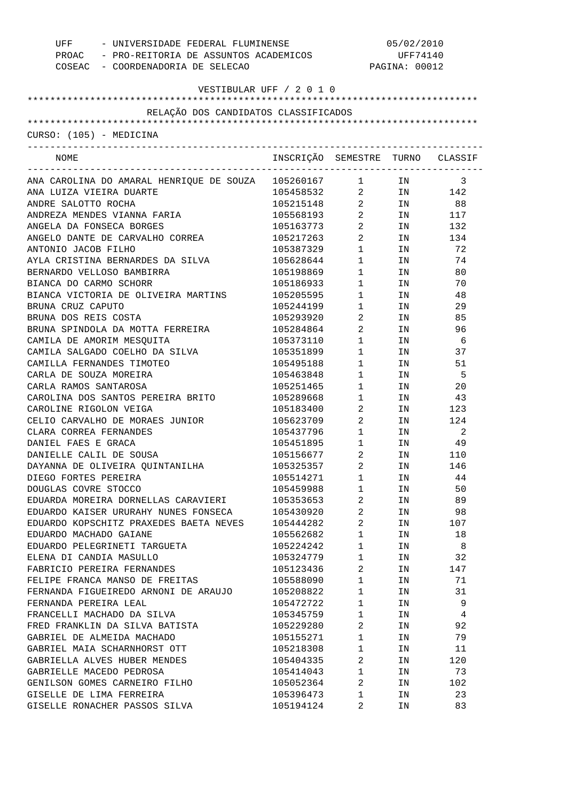| - UNIVERSIDADE FEDERAL FLUMINENSE<br>UFF    |                                                             | 05/02/2010                           |               |                            |  |
|---------------------------------------------|-------------------------------------------------------------|--------------------------------------|---------------|----------------------------|--|
| PROAC - PRO-REITORIA DE ASSUNTOS ACADEMICOS |                                                             |                                      | UFF74140      |                            |  |
| COSEAC - COORDENADORIA DE SELECAO           |                                                             |                                      | PAGINA: 00012 |                            |  |
|                                             |                                                             |                                      |               |                            |  |
| VESTIBULAR UFF / 2 0 1 0                    |                                                             |                                      |               |                            |  |
| RELAÇÃO DOS CANDIDATOS CLASSIFICADOS        |                                                             |                                      |               |                            |  |
|                                             |                                                             |                                      |               |                            |  |
| CURSO: (105) - MEDICINA                     |                                                             |                                      |               |                            |  |
| NOME                                        | INSCRIÇÃO SEMESTRE TURNO CLASSIF                            | ____________________________________ |               |                            |  |
| ANA CAROLINA DO AMARAL HENRIQUE DE SOUZA    | 105260167 1 IN 3<br>105458532 2 IN 142<br>105215148 2 IN 88 |                                      |               |                            |  |
| ANA LUIZA VIEIRA DUARTE                     |                                                             |                                      |               |                            |  |
| ANDRE SALOTTO ROCHA                         |                                                             |                                      |               |                            |  |
| ANDREZA MENDES VIANNA FARIA                 | 105568193                                                   | $\overline{a}$                       | IN            | 117                        |  |
| ANGELA DA FONSECA BORGES                    | 105163773                                                   | $\overline{a}$                       | IN            | 132                        |  |
| ANGELO DANTE DE CARVALHO CORREA             | 105217263                                                   | $\overline{a}$                       | IN            | 134                        |  |
| ANTONIO JACOB FILHO                         | 105387329                                                   | $\mathbf{1}$                         | IN            | 72                         |  |
| AYLA CRISTINA BERNARDES DA SILVA            | 105628644                                                   | $\mathbf 1$                          | IN            | 74                         |  |
| BERNARDO VELLOSO BAMBIRRA                   | 105198869                                                   | $\mathbf{1}$                         | IN            | 80                         |  |
| BIANCA DO CARMO SCHORR                      | 105186933                                                   | $\mathbf{1}$                         | IN            | 70                         |  |
| BIANCA VICTORIA DE OLIVEIRA MARTINS         | 105205595                                                   | $\mathbf{1}$                         | IN            | 48                         |  |
| BRUNA CRUZ CAPUTO                           | 105244199                                                   | $\mathbf{1}$                         | IN            | 29                         |  |
| BRUNA DOS REIS COSTA                        | 105293920                                                   | $\overline{a}$                       | IN            | 85                         |  |
| BRUNA SPINDOLA DA MOTTA FERREIRA            | 105284864                                                   | $\overline{a}$                       | IN            | 96                         |  |
| CAMILA DE AMORIM MESQUITA                   | 105373110                                                   | $\mathbf 1$                          | IN            | - 6                        |  |
| CAMILA SALGADO COELHO DA SILVA              | 105351899                                                   |                                      | IN            | 37                         |  |
| CAMILLA FERNANDES TIMOTEO                   | 105495188                                                   | $\mathbf{1}$                         | IN            | 51                         |  |
| CARLA DE SOUZA MOREIRA                      | 105463848                                                   | $\mathbf{1}$                         | IN            | - 5                        |  |
| CARLA RAMOS SANTAROSA                       | 105251465                                                   | $\mathbf{1}$                         | IN            | 20                         |  |
| CAROLINA DOS SANTOS PEREIRA BRITO           | 105289668                                                   | $1$ $\hfill$                         | IN            | 43                         |  |
| CAROLINE RIGOLON VEIGA                      | 105183400                                                   | $\mathbf{1}$                         | IN            |                            |  |
|                                             |                                                             | $\overline{a}$                       |               | 123                        |  |
| CELIO CARVALHO DE MORAES JUNIOR             | 105623709                                                   | $\overline{a}$                       | IN            | 124                        |  |
| CLARA CORREA FERNANDES                      | 105437796                                                   | $\mathbf 1$                          | IN            | $\overline{\phantom{0}}^2$ |  |
| DANIEL FAES E GRACA                         | 105451895 1                                                 |                                      | IN            | 49                         |  |
| DANIELLE CALIL DE SOUSA                     | 105156677                                                   | $2 \left( \frac{1}{2} \right)$       | IN            | 110                        |  |
| DAYANNA DE OLIVEIRA QUINTANILHA             | 105325357                                                   | $\overline{2}$                       | IN            | 146                        |  |
| DIEGO FORTES PEREIRA                        | 105514271                                                   | 1                                    | ΙN            | 44                         |  |
| DOUGLAS COVRE STOCCO                        | 105459988                                                   | $\mathbf{1}$                         | ΙN            | 50                         |  |
| EDUARDA MOREIRA DORNELLAS CARAVIERI         | 105353653                                                   | 2                                    | ΙN            | 89                         |  |
| EDUARDO KAISER URURAHY NUNES FONSECA        | 105430920                                                   | 2                                    | ΙN            | 98                         |  |
| EDUARDO KOPSCHITZ PRAXEDES BAETA NEVES      | 105444282                                                   | $\overline{a}$                       | ΙN            | 107                        |  |
| EDUARDO MACHADO GAIANE                      | 105562682                                                   | $\mathbf{1}$                         | ΙN            | 18                         |  |
| EDUARDO PELEGRINETI TARGUETA                | 105224242                                                   | 1                                    | ΙN            | 8                          |  |
| ELENA DI CANDIA MASULLO                     | 105324779                                                   | 1                                    | ΙN            | 32                         |  |
| FABRICIO PEREIRA FERNANDES                  | 105123436                                                   | $\overline{2}$                       | ΙN            | 147                        |  |
| FELIPE FRANCA MANSO DE FREITAS              | 105588090                                                   | 1                                    | ΙN            | 71                         |  |
| FERNANDA FIGUEIREDO ARNONI DE ARAUJO        | 105208822                                                   | $\mathbf{1}$                         | ΙN            | 31                         |  |
| FERNANDA PEREIRA LEAL                       | 105472722                                                   | 1                                    | ΙN            | 9                          |  |
| FRANCELLI MACHADO DA SILVA                  | 105345759                                                   | $\mathbf{1}$                         | ΙN            | 4                          |  |
| FRED FRANKLIN DA SILVA BATISTA              | 105229280                                                   | $\overline{2}$                       | ΙN            | 92                         |  |
| GABRIEL DE ALMEIDA MACHADO                  | 105155271                                                   | 1                                    | ΙN            | 79                         |  |
| GABRIEL MAIA SCHARNHORST OTT                | 105218308                                                   | $\mathbf{1}$                         | ΙN            | 11                         |  |
| GABRIELLA ALVES HUBER MENDES                | 105404335                                                   | 2                                    | ΙN            | 120                        |  |
| GABRIELLE MACEDO PEDROSA                    | 105414043                                                   | $\mathbf{1}$                         | ΙN            | 73                         |  |
| GENILSON GOMES CARNEIRO FILHO               | 105052364                                                   | 2                                    | ΙN            | 102                        |  |
| GISELLE DE LIMA FERREIRA                    | 105396473                                                   | 1                                    | ΙN            | 23                         |  |
| GISELLE RONACHER PASSOS SILVA               | 105194124                                                   | 2                                    | ΙN            | 83                         |  |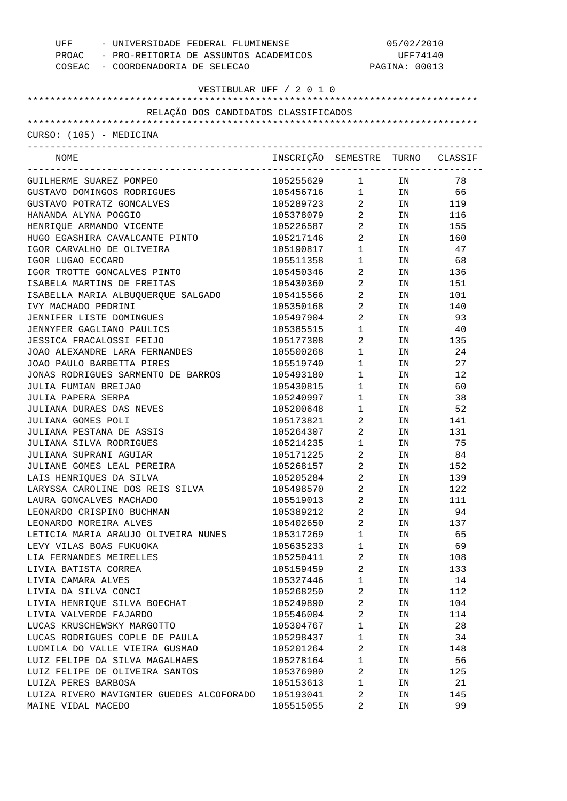| - UNIVERSIDADE FEDERAL FLUMINENSE<br>UFF    |                                  |                                               | 05/02/2010    |        |  |  |
|---------------------------------------------|----------------------------------|-----------------------------------------------|---------------|--------|--|--|
| PROAC - PRO-REITORIA DE ASSUNTOS ACADEMICOS |                                  | UFF74140                                      |               |        |  |  |
| COSEAC - COORDENADORIA DE SELECAO           |                                  |                                               | PAGINA: 00013 |        |  |  |
|                                             |                                  |                                               |               |        |  |  |
| VESTIBULAR UFF / 2 0 1 0                    |                                  |                                               |               |        |  |  |
| RELAÇÃO DOS CANDIDATOS CLASSIFICADOS        |                                  |                                               |               |        |  |  |
|                                             |                                  |                                               |               |        |  |  |
| CURSO: (105) - MEDICINA                     |                                  |                                               |               |        |  |  |
|                                             |                                  |                                               |               |        |  |  |
| NOME                                        | INSCRIÇÃO SEMESTRE TURNO CLASSIF | ______________________________                |               |        |  |  |
| GUILHERME SUAREZ POMPEO                     | 105255629                        | $1$ $\hfill$                                  | IN            | 78     |  |  |
| GUSTAVO DOMINGOS RODRIGUES                  | 105456716                        | $\mathbf 1$                                   |               | IN 66  |  |  |
| GUSTAVO POTRATZ GONCALVES                   | 105289723                        | $\overline{a}$                                | IN            | 119    |  |  |
| HANANDA ALYNA POGGIO                        | 105378079                        | $\overline{a}$                                |               | IN 116 |  |  |
| HENRIQUE ARMANDO VICENTE                    | 105226587                        | $\overline{a}$                                |               | IN 155 |  |  |
| HUGO EGASHIRA CAVALCANTE PINTO              | 105217146                        | $\overline{a}$                                |               | IN 160 |  |  |
| IGOR CARVALHO DE OLIVEIRA                   | 105190817                        | $\mathbf{1}$                                  | IN            | 47     |  |  |
| IGOR LUGAO ECCARD                           | 105511358                        | $1$ – $\qquad$                                | IN            | 68     |  |  |
| IGOR TROTTE GONCALVES PINTO                 | 105450346                        | $\overline{a}$                                | IN            | 136    |  |  |
| ISABELA MARTINS DE FREITAS                  | 105430360                        | $\overline{a}$                                | IN            | 151    |  |  |
| ISABELLA MARIA ALBUQUERQUE SALGADO          | 105415566                        | $\overline{2}$                                | IN            | 101    |  |  |
| IVY MACHADO PEDRINI                         | 105350168                        | $\overline{2}$                                | IN            | 140    |  |  |
| JENNIFER LISTE DOMINGUES                    | 105497904                        | $\overline{2}$                                | IN            | 93     |  |  |
| JENNYFER GAGLIANO PAULICS                   | 105385515                        | $1$ $\hfill$                                  | IN            | -40    |  |  |
| JESSICA FRACALOSSI FEIJO                    | 105177308                        | $\overline{a}$                                | IN            | 135    |  |  |
| JOAO ALEXANDRE LARA FERNANDES               | 105500268                        | $\mathbf{1}$                                  | IN            | 24     |  |  |
| JOAO PAULO BARBETTA PIRES                   | 105519740                        | $\begin{array}{ccc} 1 & & \\ & & \end{array}$ | IN            | 27     |  |  |
| JONAS RODRIGUES SARMENTO DE BARROS          | 105493180                        | $\begin{array}{ccc} 1 & & \\ & & \end{array}$ | IN            | 12     |  |  |
| JULIA FUMIAN BREIJAO                        | 105430815                        | $\begin{array}{ccc} 1 & & \\ & & \end{array}$ | IN            | 60     |  |  |
| JULIA PAPERA SERPA                          | 105240997                        | $\begin{array}{ccc} 1 & & \\ & & \end{array}$ | IN            | 38     |  |  |
| JULIANA DURAES DAS NEVES                    | 105200648                        | $\begin{array}{ccc} 1 & & \\ & & \end{array}$ | IN            | 52     |  |  |
| JULIANA GOMES POLI                          | 105173821                        | $\overline{a}$                                | IN            | 141    |  |  |
| JULIANA PESTANA DE ASSIS                    | 105264307                        | $\overline{a}$                                | IN            | 131    |  |  |
| JULIANA SILVA RODRIGUES                     | 105214235                        | $1$ $\hfill$                                  | IN            | 75     |  |  |
| JULIANA SUPRANI AGUIAR                      | 105171225                        | $2 \left( \frac{1}{2} \right)$                | IN            | 84     |  |  |
| JULIANE GOMES LEAL PEREIRA                  | 105268157                        | $\overline{a}$                                | IN            | 152    |  |  |
| LAIS HENRIQUES DA SILVA                     | 105205284                        | 2                                             | ΙN            | 139    |  |  |
| LARYSSA CAROLINE DOS REIS SILVA             | 105498570                        | $\overline{c}$                                | ΙN            | 122    |  |  |
| LAURA GONCALVES MACHADO                     | 105519013                        | 2                                             | ΙN            | 111    |  |  |
| LEONARDO CRISPINO BUCHMAN                   | 105389212                        | $\overline{\mathbf{c}}$                       | ΙN            | 94     |  |  |
| LEONARDO MOREIRA ALVES                      | 105402650                        | $\overline{2}$                                | ΙN            | 137    |  |  |
| LETICIA MARIA ARAUJO OLIVEIRA NUNES         | 105317269                        | $\mathbf 1$                                   | ΙN            | 65     |  |  |
| LEVY VILAS BOAS FUKUOKA                     | 105635233                        | $\mathbf 1$                                   | ΙN            | 69     |  |  |
| LIA FERNANDES MEIRELLES                     | 105250411                        | $\overline{\mathbf{c}}$                       | ΙN            | 108    |  |  |
| LIVIA BATISTA CORREA                        | 105159459                        | $\sqrt{2}$                                    | ΙN            | 133    |  |  |
| LIVIA CAMARA ALVES                          | 105327446                        | $\mathbf 1$                                   | ΙN            | 14     |  |  |
| LIVIA DA SILVA CONCI                        | 105268250                        | $\overline{c}$                                | ΙN            | 112    |  |  |
| LIVIA HENRIQUE SILVA BOECHAT                | 105249890                        | $\overline{2}$                                | ΙN            | 104    |  |  |
| LIVIA VALVERDE FAJARDO                      | 105546004                        | $\sqrt{2}$                                    | ΙN            | 114    |  |  |
| LUCAS KRUSCHEWSKY MARGOTTO                  | 105304767                        | $\mathbf 1$                                   | ΙN            | 28     |  |  |
| LUCAS RODRIGUES COPLE DE PAULA              | 105298437                        | $\mathbf 1$                                   | ΙN            | 34     |  |  |
| LUDMILA DO VALLE VIEIRA GUSMAO              | 105201264                        | $\overline{c}$                                | ΙN            | 148    |  |  |
| LUIZ FELIPE DA SILVA MAGALHAES              | 105278164                        | $\mathbf 1$                                   | ΙN            | 56     |  |  |
|                                             |                                  |                                               |               |        |  |  |
| LUIZ FELIPE DE OLIVEIRA SANTOS              | 105376980                        | $\sqrt{2}$                                    | ΙN            | 125    |  |  |
| LUIZA PERES BARBOSA                         | 105153613                        | $\mathbf 1$                                   | ΙN            | 21     |  |  |
| LUIZA RIVERO MAVIGNIER GUEDES ALCOFORADO    | 105193041                        | $\sqrt{2}$                                    | ΙN            | 145    |  |  |
| MAINE VIDAL MACEDO                          | 105515055                        | 2                                             | ΙN            | 99     |  |  |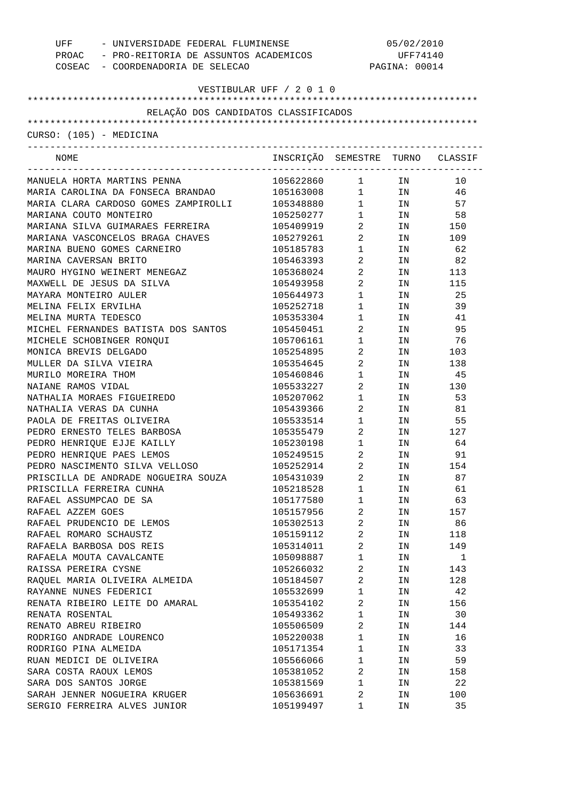| - UNIVERSIDADE FEDERAL FLUMINENSE<br>UFF    |                                  | 05/02/2010                                    |                                                                     |        |  |
|---------------------------------------------|----------------------------------|-----------------------------------------------|---------------------------------------------------------------------|--------|--|
| PROAC - PRO-REITORIA DE ASSUNTOS ACADEMICOS |                                  |                                               | UFF74140                                                            |        |  |
| COSEAC - COORDENADORIA DE SELECAO           |                                  |                                               | PAGINA: 00014                                                       |        |  |
|                                             |                                  |                                               |                                                                     |        |  |
|                                             | VESTIBULAR UFF / 2 0 1 0         |                                               |                                                                     |        |  |
|                                             |                                  |                                               |                                                                     |        |  |
| RELAÇÃO DOS CANDIDATOS CLASSIFICADOS        |                                  |                                               |                                                                     |        |  |
|                                             |                                  |                                               |                                                                     |        |  |
| CURSO: (105) - MEDICINA                     |                                  |                                               |                                                                     |        |  |
| NOME                                        | INSCRIÇÃO SEMESTRE TURNO CLASSIF |                                               |                                                                     |        |  |
|                                             |                                  | ___________________________________           |                                                                     |        |  |
| MANUELA HORTA MARTINS PENNA                 | 105622860                        |                                               | $1$ IN                                                              | 10     |  |
| MARIA CAROLINA DA FONSECA BRANDAO           | 105163008                        |                                               |                                                                     | 46     |  |
| MARIA CLARA CARDOSO GOMES ZAMPIROLLI        | 105348880                        |                                               | $\begin{array}{cc}\n 1 & \text{IN} \\ 1 & \text{IN} \\ \end{array}$ | 57     |  |
| MARIANA COUTO MONTEIRO                      | 105250277                        | $\mathbf{1}$                                  | IN                                                                  | 58     |  |
| MARIANA SILVA GUIMARAES FERREIRA            | 105409919                        | $\overline{a}$                                |                                                                     | IN 150 |  |
| MARIANA VASCONCELOS BRAGA CHAVES            | 105279261                        | $\overline{a}$                                | IN                                                                  | 109    |  |
| MARINA BUENO GOMES CARNEIRO                 | 105185783                        | $\mathbf{1}$                                  | IN                                                                  | 62     |  |
| MARINA CAVERSAN BRITO                       | 105463393                        | $\overline{a}$                                | IN                                                                  | 82     |  |
| MAURO HYGINO WEINERT MENEGAZ                | 105368024                        | $\overline{a}$                                | IN                                                                  | 113    |  |
| MAXWELL DE JESUS DA SILVA                   | 105493958                        | $\overline{a}$                                | IN                                                                  | 115    |  |
| MAYARA MONTEIRO AULER                       | 105644973                        | $\begin{array}{ccc} 1 & & \\ & & \end{array}$ | IN                                                                  | 25     |  |
| MELINA FELIX ERVILHA                        | 105252718                        | $\mathbf{1}$                                  | IN                                                                  | 39     |  |
| MELINA MURTA TEDESCO                        | 105353304                        | $\begin{array}{ccc} 1 & & \\ & & \end{array}$ | IN                                                                  | 41     |  |
| MICHEL FERNANDES BATISTA DOS SANTOS         | 105450451                        | $\overline{a}$                                | IN                                                                  | 95     |  |
| MICHELE SCHOBINGER RONQUI                   | 105706161                        | $\mathbf{1}$                                  | IN                                                                  | 76     |  |
| MONICA BREVIS DELGADO                       | 105254895                        |                                               | IN                                                                  | 103    |  |
| MULLER DA SILVA VIEIRA                      | 105354645                        | $\overline{a}$                                | IN                                                                  | 138    |  |
|                                             |                                  | $\overline{a}$                                |                                                                     |        |  |
| MURILO MOREIRA THOM                         | 105460846                        | $\begin{array}{ccc} 1 & & \\ & & \end{array}$ | IN                                                                  | 45     |  |
| NAIANE RAMOS VIDAL                          | 105533227                        | $\overline{a}$                                | IN                                                                  | 130    |  |
| NATHALIA MORAES FIGUEIREDO                  | 105207062                        | $\begin{array}{ccc} 1 & & \\ & & \end{array}$ | IN                                                                  | 53     |  |
| NATHALIA VERAS DA CUNHA                     | 105439366                        | $\overline{a}$                                | IN                                                                  | 81     |  |
| PAOLA DE FREITAS OLIVEIRA                   | 105533514                        | $\mathbf{1}$                                  | IN                                                                  | 55     |  |
| PEDRO ERNESTO TELES BARBOSA                 | 105355479                        | $\overline{a}$                                | IN                                                                  | 127    |  |
| PEDRO HENRIQUE EJJE KAILLY                  | 105230198                        | $1$ $\hfill$                                  | IN                                                                  | 64     |  |
| PEDRO HENRIQUE PAES LEMOS                   | 105249515                        | $\overline{2}$                                | IN                                                                  | 91     |  |
| PEDRO NASCIMENTO SILVA VELLOSO              | 105252914                        | $\overline{2}$                                | IN                                                                  | 154    |  |
| PRISCILLA DE ANDRADE NOGUEIRA SOUZA         | 105431039                        | 2                                             | ΙN                                                                  | 87     |  |
| PRISCILLA FERREIRA CUNHA                    | 105218528                        | $\mathbf 1$                                   | ΙN                                                                  | 61     |  |
| RAFAEL ASSUMPCAO DE SA                      | 105177580                        | 1                                             | ΙN                                                                  | 63     |  |
| RAFAEL AZZEM GOES                           | 105157956                        | 2                                             | ΙN                                                                  | 157    |  |
| RAFAEL PRUDENCIO DE LEMOS                   | 105302513                        | 2                                             | ΙN                                                                  | 86     |  |
| RAFAEL ROMARO SCHAUSTZ                      | 105159112                        | 2                                             | ΙN                                                                  | 118    |  |
| RAFAELA BARBOSA DOS REIS                    | 105314011                        | 2                                             | ΙN                                                                  | 149    |  |
| RAFAELA MOUTA CAVALCANTE                    | 105098887                        | $\mathbf 1$                                   | ΙN                                                                  | 1      |  |
| RAISSA PEREIRA CYSNE                        | 105266032                        | 2                                             | ΙN                                                                  | 143    |  |
| RAQUEL MARIA OLIVEIRA ALMEIDA               | 105184507                        | 2                                             | ΙN                                                                  | 128    |  |
| RAYANNE NUNES FEDERICI                      | 105532699                        | $\mathbf 1$                                   | ΙN                                                                  | 42     |  |
| RENATA RIBEIRO LEITE DO AMARAL              | 105354102                        | 2                                             | ΙN                                                                  | 156    |  |
| RENATA ROSENTAL                             | 105493362                        | $\mathbf 1$                                   | ΙN                                                                  | 30     |  |
| RENATO ABREU RIBEIRO                        | 105506509                        | 2                                             | ΙN                                                                  | 144    |  |
| RODRIGO ANDRADE LOURENCO                    | 105220038                        | 1                                             | ΙN                                                                  | 16     |  |
| RODRIGO PINA ALMEIDA                        | 105171354                        | 1                                             | ΙN                                                                  | 33     |  |
|                                             |                                  | 1                                             |                                                                     |        |  |
| RUAN MEDICI DE OLIVEIRA                     | 105566066                        |                                               | ΙN                                                                  | 59     |  |
| SARA COSTA RAOUX LEMOS                      | 105381052                        | 2                                             | ΙN                                                                  | 158    |  |
| SARA DOS SANTOS JORGE                       | 105381569                        | 1                                             | ΙN                                                                  | 22     |  |
| SARAH JENNER NOGUEIRA KRUGER                | 105636691                        | 2                                             | ΙN                                                                  | 100    |  |
| SERGIO FERREIRA ALVES JUNIOR                | 105199497                        | 1                                             | ΙN                                                                  | 35     |  |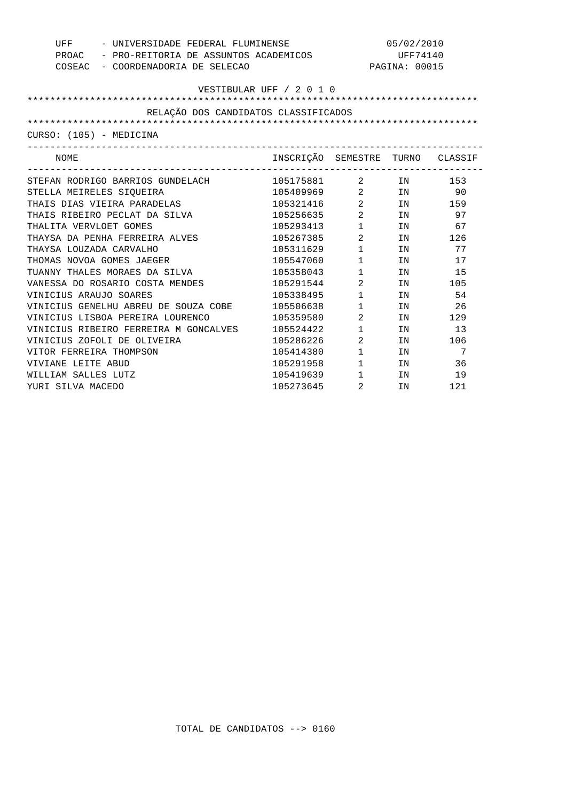| UFF<br>- UNIVERSIDADE FEDERAL FLUMINENSE    |                                  |                                | 05/02/2010                                                                                                     |        |
|---------------------------------------------|----------------------------------|--------------------------------|----------------------------------------------------------------------------------------------------------------|--------|
| PROAC - PRO-REITORIA DE ASSUNTOS ACADEMICOS |                                  |                                | UFF74140                                                                                                       |        |
| COSEAC - COORDENADORIA DE SELECAO           |                                  |                                | PAGINA: 00015                                                                                                  |        |
|                                             |                                  |                                |                                                                                                                |        |
|                                             | VESTIBULAR UFF / 2 0 1 0         |                                |                                                                                                                |        |
|                                             |                                  |                                |                                                                                                                |        |
| RELAÇÃO DOS CANDIDATOS CLASSIFICADOS        |                                  |                                |                                                                                                                |        |
|                                             |                                  |                                |                                                                                                                |        |
| CURSO: (105) - MEDICINA                     |                                  |                                |                                                                                                                |        |
| NOME                                        | INSCRIÇÃO SEMESTRE TURNO CLASSIF |                                |                                                                                                                |        |
| STEFAN RODRIGO BARRIOS GUNDELACH            | 105175881                        |                                | 2 IN 153                                                                                                       |        |
| STELLA MEIRELES SIQUEIRA                    | 105409969 2 IN 90                |                                |                                                                                                                |        |
| THAIS DIAS VIEIRA PARADELAS                 | 105321416                        |                                | 2 IN 159                                                                                                       |        |
| THAIS RIBEIRO PECLAT DA SILVA               | 105256635                        | $\overline{2}$                 |                                                                                                                | IN 97  |
| THALITA VERVLOET GOMES                      | 105293413                        | $1 \qquad \qquad$              |                                                                                                                | IN 67  |
| THAYSA DA PENHA FERREIRA ALVES              | 105267385                        | $\overline{2}$                 |                                                                                                                | IN 126 |
| THAYSA LOUZADA CARVALHO                     | 105311629                        | $1 \quad \blacksquare$         | IN                                                                                                             | 77     |
| THOMAS NOVOA GOMES JAEGER                   | 105547060                        | $1 \quad \Box$                 | IN                                                                                                             | 17     |
| TUANNY THALES MORAES DA SILVA               | 105358043                        | $1 \qquad \qquad$              | IN                                                                                                             | 15     |
| VANESSA DO ROSARIO COSTA MENDES             | 105291544                        | $\overline{2}$                 |                                                                                                                | IN 105 |
| VINICIUS ARAUJO SOARES                      | 105338495                        | $1 \qquad \qquad$              | IN                                                                                                             | 54     |
| VINICIUS GENELHU ABREU DE SOUZA COBE        | 105506638                        | $1 \quad \blacksquare$         | TN 50                                                                                                          | 26     |
| VINICIUS LISBOA PEREIRA LOURENCO            | 105359580                        | $\overline{2}$                 | IN                                                                                                             | 129    |
| VINICIUS RIBEIRO FERREIRA M GONCALVES       | 105524422                        | $1 \quad \blacksquare$         | IN THE TEST OF THE TEST OF THE TEST OF THE TEST OF THE TEST OF THE TEST OF THE TEST OF THE TEST OF THE TEST OF | 13     |
| VINICIUS ZOFOLI DE OLIVEIRA                 | 105286226                        | $2 \left( \frac{1}{2} \right)$ | IN                                                                                                             | 106    |
| VITOR FERREIRA THOMPSON                     | 105414380                        | $1 \qquad \qquad$              | IN                                                                                                             | 7      |
| VIVIANE LEITE ABUD                          | 105291958                        | $1 \quad \blacksquare$         | IN                                                                                                             | 36     |
| WILLIAM SALLES LUTZ                         | 105419639                        | $1 \quad \blacksquare$         | IN                                                                                                             | 19     |
| YURI SILVA MACEDO                           | 105273645                        | $2 \left( \frac{1}{2} \right)$ | IN                                                                                                             | 121    |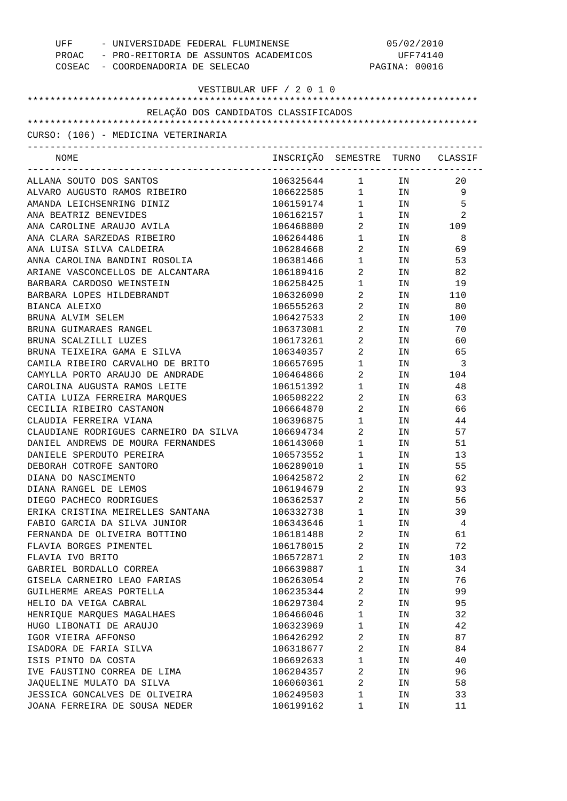| UFF<br>- UNIVERSIDADE FEDERAL FLUMINENSE<br>PROAC - PRO-REITORIA DE ASSUNTOS ACADEMICOS<br>COSEAC - COORDENADORIA DE SELECAO |                                  | 05/02/2010<br>UFF74140<br>PAGINA: 00016 |                                                                                                                |          |
|------------------------------------------------------------------------------------------------------------------------------|----------------------------------|-----------------------------------------|----------------------------------------------------------------------------------------------------------------|----------|
| VESTIBULAR UFF / 2 0 1 0                                                                                                     |                                  |                                         |                                                                                                                |          |
| RELAÇÃO DOS CANDIDATOS CLASSIFICADOS                                                                                         |                                  |                                         |                                                                                                                |          |
| CURSO: (106) - MEDICINA VETERINARIA                                                                                          |                                  |                                         |                                                                                                                |          |
|                                                                                                                              |                                  |                                         |                                                                                                                |          |
| NOME                                                                                                                         | INSCRIÇÃO SEMESTRE TURNO CLASSIF |                                         |                                                                                                                |          |
| ALLANA SOUTO DOS SANTOS                                                                                                      | 106325644 1 IN                   |                                         |                                                                                                                | 20       |
| ALVARO AUGUSTO RAMOS RIBEIRO                                                                                                 | 106622585 1 IN                   |                                         |                                                                                                                | -9       |
| AMANDA LEICHSENRING DINIZ                                                                                                    | 106159174                        |                                         | $1$ IN                                                                                                         | -5       |
| ANA BEATRIZ BENEVIDES                                                                                                        | 106162157                        | $1 \qquad \qquad$                       | IN                                                                                                             | 2        |
| ANA CAROLINE ARAUJO AVILA                                                                                                    | 106468800                        | $\overline{2}$                          |                                                                                                                | IN 109   |
| ANA CLARA SARZEDAS RIBEIRO                                                                                                   | 106264486                        | $1 \quad \blacksquare$                  | IN                                                                                                             | 8        |
| ANA LUISA SILVA CALDEIRA                                                                                                     | 106284668                        | $\overline{2}$                          | IN THE TEST OF THE TEST OF THE TEST OF THE TEST OF THE TEST OF THE TEST OF THE TEST OF THE TEST OF THE TEST OF | 69       |
| ANNA CAROLINA BANDINI ROSOLIA                                                                                                | 106381466                        | $1 \qquad \qquad$                       | IN                                                                                                             | 53       |
| ARIANE VASCONCELLOS DE ALCANTARA                                                                                             | 106189416                        | $\overline{2}$                          | IN                                                                                                             | 82       |
| BARBARA CARDOSO WEINSTEIN                                                                                                    | 106258425                        | $\mathbf{1}$                            | IN                                                                                                             | 19       |
| BARBARA LOPES HILDEBRANDT                                                                                                    | 106326090                        | 2                                       |                                                                                                                | IN 110   |
| BIANCA ALEIXO                                                                                                                | 106555263                        | 2                                       | IN                                                                                                             | 80       |
| BRUNA ALVIM SELEM                                                                                                            | 106427533                        | 2                                       | IN THE TEST OF THE TEST OF THE TEST OF THE TEST OF THE TEST OF THE TEST OF THE TEST OF THE TEST OF THE TEST OF | 100      |
| BRUNA GUIMARAES RANGEL                                                                                                       | 106373081                        | 2                                       | IN                                                                                                             | 70       |
| BRUNA SCALZILLI LUZES                                                                                                        | 106173261                        | 2                                       | IN                                                                                                             | 60       |
| BRUNA TEIXEIRA GAMA E SILVA                                                                                                  | 106340357                        | 2                                       | IN                                                                                                             | 65       |
| CAMILA RIBEIRO CARVALHO DE BRITO                                                                                             | 106657695                        | 1                                       | IN                                                                                                             | -3       |
| CAMYLLA PORTO ARAUJO DE ANDRADE                                                                                              | 106464866                        | 2                                       | IN                                                                                                             | 104      |
| CAROLINA AUGUSTA RAMOS LEITE                                                                                                 | 106151392                        | 1                                       | IN                                                                                                             | 48       |
| CATIA LUIZA FERREIRA MARQUES                                                                                                 | 106508222                        | 2                                       | IN                                                                                                             | 63       |
| CECILIA RIBEIRO CASTANON                                                                                                     | 106664870                        | $2 \left( \frac{1}{2} \right)$          | IN                                                                                                             | 66       |
| CLAUDIA FERREIRA VIANA                                                                                                       | 106396875                        | $\mathbf{1}$                            | IN                                                                                                             | 44       |
| CLAUDIANE RODRIGUES CARNEIRO DA SILVA                                                                                        | 106694734                        | $\overline{2}$                          | IN                                                                                                             | 57       |
| DANIEL ANDREWS DE MOURA FERNANDES                                                                                            | 106143060                        | 1                                       | IN                                                                                                             | 51       |
| DANIELE SPERDUTO PEREIRA                                                                                                     | 106573552                        | 1                                       | IN                                                                                                             | 13       |
| DEBORAH COTROFE SANTORO                                                                                                      | 106289010                        | 1                                       | ΙN                                                                                                             | 55       |
| DIANA DO NASCIMENTO                                                                                                          | 106425872                        | 2                                       | ΙN                                                                                                             | 62       |
| DIANA RANGEL DE LEMOS                                                                                                        | 106194679                        | 2                                       | ΙN                                                                                                             | 93       |
| DIEGO PACHECO RODRIGUES                                                                                                      | 106362537                        | $\overline{2}$                          | ΙN                                                                                                             | 56       |
| ERIKA CRISTINA MEIRELLES SANTANA                                                                                             | 106332738                        | $\mathbf 1$                             | ΙN                                                                                                             | 39       |
| FABIO GARCIA DA SILVA JUNIOR                                                                                                 | 106343646                        | $\mathbf 1$                             | IN                                                                                                             | 4        |
| FERNANDA DE OLIVEIRA BOTTINO                                                                                                 | 106181488                        | 2                                       | ΙN                                                                                                             | 61       |
| FLAVIA BORGES PIMENTEL                                                                                                       | 106178015                        | 2                                       | ΙN                                                                                                             | 72       |
| FLAVIA IVO BRITO                                                                                                             | 106572871                        | 2<br>$\mathbf{1}$                       | IN                                                                                                             | 103      |
| GABRIEL BORDALLO CORREA<br>GISELA CARNEIRO LEAO FARIAS                                                                       | 106639887<br>106263054           | 2                                       | IN                                                                                                             | 34<br>76 |
| GUILHERME AREAS PORTELLA                                                                                                     | 106235344                        | 2                                       | IN<br>IN                                                                                                       | 99       |
| HELIO DA VEIGA CABRAL                                                                                                        | 106297304                        | 2                                       | ΙN                                                                                                             | 95       |
| HENRIQUE MARQUES MAGALHAES                                                                                                   | 106466046                        | $\mathbf 1$                             | ΙN                                                                                                             | 32       |
| HUGO LIBONATI DE ARAUJO                                                                                                      | 106323969                        | $\mathbf{1}$                            | ΙN                                                                                                             | 42       |
| IGOR VIEIRA AFFONSO                                                                                                          | 106426292                        | 2                                       | ΙN                                                                                                             | 87       |
| ISADORA DE FARIA SILVA                                                                                                       | 106318677                        | 2                                       | ΙN                                                                                                             | 84       |
| ISIS PINTO DA COSTA                                                                                                          | 106692633                        | $\mathbf 1$                             | ΙN                                                                                                             | 40       |
| IVE FAUSTINO CORREA DE LIMA                                                                                                  | 106204357                        | 2                                       | ΙN                                                                                                             | 96       |
| JAQUELINE MULATO DA SILVA                                                                                                    | 106060361                        | 2                                       | ΙN                                                                                                             | 58       |
| JESSICA GONCALVES DE OLIVEIRA                                                                                                | 106249503                        | 1                                       | ΙN                                                                                                             | 33       |
| JOANA FERREIRA DE SOUSA NEDER                                                                                                | 106199162                        | 1                                       | ΙN                                                                                                             | 11       |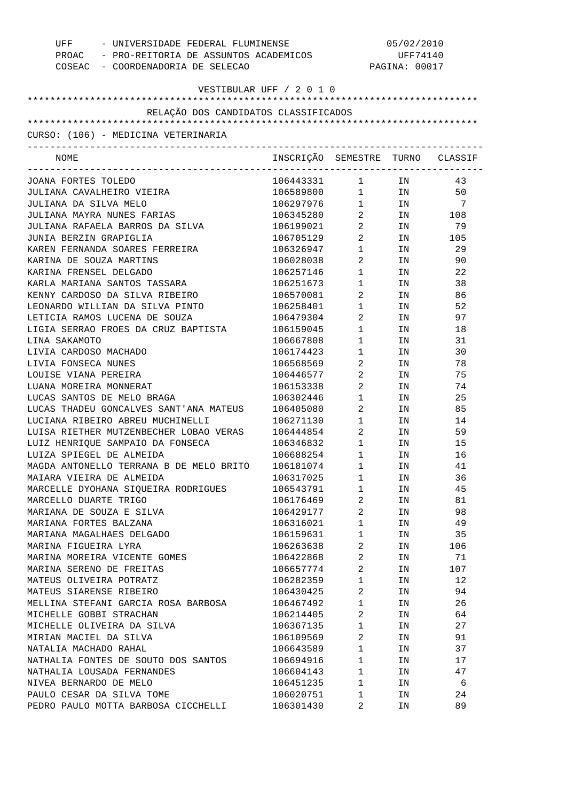| - UNIVERSIDADE FEDERAL FLUMINENSE<br>UFF<br>PROAC - PRO-REITORIA DE ASSUNTOS ACADEMICOS<br>COSEAC - COORDENADORIA DE SELECAO |                                  | 05/02/2010<br>UFF74140<br>PAGINA: 00017 |                                                                                                                |        |
|------------------------------------------------------------------------------------------------------------------------------|----------------------------------|-----------------------------------------|----------------------------------------------------------------------------------------------------------------|--------|
| VESTIBULAR UFF / 2 0 1 0                                                                                                     |                                  |                                         |                                                                                                                |        |
| RELAÇÃO DOS CANDIDATOS CLASSIFICADOS                                                                                         |                                  |                                         |                                                                                                                |        |
|                                                                                                                              |                                  |                                         |                                                                                                                |        |
| CURSO: (106) - MEDICINA VETERINARIA                                                                                          |                                  |                                         |                                                                                                                |        |
| NOME                                                                                                                         | INSCRIÇÃO SEMESTRE TURNO CLASSIF |                                         |                                                                                                                |        |
| JOANA FORTES TOLEDO                                                                                                          | 106443331 1                      |                                         | IN                                                                                                             | 43     |
| JULIANA CAVALHEIRO VIEIRA                                                                                                    | 106589800 1 IN                   |                                         |                                                                                                                | 50     |
| JULIANA DA SILVA MELO                                                                                                        | 106297976                        |                                         | $1$ IN                                                                                                         | 7      |
| JULIANA MAYRA NUNES FARIAS                                                                                                   | 106345280                        | $\overline{2}$                          |                                                                                                                | IN 108 |
| JULIANA RAFAELA BARROS DA SILVA                                                                                              | 106199021                        | $2 \left( \frac{1}{2} \right)$          | IN                                                                                                             | 79     |
| JUNIA BERZIN GRAPIGLIA                                                                                                       | 106705129                        | $\overline{2}$                          |                                                                                                                | IN 105 |
| KAREN FERNANDA SOARES FERREIRA                                                                                               | 106326947                        | $1 \quad \blacksquare$                  | IN                                                                                                             | 29     |
| KARINA DE SOUZA MARTINS                                                                                                      | 106028038                        | $\mathbf{2}$                            | IN THE TEST OF THE TEST OF THE TEST OF THE TEST OF THE TEST OF THE TEST OF THE TEST OF THE TEST OF THE TEST OF | 90     |
| KARINA FRENSEL DELGADO                                                                                                       | 106257146                        | $1 \quad \blacksquare$                  | IN THE TERM OF THE TERM OF THE TERM OF THE TERM OF THE TERM OF THE TERM OF THE TERM OF THE TERM OF THE TERM OF | 22     |
| KARLA MARIANA SANTOS TASSARA                                                                                                 | 106251673                        | $1 \quad \blacksquare$                  | IN THE TEST OF THE TEST OF THE TEST OF THE TEST OF THE TEST OF THE TEST OF THE TEST OF THE TEST OF THE TEST OF | 38     |
| KENNY CARDOSO DA SILVA RIBEIRO                                                                                               | 106570081                        | $2 \left( \frac{1}{2} \right)$          | IN THE TERM OF THE TERM OF THE TERM OF THE TERM OF THE TERM OF THE TERM OF THE TERM OF THE TERM OF THE TERM OF | 86     |
| LEONARDO WILLIAN DA SILVA PINTO                                                                                              | 106258401                        | $1 \quad \blacksquare$                  | IN                                                                                                             | 52     |
| LETICIA RAMOS LUCENA DE SOUZA                                                                                                | 106479304                        | $2 \left( \frac{1}{2} \right)$          | IN THE TEST OF THE TEST OF THE TEST OF THE TEST OF THE TEST OF THE TEST OF THE TEST OF THE TEST OF THE TEST OF | 97     |
| LIGIA SERRAO FROES DA CRUZ BAPTISTA                                                                                          | 106159045                        | $1 \quad \blacksquare$                  | IN THE TEST OF THE TEST OF THE TEST OF THE TEST OF THE TEST OF THE TEST OF THE TEST OF THE TEST OF THE TEST OF | 18     |
| LINA SAKAMOTO                                                                                                                | 106667808                        | $1 \qquad \qquad$                       | IN THE TERM OF THE TERM OF THE TERM OF THE TERM OF THE TERM OF THE TERM OF THE TERM OF THE TERM OF THE TERM OF | 31     |
| LIVIA CARDOSO MACHADO                                                                                                        | 106174423                        | 1                                       | IN                                                                                                             | 30     |
| LIVIA FONSECA NUNES                                                                                                          | 106568569                        | $2 \left( \frac{1}{2} \right)$          | IN                                                                                                             | 78     |
| LOUISE VIANA PEREIRA                                                                                                         | 106446577                        | $2 \left( \frac{1}{2} \right)$          | IN                                                                                                             | 75     |
| LUANA MOREIRA MONNERAT                                                                                                       | 106153338                        | $\mathbf{2}$                            | IN                                                                                                             | 74     |
| LUCAS SANTOS DE MELO BRAGA                                                                                                   | 106302446                        | 1                                       | IN                                                                                                             | 25     |
| LUCAS THADEU GONCALVES SANT'ANA MATEUS                                                                                       | 106405080                        | $2 \left( \frac{1}{2} \right)$          | IN                                                                                                             | 85     |
| LUCIANA RIBEIRO ABREU MUCHINELLI                                                                                             | 106271130                        | $1 \quad \Box$                          | IN THE TERM OF THE TERM OF THE TERM OF THE TERM OF THE TERM OF THE TERM OF THE TERM OF THE TERM OF THE TERM OF | 14     |
| LUISA RIETHER MUTZENBECHER LOBAO VERAS                                                                                       | 106444854                        | $\overline{2}$                          | IN                                                                                                             | 59     |
| LUIZ HENRIQUE SAMPAIO DA FONSECA                                                                                             | 106346832                        | 1                                       | ΙN                                                                                                             | 15     |
| LUIZA SPIEGEL DE ALMEIDA                                                                                                     | 106688254                        | $\mathbf{1}$                            | IN                                                                                                             | 16     |
| MAGDA ANTONELLO TERRANA B DE MELO BRITO                                                                                      | 106181074                        | 1                                       | ΙN                                                                                                             | 41     |
| MAIARA VIEIRA DE ALMEIDA                                                                                                     | 106317025                        | 1                                       | ΙN                                                                                                             | 36     |
| MARCELLE DYOHANA SIQUEIRA RODRIGUES                                                                                          | 106543791                        | 1                                       | ΙN                                                                                                             | 45     |
| MARCELLO DUARTE TRIGO                                                                                                        | 106176469                        | 2                                       | ΙN                                                                                                             | 81     |
| MARIANA DE SOUZA E SILVA                                                                                                     | 106429177                        | 2                                       | ΙN                                                                                                             | 98     |
| MARIANA FORTES BALZANA                                                                                                       | 106316021                        | 1                                       | ΙN                                                                                                             | 49     |
| MARIANA MAGALHAES DELGADO                                                                                                    | 106159631                        | 1                                       | ΙN                                                                                                             | 35     |
| MARINA FIGUEIRA LYRA                                                                                                         | 106263638                        | 2                                       | IN                                                                                                             | 106    |
| MARINA MOREIRA VICENTE GOMES                                                                                                 | 106422868                        | 2                                       | ΙN                                                                                                             | 71     |
| MARINA SERENO DE FREITAS                                                                                                     | 106657774                        | 2                                       | IN                                                                                                             | 107    |
| MATEUS OLIVEIRA POTRATZ                                                                                                      | 106282359                        | $\mathbf 1$                             | ΙN                                                                                                             | 12     |
| MATEUS SIARENSE RIBEIRO                                                                                                      | 106430425                        | 2                                       |                                                                                                                | 94     |
|                                                                                                                              |                                  | 1                                       | ΙN                                                                                                             |        |
| MELLINA STEFANI GARCIA ROSA BARBOSA                                                                                          | 106467492                        |                                         | ΙN                                                                                                             | 26     |
| MICHELLE GOBBI STRACHAN                                                                                                      | 106214405                        | 2                                       | ΙN                                                                                                             | 64     |
| MICHELLE OLIVEIRA DA SILVA                                                                                                   | 106367135                        | 1                                       | ΙN                                                                                                             | 27     |
| MIRIAN MACIEL DA SILVA                                                                                                       | 106109569                        | 2                                       | ΙN                                                                                                             | 91     |
| NATALIA MACHADO RAHAL                                                                                                        | 106643589                        | 1                                       | ΙN                                                                                                             | 37     |
| NATHALIA FONTES DE SOUTO DOS SANTOS                                                                                          | 106694916                        | $\mathbf{1}$                            | ΙN                                                                                                             | 17     |
| NATHALIA LOUSADA FERNANDES                                                                                                   | 106604143                        | 1                                       | ΙN                                                                                                             | 47     |
| NIVEA BERNARDO DE MELO                                                                                                       | 106451235                        | $\mathbf{1}$                            | ΙN                                                                                                             | 6      |
| PAULO CESAR DA SILVA TOME                                                                                                    | 106020751                        | 1                                       | ΙN                                                                                                             | 24     |
| PEDRO PAULO MOTTA BARBOSA CICCHELLI                                                                                          | 106301430                        | 2                                       | ΙN                                                                                                             | 89     |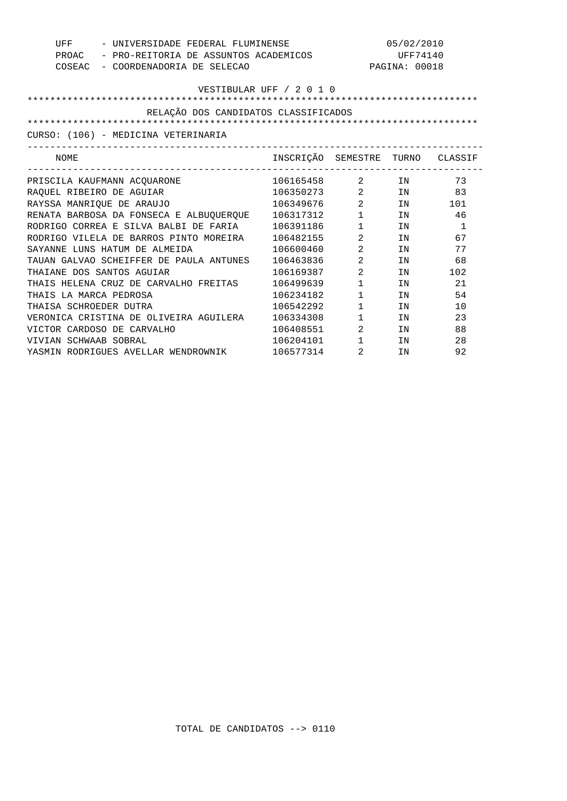| UFF<br>- UNIVERSIDADE FEDERAL FLUMINENSE<br>- PRO-REITORIA DE ASSUNTOS ACADEMICOS<br>PROAC<br>COSEAC<br>- COORDENADORIA DE SELECAO |                                  |                                | 05/02/2010<br>UFF74140<br>PAGINA: 00018                                                                        |              |
|------------------------------------------------------------------------------------------------------------------------------------|----------------------------------|--------------------------------|----------------------------------------------------------------------------------------------------------------|--------------|
|                                                                                                                                    | VESTIBULAR UFF / 2 0 1 0         |                                |                                                                                                                |              |
| RELAÇÃO DOS CANDIDATOS CLASSIFICADOS                                                                                               |                                  |                                |                                                                                                                |              |
|                                                                                                                                    |                                  |                                |                                                                                                                |              |
| CURSO: (106) - MEDICINA VETERINARIA                                                                                                |                                  |                                |                                                                                                                |              |
| NOME                                                                                                                               | INSCRIÇÃO SEMESTRE TURNO CLASSIF |                                |                                                                                                                |              |
| PRISCILA KAUFMANN ACQUARONE                                                                                                        | 106165458 2 IN                   |                                |                                                                                                                | 73           |
| RAOUEL RIBEIRO DE AGUIAR                                                                                                           | 106350273                        | $\overline{2}$                 | TN 50                                                                                                          | 83           |
| RAYSSA MANRIOUE DE ARAUJO                                                                                                          | 106349676                        | $\overline{2}$                 | IN                                                                                                             | 101          |
| RENATA BARBOSA DA FONSECA E ALBUQUERQUE 106317312                                                                                  |                                  | $1 \qquad \qquad$              | IN THE TEST OF THE TEST OF THE TEST OF THE TEST OF THE TEST OF THE TEST OF THE TEST OF THE TEST OF THE TEST OF | 46           |
| RODRIGO CORREA E SILVA BALBI DE FARIA                                                                                              | 106391186                        | $1 \quad \blacksquare$         | IN                                                                                                             | $\mathbf{1}$ |
| RODRIGO VILELA DE BARROS PINTO MOREIRA 106482155                                                                                   |                                  | $2 \left( \frac{1}{2} \right)$ | IN                                                                                                             | 67           |
| SAYANNE LUNS HATUM DE ALMEIDA                                                                                                      | 106600460                        | 2                              | IN                                                                                                             | 77           |
| TAUAN GALVAO SCHEIFFER DE PAULA ANTUNES                                                                                            | 106463836                        | 2                              | TN                                                                                                             | 68           |
| THAIANE DOS SANTOS AGUIAR                                                                                                          | 106169387                        | $2 \left( \frac{1}{2} \right)$ | IN                                                                                                             | 102          |
| THAIS HELENA CRUZ DE CARVALHO FREITAS                                                                                              | 106499639                        | $1 \quad \blacksquare$         | IN                                                                                                             | 21           |
| THAIS LA MARCA PEDROSA                                                                                                             | 106234182                        | $1 \quad \blacksquare$         | TN                                                                                                             | 54           |
| THAISA SCHROEDER DUTRA                                                                                                             | 106542292                        | $1 \quad \blacksquare$         | TN                                                                                                             | 10           |
| VERONICA CRISTINA DE OLIVEIRA AGUILERA                                                                                             | 106334308                        | $1 \quad \blacksquare$         | IN                                                                                                             | 23           |
| VICTOR CARDOSO DE CARVALHO                                                                                                         | 106408551                        | $\overline{2}$                 | IN                                                                                                             | 88           |
| VIVIAN SCHWAAB SOBRAL                                                                                                              | 106204101                        | $1 \quad \blacksquare$         | TN                                                                                                             | 28           |
| YASMIN RODRIGUES AVELLAR WENDROWNIK                                                                                                | 106577314                        | 2                              | IN                                                                                                             | 92           |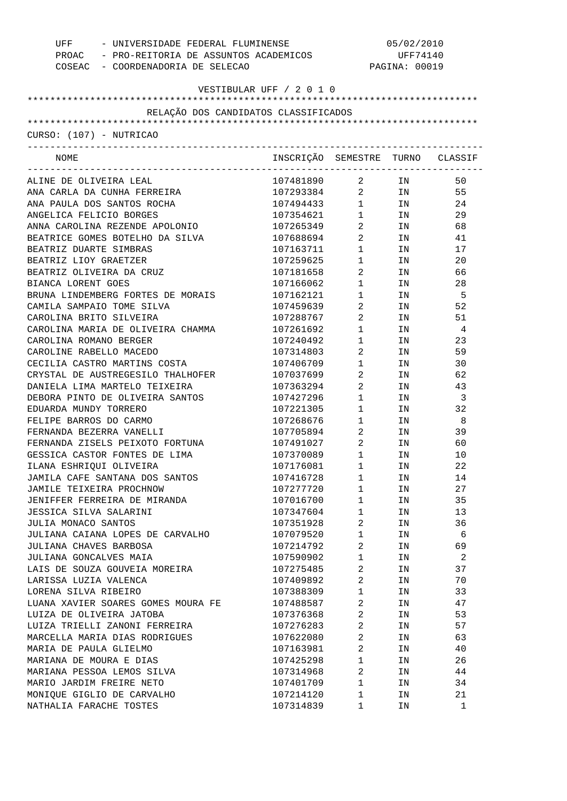| - UNIVERSIDADE FEDERAL FLUMINENSE<br>UFF     |                                  | 05/02/2010                                    |                           |                |  |
|----------------------------------------------|----------------------------------|-----------------------------------------------|---------------------------|----------------|--|
| PROAC - PRO-REITORIA DE ASSUNTOS ACADEMICOS  |                                  |                                               | UFF74140<br>PAGINA: 00019 |                |  |
| COSEAC - COORDENADORIA DE SELECAO            |                                  |                                               |                           |                |  |
| VESTIBULAR UFF / 2 0 1 0                     |                                  |                                               |                           |                |  |
|                                              |                                  |                                               |                           |                |  |
| RELAÇÃO DOS CANDIDATOS CLASSIFICADOS         |                                  |                                               |                           |                |  |
|                                              |                                  |                                               |                           |                |  |
| CURSO: (107) - NUTRICAO                      |                                  |                                               |                           |                |  |
| NOME<br>------------------------------------ | INSCRIÇÃO SEMESTRE TURNO CLASSIF |                                               |                           |                |  |
| ALINE DE OLIVEIRA LEAL                       | 107481890                        | $\overline{a}$                                | IN                        | 50             |  |
| ANA CARLA DA CUNHA FERREIRA                  | 107293384                        | $\overline{a}$                                | IN                        | 55             |  |
| ANA PAULA DOS SANTOS ROCHA                   | 107494433                        | $1 \quad \Box$                                | IN                        | 24             |  |
| ANGELICA FELICIO BORGES                      | 107354621                        | $\begin{array}{ccc} 1 & & \\ & & \end{array}$ | IN                        | 29             |  |
| ANNA CAROLINA REZENDE APOLONIO               | 107265349                        | $\overline{a}$                                | IN                        | 68             |  |
| BEATRICE GOMES BOTELHO DA SILVA              | 107688694                        | $\overline{a}$                                | IN                        | 41             |  |
| BEATRIZ DUARTE SIMBRAS                       | 107163711                        | $\mathbf{1}$                                  | IN                        | 17             |  |
| BEATRIZ LIOY GRAETZER                        | 107259625                        | $\mathbf{1}$                                  | IN                        | 20             |  |
| BEATRIZ OLIVEIRA DA CRUZ                     | 107181658                        | $\overline{a}$                                | IN                        | 66             |  |
| BIANCA LORENT GOES                           | 107166062                        | $1$ – $\qquad$                                | IN                        | 28             |  |
| BRUNA LINDEMBERG FORTES DE MORAIS            | 107162121                        | $1$ – $\qquad$                                | IN                        | - 5            |  |
| CAMILA SAMPAIO TOME SILVA                    | 107459639                        | $\overline{a}$                                | IN                        | 52             |  |
| CAROLINA BRITO SILVEIRA                      | 107288767                        | $\overline{a}$                                | IN                        | 51             |  |
| CAROLINA MARIA DE OLIVEIRA CHAMMA            | 107261692                        | $1$ $\hfill$                                  | IN                        | $\overline{4}$ |  |
| CAROLINA ROMANO BERGER                       | 107240492                        | $1$ $\hfill$                                  | IN                        | 23             |  |
| CAROLINE RABELLO MACEDO                      | 107314803                        | $\overline{a}$                                | IN                        | 59             |  |
| CECILIA CASTRO MARTINS COSTA                 | 107406709                        | $1 \quad \blacksquare$                        | IN                        | 30             |  |
| CRYSTAL DE AUSTREGESILO THALHOFER            | 107037699                        | $\overline{a}$                                | IN                        | 62             |  |
| DANIELA LIMA MARTELO TEIXEIRA                | 107363294                        | $\overline{a}$                                | IN                        | 43             |  |
| DEBORA PINTO DE OLIVEIRA SANTOS              | 107427296                        | $1$ $\hfill$                                  | IN                        | $\overline{3}$ |  |
| EDUARDA MUNDY TORRERO                        | 107221305                        | $1$ – $\qquad$                                | IN                        | 32             |  |
| FELIPE BARROS DO CARMO                       | 107268676                        | $\mathbf{1}$                                  | IN                        | - 8            |  |
| FERNANDA BEZERRA VANELLI                     | 107705894                        | $\overline{a}$                                | IN                        | 39             |  |
| FERNANDA ZISELS PEIXOTO FORTUNA              | 107491027                        | $\overline{2}$                                | IN                        | 60             |  |
| GESSICA CASTOR FONTES DE LIMA                | 107370089                        | $1 \quad \blacksquare$                        | IN                        | 10             |  |
| ILANA ESHRIQUI OLIVEIRA                      | 107176081                        | 1                                             | IN                        | 22             |  |
| JAMILA CAFE SANTANA DOS SANTOS               | 107416728                        | 1                                             | ΙN                        | 14             |  |
| JAMILE TEIXEIRA PROCHNOW                     | 107277720                        | $\mathbf 1$                                   | ΙN                        | 27             |  |
| JENIFFER FERREIRA DE MIRANDA                 | 107016700                        | $\mathbf 1$                                   | ΙN                        | 35             |  |
| JESSICA SILVA SALARINI                       | 107347604                        | $\mathbf 1$                                   | ΙN                        | 13             |  |
| JULIA MONACO SANTOS                          | 107351928                        | 2                                             | ΙN                        | 36             |  |
| JULIANA CAIANA LOPES DE CARVALHO             | 107079520                        | $\mathbf 1$                                   |                           | 6              |  |
| JULIANA CHAVES BARBOSA                       |                                  | 2                                             | ΙN                        | 69             |  |
|                                              | 107214792                        |                                               | ΙN                        |                |  |
| JULIANA GONCALVES MAIA                       | 107590902                        | $\mathbf 1$                                   | ΙN                        | 2              |  |
| LAIS DE SOUZA GOUVEIA MOREIRA                | 107275485                        | 2                                             | ΙN                        | 37             |  |
| LARISSA LUZIA VALENCA                        | 107409892                        | 2                                             | ΙN                        | 70             |  |
| LORENA SILVA RIBEIRO                         | 107388309                        | $\mathbf 1$                                   | ΙN                        | 33             |  |
| LUANA XAVIER SOARES GOMES MOURA FE           | 107488587                        | $\overline{a}$                                | ΙN                        | 47             |  |
| LUIZA DE OLIVEIRA JATOBA                     | 107376368                        | $\overline{\mathbf{c}}$                       | ΙN                        | 53             |  |
| LUIZA TRIELLI ZANONI FERREIRA                | 107276283                        | $\overline{a}$                                | ΙN                        | 57             |  |
| MARCELLA MARIA DIAS RODRIGUES                | 107622080                        | $\overline{\mathbf{c}}$                       | ΙN                        | 63             |  |
| MARIA DE PAULA GLIELMO                       | 107163981                        | $\overline{2}$                                | ΙN                        | 40             |  |
| MARIANA DE MOURA E DIAS                      | 107425298                        | $\mathbf 1$                                   | ΙN                        | 26             |  |
| MARIANA PESSOA LEMOS SILVA                   | 107314968                        | $\overline{\mathbf{c}}$                       | ΙN                        | 44             |  |
| MARIO JARDIM FREIRE NETO                     | 107401709                        | $\mathbf 1$                                   | ΙN                        | 34             |  |
| MONIQUE GIGLIO DE CARVALHO                   | 107214120                        | 1                                             | ΙN                        | 21             |  |
| NATHALIA FARACHE TOSTES                      | 107314839                        | 1                                             | ΙN                        | 1              |  |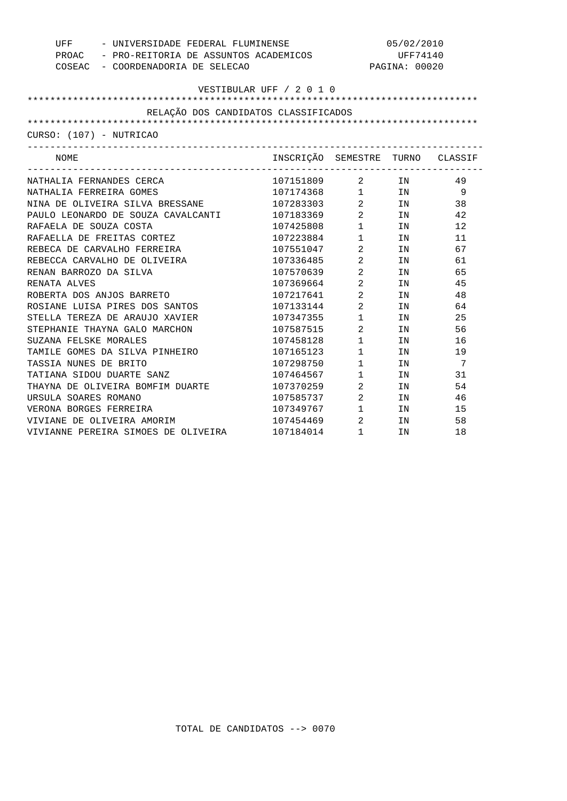| - UNIVERSIDADE FEDERAL FLUMINENSE<br>UFF    |                                  |                                               | 05/02/2010                                                                                                               |     |
|---------------------------------------------|----------------------------------|-----------------------------------------------|--------------------------------------------------------------------------------------------------------------------------|-----|
| PROAC - PRO-REITORIA DE ASSUNTOS ACADEMICOS |                                  |                                               | UFF74140                                                                                                                 |     |
| COSEAC - COORDENADORIA DE SELECAO           |                                  |                                               | PAGINA: 00020                                                                                                            |     |
|                                             |                                  |                                               |                                                                                                                          |     |
|                                             | VESTIBULAR UFF / 2 0 1 0         |                                               |                                                                                                                          |     |
|                                             |                                  |                                               |                                                                                                                          |     |
| RELAÇÃO DOS CANDIDATOS CLASSIFICADOS        |                                  |                                               |                                                                                                                          |     |
|                                             |                                  |                                               |                                                                                                                          |     |
| CURSO: (107) - NUTRICAO                     |                                  |                                               |                                                                                                                          |     |
| NOME                                        | INSCRIÇÃO SEMESTRE TURNO CLASSIF |                                               |                                                                                                                          |     |
| NATHALIA FERNANDES CERCA                    | 107151809 2 IN                   |                                               |                                                                                                                          | -49 |
| NATHALIA FERREIRA GOMES                     | $107174368$ 1 IN                 |                                               |                                                                                                                          | - 9 |
| NINA DE OLIVEIRA SILVA BRESSANE             | 107283303                        |                                               |                                                                                                                          | 38  |
| PAULO LEONARDO DE SOUZA CAVALCANTI          | 107183369                        | $\overline{2}$                                | $2$ IN<br>IN THE TEST OF THE TEST OF THE TEST OF THE TEST OF THE TEST OF THE TEST OF THE TEST OF THE TEST OF THE TEST OF | 42  |
| RAFAELA DE SOUZA COSTA                      | 107425808                        | $1 \quad \blacksquare$                        | IN                                                                                                                       | 12  |
| RAFAELLA DE FREITAS CORTEZ                  | 107223884 1                      |                                               | IN                                                                                                                       | 11  |
| REBECA DE CARVALHO FERREIRA                 | 107551047                        | $\overline{2}$                                | IN                                                                                                                       | 67  |
| REBECCA CARVALHO DE OLIVEIRA                | 107336485                        | $\overline{2}$                                | IN                                                                                                                       | 61  |
| RENAN BARROZO DA SILVA                      | 107570639                        | $\overline{2}$                                | IN                                                                                                                       | 65  |
| RENATA ALVES                                | 107369664                        | $\overline{2}$                                | TN                                                                                                                       | 45  |
| ROBERTA DOS ANJOS BARRETO                   | 107217641                        | $\overline{2}$                                | IN                                                                                                                       | 48  |
| ROSIANE LUISA PIRES DOS SANTOS              | 107133144                        | $\overline{2}$                                | IN                                                                                                                       | 64  |
| STELLA TEREZA DE ARAUJO XAVIER              | 107347355                        | $1 \quad \blacksquare$                        | IN                                                                                                                       | 25  |
| STEPHANIE THAYNA GALO MARCHON               | 107587515                        | $\overline{2}$                                | IN                                                                                                                       | 56  |
| SUZANA FELSKE MORALES                       | 107458128                        | $\begin{array}{ccc} 1 & & \\ & & \end{array}$ | IN                                                                                                                       | 16  |
| TAMILE GOMES DA SILVA PINHEIRO              | 107165123                        | $1 \qquad \qquad$                             | IN                                                                                                                       | 19  |
| TASSIA NUNES DE BRITO                       | 107298750                        | $1 \quad \blacksquare$                        | IN                                                                                                                       | 7   |
| TATIANA SIDOU DUARTE SANZ                   | 107464567                        | $1 \quad \Box$                                | IN                                                                                                                       | 31  |
| THAYNA DE OLIVEIRA BOMFIM DUARTE            | 107370259                        | $\overline{2}$                                | IN                                                                                                                       | 54  |
| URSULA SOARES ROMANO                        | 107585737 2                      |                                               | IN THE TEST OF THE TEST OF THE TEST OF THE TEST OF THE TEST OF THE TEST OF THE TEST OF THE TEST OF THE TEST OF           | 46  |
| VERONA BORGES FERREIRA                      | 107349767 1                      |                                               | IN                                                                                                                       | 15  |
| VIVIANE DE OLIVEIRA AMORIM                  | 107454469                        | $\overline{2}$                                | IN                                                                                                                       | 58  |
| VIVIANNE PEREIRA SIMOES DE OLIVEIRA         | 107184014                        | $\mathbf{1}$                                  | IN                                                                                                                       | 18  |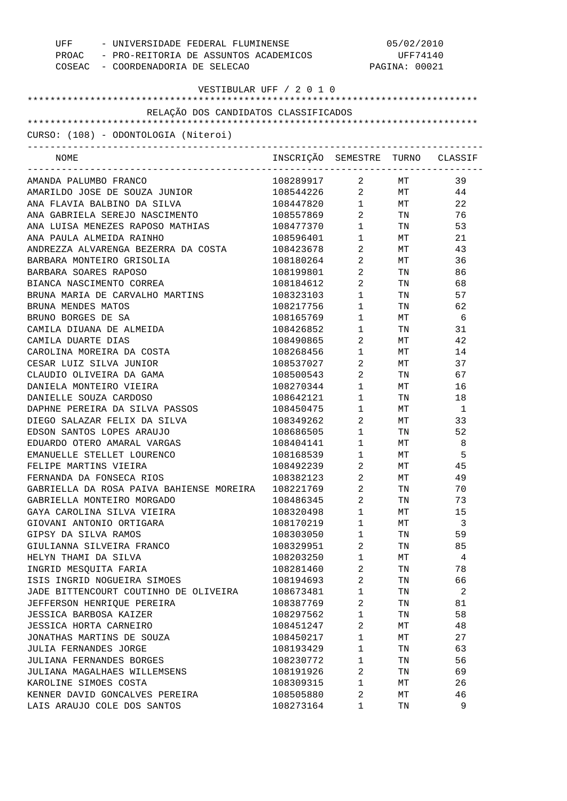| UFF - UNIVERSIDADE FEDERAL FLUMINENSE<br>PROAC - PRO-REITORIA DE ASSUNTOS ACADEMICOS<br>COSEAC - COORDENADORIA DE SELECAO |                                  | 05/02/2010<br>UFF74140<br>PAGINA: 00021 |                                                                                                                |                 |
|---------------------------------------------------------------------------------------------------------------------------|----------------------------------|-----------------------------------------|----------------------------------------------------------------------------------------------------------------|-----------------|
| VESTIBULAR UFF / 2 0 1 0                                                                                                  |                                  |                                         |                                                                                                                |                 |
| RELAÇÃO DOS CANDIDATOS CLASSIFICADOS                                                                                      |                                  |                                         |                                                                                                                |                 |
|                                                                                                                           |                                  |                                         |                                                                                                                |                 |
| CURSO: (108) - ODONTOLOGIA (Niteroi)                                                                                      |                                  |                                         |                                                                                                                |                 |
| NOME                                                                                                                      | INSCRIÇÃO SEMESTRE TURNO CLASSIF |                                         |                                                                                                                |                 |
| AMANDA PALUMBO FRANCO                                                                                                     | 108289917 2 MT                   |                                         |                                                                                                                | 39              |
| AMARILDO JOSE DE SOUZA JUNIOR                                                                                             | 108544226 2 MT 44                |                                         |                                                                                                                |                 |
| ANA FLAVIA BALBINO DA SILVA                                                                                               | 108447820 1 MT                   |                                         |                                                                                                                | 22              |
| ANA GABRIELA SEREJO NASCIMENTO                                                                                            | 108557869                        |                                         | $2$ TN                                                                                                         | 76              |
| ANA LUISA MENEZES RAPOSO MATHIAS                                                                                          | 108477370                        | $1 \quad \blacksquare$                  | TN TW                                                                                                          | 53              |
| ANA PAULA ALMEIDA RAINHO                                                                                                  | 108596401                        | $1 \qquad \qquad$                       | MT                                                                                                             | 21              |
| ANDREZZA ALVARENGA BEZERRA DA COSTA                                                                                       | 108423678                        | $\overline{2}$                          | MT                                                                                                             | 43              |
| BARBARA MONTEIRO GRISOLIA                                                                                                 | 108180264                        | $\overline{2}$                          | MT                                                                                                             | 36              |
| BARBARA SOARES RAPOSO                                                                                                     | 108199801                        | $\overline{2}$                          | TN 2007                                                                                                        | 86              |
| BIANCA NASCIMENTO CORREA                                                                                                  | 108184612                        | $\overline{2}$                          | TN FOR THE THE TEST OF THE TEST OF THE TEST OF THE TEST OF THE TEST OF THE TEST OF THE TEST OF THE TEST OF THE | 68              |
| BRUNA MARIA DE CARVALHO MARTINS                                                                                           | 108323103                        | $1 \quad \blacksquare$                  | TN                                                                                                             | 57              |
| BRUNA MENDES MATOS                                                                                                        | 108217756                        | $1 \quad \blacksquare$                  | TN TW                                                                                                          | 62              |
| BRUNO BORGES DE SA                                                                                                        | 108165769                        | $1 \quad \blacksquare$                  | MT                                                                                                             | $6\overline{6}$ |
| CAMILA DIUANA DE ALMEIDA                                                                                                  | 108426852                        | $1 \qquad \qquad$                       | TN                                                                                                             | 31              |
| CAMILA DUARTE DIAS                                                                                                        | 108490865                        | $\overline{2}$                          | МT                                                                                                             | 42              |
| CAROLINA MOREIRA DA COSTA                                                                                                 | 108268456                        | $1 \quad \blacksquare$                  | МT                                                                                                             | 14              |
| CESAR LUIZ SILVA JUNIOR                                                                                                   | 108537027                        | $\overline{2}$                          | MT                                                                                                             | 37              |
| CLAUDIO OLIVEIRA DA GAMA                                                                                                  | 108500543                        | $\overline{2}$                          | TN                                                                                                             | 67              |
| DANIELA MONTEIRO VIEIRA                                                                                                   | 108270344                        | $1 \qquad \qquad$                       | MT                                                                                                             | 16              |
| DANIELLE SOUZA CARDOSO                                                                                                    | 108642121                        | $1 \quad \blacksquare$                  | TN                                                                                                             | 18              |
| DAPHNE PEREIRA DA SILVA PASSOS                                                                                            | 108450475                        | $1 \quad \blacksquare$                  | $\operatorname{MT}$                                                                                            | -1              |
| DIEGO SALAZAR FELIX DA SILVA                                                                                              | 108349262                        | $2 \left( \frac{1}{2} \right)$          | MT                                                                                                             | 33              |
| EDSON SANTOS LOPES ARAUJO                                                                                                 | 108686505                        | $1 \quad \cdots$                        | TN                                                                                                             | 52              |
| EDUARDO OTERO AMARAL VARGAS                                                                                               | 108404141                        | $1 \qquad \qquad$                       | МT                                                                                                             | 8               |
| EMANUELLE STELLET LOURENCO                                                                                                | 108168539                        | $\mathbf{1}$                            | МT                                                                                                             | 5               |
| FELIPE MARTINS VIEIRA                                                                                                     | 108492239                        | 2                                       | MТ                                                                                                             | 45              |
| FERNANDA DA FONSECA RIOS                                                                                                  | 108382123                        | 2                                       | МT                                                                                                             | 49              |
| GABRIELLA DA ROSA PAIVA BAHIENSE MOREIRA                                                                                  | 108221769                        | 2                                       | TN                                                                                                             | 70              |
| GABRIELLA MONTEIRO MORGADO                                                                                                | 108486345                        | 2                                       | TN                                                                                                             | 73              |
| GAYA CAROLINA SILVA VIEIRA                                                                                                | 108320498                        | $\mathbf{1}$                            | МT                                                                                                             | 15              |
| GIOVANI ANTONIO ORTIGARA                                                                                                  | 108170219                        | $\mathbf{1}$                            | МT                                                                                                             | 3               |
| GIPSY DA SILVA RAMOS                                                                                                      | 108303050                        | $\mathbf{1}$                            | TN                                                                                                             | 59              |
| GIULIANNA SILVEIRA FRANCO                                                                                                 | 108329951                        | 2                                       | TN                                                                                                             | 85              |
| HELYN THAMI DA SILVA                                                                                                      | 108203250                        | $\mathbf{1}$                            | МT                                                                                                             | 4               |
| INGRID MESQUITA FARIA                                                                                                     | 108281460                        | 2                                       | TN                                                                                                             | 78              |
| ISIS INGRID NOGUEIRA SIMOES                                                                                               | 108194693                        | 2                                       | TN                                                                                                             | 66              |
| JADE BITTENCOURT COUTINHO DE OLIVEIRA                                                                                     | 108673481                        | $\mathbf{1}$                            |                                                                                                                | 2               |
|                                                                                                                           |                                  |                                         | TN                                                                                                             |                 |
| JEFFERSON HENRIQUE PEREIRA                                                                                                | 108387769                        | 2                                       | TN                                                                                                             | 81              |
| JESSICA BARBOSA KAIZER                                                                                                    | 108297562                        | $\mathbf{1}$                            | TN                                                                                                             | 58              |
| JESSICA HORTA CARNEIRO                                                                                                    | 108451247                        | 2                                       | МT                                                                                                             | 48              |
| JONATHAS MARTINS DE SOUZA                                                                                                 | 108450217                        | $\mathbf{1}$                            | МT                                                                                                             | 27              |
| JULIA FERNANDES JORGE                                                                                                     | 108193429                        | $\mathbf{1}$                            | TN                                                                                                             | 63              |
| JULIANA FERNANDES BORGES                                                                                                  | 108230772                        | $\mathbf{1}$                            | TN                                                                                                             | 56              |
| JULIANA MAGALHAES WILLEMSENS                                                                                              | 108191926                        | 2                                       | TN                                                                                                             | 69              |
| KAROLINE SIMOES COSTA                                                                                                     | 108309315                        | $\mathbf{1}$                            | МT                                                                                                             | 26              |
| KENNER DAVID GONCALVES PEREIRA                                                                                            | 108505880                        | 2                                       | МT                                                                                                             | 46              |
| LAIS ARAUJO COLE DOS SANTOS                                                                                               | 108273164                        | 1                                       | TN                                                                                                             | 9               |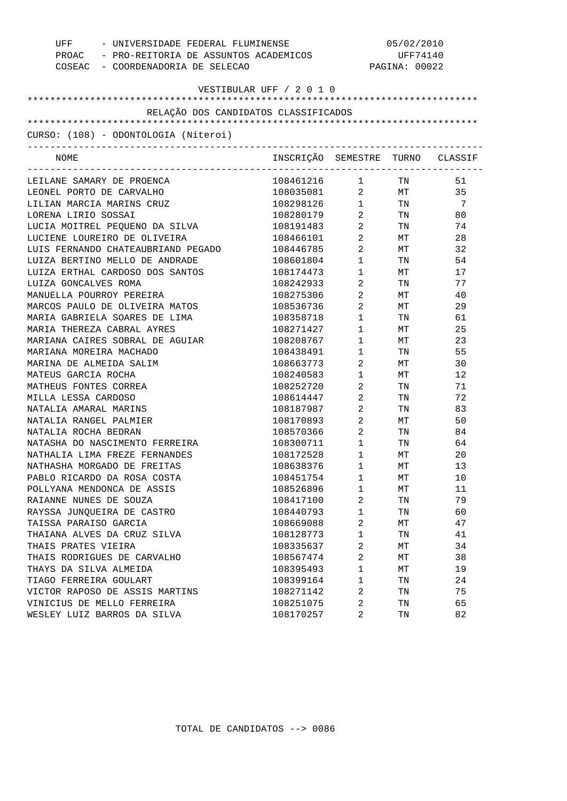| UFF<br>- UNIVERSIDADE FEDERAL FLUMINENSE<br>PROAC - PRO-REITORIA DE ASSUNTOS ACADEMICOS<br>COSEAC - COORDENADORIA DE SELECAO |                                  |                        | 05/02/2010<br>UFF74140<br>PAGINA: 00022 |                |
|------------------------------------------------------------------------------------------------------------------------------|----------------------------------|------------------------|-----------------------------------------|----------------|
|                                                                                                                              | VESTIBULAR UFF / 2 0 1 0         |                        |                                         |                |
|                                                                                                                              |                                  |                        |                                         |                |
| RELAÇÃO DOS CANDIDATOS CLASSIFICADOS                                                                                         |                                  |                        |                                         |                |
| CURSO: (108) - ODONTOLOGIA (Niteroi)                                                                                         |                                  |                        |                                         |                |
|                                                                                                                              |                                  |                        |                                         |                |
| NOME                                                                                                                         | INSCRIÇÃO SEMESTRE TURNO CLASSIF |                        |                                         |                |
| LEILANE SAMARY DE PROENCA                                                                                                    | 108461216                        | $1 \quad \blacksquare$ | TN 1999                                 | 51             |
| LEONEL PORTO DE CARVALHO                                                                                                     | 108035081 2 MT                   |                        |                                         | 35             |
| LILIAN MARCIA MARINS CRUZ                                                                                                    | 108298126 1 TN                   |                        |                                         | $\overline{7}$ |
| LORENA LIRIO SOSSAI                                                                                                          | 108280179                        |                        | 2 TN                                    | 80             |
| LUCIA MOITREL PEQUENO DA SILVA                                                                                               | 108191483                        | $\overline{2}$         | TN 97                                   | 74             |
| LUCIENE LOUREIRO DE OLIVEIRA                                                                                                 | 108466101                        | $\overline{2}$         | MT                                      | 28             |
| LUIS FERNANDO CHATEAUBRIAND PEGADO                                                                                           | 108446785                        | $\overline{2}$         | MT                                      | 32             |
| LUIZA BERTINO MELLO DE ANDRADE                                                                                               | 108601804                        | $1 \quad \Box$         | TN TW                                   | 54             |
| LUIZA ERTHAL CARDOSO DOS SANTOS                                                                                              | 108174473                        | $1 \quad \blacksquare$ | MT                                      | 17             |
| LUIZA GONCALVES ROMA                                                                                                         | 108242933                        | $\overline{2}$         | TN 97                                   | 77             |
| MANUELLA POURROY PEREIRA                                                                                                     | 108275306                        | $\overline{2}$         | MT                                      | 40             |
| MARCOS PAULO DE OLIVEIRA MATOS                                                                                               | 108536736                        | $\overline{2}$         | MT                                      | 29             |
| MARIA GABRIELA SOARES DE LIMA                                                                                                | 108358718                        | $1 \quad \blacksquare$ | TN TW                                   | 61             |
| MARIA THEREZA CABRAL AYRES                                                                                                   | 108271427                        | $1 \quad \blacksquare$ | MT                                      | 25             |
| MARIANA CAIRES SOBRAL DE AGUIAR                                                                                              | 108208767                        | $1 \quad \Box$         | MT                                      | 23             |
| MARIANA MOREIRA MACHADO                                                                                                      | 108438491                        | $1 \quad \Box$         | TN                                      | 55             |
| MARINA DE ALMEIDA SALIM                                                                                                      | 108663773                        | $\overline{2}$         | MT                                      | 30             |
| MATEUS GARCIA ROCHA                                                                                                          | 108240583                        | $1 \quad \blacksquare$ | MT                                      | 12             |
| MATHEUS FONTES CORREA                                                                                                        | 108252720                        | $\overline{2}$         | TN                                      | 71             |
| MILLA LESSA CARDOSO                                                                                                          | 108614447                        | $\overline{a}$         | TN                                      | 72             |
| NATALIA AMARAL MARINS                                                                                                        | 108187987                        | $\overline{2}$         | TN                                      | 83             |
| NATALIA RANGEL PALMIER                                                                                                       | 108170893                        | $\overline{2}$         | MT                                      | 50             |
| NATALIA ROCHA BEDRAN                                                                                                         | 108570366                        | $\overline{a}$         | TN                                      | 84             |
| NATASHA DO NASCIMENTO FERREIRA                                                                                               | 108300711                        | $1 \quad \blacksquare$ | TN                                      | 64             |
| NATHALIA LIMA FREZE FERNANDES                                                                                                | 108172528                        | $\mathbf{1}$           | МT                                      | 20             |
| NATHASHA MORGADO DE FREITAS                                                                                                  | 108638376                        | 1                      | МT                                      | 13             |
| PABLO RICARDO DA ROSA COSTA                                                                                                  | 108451754                        | 1                      | ΜТ                                      | 10             |
| POLLYANA MENDONCA DE ASSIS                                                                                                   | 108526896                        | 1                      | МT                                      | 11             |
| RAIANNE NUNES DE SOUZA                                                                                                       | 108417100                        | 2                      | TN                                      | 79             |
| RAYSSA JUNQUEIRA DE CASTRO                                                                                                   | 108440793                        | 1                      | TN                                      | 60             |
| TAISSA PARAISO GARCIA                                                                                                        | 108669088                        | 2                      | МT                                      | 47             |
| THAIANA ALVES DA CRUZ SILVA                                                                                                  | 108128773                        | $\mathbf 1$            | TN                                      | 41             |
| THAIS PRATES VIEIRA                                                                                                          | 108335637                        | 2                      | МT                                      | 34             |
| THAIS RODRIGUES DE CARVALHO                                                                                                  | 108567474                        | 2                      | МT                                      | 38             |
| THAYS DA SILVA ALMEIDA                                                                                                       | 108395493                        | 1                      | МT                                      | 19             |
| TIAGO FERREIRA GOULART                                                                                                       | 108399164                        | $\mathbf 1$            | TN                                      | 24             |
| VICTOR RAPOSO DE ASSIS MARTINS                                                                                               | 108271142                        | 2                      | TN                                      | 75             |
| VINICIUS DE MELLO FERREIRA                                                                                                   | 108251075                        | 2                      | TN                                      | 65             |
| WESLEY LUIZ BARROS DA SILVA                                                                                                  | 108170257                        | 2                      | TN                                      | 82             |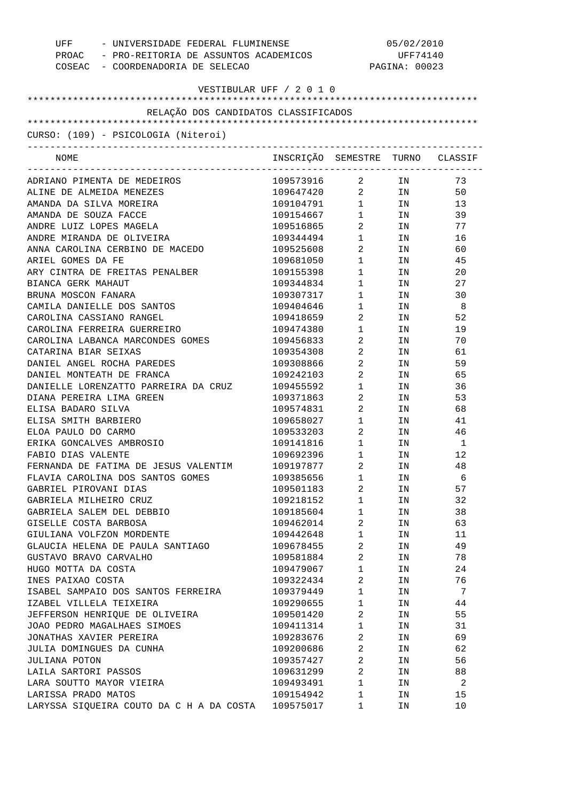| UFF - UNIVERSIDADE FEDERAL FLUMINENSE<br>PROAC - PRO-REITORIA DE ASSUNTOS ACADEMICOS<br>COSEAC - COORDENADORIA DE SELECAO |                                  | 05/02/2010<br>UFF74140<br>PAGINA: 00023 |                                                                                                                |     |
|---------------------------------------------------------------------------------------------------------------------------|----------------------------------|-----------------------------------------|----------------------------------------------------------------------------------------------------------------|-----|
| VESTIBULAR UFF / 2 0 1 0                                                                                                  |                                  |                                         |                                                                                                                |     |
| RELAÇÃO DOS CANDIDATOS CLASSIFICADOS                                                                                      |                                  |                                         |                                                                                                                |     |
|                                                                                                                           |                                  |                                         |                                                                                                                |     |
| CURSO: (109) - PSICOLOGIA (Niteroi)                                                                                       |                                  |                                         |                                                                                                                |     |
| NOME                                                                                                                      | INSCRIÇÃO SEMESTRE TURNO CLASSIF |                                         |                                                                                                                |     |
| ADRIANO PIMENTA DE MEDEIROS                                                                                               | 109573916 2 IN                   |                                         |                                                                                                                | 73  |
| ALINE DE ALMEIDA MENEZES                                                                                                  | 109647420 2 IN                   |                                         |                                                                                                                | 50  |
| AMANDA DA SILVA MOREIRA                                                                                                   | 109104791 1 IN                   |                                         |                                                                                                                | 13  |
| AMANDA DE SOUZA FACCE                                                                                                     | 109154667                        | $1 \quad \blacksquare$                  | IN                                                                                                             | 39  |
| ANDRE LUIZ LOPES MAGELA                                                                                                   | 109516865                        | $\overline{2}$                          | IN                                                                                                             | 77  |
| ANDRE MIRANDA DE OLIVEIRA                                                                                                 | 109344494                        | $1 \quad \Box$                          | IN                                                                                                             | 16  |
| ANNA CAROLINA CERBINO DE MACEDO                                                                                           | 109525608                        | $\overline{2}$                          | IN THE TEST OF THE TEST OF THE TEST OF THE TEST OF THE TEST OF THE TEST OF THE TEST OF THE TEST OF THE TEST OF | 60  |
| ARIEL GOMES DA FE                                                                                                         | 109681050                        | $1 \quad \Box$                          | IN                                                                                                             | 45  |
| ARY CINTRA DE FREITAS PENALBER                                                                                            | 109155398                        | $1 \quad \blacksquare$                  | IN THE TEST OF THE TEST OF THE TEST OF THE TEST OF THE TEST OF THE TEST OF THE TEST OF THE TEST OF THE TEST OF | 20  |
| BIANCA GERK MAHAUT                                                                                                        | 109344834                        | $1 \quad \blacksquare$                  | IN THE TERM OF THE TERM OF THE TERM OF THE TERM OF THE TERM OF THE TERM OF THE TERM OF THE TERM OF THE TERM OF | 27  |
| BRUNA MOSCON FANARA                                                                                                       | 109307317                        | $1 \quad \blacksquare$                  | IN THE TEST OF THE TEST OF THE TEST OF THE TEST OF THE TEST OF THE TEST OF THE TEST OF THE TEST OF THE TEST OF | 30  |
| CAMILA DANIELLE DOS SANTOS                                                                                                | 109404646                        | $1 \qquad \qquad$                       | IN                                                                                                             | - 8 |
| CAROLINA CASSIANO RANGEL                                                                                                  | 109418659                        | $2 \left( \frac{1}{2} \right)$          | IN THE TEST OF THE TEST OF THE TEST OF THE TEST OF THE TEST OF THE TEST OF THE TEST OF THE TEST OF THE TEST OF | 52  |
| CAROLINA FERREIRA GUERREIRO                                                                                               | 109474380                        | $1 \quad \blacksquare$                  | IN THE TEST OF THE TEST OF THE TEST OF THE TEST OF THE TEST OF THE TEST OF THE TEST OF THE TEST OF THE TEST OF | 19  |
| CAROLINA LABANCA MARCONDES GOMES                                                                                          | 109456833                        | $2 \left( \frac{1}{2} \right)$          | IN                                                                                                             | 70  |
| CATARINA BIAR SEIXAS                                                                                                      | 109354308                        | $2 \left( \frac{1}{2} \right)$          | IN THE TEST OF THE TEST OF THE TEST OF THE TEST OF THE TEST OF THE TEST OF THE TEST OF THE TEST OF THE TEST OF | 61  |
| DANIEL ANGEL ROCHA PAREDES                                                                                                | 109308866                        | $2 \left( \frac{1}{2} \right)$          | IN                                                                                                             | 59  |
| DANIEL MONTEATH DE FRANCA                                                                                                 | 109242103                        | $\overline{2}$                          | IN THE TEST OF THE TEST OF THE TEST OF THE TEST OF THE TEST OF THE TEST OF THE TEST OF THE TEST OF THE TEST OF | 65  |
| DANIELLE LORENZATTO PARREIRA DA CRUZ                                                                                      | 109455592                        | $1 \quad \blacksquare$                  | IN THE TEST OF THE TEST OF THE TEST OF THE TEST OF THE TEST OF THE TEST OF THE TEST OF THE TEST OF THE TEST OF | 36  |
| DIANA PEREIRA LIMA GREEN                                                                                                  | 109371863                        | $2 \left( \frac{1}{2} \right)$          | IN THE TERM OF THE TERM OF THE TERM OF THE TERM OF THE TERM OF THE TERM OF THE TERM OF THE TERM OF THE TERM OF | 53  |
| ELISA BADARO SILVA                                                                                                        | 109574831                        | $\overline{2}$                          | IN THE TEST OF THE TEST OF THE TEST OF THE TEST OF THE TEST OF THE TEST OF THE TEST OF THE TEST OF THE TEST OF | 68  |
| ELISA SMITH BARBIERO                                                                                                      | 109658027                        | $1 \quad \blacksquare$                  | IN THE TEST OF THE TEST OF THE TEST OF THE TEST OF THE TEST OF THE TEST OF THE TEST OF THE TEST OF THE TEST OF | 41  |
| ELOA PAULO DO CARMO                                                                                                       | 109533203                        | $2 \left( \frac{1}{2} \right)$          | IN THE TEST OF THE TEST OF THE TEST OF THE TEST OF THE TEST OF THE TEST OF THE TEST OF THE TEST OF THE TEST OF | 46  |
| ERIKA GONCALVES AMBROSIO                                                                                                  | 109141816                        | $1 \qquad \qquad$                       | IN                                                                                                             | -1  |
| FABIO DIAS VALENTE                                                                                                        | 109692396                        | $\mathbf{1}$                            | IN                                                                                                             | 12  |
| FERNANDA DE FATIMA DE JESUS VALENTIM                                                                                      | 109197877                        | 2                                       | ΙN                                                                                                             | 48  |
| FLAVIA CAROLINA DOS SANTOS GOMES                                                                                          | 109385656                        | $\mathbf 1$                             | ΙN                                                                                                             | 6   |
| GABRIEL PIROVANI DIAS                                                                                                     | 109501183                        | 2                                       | ΙN                                                                                                             | 57  |
| GABRIELA MILHEIRO CRUZ                                                                                                    | 109218152                        | $\mathbf 1$                             | ΙN                                                                                                             | 32  |
| GABRIELA SALEM DEL DEBBIO                                                                                                 | 109185604                        | $\mathbf 1$                             | ΙN                                                                                                             | 38  |
| GISELLE COSTA BARBOSA                                                                                                     | 109462014                        | 2                                       | ΙN                                                                                                             | 63  |
| GIULIANA VOLFZON MORDENTE                                                                                                 | 109442648                        | $\mathbf 1$                             | ΙN                                                                                                             | 11  |
| GLAUCIA HELENA DE PAULA SANTIAGO                                                                                          | 109678455                        | 2                                       | ΙN                                                                                                             | 49  |
| GUSTAVO BRAVO CARVALHO                                                                                                    | 109581884                        | 2                                       | ΙN                                                                                                             | 78  |
| HUGO MOTTA DA COSTA                                                                                                       | 109479067                        | $\mathbf 1$                             | IN                                                                                                             | 24  |
| INES PAIXAO COSTA                                                                                                         | 109322434                        | 2                                       | ΙN                                                                                                             | 76  |
| ISABEL SAMPAIO DOS SANTOS FERREIRA                                                                                        | 109379449                        | $\mathbf 1$                             | ΙN                                                                                                             | 7   |
| IZABEL VILLELA TEIXEIRA                                                                                                   | 109290655                        | $\mathbf 1$                             | ΙN                                                                                                             | 44  |
| JEFFERSON HENRIQUE DE OLIVEIRA                                                                                            | 109501420                        | 2                                       | ΙN                                                                                                             | 55  |
| JOAO PEDRO MAGALHAES SIMOES                                                                                               | 109411314                        | $\mathbf 1$                             | ΙN                                                                                                             | 31  |
| JONATHAS XAVIER PEREIRA                                                                                                   | 109283676                        | 2                                       | ΙN                                                                                                             | 69  |
| JULIA DOMINGUES DA CUNHA                                                                                                  | 109200686                        | 2                                       | ΙN                                                                                                             | 62  |
| JULIANA POTON                                                                                                             | 109357427                        | 2                                       | ΙN                                                                                                             | 56  |
| LAILA SARTORI PASSOS                                                                                                      | 109631299                        | 2                                       | ΙN                                                                                                             | 88  |
| LARA SOUTTO MAYOR VIEIRA                                                                                                  | 109493491                        | $\mathbf 1$                             | ΙN                                                                                                             | 2   |
| LARISSA PRADO MATOS                                                                                                       | 109154942                        | $\mathbf{1}$                            | ΙN                                                                                                             | 15  |
| LARYSSA SIQUEIRA COUTO DA C H A DA COSTA                                                                                  | 109575017                        | 1                                       | ΙN                                                                                                             | 10  |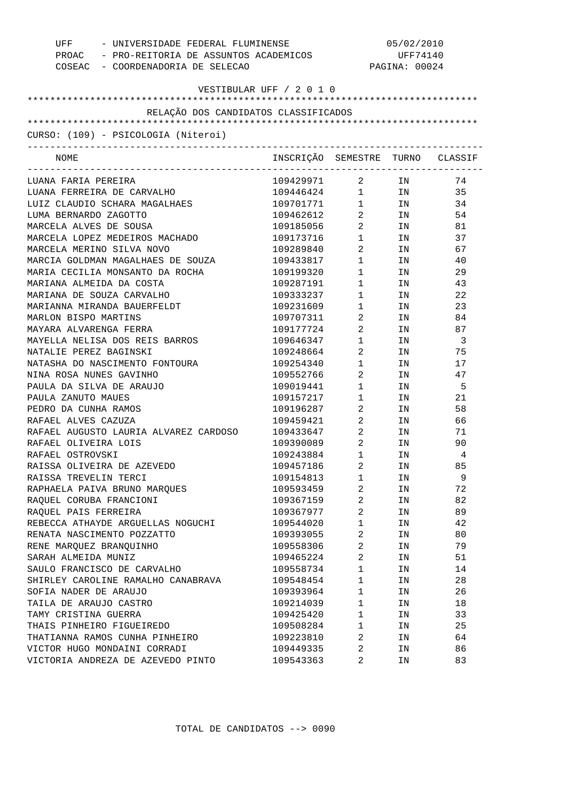| UFF - UNIVERSIDADE FEDERAL FLUMINENSE<br>PROAC - PRO-REITORIA DE ASSUNTOS ACADEMICOS<br>COSEAC - COORDENADORIA DE SELECAO |                                  | 05/02/2010<br>UFF74140<br>PAGINA: 00024 |                                                                                                                      |           |
|---------------------------------------------------------------------------------------------------------------------------|----------------------------------|-----------------------------------------|----------------------------------------------------------------------------------------------------------------------|-----------|
| VESTIBULAR UFF / 2 0 1 0                                                                                                  |                                  |                                         |                                                                                                                      |           |
| RELAÇÃO DOS CANDIDATOS CLASSIFICADOS                                                                                      |                                  |                                         |                                                                                                                      |           |
| CURSO: (109) - PSICOLOGIA (Niteroi)                                                                                       |                                  |                                         |                                                                                                                      |           |
| NOME                                                                                                                      | INSCRIÇÃO SEMESTRE TURNO CLASSIF |                                         |                                                                                                                      |           |
|                                                                                                                           |                                  |                                         |                                                                                                                      |           |
| LUANA FARIA PEREIRA                                                                                                       | 109429971 2 IN                   |                                         |                                                                                                                      | 74        |
| LUANA FERREIRA DE CARVALHO                                                                                                | 109446424 1 IN                   |                                         |                                                                                                                      | 35        |
| LUIZ CLAUDIO SCHARA MAGALHAES                                                                                             | 109701771 1 IN                   |                                         |                                                                                                                      | 34        |
| LUMA BERNARDO ZAGOTTO                                                                                                     | 109462612                        | $\overline{2}$                          | IN THE TEST OF THE TEST OF THE TEST OF THE TEST OF THE TEST OF THE TEST OF THE TEST OF THE TEST OF THE TEST OF       | 54        |
| MARCELA ALVES DE SOUSA                                                                                                    | 109185056                        | $2 \left( \frac{1}{2} \right)$          | IN                                                                                                                   | 81        |
| MARCELA LOPEZ MEDEIROS MACHADO                                                                                            | 109173716                        | $1 \qquad \qquad$                       | IN                                                                                                                   | 37        |
| MARCELA MERINO SILVA NOVO                                                                                                 | 109289840                        | $2 \left( \frac{1}{2} \right)$          | IN THE TEST OF THE TEST OF THE TEST OF THE TEST OF THE TEST OF THE TEST OF THE TEST OF THE TEST OF THE TEST OF       | 67        |
| MARCIA GOLDMAN MAGALHAES DE SOUZA                                                                                         | 109433817                        | $1 \qquad \qquad$                       | IN THE TEST OF THE TEST OF THE TEST OF THE TEST OF THE TEST OF THE TEST OF THE TEST OF THE TEST OF THE TEST OF       | 40        |
| MARIA CECILIA MONSANTO DA ROCHA                                                                                           | 109199320                        | $1 \quad \blacksquare$                  | IN THE TERM OF THE TERM OF THE TERM OF THE TERM OF THE TERM OF THE TERM OF THE TERM OF THE TERM OF THE TERM OF       | 29        |
| MARIANA ALMEIDA DA COSTA                                                                                                  | 109287191                        | $1 \quad \blacksquare$                  | IN THE TEST OF THE TEST OF THE TEST OF THE TEST OF THE TEST OF THE TEST OF THE TEST OF THE TEST OF THE TEST OF       | 43        |
| MARIANA DE SOUZA CARVALHO                                                                                                 | 109333237                        | $1 \quad \Box$                          | IN THE TEST OF THE TEST OF THE TEST OF THE TEST OF THE TEST OF THE TEST OF THE TEST OF THE TEST OF THE TEST OF       | 22        |
| MARIANNA MIRANDA BAUERFELDT<br>MARLON BISPO MARTINS                                                                       | 109231609<br>109707311           | $1 \quad \Box$<br>$\overline{2}$        | IN THE TERM OF THE TERM OF THE TERM OF THE TERM OF THE TERM OF THE TERM OF THE TERM OF THE TERM OF THE TERM OF       | 23        |
|                                                                                                                           |                                  |                                         | IN THE TEST OF THE TEST OF THE TEST OF THE TEST OF THE TEST OF THE TEST OF THE TEST OF THE TEST OF THE TEST OF       | 84        |
| MAYARA ALVARENGA FERRA<br>MAYELLA NELISA DOS REIS BARROS                                                                  | 109177724<br>109646347           | $\overline{2}$<br>$1 \quad \Box$        | IN                                                                                                                   | 87        |
| NATALIE PEREZ BAGINSKI                                                                                                    | 109248664                        | $\mathbf{2}$                            | IN<br>IN THE TEST OF THE TEST OF THE TEST OF THE TEST OF THE TEST OF THE TEST OF THE TEST OF THE TEST OF THE TEST OF | - 3<br>75 |
| NATASHA DO NASCIMENTO FONTOURA                                                                                            | 109254340                        | $1 \quad \Box$                          | IN THE TEST OF THE TEST OF THE TEST OF THE TEST OF THE TEST OF THE TEST OF THE TEST OF THE TEST OF THE TEST OF       | 17        |
| NINA ROSA NUNES GAVINHO                                                                                                   | 109552766                        | $\mathbf{2}$                            | IN                                                                                                                   | 47        |
| PAULA DA SILVA DE ARAUJO                                                                                                  | 109019441                        | $1 \quad \Box$                          | IN                                                                                                                   | - 5       |
| PAULA ZANUTO MAUES                                                                                                        | 109157217                        | $1 \quad \Box$                          | IN THE TEST OF THE TEST OF THE TEST OF THE TEST OF THE TEST OF THE TEST OF THE TEST OF THE TEST OF THE TEST OF       | 21        |
| PEDRO DA CUNHA RAMOS                                                                                                      | 109196287                        | $\overline{2}$                          | IN THE TERM OF THE TERM OF THE TERM OF THE TERM OF THE TERM OF THE TERM OF THE TERM OF THE TERM OF THE TERM OF       | 58        |
| RAFAEL ALVES CAZUZA                                                                                                       | 109459421                        | $\overline{2}$                          | IN THE TERM OF THE TERM OF THE TERM OF THE TERM OF THE TERM OF THE TERM OF THE TERM OF THE TERM OF THE TERM OF       | 66        |
| RAFAEL AUGUSTO LAURIA ALVAREZ CARDOSO                                                                                     | 109433647                        | $\overline{2}$                          | IN                                                                                                                   | 71        |
| RAFAEL OLIVEIRA LOIS                                                                                                      | 109390089                        | $\overline{2}$                          | ΙN                                                                                                                   | 90        |
| RAFAEL OSTROVSKI                                                                                                          | 109243884                        | $\mathbf{1}$                            | IN                                                                                                                   | 4         |
| RAISSA OLIVEIRA DE AZEVEDO                                                                                                | 109457186                        | 2                                       | ΙN                                                                                                                   | 85        |
| RAISSA TREVELIN TERCI                                                                                                     | 109154813                        | $\mathbf 1$                             | IN                                                                                                                   | 9         |
| RAPHAELA PAIVA BRUNO MARQUES                                                                                              | 109593459                        | 2                                       | ΙN                                                                                                                   | 72        |
| RAQUEL CORUBA FRANCIONI                                                                                                   | 109367159                        | 2                                       | ΙN                                                                                                                   | 82        |
| RAQUEL PAIS FERREIRA                                                                                                      | 109367977                        | 2                                       | ΙN                                                                                                                   | 89        |
| REBECCA ATHAYDE ARGUELLAS NOGUCHI                                                                                         | 109544020                        | $\mathbf 1$                             | ΙN                                                                                                                   | 42        |
| RENATA NASCIMENTO POZZATTO                                                                                                | 109393055                        | 2                                       | ΙN                                                                                                                   | 80        |
| RENE MARQUEZ BRANQUINHO                                                                                                   | 109558306                        | 2                                       | ΙN                                                                                                                   | 79        |
| SARAH ALMEIDA MUNIZ                                                                                                       | 109465224                        | 2                                       | ΙN                                                                                                                   | 51        |
| SAULO FRANCISCO DE CARVALHO                                                                                               | 109558734                        | $\mathbf 1$                             | ΙN                                                                                                                   | 14        |
| SHIRLEY CAROLINE RAMALHO CANABRAVA                                                                                        | 109548454                        | $\mathbf 1$                             | ΙN                                                                                                                   | 28        |
| SOFIA NADER DE ARAUJO                                                                                                     | 109393964                        | $\mathbf 1$                             | ΙN                                                                                                                   | 26        |
| TAILA DE ARAUJO CASTRO                                                                                                    | 109214039                        | $\mathbf 1$                             | ΙN                                                                                                                   | 18        |
| TAMY CRISTINA GUERRA                                                                                                      | 109425420                        | $\mathbf 1$                             | ΙN                                                                                                                   | 33        |
| THAIS PINHEIRO FIGUEIREDO                                                                                                 | 109508284                        | $\mathbf 1$                             | ΙN                                                                                                                   | 25        |
| THATIANNA RAMOS CUNHA PINHEIRO                                                                                            | 109223810                        | 2                                       | ΙN                                                                                                                   | 64        |
| VICTOR HUGO MONDAINI CORRADI                                                                                              | 109449335                        | 2                                       | ΙN                                                                                                                   | 86        |
| VICTORIA ANDREZA DE AZEVEDO PINTO                                                                                         | 109543363                        | 2                                       | ΙN                                                                                                                   | 83        |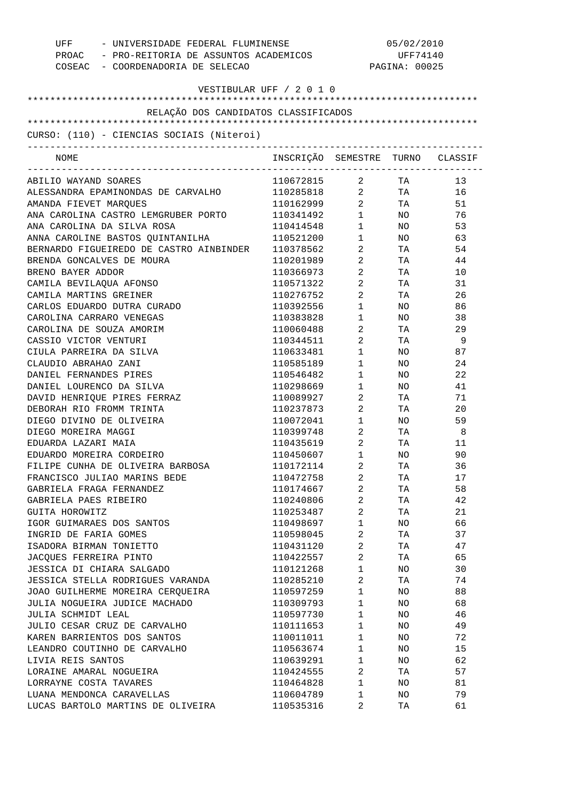| UFF - UNIVERSIDADE FEDERAL FLUMINENSE<br>PROAC - PRO-REITORIA DE ASSUNTOS ACADEMICOS<br>COSEAC - COORDENADORIA DE SELECAO |                                  | 05/02/2010<br>UFF74140<br>PAGINA: 00025             |                          |          |
|---------------------------------------------------------------------------------------------------------------------------|----------------------------------|-----------------------------------------------------|--------------------------|----------|
| VESTIBULAR UFF / 2 0 1 0                                                                                                  |                                  |                                                     |                          |          |
| RELAÇÃO DOS CANDIDATOS CLASSIFICADOS                                                                                      |                                  |                                                     |                          |          |
|                                                                                                                           |                                  |                                                     |                          |          |
| CURSO: (110) - CIENCIAS SOCIAIS (Niteroi)<br>------------------------------                                               |                                  |                                                     |                          |          |
| NOME                                                                                                                      | INSCRIÇÃO SEMESTRE TURNO CLASSIF |                                                     |                          |          |
| ABILIO WAYAND SOARES                                                                                                      | 110672815 2 TA                   |                                                     |                          | 13       |
| ALESSANDRA EPAMINONDAS DE CARVALHO                                                                                        | 110285818 2 TA                   |                                                     |                          | 16       |
| AMANDA FIEVET MARQUES                                                                                                     | 110162999                        |                                                     | $2$ TA                   | 51       |
| ANA CAROLINA CASTRO LEMGRUBER PORTO                                                                                       | 110341492                        | $1 \quad \blacksquare$                              | NO <sub>2</sub>          | 76       |
| ANA CAROLINA DA SILVA ROSA                                                                                                | 110414548                        | $1 \qquad \qquad$                                   | NO <sub>1</sub>          | 53       |
| ANNA CAROLINE BASTOS QUINTANILHA                                                                                          | 110521200                        | $1 \quad \blacksquare$                              | NO <sub>2</sub>          | 63       |
| BERNARDO FIGUEIREDO DE CASTRO AINBINDER                                                                                   | 110378562                        | $2 \left( \frac{1}{2} \right)$                      | TA <b>TA</b>             | 54       |
| BRENDA GONCALVES DE MOURA                                                                                                 | 110201989                        | $\overline{2}$                                      | TA TA                    | 44       |
| BRENO BAYER ADDOR                                                                                                         | 110366973                        | $2 \left( \frac{1}{2} \right)$                      | <b>TA</b>                | 10       |
| CAMILA BEVILAQUA AFONSO                                                                                                   | 110571322                        | $\overline{2}$                                      | TA <sub>11</sub>         | 31       |
| CAMILA MARTINS GREINER                                                                                                    | 110276752                        | $2 \left( \frac{1}{2} \right)$                      | TA TA                    | 26       |
| CARLOS EDUARDO DUTRA CURADO                                                                                               | 110392556                        | $1 \quad \blacksquare$                              | NO <sub>2</sub>          | 86       |
| CAROLINA CARRARO VENEGAS                                                                                                  | 110383828                        | $1 \quad \blacksquare$                              | NO <sub>n</sub>          | 38       |
| CAROLINA DE SOUZA AMORIM                                                                                                  | 110060488                        | $2 \left( \frac{1}{2} \right)$                      | <b>TA</b>                | 29       |
| CASSIO VICTOR VENTURI                                                                                                     | 110344511                        | $2 \left( \frac{1}{2} \right)$                      | <b>TA</b>                | - 9      |
| CIULA PARREIRA DA SILVA                                                                                                   | 110633481                        | $1 \quad \blacksquare$                              | NO <sub>1</sub>          | 87       |
| CLAUDIO ABRAHAO ZANI                                                                                                      | 110585189                        | $1 \quad \blacksquare$                              | NO                       | 24       |
| DANIEL FERNANDES PIRES                                                                                                    | 110546482                        | $1 \quad \blacksquare$                              | NO                       | 22       |
| DANIEL LOURENCO DA SILVA                                                                                                  | 110298669                        | $1 \qquad \qquad$                                   | NO <sub>n</sub>          | 41       |
| DAVID HENRIQUE PIRES FERRAZ                                                                                               | 110089927                        | $\overline{2}$                                      | TA TA                    | 71       |
| DEBORAH RIO FROMM TRINTA<br>DIEGO DIVINO DE OLIVEIRA                                                                      | 110237873<br>110072041           | $2 \left( \frac{1}{2} \right)$<br>$1 \qquad \qquad$ | TA TA<br>NO <sub>2</sub> | 20<br>59 |
| DIEGO MOREIRA MAGGI                                                                                                       | 110399748                        | $\overline{2}$                                      | <b>TA</b>                | - 8      |
| EDUARDA LAZARI MAIA                                                                                                       | 110435619                        | $\overline{2}$                                      | TA TA                    | 11       |
| EDUARDO MOREIRA CORDEIRO                                                                                                  | 110450607                        | $\mathbf{1}$                                        | NO                       | 90       |
| FILIPE CUNHA DE OLIVEIRA BARBOSA                                                                                          | 110172114                        | 2                                                   | ΤA                       | 36       |
| FRANCISCO JULIAO MARINS BEDE                                                                                              | 110472758                        | 2                                                   | TA                       | 17       |
| GABRIELA FRAGA FERNANDEZ                                                                                                  | 110174667                        | $\overline{2}$                                      | TA                       | 58       |
| GABRIELA PAES RIBEIRO                                                                                                     | 110240806                        | 2                                                   | ΤA                       | 42       |
| GUITA HOROWITZ                                                                                                            | 110253487                        | 2                                                   | TA                       | 21       |
| IGOR GUIMARAES DOS SANTOS                                                                                                 | 110498697                        | $\mathbf{1}$                                        | ΝO                       | 66       |
| INGRID DE FARIA GOMES                                                                                                     | 110598045                        | 2                                                   | TA                       | 37       |
| ISADORA BIRMAN TONIETTO                                                                                                   | 110431120                        | $\overline{a}$                                      | TA                       | 47       |
| JACQUES FERREIRA PINTO                                                                                                    | 110422557                        | 2                                                   | TA                       | 65       |
| JESSICA DI CHIARA SALGADO                                                                                                 | 110121268                        | $\mathbf{1}$                                        | NO.                      | 30       |
| JESSICA STELLA RODRIGUES VARANDA                                                                                          | 110285210                        | 2                                                   | TA                       | 74       |
| JOAO GUILHERME MOREIRA CERQUEIRA                                                                                          | 110597259                        | $\mathbf{1}$                                        | ΝO                       | 88       |
| JULIA NOGUEIRA JUDICE MACHADO                                                                                             | 110309793                        | $\mathbf{1}$                                        | ΝO                       | 68       |
| JULIA SCHMIDT LEAL                                                                                                        | 110597730                        | $\mathbf{1}$                                        | NO                       | 46       |
| JULIO CESAR CRUZ DE CARVALHO                                                                                              | 110111653                        | $\mathbf{1}$                                        | NO                       | 49       |
| KAREN BARRIENTOS DOS SANTOS                                                                                               | 110011011                        | $\mathbf{1}$                                        | NO                       | 72       |
| LEANDRO COUTINHO DE CARVALHO                                                                                              | 110563674                        | $\mathbf{1}$                                        | NO                       | 15       |
| LIVIA REIS SANTOS                                                                                                         | 110639291                        | $\mathbf{1}$                                        | ΝO                       | 62       |
| LORAINE AMARAL NOGUEIRA                                                                                                   | 110424555                        | 2                                                   | TA                       | 57       |
| LORRAYNE COSTA TAVARES                                                                                                    | 110464828                        | $\mathbf{1}$                                        | ΝO                       | 81       |
| LUANA MENDONCA CARAVELLAS                                                                                                 | 110604789                        | 1                                                   | NO                       | 79       |
| LUCAS BARTOLO MARTINS DE OLIVEIRA                                                                                         | 110535316                        | 2                                                   | ТA                       | 61       |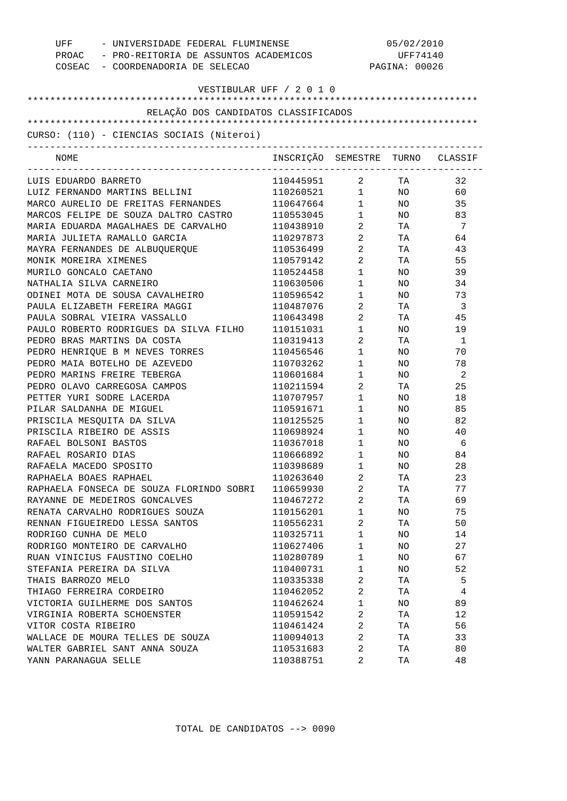| PROAC - PRO-REITORIA DE ASSUNTOS ACADEMICOS<br>COSEAC - COORDENADORIA DE SELECAO | UFF - UNIVERSIDADE FEDERAL FLUMINENSE | 05/02/2010<br>UFF74140<br>PAGINA: 00026 |                 |                |
|----------------------------------------------------------------------------------|---------------------------------------|-----------------------------------------|-----------------|----------------|
|                                                                                  | VESTIBULAR UFF / 2 0 1 0              |                                         |                 |                |
| RELAÇÃO DOS CANDIDATOS CLASSIFICADOS                                             |                                       |                                         |                 |                |
|                                                                                  |                                       |                                         |                 |                |
| CURSO: (110) - CIENCIAS SOCIAIS (Niteroi)                                        |                                       |                                         |                 |                |
| NOME                                                                             | INSCRIÇÃO SEMESTRE TURNO CLASSIF      |                                         |                 |                |
| LUIS EDUARDO BARRETO                                                             | 110445951 2 TA                        |                                         |                 | 32             |
| LUIZ FERNANDO MARTINS BELLINI                                                    | 110260521 1 NO                        |                                         |                 | 60             |
| MARCO AURELIO DE FREITAS FERNANDES                                               | 110647664                             | $1 \quad \blacksquare$                  | NO <sub>2</sub> | 35             |
| MARCOS FELIPE DE SOUZA DALTRO CASTRO                                             | 110553045                             | $1 \qquad \qquad$                       | NO .            | 83             |
| MARIA EDUARDA MAGALHAES DE CARVALHO                                              | 110438910                             | $\overline{2}$ and $\overline{2}$       | TA              | 7              |
| MARIA JULIETA RAMALLO GARCIA                                                     | 110297873                             | $\overline{2}$ and $\overline{2}$       | TA              | 64             |
| MAYRA FERNANDES DE ALBUQUERQUE                                                   | 110536499                             | 2                                       | TA              | 43             |
| MONIK MOREIRA XIMENES                                                            | 110579142                             | $\overline{2}$                          | TA              | 55             |
| MURILO GONCALO CAETANO                                                           | 110524458                             | $\mathbf{1}$                            | NO.             | 39             |
| NATHALIA SILVA CARNEIRO                                                          | 110630506                             | $\mathbf{1}$                            | NO.             | 34             |
| ODINEI MOTA DE SOUSA CAVALHEIRO                                                  | 110596542                             | $\mathbf 1$                             | NO.             | 73             |
| PAULA ELIZABETH FEREIRA MAGGI                                                    | 110487076                             | 2                                       | TA              | - 3            |
| PAULA SOBRAL VIEIRA VASSALLO                                                     | 110643498                             | 2                                       | TA              | 45             |
| PAULO ROBERTO RODRIGUES DA SILVA FILHO                                           | 110151031                             | $\mathbf 1$                             | NO.             | 19             |
| PEDRO BRAS MARTINS DA COSTA                                                      | 110319413                             | $\overline{2}$                          | TA              | - 1            |
| PEDRO HENRIQUE B M NEVES TORRES                                                  | 110456546                             | $\mathbf{1}$                            | NO.             | 70             |
| PEDRO MAIA BOTELHO DE AZEVEDO                                                    | 110703262                             | $\mathbf{1}$                            | NO.             | 78             |
| PEDRO MARINS FREIRE TEBERGA                                                      | 110601684                             | $\mathbf{1}$                            | NO.             | $\overline{2}$ |
| PEDRO OLAVO CARREGOSA CAMPOS                                                     | 110211594                             | $\mathbf{2}$                            | TA              | 25             |
| PETTER YURI SODRE LACERDA                                                        | 110707957                             | $\mathbf{1}$                            | NO.             | 18             |
| PILAR SALDANHA DE MIGUEL                                                         | 110591671                             | $1 \quad \cdots$                        | NO.             | 85             |
| PRISCILA MESQUITA DA SILVA                                                       | 110125525                             | $1 \quad \cdots$                        | NO.             | 82             |
| PRISCILA RIBEIRO DE ASSIS                                                        | 110698924                             | $1 \qquad \qquad$                       | NO.             | 40             |
| RAFAEL BOLSONI BASTOS                                                            | 110367018                             | $1 \qquad \qquad$                       | NO.             | 6              |
| RAFAEL ROSARIO DIAS                                                              | 110666892                             | $\mathbf{1}$                            | NO.             | 84             |
| RAFAELA MACEDO SPOSITO                                                           | 110398689                             | 1                                       | ΝO              | 28             |
| RAPHAELA BOAES RAPHAEL                                                           | 110263640                             | 2                                       | ТA              | 23             |
| RAPHAELA FONSECA DE SOUZA FLORINDO SOBRI                                         | 110659930                             | 2                                       | TA              | 77             |
| RAYANNE DE MEDEIROS GONCALVES                                                    | 110467272                             | 2                                       | TA              | 69             |
| RENATA CARVALHO RODRIGUES SOUZA                                                  | 110156201                             | 1                                       | NO              | 75             |
| RENNAN FIGUEIREDO LESSA SANTOS                                                   | 110556231                             | 2                                       | TA              | 50             |
| RODRIGO CUNHA DE MELO                                                            | 110325711                             | 1                                       | NO.             | 14             |
| RODRIGO MONTEIRO DE CARVALHO                                                     | 110627406                             | 1                                       | NO.             | 27             |
| RUAN VINICIUS FAUSTINO COELHO                                                    | 110280789                             | 1                                       | NO.             | 67             |
| STEFANIA PEREIRA DA SILVA                                                        | 110400731                             | 1                                       | NO.             | 52             |
| THAIS BARROZO MELO                                                               | 110335338                             | 2                                       | TA              | 5              |
| THIAGO FERREIRA CORDEIRO                                                         | 110462052                             | 2                                       | TA              | 4              |
| VICTORIA GUILHERME DOS SANTOS                                                    | 110462624                             | 1                                       | NO.             | 89             |
| VIRGINIA ROBERTA SCHOENSTER                                                      | 110591542                             | 2                                       | TA              | 12             |
| VITOR COSTA RIBEIRO                                                              | 110461424                             | 2                                       | TA              | 56             |
| WALLACE DE MOURA TELLES DE SOUZA                                                 | 110094013                             | 2                                       | TA              | 33             |
| WALTER GABRIEL SANT ANNA SOUZA                                                   | 110531683                             | 2                                       | ТA              | 80             |
| YANN PARANAGUA SELLE                                                             | 110388751                             | 2                                       | ΤA              | 48             |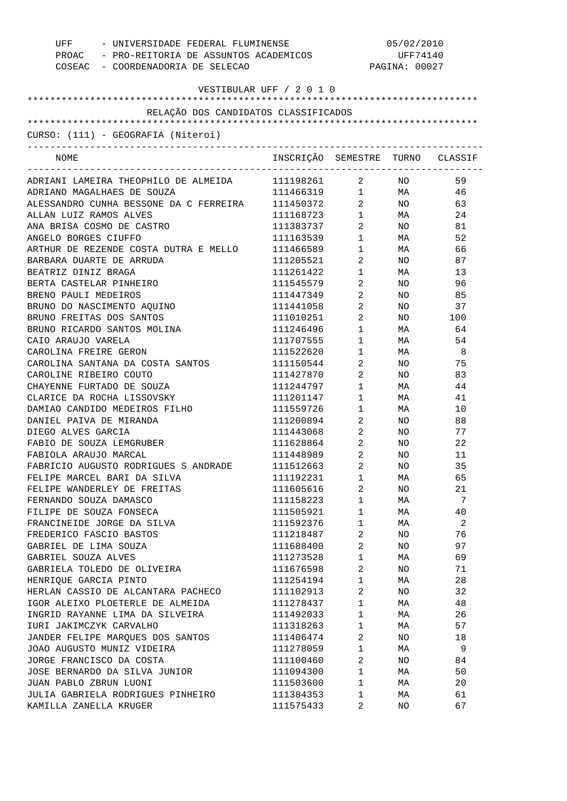| UFF<br>- UNIVERSIDADE FEDERAL FLUMINENSE<br>PROAC - PRO-REITORIA DE ASSUNTOS ACADEMICOS |                                  | 05/02/2010<br>UFF74140  |                 |                            |  |
|-----------------------------------------------------------------------------------------|----------------------------------|-------------------------|-----------------|----------------------------|--|
|                                                                                         |                                  |                         |                 |                            |  |
| COSEAC - COORDENADORIA DE SELECAO                                                       |                                  |                         | PAGINA: 00027   |                            |  |
| VESTIBULAR UFF / 2 0 1 0                                                                |                                  |                         |                 |                            |  |
|                                                                                         |                                  |                         |                 |                            |  |
| RELAÇÃO DOS CANDIDATOS CLASSIFICADOS                                                    |                                  |                         |                 |                            |  |
| CURSO: (111) - GEOGRAFIA (Niteroi)                                                      |                                  |                         |                 |                            |  |
|                                                                                         |                                  |                         |                 |                            |  |
| NOME                                                                                    | INSCRIÇÃO SEMESTRE TURNO CLASSIF |                         |                 |                            |  |
| ADRIANI LAMEIRA THEOPHILO DE ALMEIDA                                                    | 111198261                        | $\overline{a}$          | NO <sub>1</sub> | 59                         |  |
| ADRIANO MAGALHAES DE SOUZA                                                              | 111466319                        | $\mathbf{1}$            | <b>MA</b>       | 46                         |  |
| ALESSANDRO CUNHA BESSONE DA C FERREIRA                                                  | 111450372                        | $\overline{2}$          | NO <sub>1</sub> | 63                         |  |
| ALLAN LUIZ RAMOS ALVES                                                                  | 111168723                        | $\mathbf 1$             | <b>MA</b>       | 24                         |  |
| ANA BRISA COSMO DE CASTRO                                                               | 111383737                        | $\overline{a}$          | NO <sub>1</sub> | 81                         |  |
| ANGELO BORGES CIUFFO                                                                    | 111163539                        | $\mathbf 1$             | <b>MA</b>       | 52                         |  |
| ARTHUR DE REZENDE COSTA DUTRA E MELLO                                                   | 111466589                        | $\mathbf 1$             | <b>MA</b>       | 66                         |  |
| BARBARA DUARTE DE ARRUDA                                                                | 111205521                        | $\overline{a}$          | NO              | 87                         |  |
| BEATRIZ DINIZ BRAGA                                                                     | 111261422                        | $\mathbf 1$             | MA              | 13                         |  |
| BERTA CASTELAR PINHEIRO                                                                 | 111545579                        | $\overline{a}$          | NO              | 96                         |  |
| BRENO PAULI MEDEIROS                                                                    | 111447349                        | $\overline{a}$          | NO.             | 85                         |  |
| BRUNO DO NASCIMENTO AQUINO                                                              | 111441058                        | $\overline{a}$          | NO.             | 37                         |  |
| BRUNO FREITAS DOS SANTOS                                                                | 111010251                        | $\overline{a}$          | NO              | 100                        |  |
| BRUNO RICARDO SANTOS MOLINA                                                             | 111246496                        | $1 \qquad \qquad$       | MA              | 64                         |  |
| CAIO ARAUJO VARELA                                                                      | 111707555                        | $1 \qquad \qquad$       | MA              | 54                         |  |
| CAROLINA FREIRE GERON                                                                   | 111522620                        | $1 \quad \Box$          | MA              | $\overline{\phantom{0}}$ 8 |  |
| CAROLINA SANTANA DA COSTA SANTOS                                                        | 111150544                        | $\overline{a}$          | NO.             | 75                         |  |
| CAROLINE RIBEIRO COUTO                                                                  | 111427870                        | $\overline{2}$          | NO.             | 83                         |  |
| CHAYENNE FURTADO DE SOUZA                                                               | 111244797                        | $1 \qquad \qquad$       | MA              | 44                         |  |
| CLARICE DA ROCHA LISSOVSKY                                                              | 111201147                        | $1 \quad \blacksquare$  | MA              | 41                         |  |
| DAMIAO CANDIDO MEDEIROS FILHO                                                           | 111559726                        | $1 \quad \Box$          | MA              | 10                         |  |
| DANIEL PAIVA DE MIRANDA                                                                 | 111200894                        | $\overline{a}$          | NO.             | 88                         |  |
| DIEGO ALVES GARCIA                                                                      | 111443068                        | $\overline{a}$          | NO.             | 77                         |  |
| FABIO DE SOUZA LEMGRUBER                                                                | 111628864                        | $\overline{2}$          | NO.             | 22                         |  |
| FABIOLA ARAUJO MARCAL                                                                   | 111448989                        | $2^{\circ}$             | NO.             | 11                         |  |
| FABRICIO AUGUSTO RODRIGUES S ANDRADE                                                    | 111512663                        | $\overline{2}$          | NO              | 35                         |  |
| FELIPE MARCEL BARI DA SILVA                                                             | 111192231                        | 1                       | МA              | 65                         |  |
| FELIPE WANDERLEY DE FREITAS                                                             | 111605616                        | $\overline{2}$          | NO              | 21                         |  |
| FERNANDO SOUZA DAMASCO                                                                  | 111158223                        | $\mathbf 1$             | МA              | 7                          |  |
| FILIPE DE SOUZA FONSECA                                                                 | 111505921                        | $\mathbf 1$             | МA              | 40                         |  |
| FRANCINEIDE JORGE DA SILVA                                                              | 111592376                        | 1                       | МA              | 2                          |  |
| FREDERICO FASCIO BASTOS                                                                 | 111218487                        | $\overline{\mathbf{c}}$ | NO              | 76                         |  |
| GABRIEL DE LIMA SOUZA                                                                   | 111688400                        | $\overline{2}$          | NO              | 97                         |  |
| GABRIEL SOUZA ALVES                                                                     | 111273528                        | $\mathbf 1$             | МA              | 69                         |  |
| GABRIELA TOLEDO DE OLIVEIRA                                                             | 111676598                        | 2                       | NO              | 71                         |  |
| HENRIQUE GARCIA PINTO                                                                   | 111254194                        | $\mathbf 1$             | МA              | 28                         |  |
| HERLAN CASSIO DE ALCANTARA PACHECO                                                      | 111102913                        | 2                       | NO              | 32                         |  |
|                                                                                         |                                  |                         |                 |                            |  |
| IGOR ALEIXO PLOETERLE DE ALMEIDA                                                        | 111278437                        | 1                       | МA              | 48                         |  |
| INGRID RAYANNE LIMA DA SILVEIRA                                                         | 111492033                        | $\mathbf 1$             | МA              | 26                         |  |
| IURI JAKIMCZYK CARVALHO                                                                 | 111318263                        | 1                       | МA              | 57                         |  |
| JANDER FELIPE MARQUES DOS SANTOS                                                        | 111406474                        | $\overline{a}$          | NO              | 18                         |  |
| JOAO AUGUSTO MUNIZ VIDEIRA                                                              | 111278059                        | $\mathbf 1$             | МA              | 9                          |  |
| JORGE FRANCISCO DA COSTA                                                                | 111100460                        | $\overline{a}$          | NO              | 84                         |  |
| JOSE BERNARDO DA SILVA JUNIOR                                                           | 111094300                        | $\mathbf 1$             | МA              | 50                         |  |
| JUAN PABLO ZBRUN LUONI                                                                  | 111503600                        | $\mathbf 1$             | МA              | 20                         |  |
| JULIA GABRIELA RODRIGUES PINHEIRO                                                       | 111384353                        | 1                       | МA              | 61                         |  |
| KAMILLA ZANELLA KRUGER                                                                  | 111575433                        | 2                       | NO              | 67                         |  |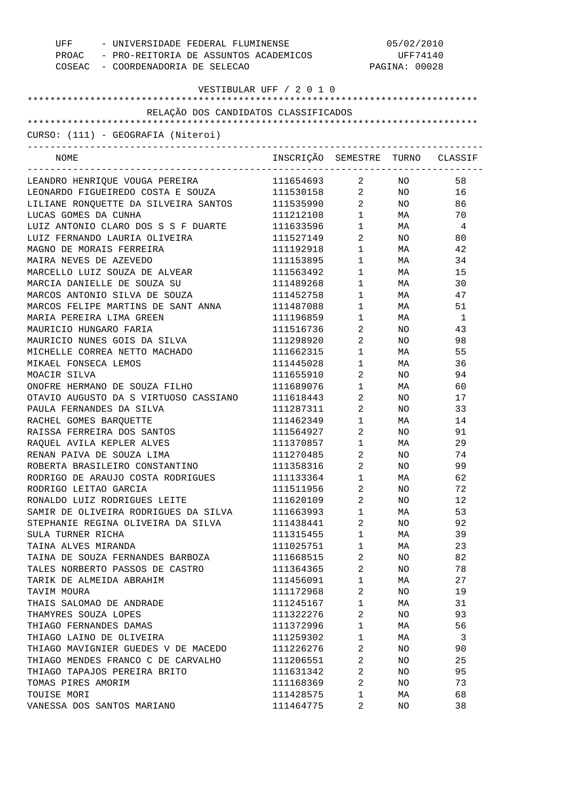| UFF - UNIVERSIDADE FEDERAL FLUMINENSE<br>PROAC - PRO-REITORIA DE ASSUNTOS ACADEMICOS<br>COSEAC - COORDENADORIA DE SELECAO |                                  | 05/02/2010<br>UFF74140<br>PAGINA: 00028 |                  |              |
|---------------------------------------------------------------------------------------------------------------------------|----------------------------------|-----------------------------------------|------------------|--------------|
| VESTIBULAR UFF / 2 0 1 0                                                                                                  |                                  |                                         |                  |              |
|                                                                                                                           |                                  |                                         |                  |              |
| RELAÇÃO DOS CANDIDATOS CLASSIFICADOS                                                                                      |                                  |                                         |                  |              |
| CURSO: (111) - GEOGRAFIA (Niteroi)                                                                                        |                                  |                                         |                  |              |
| -------------------------------<br>NOME                                                                                   | INSCRIÇÃO SEMESTRE TURNO CLASSIF |                                         |                  |              |
| LEANDRO HENRIQUE VOUGA PEREIRA                                                                                            | 111654693 2 NO                   |                                         |                  | 58           |
| LEONARDO FIGUEIREDO COSTA E SOUZA                                                                                         | 111530158 2 NO                   |                                         |                  | 16           |
| LILIANE RONQUETTE DA SILVEIRA SANTOS                                                                                      | 111535990 2                      |                                         | NO <sub>2</sub>  | 86           |
| LUCAS GOMES DA CUNHA                                                                                                      | 111212108                        | $1 \quad \cdots$                        | MA <b>Martia</b> | 70           |
| LUIZ ANTONIO CLARO DOS S S F DUARTE                                                                                       | 111633596                        | $1 \quad \Box$                          | <b>MA</b>        | 4            |
| LUIZ FERNANDO LAURIA OLIVEIRA                                                                                             | 111527149                        | $\mathbf{2}$                            | NO <sub>2</sub>  | 80           |
| MAGNO DE MORAIS FERREIRA                                                                                                  | 111192918                        | $1 \quad \blacksquare$                  | MA               | 42           |
| MAIRA NEVES DE AZEVEDO                                                                                                    | 111153895                        | $1 \quad \blacksquare$                  | MA               | 34           |
| MARCELLO LUIZ SOUZA DE ALVEAR                                                                                             | 111563492                        | $1 \qquad \qquad$                       | MA               | 15           |
| MARCIA DANIELLE DE SOUZA SU                                                                                               | 111489268                        | $1 \quad \blacksquare$                  | MA               | 30           |
| MARCOS ANTONIO SILVA DE SOUZA                                                                                             | 111452758                        | $1 \qquad \qquad$                       | MA <b>MA</b>     | 47           |
| MARCOS FELIPE MARTINS DE SANT ANNA                                                                                        | 111487088                        | $1 \quad \cdots$                        | MA               | 51           |
| MARIA PEREIRA LIMA GREEN                                                                                                  | 111196859                        | $1 \qquad \qquad$                       | MA               | <sup>1</sup> |
| MAURICIO HUNGARO FARIA                                                                                                    | 111516736                        | $2 \left( \frac{1}{2} \right)$          | NO <sub>n</sub>  | 43           |
| MAURICIO NUNES GOIS DA SILVA                                                                                              | 111298920                        | $\mathbf{2}$                            | NO <sub>2</sub>  | 98           |
| MICHELLE CORREA NETTO MACHADO                                                                                             | 111662315                        | $1 \qquad \qquad$                       | MA               | 55           |
| MIKAEL FONSECA LEMOS                                                                                                      | 111445028                        | $\mathbf 1$                             | MA               | 36           |
| MOACIR SILVA                                                                                                              | 111655910                        | $\mathbf{2}$                            | NO               | 94           |
| ONOFRE HERMANO DE SOUZA FILHO                                                                                             | 111689076                        | $1 \quad \cdots$                        | MA               | 60           |
| OTAVIO AUGUSTO DA S VIRTUOSO CASSIANO                                                                                     | 111618443                        | $\overline{a}$                          | NO               | 17           |
| PAULA FERNANDES DA SILVA                                                                                                  | 111287311                        | $\mathbf{2}$                            | NO <sub>2</sub>  | 33           |
| RACHEL GOMES BARQUETTE                                                                                                    | 111462349                        | $1 \quad \blacksquare$                  | MA               | 14           |
| RAISSA FERREIRA DOS SANTOS                                                                                                | 111564927                        | $\overline{2}$ and $\overline{2}$       | NO <sub>n</sub>  | 91           |
| RAQUEL AVILA KEPLER ALVES                                                                                                 | 111370857                        | $1 \quad \blacksquare$                  | MA               | 29           |
| RENAN PAIVA DE SOUZA LIMA                                                                                                 | 111270485                        | 2                                       | NO.              | 74           |
| ROBERTA BRASILEIRO CONSTANTINO                                                                                            | 111358316                        | 2                                       | NO               | 99           |
| RODRIGO DE ARAUJO COSTA RODRIGUES                                                                                         | 111133364                        | $\mathbf 1$                             | МA               | 62           |
| RODRIGO LEITAO GARCIA                                                                                                     | 111511956                        | $\overline{a}$                          | ΝO               | 72           |
| RONALDO LUIZ RODRIGUES LEITE                                                                                              | 111620109                        | 2                                       | ΝO               | 12           |
| SAMIR DE OLIVEIRA RODRIGUES DA SILVA                                                                                      | 111663993                        | $\mathbf 1$                             | MA               | 53           |
| STEPHANIE REGINA OLIVEIRA DA SILVA                                                                                        | 111438441                        | 2                                       | ΝO               | 92           |
| SULA TURNER RICHA                                                                                                         | 111315455                        | $\mathbf 1$                             | MA               | 39           |
| TAINA ALVES MIRANDA                                                                                                       | 111025751                        | 1                                       | MA               | 23           |
| TAINA DE SOUZA FERNANDES BARBOZA                                                                                          | 111668515                        | 2                                       | ΝO               | 82           |
| TALES NORBERTO PASSOS DE CASTRO                                                                                           | 111364365                        | 2                                       | ΝO               | 78           |
| TARIK DE ALMEIDA ABRAHIM                                                                                                  | 111456091                        | $\mathbf 1$                             | MA               | 27           |
| TAVIM MOURA                                                                                                               | 111172968                        | 2                                       | ΝO               | 19           |
| THAIS SALOMAO DE ANDRADE                                                                                                  | 111245167                        | 1                                       | MA               | 31           |
| THAMYRES SOUZA LOPES                                                                                                      | 111322276                        | 2                                       | ΝO               | 93           |
| THIAGO FERNANDES DAMAS                                                                                                    | 111372996                        | $\mathbf 1$                             | MA               | 56           |
| THIAGO LAINO DE OLIVEIRA                                                                                                  | 111259302                        | 1                                       | MA               | 3            |
| THIAGO MAVIGNIER GUEDES V DE MACEDO                                                                                       | 111226276                        | 2                                       | ΝO               | 90           |
| THIAGO MENDES FRANCO C DE CARVALHO                                                                                        | 111206551                        | 2                                       | ΝO               | 25           |
| THIAGO TAPAJOS PEREIRA BRITO                                                                                              | 111631342                        | 2                                       | ΝO               | 95           |
| TOMAS PIRES AMORIM                                                                                                        | 111168369                        | $\overline{2}$                          | ΝO               | 73           |
| TOUISE MORI                                                                                                               | 111428575                        | 1                                       |                  | 68           |
| VANESSA DOS SANTOS MARIANO                                                                                                |                                  | 2                                       | МA               |              |
|                                                                                                                           | 111464775                        |                                         | ΝO               | 38           |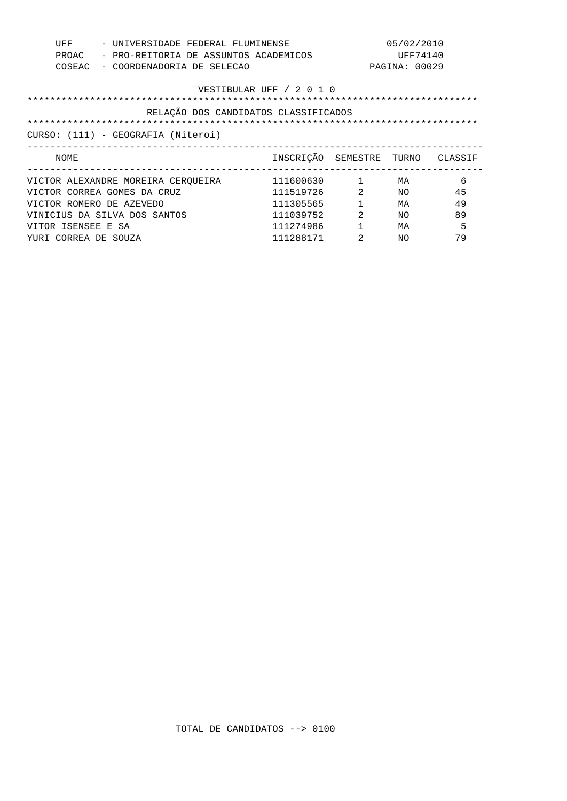| UFF<br>PROAC<br>COSEAC   | - UNIVERSIDADE FEDERAL FLUMINENSE<br>- PRO-REITORIA DE ASSUNTOS ACADEMICOS<br>- COORDENADORIA DE SELECAO |                                      |                | 05/02/2010<br>UFF74140<br>PAGINA: 00029 |    |
|--------------------------|----------------------------------------------------------------------------------------------------------|--------------------------------------|----------------|-----------------------------------------|----|
|                          |                                                                                                          | VESTIBULAR UFF / 2 0 1 0             |                |                                         |    |
|                          |                                                                                                          | RELAÇÃO DOS CANDIDATOS CLASSIFICADOS |                |                                         |    |
|                          |                                                                                                          |                                      |                |                                         |    |
|                          | CURSO: (111) - GEOGRAFIA (Niteroi)                                                                       |                                      |                |                                         |    |
|                          |                                                                                                          |                                      |                |                                         |    |
| NOME                     |                                                                                                          | INSCRIÇÃO SEMESTRE TURNO CLASSIF     |                |                                         |    |
|                          | VICTOR ALEXANDRE MOREIRA CEROUEIRA                                                                       | 111600630                            | $\sim$ 1       | МA                                      | 6  |
|                          | VICTOR CORREA GOMES DA CRUZ                                                                              | 111519726                            | 2              | NO                                      | 45 |
| VICTOR ROMERO DE AZEVEDO |                                                                                                          | 111305565                            | $\mathbf{1}$   | МA                                      | 49 |
|                          | VINICIUS DA SILVA DOS SANTOS                                                                             | 111039752                            | $\mathfrak{D}$ | NO.                                     | 89 |
| VITOR ISENSEE E SA       |                                                                                                          | 111274986                            | $\mathbf{1}$   | MA                                      | 5  |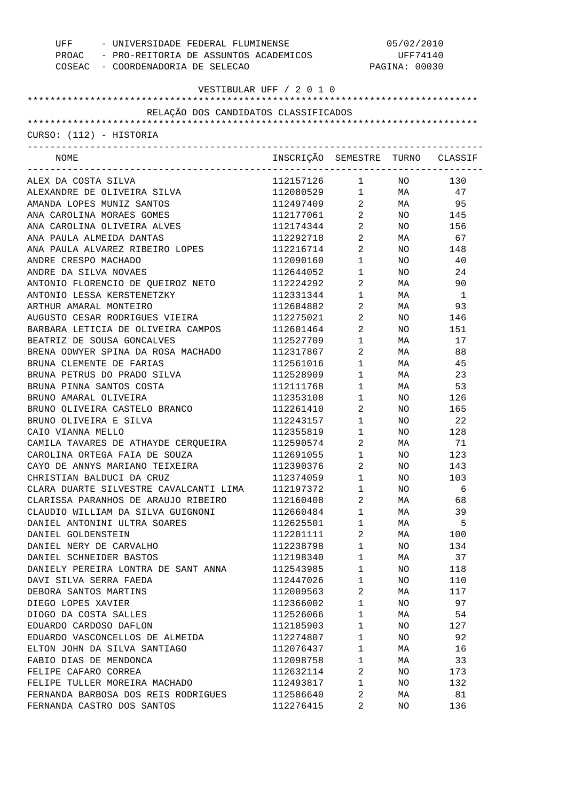| UFF<br>- UNIVERSIDADE FEDERAL FLUMINENSE<br>PROAC - PRO-REITORIA DE ASSUNTOS ACADEMICOS<br>COSEAC - COORDENADORIA DE SELECAO |                                  | 05/02/2010<br>UFF74140<br>PAGINA: 00030 |                 |              |
|------------------------------------------------------------------------------------------------------------------------------|----------------------------------|-----------------------------------------|-----------------|--------------|
| VESTIBULAR UFF / 2 0 1 0                                                                                                     |                                  |                                         |                 |              |
| RELAÇÃO DOS CANDIDATOS CLASSIFICADOS                                                                                         |                                  |                                         |                 |              |
|                                                                                                                              |                                  |                                         |                 |              |
| CURSO: (112) - HISTORIA                                                                                                      |                                  |                                         |                 |              |
| NOME                                                                                                                         | INSCRIÇÃO SEMESTRE TURNO CLASSIF |                                         |                 |              |
| ALEX DA COSTA SILVA                                                                                                          | 112157126                        | $1 \qquad \qquad$                       | NO <sub>n</sub> | 130          |
| ALEXANDRE DE OLIVEIRA SILVA                                                                                                  | 112080529                        |                                         | $1$ MA          | 47           |
| AMANDA LOPES MUNIZ SANTOS                                                                                                    | 112497409                        | $\overline{2}$                          | MA              | - 95         |
| ANA CAROLINA MORAES GOMES                                                                                                    | 112177061                        | $\overline{2}$                          |                 | NO 145       |
| ANA CAROLINA OLIVEIRA ALVES                                                                                                  | 112174344                        | $2 \left( \frac{1}{2} \right)$          | NO .            | 156          |
| ANA PAULA ALMEIDA DANTAS                                                                                                     | 112292718                        | $2 \left( \frac{1}{2} \right)$          | MA              | 67           |
| ANA PAULA ALVAREZ RIBEIRO LOPES                                                                                              | 112216714                        | $2 \qquad \qquad$                       | NO              | 148          |
| ANDRE CRESPO MACHADO                                                                                                         | 112090160                        | $\mathbf{1}$                            | NO              | 40           |
| ANDRE DA SILVA NOVAES                                                                                                        | 112644052                        | $\mathbf 1$                             | NO.             | 24           |
| ANTONIO FLORENCIO DE OUEIROZ NETO                                                                                            | 112224292                        | 2                                       | MA              | 90           |
| ANTONIO LESSA KERSTENETZKY                                                                                                   | 112331344                        | 1                                       | MA              | $\mathbf{1}$ |
| ARTHUR AMARAL MONTEIRO                                                                                                       | 112684882                        | 2                                       | MA              | 93           |
| AUGUSTO CESAR RODRIGUES VIEIRA                                                                                               | 112275021                        | 2                                       | NO              | 146          |
| BARBARA LETICIA DE OLIVEIRA CAMPOS                                                                                           | 112601464                        | $\overline{a}$                          | NO.             | 151          |
| BEATRIZ DE SOUSA GONCALVES                                                                                                   | 112527709                        | 1                                       | MA              | 17           |
| BRENA ODWYER SPINA DA ROSA MACHADO                                                                                           | 112317867                        | $\overline{2}$                          | MA              | 88           |
| BRUNA CLEMENTE DE FARIAS                                                                                                     | 112561016                        | $\mathbf 1$                             | MA              | 45           |
| BRUNA PETRUS DO PRADO SILVA                                                                                                  | 112528909                        | 1                                       | MA              | 23           |
| BRUNA PINNA SANTOS COSTA                                                                                                     | 112111768                        | 1                                       | MA              | 53           |
| BRUNO AMARAL OLIVEIRA                                                                                                        | 112353108                        | 1                                       | NO.             | 126          |
| BRUNO OLIVEIRA CASTELO BRANCO                                                                                                | 112261410                        | $\overline{a}$                          | NO              | 165          |
| BRUNO OLIVEIRA E SILVA                                                                                                       | 112243157                        | $1 \quad \cdots$                        | NO.             | 22           |
| CAIO VIANNA MELLO                                                                                                            | 112355819                        | $1 \quad \cdots$                        | NO.             | 128          |
| CAMILA TAVARES DE ATHAYDE CERQUEIRA                                                                                          | 112590574                        | $\mathbf{2}$                            | MA              | 71           |
| CAROLINA ORTEGA FAIA DE SOUZA                                                                                                | 112691055                        | 1                                       | NO.             | 123          |
| CAYO DE ANNYS MARIANO TEIXEIRA                                                                                               | 112390376                        | 2                                       | NO.             | 143          |
| CHRISTIAN BALDUCI DA CRUZ                                                                                                    | 112374059                        | 1                                       | NO.             | 103          |
| CLARA DUARTE SILVESTRE CAVALCANTI LIMA                                                                                       | 112197372                        | 1                                       | NO.             | 6            |
| CLARISSA PARANHOS DE ARAUJO RIBEIRO                                                                                          | 112160408                        | 2                                       | MA              | 68           |
| CLAUDIO WILLIAM DA SILVA GUIGNONI                                                                                            | 112660484                        | 1                                       | MA              | 39           |
| DANIEL ANTONINI ULTRA SOARES                                                                                                 | 112625501                        | 1                                       | MA              | 5            |
| DANIEL GOLDENSTEIN                                                                                                           | 112201111                        | 2                                       | MA              | 100          |
| DANIEL NERY DE CARVALHO                                                                                                      | 112238798                        | 1                                       | NO.             | 134          |
| DANIEL SCHNEIDER BASTOS                                                                                                      | 112198340                        | 1                                       | MA              | 37           |
| DANIELY PEREIRA LONTRA DE SANT ANNA                                                                                          | 112543985                        | 1                                       | NO.             | 118          |
| DAVI SILVA SERRA FAEDA                                                                                                       | 112447026                        | 1                                       | NO.             | 110          |
| DEBORA SANTOS MARTINS                                                                                                        | 112009563                        | 2                                       | MA              | 117          |
| DIEGO LOPES XAVIER                                                                                                           | 112366002                        | 1                                       | NO.             | 97           |
| DIOGO DA COSTA SALLES                                                                                                        | 112526066                        | 1                                       | MA              | 54           |
| EDUARDO CARDOSO DAFLON                                                                                                       | 112185903                        | 1                                       | NO.             | 127          |
| EDUARDO VASCONCELLOS DE ALMEIDA                                                                                              | 112274807                        | 1                                       | NO.             | 92           |
| ELTON JOHN DA SILVA SANTIAGO                                                                                                 | 112076437                        | 1                                       | MA              | 16           |
| FABIO DIAS DE MENDONCA                                                                                                       | 112098758                        | 1                                       | MA              | 33           |
| FELIPE CAFARO CORREA                                                                                                         | 112632114                        | 2                                       | NO.             | 173          |
| FELIPE TULLER MOREIRA MACHADO                                                                                                | 112493817                        | 1                                       | NO.             | 132          |
| FERNANDA BARBOSA DOS REIS RODRIGUES                                                                                          | 112586640                        | 2                                       | МA              | 81           |
| FERNANDA CASTRO DOS SANTOS                                                                                                   | 112276415                        | 2                                       | NO.             | 136          |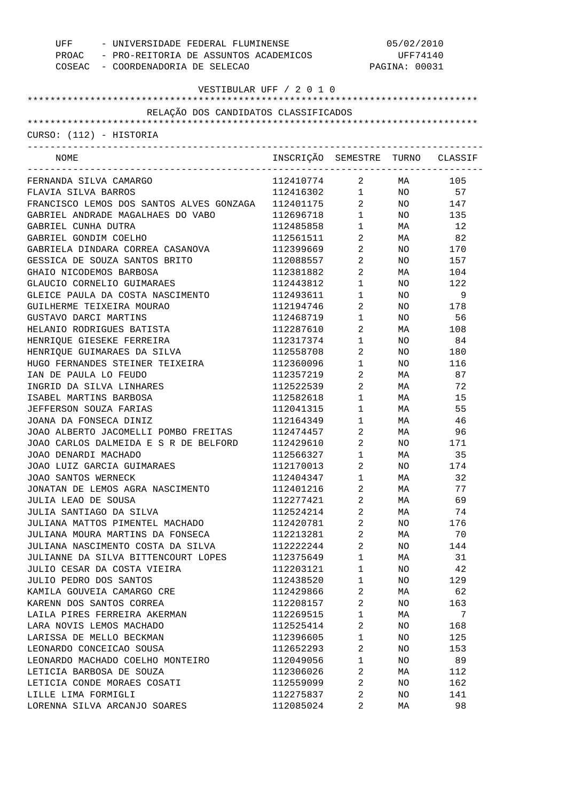| UFF<br>- UNIVERSIDADE FEDERAL FLUMINENSE<br>PROAC - PRO-REITORIA DE ASSUNTOS ACADEMICOS |                                  | 05/02/2010<br>UFF74140<br>PAGINA: 00031       |                 |        |  |
|-----------------------------------------------------------------------------------------|----------------------------------|-----------------------------------------------|-----------------|--------|--|
| COSEAC - COORDENADORIA DE SELECAO                                                       |                                  |                                               |                 |        |  |
| VESTIBULAR UFF / 2 0 1 0                                                                |                                  |                                               |                 |        |  |
|                                                                                         |                                  |                                               |                 |        |  |
| RELAÇÃO DOS CANDIDATOS CLASSIFICADOS                                                    |                                  |                                               |                 |        |  |
|                                                                                         |                                  |                                               |                 |        |  |
| CURSO: (112) - HISTORIA                                                                 |                                  |                                               |                 |        |  |
| NOME                                                                                    | INSCRIÇÃO SEMESTRE TURNO CLASSIF |                                               |                 |        |  |
| FERNANDA SILVA CAMARGO                                                                  | 112410774                        | $\overline{a}$                                |                 | MA 105 |  |
| FLAVIA SILVA BARROS                                                                     | 112416302                        | $\mathbf{1}$                                  |                 | NO 57  |  |
| FRANCISCO LEMOS DOS SANTOS ALVES GONZAGA                                                | 112401175                        | $\overline{a}$                                |                 | NO 147 |  |
| GABRIEL ANDRADE MAGALHAES DO VABO                                                       | 112696718                        | $\begin{array}{ccc} 1 & & \\ & & \end{array}$ |                 | NO 135 |  |
| GABRIEL CUNHA DUTRA                                                                     | 112485858                        | $\mathbf{1}$                                  | <b>MA</b>       | 12     |  |
| GABRIEL GONDIM COELHO                                                                   | 112561511                        | $\overline{a}$                                | <b>MA</b>       | 82     |  |
| GABRIELA DINDARA CORREA CASANOVA                                                        | 112399669                        | $\overline{a}$                                | NO <sub>1</sub> | 170    |  |
| GESSICA DE SOUZA SANTOS BRITO                                                           | 112088557                        | $\overline{a}$                                | NO.             | 157    |  |
| GHAIO NICODEMOS BARBOSA                                                                 | 112381882                        | $\overline{a}$                                | MA              | 104    |  |
| GLAUCIO CORNELIO GUIMARAES                                                              | 112443812                        | $1 \quad \blacksquare$                        | NO.             | 122    |  |
| GLEICE PAULA DA COSTA NASCIMENTO                                                        | 112493611                        | $1 \quad \blacksquare$                        | NO              | 9      |  |
| GUILHERME TEIXEIRA MOURAO                                                               | 112194746                        | $\overline{2}$                                | NO.             | 178    |  |
| GUSTAVO DARCI MARTINS                                                                   | 112468719                        | $1 \quad \blacksquare$                        | NO.             | 56     |  |
| HELANIO RODRIGUES BATISTA                                                               | 112287610                        | $\overline{2}$                                | MA              | 108    |  |
| HENRIQUE GIESEKE FERREIRA                                                               | 112317374                        | $1 \quad \blacksquare$                        | NO.             | 84     |  |
| HENRIQUE GUIMARAES DA SILVA                                                             | 112558708                        | $\overline{2}$                                | NO.             | 180    |  |
| HUGO FERNANDES STEINER TEIXEIRA                                                         | 112360096                        | $1 \quad \blacksquare$                        | NO.             | 116    |  |
| IAN DE PAULA LO FEUDO                                                                   | 112357219                        | $\overline{2}$                                | MA              | 87     |  |
| INGRID DA SILVA LINHARES                                                                | 112522539                        | $\overline{2}$                                | MA              | 72     |  |
| ISABEL MARTINS BARBOSA                                                                  | 112582618                        | $1 \quad \blacksquare$                        | MA              | 15     |  |
| JEFFERSON SOUZA FARIAS                                                                  | 112041315                        | $1 \qquad \qquad$                             | MA              | 55     |  |
| JOANA DA FONSECA DINIZ                                                                  | 112164349                        | $1$ $\hfill$                                  | MA              | 46     |  |
| JOAO ALBERTO JACOMELLI POMBO FREITAS                                                    | 112474457                        | $\overline{a}$                                | MA              | 96     |  |
| JOAO CARLOS DALMEIDA E S R DE BELFORD                                                   | 112429610                        | $\overline{2}$                                | NO.             | 171    |  |
| JOAO DENARDI MACHADO                                                                    | 112566327                        | 1                                             | MA              | 35     |  |
| JOAO LUIZ GARCIA GUIMARAES                                                              | 112170013                        | $\overline{a}$                                | <b>NO</b>       | 174    |  |
| JOAO SANTOS WERNECK                                                                     | 112404347                        | 1                                             | МA              | 32     |  |
| JONATAN DE LEMOS AGRA NASCIMENTO                                                        | 112401216                        | 2                                             | МA              | 77     |  |
| JULIA LEAO DE SOUSA                                                                     | 112277421                        | 2                                             | МA              | 69     |  |
| JULIA SANTIAGO DA SILVA                                                                 | 112524214                        | 2                                             | МA              | 74     |  |
| JULIANA MATTOS PIMENTEL MACHADO                                                         | 112420781                        | 2                                             | NO              | 176    |  |
| JULIANA MOURA MARTINS DA FONSECA                                                        | 112213281                        | 2                                             | МA              | 70     |  |
| JULIANA NASCIMENTO COSTA DA SILVA                                                       | 112222244                        | 2                                             | NO              | 144    |  |
| JULIANNE DA SILVA BITTENCOURT LOPES                                                     | 112375649                        | $\mathbf 1$                                   | МA              | 31     |  |
| JULIO CESAR DA COSTA VIEIRA                                                             | 112203121                        | $\mathbf{1}$                                  | NO              | 42     |  |
| JULIO PEDRO DOS SANTOS                                                                  | 112438520                        | $\mathbf 1$                                   | NO              | 129    |  |
| KAMILA GOUVEIA CAMARGO CRE                                                              | 112429866                        | 2                                             | МA              | 62     |  |
| KARENN DOS SANTOS CORREA                                                                | 112208157                        | 2                                             | NO              | 163    |  |
| LAILA PIRES FERREIRA AKERMAN                                                            | 112269515                        | $\mathbf 1$                                   | МA              | 7      |  |
| LARA NOVIS LEMOS MACHADO                                                                | 112525414                        | 2                                             | NO              | 168    |  |
| LARISSA DE MELLO BECKMAN                                                                | 112396605                        | $\mathbf 1$                                   | NO              | 125    |  |
| LEONARDO CONCEICAO SOUSA                                                                | 112652293                        | 2                                             | NO              | 153    |  |
| LEONARDO MACHADO COELHO MONTEIRO                                                        | 112049056                        | $\mathbf 1$                                   | NO              | 89     |  |
| LETICIA BARBOSA DE SOUZA                                                                | 112306026                        | 2                                             | МA              | 112    |  |
| LETICIA CONDE MORAES COSATI                                                             | 112559099                        | 2                                             | NO              | 162    |  |
| LILLE LIMA FORMIGLI                                                                     | 112275837                        | 2                                             | NO              | 141    |  |
| LORENNA SILVA ARCANJO SOARES                                                            | 112085024                        | 2                                             | МA              | 98     |  |
|                                                                                         |                                  |                                               |                 |        |  |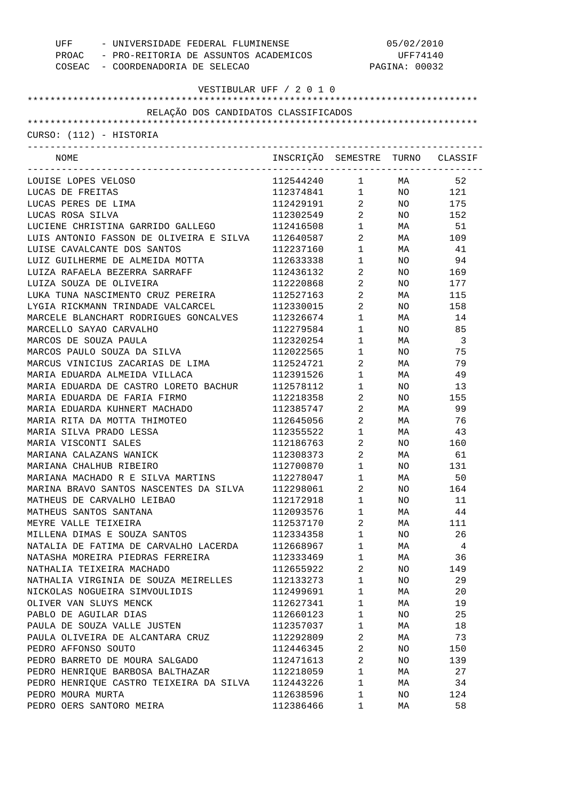| - UNIVERSIDADE FEDERAL FLUMINENSE<br>UFF    |                                  | 05/02/2010                                    |                                                                        |                |
|---------------------------------------------|----------------------------------|-----------------------------------------------|------------------------------------------------------------------------|----------------|
| PROAC - PRO-REITORIA DE ASSUNTOS ACADEMICOS |                                  |                                               | UFF74140                                                               |                |
| COSEAC - COORDENADORIA DE SELECAO           |                                  |                                               | PAGINA: 00032                                                          |                |
|                                             |                                  |                                               |                                                                        |                |
|                                             | VESTIBULAR UFF / 2 0 1 0         |                                               |                                                                        |                |
| RELAÇÃO DOS CANDIDATOS CLASSIFICADOS        |                                  |                                               |                                                                        |                |
|                                             |                                  |                                               |                                                                        |                |
| CURSO: (112) - HISTORIA                     |                                  |                                               |                                                                        |                |
| NOME                                        | INSCRIÇÃO SEMESTRE TURNO CLASSIF | ----------------------------------            |                                                                        |                |
| LOUISE LOPES VELOSO                         | 112544240                        |                                               |                                                                        | 52             |
| LUCAS DE FREITAS                            | 112374841                        |                                               | $\begin{array}{ccc} 1 & & \text{MA} \\ 1 & & \text{NO} \\ \end{array}$ | NO 121         |
| LUCAS PERES DE LIMA                         | 112429191                        | $\frac{1}{2}$                                 | NO <sub>1</sub>                                                        | 175            |
| LUCAS ROSA SILVA                            | 112302549                        | $\overline{a}$                                | NO .                                                                   | 152            |
| LUCIENE CHRISTINA GARRIDO GALLEGO           | 112416508                        | $\begin{array}{ccc} 1 & & \\ & & \end{array}$ | MA                                                                     | 51             |
| LUIS ANTONIO FASSON DE OLIVEIRA E SILVA     | 112640587                        | $\overline{a}$                                | MA                                                                     | 109            |
| LUISE CAVALCANTE DOS SANTOS                 | 112237160                        | $\mathbf 1$                                   | MA                                                                     | 41             |
| LUIZ GUILHERME DE ALMEIDA MOTTA             | 112633338                        | $1$ $\,$                                      | NO.                                                                    | 94             |
| LUIZA RAFAELA BEZERRA SARRAFF               | 112436132                        | $\overline{a}$                                | NO.                                                                    | 169            |
| LUIZA SOUZA DE OLIVEIRA                     | 112220868                        | $\overline{a}$                                | NO.                                                                    | 177            |
| LUKA TUNA NASCIMENTO CRUZ PEREIRA           | 112527163                        | $\overline{a}$                                | MA                                                                     | 115            |
| LYGIA RICKMANN TRINDADE VALCARCEL           | 112330015                        | $\overline{a}$                                | NO.                                                                    | 158            |
| MARCELE BLANCHART RODRIGUES GONCALVES       | 112326674                        | 1                                             | MA                                                                     | 14             |
| MARCELLO SAYAO CARVALHO                     | 112279584                        | 1                                             | NO.                                                                    | 85             |
| MARCOS DE SOUZA PAULA                       | 112320254                        | 1                                             | MA                                                                     | $\overline{3}$ |
| MARCOS PAULO SOUZA DA SILVA                 | 112022565                        | $1$ $\,$                                      | NO.                                                                    | 75             |
| MARCUS VINICIUS ZACARIAS DE LIMA            | 112524721                        | $\overline{a}$                                | MA                                                                     | 79             |
| MARIA EDUARDA ALMEIDA VILLACA               | 112391526                        | 1                                             | MA                                                                     | 49             |
| MARIA EDUARDA DE CASTRO LORETO BACHUR       | 112578112                        | 1                                             | NO.                                                                    | 13             |
| MARIA EDUARDA DE FARIA FIRMO                | 112218358                        | $2\overline{ }$                               | NO.                                                                    | 155            |
| MARIA EDUARDA KUHNERT MACHADO               | 112385747                        | $\overline{a}$                                | MA                                                                     | 99             |
| MARIA RITA DA MOTTA THIMOTEO                | 112645056                        | $\overline{a}$                                | MA                                                                     | 76             |
| MARIA SILVA PRADO LESSA                     | 112355522                        | $1$ $-$                                       | MA                                                                     | 43             |
| MARIA VISCONTI SALES                        | 112186763                        | $\overline{a}$                                | NO.                                                                    | 160            |
| MARIANA CALAZANS WANICK                     | 112308373                        | 2                                             | MA                                                                     | 61             |
| MARIANA CHALHUB RIBEIRO                     | 112700870                        | 1                                             | NO                                                                     | 131            |
|                                             |                                  |                                               |                                                                        |                |
| MARIANA MACHADO R E SILVA MARTINS           | 112278047                        | 1                                             | МA                                                                     | 50             |
| MARINA BRAVO SANTOS NASCENTES DA SILVA      | 112298061                        | 2                                             | NO                                                                     | 164            |
| MATHEUS DE CARVALHO LEIBAO                  | 112172918                        | 1                                             | NO                                                                     | 11             |
| MATHEUS SANTOS SANTANA                      | 112093576                        | 1                                             | МA                                                                     | 44             |
| MEYRE VALLE TEIXEIRA                        | 112537170                        | 2                                             | МA                                                                     | 111            |
| MILLENA DIMAS E SOUZA SANTOS                | 112334358                        | 1                                             | NO                                                                     | 26             |
| NATALIA DE FATIMA DE CARVALHO LACERDA       | 112668967                        | 1                                             | МA                                                                     | 4              |
| NATASHA MOREIRA PIEDRAS FERREIRA            | 112333469                        | 1                                             | МA                                                                     | 36             |
| NATHALIA TEIXEIRA MACHADO                   | 112655922                        | 2                                             | NO                                                                     | 149            |
| NATHALIA VIRGINIA DE SOUZA MEIRELLES        | 112133273                        | 1                                             | NO                                                                     | 29             |
| NICKOLAS NOGUEIRA SIMVOULIDIS               | 112499691                        | 1                                             | МA                                                                     | 20             |
| OLIVER VAN SLUYS MENCK                      | 112627341                        | 1                                             | МA                                                                     | 19             |
| PABLO DE AGUILAR DIAS                       | 112660123                        | 1                                             | NO                                                                     | 25             |
| PAULA DE SOUZA VALLE JUSTEN                 | 112357037                        | 1                                             | МA                                                                     | 18             |
| PAULA OLIVEIRA DE ALCANTARA CRUZ            | 112292809                        | 2                                             | МA                                                                     | 73             |
| PEDRO AFFONSO SOUTO                         | 112446345                        | $\overline{2}$                                | NO                                                                     | 150            |
| PEDRO BARRETO DE MOURA SALGADO              | 112471613                        | 2                                             | NO                                                                     | 139            |
| PEDRO HENRIQUE BARBOSA BALTHAZAR            | 112218059                        | $\mathbf{1}$                                  | МA                                                                     | 27             |
| PEDRO HENRIQUE CASTRO TEIXEIRA DA SILVA     | 112443226                        | 1                                             | МA                                                                     | 34             |
| PEDRO MOURA MURTA                           | 112638596                        | 1                                             | NO                                                                     | 124            |
| PEDRO OERS SANTORO MEIRA                    | 112386466                        | 1                                             | МA                                                                     | 58             |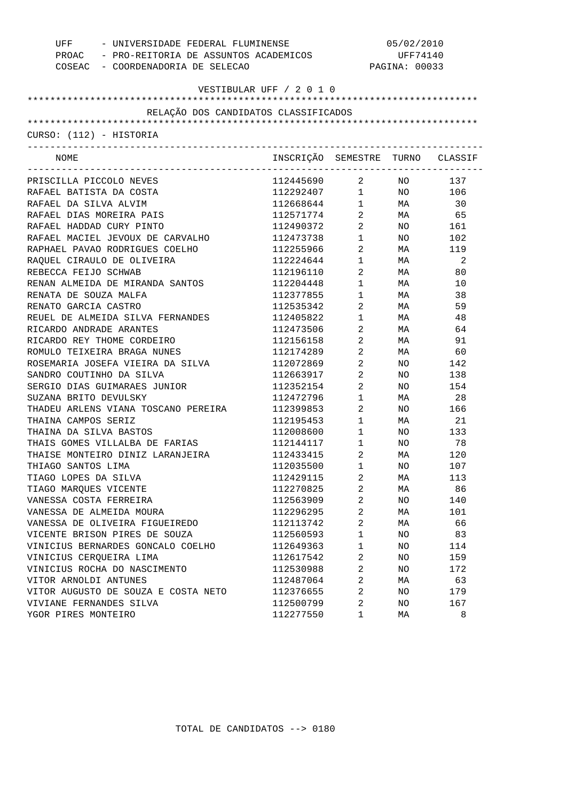| UFF                                  | - UNIVERSIDADE FEDERAL FLUMINENSE<br>PROAC - PRO-REITORIA DE ASSUNTOS ACADEMICOS |                        | 05/02/2010<br>UFF74140<br>PAGINA: 00033 |                |  |
|--------------------------------------|----------------------------------------------------------------------------------|------------------------|-----------------------------------------|----------------|--|
| COSEAC - COORDENADORIA DE SELECAO    |                                                                                  |                        |                                         |                |  |
|                                      | VESTIBULAR UFF / 2 0 1 0                                                         |                        |                                         |                |  |
| RELAÇÃO DOS CANDIDATOS CLASSIFICADOS |                                                                                  |                        |                                         |                |  |
|                                      |                                                                                  |                        |                                         |                |  |
| CURSO: (112) - HISTORIA              |                                                                                  |                        |                                         |                |  |
|                                      |                                                                                  |                        |                                         |                |  |
| NOME                                 | INSCRIÇÃO SEMESTRE TURNO CLASSIF                                                 |                        |                                         |                |  |
| PRISCILLA PICCOLO NEVES              | 112445690 2 NO 137                                                               |                        |                                         |                |  |
| RAFAEL BATISTA DA COSTA              | 112292407                                                                        | $1 \quad \blacksquare$ |                                         | NO 106         |  |
| RAFAEL DA SILVA ALVIM                | 112668644                                                                        | $1 \quad \Box$         | <b>MA</b>                               | 30             |  |
| RAFAEL DIAS MOREIRA PAIS             | 112571774                                                                        | $\overline{a}$         | MA                                      | 65             |  |
| RAFAEL HADDAD CURY PINTO             | 112490372                                                                        | $\overline{a}$         | NO.                                     | 161            |  |
| RAFAEL MACIEL JEVOUX DE CARVALHO     | 112473738                                                                        | $\mathbf 1$            | NO.                                     | 102            |  |
| RAPHAEL PAVAO RODRIGUES COELHO       | 112255966                                                                        | $\overline{a}$         | MA                                      | 119            |  |
| RAQUEL CIRAULO DE OLIVEIRA           | 112224644                                                                        | $\mathbf 1$            | MA                                      | $\overline{2}$ |  |
| REBECCA FEIJO SCHWAB                 | 112196110                                                                        | $\overline{a}$         | MA                                      | 80             |  |
| RENAN ALMEIDA DE MIRANDA SANTOS      | 112204448                                                                        | $\mathbf 1$            | MA                                      | 10             |  |
| RENATA DE SOUZA MALFA                | 112377855                                                                        | $1 \quad \Box$         | MA                                      | 38             |  |
| RENATO GARCIA CASTRO                 | 112535342                                                                        | $\overline{2}$         | MA                                      | 59             |  |
| REUEL DE ALMEIDA SILVA FERNANDES     | 112405822                                                                        | $1 \quad \blacksquare$ | MA                                      | 48             |  |
| RICARDO ANDRADE ARANTES              | 112473506                                                                        | $2^{\circ}$            | MA                                      | 64             |  |
| RICARDO REY THOME CORDEIRO           | 112156158                                                                        | $\overline{a}$         | MA                                      | 91             |  |
| ROMULO TEIXEIRA BRAGA NUNES          | 112174289                                                                        | $\overline{a}$         | MA                                      | 60             |  |
| ROSEMARIA JOSEFA VIEIRA DA SILVA     | 112072869                                                                        | $\overline{a}$         | NO.                                     | 142            |  |
| SANDRO COUTINHO DA SILVA             | 112663917                                                                        | $\overline{a}$         | NO.                                     | 138            |  |
| SERGIO DIAS GUIMARAES JUNIOR         | 112352154                                                                        | $\overline{a}$         | NO.                                     | 154            |  |
| SUZANA BRITO DEVULSKY                | 112472796                                                                        | $1 \quad \blacksquare$ | MA                                      | 28             |  |
| THADEU ARLENS VIANA TOSCANO PEREIRA  | 112399853                                                                        | $\overline{a}$         | NO.                                     | 166            |  |
| THAINA CAMPOS SERIZ                  | 112195453                                                                        | $\mathbf{1}$           | MA                                      | 21             |  |
| THAINA DA SILVA BASTOS               | 112008600                                                                        | $\mathbf 1$            | NO.                                     | 133            |  |
| THAIS GOMES VILLALBA DE FARIAS       | 112144117                                                                        | $\mathbf 1$            | NO.                                     | 78             |  |
| THAISE MONTEIRO DINIZ LARANJEIRA     | 112433415                                                                        | $\overline{2}$         | MA                                      | 120            |  |
| THIAGO SANTOS LIMA                   | 112035500                                                                        | 1                      | NO                                      | 107            |  |
| TIAGO LOPES DA SILVA                 | 112429115                                                                        | 2                      | МA                                      | 113            |  |
| TIAGO MAROUES VICENTE                | 112270825                                                                        | 2                      | МA                                      | 86             |  |
| VANESSA COSTA FERREIRA               | 112563909                                                                        | 2                      | NO                                      | 140            |  |
| VANESSA DE ALMEIDA MOURA             | 112296295                                                                        | 2                      | МA                                      | 101            |  |
| VANESSA DE OLIVEIRA FIGUEIREDO       | 112113742                                                                        | $\overline{a}$         | МA                                      | 66             |  |
| VICENTE BRISON PIRES DE SOUZA        | 112560593                                                                        | $\mathbf{1}$           | NO                                      | 83             |  |
| VINICIUS BERNARDES GONCALO COELHO    | 112649363                                                                        | $\mathbf{1}$           | NO                                      | 114            |  |
| VINICIUS CERQUEIRA LIMA              | 112617542                                                                        | $\sqrt{2}$             | NO                                      | 159            |  |
| VINICIUS ROCHA DO NASCIMENTO         | 112530988                                                                        | $\overline{2}$         | NO                                      | 172            |  |
| VITOR ARNOLDI ANTUNES                | 112487064                                                                        | $\sqrt{2}$             | МA                                      | 63             |  |
| VITOR AUGUSTO DE SOUZA E COSTA NETO  | 112376655                                                                        | $\overline{a}$         | NO                                      | 179            |  |
| VIVIANE FERNANDES SILVA              | 112500799                                                                        | $\overline{2}$         | NO                                      | 167            |  |
| YGOR PIRES MONTEIRO                  | 112277550                                                                        | 1                      | МA                                      | 8              |  |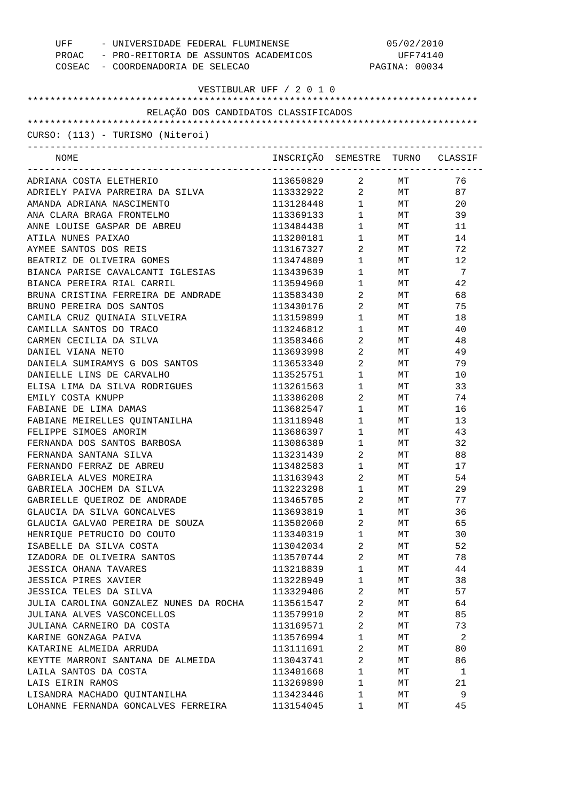| UFF<br>- UNIVERSIDADE FEDERAL FLUMINENSE                    |                                  | 05/02/2010                                    |               |                |  |
|-------------------------------------------------------------|----------------------------------|-----------------------------------------------|---------------|----------------|--|
| PROAC - PRO-REITORIA DE ASSUNTOS ACADEMICOS                 |                                  |                                               | UFF74140      |                |  |
| COSEAC - COORDENADORIA DE SELECAO                           |                                  |                                               | PAGINA: 00034 |                |  |
| VESTIBULAR UFF / 2 0 1 0                                    |                                  |                                               |               |                |  |
|                                                             |                                  |                                               |               |                |  |
| RELAÇÃO DOS CANDIDATOS CLASSIFICADOS                        |                                  |                                               |               |                |  |
|                                                             |                                  |                                               |               |                |  |
| CURSO: (113) - TURISMO (Niteroi)                            |                                  |                                               |               |                |  |
| NOME                                                        | INSCRIÇÃO SEMESTRE TURNO CLASSIF |                                               |               |                |  |
| ADRIANA COSTA ELETHERIO                                     | 113650829                        | $\overline{a}$                                | MT            | 76             |  |
| ADRIELY PAIVA PARREIRA DA SILVA                             | 113332922                        | $\overline{a}$                                | MT            | 87             |  |
| AMANDA ADRIANA NASCIMENTO                                   | 113128448                        | $1 \quad \blacksquare$                        | <b>MT</b>     | 20             |  |
| ANA CLARA BRAGA FRONTELMO                                   | 113369133                        | $\begin{array}{ccc} 1 & & \\ & & \end{array}$ | <b>MT</b>     | 39             |  |
| ANNE LOUISE GASPAR DE ABREU                                 | 113484438                        | $1 \quad \blacksquare$                        | <b>MT</b>     | 11             |  |
| ATILA NUNES PAIXAO                                          | 113200181                        | $\begin{array}{ccc} 1 & & \\ & & \end{array}$ | MT            | 14             |  |
| AYMEE SANTOS DOS REIS                                       | 113167327                        | $\overline{a}$                                | MT            | 72             |  |
| BEATRIZ DE OLIVEIRA GOMES                                   | 113474809                        | $\mathbf 1$                                   | MT            | 12             |  |
| BIANCA PARISE CAVALCANTI IGLESIAS                           | 113439639                        | $1 \qquad \qquad$                             | MT            | $\overline{7}$ |  |
| BIANCA PEREIRA RIAL CARRIL                                  | 113594960                        | $\begin{array}{ccc} 1 & & \\ & & \end{array}$ | MT            | 42             |  |
| BRUNA CRISTINA FERREIRA DE ANDRADE                          | 113583430                        | $\overline{a}$                                | MT            | 68             |  |
| BRUNO PEREIRA DOS SANTOS                                    | 113430176                        | $\overline{a}$                                | МT            | 75             |  |
| CAMILA CRUZ QUINAIA SILVEIRA                                | 113159899                        | $\mathbf 1$                                   | MT            | 18             |  |
| CAMILLA SANTOS DO TRACO                                     | 113246812                        | $1 \quad \Box$                                | MT            | 40             |  |
| CARMEN CECILIA DA SILVA                                     | 113583466                        | $\overline{a}$                                | MT            | 48             |  |
| DANIEL VIANA NETO                                           | 113693998                        | $\overline{a}$                                | MT            | 49             |  |
| DANIELA SUMIRAMYS G DOS SANTOS                              | 113653340                        | $\overline{a}$                                | MT            | 79             |  |
| DANIELLE LINS DE CARVALHO                                   | 113525751                        | $\mathbf 1$                                   | МT            | 10             |  |
| ELISA LIMA DA SILVA RODRIGUES                               | 113261563                        | $\mathbf{1}$                                  | МT            | 33             |  |
| EMILY COSTA KNUPP                                           | 113386208                        | $\overline{a}$                                | МT            | 74             |  |
| FABIANE DE LIMA DAMAS                                       | 113682547                        | $1 \qquad \qquad$                             | МT            | 16             |  |
| FABIANE MEIRELLES QUINTANILHA                               | 113118948                        | $\begin{array}{ccc} 1 & & \\ & & \end{array}$ | MT            | 13             |  |
| FELIPPE SIMOES AMORIM                                       | 113686397                        | $\mathbf 1$                                   | MT            | 43             |  |
| FERNANDA DOS SANTOS BARBOSA                                 | 113086389                        | $1 \quad \Box$                                | МT            | 32             |  |
| FERNANDA SANTANA SILVA                                      | 113231439                        | $\overline{2}$                                | МT            | 88             |  |
| FERNANDO FERRAZ DE ABREU                                    | 113482583                        | 1                                             | MT            | 17             |  |
| GABRIELA ALVES MOREIRA                                      | 113163943                        | 2                                             | МT            | 54             |  |
| GABRIELA JOCHEM DA SILVA                                    | 113223298                        | $\mathbf 1$                                   | МT            | 29             |  |
| GABRIELLE OUEIROZ DE ANDRADE                                | 113465705                        | 2                                             | МT            | 77             |  |
| GLAUCIA DA SILVA GONCALVES                                  | 113693819                        | $\mathbf 1$                                   | МT            | 36             |  |
| GLAUCIA GALVAO PEREIRA DE SOUZA                             | 113502060                        | 2                                             | МT            | 65             |  |
| HENRIQUE PETRUCIO DO COUTO                                  | 113340319                        | $\mathbf 1$                                   | МT            | 30             |  |
| ISABELLE DA SILVA COSTA                                     | 113042034                        | 2                                             | МT            | 52             |  |
| IZADORA DE OLIVEIRA SANTOS                                  | 113570744                        | 2                                             | МT            | 78             |  |
|                                                             |                                  | $\mathbf 1$                                   |               | 44             |  |
| <b>JESSICA OHANA TAVARES</b><br><b>JESSICA PIRES XAVIER</b> | 113218839                        | $\mathbf{1}$                                  | МT            | 38             |  |
|                                                             | 113228949                        |                                               | МT            |                |  |
| JESSICA TELES DA SILVA                                      | 113329406                        | $\overline{2}$                                | МT            | 57             |  |
| JULIA CAROLINA GONZALEZ NUNES DA ROCHA                      | 113561547                        | 2                                             | МT            | 64             |  |
| JULIANA ALVES VASCONCELLOS                                  | 113579910                        | $\overline{c}$                                | МT            | 85             |  |
| JULIANA CARNEIRO DA COSTA                                   | 113169571                        | $\overline{2}$                                | МT            | 73             |  |
| KARINE GONZAGA PAIVA                                        | 113576994                        | $\mathbf 1$                                   | МT            | 2              |  |
| KATARINE ALMEIDA ARRUDA                                     | 113111691                        | 2                                             | МT            | 80             |  |
| KEYTTE MARRONI SANTANA DE ALMEIDA                           | 113043741                        | 2                                             | МT            | 86             |  |
| LAILA SANTOS DA COSTA                                       | 113401668                        | $\mathbf 1$                                   | МT            | 1              |  |
| LAIS EIRIN RAMOS                                            | 113269890                        | $\mathbf 1$                                   | MТ            | 21             |  |
| LISANDRA MACHADO QUINTANILHA                                | 113423446                        | 1                                             | MТ            | 9              |  |
| LOHANNE FERNANDA GONCALVES FERREIRA                         | 113154045                        | 1                                             | MТ            | 45             |  |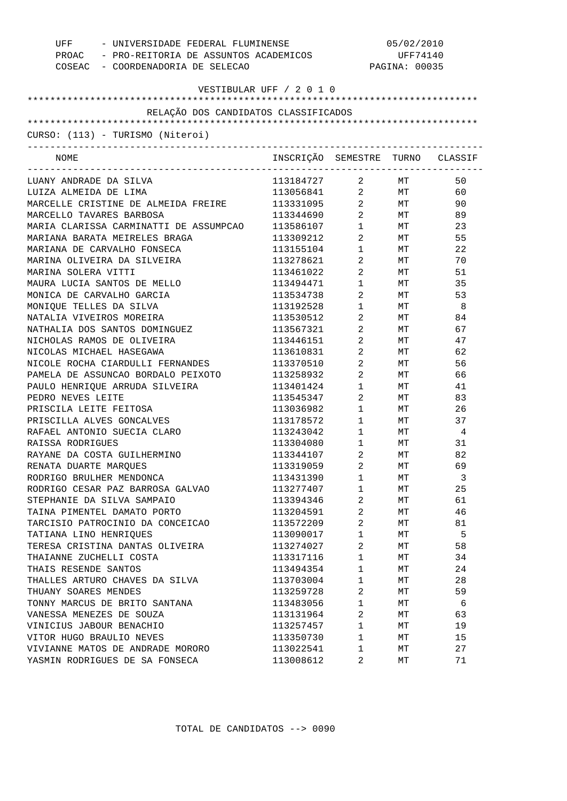| UFF<br>COSEAC - COORDENADORIA DE SELECAO | - UNIVERSIDADE FEDERAL FLUMINENSE<br>PROAC - PRO-REITORIA DE ASSUNTOS ACADEMICOS |                                | 05/02/2010<br>UFF74140<br>PAGINA: 00035 |                |
|------------------------------------------|----------------------------------------------------------------------------------|--------------------------------|-----------------------------------------|----------------|
|                                          | VESTIBULAR UFF / 2 0 1 0                                                         |                                |                                         |                |
|                                          |                                                                                  |                                |                                         |                |
| RELAÇÃO DOS CANDIDATOS CLASSIFICADOS     |                                                                                  |                                |                                         |                |
|                                          |                                                                                  |                                |                                         |                |
| CURSO: (113) - TURISMO (Niteroi)         |                                                                                  |                                |                                         |                |
| NOME                                     | INSCRIÇÃO SEMESTRE TURNO CLASSIF                                                 |                                |                                         |                |
| LUANY ANDRADE DA SILVA                   | 113184727 2 MT                                                                   |                                |                                         | 50             |
| LUIZA ALMEIDA DE LIMA                    | 113056841 2 MT                                                                   |                                |                                         | 60             |
| MARCELLE CRISTINE DE ALMEIDA FREIRE      | 113331095 2 MT                                                                   |                                |                                         | 90             |
| MARCELLO TAVARES BARBOSA                 | 113344690 2 MT                                                                   |                                |                                         | 89             |
| MARIA CLARISSA CARMINATTI DE ASSUMPCAO   | 113586107                                                                        | $1 \quad \blacksquare$         | <b>MT</b>                               | 23             |
| MARIANA BARATA MEIRELES BRAGA            | 113309212                                                                        | $\overline{2}$                 | <b>MT</b>                               | 55             |
| MARIANA DE CARVALHO FONSECA              | 113155104                                                                        | $1 \quad \Box$                 | <b>MT</b>                               | 22             |
| MARINA OLIVEIRA DA SILVEIRA              | 113278621                                                                        | $\overline{2}$                 | <b>MT</b>                               | 70             |
| MARINA SOLERA VITTI                      | 113461022                                                                        | $\overline{2}$                 | <b>MT</b>                               | 51             |
| MAURA LUCIA SANTOS DE MELLO              | 113494471                                                                        | $1 \quad \Box$                 | MT <sub>1</sub>                         | 35             |
| MONICA DE CARVALHO GARCIA                | 113534738                                                                        | $\overline{2}$                 | MT <sub>1</sub>                         | 53             |
| MONIQUE TELLES DA SILVA                  | 113192528                                                                        | $1 \quad \blacksquare$         | MT <sub>1</sub>                         | - 8            |
| NATALIA VIVEIROS MOREIRA                 | 113530512                                                                        | $\overline{2}$                 | MT <sub>1</sub>                         | 84             |
| NATHALIA DOS SANTOS DOMINGUEZ            | 113567321                                                                        | $\overline{2}$                 | MT <sub>1</sub>                         | 67             |
| NICHOLAS RAMOS DE OLIVEIRA               | 113446151                                                                        | $2 \left( \frac{1}{2} \right)$ | MT <sub>1</sub>                         | 47             |
| NICOLAS MICHAEL HASEGAWA                 | 113610831                                                                        | $\overline{2}$                 | MT <sub>1</sub>                         | 62             |
| NICOLE ROCHA CIARDULLI FERNANDES         | 113370510                                                                        | $\overline{2}$                 | MT                                      | 56             |
| PAMELA DE ASSUNCAO BORDALO PEIXOTO       | 113258932                                                                        | $\overline{2}$                 | MT <sub>1</sub>                         | 66             |
| PAULO HENRIQUE ARRUDA SILVEIRA           | 113401424                                                                        | $1 \quad \blacksquare$         | MT                                      | 41             |
| PEDRO NEVES LEITE                        | 113545347                                                                        | $\overline{2}$                 | MT <sub>1</sub>                         | 83             |
| PRISCILA LEITE FEITOSA                   | 113036982                                                                        | $1 \quad \Box$                 | MT                                      | 26             |
| PRISCILLA ALVES GONCALVES                | 113178572                                                                        | $1 \quad \Box$                 | MT <sub>1</sub>                         | 37             |
| RAFAEL ANTONIO SUECIA CLARO              | 113243042                                                                        | $1 \qquad \qquad$              | <b>MT</b>                               | $\overline{4}$ |
| RAISSA RODRIGUES                         | 113304080                                                                        | $1 \quad \blacksquare$         | MT                                      | 31             |
| RAYANE DA COSTA GUILHERMINO              | 113344107                                                                        | $\overline{2}$                 | МT                                      | 82             |
| RENATA DUARTE MARQUES                    | 113319059                                                                        | 2                              | МT                                      | 69             |
| RODRIGO BRULHER MENDONCA                 | 113431390                                                                        | 1                              | МT                                      | 3              |
| RODRIGO CESAR PAZ BARROSA GALVAO         | 113277407                                                                        | $\mathbf 1$                    | МT                                      | 25             |
| STEPHANIE DA SILVA SAMPAIO               | 113394346                                                                        | 2                              | МT                                      | 61             |
| TAINA PIMENTEL DAMATO PORTO              | 113204591                                                                        | 2                              | МT                                      | 46             |
| TARCISIO PATROCINIO DA CONCEICAO         | 113572209                                                                        | 2                              | МT                                      | 81             |
| TATIANA LINO HENRIQUES                   | 113090017                                                                        | 1                              | МT                                      | 5              |
| TERESA CRISTINA DANTAS OLIVEIRA          | 113274027                                                                        | $\overline{a}$                 | МT                                      | 58             |
| THAIANNE ZUCHELLI COSTA                  | 113317116                                                                        | 1                              | МT                                      | 34             |
| THAIS RESENDE SANTOS                     | 113494354                                                                        | 1                              | МT                                      | 24             |
| THALLES ARTURO CHAVES DA SILVA           | 113703004                                                                        | $\mathbf 1$                    | МT                                      | 28             |
| THUANY SOARES MENDES                     | 113259728                                                                        | $\overline{a}$                 | МT                                      | 59             |
| TONNY MARCUS DE BRITO SANTANA            | 113483056                                                                        | $\mathbf 1$                    | МT                                      | 6              |
| VANESSA MENEZES DE SOUZA                 | 113131964                                                                        | $\overline{a}$                 | МT                                      | 63             |
| VINICIUS JABOUR BENACHIO                 | 113257457                                                                        | 1                              | МT                                      | 19             |
| VITOR HUGO BRAULIO NEVES                 | 113350730                                                                        | 1                              | МT                                      | 15             |
| VIVIANNE MATOS DE ANDRADE MORORO         | 113022541                                                                        | 1                              | МT                                      | 27             |
| YASMIN RODRIGUES DE SA FONSECA           | 113008612                                                                        | 2                              | МT                                      | 71             |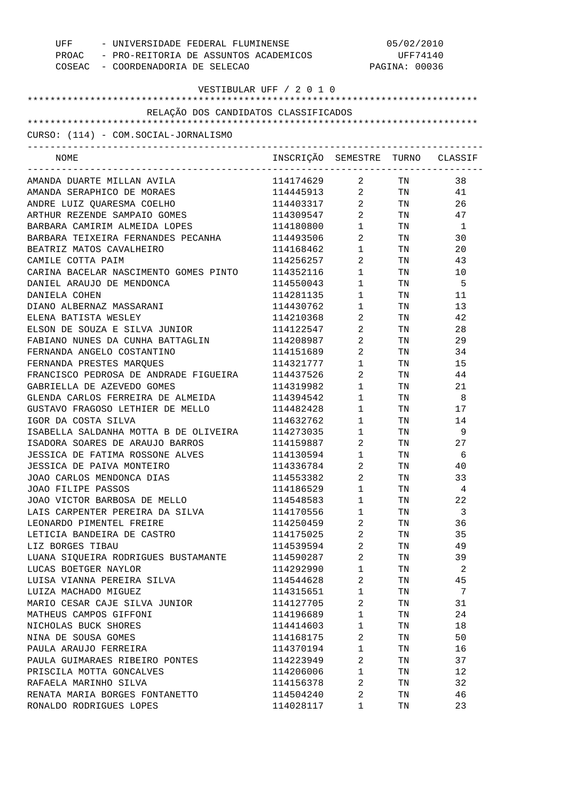| - UNIVERSIDADE FEDERAL FLUMINENSE<br>UFF<br>PROAC - PRO-REITORIA DE ASSUNTOS ACADEMICOS<br>COSEAC - COORDENADORIA DE SELECAO | 05/02/2010<br>UFF74140<br>PAGINA: 00036 |                                                          |                                                                                                                |          |
|------------------------------------------------------------------------------------------------------------------------------|-----------------------------------------|----------------------------------------------------------|----------------------------------------------------------------------------------------------------------------|----------|
| VESTIBULAR UFF / 2 0 1 0                                                                                                     |                                         |                                                          |                                                                                                                |          |
| RELAÇÃO DOS CANDIDATOS CLASSIFICADOS                                                                                         |                                         |                                                          |                                                                                                                |          |
|                                                                                                                              |                                         |                                                          |                                                                                                                |          |
| CURSO: (114) - COM.SOCIAL-JORNALISMO<br>-----------------------------                                                        |                                         |                                                          |                                                                                                                |          |
| NOME                                                                                                                         | INSCRIÇÃO SEMESTRE TURNO CLASSIF        |                                                          |                                                                                                                |          |
| AMANDA DUARTE MILLAN AVILA                                                                                                   | 114174629 2 TN                          |                                                          |                                                                                                                | 38       |
| AMANDA SERAPHICO DE MORAES                                                                                                   | 114445913 2                             |                                                          | TN                                                                                                             | 41       |
| ANDRE LUIZ QUARESMA COELHO                                                                                                   | 114403317 2                             |                                                          | TN                                                                                                             | 26       |
| ARTHUR REZENDE SAMPAIO GOMES                                                                                                 | 114309547                               | $\overline{2}$                                           | TN FOR THE THE TEST OF THE TEST OF THE TEST OF THE TEST OF THE TEST OF THE TEST OF THE TEST OF THE TEST OF THE | 47       |
| BARBARA CAMIRIM ALMEIDA LOPES                                                                                                | 114180800                               | $1 \qquad \qquad$                                        | TN 97                                                                                                          | -1       |
| BARBARA TEIXEIRA FERNANDES PECANHA                                                                                           | 114493506                               | $2 \left( \frac{1}{2} \right)$                           | TN FOR THE THE TEST OF THE TEST OF THE TEST OF THE TEST OF THE TEST OF THE TEST OF THE TEST OF THE TEST OF THE | 30       |
| BEATRIZ MATOS CAVALHEIRO                                                                                                     | 114168462                               | $1 \quad \blacksquare$                                   | TN 2002                                                                                                        | 20       |
| CAMILE COTTA PAIM                                                                                                            | 114256257                               | $2 \left( \frac{1}{2} \right)$                           | TN FOR THE THE TEST OF THE TEST OF THE TEST OF THE TEST OF THE TEST OF THE TEST OF THE TEST OF THE TEST OF THE | 43       |
| CARINA BACELAR NASCIMENTO GOMES PINTO                                                                                        | 114352116                               | $1 \quad \blacksquare$                                   | TN 50                                                                                                          | 10       |
| DANIEL ARAUJO DE MENDONCA                                                                                                    | 114550043                               | $1 \qquad \qquad$                                        | TN 97                                                                                                          | -5       |
| DANIELA COHEN                                                                                                                | 114281135                               | $1 \quad \Box$                                           | TN 2007                                                                                                        | 11       |
| DIANO ALBERNAZ MASSARANI<br>ELENA BATISTA WESLEY                                                                             | 114430762<br>114210368                  | $1 \quad \blacksquare$<br>$2 \left( \frac{1}{2} \right)$ | TN                                                                                                             | 13<br>42 |
| ELSON DE SOUZA E SILVA JUNIOR                                                                                                | 114122547                               | $2 \left( \frac{1}{2} \right)$                           | TN<br>TN                                                                                                       | 28       |
| FABIANO NUNES DA CUNHA BATTAGLIN                                                                                             | 114208987                               | $2 \left( \frac{1}{2} \right)$                           | TN                                                                                                             | 29       |
| FERNANDA ANGELO COSTANTINO                                                                                                   | 114151689                               | $2 \left( \frac{1}{2} \right)$                           | TN                                                                                                             | 34       |
| FERNANDA PRESTES MARQUES                                                                                                     | 114321777                               | $\mathbf{1}$                                             | TN                                                                                                             | 15       |
| FRANCISCO PEDROSA DE ANDRADE FIGUEIRA                                                                                        | 114437526                               | $2 \left( \frac{1}{2} \right)$                           | TN                                                                                                             | 44       |
| GABRIELLA DE AZEVEDO GOMES                                                                                                   | 114319982                               | $1 \qquad \qquad$                                        | TN                                                                                                             | 21       |
| GLENDA CARLOS FERREIRA DE ALMEIDA                                                                                            | 114394542                               | $1 \quad \blacksquare$                                   | TN 97                                                                                                          | 8        |
| GUSTAVO FRAGOSO LETHIER DE MELLO                                                                                             | 114482428                               | $1 \qquad \qquad$                                        | TN FOR THE THE TEST OF THE TEST OF THE TEST OF THE TEST OF THE TEST OF THE TEST OF THE TEST OF THE TEST OF THE | 17       |
| IGOR DA COSTA SILVA                                                                                                          | 114632762                               | $1 \qquad \qquad$                                        | TN FOR THE THE TEST OF THE TEST OF THE TEST OF THE TEST OF THE TEST OF THE TEST OF THE TEST OF THE TEST OF THE | 14       |
| ISABELLA SALDANHA MOTTA B DE OLIVEIRA                                                                                        | 114273035                               | $1 \qquad \qquad$                                        | TN TW                                                                                                          | 9        |
| ISADORA SOARES DE ARAUJO BARROS                                                                                              | 114159887                               | $2 \left( \frac{1}{2} \right)$                           | TN                                                                                                             | 27       |
| JESSICA DE FATIMA ROSSONE ALVES                                                                                              | 114130594                               | $\mathbf{1}$                                             | TN                                                                                                             | 6        |
| JESSICA DE PAIVA MONTEIRO                                                                                                    | 114336784                               | 2                                                        | TN                                                                                                             | 40       |
| JOAO CARLOS MENDONCA DIAS                                                                                                    | 114553382                               | 2                                                        | TN                                                                                                             | 33       |
| JOAO FILIPE PASSOS                                                                                                           | 114186529                               | $\mathbf{1}$                                             | TN                                                                                                             | 4        |
| JOAO VICTOR BARBOSA DE MELLO                                                                                                 | 114548583                               | $\mathbf{1}$                                             | TN                                                                                                             | 22       |
| LAIS CARPENTER PEREIRA DA SILVA                                                                                              | 114170556                               | $\mathbf{1}$                                             | TN                                                                                                             | 3        |
| LEONARDO PIMENTEL FREIRE                                                                                                     | 114250459                               | $\sqrt{2}$                                               | TN                                                                                                             | 36       |
| LETICIA BANDEIRA DE CASTRO                                                                                                   | 114175025                               | 2                                                        | TN                                                                                                             | 35       |
| LIZ BORGES TIBAU                                                                                                             | 114539594                               | $\sqrt{2}$                                               | TN                                                                                                             | 49       |
| LUANA SIQUEIRA RODRIGUES BUSTAMANTE                                                                                          | 114590287                               | $\overline{2}$                                           | TN                                                                                                             | 39       |
| LUCAS BOETGER NAYLOR                                                                                                         | 114292990                               | $\mathbf{1}$                                             | TN                                                                                                             | 2        |
| LUISA VIANNA PEREIRA SILVA                                                                                                   | 114544628                               | $\overline{2}$                                           | TN                                                                                                             | 45       |
| LUIZA MACHADO MIGUEZ                                                                                                         | 114315651                               | $\mathbf{1}$                                             | TN                                                                                                             | 7        |
| MARIO CESAR CAJE SILVA JUNIOR                                                                                                | 114127705                               | $\overline{2}$                                           | TN                                                                                                             | 31       |
| MATHEUS CAMPOS GIFFONI                                                                                                       | 114196689                               | $\mathbf{1}$                                             | TN                                                                                                             | 24       |
| NICHOLAS BUCK SHORES                                                                                                         | 114414603                               | $\mathbf{1}$                                             | TN                                                                                                             | 18       |
| NINA DE SOUSA GOMES                                                                                                          | 114168175                               | 2                                                        | TN                                                                                                             | 50       |
| PAULA ARAUJO FERREIRA                                                                                                        | 114370194                               | $\mathbf{1}$                                             | TN                                                                                                             | 16       |
| PAULA GUIMARAES RIBEIRO PONTES                                                                                               | 114223949                               | 2                                                        | TN                                                                                                             | 37       |
| PRISCILA MOTTA GONCALVES                                                                                                     | 114206006                               | $\mathbf{1}$                                             | TN                                                                                                             | 12       |
| RAFAELA MARINHO SILVA                                                                                                        | 114156378                               | 2                                                        | TN                                                                                                             | 32       |
| RENATA MARIA BORGES FONTANETTO                                                                                               | 114504240                               | 2                                                        | TN                                                                                                             | 46       |
| RONALDO RODRIGUES LOPES                                                                                                      | 114028117                               | 1                                                        | TN                                                                                                             | 23       |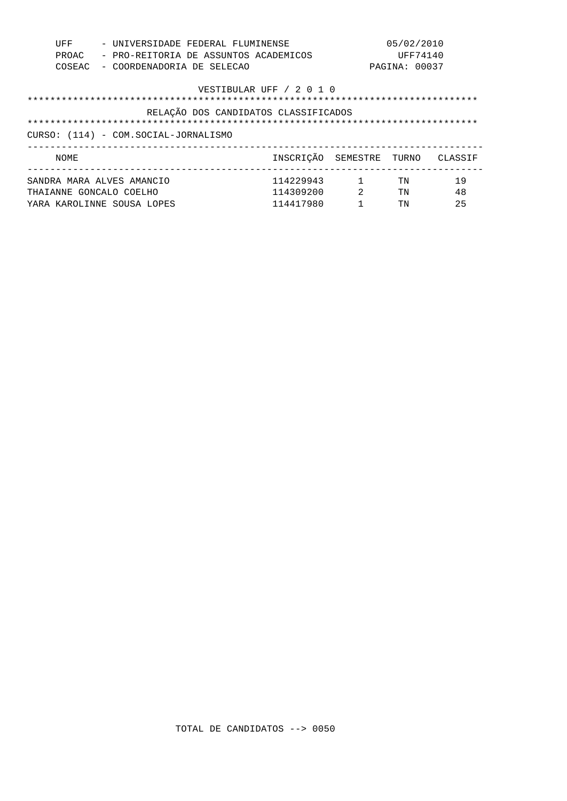| UFF<br>PROAC<br>COSEAC                                                                                                                   | - UNIVERSIDADE FEDERAL FLUMINENSE<br>- PRO-REITORIA DE ASSUNTOS ACADEMICOS<br>- COORDENADORIA DE SELECAO |                                     |                           | 05/02/2010<br>UFF74140<br>PAGINA: 00037 |                |
|------------------------------------------------------------------------------------------------------------------------------------------|----------------------------------------------------------------------------------------------------------|-------------------------------------|---------------------------|-----------------------------------------|----------------|
| VESTIBULAR UFF / 2 0 1 0<br>RELAÇÃO DOS CANDIDATOS CLASSIFICADOS<br>****************************<br>CURSO: (114) - COM.SOCIAL-JORNALISMO |                                                                                                          |                                     |                           |                                         |                |
| <b>NOME</b>                                                                                                                              |                                                                                                          | INSCRIÇÃO SEMESTRE TURNO            |                           |                                         | CLASSIF        |
| THAIANNE GONCALO COELHO                                                                                                                  | SANDRA MARA ALVES AMANCIO<br>YARA KAROLINNE SOUSA LOPES                                                  | 114229943<br>114309200<br>114417980 | $\sim$ 1<br>$\mathcal{L}$ | TN<br>TN<br>ΤN                          | 19<br>48<br>25 |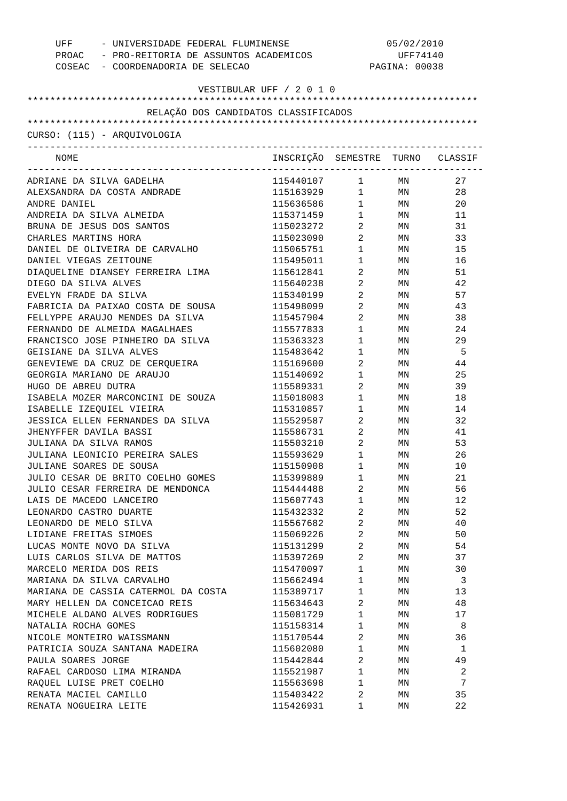| UFF                                                         | - UNIVERSIDADE FEDERAL FLUMINENSE           |                                               | 05/02/2010    |          |  |  |
|-------------------------------------------------------------|---------------------------------------------|-----------------------------------------------|---------------|----------|--|--|
|                                                             | PROAC - PRO-REITORIA DE ASSUNTOS ACADEMICOS |                                               | UFF74140      |          |  |  |
| COSEAC - COORDENADORIA DE SELECAO                           |                                             |                                               | PAGINA: 00038 |          |  |  |
|                                                             |                                             |                                               |               |          |  |  |
| VESTIBULAR UFF / 2 0 1 0                                    |                                             |                                               |               |          |  |  |
| RELAÇÃO DOS CANDIDATOS CLASSIFICADOS                        |                                             |                                               |               |          |  |  |
|                                                             |                                             |                                               |               |          |  |  |
| CURSO: (115) - AROUIVOLOGIA                                 |                                             |                                               |               |          |  |  |
|                                                             |                                             |                                               |               |          |  |  |
| NOME                                                        | INSCRIÇÃO SEMESTRE TURNO CLASSIF            |                                               |               |          |  |  |
| ADRIANE DA SILVA GADELHA                                    | 115440107                                   | 1                                             | MN            | 27       |  |  |
| ALEXSANDRA DA COSTA ANDRADE                                 | 115163929                                   |                                               | $1$ MN        | 28       |  |  |
| ANDRE DANIEL                                                | 115636586                                   |                                               | $1$ MN        | 20       |  |  |
| ANDREIA DA SILVA ALMEIDA                                    | 115371459                                   | $1$ $\hfill$                                  | MN            | 11       |  |  |
| BRUNA DE JESUS DOS SANTOS                                   | 115023272                                   | $\overline{a}$                                | MN            | 31       |  |  |
| CHARLES MARTINS HORA                                        | 115023090                                   | $\overline{a}$                                | MN            | 33       |  |  |
| DANIEL DE OLIVEIRA DE CARVALHO                              | 115065751                                   | 1                                             | MN            | 15       |  |  |
| DANIEL VIEGAS ZEITOUNE                                      | 115495011                                   | $\mathbf{1}$                                  | MN            | 16       |  |  |
| DIAQUELINE DIANSEY FERREIRA LIMA                            | 115612841                                   | $\overline{a}$                                | MN            | 51       |  |  |
| DIEGO DA SILVA ALVES                                        | 115640238                                   | $\overline{a}$                                | MN            | 42       |  |  |
| EVELYN FRADE DA SILVA                                       | 115340199                                   | $\overline{2}$                                | MN            | 57       |  |  |
| FABRICIA DA PAIXAO COSTA DE SOUSA                           | 115498099                                   | $\overline{a}$                                | MN            | 43       |  |  |
| FELLYPPE ARAUJO MENDES DA SILVA                             | 115457904                                   | $\overline{a}$                                | MN            | 38       |  |  |
| FERNANDO DE ALMEIDA MAGALHAES                               | 115577833                                   | $\mathbf 1$                                   | MN            | 24       |  |  |
| FRANCISCO JOSE PINHEIRO DA SILVA                            | 115363323                                   | $\begin{array}{ccc} 1 & & \\ & & \end{array}$ | MN            | 29       |  |  |
| GEISIANE DA SILVA ALVES                                     | 115483642                                   | $\begin{array}{ccc} 1 & & \\ & & \end{array}$ | MN            | 5        |  |  |
| GENEVIEWE DA CRUZ DE CERQUEIRA                              | 115169600                                   | $\overline{a}$                                | MN            | 44       |  |  |
| GEORGIA MARIANO DE ARAUJO                                   | 115140692                                   | $\mathbf{1}$                                  | MN            | 25       |  |  |
| HUGO DE ABREU DUTRA                                         | 115589331                                   | $\overline{a}$                                | MN            | 39       |  |  |
| ISABELA MOZER MARCONCINI DE SOUZA                           | 115018083                                   | $\mathbf{1}$                                  | MN            | 18       |  |  |
| ISABELLE IZEQUIEL VIEIRA                                    | 115310857                                   | $\begin{array}{ccc} 1 & & \\ & & \end{array}$ | MN            | 14       |  |  |
| JESSICA ELLEN FERNANDES DA SILVA                            | 115529587                                   | $\overline{a}$                                | MN            | 32       |  |  |
| JHENYFFER DAVILA BASSI                                      | 115586731                                   | $\overline{a}$                                | MN            | 41       |  |  |
| JULIANA DA SILVA RAMOS                                      | 115503210                                   | $\overline{a}$                                | MN            | 53       |  |  |
| JULIANA LEONICIO PEREIRA SALES                              | 115593629                                   | $1 \quad \blacksquare$                        | MN            | 26       |  |  |
| JULIANE SOARES DE SOUSA                                     | 115150908                                   | 1                                             | MN            | 10       |  |  |
|                                                             | 115399889                                   | 1                                             |               | 21       |  |  |
| JULIO CESAR DE BRITO COELHO GOMES                           |                                             | 2                                             | ΜN            | 56       |  |  |
| JULIO CESAR FERREIRA DE MENDONCA<br>LAIS DE MACEDO LANCEIRO | 115444488                                   | 1                                             | ΜN            |          |  |  |
| LEONARDO CASTRO DUARTE                                      | 115607743<br>115432332                      | 2                                             | ΜN            | 12<br>52 |  |  |
|                                                             |                                             |                                               | ΜN            |          |  |  |
| LEONARDO DE MELO SILVA                                      | 115567682                                   | 2                                             | ΜN            | 40       |  |  |
| LIDIANE FREITAS SIMOES                                      | 115069226                                   | 2                                             | ΜN            | 50       |  |  |
| LUCAS MONTE NOVO DA SILVA                                   | 115131299                                   | $\overline{2}$                                | ΜN            | 54       |  |  |
| LUIS CARLOS SILVA DE MATTOS                                 | 115397269                                   | $\overline{2}$                                | ΜN            | 37       |  |  |
| MARCELO MERIDA DOS REIS                                     | 115470097                                   | $\mathbf{1}$                                  | ΜN            | 30       |  |  |
| MARIANA DA SILVA CARVALHO                                   | 115662494                                   | $\mathbf{1}$                                  | ΜN            | 3        |  |  |
| MARIANA DE CASSIA CATERMOL DA COSTA                         | 115389717                                   | 1                                             | ΜN            | 13       |  |  |
| MARY HELLEN DA CONCEICAO REIS                               | 115634643                                   | 2                                             | ΜN            | 48       |  |  |
| MICHELE ALDANO ALVES RODRIGUES                              | 115081729                                   | $\mathbf{1}$                                  | ΜN            | 17       |  |  |
| NATALIA ROCHA GOMES                                         | 115158314                                   | 1                                             | ΜN            | 8        |  |  |
| NICOLE MONTEIRO WAISSMANN                                   | 115170544                                   | 2                                             | ΜN            | 36       |  |  |
| PATRICIA SOUZA SANTANA MADEIRA                              | 115602080                                   | 1                                             | ΜN            | 1        |  |  |
| PAULA SOARES JORGE                                          | 115442844                                   | 2                                             | ΜN            | 49       |  |  |
| RAFAEL CARDOSO LIMA MIRANDA                                 | 115521987                                   | $\mathbf{1}$                                  | ΜN            | 2        |  |  |
| RAQUEL LUISE PRET COELHO                                    | 115563698                                   | 1                                             | ΜN            | 7        |  |  |
| RENATA MACIEL CAMILLO                                       | 115403422                                   | 2                                             | ΜN            | 35       |  |  |
| RENATA NOGUEIRA LEITE                                       | 115426931                                   | 1                                             | ΜN            | 22       |  |  |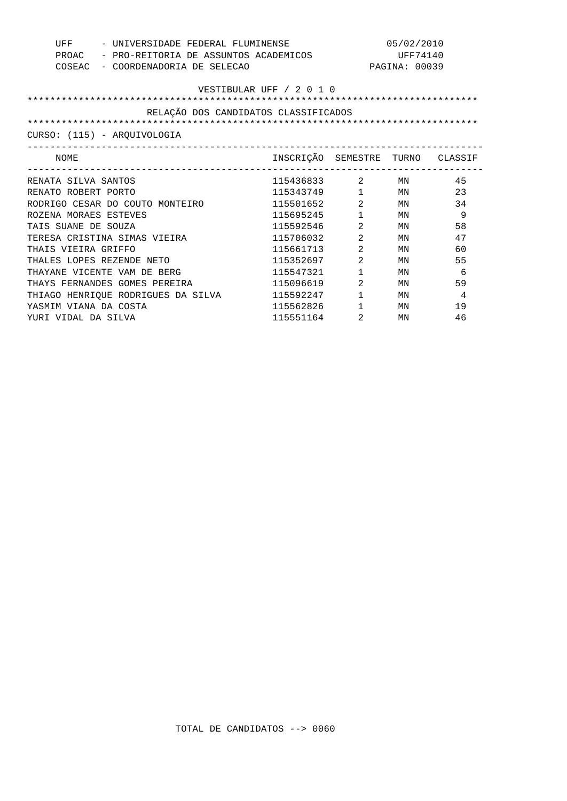| - UNIVERSIDADE FEDERAL FLUMINENSE<br>UFF | 05/02/2010                                  |                        |               |                |  |  |
|------------------------------------------|---------------------------------------------|------------------------|---------------|----------------|--|--|
|                                          | PROAC - PRO-REITORIA DE ASSUNTOS ACADEMICOS |                        |               | UFF74140       |  |  |
| COSEAC - COORDENADORIA DE SELECAO        |                                             |                        | PAGINA: 00039 |                |  |  |
|                                          |                                             |                        |               |                |  |  |
| VESTIBULAR UFF / 2 0 1 0                 |                                             |                        |               |                |  |  |
|                                          |                                             |                        |               |                |  |  |
| RELAÇÃO DOS CANDIDATOS CLASSIFICADOS     |                                             |                        |               |                |  |  |
|                                          |                                             |                        |               |                |  |  |
| CURSO: (115) - AROUIVOLOGIA              |                                             |                        |               |                |  |  |
| NOME                                     | INSCRIÇÃO SEMESTRE TURNO CLASSIF            |                        |               |                |  |  |
| RENATA SILVA SANTOS                      | 115436833 2 MN                              |                        |               | 45             |  |  |
| RENATO ROBERT PORTO                      | 115343749 1 MN                              |                        |               | 23             |  |  |
| RODRIGO CESAR DO COUTO MONTEIRO          | 115501652 2 MN                              |                        |               | 34             |  |  |
| ROZENA MORAES ESTEVES                    | 115695245                                   | $1$ MN                 |               | 9              |  |  |
| TAIS SUANE DE SOUZA                      | 115592546                                   | $\overline{2}$         | MN            | 58             |  |  |
| TERESA CRISTINA SIMAS VIEIRA             | 115706032                                   | 2                      | MN            | 47             |  |  |
| THAIS VIEIRA GRIFFO                      | 115661713                                   | $\overline{2}$         | MN            | 60             |  |  |
| THALES LOPES REZENDE NETO                | 115352697                                   | $\overline{2}$         | MN            | 55             |  |  |
| THAYANE VICENTE VAM DE BERG              | 115547321                                   | $1 \quad \blacksquare$ | MN            | 6              |  |  |
| THAYS FERNANDES GOMES PEREIRA            | 115096619                                   | 2                      | MN            | 59             |  |  |
| THIAGO HENRIQUE RODRIGUES DA SILVA       | 115592247                                   | $1 \quad \blacksquare$ | MN            | $\overline{4}$ |  |  |
| YASMIM VIANA DA COSTA                    | 115562826                                   | $1$ MN                 |               | 19             |  |  |
| YURI VIDAL DA SILVA                      | 115551164                                   | 2                      | ΜN            | 46             |  |  |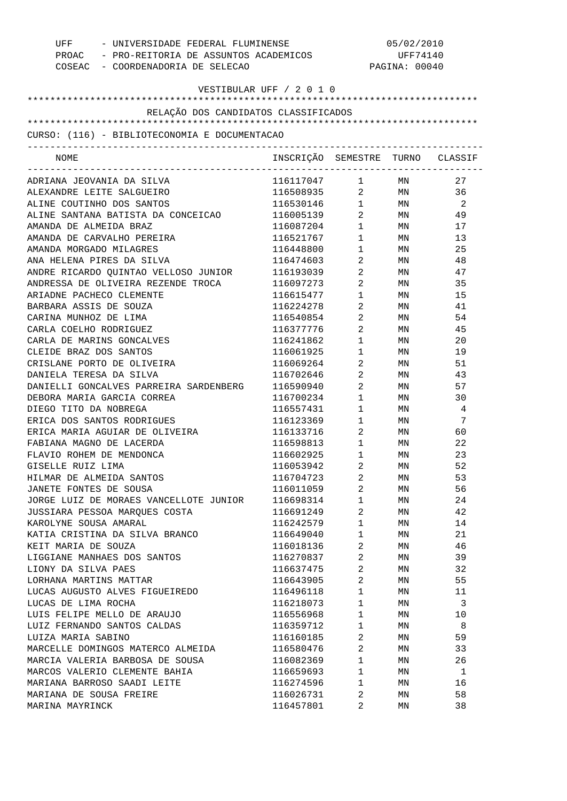| UFF<br>- UNIVERSIDADE FEDERAL FLUMINENSE<br>PROAC - PRO-REITORIA DE ASSUNTOS ACADEMICOS<br>COSEAC - COORDENADORIA DE SELECAO |                                  |                                   | 05/02/2010<br>UFF74140<br>PAGINA: 00040 |                |  |
|------------------------------------------------------------------------------------------------------------------------------|----------------------------------|-----------------------------------|-----------------------------------------|----------------|--|
| VESTIBULAR UFF / 2 0 1 0                                                                                                     |                                  |                                   |                                         |                |  |
| RELAÇÃO DOS CANDIDATOS CLASSIFICADOS                                                                                         |                                  |                                   |                                         |                |  |
|                                                                                                                              |                                  |                                   |                                         |                |  |
| CURSO: (116) - BIBLIOTECONOMIA E DOCUMENTACAO                                                                                |                                  |                                   |                                         |                |  |
| ------------------------------------<br>NOME                                                                                 | INSCRIÇÃO SEMESTRE TURNO CLASSIF |                                   |                                         |                |  |
| ADRIANA JEOVANIA DA SILVA                                                                                                    | 116117047 1                      |                                   | MN                                      | 27             |  |
| ALEXANDRE LEITE SALGUEIRO                                                                                                    | 116508935 2 MN                   |                                   |                                         | 36             |  |
| ALINE COUTINHO DOS SANTOS                                                                                                    | 116530146 1                      |                                   | MN                                      | $\overline{2}$ |  |
| ALINE SANTANA BATISTA DA CONCEICAO                                                                                           | 116005139                        | $\overline{2}$                    | MN                                      | 49             |  |
| AMANDA DE ALMEIDA BRAZ                                                                                                       | 116087204                        | $1 \quad \blacksquare$            | MN                                      | 17             |  |
| AMANDA DE CARVALHO PEREIRA                                                                                                   | 116521767                        | $1 \quad \blacksquare$            | <b>MN</b>                               | 13             |  |
| AMANDA MORGADO MILAGRES                                                                                                      | 116448800                        | $1 \qquad \qquad$                 | MN                                      | 25             |  |
| ANA HELENA PIRES DA SILVA                                                                                                    | 116474603                        | $\overline{2}$ and $\overline{2}$ | MN                                      | 48             |  |
| ANDRE RICARDO QUINTAO VELLOSO JUNIOR                                                                                         | 116193039                        | $\overline{2}$ and $\overline{2}$ | MN                                      | 47             |  |
| ANDRESSA DE OLIVEIRA REZENDE TROCA                                                                                           | 116097273                        | $\overline{2}$ and $\overline{2}$ | MN                                      | 35             |  |
| ARIADNE PACHECO CLEMENTE                                                                                                     | 116615477                        | $\mathbf{1}$                      | MN                                      | 15             |  |
| BARBARA ASSIS DE SOUZA                                                                                                       | 116224278                        | 2                                 | MN                                      | 41             |  |
| CARINA MUNHOZ DE LIMA                                                                                                        | 116540854                        | $\overline{2}$ and $\overline{2}$ | MN                                      | 54             |  |
| CARLA COELHO RODRIGUEZ                                                                                                       | 116377776                        | $\overline{2}$ and $\overline{2}$ | MN                                      | 45             |  |
| CARLA DE MARINS GONCALVES                                                                                                    | 116241862                        | $\mathbf{1}$                      | MN                                      | 20             |  |
| CLEIDE BRAZ DOS SANTOS                                                                                                       | 116061925                        | $\mathbf{1}$                      | MN                                      | 19             |  |
| CRISLANE PORTO DE OLIVEIRA                                                                                                   | 116069264                        | $\overline{2}$ and $\overline{2}$ | MN                                      | 51             |  |
| DANIELA TERESA DA SILVA                                                                                                      | 116702646                        | $\overline{2}$ and $\overline{2}$ | MN                                      | 43             |  |
| DANIELLI GONCALVES PARREIRA SARDENBERG                                                                                       | 116590940                        | $\overline{2}$ and $\overline{2}$ | MN                                      | 57             |  |
| DEBORA MARIA GARCIA CORREA                                                                                                   | 116700234                        | $\mathbf{1}$                      | MN                                      | 30             |  |
| DIEGO TITO DA NOBREGA                                                                                                        | 116557431                        | $1 \qquad \qquad$                 | MN                                      | 4              |  |
| ERICA DOS SANTOS RODRIGUES                                                                                                   | 116123369                        | $1 \quad \blacksquare$            | MN                                      | 7              |  |
| ERICA MARIA AGUIAR DE OLIVEIRA                                                                                               | 116133716                        | $\overline{2}$                    | MN                                      | 60             |  |
| FABIANA MAGNO DE LACERDA                                                                                                     | 116598813                        | $1 \quad \blacksquare$            | MN                                      | 22             |  |
| FLAVIO ROHEM DE MENDONCA                                                                                                     | 116602925                        | $\mathbf{1}$                      | MN                                      | 23             |  |
| GISELLE RUIZ LIMA                                                                                                            | 116053942                        | 2                                 | ΜN                                      | 52             |  |
| HILMAR DE ALMEIDA SANTOS                                                                                                     | 116704723                        | $\overline{2}$                    | ΜN                                      | 53             |  |
| JANETE FONTES DE SOUSA                                                                                                       | 116011059                        | $\sqrt{2}$                        | ΜN                                      | 56             |  |
| JORGE LUIZ DE MORAES VANCELLOTE JUNIOR                                                                                       | 116698314                        | $\mathbf{1}$                      | MΝ                                      | 24             |  |
| JUSSIARA PESSOA MAROUES COSTA                                                                                                | 116691249                        | 2                                 | MΝ                                      | 42             |  |
| KAROLYNE SOUSA AMARAL                                                                                                        | 116242579                        | $\mathbf{1}$                      | MΝ                                      | 14             |  |
| KATIA CRISTINA DA SILVA BRANCO                                                                                               | 116649040                        | 1                                 | MΝ                                      | 21             |  |
| KEIT MARIA DE SOUZA                                                                                                          | 116018136                        | $\overline{2}$                    | MΝ                                      | 46             |  |
| LIGGIANE MANHAES DOS SANTOS                                                                                                  | 116270837                        | 2                                 | MΝ                                      | 39             |  |
| LIONY DA SILVA PAES                                                                                                          | 116637475                        | $\overline{2}$                    | MΝ                                      | 32             |  |
| LORHANA MARTINS MATTAR                                                                                                       | 116643905                        | 2                                 | MΝ                                      | 55             |  |
| LUCAS AUGUSTO ALVES FIGUEIREDO                                                                                               | 116496118                        | $\mathbf{1}$                      | MΝ                                      | 11             |  |
| LUCAS DE LIMA ROCHA                                                                                                          | 116218073                        | 1                                 | MΝ                                      | 3              |  |
| LUIS FELIPE MELLO DE ARAUJO                                                                                                  | 116556968                        | $\mathbf{1}$                      | MΝ                                      | 10             |  |
| LUIZ FERNANDO SANTOS CALDAS                                                                                                  | 116359712                        | 1                                 | MΝ                                      | 8              |  |
| LUIZA MARIA SABINO                                                                                                           | 116160185                        | 2                                 | MΝ                                      | 59             |  |
| MARCELLE DOMINGOS MATERCO ALMEIDA                                                                                            | 116580476                        | 2                                 | MΝ                                      | 33             |  |
| MARCIA VALERIA BARBOSA DE SOUSA                                                                                              | 116082369                        | $\mathbf{1}$                      | MΝ                                      | 26             |  |
| MARCOS VALERIO CLEMENTE BAHIA                                                                                                | 116659693                        | $\mathbf{1}$                      | MΝ                                      | 1              |  |
| MARIANA BARROSO SAADI LEITE                                                                                                  | 116274596                        | $\mathbf{1}$                      | MΝ                                      | 16             |  |
| MARIANA DE SOUSA FREIRE                                                                                                      | 116026731                        | 2                                 | MΝ                                      | 58             |  |
| MARINA MAYRINCK                                                                                                              | 116457801                        | 2                                 | MΝ                                      | 38             |  |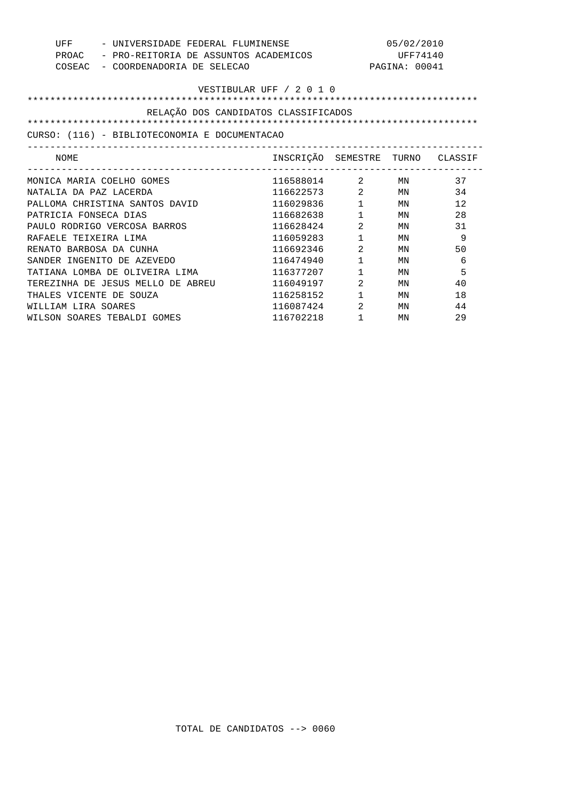| UFF<br>PROAC<br>COSEAC   | - UNIVERSIDADE FEDERAL FLUMINENSE<br>- PRO-REITORIA DE ASSUNTOS ACADEMICOS<br>- COORDENADORIA DE SELECAO |                                  |                                | 05/02/2010<br>UFF74140<br>PAGINA: 00041 |    |  |
|--------------------------|----------------------------------------------------------------------------------------------------------|----------------------------------|--------------------------------|-----------------------------------------|----|--|
| VESTIBULAR UFF / 2 0 1 0 |                                                                                                          |                                  |                                |                                         |    |  |
|                          | RELAÇÃO DOS CANDIDATOS CLASSIFICADOS                                                                     |                                  |                                |                                         |    |  |
|                          |                                                                                                          |                                  |                                |                                         |    |  |
|                          | CURSO: (116) - BIBLIOTECONOMIA E DOCUMENTACAO                                                            |                                  |                                |                                         |    |  |
| NOME                     |                                                                                                          | INSCRIÇÃO SEMESTRE TURNO CLASSIF |                                |                                         |    |  |
|                          | MONICA MARIA COELHO GOMES                                                                                | 116588014 2                      |                                | MN                                      | 37 |  |
| NATALIA DA PAZ LACERDA   |                                                                                                          | 116622573                        | $2 \left( \frac{1}{2} \right)$ | ΜN                                      | 34 |  |
|                          | PALLOMA CHRISTINA SANTOS DAVID                                                                           | 116029836                        | $1 \quad \blacksquare$         | MN                                      | 12 |  |
| PATRICIA FONSECA DIAS    |                                                                                                          | 116682638                        | $\mathbf{1}$                   | MN                                      | 28 |  |
|                          | PAULO RODRIGO VERCOSA BARROS                                                                             | 116628424                        | 2                              | MN                                      | 31 |  |
| RAFAELE TEIXEIRA LIMA    |                                                                                                          | 116059283                        | $\mathbf{1}$                   | MN                                      | 9  |  |
| RENATO BARBOSA DA CUNHA  |                                                                                                          | 116692346                        | 2                              | MN                                      | 50 |  |
|                          | SANDER INGENITO DE AZEVEDO                                                                               | 116474940                        | $\mathbf{1}$                   | MN                                      | 6  |  |
|                          | TATIANA LOMBA DE OLIVEIRA LIMA                                                                           | 116377207                        | $\mathbf{1}$                   | MN                                      | 5  |  |
|                          | TEREZINHA DE JESUS MELLO DE ABREU                                                                        | 116049197                        | 2                              | MN                                      | 40 |  |
| THALES VICENTE DE SOUZA  |                                                                                                          | 116258152                        | $\mathbf{1}$                   | ΜN                                      | 18 |  |
| WILLIAM LIRA SOARES      |                                                                                                          | 116087424                        | 2                              | MN                                      | 44 |  |
|                          | WILSON SOARES TEBALDI GOMES                                                                              | 116702218                        | 1                              | ΜN                                      | 29 |  |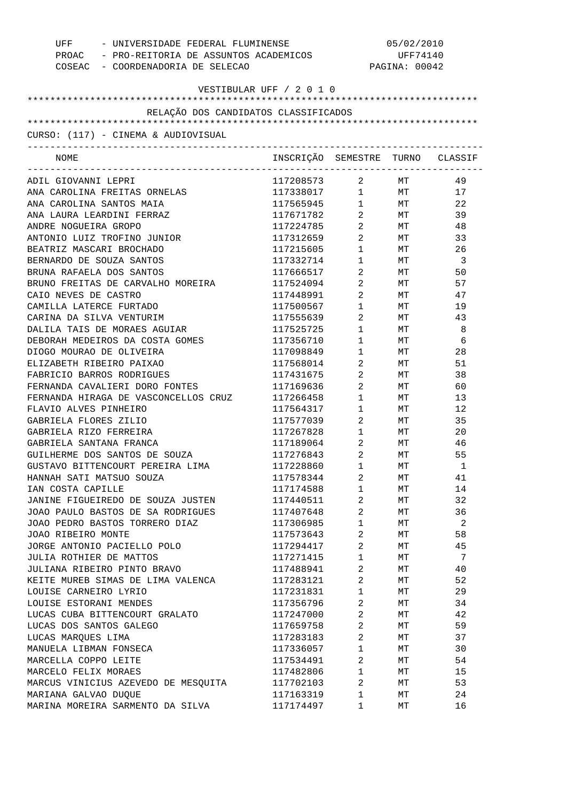| UFF                                  | - UNIVERSIDADE FEDERAL FLUMINENSE<br>PROAC - PRO-REITORIA DE ASSUNTOS ACADEMICOS |                                               | 05/02/2010<br>UFF74140<br>PAGINA: 00042 |                         |  |  |
|--------------------------------------|----------------------------------------------------------------------------------|-----------------------------------------------|-----------------------------------------|-------------------------|--|--|
| COSEAC - COORDENADORIA DE SELECAO    |                                                                                  |                                               |                                         |                         |  |  |
| VESTIBULAR UFF / 2 0 1 0             |                                                                                  |                                               |                                         |                         |  |  |
|                                      |                                                                                  |                                               |                                         |                         |  |  |
| RELAÇÃO DOS CANDIDATOS CLASSIFICADOS |                                                                                  |                                               |                                         |                         |  |  |
|                                      |                                                                                  |                                               |                                         |                         |  |  |
| CURSO: (117) - CINEMA & AUDIOVISUAL  |                                                                                  |                                               |                                         |                         |  |  |
| NOME                                 | INSCRIÇÃO SEMESTRE TURNO CLASSIF                                                 |                                               |                                         |                         |  |  |
| ADIL GIOVANNI LEPRI                  | 117208573                                                                        | $\overline{a}$                                | <b>MT</b>                               | 49                      |  |  |
| ANA CAROLINA FREITAS ORNELAS         | 117338017                                                                        | $1 \quad \blacksquare$                        | MT                                      | 17                      |  |  |
| ANA CAROLINA SANTOS MAIA             | 117565945                                                                        | $\begin{array}{ccc} 1 & & \\ & & \end{array}$ | MT                                      | 22                      |  |  |
| ANA LAURA LEARDINI FERRAZ            | 117671782                                                                        | $\overline{a}$                                | МT                                      | 39                      |  |  |
| ANDRE NOGUEIRA GROPO                 | 117224785                                                                        | $\overline{a}$                                | MT                                      | 48                      |  |  |
| ANTONIO LUIZ TROFINO JUNIOR          | 117312659                                                                        | $\overline{a}$                                | МT                                      | 33                      |  |  |
| BEATRIZ MASCARI BROCHADO             | 117215605                                                                        | $1 \quad \Box$                                | МT                                      | 26                      |  |  |
| BERNARDO DE SOUZA SANTOS             | 117332714                                                                        | $1 \quad \Box$                                | МT                                      | $\overline{\mathbf{3}}$ |  |  |
| BRUNA RAFAELA DOS SANTOS             | 117666517                                                                        | $\overline{2}$                                | МT                                      | 50                      |  |  |
| BRUNO FREITAS DE CARVALHO MOREIRA    | 117524094                                                                        | $2 \left( \frac{1}{2} \right)$                | МT                                      | 57                      |  |  |
| CAIO NEVES DE CASTRO                 | 117448991                                                                        | $\overline{2}$                                | МT                                      | 47                      |  |  |
| CAMILLA LATERCE FURTADO              | 117500567                                                                        | $1 \quad \blacksquare$                        | МT                                      | 19                      |  |  |
| CARINA DA SILVA VENTURIM             | 117555639                                                                        | $\overline{2}$                                | МT                                      | 43                      |  |  |
| DALILA TAIS DE MORAES AGUIAR         | 117525725                                                                        | $1 \quad \blacksquare$                        | МT                                      | 8                       |  |  |
| DEBORAH MEDEIROS DA COSTA GOMES      | 117356710                                                                        | $1 \quad \Box$                                | МT                                      | - 6                     |  |  |
| DIOGO MOURAO DE OLIVEIRA             | 117098849                                                                        | $1 \quad \blacksquare$                        | МT                                      | 28                      |  |  |
| ELIZABETH RIBEIRO PAIXAO             | 117568014                                                                        | $2^{\circ}$                                   | МT                                      | 51                      |  |  |
| FABRICIO BARROS RODRIGUES            | 117431675                                                                        | $2^{\circ}$                                   | МT                                      | 38                      |  |  |
| FERNANDA CAVALIERI DORO FONTES       | 117169636                                                                        | $\overline{2}$                                | МT                                      | 60                      |  |  |
| FERNANDA HIRAGA DE VASCONCELLOS CRUZ | 117266458                                                                        | $1 \quad \blacksquare$                        | МT                                      | 13                      |  |  |
| FLAVIO ALVES PINHEIRO                | 117564317                                                                        | $1 \quad \blacksquare$                        | МT                                      | 12                      |  |  |
| GABRIELA FLORES ZILIO                | 117577039                                                                        | $\overline{2}$                                | МT                                      | 35                      |  |  |
| GABRIELA RIZO FERREIRA               | 117267828                                                                        | $1 \quad \blacksquare$                        | МT                                      | 20                      |  |  |
| GABRIELA SANTANA FRANCA              | 117189064                                                                        | $2^{\circ}$                                   | МT                                      | 46                      |  |  |
| GUILHERME DOS SANTOS DE SOUZA        | 117276843                                                                        | $\overline{a}$                                | МT                                      | 55                      |  |  |
| GUSTAVO BITTENCOURT PEREIRA LIMA     | 117228860                                                                        | $\mathbf{1}$                                  | $\rm{MT}$                               | $\mathbf{1}$            |  |  |
| HANNAH SATI MATSUO SOUZA             | 117578344                                                                        | 2                                             | МT                                      | 41                      |  |  |
| IAN COSTA CAPILLE                    | 117174588                                                                        | $\mathbf 1$                                   | МT                                      | 14                      |  |  |
| JANINE FIGUEIREDO DE SOUZA JUSTEN    | 117440511                                                                        | 2                                             | МT                                      | 32                      |  |  |
| JOAO PAULO BASTOS DE SA RODRIGUES    | 117407648                                                                        | 2                                             | МT                                      | 36                      |  |  |
| JOAO PEDRO BASTOS TORRERO DIAZ       | 117306985                                                                        | $\mathbf 1$                                   | МT                                      | 2                       |  |  |
| JOAO RIBEIRO MONTE                   | 117573643                                                                        | 2                                             | МT                                      | 58                      |  |  |
| JORGE ANTONIO PACIELLO POLO          | 117294417                                                                        | $\overline{a}$                                | МT                                      | 45                      |  |  |
| JULIA ROTHIER DE MATTOS              | 117271415                                                                        | $\mathbf 1$                                   | МT                                      | 7                       |  |  |
| JULIANA RIBEIRO PINTO BRAVO          | 117488941                                                                        | 2                                             | МT                                      | 40                      |  |  |
| KEITE MUREB SIMAS DE LIMA VALENCA    | 117283121                                                                        | $\overline{2}$                                | МT                                      | 52                      |  |  |
| LOUISE CARNEIRO LYRIO                | 117231831                                                                        | $\mathbf 1$                                   | МT                                      | 29                      |  |  |
| LOUISE ESTORANI MENDES               | 117356796                                                                        | $\overline{\mathbf{c}}$                       | МT                                      | 34                      |  |  |
| LUCAS CUBA BITTENCOURT GRALATO       | 117247000                                                                        | $\overline{2}$                                | МT                                      | 42                      |  |  |
| LUCAS DOS SANTOS GALEGO              | 117659758                                                                        | 2                                             | МT                                      | 59                      |  |  |
| LUCAS MARQUES LIMA                   | 117283183                                                                        | $\overline{c}$                                | МT                                      | 37                      |  |  |
| MANUELA LIBMAN FONSECA               | 117336057                                                                        | $\mathbf 1$                                   | МT                                      | 30                      |  |  |
| MARCELLA COPPO LEITE                 | 117534491                                                                        | 2                                             | МT                                      | 54                      |  |  |
| MARCELO FELIX MORAES                 | 117482806                                                                        | $\mathbf 1$                                   | МT                                      | 15                      |  |  |
| MARCUS VINICIUS AZEVEDO DE MESQUITA  | 117702103                                                                        | 2                                             | МT                                      | 53                      |  |  |
| MARIANA GALVAO DUQUE                 | 117163319                                                                        | $\mathbf 1$                                   | МT                                      | 24                      |  |  |
| MARINA MOREIRA SARMENTO DA SILVA     | 117174497                                                                        | 1                                             | MT                                      | 16                      |  |  |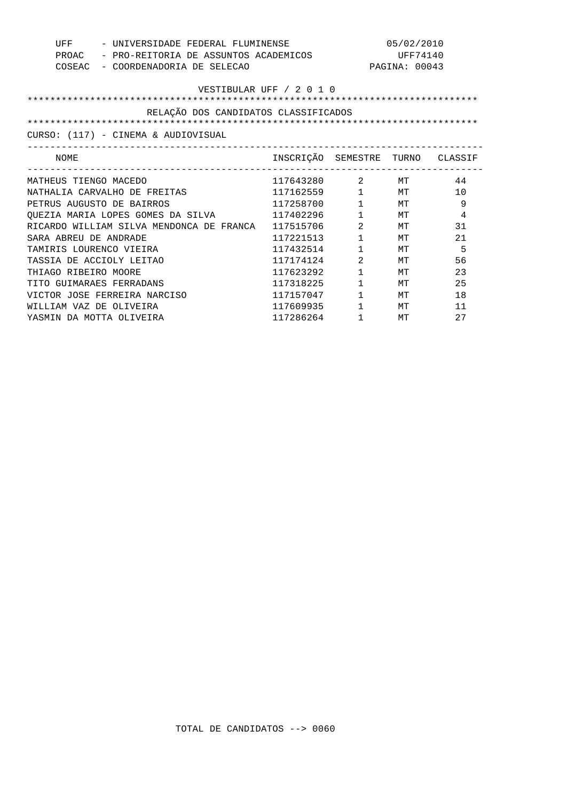| UFF                      | - UNIVERSIDADE FEDERAL FLUMINENSE                  |                                  |                        | 05/02/2010    |    |  |  |
|--------------------------|----------------------------------------------------|----------------------------------|------------------------|---------------|----|--|--|
|                          | PROAC - PRO-REITORIA DE ASSUNTOS ACADEMICOS        |                                  |                        | UFF74140      |    |  |  |
|                          | COSEAC - COORDENADORIA DE SELECAO                  |                                  |                        | PAGINA: 00043 |    |  |  |
|                          |                                                    |                                  |                        |               |    |  |  |
|                          | VESTIBULAR UFF / 2 0 1 0                           |                                  |                        |               |    |  |  |
|                          | RELAÇÃO DOS CANDIDATOS CLASSIFICADOS               |                                  |                        |               |    |  |  |
|                          |                                                    |                                  |                        |               |    |  |  |
|                          | CURSO: (117) - CINEMA & AUDIOVISUAL                |                                  |                        |               |    |  |  |
|                          |                                                    |                                  |                        |               |    |  |  |
| NOME                     |                                                    | INSCRIÇÃO SEMESTRE TURNO CLASSIF |                        |               |    |  |  |
|                          |                                                    |                                  |                        |               |    |  |  |
| MATHEUS TIENGO MACEDO    |                                                    | 117643280 2 MT                   |                        |               | 44 |  |  |
|                          | NATHALIA CARVALHO DE FREITAS                       | 117162559 1 MT                   |                        |               | 10 |  |  |
|                          | PETRUS AUGUSTO DE BAIRROS                          | 117258700 1 MT                   |                        |               | 9  |  |  |
|                          | QUEZIA MARIA LOPES GOMES DA SILVA $117402296$      |                                  |                        | $1$ MT        | 4  |  |  |
|                          | RICARDO WILLIAM SILVA MENDONCA DE FRANCA 117515706 |                                  | $2$ MT                 |               | 31 |  |  |
| SARA ABREU DE ANDRADE    |                                                    | 117221513                        | $1 \qquad \qquad$      | МT            | 21 |  |  |
| TAMIRIS LOURENCO VIEIRA  |                                                    | 117432514                        | $1 \quad \blacksquare$ | МT            | 5  |  |  |
|                          | TASSIA DE ACCIOLY LEITAO                           | 117174124                        | $\overline{2}$         | МT            | 56 |  |  |
| THIAGO RIBEIRO MOORE     |                                                    | 117623292                        | $1 \quad \Box$         | МT            | 23 |  |  |
| TITO GUIMARAES FERRADANS |                                                    | 117318225                        | $1 \quad \blacksquare$ | МT            | 25 |  |  |
|                          | VICTOR JOSE FERREIRA NARCISO                       | 117157047 1 MT                   |                        |               | 18 |  |  |
| WILLIAM VAZ DE OLIVEIRA  |                                                    | 117609935 1 MT                   |                        |               | 11 |  |  |
|                          | YASMIN DA MOTTA OLIVEIRA                           | 117286264 1                      |                        | MТ            | 27 |  |  |
|                          |                                                    |                                  |                        |               |    |  |  |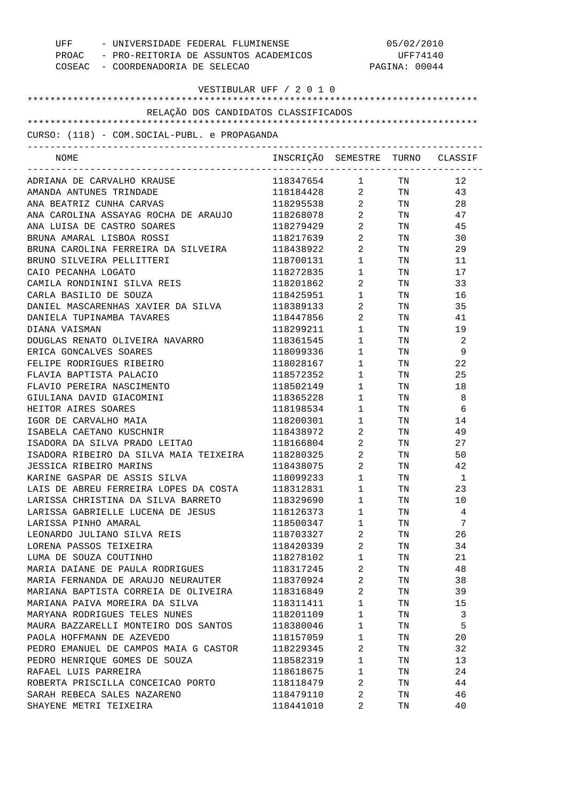| UFF - UNIVERSIDADE FEDERAL FLUMINENSE<br>PROAC - PRO-REITORIA DE ASSUNTOS ACADEMICOS<br>COSEAC - COORDENADORIA DE SELECAO |                                  |                                   | 05/02/2010<br>UFF74140<br>PAGINA: 00044                                                                        |    |  |
|---------------------------------------------------------------------------------------------------------------------------|----------------------------------|-----------------------------------|----------------------------------------------------------------------------------------------------------------|----|--|
| VESTIBULAR UFF / 2 0 1 0                                                                                                  |                                  |                                   |                                                                                                                |    |  |
| RELAÇÃO DOS CANDIDATOS CLASSIFICADOS                                                                                      |                                  |                                   |                                                                                                                |    |  |
|                                                                                                                           |                                  |                                   |                                                                                                                |    |  |
| CURSO: (118) - COM.SOCIAL-PUBL. e PROPAGANDA                                                                              |                                  |                                   |                                                                                                                |    |  |
| NOME                                                                                                                      | INSCRIÇÃO SEMESTRE TURNO CLASSIF |                                   |                                                                                                                |    |  |
| ADRIANA DE CARVALHO KRAUSE                                                                                                | 118347654 1 TN                   |                                   |                                                                                                                | 12 |  |
| AMANDA ANTUNES TRINDADE                                                                                                   | 118184428 2 TN                   |                                   |                                                                                                                | 43 |  |
| ANA BEATRIZ CUNHA CARVAS                                                                                                  | 118295538                        | $2 \left( \frac{1}{2} \right)$    | TN 97                                                                                                          | 28 |  |
| ANA CAROLINA ASSAYAG ROCHA DE ARAUJO                                                                                      | 118268078                        | $\overline{2}$                    | TN                                                                                                             | 47 |  |
| ANA LUISA DE CASTRO SOARES                                                                                                | 118279429                        | $\overline{2}$                    | TN                                                                                                             | 45 |  |
| BRUNA AMARAL LISBOA ROSSI                                                                                                 | 118217639                        | $\overline{2}$                    | TN 97                                                                                                          | 30 |  |
| BRUNA CAROLINA FERREIRA DA SILVEIRA                                                                                       | 118438922                        | $\overline{2}$                    | TN                                                                                                             | 29 |  |
| BRUNO SILVEIRA PELLITTERI                                                                                                 | 118700131                        | $1 \quad \blacksquare$            | TN 97                                                                                                          | 11 |  |
| CAIO PECANHA LOGATO                                                                                                       | 118272835                        | $\mathbf{1}$                      | TN 97                                                                                                          | 17 |  |
| CAMILA RONDININI SILVA REIS                                                                                               | 118201862                        | $\overline{2}$                    | TN 50                                                                                                          | 33 |  |
| CARLA BASILIO DE SOUZA                                                                                                    | 118425951                        | $1 \qquad \qquad$                 | TN 50                                                                                                          | 16 |  |
| DANIEL MASCARENHAS XAVIER DA SILVA                                                                                        | 118389133                        | $\overline{2}$ and $\overline{2}$ | TN 50                                                                                                          | 35 |  |
| DANIELA TUPINAMBA TAVARES                                                                                                 | 118447856                        | $\overline{2}$                    | TN TW                                                                                                          | 41 |  |
| DIANA VAISMAN                                                                                                             | 118299211                        | $1 \quad \blacksquare$            | TN TW                                                                                                          | 19 |  |
| DOUGLAS RENATO OLIVEIRA NAVARRO                                                                                           | 118361545                        | $1 \quad \blacksquare$            | TN                                                                                                             | -2 |  |
| ERICA GONCALVES SOARES                                                                                                    | 118099336                        | $1 \qquad \qquad$                 | TN                                                                                                             | 9  |  |
| FELIPE RODRIGUES RIBEIRO                                                                                                  | 118028167                        | $1 \quad \Box$                    | TN                                                                                                             | 22 |  |
| FLAVIA BAPTISTA PALACIO                                                                                                   | 118572352                        | $1 \qquad \qquad$                 | TN                                                                                                             | 25 |  |
| FLAVIO PEREIRA NASCIMENTO                                                                                                 | 118502149                        | $1 \quad \Box$                    | TN                                                                                                             | 18 |  |
| GIULIANA DAVID GIACOMINI                                                                                                  | 118365228                        | $1 \quad \blacksquare$            | TN                                                                                                             | 8  |  |
| HEITOR AIRES SOARES                                                                                                       | 118198534                        | $1 \qquad \qquad$                 | TN                                                                                                             | 6  |  |
| IGOR DE CARVALHO MAIA                                                                                                     | 118200301                        | 1                                 | TN FOR THE THE TEST OF THE TEST OF THE TEST OF THE TEST OF THE TEST OF THE TEST OF THE TEST OF THE TEST OF THE | 14 |  |
| ISABELA CAETANO KUSCHNIR                                                                                                  | 118438972                        | $\overline{2}$                    | TN                                                                                                             | 49 |  |
| ISADORA DA SILVA PRADO LEITAO                                                                                             | 118166804                        | $\overline{2}$                    | TN                                                                                                             | 27 |  |
| ISADORA RIBEIRO DA SILVA MAIA TEIXEIRA                                                                                    | 118280325                        | 2                                 | TN                                                                                                             | 50 |  |
| JESSICA RIBEIRO MARINS                                                                                                    | 118438075                        | 2                                 | TN                                                                                                             | 42 |  |
| KARINE GASPAR DE ASSIS SILVA                                                                                              | 118099233                        | 1                                 | TN                                                                                                             | 1  |  |
| LAIS DE ABREU FERREIRA LOPES DA COSTA                                                                                     | 118312831                        | 1                                 | TN                                                                                                             | 23 |  |
| LARISSA CHRISTINA DA SILVA BARRETO                                                                                        | 118329690                        | $\mathbf{1}$                      | TN                                                                                                             | 10 |  |
| LARISSA GABRIELLE LUCENA DE JESUS                                                                                         | 118126373                        | 1                                 | TN                                                                                                             | 4  |  |
| LARISSA PINHO AMARAL                                                                                                      | 118500347                        | $\mathbf{1}$                      | TN                                                                                                             | 7  |  |
| LEONARDO JULIANO SILVA REIS                                                                                               | 118703327                        | 2                                 | TN                                                                                                             | 26 |  |
| LORENA PASSOS TEIXEIRA                                                                                                    | 118420339                        | 2                                 | TN                                                                                                             | 34 |  |
| LUMA DE SOUZA COUTINHO                                                                                                    | 118278102                        | 1                                 | TN                                                                                                             | 21 |  |
| MARIA DAIANE DE PAULA RODRIGUES                                                                                           | 118317245                        | 2                                 | TN                                                                                                             | 48 |  |
| MARIA FERNANDA DE ARAUJO NEURAUTER                                                                                        | 118370924                        | 2                                 | TN                                                                                                             | 38 |  |
|                                                                                                                           |                                  | $\overline{2}$                    |                                                                                                                |    |  |
| MARIANA BAPTISTA CORREIA DE OLIVEIRA                                                                                      | 118316849                        |                                   | TN                                                                                                             | 39 |  |
| MARIANA PAIVA MOREIRA DA SILVA                                                                                            | 118311411                        | 1                                 | TN                                                                                                             | 15 |  |
| MARYANA RODRIGUES TELES NUNES                                                                                             | 118201109                        | $\mathbf{1}$                      | TN                                                                                                             | 3  |  |
| MAURA BAZZARELLI MONTEIRO DOS SANTOS                                                                                      | 118380046                        | 1                                 | TN                                                                                                             | 5  |  |
| PAOLA HOFFMANN DE AZEVEDO                                                                                                 | 118157059                        | $\mathbf{1}$                      | TN                                                                                                             | 20 |  |
| PEDRO EMANUEL DE CAMPOS MAIA G CASTOR                                                                                     | 118229345                        | 2                                 | TN                                                                                                             | 32 |  |
| PEDRO HENRIQUE GOMES DE SOUZA                                                                                             | 118582319                        | 1                                 | TN                                                                                                             | 13 |  |
| RAFAEL LUIS PARREIRA                                                                                                      | 118618675                        | 1                                 | TN                                                                                                             | 24 |  |
| ROBERTA PRISCILLA CONCEICAO PORTO                                                                                         | 118118479                        | 2                                 | TN                                                                                                             | 44 |  |
| SARAH REBECA SALES NAZARENO                                                                                               | 118479110                        | 2                                 | TN                                                                                                             | 46 |  |
| SHAYENE METRI TEIXEIRA                                                                                                    | 118441010                        | 2                                 | TN                                                                                                             | 40 |  |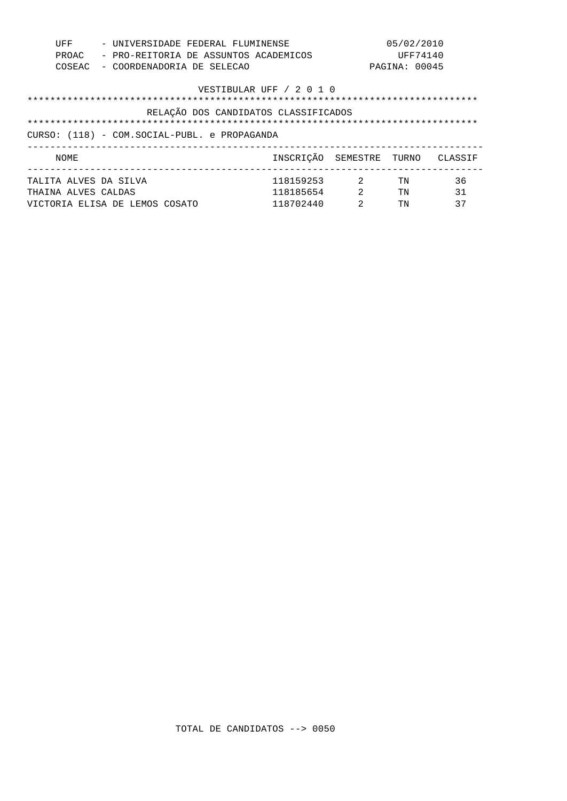| UFF<br>PROAC<br>COSEAC                                                                                           |  | - UNIVERSIDADE FEDERAL FLUMINENSE<br>- PRO-REITORIA DE ASSUNTOS ACADEMICOS<br>- COORDENADORIA DE SELECAO |  |  |                                     |                                             | 05/02/2010<br>UFF74140<br>PAGINA: 00045 |                |
|------------------------------------------------------------------------------------------------------------------|--|----------------------------------------------------------------------------------------------------------|--|--|-------------------------------------|---------------------------------------------|-----------------------------------------|----------------|
| VESTIBULAR UFF / 2 0 1 0<br>RELAÇÃO DOS CANDIDATOS CLASSIFICADOS<br>CURSO: (118) - COM.SOCIAL-PUBL. e PROPAGANDA |  |                                                                                                          |  |  |                                     |                                             |                                         |                |
| NOME                                                                                                             |  |                                                                                                          |  |  | INSCRICÃO SEMESTRE TURNO            |                                             |                                         | CLASSIF        |
| TALITA ALVES DA SILVA<br>THAINA ALVES CALDAS                                                                     |  | VICTORIA ELISA DE LEMOS COSATO                                                                           |  |  | 118159253<br>118185654<br>118702440 | $\sim$ 2<br>$\mathcal{L}$<br>$\mathfrak{D}$ | TN<br>TN<br>TN                          | 36<br>31<br>37 |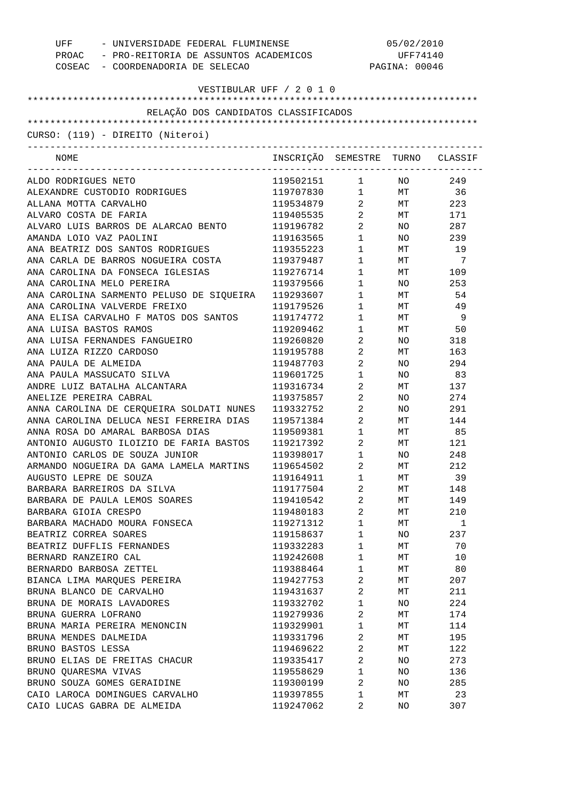| UFF<br>COSEAC - COORDENADORIA DE SELECAO | - UNIVERSIDADE FEDERAL FLUMINENSE<br>PROAC - PRO-REITORIA DE ASSUNTOS ACADEMICOS |                                |                 | 05/02/2010<br>UFF74140<br>PAGINA: 00046 |
|------------------------------------------|----------------------------------------------------------------------------------|--------------------------------|-----------------|-----------------------------------------|
| VESTIBULAR UFF / 2 0 1 0                 |                                                                                  |                                |                 |                                         |
| RELAÇÃO DOS CANDIDATOS CLASSIFICADOS     |                                                                                  |                                |                 |                                         |
|                                          |                                                                                  |                                |                 |                                         |
| CURSO: (119) - DIREITO (Niteroi)         |                                                                                  |                                |                 |                                         |
| -------------------------------------    |                                                                                  |                                |                 |                                         |
| NOME                                     | INSCRIÇÃO SEMESTRE TURNO CLASSIF                                                 |                                |                 |                                         |
| ALDO RODRIGUES NETO                      | 119502151                                                                        | $1 \quad \cdots$               | NO <sub>n</sub> | 249                                     |
| ALEXANDRE CUSTODIO RODRIGUES             | 119707830                                                                        |                                | 1 MT 36         |                                         |
| ALLANA MOTTA CARVALHO                    | 119534879 2                                                                      |                                |                 | MT 223                                  |
| ALVARO COSTA DE FARIA                    | 119405535                                                                        | $\overline{2}$                 | <b>MT</b>       | 171                                     |
| ALVARO LUIS BARROS DE ALARCAO BENTO      | 119196782                                                                        | $\overline{2}$                 | NO              | 287                                     |
| AMANDA LOIO VAZ PAOLINI                  | 119163565                                                                        | $\mathbf 1$                    | NO .            | 239                                     |
| ANA BEATRIZ DOS SANTOS RODRIGUES         | 119355223                                                                        | $1 \qquad \qquad$              | MT              | 19                                      |
| ANA CARLA DE BARROS NOGUEIRA COSTA       | 119379487                                                                        | $1 \quad \Box$                 | <b>MT</b>       | 7                                       |
| ANA CAROLINA DA FONSECA IGLESIAS         | 119276714                                                                        | $1 \qquad \qquad$              | <b>MT</b>       | 109                                     |
| ANA CAROLINA MELO PEREIRA                | 119379566                                                                        | $1 \quad \blacksquare$         | NO.             | 253                                     |
| ANA CAROLINA SARMENTO PELUSO DE SIQUEIRA | 119293607                                                                        | $1 \quad \blacksquare$         | MT              | 54                                      |
| ANA CAROLINA VALVERDE FREIXO             | 119179526                                                                        | $1 \quad \blacksquare$         | MT              | 49                                      |
| ANA ELISA CARVALHO F MATOS DOS SANTOS    | 119174772                                                                        | $1 \quad \blacksquare$         | MT              | - 9                                     |
| ANA LUISA BASTOS RAMOS                   | 119209462                                                                        | $1 \quad \blacksquare$         | MT              | 50                                      |
| ANA LUISA FERNANDES FANGUEIRO            | 119260820                                                                        | $\overline{2}$                 | NO.             | 318                                     |
| ANA LUIZA RIZZO CARDOSO                  | 119195788                                                                        | $\overline{2}$                 | MT              | 163                                     |
| ANA PAULA DE ALMEIDA                     | 119487703                                                                        | $2 \left( \frac{1}{2} \right)$ | NO.             | 294                                     |
| ANA PAULA MASSUCATO SILVA                | 119601725                                                                        | $1 \qquad \qquad$              | NO.             | 83                                      |
| ANDRE LUIZ BATALHA ALCANTARA             | 119316734                                                                        | $2 \left( \frac{1}{2} \right)$ | MT              | 137                                     |
| ANELIZE PEREIRA CABRAL                   | 119375857                                                                        | $\overline{2}$                 | NO.             | 274                                     |
| ANNA CAROLINA DE CERQUEIRA SOLDATI NUNES | 119332752                                                                        | $\overline{2}$                 | NO.             | 291                                     |
| ANNA CAROLINA DELUCA NESI FERREIRA DIAS  | 119571384                                                                        | $\overline{2}$                 | МT              | 144                                     |
| ANNA ROSA DO AMARAL BARBOSA DIAS         | 119509381                                                                        | $1 \quad \blacksquare$         | MT              | 85                                      |
| ANTONIO AUGUSTO ILOIZIO DE FARIA BASTOS  | 119217392                                                                        | $2 \left( \frac{1}{2} \right)$ | МT              | 121                                     |
| ANTONIO CARLOS DE SOUZA JUNIOR           | 119398017                                                                        | $\mathbf{1}$                   | NO.             | 248                                     |
| ARMANDO NOGUEIRA DA GAMA LAMELA MARTINS  | 119654502                                                                        | 2                              | МT              | 212                                     |
| AUGUSTO LEPRE DE SOUZA                   | 119164911                                                                        | $\mathbf 1$                    | МT              | 39                                      |
| BARBARA BARREIROS DA SILVA               | 119177504                                                                        | $\overline{a}$                 | МT              | 148                                     |
| BARBARA DE PAULA LEMOS SOARES            | 119410542                                                                        | 2                              | МT              | 149                                     |
| BARBARA GIOIA CRESPO                     | 119480183                                                                        | $\overline{a}$                 | МT              | 210                                     |
| BARBARA MACHADO MOURA FONSECA            | 119271312                                                                        | $\mathbf 1$                    | МT              | 1                                       |
| BEATRIZ CORREA SOARES                    | 119158637                                                                        | $\mathbf 1$                    | NO.             | 237                                     |
| BEATRIZ DUFFLIS FERNANDES                | 119332283                                                                        | 1                              | МT              | 70                                      |
| BERNARD RANZEIRO CAL                     | 119242608                                                                        | $\mathbf 1$                    | МT              | 10                                      |
| BERNARDO BARBOSA ZETTEL                  | 119388464                                                                        | $\mathbf 1$                    | МT              | 80                                      |
| BIANCA LIMA MARQUES PEREIRA              | 119427753                                                                        | 2                              | МT              | 207                                     |
| BRUNA BLANCO DE CARVALHO                 | 119431637                                                                        | $\overline{a}$                 | МT              | 211                                     |
| BRUNA DE MORAIS LAVADORES                | 119332702                                                                        | $\mathbf 1$                    | NO.             | 224                                     |
| BRUNA GUERRA LOFRANO                     | 119279936                                                                        | $\overline{a}$                 | МT              | 174                                     |
| BRUNA MARIA PEREIRA MENONCIN             | 119329901                                                                        | $\mathbf 1$                    | МT              | 114                                     |
| BRUNA MENDES DALMEIDA                    | 119331796                                                                        | $\overline{2}$                 | МT              | 195                                     |
| BRUNO BASTOS LESSA                       | 119469622                                                                        | $\overline{a}$                 | МT              | 122                                     |
| BRUNO ELIAS DE FREITAS CHACUR            | 119335417                                                                        | 2                              | NO              | 273                                     |
| BRUNO QUARESMA VIVAS                     | 119558629                                                                        | $\mathbf 1$                    | NO              | 136                                     |
| BRUNO SOUZA GOMES GERAIDINE              | 119300199                                                                        | 2                              | NO              | 285                                     |
| CAIO LAROCA DOMINGUES CARVALHO           | 119397855                                                                        | 1                              | МT              | 23                                      |
| CAIO LUCAS GABRA DE ALMEIDA              | 119247062                                                                        | 2                              | NO              | 307                                     |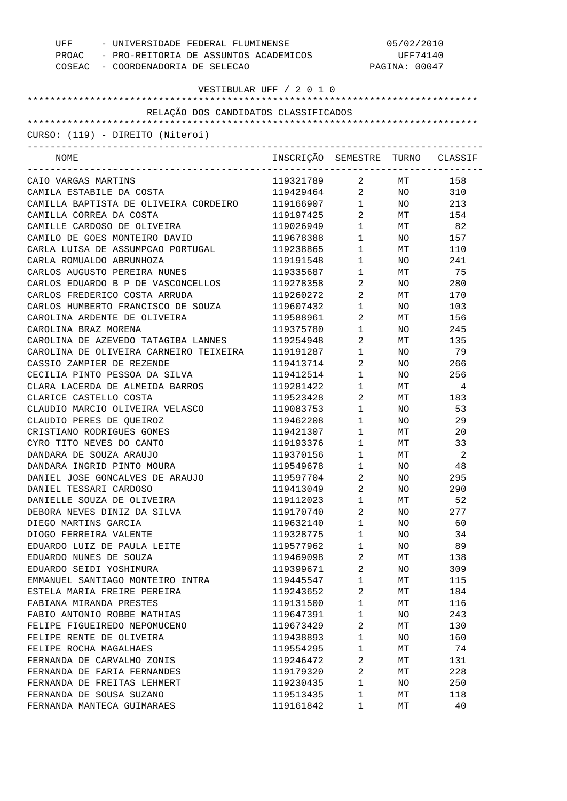| UFF<br>- UNIVERSIDADE FEDERAL FLUMINENSE<br>PROAC - PRO-REITORIA DE ASSUNTOS ACADEMICOS<br>COSEAC - COORDENADORIA DE SELECAO | 05/02/2010<br>UFF74140<br>PAGINA: 00047 |                                |                 |        |
|------------------------------------------------------------------------------------------------------------------------------|-----------------------------------------|--------------------------------|-----------------|--------|
| VESTIBULAR UFF / 2 0 1 0                                                                                                     |                                         |                                |                 |        |
|                                                                                                                              |                                         |                                |                 |        |
| RELAÇÃO DOS CANDIDATOS CLASSIFICADOS                                                                                         |                                         |                                |                 |        |
|                                                                                                                              |                                         |                                |                 |        |
| CURSO: (119) - DIREITO (Niteroi)                                                                                             |                                         |                                |                 |        |
| NOME                                                                                                                         | INSCRIÇÃO SEMESTRE TURNO CLASSIF        |                                |                 |        |
| CAIO VARGAS MARTINS                                                                                                          | 119321789                               | $\overline{a}$                 | <b>MT</b>       | 158    |
| CAMILA ESTABILE DA COSTA                                                                                                     | 119429464 2                             |                                |                 | NO 310 |
| CAMILLA BAPTISTA DE OLIVEIRA CORDEIRO                                                                                        | 119166907 1                             |                                |                 | NO 213 |
| CAMILLA CORREA DA COSTA                                                                                                      | 119197425                               | $2 \left( \frac{1}{2} \right)$ |                 | MT 154 |
| CAMILLE CARDOSO DE OLIVEIRA                                                                                                  | 119026949                               | $1 \qquad \qquad$              |                 | MT 82  |
| CAMILO DE GOES MONTEIRO DAVID                                                                                                | 119678388                               | $1 \qquad \qquad$              | NO <sub>2</sub> | 157    |
| CARLA LUISA DE ASSUMPCAO PORTUGAL                                                                                            | 119238865                               | $1 \qquad \qquad$              | MT              | 110    |
| CARLA ROMUALDO ABRUNHOZA                                                                                                     | 119191548                               | $1 \quad \blacksquare$         | NO              | 241    |
| CARLOS AUGUSTO PEREIRA NUNES                                                                                                 | 119335687                               | $1 \quad \blacksquare$         |                 | MT 75  |
| CARLOS EDUARDO B P DE VASCONCELLOS                                                                                           | 119278358                               | $\overline{2}$                 | NO              | 280    |
| CARLOS FREDERICO COSTA ARRUDA                                                                                                | 119260272                               | $2 \left( \frac{1}{2} \right)$ | MT              | 170    |
| CARLOS HUMBERTO FRANCISCO DE SOUZA                                                                                           | 119607432                               | $1 \quad \blacksquare$         | NO.             | 103    |
| CAROLINA ARDENTE DE OLIVEIRA                                                                                                 | 119588961                               | $2 \left( \frac{1}{2} \right)$ | MT              | 156    |
| CAROLINA BRAZ MORENA                                                                                                         | 119375780                               | $1 \quad \blacksquare$         | NO.             | 245    |
| CAROLINA DE AZEVEDO TATAGIBA LANNES                                                                                          | 119254948                               | $\overline{2}$                 | МT              | 135    |
| CAROLINA DE OLIVEIRA CARNEIRO TEIXEIRA                                                                                       | 119191287                               | $1 \quad \blacksquare$         | NO.             | 79     |
| CASSIO ZAMPIER DE REZENDE                                                                                                    | 119413714                               | $\overline{2}$                 | NO.             | 266    |
| CECILIA PINTO PESSOA DA SILVA                                                                                                | 119412514                               | $1 \qquad \qquad$              | NO.             | 256    |
| CLARA LACERDA DE ALMEIDA BARROS                                                                                              | 119281422                               | $1 \qquad \qquad$              | MT              | 4      |
| CLARICE CASTELLO COSTA                                                                                                       | 119523428                               | $\overline{2}$                 | MT              | 183    |
| CLAUDIO MARCIO OLIVEIRA VELASCO                                                                                              | 119083753                               | $1 \quad \blacksquare$         | NO.             | 53     |
| CLAUDIO PERES DE QUEIROZ                                                                                                     | 119462208                               | $1 \quad \blacksquare$         | NO.             | 29     |
| CRISTIANO RODRIGUES GOMES                                                                                                    | 119421307                               | $1 \quad \blacksquare$         | MT              | 20     |
| CYRO TITO NEVES DO CANTO                                                                                                     | 119193376                               | $1 \qquad \qquad$              | МT              | 33     |
| DANDARA DE SOUZA ARAUJO                                                                                                      | 119370156                               | $1 \quad \cdots$               | МT              | 2      |
| DANDARA INGRID PINTO MOURA                                                                                                   | 119549678                               | 1                              | ΝO              | 48     |
| DANIEL JOSE GONCALVES DE ARAUJO                                                                                              | 119597704                               | 2                              | NO              | 295    |
| DANIEL TESSARI CARDOSO                                                                                                       | 119413049                               | 2                              | NO              | 290    |
| DANIELLE SOUZA DE OLIVEIRA                                                                                                   | 119112023                               | $\mathbf 1$                    | МT              | 52     |
| DEBORA NEVES DINIZ DA SILVA                                                                                                  | 119170740                               | 2                              | NO              | 277    |
| DIEGO MARTINS GARCIA                                                                                                         | 119632140                               | $\mathbf 1$                    | NO              | 60     |
| DIOGO FERREIRA VALENTE                                                                                                       | 119328775                               | $\mathbf 1$                    | NO              | 34     |
| EDUARDO LUIZ DE PAULA LEITE                                                                                                  | 119577962                               | $\mathbf 1$                    | NO              | 89     |
| EDUARDO NUNES DE SOUZA                                                                                                       | 119469098                               | $\overline{c}$                 | МT              | 138    |
| EDUARDO SEIDI YOSHIMURA                                                                                                      | 119399671                               | 2                              | NO              | 309    |
| EMMANUEL SANTIAGO MONTEIRO INTRA                                                                                             | 119445547                               | $\mathbf 1$                    | МT              | 115    |
| ESTELA MARIA FREIRE PEREIRA                                                                                                  | 119243652                               | 2                              | МT              | 184    |
| FABIANA MIRANDA PRESTES                                                                                                      | 119131500                               | $\mathbf 1$                    | МT              | 116    |
| FABIO ANTONIO ROBBE MATHIAS                                                                                                  | 119647391                               | $\mathbf 1$                    | NO              | 243    |
| FELIPE FIGUEIREDO NEPOMUCENO                                                                                                 | 119673429                               | 2                              | МT              | 130    |
| FELIPE RENTE DE OLIVEIRA                                                                                                     | 119438893                               | $\mathbf 1$                    | NO.             | 160    |
| FELIPE ROCHA MAGALHAES                                                                                                       | 119554295                               | $\mathbf 1$                    | МT              | 74     |
| FERNANDA DE CARVALHO ZONIS                                                                                                   | 119246472                               | 2                              | МT              | 131    |
| FERNANDA DE FARIA FERNANDES                                                                                                  | 119179320                               | 2                              | МT              | 228    |
| FERNANDA DE FREITAS LEHMERT                                                                                                  | 119230435                               | $\mathbf 1$                    | NO.             | 250    |
| FERNANDA DE SOUSA SUZANO                                                                                                     | 119513435                               | $\mathbf 1$                    | MТ              | 118    |
| FERNANDA MANTECA GUIMARAES                                                                                                   | 119161842                               | 1                              | MТ              | 40     |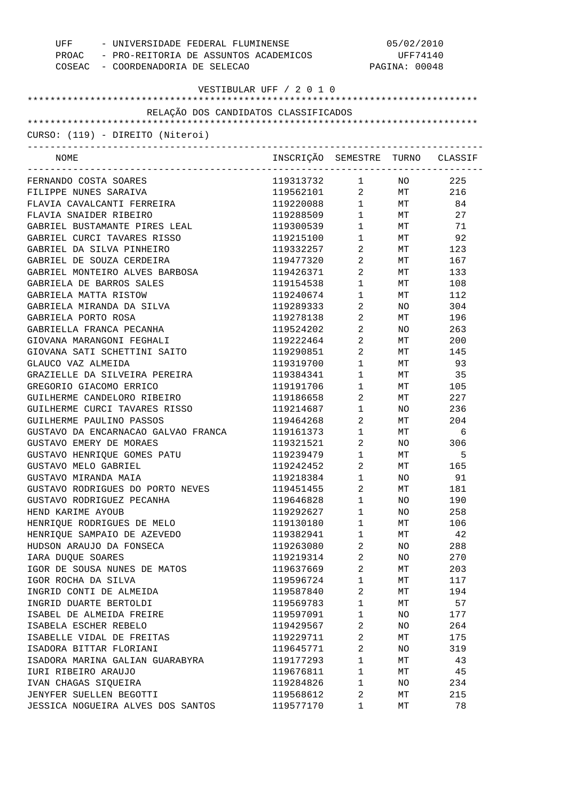| UFF<br>COSEAC - COORDENADORIA DE SELECAO | - UNIVERSIDADE FEDERAL FLUMINENSE<br>PROAC - PRO-REITORIA DE ASSUNTOS ACADEMICOS |                                | 05/02/2010<br>UFF74140<br>PAGINA: 00048 |     |  |
|------------------------------------------|----------------------------------------------------------------------------------|--------------------------------|-----------------------------------------|-----|--|
| VESTIBULAR UFF / 2 0 1 0                 |                                                                                  |                                |                                         |     |  |
|                                          |                                                                                  |                                |                                         |     |  |
| RELAÇÃO DOS CANDIDATOS CLASSIFICADOS     |                                                                                  |                                |                                         |     |  |
| CURSO: (119) - DIREITO (Niteroi)         |                                                                                  |                                |                                         |     |  |
| NOME                                     | INSCRIÇÃO SEMESTRE TURNO CLASSIF                                                 |                                |                                         |     |  |
| FERNANDO COSTA SOARES                    | 119313732 1 NO                                                                   |                                |                                         | 225 |  |
| FILIPPE NUNES SARAIVA                    | 119562101                                                                        |                                | 2 MT 216                                |     |  |
| FLAVIA CAVALCANTI FERREIRA               | 119220088                                                                        |                                | 1 MT                                    | 84  |  |
| FLAVIA SNAIDER RIBEIRO                   | 119288509                                                                        | $1 \qquad \qquad$              | MT                                      | 27  |  |
| GABRIEL BUSTAMANTE PIRES LEAL            | 119300539                                                                        | $1 \qquad \qquad$              | MT                                      | 71  |  |
| GABRIEL CURCI TAVARES RISSO              | 119215100                                                                        | $1 \quad \Box$                 | MT <sub>1</sub>                         | 92  |  |
| GABRIEL DA SILVA PINHEIRO                | 119332257                                                                        | $2 \left( \frac{1}{2} \right)$ | MT                                      | 123 |  |
| GABRIEL DE SOUZA CERDEIRA                | 119477320                                                                        | $2 \left( \frac{1}{2} \right)$ | MT                                      | 167 |  |
| GABRIEL MONTEIRO ALVES BARBOSA           | 119426371                                                                        | $\overline{2}$                 | MT                                      | 133 |  |
| GABRIELA DE BARROS SALES                 | 119154538                                                                        | $1 \quad \cdots$               | MT                                      | 108 |  |
| GABRIELA MATTA RISTOW                    | 119240674                                                                        | $\mathbf 1$                    | MT                                      | 112 |  |
| GABRIELA MIRANDA DA SILVA                | 119289333                                                                        | $\overline{2}$                 | NO                                      | 304 |  |
| GABRIELA PORTO ROSA                      | 119278138                                                                        | $\mathbf{2}$                   | MT                                      | 196 |  |
| GABRIELLA FRANCA PECANHA                 | 119524202                                                                        | $\overline{2}$                 | NO .                                    | 263 |  |
| GIOVANA MARANGONI FEGHALI                | 119222464                                                                        | $2 \left( \frac{1}{2} \right)$ | MT                                      | 200 |  |
| GIOVANA SATI SCHETTINI SAITO             | 119290851                                                                        | $\overline{a}$                 | MT                                      | 145 |  |
| GLAUCO VAZ ALMEIDA                       | 119319700                                                                        | $1 \quad \cdots$               | МT                                      | 93  |  |
| GRAZIELLE DA SILVEIRA PEREIRA            | 119384341                                                                        | $1 \quad \blacksquare$         | МT                                      | 35  |  |
| GREGORIO GIACOMO ERRICO                  | 119191706                                                                        | $1 \quad \cdots$               | MT                                      | 105 |  |
| GUILHERME CANDELORO RIBEIRO              | 119186658                                                                        | $\overline{a}$                 | MT                                      | 227 |  |
| GUILHERME CURCI TAVARES RISSO            | 119214687                                                                        | $1 \quad \Box$                 | NO                                      | 236 |  |
| GUILHERME PAULINO PASSOS                 | 119464268                                                                        | $\overline{2}$                 | MT                                      | 204 |  |
| GUSTAVO DA ENCARNACAO GALVAO FRANCA      | 119161373                                                                        | $1 \quad \blacksquare$         | $\operatorname{MT}$                     | 6   |  |
| GUSTAVO EMERY DE MORAES                  | 119321521                                                                        | $2 \left( \frac{1}{2} \right)$ | NO                                      | 306 |  |
| GUSTAVO HENRIQUE GOMES PATU              | 119239479                                                                        | $\mathbf{1}$                   | МT                                      | 5   |  |
| GUSTAVO MELO GABRIEL                     | 119242452                                                                        | 2                              | MТ                                      | 165 |  |
| GUSTAVO MIRANDA MAIA                     | 119218384                                                                        | $\mathbf 1$                    | NO                                      | 91  |  |
| GUSTAVO RODRIGUES DO PORTO NEVES         | 119451455                                                                        | $\overline{a}$                 | МT                                      | 181 |  |
| GUSTAVO RODRIGUEZ PECANHA                | 119646828                                                                        | $\mathbf 1$                    | ΝO                                      | 190 |  |
| HEND KARIME AYOUB                        | 119292627                                                                        | $\mathbf 1$                    | ΝO                                      | 258 |  |
| HENRIQUE RODRIGUES DE MELO               | 119130180                                                                        | $\mathbf 1$                    | МT                                      | 106 |  |
| HENRIOUE SAMPAIO DE AZEVEDO              | 119382941                                                                        | $\mathbf 1$                    | МT                                      | 42  |  |
| HUDSON ARAUJO DA FONSECA                 | 119263080                                                                        | 2                              | ΝO                                      | 288 |  |
| IARA DUQUE SOARES                        | 119219314                                                                        | 2                              | ΝO                                      | 270 |  |
| IGOR DE SOUSA NUNES DE MATOS             | 119637669                                                                        | 2                              | МT                                      | 203 |  |
| IGOR ROCHA DA SILVA                      | 119596724                                                                        | $\mathbf 1$                    | МT                                      | 117 |  |
| INGRID CONTI DE ALMEIDA                  | 119587840                                                                        | 2                              | МT                                      | 194 |  |
| INGRID DUARTE BERTOLDI                   | 119569783                                                                        | $\mathbf 1$                    | МT                                      | 57  |  |
| ISABEL DE ALMEIDA FREIRE                 | 119597091                                                                        | $\mathbf 1$                    | ΝO                                      | 177 |  |
| ISABELA ESCHER REBELO                    | 119429567                                                                        | 2                              | ΝO                                      | 264 |  |
| ISABELLE VIDAL DE FREITAS                | 119229711                                                                        | 2                              | МT                                      | 175 |  |
| ISADORA BITTAR FLORIANI                  | 119645771                                                                        | 2                              | ΝO                                      | 319 |  |
| ISADORA MARINA GALIAN GUARABYRA          | 119177293                                                                        | $\mathbf 1$                    | МT                                      | 43  |  |
| IURI RIBEIRO ARAUJO                      | 119676811                                                                        | $\mathbf 1$                    | МT                                      | 45  |  |
| IVAN CHAGAS SIQUEIRA                     | 119284826                                                                        | $\mathbf 1$                    | ΝO                                      | 234 |  |
| JENYFER SUELLEN BEGOTTI                  | 119568612                                                                        | 2                              | МT                                      | 215 |  |
| JESSICA NOGUEIRA ALVES DOS SANTOS        | 119577170                                                                        | 1                              | МT                                      | 78  |  |
|                                          |                                                                                  |                                |                                         |     |  |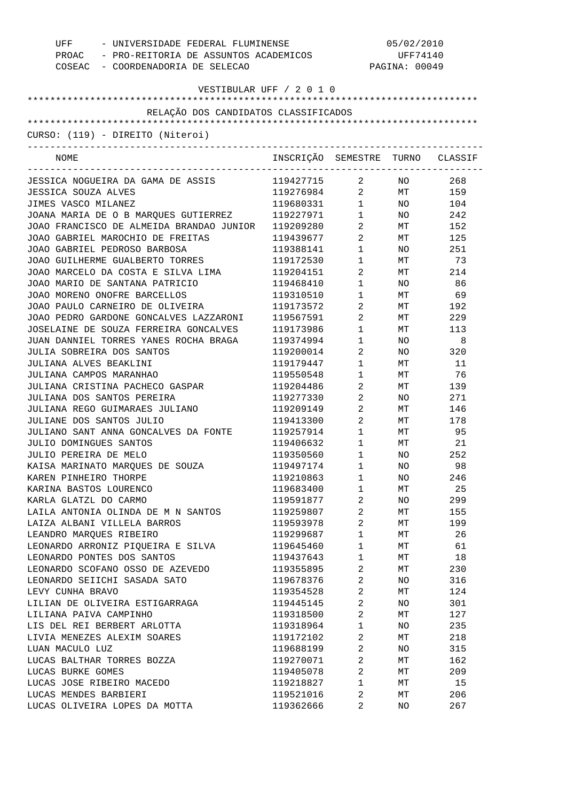| UFF - UNIVERSIDADE FEDERAL FLUMINENSE<br>PROAC - PRO-REITORIA DE ASSUNTOS ACADEMICOS<br>COSEAC - COORDENADORIA DE SELECAO |                                  | 05/02/2010<br>UFF74140<br>PAGINA: 00049 |          |        |
|---------------------------------------------------------------------------------------------------------------------------|----------------------------------|-----------------------------------------|----------|--------|
| VESTIBULAR UFF / 2 0 1 0                                                                                                  |                                  |                                         |          |        |
|                                                                                                                           |                                  |                                         |          |        |
| RELAÇÃO DOS CANDIDATOS CLASSIFICADOS                                                                                      |                                  |                                         |          |        |
| CURSO: (119) - DIREITO (Niteroi)                                                                                          |                                  |                                         |          |        |
|                                                                                                                           |                                  |                                         |          |        |
| NOME                                                                                                                      | INSCRIÇÃO SEMESTRE TURNO CLASSIF |                                         |          |        |
| JESSICA NOGUEIRA DA GAMA DE ASSIS                                                                                         | 119427715 2 NO                   |                                         |          | 268    |
| JESSICA SOUZA ALVES                                                                                                       | 119276984                        |                                         | 2 MT 159 |        |
| JIMES VASCO MILANEZ                                                                                                       | 119680331                        | $1 \quad \blacksquare$                  |          | NO 104 |
| JOANA MARIA DE O B MARQUES GUTIERREZ                                                                                      | 119227971                        | $1 \quad \blacksquare$                  |          | NO 242 |
| JOAO FRANCISCO DE ALMEIDA BRANDAO JUNIOR                                                                                  | 119209280                        | $2 \left( \frac{1}{2} \right)$          | MT       | 152    |
| JOAO GABRIEL MAROCHIO DE FREITAS                                                                                          | 119439677                        | $\overline{2}$                          |          | MT 125 |
| JOAO GABRIEL PEDROSO BARBOSA                                                                                              | 119388141                        | $1 \qquad \qquad$                       | NO       | 251    |
| JOAO GUILHERME GUALBERTO TORRES                                                                                           | 119172530                        | $1 \quad \blacksquare$                  | МT       | 73     |
| JOAO MARCELO DA COSTA E SILVA LIMA                                                                                        | 119204151                        | $\overline{2}$                          | MT       | 214    |
| JOAO MARIO DE SANTANA PATRICIO                                                                                            | 119468410                        | $1 \quad \blacksquare$                  | NO       | 86     |
| JOAO MORENO ONOFRE BARCELLOS                                                                                              | 119310510                        | $\mathbf{1}$                            | МT       | 69     |
| JOAO PAULO CARNEIRO DE OLIVEIRA                                                                                           | 119173572                        | $\overline{a}$                          | МT       | 192    |
| JOAO PEDRO GARDONE GONCALVES LAZZARONI                                                                                    | 119567591                        | $\overline{2}$                          | МT       | 229    |
| JOSELAINE DE SOUZA FERREIRA GONCALVES                                                                                     | 119173986                        | $1 \quad \blacksquare$                  | МT       | 113    |
| JUAN DANNIEL TORRES YANES ROCHA BRAGA                                                                                     | 119374994                        | $\mathbf 1$                             | NO       | 8      |
| JULIA SOBREIRA DOS SANTOS                                                                                                 | 119200014                        | $2 \left( \frac{1}{2} \right)$          | NO       | 320    |
| JULIANA ALVES BEAKLINI                                                                                                    | 119179447                        | $1 \quad \blacksquare$                  | МT       | 11     |
| JULIANA CAMPOS MARANHAO                                                                                                   | 119550548                        | $\mathbf{1}$                            | МT       | 76     |
| JULIANA CRISTINA PACHECO GASPAR                                                                                           | 119204486                        | $2 \left( \frac{1}{2} \right)$          | МT       | 139    |
| JULIANA DOS SANTOS PEREIRA                                                                                                | 119277330                        | $2 \left( \frac{1}{2} \right)$          | NO       | 271    |
| JULIANA REGO GUIMARAES JULIANO                                                                                            | 119209149                        | $\overline{2}$                          | МT       | 146    |
| JULIANE DOS SANTOS JULIO                                                                                                  | 119413300                        | $\overline{2}$                          | МT       | 178    |
| JULIANO SANT ANNA GONCALVES DA FONTE                                                                                      | 119257914                        | $1 \qquad \qquad$                       | МT       | 95     |
| JULIO DOMINGUES SANTOS                                                                                                    | 119406632                        | $\mathbf{1}$                            | МT       | 21     |
| JULIO PEREIRA DE MELO                                                                                                     | 119350560                        | $\mathbf{1}$                            | NO       | 252    |
| KAISA MARINATO MARQUES DE SOUZA                                                                                           | 119497174                        | 1                                       | ΝO       | 98     |
| KAREN PINHEIRO THORPE                                                                                                     | 119210863                        | $\mathbf 1$                             | NO       | 246    |
| KARINA BASTOS LOURENCO                                                                                                    | 119683400                        | $\mathbf 1$                             | МT       | 25     |
| KARLA GLATZL DO CARMO                                                                                                     | 119591877                        | $\overline{c}$                          | NO       | 299    |
| LAILA ANTONIA OLINDA DE M N SANTOS                                                                                        | 119259807                        | $\overline{2}$                          | МT       | 155    |
| LAIZA ALBANI VILLELA BARROS                                                                                               | 119593978                        | $\overline{c}$                          | МT       | 199    |
| LEANDRO MARQUES RIBEIRO                                                                                                   | 119299687                        | $\mathbf 1$                             | МT       | 26     |
| LEONARDO ARRONIZ PIQUEIRA E SILVA                                                                                         | 119645460                        | $\mathbf{1}$                            | МT       | 61     |
| LEONARDO PONTES DOS SANTOS                                                                                                | 119437643                        | $\mathbf{1}$                            | МT       | 18     |
| LEONARDO SCOFANO OSSO DE AZEVEDO                                                                                          | 119355895                        | $\overline{2}$                          | МT       | 230    |
| LEONARDO SEIICHI SASADA SATO                                                                                              | 119678376                        | $\overline{c}$                          | NO       | 316    |
|                                                                                                                           |                                  | $\overline{c}$                          |          | 124    |
| LEVY CUNHA BRAVO                                                                                                          | 119354528                        |                                         | МT       |        |
| LILIAN DE OLIVEIRA ESTIGARRAGA                                                                                            | 119445145                        | 2                                       | NO       | 301    |
| LILIANA PAIVA CAMPINHO                                                                                                    | 119318500                        | 2                                       | МT       | 127    |
| LIS DEL REI BERBERT ARLOTTA                                                                                               | 119318964                        | $\mathbf 1$                             | NO       | 235    |
| LIVIA MENEZES ALEXIM SOARES                                                                                               | 119172102                        | 2                                       | МT       | 218    |
| LUAN MACULO LUZ                                                                                                           | 119688199                        | $\overline{c}$                          | NO       | 315    |
| LUCAS BALTHAR TORRES BOZZA                                                                                                | 119270071                        | 2                                       | МT       | 162    |
| LUCAS BURKE GOMES                                                                                                         | 119405078                        | 2                                       | МT       | 209    |
| LUCAS JOSE RIBEIRO MACEDO                                                                                                 | 119218827                        | $\mathbf{1}$                            | МT       | 15     |
| LUCAS MENDES BARBIERI                                                                                                     | 119521016                        | 2                                       | МT       | 206    |
| LUCAS OLIVEIRA LOPES DA MOTTA                                                                                             | 119362666                        | 2                                       | NO       | 267    |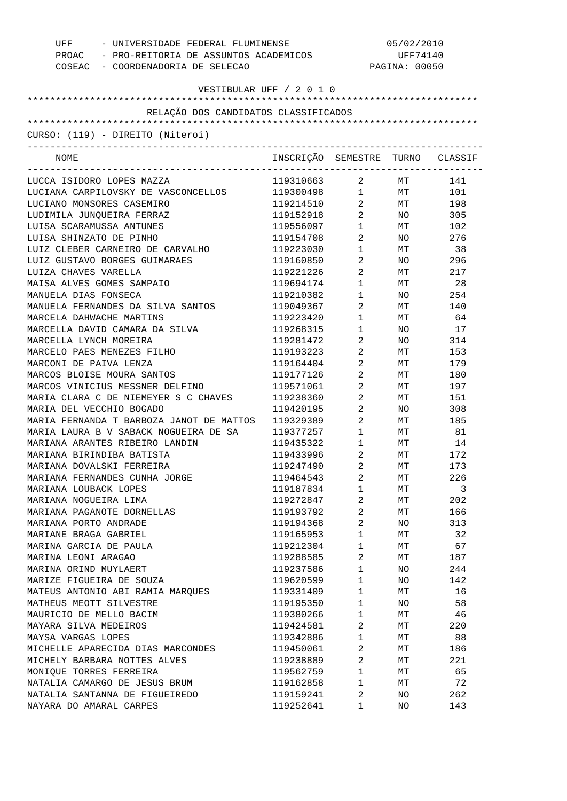| - UNIVERSIDADE FEDERAL FLUMINENSE<br>UFF<br>PROAC - PRO-REITORIA DE ASSUNTOS ACADEMICOS<br>COSEAC - COORDENADORIA DE SELECAO |                                  | 05/02/2010<br>UFF74140<br>PAGINA: 00050 |     |        |
|------------------------------------------------------------------------------------------------------------------------------|----------------------------------|-----------------------------------------|-----|--------|
| VESTIBULAR UFF / 2 0 1 0                                                                                                     |                                  |                                         |     |        |
|                                                                                                                              |                                  |                                         |     |        |
| RELAÇÃO DOS CANDIDATOS CLASSIFICADOS                                                                                         |                                  |                                         |     |        |
| CURSO: (119) - DIREITO (Niteroi)                                                                                             |                                  |                                         |     |        |
| NOME                                                                                                                         | INSCRIÇÃO SEMESTRE TURNO CLASSIF |                                         |     |        |
| LUCCA ISIDORO LOPES MAZZA                                                                                                    | 119310663                        | $\overline{2}$ and $\overline{2}$       | МT  | 141    |
| LUCIANA CARPILOVSKY DE VASCONCELLOS                                                                                          | 119300498 1                      |                                         |     | MT 101 |
| LUCIANO MONSORES CASEMIRO                                                                                                    | 119214510                        | $2 \left( \frac{1}{2} \right)$          |     | MT 198 |
| LUDIMILA JUNQUEIRA FERRAZ                                                                                                    | 119152918                        | $2 \left( \frac{1}{2} \right)$          |     | NO 305 |
| LUISA SCARAMUSSA ANTUNES                                                                                                     | 119556097                        | $1 \quad \blacksquare$                  |     | MT 102 |
| LUISA SHINZATO DE PINHO                                                                                                      | 119154708                        | $2 \left( \frac{1}{2} \right)$          |     | NO 276 |
| LUIZ CLEBER CARNEIRO DE CARVALHO                                                                                             | 119223030                        | $1 \quad \blacksquare$                  | МT  | 38     |
| LUIZ GUSTAVO BORGES GUIMARAES                                                                                                | 119160850                        | $2 \left( \frac{1}{2} \right)$          | NO  | 296    |
| LUIZA CHAVES VARELLA                                                                                                         | 119221226                        | $2 \left( \frac{1}{2} \right)$          | МT  | 217    |
| MAISA ALVES GOMES SAMPAIO                                                                                                    | 119694174                        | $1 \quad \blacksquare$                  | МT  | 28     |
| MANUELA DIAS FONSECA                                                                                                         | 119210382                        | $1 \quad \blacksquare$                  | NO  | 254    |
| MANUELA FERNANDES DA SILVA SANTOS                                                                                            | 119049367                        | $\overline{2}$                          | МT  | 140    |
| MARCELA DAHWACHE MARTINS                                                                                                     | 119223420                        | $1 \quad \blacksquare$                  | МT  | 64     |
| MARCELLA DAVID CAMARA DA SILVA                                                                                               | 119268315                        | $1 \quad \blacksquare$                  | NO. | 17     |
| MARCELLA LYNCH MOREIRA                                                                                                       | 119281472                        | $\overline{2}$ and $\overline{2}$       | NO  | 314    |
| MARCELO PAES MENEZES FILHO                                                                                                   | 119193223                        | $\overline{2}$                          | МT  | 153    |
| MARCONI DE PAIVA LENZA                                                                                                       | 119164404                        | $\overline{2}$ and $\overline{2}$       | МT  | 179    |
| MARCOS BLOISE MOURA SANTOS                                                                                                   | 119177126                        | $\overline{2}$                          | МT  | 180    |
| MARCOS VINICIUS MESSNER DELFINO                                                                                              | 119571061                        | $\overline{2}$ and $\overline{2}$       | МT  | 197    |
| MARIA CLARA C DE NIEMEYER S C CHAVES                                                                                         | 119238360                        | $2 \left( \frac{1}{2} \right)$          | МT  | 151    |
| MARIA DEL VECCHIO BOGADO                                                                                                     | 119420195                        | $\overline{2}$                          | NO  | 308    |
| MARIA FERNANDA T BARBOZA JANOT DE MATTOS                                                                                     | 119329389                        | $2 \left( \frac{1}{2} \right)$          | МT  | 185    |
| MARIA LAURA B V SABACK NOGUEIRA DE SA                                                                                        | 119377257                        | $1 \qquad \qquad$                       | МT  | 81     |
| MARIANA ARANTES RIBEIRO LANDIN                                                                                               | 119435322                        | $\mathbf{1}$                            | МT  | 14     |
| MARIANA BIRINDIBA BATISTA                                                                                                    | 119433996                        | 2                                       | МT  | 172    |
| MARIANA DOVALSKI FERREIRA                                                                                                    | 119247490                        | 2                                       | MТ  | 173    |
| MARIANA FERNANDES CUNHA JORGE                                                                                                | 119464543                        | $\overline{2}$                          | МT  | 226    |
| MARIANA LOUBACK LOPES                                                                                                        | 119187834                        | $\mathbf{1}$                            | МT  | 3      |
| MARIANA NOGUEIRA LIMA                                                                                                        | 119272847                        | $\sqrt{2}$                              | МT  | 202    |
| MARIANA PAGANOTE DORNELLAS                                                                                                   | 119193792                        | $\overline{a}$                          | МT  | 166    |
| MARIANA PORTO ANDRADE                                                                                                        | 119194368                        | $\sqrt{2}$                              | ΝO  | 313    |
| MARIANE BRAGA GABRIEL                                                                                                        | 119165953                        | $\mathbf{1}$                            | МT  | 32     |
| MARINA GARCIA DE PAULA                                                                                                       | 119212304                        | $\mathbf{1}$                            | МT  | 67     |
| MARINA LEONI ARAGAO                                                                                                          | 119288585                        | $\overline{a}$                          | МT  | 187    |
| MARINA ORIND MUYLAERT                                                                                                        | 119237586                        | $\mathbf{1}$                            | ΝO  | 244    |
| MARIZE FIGUEIRA DE SOUZA                                                                                                     | 119620599                        | $\mathbf{1}$                            | ΝO  | 142    |
| MATEUS ANTONIO ABI RAMIA MARQUES                                                                                             | 119331409                        | $\mathbf{1}$                            | МT  | 16     |
| MATHEUS MEOTT SILVESTRE                                                                                                      | 119195350                        | $\mathbf{1}$                            | ΝO  | 58     |
| MAURICIO DE MELLO BACIM                                                                                                      | 119380266                        | $\mathbf{1}$                            | МT  | 46     |
| MAYARA SILVA MEDEIROS                                                                                                        | 119424581                        | $\overline{2}$                          | МT  | 220    |
| MAYSA VARGAS LOPES                                                                                                           | 119342886                        | $\mathbf{1}$                            | МT  | 88     |
| MICHELLE APARECIDA DIAS MARCONDES                                                                                            | 119450061                        | $\sqrt{2}$                              | МT  | 186    |
| MICHELY BARBARA NOTTES ALVES                                                                                                 | 119238889                        | $\overline{a}$                          | МT  | 221    |
| MONIQUE TORRES FERREIRA                                                                                                      | 119562759                        | $\mathbf{1}$                            | МT  | 65     |
| NATALIA CAMARGO DE JESUS BRUM                                                                                                | 119162858                        | $\mathbf{1}$                            | МT  | 72     |
| NATALIA SANTANNA DE FIGUEIREDO                                                                                               | 119159241                        | 2                                       | NO  | 262    |
| NAYARA DO AMARAL CARPES                                                                                                      | 119252641                        | $\mathbf 1$                             | NO  | 143    |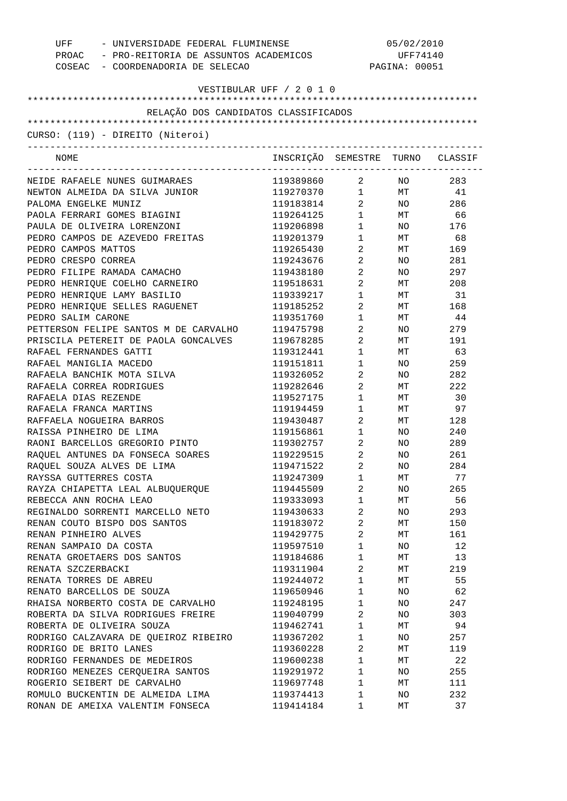| - UNIVERSIDADE FEDERAL FLUMINENSE<br>UFF<br>PROAC - PRO-REITORIA DE ASSUNTOS ACADEMICOS<br>COSEAC - COORDENADORIA DE SELECAO |                                  | 05/02/2010<br>UFF74140<br>PAGINA: 00051 |                 |           |
|------------------------------------------------------------------------------------------------------------------------------|----------------------------------|-----------------------------------------|-----------------|-----------|
|                                                                                                                              | VESTIBULAR UFF / 2 0 1 0         |                                         |                 |           |
| RELAÇÃO DOS CANDIDATOS CLASSIFICADOS                                                                                         |                                  |                                         |                 |           |
|                                                                                                                              |                                  |                                         |                 |           |
| CURSO: (119) - DIREITO (Niteroi)                                                                                             |                                  |                                         |                 |           |
| NOME                                                                                                                         | INSCRIÇÃO SEMESTRE TURNO CLASSIF |                                         |                 |           |
| NEIDE RAFAELE NUNES GUIMARAES                                                                                                | 119389860 2 NO                   |                                         |                 | 283       |
| NEWTON ALMEIDA DA SILVA JUNIOR                                                                                               | 119270370  1  MT  41             |                                         |                 |           |
| PALOMA ENGELKE MUNIZ                                                                                                         | 119183814                        | $\overline{2}$                          |                 | NO 286    |
| PAOLA FERRARI GOMES BIAGINI                                                                                                  | 119264125                        | $1 \quad \blacksquare$                  |                 | MT 66     |
| PAULA DE OLIVEIRA LORENZONI                                                                                                  | 119206898                        | $1 \qquad \qquad$                       | NO <sub>2</sub> | 176       |
| PEDRO CAMPOS DE AZEVEDO FREITAS                                                                                              | 119201379                        | $1 \qquad \qquad$                       |                 | MT 68     |
| PEDRO CAMPOS MATTOS                                                                                                          | 119265430                        | $\overline{a}$                          | MT              | 169       |
| PEDRO CRESPO CORREA                                                                                                          | 119243676                        | $\mathbf{2}$                            | NO.             | 281       |
| PEDRO FILIPE RAMADA CAMACHO                                                                                                  | 119438180                        | $2 \left( \frac{1}{2} \right)$          | NO.             | 297       |
| PEDRO HENRIQUE COELHO CARNEIRO                                                                                               | 119518631                        | $\overline{a}$                          |                 | MT 208    |
| PEDRO HENRIQUE LAMY BASILIO                                                                                                  | 119339217                        | $\mathbf{1}$                            | MT              | 31        |
| PEDRO HENRIQUE SELLES RAGUENET                                                                                               | 119185252                        | $\overline{2}$                          | MT              | 168       |
| PEDRO SALIM CARONE                                                                                                           | 119351760                        | 1                                       | MT              | 44        |
| PETTERSON FELIPE SANTOS M DE CARVALHO                                                                                        | 119475798                        | $\overline{2}$                          | NO.             | 279       |
| PRISCILA PETEREIT DE PAOLA GONCALVES                                                                                         | 119678285                        | $\mathbf{2}$                            | MT              | 191       |
| RAFAEL FERNANDES GATTI                                                                                                       | 119312441                        | $\mathbf{1}$                            | MT              | 63        |
| RAFAEL MANIGLIA MACEDO                                                                                                       | 119151811                        | 1                                       | NO.             | 259       |
| RAFAELA BANCHIK MOTA SILVA                                                                                                   | 119326052                        | $\overline{2}$                          | NO.             | 282       |
| RAFAELA CORREA RODRIGUES                                                                                                     | 119282646                        | $\overline{a}$                          | МT              | 222       |
| RAFAELA DIAS REZENDE                                                                                                         | 119527175                        | $\mathbf 1$                             | МT              | 30        |
| RAFAELA FRANCA MARTINS                                                                                                       | 119194459                        | 1                                       | MT              | 97        |
| RAFFAELA NOGUEIRA BARROS                                                                                                     | 119430487                        | $2 \left( \frac{1}{2} \right)$          | <b>MT</b>       | 128       |
| RAISSA PINHEIRO DE LIMA                                                                                                      | 119156861                        | $1 \quad \cdots$                        | NO.             | 240       |
| RAONI BARCELLOS GREGORIO PINTO                                                                                               | 119302757                        | $2 \left( \frac{1}{2} \right)$          | NO.             | 289       |
| RAQUEL ANTUNES DA FONSECA SOARES                                                                                             | 119229515                        | $\overline{2}$                          | NO.             | 261       |
| RAQUEL SOUZA ALVES DE LIMA                                                                                                   | 119471522                        | 2                                       | ΝO              | 284       |
| RAYSSA GUTTERRES COSTA                                                                                                       | 119247309                        | $\mathbf 1$                             | МT              | 77        |
| RAYZA CHIAPETTA LEAL ALBUQUERQUE                                                                                             | 119445509                        | $\overline{2}$                          | NO.             | 265       |
| REBECCA ANN ROCHA LEAO                                                                                                       | 119333093                        | $\mathbf 1$                             | МT              | 56        |
| REGINALDO SORRENTI MARCELLO NETO                                                                                             | 119430633                        | $\overline{2}$                          | NO              | 293       |
| RENAN COUTO BISPO DOS SANTOS                                                                                                 | 119183072                        | 2                                       | МT              | 150       |
| RENAN PINHEIRO ALVES                                                                                                         | 119429775                        | $\overline{a}$                          | МT              | 161       |
| RENAN SAMPAIO DA COSTA                                                                                                       | 119597510                        | $\mathbf 1$                             | NO.             | 12        |
| RENATA GROETAERS DOS SANTOS                                                                                                  | 119184686                        | $\mathbf 1$                             | МT              | 13        |
| RENATA SZCZERBACKI                                                                                                           | 119311904                        | 2                                       | МT              | 219       |
| RENATA TORRES DE ABREU                                                                                                       | 119244072                        | $\mathbf{1}$                            | МT              | 55        |
| RENATO BARCELLOS DE SOUZA                                                                                                    | 119650946                        | $\mathbf 1$                             | NO.             | 62        |
| RHAISA NORBERTO COSTA DE CARVALHO                                                                                            | 119248195                        | $\mathbf{1}$                            | NO.             | 247       |
| ROBERTA DA SILVA RODRIGUES FREIRE                                                                                            |                                  | $\overline{a}$                          |                 |           |
| ROBERTA DE OLIVEIRA SOUZA                                                                                                    | 119040799<br>119462741           | $\mathbf 1$                             | NO.<br>МT       | 303<br>94 |
|                                                                                                                              | 119367202                        |                                         |                 | 257       |
| RODRIGO CALZAVARA DE QUEIROZ RIBEIRO                                                                                         |                                  | $\mathbf{1}$                            | NO.             |           |
| RODRIGO DE BRITO LANES                                                                                                       | 119360228                        | 2                                       | МT              | 119       |
| RODRIGO FERNANDES DE MEDEIROS                                                                                                | 119600238                        | $\mathbf{1}$                            | МT              | 22        |
| RODRIGO MENEZES CERQUEIRA SANTOS                                                                                             | 119291972                        | $\mathbf 1$                             | NO              | 255       |
| ROGERIO SEIBERT DE CARVALHO                                                                                                  | 119697748                        | $\mathbf 1$                             | МT              | 111       |
| ROMULO BUCKENTIN DE ALMEIDA LIMA                                                                                             | 119374413                        | $\mathbf 1$                             | NO              | 232       |
| RONAN DE AMEIXA VALENTIM FONSECA                                                                                             | 119414184                        | 1                                       | MТ              | 37        |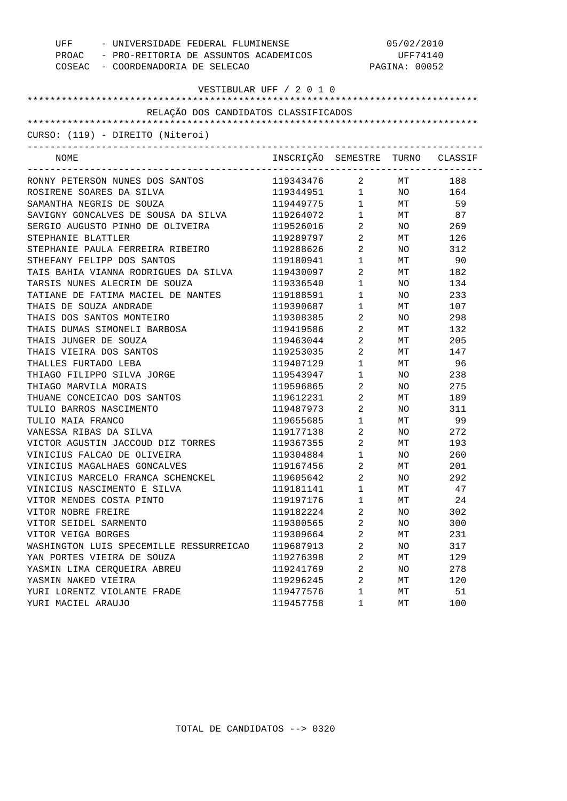| UFF<br>- UNIVERSIDADE FEDERAL FLUMINENSE<br>PROAC - PRO-REITORIA DE ASSUNTOS ACADEMICOS |                                  | 05/02/2010<br>UFF74140                        |               |      |
|-----------------------------------------------------------------------------------------|----------------------------------|-----------------------------------------------|---------------|------|
| COSEAC - COORDENADORIA DE SELECAO                                                       |                                  |                                               | PAGINA: 00052 |      |
|                                                                                         | VESTIBULAR UFF / 2 0 1 0         |                                               |               |      |
|                                                                                         |                                  |                                               |               |      |
| RELAÇÃO DOS CANDIDATOS CLASSIFICADOS                                                    |                                  |                                               |               |      |
|                                                                                         |                                  |                                               |               |      |
| CURSO: (119) - DIREITO (Niteroi)                                                        |                                  |                                               |               |      |
| NOME                                                                                    | INSCRIÇÃO SEMESTRE TURNO CLASSIF | ----------------------------                  |               |      |
| RONNY PETERSON NUNES DOS SANTOS                                                         | 119343476                        | $\overline{2}$                                | MT            | 188  |
| ROSIRENE SOARES DA SILVA                                                                | 119344951                        | $\begin{array}{ccc} 1 & & \\ & & \end{array}$ | NO            | 164  |
| SAMANTHA NEGRIS DE SOUZA                                                                | 119449775                        | $\mathbf{1}$                                  | МT            | 59   |
| SAVIGNY GONCALVES DE SOUSA DA SILVA                                                     | 119264072                        | $1$ , $\qquad \qquad$                         | MT            | 87   |
| SERGIO AUGUSTO PINHO DE OLIVEIRA                                                        | 119526016                        | $\overline{a}$                                | NO.           | 269  |
| STEPHANIE BLATTLER                                                                      | 119289797                        | $\overline{2}$                                | МT            | 126  |
| STEPHANIE PAULA FERREIRA RIBEIRO                                                        | 119288626                        | $\overline{2}$                                | NO.           | 312  |
| STHEFANY FELIPP DOS SANTOS                                                              | 119180941                        | $1 \quad \blacksquare$                        | МT            | - 90 |
| TAIS BAHIA VIANNA RODRIGUES DA SILVA                                                    | 119430097                        | $\overline{a}$                                | МT            | 182  |
| TARSIS NUNES ALECRIM DE SOUZA                                                           | 119336540                        | $1 \quad \blacksquare$                        | NO.           | 134  |
| TATIANE DE FATIMA MACIEL DE NANTES                                                      | 119188591                        | $1 \quad \blacksquare$                        | NO.           | 233  |
| THAIS DE SOUZA ANDRADE                                                                  | 119390687                        | 1                                             | МT            | 107  |
| THAIS DOS SANTOS MONTEIRO                                                               | 119308385                        | $\overline{a}$                                | NO.           | 298  |
| THAIS DUMAS SIMONELI BARBOSA                                                            | 119419586                        | $\overline{a}$                                | МT            | 132  |
| THAIS JUNGER DE SOUZA                                                                   | 119463044                        | $\overline{a}$                                | МT            | 205  |
| THAIS VIEIRA DOS SANTOS                                                                 | 119253035                        | $\overline{a}$                                | МT            | 147  |
| THALLES FURTADO LEBA                                                                    | 119407129                        | $1 \quad$                                     | МT            | 96   |
| THIAGO FILIPPO SILVA JORGE                                                              | 119543947                        | $1 \quad$                                     | NO.           | 238  |
| THIAGO MARVILA MORAIS                                                                   | 119596865                        | $\overline{a}$                                | NO.           | 275  |
| THUANE CONCEICAO DOS SANTOS                                                             | 119612231                        | $\overline{a}$                                | МT            | 189  |
| TULIO BARROS NASCIMENTO                                                                 | 119487973                        | $\overline{a}$                                | NO.           | 311  |
| TULIO MAIA FRANCO                                                                       | 119655685                        | 1                                             | МT            | 99   |
| VANESSA RIBAS DA SILVA                                                                  | 119177138                        | $2^{\circ}$                                   | NO.           | 272  |
| VICTOR AGUSTIN JACCOUD DIZ TORRES                                                       | 119367355                        | $\overline{a}$                                | МT            | 193  |
| VINICIUS FALCAO DE OLIVEIRA                                                             | 119304884                        | $\mathbf{1}$                                  | NO.           | 260  |
| VINICIUS MAGALHAES GONCALVES                                                            | 119167456                        | $\overline{2}$                                | $\rm{MT}$     | 201  |
| VINICIUS MARCELO FRANCA SCHENCKEL                                                       | 119605642                        | 2                                             | NO            | 292  |
| VINICIUS NASCIMENTO E SILVA                                                             | 119181141                        | $\mathbf 1$                                   | МT            | 47   |
| VITOR MENDES COSTA PINTO                                                                | 119197176                        | $\mathbf 1$                                   | МT            | 24   |
| VITOR NOBRE FREIRE                                                                      | 119182224                        | 2                                             | NO            | 302  |
| VITOR SEIDEL SARMENTO                                                                   | 119300565                        | $\overline{\mathbf{c}}$                       | NO            | 300  |
| VITOR VEIGA BORGES                                                                      | 119309664                        | 2                                             | МT            | 231  |
| WASHINGTON LUIS SPECEMILLE RESSURREICAO                                                 | 119687913                        | 2                                             | NO            | 317  |
| YAN PORTES VIEIRA DE SOUZA                                                              | 119276398                        | $\overline{\mathbf{c}}$                       | МT            | 129  |
| YASMIN LIMA CEROUEIRA ABREU                                                             | 119241769                        | $\overline{\mathbf{c}}$                       | NO            | 278  |
| YASMIN NAKED VIEIRA                                                                     | 119296245                        | $\overline{a}$                                | МT            | 120  |
| YURI LORENTZ VIOLANTE FRADE                                                             | 119477576                        | $\mathbf 1$                                   | МT            | 51   |
| YURI MACIEL ARAUJO                                                                      | 119457758                        | 1                                             | МT            | 100  |
|                                                                                         |                                  |                                               |               |      |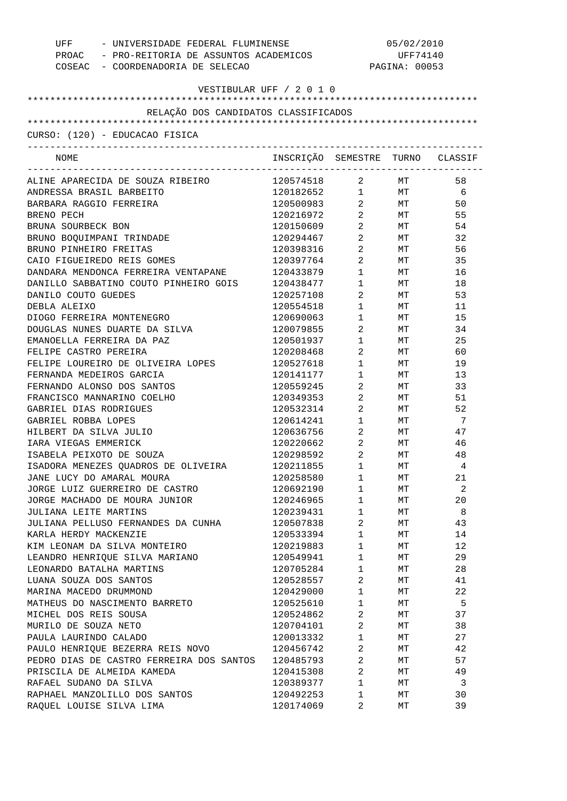| UFF - UNIVERSIDADE FEDERAL FLUMINENSE<br>PROAC - PRO-REITORIA DE ASSUNTOS ACADEMICOS<br>COSEAC - COORDENADORIA DE SELECAO |                                  | 05/02/2010<br>UFF74140<br>PAGINA: 00053 |                 |     |
|---------------------------------------------------------------------------------------------------------------------------|----------------------------------|-----------------------------------------|-----------------|-----|
| VESTIBULAR UFF / 2 0 1 0                                                                                                  |                                  |                                         |                 |     |
|                                                                                                                           |                                  |                                         |                 |     |
| RELAÇÃO DOS CANDIDATOS CLASSIFICADOS                                                                                      |                                  |                                         |                 |     |
|                                                                                                                           |                                  |                                         |                 |     |
| CURSO: (120) - EDUCACAO FISICA                                                                                            |                                  |                                         |                 |     |
| NOME                                                                                                                      | INSCRIÇÃO SEMESTRE TURNO CLASSIF |                                         |                 |     |
| ALINE APARECIDA DE SOUZA RIBEIRO                                                                                          | 120574518                        |                                         | 2 MT            | 58  |
| ANDRESSA BRASIL BARBEITO                                                                                                  | $120182652$ 1 MT 6               |                                         |                 |     |
| BARBARA RAGGIO FERREIRA                                                                                                   | 120500983                        |                                         | 2 MT            | 50  |
| BRENO PECH                                                                                                                | 120216972                        | $\overline{2}$                          | <b>MT</b>       | 55  |
| BRUNA SOURBECK BON                                                                                                        | 120150609 2                      |                                         | <b>MT</b>       | 54  |
| BRUNO BOQUIMPANI TRINDADE                                                                                                 | 120294467                        | $\overline{2}$                          | <b>MT</b>       | 32  |
| BRUNO PINHEIRO FREITAS                                                                                                    | 120398316                        | $\overline{2}$                          | MT <sub>1</sub> | 56  |
| CAIO FIGUEIREDO REIS GOMES                                                                                                | 120397764                        | $\overline{2}$                          | <b>MT</b>       | 35  |
| DANDARA MENDONCA FERREIRA VENTAPANE                                                                                       | 120433879                        | $1 \quad \blacksquare$                  | MT <sub>1</sub> | 16  |
| DANILLO SABBATINO COUTO PINHEIRO GOIS                                                                                     | 120438477                        | $1 \quad \Box$                          | <b>MT</b>       | 18  |
| DANILO COUTO GUEDES                                                                                                       | 120257108                        | $\overline{2}$                          | <b>MT</b>       | 53  |
| DEBLA ALEIXO                                                                                                              | 120554518                        | $1 \quad \blacksquare$                  | <b>MT</b>       | 11  |
| DIOGO FERREIRA MONTENEGRO                                                                                                 | 120690063                        | $1 \quad \Box$                          | <b>MT</b>       | 15  |
| DOUGLAS NUNES DUARTE DA SILVA                                                                                             | 120079855                        | $\overline{2}$                          | <b>MT</b>       | 34  |
| EMANOELLA FERREIRA DA PAZ                                                                                                 | 120501937                        | $\mathbf 1$                             | <b>MT</b>       | 25  |
| FELIPE CASTRO PEREIRA                                                                                                     | 120208468                        | $\overline{2}$                          | MT              | 60  |
| FELIPE LOUREIRO DE OLIVEIRA LOPES                                                                                         | 120527618                        | $1 \qquad \qquad$                       | MT              | 19  |
| FERNANDA MEDEIROS GARCIA                                                                                                  | 120141177                        | $1 \quad \Box$                          | <b>MT</b>       | 13  |
| FERNANDO ALONSO DOS SANTOS                                                                                                | 120559245                        | $\overline{2}$                          | <b>MT</b>       | 33  |
| FRANCISCO MANNARINO COELHO                                                                                                | 120349353                        | $\overline{2}$                          | MT <sub>1</sub> | 51  |
| GABRIEL DIAS RODRIGUES                                                                                                    | 120532314                        | $\overline{2}$                          | MT <sub>1</sub> | 52  |
| GABRIEL ROBBA LOPES                                                                                                       | 120614241                        | $1 \quad \blacksquare$                  | MT              | - 7 |
| HILBERT DA SILVA JULIO                                                                                                    | 120636756                        | $\overline{2}$                          | MT              | 47  |
| IARA VIEGAS EMMERICK                                                                                                      | 120220662                        | $\overline{2}$                          | MT              | 46  |
| ISABELA PEIXOTO DE SOUZA                                                                                                  | 120298592                        | $\overline{2}$                          | МT              | 48  |
| ISADORA MENEZES QUADROS DE OLIVEIRA                                                                                       | 120211855                        | 1                                       | МT              | 4   |
| JANE LUCY DO AMARAL MOURA                                                                                                 | 120258580                        | 1                                       | МT              | 21  |
| JORGE LUIZ GUERREIRO DE CASTRO                                                                                            | 120692190                        | $\mathbf 1$                             | МT              | 2   |
| JORGE MACHADO DE MOURA JUNIOR                                                                                             | 120246965                        | $\mathbf 1$                             | МT              | 20  |
| JULIANA LEITE MARTINS                                                                                                     | 120239431                        | $\mathbf 1$                             | МT              | 8   |
| JULIANA PELLUSO FERNANDES DA CUNHA                                                                                        | 120507838                        | 2                                       | МT              | 43  |
| KARLA HERDY MACKENZIE                                                                                                     |                                  | 1                                       |                 |     |
| KIM LEONAM DA SILVA MONTEIRO                                                                                              | 120533394                        |                                         | МT              | 14  |
|                                                                                                                           | 120219883                        | $\mathbf 1$                             | МT              | 12  |
| LEANDRO HENRIQUE SILVA MARIANO                                                                                            | 120549941                        | $\mathbf{1}$                            | МT              | 29  |
| LEONARDO BATALHA MARTINS                                                                                                  | 120705284                        | $\mathbf 1$                             | МT              | 28  |
| LUANA SOUZA DOS SANTOS                                                                                                    | 120528557                        | 2                                       | МT              | 41  |
| MARINA MACEDO DRUMMOND                                                                                                    | 120429000                        | $\mathbf 1$                             | МT              | 22  |
| MATHEUS DO NASCIMENTO BARRETO                                                                                             | 120525610                        | $\mathbf{1}$                            | МT              | 5   |
| MICHEL DOS REIS SOUSA                                                                                                     | 120524862                        | $\overline{a}$                          | МT              | 37  |
| MURILO DE SOUZA NETO                                                                                                      | 120704101                        | $\overline{a}$                          | МT              | 38  |
| PAULA LAURINDO CALADO                                                                                                     | 120013332                        | $\mathbf 1$                             | МT              | 27  |
| PAULO HENRIQUE BEZERRA REIS NOVO                                                                                          | 120456742                        | $\overline{a}$                          | МT              | 42  |
| PEDRO DIAS DE CASTRO FERREIRA DOS SANTOS                                                                                  | 120485793                        | $\overline{a}$                          | МT              | 57  |
| PRISCILA DE ALMEIDA KAMEDA                                                                                                | 120415308                        | 2                                       | МT              | 49  |
| RAFAEL SUDANO DA SILVA                                                                                                    | 120389377                        | $\mathbf 1$                             | МT              | 3   |
| RAPHAEL MANZOLILLO DOS SANTOS                                                                                             | 120492253                        | 1                                       | МT              | 30  |
| RAQUEL LOUISE SILVA LIMA                                                                                                  | 120174069                        | 2                                       | МT              | 39  |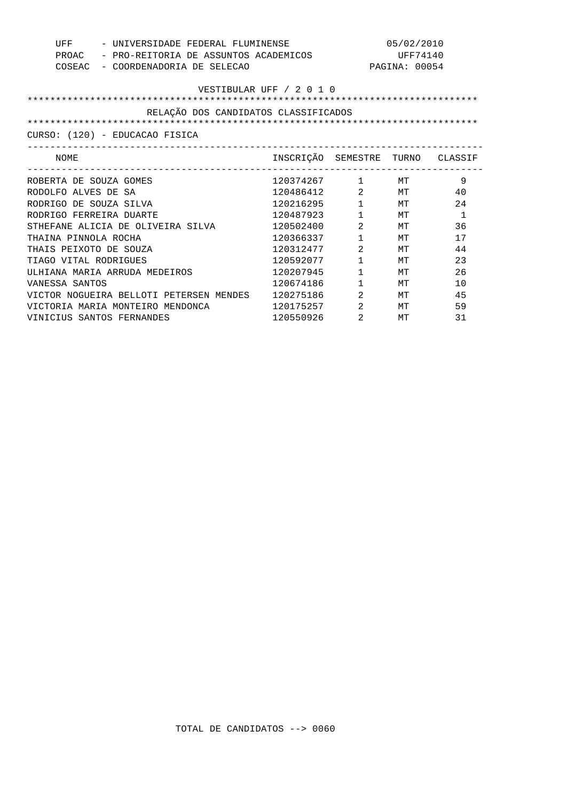| UFF<br>- UNIVERSIDADE FEDERAL FLUMINENSE<br>PROAC<br>- PRO-REITORIA DE ASSUNTOS ACADEMICOS<br>COSEAC - COORDENADORIA DE SELECAO | 05/02/2010<br>UFF74140<br>PAGINA: 00054<br>VESTIBULAR UFF / 2 0 1 0 |                                |        |              |
|---------------------------------------------------------------------------------------------------------------------------------|---------------------------------------------------------------------|--------------------------------|--------|--------------|
| RELAÇÃO DOS CANDIDATOS CLASSIFICADOS                                                                                            |                                                                     |                                |        |              |
| CURSO: (120) - EDUCACAO FISICA                                                                                                  |                                                                     |                                |        |              |
| NOME                                                                                                                            | INSCRIÇÃO SEMESTRE TURNO CLASSIF                                    |                                |        |              |
| ROBERTA DE SOUZA GOMES                                                                                                          | 120374267 1 MT                                                      |                                |        | 9            |
| RODOLFO ALVES DE SA                                                                                                             | 120486412                                                           |                                | $2$ MT | 40           |
| RODRIGO DE SOUZA SILVA                                                                                                          | 120216295                                                           | $1 \quad \blacksquare$         | MТ     | 24           |
| RODRIGO FERREIRA DUARTE                                                                                                         | 120487923                                                           | $\mathbf{1}$                   | MТ     | $\mathbf{1}$ |
| STHEFANE ALICIA DE OLIVEIRA SILVA                                                                                               | 120502400                                                           | 2                              | MТ     | 36           |
| THAINA PINNOLA ROCHA                                                                                                            | 120366337                                                           | $\mathbf{1}$                   | МT     | 17           |
| THAIS PEIXOTO DE SOUZA                                                                                                          | 120312477                                                           | 2                              | MТ     | 44           |
| TIAGO VITAL RODRIGUES                                                                                                           | 120592077                                                           | $\mathbf{1}$                   | MТ     | 23           |
| ULHIANA MARIA ARRUDA MEDEIROS                                                                                                   | 120207945                                                           | $1 \quad \blacksquare$         | MТ     | 2.6          |
| VANESSA SANTOS                                                                                                                  | 120674186                                                           | $\mathbf{1}$                   | MТ     | 10           |
| VICTOR NOGUEIRA BELLOTI PETERSEN MENDES 120275186                                                                               |                                                                     | $2 \left( \frac{1}{2} \right)$ | MТ     | 45           |
| VICTORIA MARIA MONTEIRO MENDONCA                                                                                                | 120175257                                                           | 2                              | МT     | 59           |
| VINICIUS SANTOS FERNANDES                                                                                                       | 120550926                                                           | 2                              | МT     | 31           |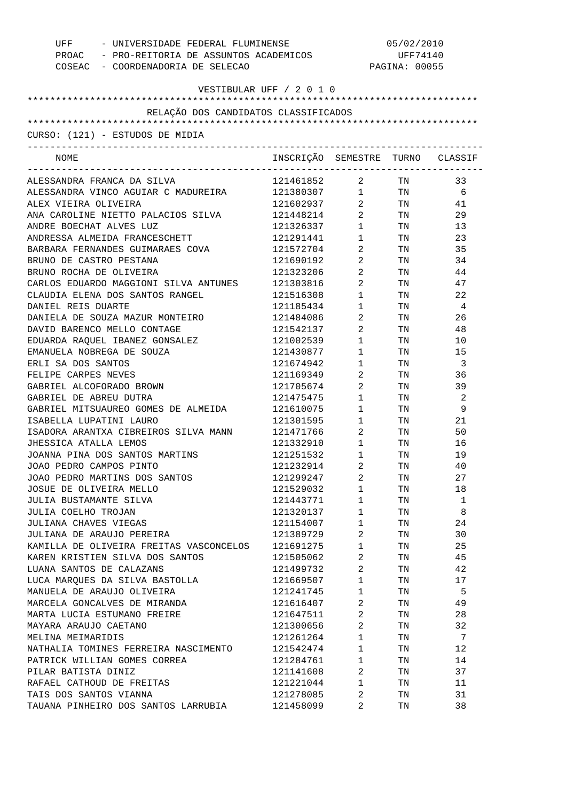| UFF<br>- UNIVERSIDADE FEDERAL FLUMINENSE<br>PROAC - PRO-REITORIA DE ASSUNTOS ACADEMICOS<br>COSEAC - COORDENADORIA DE SELECAO |                                  | 05/02/2010<br>UFF74140<br>PAGINA: 00055 |                                                                                                                                                                                                                                |      |
|------------------------------------------------------------------------------------------------------------------------------|----------------------------------|-----------------------------------------|--------------------------------------------------------------------------------------------------------------------------------------------------------------------------------------------------------------------------------|------|
|                                                                                                                              | VESTIBULAR UFF / 2 0 1 0         |                                         |                                                                                                                                                                                                                                |      |
|                                                                                                                              |                                  |                                         |                                                                                                                                                                                                                                |      |
| RELAÇÃO DOS CANDIDATOS CLASSIFICADOS                                                                                         |                                  |                                         |                                                                                                                                                                                                                                |      |
|                                                                                                                              |                                  |                                         |                                                                                                                                                                                                                                |      |
| CURSO: (121) - ESTUDOS DE MIDIA                                                                                              |                                  |                                         |                                                                                                                                                                                                                                |      |
| NOME                                                                                                                         | INSCRIÇÃO SEMESTRE TURNO CLASSIF |                                         |                                                                                                                                                                                                                                |      |
| ALESSANDRA FRANCA DA SILVA                                                                                                   | 121461852                        | $\overline{a}$                          | TN 97                                                                                                                                                                                                                          | 33   |
| ALESSANDRA VINCO AGUIAR C MADUREIRA                                                                                          | 121380307 1                      |                                         |                                                                                                                                                                                                                                | TN 6 |
| ALEX VIEIRA OLIVEIRA                                                                                                         | 121602937                        | $\overline{2}$                          | TN TW                                                                                                                                                                                                                          | 41   |
| ANA CAROLINE NIETTO PALACIOS SILVA                                                                                           | 121448214                        | $\overline{2}$                          | TN                                                                                                                                                                                                                             | 29   |
| ANDRE BOECHAT ALVES LUZ                                                                                                      | 121326337                        | $1 \quad \Box$                          | TN 97                                                                                                                                                                                                                          | 13   |
| ANDRESSA ALMEIDA FRANCESCHETT                                                                                                | 121291441                        | $1 \quad \Box$                          | TN 97                                                                                                                                                                                                                          | 23   |
| BARBARA FERNANDES GUIMARAES COVA                                                                                             | 121572704                        | $\overline{2}$                          | TN 97                                                                                                                                                                                                                          | 35   |
| BRUNO DE CASTRO PESTANA                                                                                                      | 121690192                        | $\overline{2}$                          | TN 97                                                                                                                                                                                                                          | 34   |
| BRUNO ROCHA DE OLIVEIRA                                                                                                      | 121323206                        | $\overline{2}$                          | TN                                                                                                                                                                                                                             | 44   |
| CARLOS EDUARDO MAGGIONI SILVA ANTUNES                                                                                        | 121303816                        | $\overline{2}$                          | TN TW                                                                                                                                                                                                                          | 47   |
| CLAUDIA ELENA DOS SANTOS RANGEL                                                                                              | 121516308                        | $1 \quad \Box$                          | TN TW                                                                                                                                                                                                                          | 22   |
| DANIEL REIS DUARTE                                                                                                           | 121185434                        | $1 \qquad \qquad$                       |                                                                                                                                                                                                                                | TN 4 |
| DANIELA DE SOUZA MAZUR MONTEIRO                                                                                              | 121484086                        | $\overline{2}$                          | TN FOR THE TEST OF THE TEST OF THE TEST OF THE TEST OF THE TEST OF THE TEST OF THE TEST OF THE TEST OF THE TEST OF THE TEST OF THE TEST OF THE TEST OF THE TEST OF THE TEST OF THE TEST OF THE TEST OF THE TEST OF THE TEST OF | 26   |
| DAVID BARENCO MELLO CONTAGE                                                                                                  | 121542137                        | $\overline{2}$                          | TN 97                                                                                                                                                                                                                          | 48   |
| EDUARDA RAQUEL IBANEZ GONSALEZ                                                                                               | 121002539                        | $1 \quad \Box$                          | TN TW                                                                                                                                                                                                                          | 10   |
| EMANUELA NOBREGA DE SOUZA                                                                                                    | 121430877                        | $1 \qquad \qquad$                       | TN 97                                                                                                                                                                                                                          | 15   |
| ERLI SA DOS SANTOS                                                                                                           | 121674942                        | $1 \quad \Box$                          | TN TW                                                                                                                                                                                                                          | -3   |
| FELIPE CARPES NEVES                                                                                                          | 121169349                        | $\overline{2}$                          | TN TW                                                                                                                                                                                                                          | 36   |
| GABRIEL ALCOFORADO BROWN                                                                                                     | 121705674                        | $\overline{2}$                          | TN 2002                                                                                                                                                                                                                        | 39   |
| GABRIEL DE ABREU DUTRA                                                                                                       | 121475475                        | $1 \quad \Box$                          | TN                                                                                                                                                                                                                             | 2    |
| GABRIEL MITSUAUREO GOMES DE ALMEIDA                                                                                          | 121610075                        | $1 \quad \Box$                          | TN TW                                                                                                                                                                                                                          | 9    |
| ISABELLA LUPATINI LAURO                                                                                                      | 121301595                        | $1 \qquad \qquad$                       | TN TW                                                                                                                                                                                                                          | 21   |
| ISADORA ARANTXA CIBREIROS SILVA MANN                                                                                         | 121471766                        | $\overline{2}$                          | TN FOR THE THE TEST OF THE TEST OF THE TEST OF THE TEST OF THE TEST OF THE TEST OF THE TEST OF THE TEST OF THE                                                                                                                 | 50   |
| JHESSICA ATALLA LEMOS                                                                                                        | 121332910                        | $1 \quad \blacksquare$                  | TN                                                                                                                                                                                                                             | 16   |
| JOANNA PINA DOS SANTOS MARTINS                                                                                               | 121251532                        | $\mathbf{1}$                            | TN                                                                                                                                                                                                                             | 19   |
| JOAO PEDRO CAMPOS PINTO                                                                                                      | 121232914                        | 2                                       | TN                                                                                                                                                                                                                             | 40   |
| JOAO PEDRO MARTINS DOS SANTOS                                                                                                | 121299247                        | 2                                       | TN                                                                                                                                                                                                                             | 27   |
| JOSUE DE OLIVEIRA MELLO                                                                                                      | 121529032                        | 1                                       | TN                                                                                                                                                                                                                             | 18   |
| JULIA BUSTAMANTE SILVA                                                                                                       | 121443771                        | 1                                       | TN                                                                                                                                                                                                                             | 1    |
| JULIA COELHO TROJAN                                                                                                          | 121320137                        | 1                                       | TN                                                                                                                                                                                                                             | 8    |
| JULIANA CHAVES VIEGAS                                                                                                        | 121154007                        | 1                                       | TN                                                                                                                                                                                                                             | 24   |
| JULIANA DE ARAUJO PEREIRA                                                                                                    | 121389729                        | 2                                       | TN                                                                                                                                                                                                                             | 30   |
| KAMILLA DE OLIVEIRA FREITAS VASCONCELOS                                                                                      | 121691275                        | 1                                       | TN                                                                                                                                                                                                                             | 25   |
| KAREN KRISTIEN SILVA DOS SANTOS                                                                                              | 121505062                        | 2                                       | TN                                                                                                                                                                                                                             | 45   |
| LUANA SANTOS DE CALAZANS                                                                                                     | 121499732                        | 2                                       | TN                                                                                                                                                                                                                             | 42   |
| LUCA MARQUES DA SILVA BASTOLLA                                                                                               | 121669507                        | $\mathbf 1$                             | TN                                                                                                                                                                                                                             | 17   |
|                                                                                                                              |                                  |                                         |                                                                                                                                                                                                                                | 5    |
| MANUELA DE ARAUJO OLIVEIRA                                                                                                   | 121241745                        | 1<br>2                                  | TN                                                                                                                                                                                                                             |      |
| MARCELA GONCALVES DE MIRANDA                                                                                                 | 121616407                        |                                         | TN                                                                                                                                                                                                                             | 49   |
| MARTA LUCIA ESTUMANO FREIRE                                                                                                  | 121647511                        | 2                                       | TN                                                                                                                                                                                                                             | 28   |
| MAYARA ARAUJO CAETANO                                                                                                        | 121300656                        | 2                                       | TN                                                                                                                                                                                                                             | 32   |
| MELINA MEIMARIDIS                                                                                                            | 121261264                        | 1                                       | TN                                                                                                                                                                                                                             | 7    |
| NATHALIA TOMINES FERREIRA NASCIMENTO                                                                                         | 121542474                        | 1                                       | TN                                                                                                                                                                                                                             | 12   |
| PATRICK WILLIAN GOMES CORREA                                                                                                 | 121284761                        | 1                                       | TN                                                                                                                                                                                                                             | 14   |
| PILAR BATISTA DINIZ                                                                                                          | 121141608                        | 2                                       | TN                                                                                                                                                                                                                             | 37   |
| RAFAEL CATHOUD DE FREITAS                                                                                                    | 121221044                        | $\mathbf{1}$                            | TN                                                                                                                                                                                                                             | 11   |
| TAIS DOS SANTOS VIANNA                                                                                                       | 121278085                        | 2                                       | TN                                                                                                                                                                                                                             | 31   |
| TAUANA PINHEIRO DOS SANTOS LARRUBIA                                                                                          | 121458099                        | 2                                       | TN                                                                                                                                                                                                                             | 38   |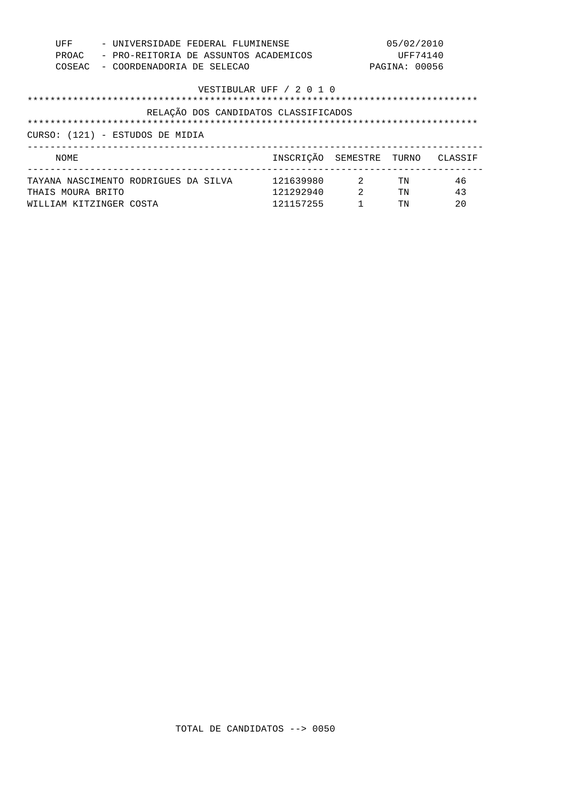| UFF<br>PROAC<br>COSEAC                                                                              | - UNIVERSIDADE FEDERAL FLUMINENSE<br>- PRO-REITORIA DE ASSUNTOS ACADEMICOS<br>- COORDENADORIA DE SELECAO |                                     |                                 | 05/02/2010<br>UFF74140<br>PAGINA: 00056 |                |
|-----------------------------------------------------------------------------------------------------|----------------------------------------------------------------------------------------------------------|-------------------------------------|---------------------------------|-----------------------------------------|----------------|
| VESTIBULAR UFF / 2 0 1 0<br>RELAÇÃO DOS CANDIDATOS CLASSIFICADOS<br>CURSO: (121) - ESTUDOS DE MIDIA |                                                                                                          |                                     |                                 |                                         |                |
| NOME                                                                                                |                                                                                                          | INSCRIÇÃO SEMESTRE                  |                                 | TURNO                                   | CLASSIF        |
| THAIS MOURA BRITO                                                                                   | TAYANA NASCIMENTO RODRIGUES DA SILVA<br>WILLIAM KITZINGER COSTA                                          | 121639980<br>121292940<br>121157255 | $\overline{2}$<br>$\mathcal{L}$ | TN<br>TN<br>TN                          | 46<br>43<br>20 |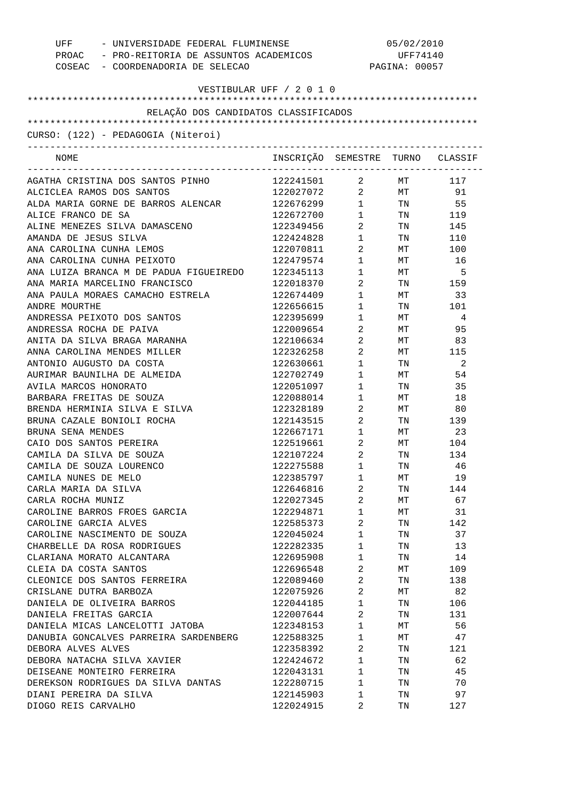| UFF<br>- UNIVERSIDADE FEDERAL FLUMINENSE<br>PROAC - PRO-REITORIA DE ASSUNTOS ACADEMICOS<br>COSEAC - COORDENADORIA DE SELECAO |                                  | 05/02/2010<br>UFF74140<br>PAGINA: 00057 |                 |               |
|------------------------------------------------------------------------------------------------------------------------------|----------------------------------|-----------------------------------------|-----------------|---------------|
| VESTIBULAR UFF / 2 0 1 0                                                                                                     |                                  |                                         |                 |               |
|                                                                                                                              |                                  |                                         |                 |               |
| RELAÇÃO DOS CANDIDATOS CLASSIFICADOS                                                                                         |                                  |                                         |                 |               |
|                                                                                                                              |                                  |                                         |                 |               |
| CURSO: (122) - PEDAGOGIA (Niteroi)                                                                                           |                                  |                                         |                 |               |
| NOME                                                                                                                         | INSCRIÇÃO SEMESTRE TURNO CLASSIF | ___________________________             |                 |               |
| AGATHA CRISTINA DOS SANTOS PINHO                                                                                             | 122241501                        | $\overline{a}$                          | MT <sub>1</sub> | 117           |
| ALCICLEA RAMOS DOS SANTOS                                                                                                    | 122027072 2 MT 91                |                                         |                 |               |
| ALDA MARIA GORNE DE BARROS ALENCAR                                                                                           | 122676299 1 TN 55                |                                         |                 |               |
| ALICE FRANCO DE SA                                                                                                           | $122672700$ 1 TN 119             |                                         |                 |               |
| ALINE MENEZES SILVA DAMASCENO                                                                                                | 122349456                        | $\overline{2}$                          |                 | TN 145        |
| AMANDA DE JESUS SILVA                                                                                                        | 122424828                        | $1 \quad \blacksquare$                  |                 | TN 110        |
| ANA CAROLINA CUNHA LEMOS                                                                                                     | 122070811                        | $\overline{2}$                          |                 | MT 100        |
| ANA CAROLINA CUNHA PEIXOTO                                                                                                   | 122479574                        | $1 \quad \blacksquare$                  | MT              | 16            |
| ANA LUIZA BRANCA M DE PADUA FIGUEIREDO                                                                                       | 122345113                        | $1$ – $\qquad$                          | MT              | 5             |
| ANA MARIA MARCELINO FRANCISCO                                                                                                | 122018370                        | $\overline{a}$                          |                 | TN 159        |
| ANA PAULA MORAES CAMACHO ESTRELA                                                                                             | 122674409                        | $1 \qquad \qquad$                       |                 | $MT$ 33       |
| ANDRE MOURTHE                                                                                                                | 122656615                        | $1 \quad \blacksquare$                  | TN              | 101           |
| ANDRESSA PEIXOTO DOS SANTOS                                                                                                  | 122395699                        | $1 \quad \blacksquare$                  | MT              | $\frac{4}{3}$ |
| ANDRESSA ROCHA DE PAIVA                                                                                                      | 122009654                        | $\overline{2}$                          | <b>MT</b>       | 95            |
| ANITA DA SILVA BRAGA MARANHA                                                                                                 | 122106634                        | $\overline{a}$                          |                 | MT 83         |
| ANNA CAROLINA MENDES MILLER                                                                                                  | 122326258                        | $\overline{2}$                          |                 | MT 115        |
| ANTONIO AUGUSTO DA COSTA                                                                                                     | 122630661                        | $1 \qquad \qquad$                       | TN TW           | -2            |
| AURIMAR BAUNILHA DE ALMEIDA                                                                                                  | 122702749                        | $1 \quad \blacksquare$                  | <b>MT</b>       | 54            |
| AVILA MARCOS HONORATO                                                                                                        | 122051097                        | $\mathbf 1$                             | TN TW           | 35            |
| BARBARA FREITAS DE SOUZA                                                                                                     | 122088014                        | $1 \quad \blacksquare$                  | <b>MT</b>       | 18            |
| BRENDA HERMINIA SILVA E SILVA                                                                                                | 122328189                        | $\overline{2}$                          | MT              | 80            |
| BRUNA CAZALE BONIOLI ROCHA                                                                                                   | 122143515                        | $\overline{a}$                          |                 | TN 139        |
| BRUNA SENA MENDES                                                                                                            | 122667171                        | $1 \quad \blacksquare$                  |                 | MT 23         |
| CAIO DOS SANTOS PEREIRA                                                                                                      | 122519661                        | $\overline{2}$                          | MT <sub>1</sub> | 104           |
| CAMILA DA SILVA DE SOUZA                                                                                                     | 122107224                        | $\overline{2}$                          | TN              | 134           |
| CAMILA DE SOUZA LOURENCO                                                                                                     | 122275588                        | 1                                       | TN              | 46            |
| CAMILA NUNES DE MELO                                                                                                         | 122385797                        | 1                                       | МT              | 19            |
| CARLA MARIA DA SILVA                                                                                                         | 122646816                        | 2                                       | TN              | 144           |
| CARLA ROCHA MUNIZ                                                                                                            | 122027345                        | 2                                       | МT              | 67            |
| CAROLINE BARROS FROES GARCIA                                                                                                 | 122294871                        | 1                                       | МT              | 31            |
| CAROLINE GARCIA ALVES                                                                                                        | 122585373                        | 2                                       | TN              | 142           |
| CAROLINE NASCIMENTO DE SOUZA                                                                                                 | 122045024                        | 1                                       | TN              | 37            |
| CHARBELLE DA ROSA RODRIGUES                                                                                                  | 122282335                        | 1                                       | TN              | 13            |
| CLARIANA MORATO ALCANTARA                                                                                                    | 122695908                        | $\mathbf{1}$                            | TN              | 14            |
|                                                                                                                              |                                  | 2                                       |                 |               |
| CLEIA DA COSTA SANTOS                                                                                                        | 122696548                        |                                         | МT              | 109           |
| CLEONICE DOS SANTOS FERREIRA                                                                                                 | 122089460                        | 2                                       | TN              | 138           |
| CRISLANE DUTRA BARBOZA                                                                                                       | 122075926                        | 2                                       | МT              | 82            |
| DANIELA DE OLIVEIRA BARROS                                                                                                   | 122044185                        | 1                                       | TN              | 106           |
| DANIELA FREITAS GARCIA                                                                                                       | 122007644                        | 2                                       | TN              | 131           |
| DANIELA MICAS LANCELOTTI JATOBA                                                                                              | 122348153                        | $\mathbf{1}$                            | МT              | 56            |
| DANUBIA GONCALVES PARREIRA SARDENBERG                                                                                        | 122588325                        | 1                                       | МT              | 47            |
| DEBORA ALVES ALVES                                                                                                           | 122358392                        | 2                                       | TN              | 121           |
| DEBORA NATACHA SILVA XAVIER                                                                                                  | 122424672                        | 1                                       | TN              | 62            |
| DEISEANE MONTEIRO FERREIRA                                                                                                   | 122043131                        | 1                                       | TN              | 45            |
| DEREKSON RODRIGUES DA SILVA DANTAS                                                                                           | 122280715                        | 1                                       | TN              | 70            |
| DIANI PEREIRA DA SILVA                                                                                                       | 122145903                        | 1                                       | TN              | 97            |
| DIOGO REIS CARVALHO                                                                                                          | 122024915                        | 2                                       | TN              | 127           |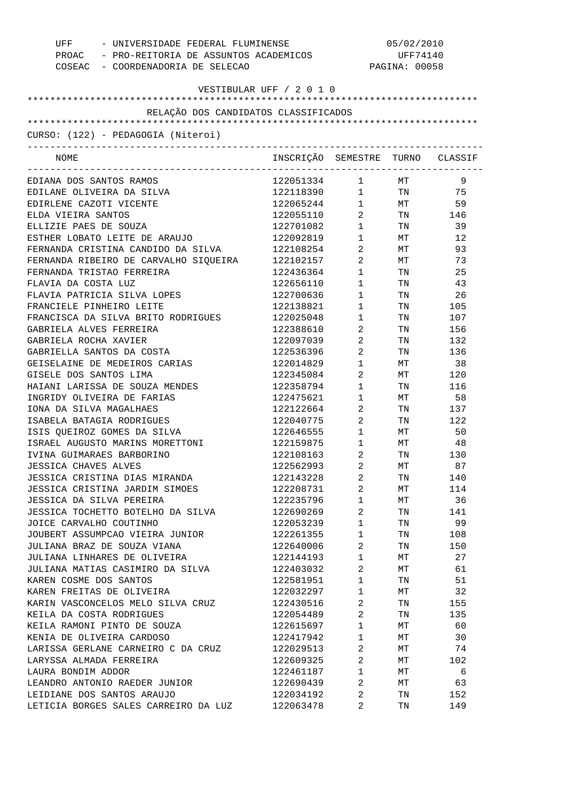| UFF - UNIVERSIDADE FEDERAL FLUMINENSE<br>PROAC - PRO-REITORIA DE ASSUNTOS ACADEMICOS<br>COSEAC - COORDENADORIA DE SELECAO |                                  | 05/02/2010<br>UFF74140<br>PAGINA: 00058 |                                                                                                                |     |
|---------------------------------------------------------------------------------------------------------------------------|----------------------------------|-----------------------------------------|----------------------------------------------------------------------------------------------------------------|-----|
| VESTIBULAR UFF / 2 0 1 0                                                                                                  |                                  |                                         |                                                                                                                |     |
|                                                                                                                           |                                  |                                         |                                                                                                                |     |
| RELAÇÃO DOS CANDIDATOS CLASSIFICADOS                                                                                      |                                  |                                         |                                                                                                                |     |
| CURSO: (122) - PEDAGOGIA (Niteroi)                                                                                        |                                  |                                         |                                                                                                                |     |
| NOME                                                                                                                      | INSCRIÇÃO SEMESTRE TURNO CLASSIF |                                         |                                                                                                                |     |
| EDIANA DOS SANTOS RAMOS                                                                                                   | 122051334 1 MT                   |                                         |                                                                                                                | 9   |
| EDILANE OLIVEIRA DA SILVA                                                                                                 | 122118390 1 TN                   |                                         |                                                                                                                | 75  |
| EDIRLENE CAZOTI VICENTE                                                                                                   | 122065244                        |                                         | 1 MT                                                                                                           | 59  |
| ELDA VIEIRA SANTOS                                                                                                        | 122055110                        |                                         | 2 TN 146                                                                                                       |     |
| ELLIZIE PAES DE SOUZA                                                                                                     | 122701082                        | $1 \quad \blacksquare$                  | TN 97                                                                                                          | 39  |
| ESTHER LOBATO LEITE DE ARAUJO                                                                                             | 122092819                        | $1 \quad \blacksquare$                  | MT                                                                                                             | 12  |
| FERNANDA CRISTINA CANDIDO DA SILVA                                                                                        | 122108254                        | $\overline{2}$                          | MT                                                                                                             | 93  |
| FERNANDA RIBEIRO DE CARVALHO SIQUEIRA                                                                                     | 122102157                        | $2 \left( \frac{1}{2} \right)$          | MT                                                                                                             | 73  |
| FERNANDA TRISTAO FERREIRA                                                                                                 | 122436364                        | $1 \quad \blacksquare$                  | TN FOR THE THE TEST OF THE TEST OF THE TEST OF THE TEST OF THE TEST OF THE TEST OF THE TEST OF THE TEST OF THE | 25  |
| FLAVIA DA COSTA LUZ                                                                                                       | 122656110                        | $1 \quad \blacksquare$                  | TN TW                                                                                                          | 43  |
| FLAVIA PATRICIA SILVA LOPES                                                                                               | 122700636                        | $1 \quad \blacksquare$                  | TN FOR THE THE TEST OF THE TEST OF THE TEST OF THE TEST OF THE TEST OF THE TEST OF THE TEST OF THE TEST OF THE | 26  |
| FRANCIELE PINHEIRO LEITE                                                                                                  | 122138821                        | $1 \quad \blacksquare$                  | TN 2002                                                                                                        | 105 |
| FRANCISCA DA SILVA BRITO RODRIGUES                                                                                        | 122025048                        | $\mathbf 1$                             | TN                                                                                                             | 107 |
| GABRIELA ALVES FERREIRA                                                                                                   | 122388610                        | $\overline{a}$                          | TN                                                                                                             | 156 |
| GABRIELA ROCHA XAVIER                                                                                                     | 122097039                        | $2 \left( \frac{1}{2} \right)$          | TN                                                                                                             | 132 |
| GABRIELLA SANTOS DA COSTA                                                                                                 | 122536396                        | $\overline{2}$                          | TN                                                                                                             | 136 |
| GEISELAINE DE MEDEIROS CARIAS                                                                                             | 122014829                        | $\mathbf 1$                             | MT                                                                                                             | 38  |
| GISELE DOS SANTOS LIMA                                                                                                    | 122345084                        | $2 \left( \frac{1}{2} \right)$          | MT                                                                                                             | 120 |
| HAIANI LARISSA DE SOUZA MENDES                                                                                            | 122358794                        | $1 \quad \cdots$                        | TN                                                                                                             | 116 |
| INGRIDY OLIVEIRA DE FARIAS                                                                                                | 122475621                        | $\mathbf 1$                             | MT                                                                                                             | 58  |
| IONA DA SILVA MAGALHAES                                                                                                   | 122122664                        | $\overline{a}$                          | TN                                                                                                             | 137 |
| ISABELA BATAGIA RODRIGUES                                                                                                 | 122040775                        | $\overline{2}$                          | TN                                                                                                             | 122 |
| ISIS QUEIROZ GOMES DA SILVA                                                                                               | 122646555                        | $1 \quad \blacksquare$                  | MT                                                                                                             | 50  |
| ISRAEL AUGUSTO MARINS MORETTONI                                                                                           | 122159875                        | $\mathbf 1$                             | $\operatorname{MT}$                                                                                            | 48  |
| IVINA GUIMARAES BARBORINO                                                                                                 | 122108163                        | 2                                       | TN                                                                                                             | 130 |
| JESSICA CHAVES ALVES                                                                                                      | 122562993                        | 2                                       | MТ                                                                                                             | 87  |
| JESSICA CRISTINA DIAS MIRANDA                                                                                             | 122143228                        | 2                                       | TN                                                                                                             | 140 |
| JESSICA CRISTINA JARDIM SIMOES                                                                                            | 122208731                        | 2                                       | МT                                                                                                             | 114 |
| JESSICA DA SILVA PEREIRA                                                                                                  | 122235796                        | $\mathbf 1$                             | МT                                                                                                             | 36  |
| JESSICA TOCHETTO BOTELHO DA SILVA                                                                                         | 122690269                        | 2                                       | TN                                                                                                             | 141 |
| JOICE CARVALHO COUTINHO                                                                                                   | 122053239                        | $\mathbf 1$                             | TN                                                                                                             | 99  |
| JOUBERT ASSUMPCAO VIEIRA JUNIOR                                                                                           | 122261355                        | $\mathbf 1$                             | TN                                                                                                             | 108 |
| JULIANA BRAZ DE SOUZA VIANA                                                                                               | 122640006                        | 2                                       | TN                                                                                                             | 150 |
| JULIANA LINHARES DE OLIVEIRA                                                                                              | 122144193                        | $\mathbf 1$                             | МT                                                                                                             | 27  |
| JULIANA MATIAS CASIMIRO DA SILVA                                                                                          | 122403032                        | 2                                       | МT                                                                                                             | 61  |
| KAREN COSME DOS SANTOS                                                                                                    | 122581951                        | $\mathbf 1$                             | TN                                                                                                             | 51  |
| KAREN FREITAS DE OLIVEIRA                                                                                                 | 122032297                        | $\mathbf 1$                             | МT                                                                                                             | 32  |
| KARIN VASCONCELOS MELO SILVA CRUZ                                                                                         | 122430516                        | 2                                       | TN                                                                                                             | 155 |
| KEILA DA COSTA RODRIGUES                                                                                                  | 122054489                        | 2                                       | TN                                                                                                             | 135 |
| KEILA RAMONI PINTO DE SOUZA                                                                                               | 122615697                        | $\mathbf 1$                             | МT                                                                                                             | 60  |
| KENIA DE OLIVEIRA CARDOSO                                                                                                 | 122417942                        | $\mathbf 1$                             | МT                                                                                                             | 30  |
|                                                                                                                           |                                  | 2                                       |                                                                                                                |     |
| LARISSA GERLANE CARNEIRO C DA CRUZ                                                                                        | 122029513                        |                                         | МT                                                                                                             | 74  |
| LARYSSA ALMADA FERREIRA                                                                                                   | 122609325                        | 2                                       | МT                                                                                                             | 102 |
| LAURA BONDIM ADDOR                                                                                                        | 122461187                        | $\mathbf 1$                             | МT                                                                                                             | 6   |
| LEANDRO ANTONIO RAEDER JUNIOR                                                                                             | 122690439                        | 2                                       | МT                                                                                                             | 63  |
| LEIDIANE DOS SANTOS ARAUJO                                                                                                | 122034192                        | 2                                       | TN                                                                                                             | 152 |
| LETICIA BORGES SALES CARREIRO DA LUZ                                                                                      | 122063478                        | 2                                       | TN                                                                                                             | 149 |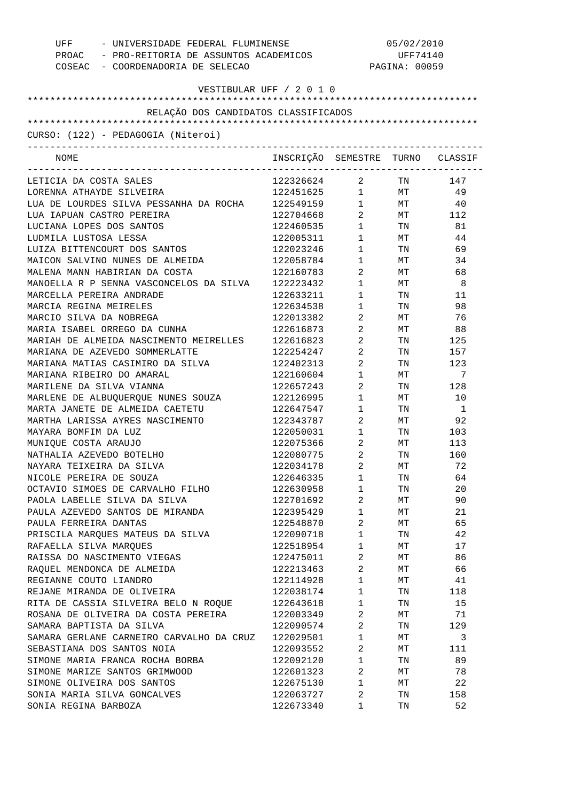| UFF - UNIVERSIDADE FEDERAL FLUMINENSE<br>PROAC - PRO-REITORIA DE ASSUNTOS ACADEMICOS<br>COSEAC - COORDENADORIA DE SELECAO |                                  | 05/02/2010<br>UFF74140<br>PAGINA: 00059 |                                                                                                                                                                                                                                |                |
|---------------------------------------------------------------------------------------------------------------------------|----------------------------------|-----------------------------------------|--------------------------------------------------------------------------------------------------------------------------------------------------------------------------------------------------------------------------------|----------------|
| VESTIBULAR UFF / 2 0 1 0                                                                                                  |                                  |                                         |                                                                                                                                                                                                                                |                |
| RELAÇÃO DOS CANDIDATOS CLASSIFICADOS                                                                                      |                                  |                                         |                                                                                                                                                                                                                                |                |
|                                                                                                                           |                                  |                                         |                                                                                                                                                                                                                                |                |
| CURSO: (122) - PEDAGOGIA (Niteroi)                                                                                        |                                  |                                         |                                                                                                                                                                                                                                |                |
| NOME                                                                                                                      | INSCRIÇÃO SEMESTRE TURNO CLASSIF |                                         |                                                                                                                                                                                                                                |                |
| LETICIA DA COSTA SALES                                                                                                    | 122326624 2                      |                                         |                                                                                                                                                                                                                                | TN 147         |
| LORENNA ATHAYDE SILVEIRA                                                                                                  | 122451625 1                      |                                         |                                                                                                                                                                                                                                | MT 49          |
| LUA DE LOURDES SILVA PESSANHA DA ROCHA                                                                                    | 122549159 1                      |                                         |                                                                                                                                                                                                                                | $MT$ 40        |
| LUA IAPUAN CASTRO PEREIRA                                                                                                 | 122704668                        | $2 \left( \frac{1}{2} \right)$          |                                                                                                                                                                                                                                | MT 112         |
| LUCIANA LOPES DOS SANTOS                                                                                                  | 122460535                        | $1 \qquad \qquad$                       | TN TW                                                                                                                                                                                                                          | 81             |
| LUDMILA LUSTOSA LESSA                                                                                                     | 122005311                        | $1 \quad \blacksquare$                  | MT                                                                                                                                                                                                                             | 44             |
| LUIZA BITTENCOURT DOS SANTOS                                                                                              | 122023246                        | $1 \quad \blacksquare$                  | TN TW                                                                                                                                                                                                                          | 69             |
| MAICON SALVINO NUNES DE ALMEIDA                                                                                           | 122058784                        | $1 \qquad \qquad$                       | MT                                                                                                                                                                                                                             | 34             |
| MALENA MANN HABIRIAN DA COSTA                                                                                             | 122160783                        | $\overline{2}$                          | MT <sub>1</sub>                                                                                                                                                                                                                | 68             |
| MANOELLA R P SENNA VASCONCELOS DA SILVA                                                                                   | 122223432                        | $1 \quad \blacksquare$                  | MT                                                                                                                                                                                                                             | -8             |
| MARCELLA PEREIRA ANDRADE                                                                                                  | 122633211                        | $1 \qquad \qquad$                       | TN FOR THE TEST OF THE TEST OF THE TEST OF THE TEST OF THE TEST OF THE TEST OF THE TEST OF THE TEST OF THE TEST OF THE TEST OF THE TEST OF THE TEST OF THE TEST OF THE TEST OF THE TEST OF THE TEST OF THE TEST OF THE TEST OF | 11             |
| MARCIA REGINA MEIRELES                                                                                                    | 122634538                        | $1 \qquad \qquad$                       | TN                                                                                                                                                                                                                             | 98             |
| MARCIO SILVA DA NOBREGA                                                                                                   | 122013382                        | $2 \left( \frac{1}{2} \right)$          | МT                                                                                                                                                                                                                             | 76             |
| MARIA ISABEL ORREGO DA CUNHA                                                                                              | 122616873                        | $2 \left( \frac{1}{2} \right)$          | МT                                                                                                                                                                                                                             | 88             |
| MARIAH DE ALMEIDA NASCIMENTO MEIRELLES                                                                                    | 122616823                        | $2 \left( \frac{1}{2} \right)$          | TN                                                                                                                                                                                                                             | 125            |
| MARIANA DE AZEVEDO SOMMERLATTE                                                                                            | 122254247                        | $2 \left( \frac{1}{2} \right)$          | TN                                                                                                                                                                                                                             | 157            |
| MARIANA MATIAS CASIMIRO DA SILVA                                                                                          | 122402313                        | $2 \left( \frac{1}{2} \right)$          | TN                                                                                                                                                                                                                             | 123            |
| MARIANA RIBEIRO DO AMARAL                                                                                                 | 122160604                        | $1 \quad \blacksquare$                  | МT                                                                                                                                                                                                                             | 7              |
| MARILENE DA SILVA VIANNA                                                                                                  | 122657243                        | $2 \left( \frac{1}{2} \right)$          | TN                                                                                                                                                                                                                             | 128            |
| MARLENE DE ALBUQUERQUE NUNES SOUZA                                                                                        | 122126995                        | $1 \quad \blacksquare$                  | МT                                                                                                                                                                                                                             | 10             |
| MARTA JANETE DE ALMEIDA CAETETU                                                                                           | 122647547<br>122343787           | $1 \qquad \qquad$                       | TN                                                                                                                                                                                                                             | $\overline{1}$ |
| MARTHA LARISSA AYRES NASCIMENTO<br>MAYARA BOMFIM DA LUZ                                                                   | 122050031 1                      | $\overline{2}$                          | <b>MT</b>                                                                                                                                                                                                                      | 92<br>103      |
| MUNIQUE COSTA ARAUJO                                                                                                      | 122075366                        | $2 \left( \frac{1}{2} \right)$          | TN FOR THE THE TEST OF THE TEST OF THE TEST OF THE TEST OF THE TEST OF THE TEST OF THE TEST OF THE TEST OF THE<br>МT                                                                                                           | 113            |
| NATHALIA AZEVEDO BOTELHO                                                                                                  | 122080775                        | 2                                       | TN                                                                                                                                                                                                                             | 160            |
| NAYARA TEIXEIRA DA SILVA                                                                                                  | 122034178                        | 2                                       |                                                                                                                                                                                                                                | 72             |
| NICOLE PEREIRA DE SOUZA                                                                                                   | 122646335                        | $\mathbf{1}$                            | MТ<br>TN                                                                                                                                                                                                                       | 64             |
| OCTAVIO SIMOES DE CARVALHO FILHO                                                                                          | 122630958                        | $\mathbf{1}$                            | TN                                                                                                                                                                                                                             | 20             |
| PAOLA LABELLE SILVA DA SILVA                                                                                              | 122701692                        | $\sqrt{2}$                              | ΜТ                                                                                                                                                                                                                             | 90             |
| PAULA AZEVEDO SANTOS DE MIRANDA                                                                                           | 122395429                        | $\mathbf{1}$                            | МT                                                                                                                                                                                                                             | 21             |
| PAULA FERREIRA DANTAS                                                                                                     | 122548870                        | $\sqrt{2}$                              | ΜТ                                                                                                                                                                                                                             | 65             |
| PRISCILA MARQUES MATEUS DA SILVA                                                                                          | 122090718                        | $\mathbf 1$                             | TN                                                                                                                                                                                                                             | 42             |
| RAFAELLA SILVA MARQUES                                                                                                    | 122518954                        | $\mathbf{1}$                            | ΜТ                                                                                                                                                                                                                             | 17             |
| RAISSA DO NASCIMENTO VIEGAS                                                                                               | 122475011                        | $\overline{2}$                          | МT                                                                                                                                                                                                                             | 86             |
| RAQUEL MENDONCA DE ALMEIDA                                                                                                | 122213463                        | 2                                       | МT                                                                                                                                                                                                                             | 66             |
| REGIANNE COUTO LIANDRO                                                                                                    | 122114928                        | $\mathbf{1}$                            | ΜТ                                                                                                                                                                                                                             | 41             |
| REJANE MIRANDA DE OLIVEIRA                                                                                                | 122038174                        | $\mathbf{1}$                            | TN                                                                                                                                                                                                                             | 118            |
| RITA DE CASSIA SILVEIRA BELO N ROQUE                                                                                      | 122643618                        | $\mathbf{1}$                            | TN                                                                                                                                                                                                                             | 15             |
| ROSANA DE OLIVEIRA DA COSTA PEREIRA                                                                                       | 122003349                        | $\overline{2}$                          | ΜТ                                                                                                                                                                                                                             | 71             |
| SAMARA BAPTISTA DA SILVA                                                                                                  | 122090574                        | $\sqrt{2}$                              | TN                                                                                                                                                                                                                             | 129            |
| SAMARA GERLANE CARNEIRO CARVALHO DA CRUZ                                                                                  | 122029501                        | $\mathbf{1}$                            | ΜТ                                                                                                                                                                                                                             | 3              |
| SEBASTIANA DOS SANTOS NOIA                                                                                                | 122093552                        | $\sqrt{2}$                              | ΜТ                                                                                                                                                                                                                             | 111            |
| SIMONE MARIA FRANCA ROCHA BORBA                                                                                           | 122092120                        | $\mathbf{1}$                            | TN                                                                                                                                                                                                                             | 89             |
| SIMONE MARIZE SANTOS GRIMWOOD                                                                                             | 122601323                        | $\sqrt{2}$                              | ΜТ                                                                                                                                                                                                                             | 78             |
| SIMONE OLIVEIRA DOS SANTOS                                                                                                | 122675130                        | $\mathbf 1$                             | ΜТ                                                                                                                                                                                                                             | 22             |
| SONIA MARIA SILVA GONCALVES                                                                                               | 122063727                        | 2                                       | TN                                                                                                                                                                                                                             | 158            |
| SONIA REGINA BARBOZA                                                                                                      | 122673340                        | $\mathbf 1$                             | TN                                                                                                                                                                                                                             | 52             |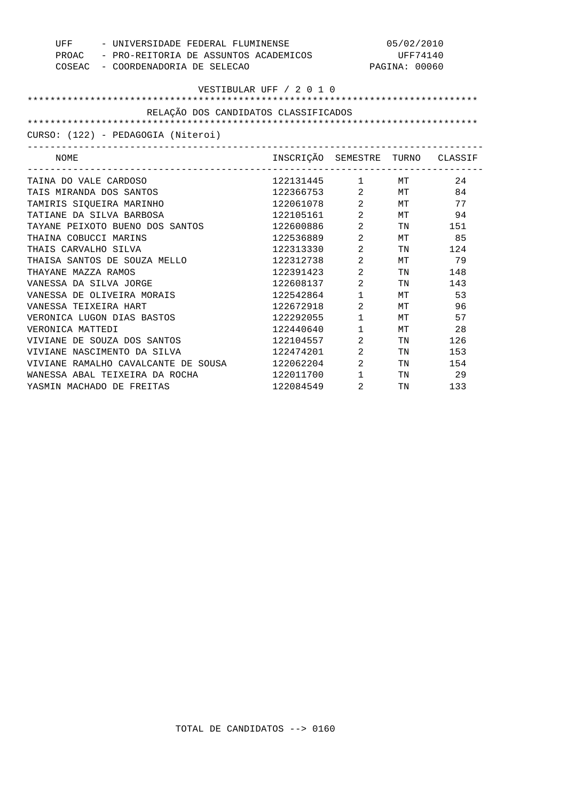| UFF - UNIVERSIDADE FEDERAL FLUMINENSE<br>PROAC - PRO-REITORIA DE ASSUNTOS ACADEMICOS<br>COSEAC - COORDENADORIA DE SELECAO |                                  |                                | 05/02/2010<br>UFF74140<br>PAGINA: 00060 |        |
|---------------------------------------------------------------------------------------------------------------------------|----------------------------------|--------------------------------|-----------------------------------------|--------|
| VESTIBULAR UFF / 2 0 1 0                                                                                                  |                                  |                                |                                         |        |
| RELAÇÃO DOS CANDIDATOS CLASSIFICADOS                                                                                      |                                  |                                |                                         |        |
|                                                                                                                           |                                  |                                |                                         |        |
| CURSO: (122) - PEDAGOGIA (Niteroi)                                                                                        |                                  |                                |                                         |        |
|                                                                                                                           |                                  |                                |                                         |        |
| NOME                                                                                                                      | INSCRIÇÃO SEMESTRE TURNO CLASSIF |                                |                                         |        |
| TAINA DO VALE CARDOSO                                                                                                     | 122131445 1 MT                   |                                |                                         | 2.4    |
| TAIS MIRANDA DOS SANTOS                                                                                                   | 122366753 2 MT                   |                                |                                         | 84     |
| TAMIRIS SIOUEIRA MARINHO                                                                                                  | 122061078 2 MT                   |                                |                                         | 77     |
| TATIANE DA SILVA BARBOSA                                                                                                  | 122105161 2 MT                   |                                |                                         | 94     |
| TAYANE PEIXOTO BUENO DOS SANTOS                                                                                           | 122600886                        | $\overline{2}$                 |                                         | TN 151 |
| THAINA COBUCCI MARINS                                                                                                     | 122536889                        | $\overline{2}$                 |                                         | MT 85  |
| THAIS CARVALHO SILVA                                                                                                      | 122313330                        | $\overline{2}$                 | TN TW                                   | 124    |
| THAISA SANTOS DE SOUZA MELLO                                                                                              | 122312738                        | $2 \left( \frac{1}{2} \right)$ |                                         | MT 79  |
| THAYANE MAZZA RAMOS                                                                                                       | 122391423                        | $2 \left( \frac{1}{2} \right)$ | TN 97                                   | 148    |
| VANESSA DA SILVA JORGE                                                                                                    | 122608137                        | $\overline{2}$                 | TN 97                                   | 143    |
| VANESSA DE OLIVEIRA MORAIS                                                                                                | 122542864                        | $1 \quad \blacksquare$         | MT                                      | 53     |
| VANESSA TEIXEIRA HART                                                                                                     | 122672918                        | $\overline{2}$                 | MT                                      | 96     |
| VERONICA LUGON DIAS BASTOS                                                                                                | 122292055                        | $1 \quad \Box$                 | MT                                      | 57     |
| VERONICA MATTEDI                                                                                                          | 122440640                        | $1 \quad \blacksquare$         | MT                                      | 28     |
| VIVIANE DE SOUZA DOS SANTOS                                                                                               | 122104557                        | $2 \left( \frac{1}{2} \right)$ | TN 97                                   | 126    |
| VIVIANE NASCIMENTO DA SILVA                                                                                               | 122474201                        | $\overline{2}$                 | TN TW                                   | 153    |
| VIVIANE RAMALHO CAVALCANTE DE SOUSA                                                                                       | 122062204                        | $\overline{2}$                 | TN TW                                   | 154    |
| WANESSA ABAL TEIXEIRA DA ROCHA                                                                                            | 122011700                        | $1 \qquad \qquad$              |                                         | TN 29  |
| YASMIN MACHADO DE FREITAS                                                                                                 | 122084549                        | 2                              | TN 97                                   | 133    |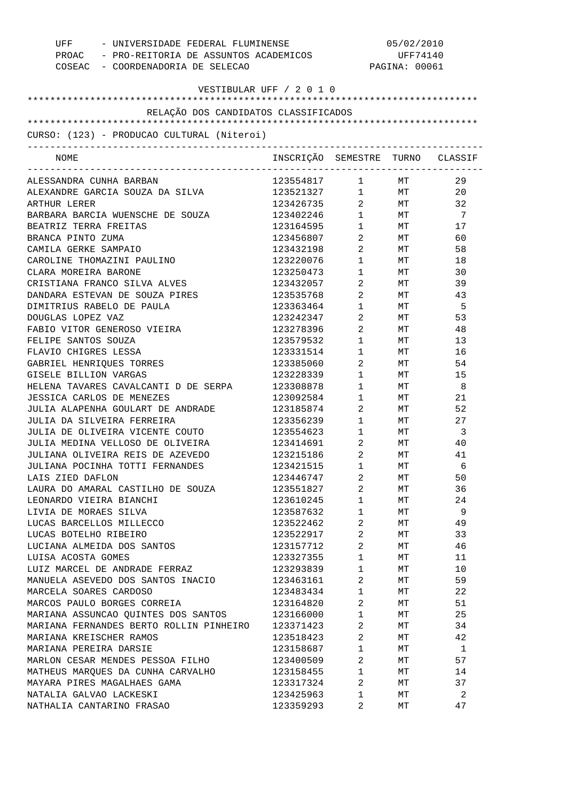| UFF - UNIVERSIDADE FEDERAL FLUMINENSE<br>PROAC - PRO-REITORIA DE ASSUNTOS ACADEMICOS<br>COSEAC - COORDENADORIA DE SELECAO |                                  | 05/02/2010<br>UFF74140<br>PAGINA: 00061          |           |           |
|---------------------------------------------------------------------------------------------------------------------------|----------------------------------|--------------------------------------------------|-----------|-----------|
| VESTIBULAR UFF / 2 0 1 0                                                                                                  |                                  |                                                  |           |           |
|                                                                                                                           |                                  |                                                  |           |           |
| RELAÇÃO DOS CANDIDATOS CLASSIFICADOS                                                                                      |                                  |                                                  |           |           |
| CURSO: (123) - PRODUCAO CULTURAL (Niteroi)                                                                                |                                  |                                                  |           |           |
| -----------------------------------                                                                                       |                                  |                                                  |           |           |
| NOME                                                                                                                      | INSCRIÇÃO SEMESTRE TURNO CLASSIF |                                                  |           |           |
| ALESSANDRA CUNHA BARBAN                                                                                                   | 123554817 1 MT                   |                                                  |           | 29        |
| ALEXANDRE GARCIA SOUZA DA SILVA                                                                                           | 123521327 1 MT                   |                                                  |           | 20        |
| ARTHUR LERER                                                                                                              | 123426735                        |                                                  | 2 MT      | 32        |
| BARBARA BARCIA WUENSCHE DE SOUZA                                                                                          | 123402246                        |                                                  | $1$ MT    | 7         |
| BEATRIZ TERRA FREITAS                                                                                                     | 123164595                        | $1 \qquad \qquad$                                | <b>MT</b> | 17        |
| BRANCA PINTO ZUMA                                                                                                         | 123456807                        | $\overline{2}$                                   | MT        | 60        |
| CAMILA GERKE SAMPAIO                                                                                                      | 123432198                        | $\overline{2}$                                   | MT        | 58        |
| CAROLINE THOMAZINI PAULINO                                                                                                | 123220076                        | $1 \quad \blacksquare$                           | MT        | 18        |
| CLARA MOREIRA BARONE                                                                                                      | 123250473                        | $1 \qquad \qquad$                                | MT        | 30        |
| CRISTIANA FRANCO SILVA ALVES                                                                                              | 123432057                        | $2 \left( \frac{1}{2} \right)$                   | MT        | 39        |
| DANDARA ESTEVAN DE SOUZA PIRES                                                                                            | 123535768                        | $\overline{2}$                                   | MT        | 43        |
| DIMITRIUS RABELO DE PAULA                                                                                                 | 123363464                        | $1 \quad \cdots$                                 | MT        | - 5       |
| DOUGLAS LOPEZ VAZ                                                                                                         | 123242347                        | $\overline{a}$                                   | MT        | 53        |
| FABIO VITOR GENEROSO VIEIRA                                                                                               | 123278396                        | $2 \left( \frac{1}{2} \right)$                   | MT        | 48        |
| FELIPE SANTOS SOUZA                                                                                                       | 123579532                        | $1 \quad \cdots$                                 | MT        | 13        |
| FLAVIO CHIGRES LESSA                                                                                                      | 123331514                        | $1 \quad \blacksquare$                           | MT        | 16        |
| GABRIEL HENRIQUES TORRES                                                                                                  | 123385060                        | $2 \left( \frac{1}{2} \right)$                   | MT        | 54        |
| GISELE BILLION VARGAS                                                                                                     | 123228339                        | $1 \quad \blacksquare$                           | MT        | 15        |
| HELENA TAVARES CAVALCANTI D DE SERPA                                                                                      | 123308878                        | $1 \quad \cdots$                                 | MT        | - 8       |
| JESSICA CARLOS DE MENEZES                                                                                                 | 123092584                        | $1 \quad \Box$                                   | MT        | 21        |
| JULIA ALAPENHA GOULART DE ANDRADE<br>JULIA DA SILVEIRA FERREIRA                                                           | 123185874                        | $2 \left( \frac{1}{2} \right)$                   | MT        | 52        |
| JULIA DE OLIVEIRA VICENTE COUTO                                                                                           | 123356239                        | $1 \quad \blacksquare$<br>$1 \quad \blacksquare$ | MT<br>MT  | 27<br>- 3 |
| JULIA MEDINA VELLOSO DE OLIVEIRA                                                                                          | 123554623<br>123414691           | $2 \left( \frac{1}{2} \right)$                   | MT        | 40        |
| JULIANA OLIVEIRA REIS DE AZEVEDO                                                                                          | 123215186                        | $\overline{2}$                                   | МT        | 41        |
| JULIANA POCINHA TOTTI FERNANDES                                                                                           | 123421515                        | 1                                                | MТ        | 6         |
| LAIS ZIED DAFLON                                                                                                          | 123446747                        | 2                                                | МT        | 50        |
| LAURA DO AMARAL CASTILHO DE SOUZA                                                                                         | 123551827                        | 2                                                | МT        | 36        |
| LEONARDO VIEIRA BIANCHI                                                                                                   | 123610245                        | $\mathbf 1$                                      | МT        | 24        |
| LIVIA DE MORAES SILVA                                                                                                     | 123587632                        | $\mathbf 1$                                      | МT        | 9         |
| LUCAS BARCELLOS MILLECCO                                                                                                  | 123522462                        | 2                                                | МT        | 49        |
| LUCAS BOTELHO RIBEIRO                                                                                                     | 123522917                        | $\overline{a}$                                   | МT        | 33        |
| LUCIANA ALMEIDA DOS SANTOS                                                                                                | 123157712                        | 2                                                | МT        | 46        |
| LUISA ACOSTA GOMES                                                                                                        | 123327355                        | $\mathbf 1$                                      | МT        | 11        |
| LUIZ MARCEL DE ANDRADE FERRAZ                                                                                             | 123293839                        | $\mathbf 1$                                      | МT        | 10        |
| MANUELA ASEVEDO DOS SANTOS INACIO                                                                                         | 123463161                        | 2                                                | МT        | 59        |
| MARCELA SOARES CARDOSO                                                                                                    | 123483434                        | $\mathbf 1$                                      | МT        | 22        |
| MARCOS PAULO BORGES CORREIA                                                                                               | 123164820                        | 2                                                | МT        | 51        |
| MARIANA ASSUNCAO QUINTES DOS SANTOS                                                                                       | 123166000                        | $\mathbf 1$                                      | МT        | 25        |
| MARIANA FERNANDES BERTO ROLLIN PINHEIRO                                                                                   | 123371423                        | 2                                                | МT        | 34        |
| MARIANA KREISCHER RAMOS                                                                                                   | 123518423                        | 2                                                | МT        | 42        |
| MARIANA PEREIRA DARSIE                                                                                                    | 123158687                        | $\mathbf 1$                                      | МT        | 1         |
| MARLON CESAR MENDES PESSOA FILHO                                                                                          | 123400509                        | 2                                                | МT        | 57        |
| MATHEUS MARQUES DA CUNHA CARVALHO                                                                                         | 123158455                        | $\mathbf 1$                                      | МT        | 14        |
| MAYARA PIRES MAGALHAES GAMA                                                                                               | 123317324                        | 2                                                | МT        | 37        |
| NATALIA GALVAO LACKESKI                                                                                                   | 123425963                        | 1                                                | МT        | 2         |
| NATHALIA CANTARINO FRASAO                                                                                                 | 123359293                        | 2                                                | МT        | 47        |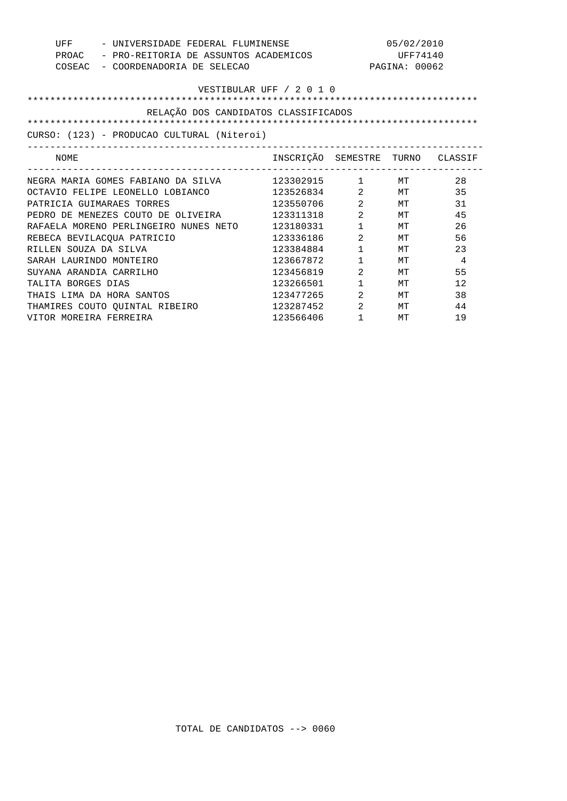| - UNIVERSIDADE FEDERAL FLUMINENSE<br>UFF |                                                     | 05/02/2010                       |                                |               |    |
|------------------------------------------|-----------------------------------------------------|----------------------------------|--------------------------------|---------------|----|
|                                          | PROAC - PRO-REITORIA DE ASSUNTOS ACADEMICOS         |                                  | UFF74140                       |               |    |
|                                          | COSEAC - COORDENADORIA DE SELECAO                   |                                  |                                | PAGINA: 00062 |    |
|                                          |                                                     |                                  |                                |               |    |
|                                          |                                                     | VESTIBULAR UFF / 2 0 1 0         |                                |               |    |
|                                          |                                                     |                                  |                                |               |    |
|                                          | RELAÇÃO DOS CANDIDATOS CLASSIFICADOS                |                                  |                                |               |    |
|                                          |                                                     |                                  |                                |               |    |
|                                          | CURSO: (123) - PRODUCAO CULTURAL (Niteroi)          |                                  |                                |               |    |
|                                          |                                                     |                                  |                                |               |    |
| NOME                                     |                                                     | INSCRIÇÃO SEMESTRE TURNO CLASSIF |                                |               |    |
|                                          |                                                     |                                  |                                |               |    |
|                                          | NEGRA MARIA GOMES FABIANO DA SILVA $123302915$ 1 MT |                                  |                                |               | 28 |
|                                          | OCTAVIO FELIPE LEONELLO LOBIANCO                    | 123526834 2 MT                   |                                |               | 35 |
|                                          | PATRICIA GUIMARAES TORRES                           | 123550706 2 MT                   |                                |               | 31 |
|                                          | PEDRO DE MENEZES COUTO DE OLIVEIRA                  | 123311318                        | $2$ MT                         |               | 45 |
|                                          | RAFAELA MORENO PERLINGEIRO NUNES NETO 123180331     |                                  | $1 \quad \blacksquare$         | MТ            | 26 |
|                                          | REBECA BEVILACOUA PATRICIO                          | 123336186                        | $\overline{2}$                 | МT            | 56 |
| RILLEN SOUZA DA SILVA                    |                                                     | 123384884                        | $1 \quad \blacksquare$         | МT            | 23 |
| SARAH LAURINDO MONTEIRO                  |                                                     | 123667872                        | $1 \qquad \qquad$              | MТ            | 4  |
| SUYANA ARANDIA CARRILHO                  |                                                     | 123456819                        | $2 \left( \frac{1}{2} \right)$ | МT            | 55 |
| TALITA BORGES DIAS                       |                                                     | 123266501                        | $1 \quad \blacksquare$         | MТ            | 12 |
|                                          | THAIS LIMA DA HORA SANTOS                           | 123477265                        | $\overline{2}$                 | МT            | 38 |
|                                          | THAMIRES COUTO QUINTAL RIBEIRO                      | 123287452 2                      |                                | MТ            | 44 |
| VITOR MOREIRA FERREIRA                   |                                                     | 123566406                        | $\mathbf{1}$                   | МT            | 19 |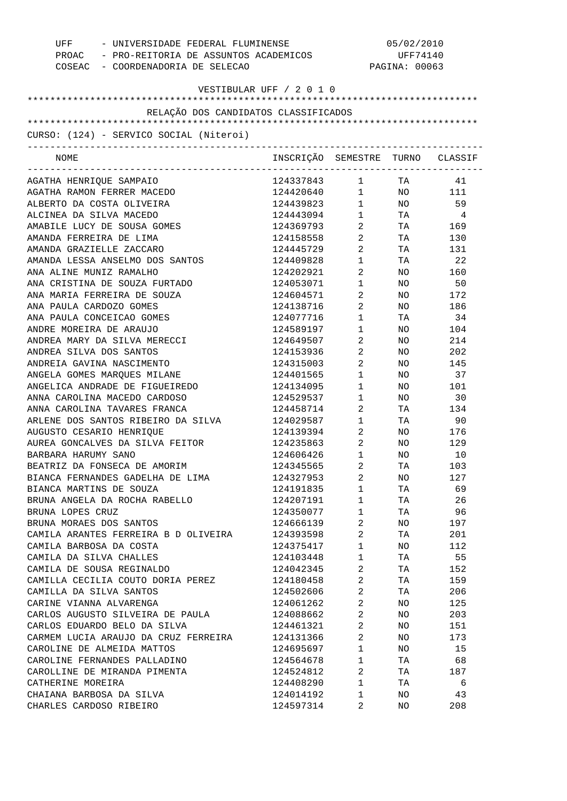| UFF - UNIVERSIDADE FEDERAL FLUMINENSE<br>PROAC - PRO-REITORIA DE ASSUNTOS ACADEMICOS<br>COSEAC - COORDENADORIA DE SELECAO |                                  | 05/02/2010<br>UFF74140<br>PAGINA: 00063 |                 |                |
|---------------------------------------------------------------------------------------------------------------------------|----------------------------------|-----------------------------------------|-----------------|----------------|
| VESTIBULAR UFF / 2 0 1 0                                                                                                  |                                  |                                         |                 |                |
| RELAÇÃO DOS CANDIDATOS CLASSIFICADOS                                                                                      |                                  |                                         |                 |                |
|                                                                                                                           |                                  |                                         |                 |                |
| CURSO: (124) - SERVICO SOCIAL (Niteroi)<br>-------------------------------------                                          |                                  |                                         |                 |                |
| NOME                                                                                                                      | INSCRIÇÃO SEMESTRE TURNO CLASSIF |                                         |                 |                |
| AGATHA HENRIQUE SAMPAIO                                                                                                   | 124337843 1 TA 41                |                                         |                 |                |
| AGATHA RAMON FERRER MACEDO                                                                                                | 124420640  1  NO  111            |                                         |                 |                |
| ALBERTO DA COSTA OLIVEIRA                                                                                                 | 124439823                        | $1 \quad \blacksquare$                  |                 | NO 59          |
| ALCINEA DA SILVA MACEDO                                                                                                   | 124443094                        | $1 \quad \blacksquare$                  | <b>TA</b>       | $\overline{4}$ |
| AMABILE LUCY DE SOUSA GOMES                                                                                               | 124369793                        | $\overline{2}$                          |                 | TA 169         |
| AMANDA FERREIRA DE LIMA                                                                                                   | 124158558                        | $2 \left( \frac{1}{2} \right)$          |                 | TA 130         |
| AMANDA GRAZIELLE ZACCARO                                                                                                  | 124445729                        | $2 \left( \frac{1}{2} \right)$          |                 | TA 131         |
| AMANDA LESSA ANSELMO DOS SANTOS                                                                                           | 124409828                        | $1 \quad \blacksquare$                  |                 | TA 22          |
| ANA ALINE MUNIZ RAMALHO                                                                                                   | 124202921                        | $\overline{2}$                          | NO <sub>2</sub> | 160            |
| ANA CRISTINA DE SOUZA FURTADO                                                                                             | 124053071                        | $1 \quad \blacksquare$                  | NO <sub>2</sub> | 50             |
| ANA MARIA FERREIRA DE SOUZA                                                                                               | 124604571                        | $2 \left( \frac{1}{2} \right)$          |                 | NO 172         |
| ANA PAULA CARDOZO GOMES                                                                                                   | 124138716                        | $2 \left( \frac{1}{2} \right)$          |                 | NO 186         |
| ANA PAULA CONCEICAO GOMES                                                                                                 | 124077716                        | $1 \quad \cdots$                        | TA              | 34             |
| ANDRE MOREIRA DE ARAUJO                                                                                                   | 124589197                        | $\mathbf 1$                             | NO <sub>2</sub> | 104            |
| ANDREA MARY DA SILVA MERECCI                                                                                              | 124649507                        | $2 \left( \frac{1}{2} \right)$          | NO              | 214            |
| ANDREA SILVA DOS SANTOS                                                                                                   | 124153936                        | $2 \left( \frac{1}{2} \right)$          | NO              | 202            |
| ANDREIA GAVINA NASCIMENTO                                                                                                 | 124315003                        | $2 \left( \frac{1}{2} \right)$          | NO              | 145            |
| ANGELA GOMES MARQUES MILANE                                                                                               | 124401565                        | $1 \qquad \qquad$                       | NO              | 37             |
| ANGELICA ANDRADE DE FIGUEIREDO                                                                                            | 124134095                        | $1 \quad \cdots$                        | NO <sub>2</sub> | 101            |
| ANNA CAROLINA MACEDO CARDOSO                                                                                              | 124529537                        | $1 \quad \blacksquare$                  | NO <sub>2</sub> | 30             |
| ANNA CAROLINA TAVARES FRANCA                                                                                              | 124458714                        | $2 \left( \frac{1}{2} \right)$          |                 | TA 134         |
| ARLENE DOS SANTOS RIBEIRO DA SILVA                                                                                        | 124029587                        | $1 \quad \blacksquare$                  | TA TA           | 90             |
| AUGUSTO CESARIO HENRIQUE                                                                                                  | 124139394                        | $2 \left( \frac{1}{2} \right)$          |                 | NO 176         |
| AUREA GONCALVES DA SILVA FEITOR                                                                                           | 124235863                        | $2 \left( \frac{1}{2} \right)$          | NO              | 129            |
| BARBARA HARUMY SANO                                                                                                       | 124606426                        | $\mathbf{1}$                            | NO.             | 10             |
| BEATRIZ DA FONSECA DE AMORIM                                                                                              | 124345565                        | 2                                       | ΤA              | 103            |
| BIANCA FERNANDES GADELHA DE LIMA                                                                                          | 124327953                        | 2                                       | ΝO              | 127            |
| BIANCA MARTINS DE SOUZA                                                                                                   | 124191835                        | $\mathbf 1$                             | TA              | 69             |
| BRUNA ANGELA DA ROCHA RABELLO                                                                                             | 124207191                        | $\mathbf 1$                             | TA              | 26             |
| BRUNA LOPES CRUZ                                                                                                          | 124350077                        | $\mathbf 1$                             | TA              | 96             |
| BRUNA MORAES DOS SANTOS                                                                                                   | 124666139                        | 2                                       | ΝO              | 197            |
| CAMILA ARANTES FERREIRA B D OLIVEIRA                                                                                      | 124393598                        | 2                                       | TA              | 201            |
| CAMILA BARBOSA DA COSTA                                                                                                   | 124375417                        | $\mathbf 1$                             | ΝO              | 112            |
| CAMILA DA SILVA CHALLES                                                                                                   | 124103448                        | $\mathbf 1$                             | TA              | 55             |
| CAMILA DE SOUSA REGINALDO                                                                                                 | 124042345                        | 2                                       | TA              | 152            |
| CAMILLA CECILIA COUTO DORIA PEREZ                                                                                         | 124180458                        | 2                                       | TA              | 159            |
| CAMILLA DA SILVA SANTOS                                                                                                   | 124502606                        | 2                                       | TA              | 206            |
| CARINE VIANNA ALVARENGA                                                                                                   | 124061262                        | 2                                       | ΝO              | 125            |
| CARLOS AUGUSTO SILVEIRA DE PAULA                                                                                          | 124088662                        | 2                                       | ΝO              | 203            |
| CARLOS EDUARDO BELO DA SILVA                                                                                              | 124461321                        | 2                                       | NO              | 151            |
| CARMEM LUCIA ARAUJO DA CRUZ FERREIRA                                                                                      | 124131366                        | 2                                       | ΝO              | 173            |
| CAROLINE DE ALMEIDA MATTOS                                                                                                | 124695697                        | $\mathbf{1}$                            | ΝO              | 15             |
| CAROLINE FERNANDES PALLADINO                                                                                              | 124564678                        | $\mathbf 1$                             | TA              | 68             |
| CAROLLINE DE MIRANDA PIMENTA                                                                                              | 124524812                        | 2                                       | TA              | 187            |
| CATHERINE MOREIRA                                                                                                         | 124408290                        | $\mathbf 1$                             | ТA              | 6              |
| CHAIANA BARBOSA DA SILVA                                                                                                  | 124014192                        | 1                                       | NO              | 43             |
| CHARLES CARDOSO RIBEIRO                                                                                                   | 124597314                        | 2                                       | NO              | 208            |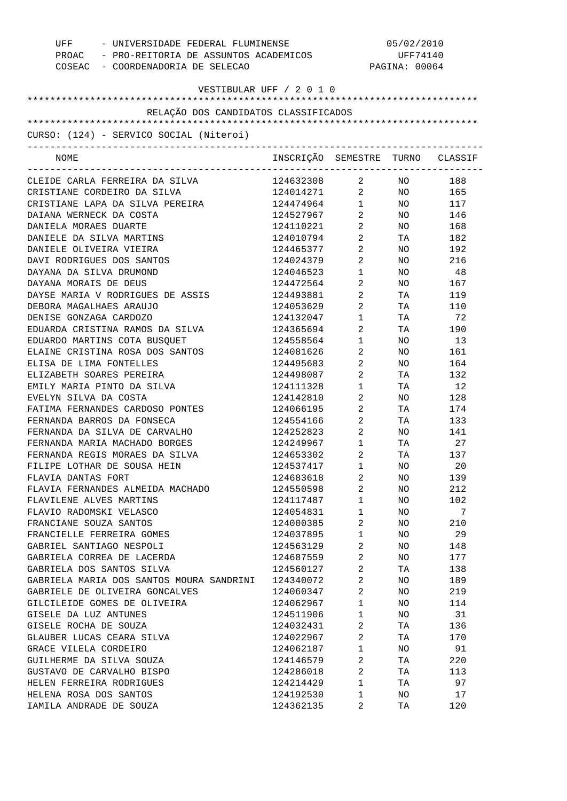| UFF - UNIVERSIDADE FEDERAL FLUMINENSE<br>PROAC - PRO-REITORIA DE ASSUNTOS ACADEMICOS<br>COSEAC - COORDENADORIA DE SELECAO | 05/02/2010<br>UFF74140<br>PAGINA: 00064 |                                |                 |           |
|---------------------------------------------------------------------------------------------------------------------------|-----------------------------------------|--------------------------------|-----------------|-----------|
| VESTIBULAR UFF / 2 0 1 0                                                                                                  |                                         |                                |                 |           |
| RELAÇÃO DOS CANDIDATOS CLASSIFICADOS                                                                                      |                                         |                                |                 |           |
|                                                                                                                           |                                         |                                |                 |           |
| CURSO: (124) - SERVICO SOCIAL (Niteroi)<br>---------------------                                                          |                                         |                                |                 |           |
| NOME                                                                                                                      | INSCRIÇÃO SEMESTRE TURNO CLASSIF        |                                |                 |           |
| CLEIDE CARLA FERREIRA DA SILVA                                                                                            | 124632308 2                             |                                | NO <sub>2</sub> | 188       |
| CRISTIANE CORDEIRO DA SILVA                                                                                               | 124014271 2                             |                                |                 | NO 165    |
| CRISTIANE LAPA DA SILVA PEREIRA                                                                                           | 124474964 1                             |                                |                 | NO 117    |
| DAIANA WERNECK DA COSTA                                                                                                   | 124527967 2                             |                                |                 | NO 146    |
| DANIELA MORAES DUARTE                                                                                                     | 124110221 2                             |                                |                 | NO 168    |
| DANIELE DA SILVA MARTINS                                                                                                  | 124010794 2                             |                                |                 | TA 182    |
| DANIELE OLIVEIRA VIEIRA                                                                                                   | 124465377 2                             |                                |                 | NO 192    |
| DAVI RODRIGUES DOS SANTOS                                                                                                 | 124024379                               | $2 \left( \frac{1}{2} \right)$ |                 | NO 216    |
| DAYANA DA SILVA DRUMOND                                                                                                   | 124046523                               | $1 \qquad \qquad$              |                 | NO 48     |
| DAYANA MORAIS DE DEUS                                                                                                     | 124472564                               | $2 \left( \frac{1}{2} \right)$ |                 | NO 167    |
| DAYSE MARIA V RODRIGUES DE ASSIS                                                                                          | 124493881                               | $2 \left( \frac{1}{2} \right)$ |                 | TA 119    |
| DEBORA MAGALHAES ARAUJO                                                                                                   | 124053629                               | $2 \left( \frac{1}{2} \right)$ |                 | TA 110    |
| DENISE GONZAGA CARDOZO                                                                                                    | 124132047                               | $1 \qquad \qquad$              | TA TA           | 72        |
| EDUARDA CRISTINA RAMOS DA SILVA                                                                                           | 124365694                               | $2 \left( \frac{1}{2} \right)$ |                 | TA 190    |
| EDUARDO MARTINS COTA BUSQUET                                                                                              | 124558564                               | $1 \quad \blacksquare$         | NO              | 13        |
| ELAINE CRISTINA ROSA DOS SANTOS                                                                                           | 124081626                               | $2 \left( \frac{1}{2} \right)$ | NO              | 161       |
| ELISA DE LIMA FONTELLES                                                                                                   | 124495683                               | $2 \left( \frac{1}{2} \right)$ | NO.             | 164       |
| ELIZABETH SOARES PEREIRA                                                                                                  | 124498087                               | $2 \left( \frac{1}{2} \right)$ | TA              | 132       |
| EMILY MARIA PINTO DA SILVA                                                                                                | 124111328                               | $1 \qquad \qquad$              | TA              | 12        |
| EVELYN SILVA DA COSTA                                                                                                     | 124142810                               | $2 \left( \frac{1}{2} \right)$ | NO              | 128       |
| FATIMA FERNANDES CARDOSO PONTES                                                                                           | 124066195                               | $2 \left( \frac{1}{2} \right)$ | TA              | 174       |
| FERNANDA BARROS DA FONSECA                                                                                                | 124554166                               | $2 \left( \frac{1}{2} \right)$ |                 | TA 133    |
| FERNANDA DA SILVA DE CARVALHO                                                                                             | 124252823                               | $2 \left( \frac{1}{2} \right)$ |                 | NO 141    |
| FERNANDA MARIA MACHADO BORGES                                                                                             | 124249967                               | $\mathbf{1}$                   | TA              | 27        |
| FERNANDA REGIS MORAES DA SILVA                                                                                            | 124653302                               | 2                              | TA              | 137       |
| FILIPE LOTHAR DE SOUSA HEIN                                                                                               | 124537417                               | 1                              | NO              | 20        |
| FLAVIA DANTAS FORT                                                                                                        | 124683618                               | 2                              | NO              | 139       |
| FLAVIA FERNANDES ALMEIDA MACHADO                                                                                          | 124550598                               | $\sqrt{2}$                     | NO              | 212       |
| FLAVILENE ALVES MARTINS                                                                                                   | 124117487                               | $\mathbf{1}$                   | NO              | 102       |
| FLAVIO RADOMSKI VELASCO                                                                                                   | 124054831                               | $\mathbf{1}$                   | NO              | 7         |
| FRANCIANE SOUZA SANTOS                                                                                                    | 124000385                               | $\sqrt{2}$                     | NO              | 210       |
| FRANCIELLE FERREIRA GOMES                                                                                                 | 124037895                               | $\mathbf{1}$                   | NO              | 29        |
| GABRIEL SANTIAGO NESPOLI                                                                                                  | 124563129                               | $\sqrt{2}$                     | NO              | 148       |
| GABRIELA CORREA DE LACERDA                                                                                                | 124687559                               | 2                              | NO              | 177       |
| GABRIELA DOS SANTOS SILVA                                                                                                 | 124560127                               | $\sqrt{2}$                     | ТA              | 138       |
| GABRIELA MARIA DOS SANTOS MOURA SANDRINI                                                                                  | 124340072                               | $\overline{2}$                 | NO              | 189       |
| GABRIELE DE OLIVEIRA GONCALVES                                                                                            | 124060347                               | $\sqrt{2}$                     | NO              | 219       |
| GILCILEIDE GOMES DE OLIVEIRA                                                                                              | 124062967                               | $\mathbf 1$                    | NO              | 114       |
|                                                                                                                           |                                         | $\mathbf{1}$                   |                 |           |
| GISELE DA LUZ ANTUNES<br>GISELE ROCHA DE SOUZA                                                                            | 124511906<br>124032431                  | $\sqrt{2}$                     | NO.<br>ТA       | 31<br>136 |
| GLAUBER LUCAS CEARA SILVA                                                                                                 |                                         |                                |                 |           |
|                                                                                                                           | 124022967                               | 2                              | ТA              | 170       |
| GRACE VILELA CORDEIRO                                                                                                     | 124062187                               | $\mathbf{1}$                   | NO.             | 91        |
| GUILHERME DA SILVA SOUZA                                                                                                  | 124146579                               | 2                              | TA              | 220       |
| GUSTAVO DE CARVALHO BISPO                                                                                                 | 124286018                               | $\overline{2}$                 | ТA              | 113       |
| HELEN FERREIRA RODRIGUES                                                                                                  | 124214429                               | $\mathbf{1}$                   | TA              | 97        |
| HELENA ROSA DOS SANTOS                                                                                                    | 124192530                               | $\mathbf{1}$                   | NO              | 17        |
| IAMILA ANDRADE DE SOUZA                                                                                                   | 124362135                               | 2                              | ТA              | 120       |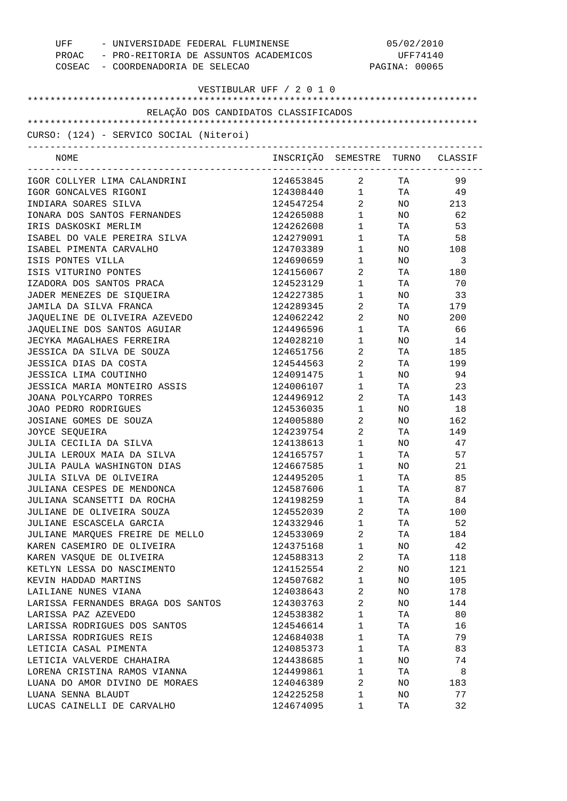| UFF - UNIVERSIDADE FEDERAL FLUMINENSE<br>PROAC - PRO-REITORIA DE ASSUNTOS ACADEMICOS<br>COSEAC - COORDENADORIA DE SELECAO |                                                                     | 05/02/2010<br>UFF74140<br>PAGINA: 00065 |                 |        |
|---------------------------------------------------------------------------------------------------------------------------|---------------------------------------------------------------------|-----------------------------------------|-----------------|--------|
| VESTIBULAR UFF / 2 0 1 0                                                                                                  |                                                                     |                                         |                 |        |
| RELAÇÃO DOS CANDIDATOS CLASSIFICADOS                                                                                      |                                                                     |                                         |                 |        |
|                                                                                                                           |                                                                     |                                         |                 |        |
| CURSO: (124) - SERVICO SOCIAL (Niteroi)                                                                                   |                                                                     |                                         |                 |        |
| NOME                                                                                                                      | INSCRIÇÃO SEMESTRE TURNO CLASSIF                                    |                                         |                 |        |
| IGOR COLLYER LIMA CALANDRINI                                                                                              | 124653845 2 TA                                                      |                                         |                 | 99     |
| IGOR GONCALVES RIGONI                                                                                                     | $124308440 \qquad \qquad 1 \qquad \qquad {\rm TA} \qquad \qquad 49$ |                                         |                 |        |
| INDIARA SOARES SILVA                                                                                                      | 124547254 2                                                         |                                         |                 | NO 213 |
| IONARA DOS SANTOS FERNANDES                                                                                               | 124265088                                                           | $1 \quad \blacksquare$                  |                 | NO 62  |
| IRIS DASKOSKI MERLIM                                                                                                      | 124262608                                                           | $1 \quad \blacksquare$                  | TA <b>TA</b>    | 53     |
| ISABEL DO VALE PEREIRA SILVA                                                                                              | 124279091                                                           | $1 \qquad \qquad$                       |                 | TA 58  |
| ISABEL PIMENTA CARVALHO                                                                                                   | 124703389                                                           | $1 \qquad \qquad$                       |                 | NO 108 |
| ISIS PONTES VILLA                                                                                                         | 124690659                                                           | $1 \qquad \qquad$                       | NO <sub>2</sub> | 3      |
| ISIS VITURINO PONTES                                                                                                      | 124156067                                                           | $\overline{2}$                          |                 | TA 180 |
| IZADORA DOS SANTOS PRACA                                                                                                  | 124523129                                                           | $1 \qquad \qquad$                       | <b>TA</b>       | 70     |
| JADER MENEZES DE SIQUEIRA                                                                                                 | 124227385                                                           | $1 \quad \blacksquare$                  | NO <sub>2</sub> | 33     |
| JAMILA DA SILVA FRANCA                                                                                                    | 124289345                                                           | $2 \left( \frac{1}{2} \right)$          |                 | TA 179 |
| JAQUELINE DE OLIVEIRA AZEVEDO                                                                                             | 124062242                                                           | $2 \left( \frac{1}{2} \right)$          |                 | NO 200 |
| JAQUELINE DOS SANTOS AGUIAR                                                                                               | 124496596                                                           | $1 \quad \blacksquare$                  |                 | TA 66  |
| JECYKA MAGALHAES FERREIRA                                                                                                 | 124028210                                                           | $\mathbf{1}$                            | NO <sub>2</sub> | 14     |
| JESSICA DA SILVA DE SOUZA                                                                                                 | 124651756                                                           | $\overline{2}$                          |                 | TA 185 |
| JESSICA DIAS DA COSTA                                                                                                     | 124544563                                                           | $2 \left( \frac{1}{2} \right)$          |                 | TA 199 |
| JESSICA LIMA COUTINHO                                                                                                     | 124091475                                                           | $1 \qquad \qquad$                       | NO <sub>1</sub> | 94     |
| JESSICA MARIA MONTEIRO ASSIS                                                                                              | 124006107                                                           | $\mathbf{1}$                            | <b>TA</b>       | 23     |
| JOANA POLYCARPO TORRES                                                                                                    | 124496912                                                           | $2 \left( \frac{1}{2} \right)$          |                 | TA 143 |
| JOAO PEDRO RODRIGUES                                                                                                      | 124536035                                                           | $1 \quad \blacksquare$                  | NO <sub>2</sub> | 18     |
| JOSIANE GOMES DE SOUZA                                                                                                    | 124005880                                                           | $2 \left( \frac{1}{2} \right)$          |                 | NO 162 |
| JOYCE SEQUEIRA                                                                                                            | 124239754                                                           | $2 \left( \frac{1}{2} \right)$          |                 | TA 149 |
| JULIA CECILIA DA SILVA                                                                                                    | 124138613                                                           | $1 \qquad \qquad$                       | NO <sub>1</sub> | 47     |
| JULIA LEROUX MAIA DA SILVA                                                                                                | 124165757                                                           | $\mathbf{1}$                            | TA              | 57     |
| JULIA PAULA WASHINGTON DIAS                                                                                               | 124667585                                                           | 1                                       | ΝO              | 21     |
| JULIA SILVA DE OLIVEIRA                                                                                                   | 124495205                                                           | $\mathbf{1}$                            | TA              | 85     |
| JULIANA CESPES DE MENDONCA                                                                                                | 124587606                                                           | $\mathbf{1}$                            | TA              | 87     |
| JULIANA SCANSETTI DA ROCHA                                                                                                | 124198259                                                           | $\mathbf{1}$                            | ΤA              | 84     |
| JULIANE DE OLIVEIRA SOUZA                                                                                                 | 124552039                                                           | 2                                       | TA              | 100    |
| JULIANE ESCASCELA GARCIA                                                                                                  | 124332946                                                           | $\mathbf{1}$                            | ΤA              | 52     |
| JULIANE MAROUES FREIRE DE MELLO                                                                                           | 124533069                                                           | 2                                       | TA              | 184    |
| KAREN CASEMIRO DE OLIVEIRA                                                                                                | 124375168                                                           | $\mathbf{1}$                            | ΝO              | 42     |
|                                                                                                                           | 124588313                                                           | $\overline{\mathbf{c}}$                 |                 |        |
| KAREN VASQUE DE OLIVEIRA                                                                                                  |                                                                     |                                         | TA              | 118    |
| KETLYN LESSA DO NASCIMENTO                                                                                                | 124152554                                                           | 2                                       | NO              | 121    |
| KEVIN HADDAD MARTINS                                                                                                      | 124507682                                                           | $\mathbf{1}$                            | NO              | 105    |
| LAILIANE NUNES VIANA                                                                                                      | 124038643                                                           | 2                                       | NO              | 178    |
| LARISSA FERNANDES BRAGA DOS SANTOS                                                                                        | 124303763                                                           | 2                                       | NO.             | 144    |
| LARISSA PAZ AZEVEDO                                                                                                       | 124538382                                                           | $\mathbf{1}$                            | TA              | 80     |
| LARISSA RODRIGUES DOS SANTOS                                                                                              | 124546614                                                           | $\mathbf{1}$                            | TA              | 16     |
| LARISSA RODRIGUES REIS                                                                                                    | 124684038                                                           | $\mathbf{1}$                            | ΤA              | 79     |
| LETICIA CASAL PIMENTA                                                                                                     | 124085373                                                           | $\mathbf{1}$                            | TA              | 83     |
| LETICIA VALVERDE CHAHAIRA                                                                                                 | 124438685                                                           | $\mathbf{1}$                            | ΝO              | 74     |
| LORENA CRISTINA RAMOS VIANNA                                                                                              | 124499861                                                           | $\mathbf{1}$                            | TA              | 8      |
| LUANA DO AMOR DIVINO DE MORAES                                                                                            | 124046389                                                           | 2                                       | NO              | 183    |
| LUANA SENNA BLAUDT                                                                                                        | 124225258                                                           | $\mathbf{1}$                            | NO              | 77     |
| LUCAS CAINELLI DE CARVALHO                                                                                                | 124674095                                                           | 1                                       | ТA              | 32     |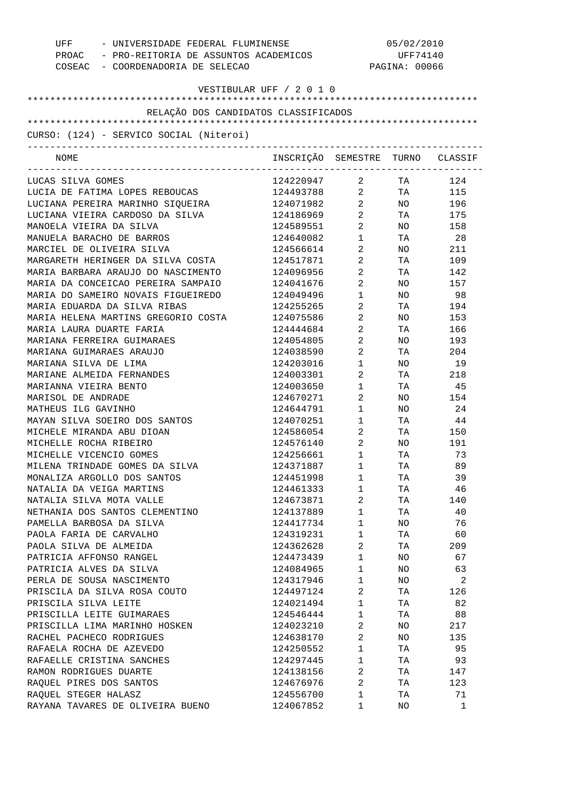| UFF - UNIVERSIDADE FEDERAL FLUMINENSE<br>PROAC - PRO-REITORIA DE ASSUNTOS ACADEMICOS<br>COSEAC - COORDENADORIA DE SELECAO |                                  | 05/02/2010<br>UFF74140<br>PAGINA: 00066 |                 |        |
|---------------------------------------------------------------------------------------------------------------------------|----------------------------------|-----------------------------------------|-----------------|--------|
| VESTIBULAR UFF / 2 0 1 0                                                                                                  |                                  |                                         |                 |        |
|                                                                                                                           |                                  |                                         |                 |        |
| RELAÇÃO DOS CANDIDATOS CLASSIFICADOS                                                                                      |                                  |                                         |                 |        |
| CURSO: (124) - SERVICO SOCIAL (Niteroi)<br>____________________________________                                           |                                  |                                         |                 |        |
| NOME                                                                                                                      | INSCRIÇÃO SEMESTRE TURNO CLASSIF |                                         |                 |        |
| LUCAS SILVA GOMES                                                                                                         | 124220947 2 TA                   |                                         |                 | 124    |
| LUCIA DE FATIMA LOPES REBOUCAS                                                                                            | 124493788 2 TA 115               |                                         |                 |        |
| LUCIANA PEREIRA MARINHO SIQUEIRA                                                                                          | 124071982 2                      |                                         |                 | NO 196 |
| LUCIANA VIEIRA CARDOSO DA SILVA                                                                                           | 124186969 2                      |                                         |                 | TA 175 |
| MANOELA VIEIRA DA SILVA                                                                                                   | 124589551                        | $2 \left( \frac{1}{2} \right)$          |                 | NO 158 |
| MANUELA BARACHO DE BARROS                                                                                                 | 124640082                        | $1 \quad \blacksquare$                  |                 | TA 28  |
| MARCIEL DE OLIVEIRA SILVA                                                                                                 | 124566614                        | $\overline{2}$ and $\overline{2}$       |                 | NO 211 |
| MARGARETH HERINGER DA SILVA COSTA                                                                                         | 124517871                        | $2 \left( \frac{1}{2} \right)$          |                 | TA 109 |
| MARIA BARBARA ARAUJO DO NASCIMENTO                                                                                        | 124096956                        | $\overline{2}$                          |                 | TA 142 |
| MARIA DA CONCEICAO PEREIRA SAMPAIO                                                                                        | 124041676                        | $2 \left( \frac{1}{2} \right)$          |                 | NO 157 |
| MARIA DO SAMEIRO NOVAIS FIGUEIREDO                                                                                        | 124049496                        | $1 \qquad \qquad$                       | NO <sub>2</sub> | 98     |
| MARIA EDUARDA DA SILVA RIBAS                                                                                              | 124255265                        | $\overline{2}$                          | TA TA           | 194    |
| MARIA HELENA MARTINS GREGORIO COSTA                                                                                       | 124075586                        | $\overline{2}$                          |                 | NO 153 |
| MARIA LAURA DUARTE FARIA                                                                                                  | 124444684                        | $\mathbf{2}$                            | TA              | 166    |
| MARIANA FERREIRA GUIMARAES                                                                                                | 124054805                        | $2 \left( \frac{1}{2} \right)$          | NO <sub>2</sub> | 193    |
| MARIANA GUIMARAES ARAUJO                                                                                                  | 124038590                        | $\overline{2}$                          | TA              | 204    |
| MARIANA SILVA DE LIMA                                                                                                     | 124203016                        | $\mathbf{1}$                            | NO <sub>2</sub> | 19     |
| MARIANE ALMEIDA FERNANDES                                                                                                 | 124003301                        | $\overline{2}$                          | TA              | 218    |
| MARIANNA VIEIRA BENTO                                                                                                     | 124003650                        | $\mathbf{1}$                            | TA              | 45     |
| MARISOL DE ANDRADE                                                                                                        | 124670271                        | $\overline{2}$                          |                 | NO 154 |
| MATHEUS ILG GAVINHO                                                                                                       | 124644791                        | $1 \quad \blacksquare$                  | NO              | 24     |
| MAYAN SILVA SOEIRO DOS SANTOS                                                                                             | 124070251                        | $1 \qquad \qquad$                       | TA TA           | 44     |
| MICHELE MIRANDA ABU DIOAN                                                                                                 | 124586054                        | $2 \left( \frac{1}{2} \right)$          |                 | TA 150 |
| MICHELLE ROCHA RIBEIRO                                                                                                    | 124576140                        | $2 \left( \frac{1}{2} \right)$          |                 | NO 191 |
| MICHELLE VICENCIO GOMES                                                                                                   | 124256661                        | $\mathbf{1}$                            | TA              | 73     |
| MILENA TRINDADE GOMES DA SILVA                                                                                            | 124371887                        | 1                                       | ΤA              | 89     |
| MONALIZA ARGOLLO DOS SANTOS                                                                                               | 124451998                        | $\mathbf 1$                             | ТA              | 39     |
| NATALIA DA VEIGA MARTINS                                                                                                  | 124461333                        | $\mathbf{1}$                            | ΤA              | 46     |
| NATALIA SILVA MOTA VALLE                                                                                                  | 124673871                        | 2                                       | ΤA              | 140    |
| NETHANIA DOS SANTOS CLEMENTINO                                                                                            | 124137889                        | $\mathbf{1}$                            | ΤA              | 40     |
| PAMELLA BARBOSA DA SILVA                                                                                                  | 124417734                        | $\mathbf{1}$                            | ΝO              | 76     |
| PAOLA FARIA DE CARVALHO                                                                                                   | 124319231                        | $\mathbf{1}$                            | TA              | 60     |
| PAOLA SILVA DE ALMEIDA                                                                                                    | 124362628                        | 2                                       | TA              | 209    |
| PATRICIA AFFONSO RANGEL                                                                                                   | 124473439                        | $\mathbf{1}$                            | ΝO              | 67     |
| PATRICIA ALVES DA SILVA                                                                                                   | 124084965                        | $\mathbf{1}$                            | NO              | 63     |
| PERLA DE SOUSA NASCIMENTO                                                                                                 | 124317946                        | $\mathbf{1}$                            | ΝO              | 2      |
| PRISCILA DA SILVA ROSA COUTO                                                                                              | 124497124                        | 2                                       | TA              | 126    |
| PRISCILA SILVA LEITE                                                                                                      | 124021494                        | $\mathbf{1}$                            | ΤA              | 82     |
| PRISCILLA LEITE GUIMARAES                                                                                                 | 124546444                        | $\mathbf{1}$                            | ΤA              | 88     |
| PRISCILLA LIMA MARINHO HOSKEN                                                                                             | 124023210                        | 2                                       | ΝO              | 217    |
| RACHEL PACHECO RODRIGUES                                                                                                  | 124638170                        | 2                                       | ΝO              | 135    |
| RAFAELA ROCHA DE AZEVEDO                                                                                                  | 124250552                        | $\mathbf{1}$                            | TA              | 95     |
| RAFAELLE CRISTINA SANCHES                                                                                                 | 124297445                        | $\mathbf{1}$                            | ΤA              | 93     |
| RAMON RODRIGUES DUARTE                                                                                                    | 124138156                        | 2                                       | ΤA              | 147    |
| RAQUEL PIRES DOS SANTOS                                                                                                   | 124676976                        | 2                                       | ΤA              | 123    |
| RAQUEL STEGER HALASZ                                                                                                      | 124556700                        | $\mathbf{1}$                            | ΤA              | 71     |
| RAYANA TAVARES DE OLIVEIRA BUENO                                                                                          | 124067852                        | 1                                       | NO              | 1      |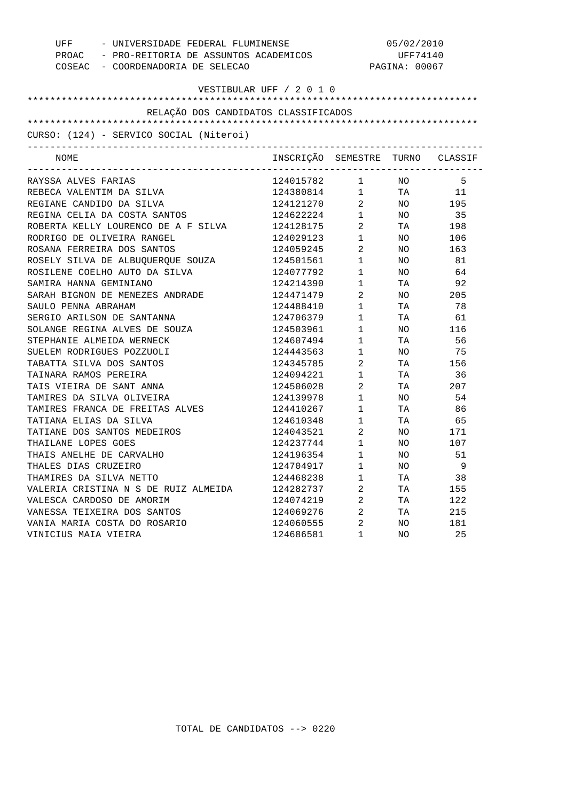| - UNIVERSIDADE FEDERAL FLUMINENSE<br>UFF    |                                                                                  | 05/02/2010                                    |     |                |  |
|---------------------------------------------|----------------------------------------------------------------------------------|-----------------------------------------------|-----|----------------|--|
| PROAC - PRO-REITORIA DE ASSUNTOS ACADEMICOS |                                                                                  | UFF74140                                      |     |                |  |
| COSEAC - COORDENADORIA DE SELECAO           |                                                                                  | PAGINA: 00067                                 |     |                |  |
|                                             |                                                                                  |                                               |     |                |  |
|                                             | VESTIBULAR UFF / 2 0 1 0                                                         |                                               |     |                |  |
| RELAÇÃO DOS CANDIDATOS CLASSIFICADOS        |                                                                                  |                                               |     |                |  |
|                                             |                                                                                  |                                               |     |                |  |
| CURSO: (124) - SERVICO SOCIAL (Niteroi)     |                                                                                  |                                               |     |                |  |
| NOME                                        | INSCRIÇÃO SEMESTRE TURNO CLASSIF                                                 |                                               |     |                |  |
| RAYSSA ALVES FARIAS                         |                                                                                  | __________________________________            |     | - 5            |  |
| REBECA VALENTIM DA SILVA                    | 124015782 1 NO                                                                   |                                               |     |                |  |
| REGIANE CANDIDO DA SILVA                    | $124380814 \qquad \qquad 1 \qquad \qquad {\rm TA} \qquad \qquad 11$<br>124121270 | $\overline{a}$                                |     | NO 195         |  |
| REGINA CELIA DA COSTA SANTOS                | 124622224                                                                        | $1 \qquad \qquad$                             |     | NO 35          |  |
| ROBERTA KELLY LOURENCO DE A F SILVA         | 124128175                                                                        | $\overline{2}$                                |     | TA 198         |  |
| RODRIGO DE OLIVEIRA RANGEL                  | 124029123                                                                        | $1$ $\hfill$                                  | NO. | 106            |  |
| ROSANA FERREIRA DOS SANTOS                  | 124059245                                                                        | $\overline{a}$                                | NO. | 163            |  |
| ROSELY SILVA DE ALBUQUERQUE SOUZA           | 124501561                                                                        | $\begin{array}{ccc} 1 & & \\ & & \end{array}$ | NO. | 81             |  |
| ROSILENE COELHO AUTO DA SILVA               | 124077792                                                                        | $\mathbf{1}$                                  | NO. | 64             |  |
| SAMIRA HANNA GEMINIANO                      | 124214390                                                                        | $1$ $\hfill$                                  | TA  | 92             |  |
| SARAH BIGNON DE MENEZES ANDRADE             | 124471479                                                                        | $\overline{2}$                                | NO  | 205            |  |
| SAULO PENNA ABRAHAM                         | 124488410                                                                        | $1$ $\hfill$                                  | TA  | 78             |  |
| SERGIO ARILSON DE SANTANNA                  | 124706379                                                                        | $\begin{array}{ccc} 1 & & \\ & & \end{array}$ | TA  | 61             |  |
| SOLANGE REGINA ALVES DE SOUZA               | 124503961                                                                        | $\mathbf{1}$                                  | NO  | 116            |  |
| STEPHANIE ALMEIDA WERNECK                   | 124607494                                                                        | $\begin{array}{ccc} 1 & & \\ & & \end{array}$ | TA  | 56             |  |
| SUELEM RODRIGUES POZZUOLI                   | 124443563                                                                        | $1$ – $\qquad$                                | NO  | 75             |  |
| TABATTA SILVA DOS SANTOS                    | 124345785                                                                        | $\overline{2}$                                | TA  | 156            |  |
| TAINARA RAMOS PEREIRA                       | 124094221                                                                        | $1$ $\hfill$                                  | TA  | 36             |  |
| TAIS VIEIRA DE SANT ANNA                    | 124506028                                                                        | $\overline{2}$                                | TA  | 207            |  |
| TAMIRES DA SILVA OLIVEIRA                   | 124139978                                                                        | $1$ $\hfill$                                  | NO  | 54             |  |
| TAMIRES FRANCA DE FREITAS ALVES             | 124410267                                                                        | $\mathbf{1}$                                  | TA  | 86             |  |
| TATIANA ELIAS DA SILVA                      | 124610348                                                                        | $1 \quad \blacksquare$                        | TA  | 65             |  |
| TATIANE DOS SANTOS MEDEIROS                 | 124043521                                                                        | $\overline{2}$                                | NO. | 171            |  |
| THAILANE LOPES GOES                         | 124237744                                                                        | $\mathbf 1$                                   | NO. | 107            |  |
| THAIS ANELHE DE CARVALHO                    | 124196354                                                                        | $1 \quad \blacksquare$                        | NO. | 51             |  |
| THALES DIAS CRUZEIRO                        | 124704917                                                                        | 1                                             | NO  | $\overline{9}$ |  |
| THAMIRES DA SILVA NETTO                     | 124468238                                                                        | 1                                             | ΤA  | 38             |  |
| VALERIA CRISTINA N S DE RUIZ ALMEIDA        | 124282737                                                                        | 2                                             | TA  | 155            |  |
| VALESCA CARDOSO DE AMORIM                   | 124074219                                                                        | 2                                             | ТA  | 122            |  |
| VANESSA TEIXEIRA DOS SANTOS                 | 124069276                                                                        | 2                                             | TA  | 215            |  |
| VANIA MARIA COSTA DO ROSARIO                | 124060555                                                                        | 2                                             | NO  | 181            |  |
| VINICIUS MAIA VIEIRA                        | 124686581                                                                        | 1                                             | NO  | 25             |  |
|                                             |                                                                                  |                                               |     |                |  |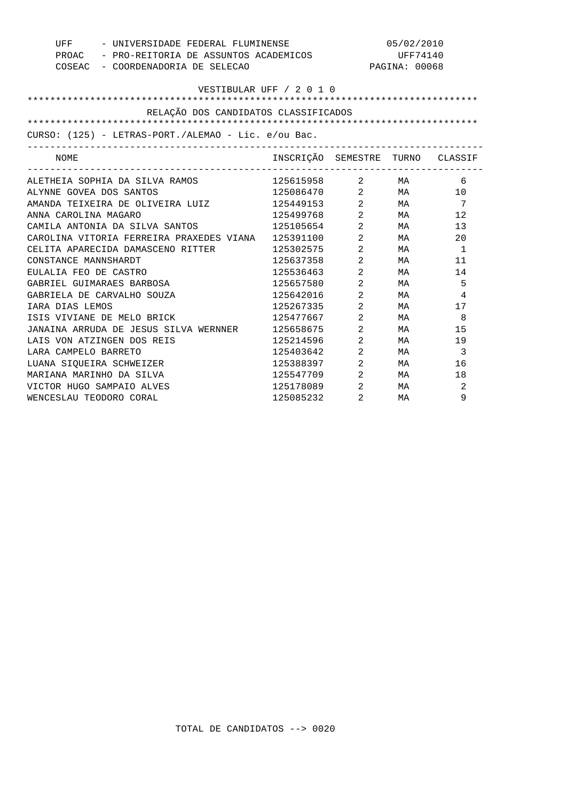| UFF<br>- UNIVERSIDADE FEDERAL FLUMINENSE<br>PROAC - PRO-REITORIA DE ASSUNTOS ACADEMICOS<br>COSEAC - COORDENADORIA DE SELECAO |                                  |                                | 05/02/2010<br>UFF74140<br>PAGINA: 00068 |                 |
|------------------------------------------------------------------------------------------------------------------------------|----------------------------------|--------------------------------|-----------------------------------------|-----------------|
| VESTIBULAR UFF / 2 0 1 0<br>RELAÇÃO DOS CANDIDATOS CLASSIFICADOS                                                             |                                  |                                |                                         |                 |
|                                                                                                                              |                                  |                                |                                         |                 |
| CURSO: (125) - LETRAS-PORT./ALEMAO - Lic. e/ou Bac.                                                                          |                                  |                                |                                         |                 |
| NOME                                                                                                                         | INSCRIÇÃO SEMESTRE TURNO CLASSIF |                                |                                         |                 |
| ALETHEIA SOPHIA DA SILVA RAMOS                                                                                               | 125615958                        |                                | $2$ MA                                  | -6              |
| ALYNNE GOVEA DOS SANTOS                                                                                                      | 125086470                        |                                | $2$ MA                                  | 10              |
| AMANDA TEIXEIRA DE OLIVEIRA LUIZ                                                                                             | 125449153                        |                                | 2 MA                                    | $7\phantom{.0}$ |
| ANNA CAROLINA MAGARO                                                                                                         | 125499768                        | $2 \left( \frac{1}{2} \right)$ | MA                                      | 12              |
| CAMILA ANTONIA DA SILVA SANTOS                                                                                               | 125105654                        | $\overline{a}$                 | MA                                      | 13              |
| CAROLINA VITORIA FERREIRA PRAXEDES VIANA 125391100                                                                           |                                  | $2 \left( \frac{1}{2} \right)$ | MA                                      | 20              |
| CELITA APARECIDA DAMASCENO RITTER                                                                                            | 125302575                        | $2 \left( \frac{1}{2} \right)$ | MA                                      | - 1             |
| CONSTANCE MANNSHARDT                                                                                                         | 125637358                        | 2                              | MA                                      | 11              |
| EULALIA FEO DE CASTRO                                                                                                        | 125536463                        | $2 \left( \frac{1}{2} \right)$ | МA                                      | 14              |
| GABRIEL GUIMARAES BARBOSA                                                                                                    | 125657580                        | 2                              | MA                                      | 5               |
| GABRIELA DE CARVALHO SOUZA                                                                                                   | 125642016                        | $\overline{a}$                 | MA                                      | 4               |
| IARA DIAS LEMOS                                                                                                              | 125267335                        | $2 \left( \frac{1}{2} \right)$ | MA                                      | 17              |
| ISIS VIVIANE DE MELO BRICK                                                                                                   | 125477667                        | $2 \left( \frac{1}{2} \right)$ | MA                                      | 8               |
| JANAINA ARRUDA DE JESUS SILVA WERNNER                                                                                        | 125658675                        | 2                              | MA                                      | 15              |
| LAIS VON ATZINGEN DOS REIS                                                                                                   | 125214596                        | $\overline{2}$                 | МA                                      | 19              |
| LARA CAMPELO BARRETO                                                                                                         | 125403642                        | 2                              | MA                                      | 3               |
| LUANA SIOUEIRA SCHWEIZER                                                                                                     | 125388397                        | $\overline{2}$                 | MA                                      | 16              |
| MARIANA MARINHO DA SILVA                                                                                                     | 125547709                        | $\overline{2}$                 | MA                                      | 18              |
| VICTOR HUGO SAMPAIO ALVES                                                                                                    | 125178089                        | $2 \left( \frac{1}{2} \right)$ | MA                                      | 2               |
| WENCESLAU TEODORO CORAL                                                                                                      | 125085232                        | 2                              | MA                                      | 9               |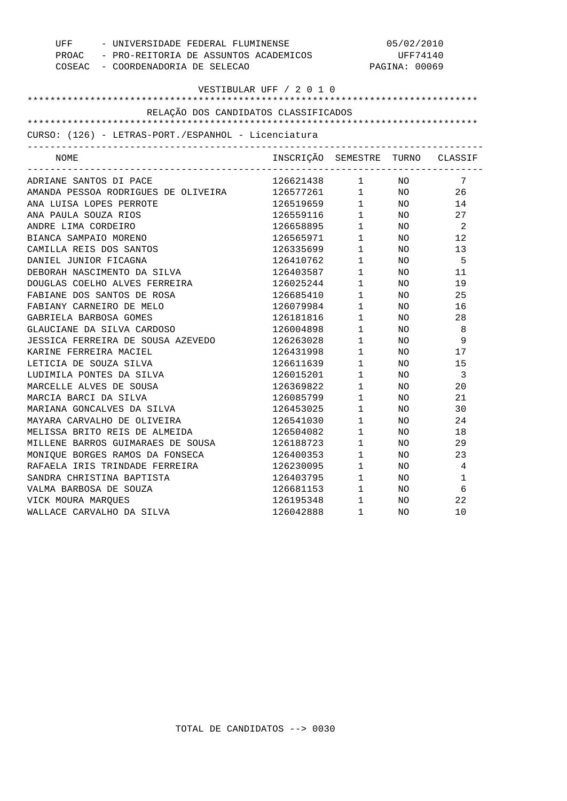| UFF - UNIVERSIDADE FEDERAL FLUMINENSE                                                                                                 |                                                                                                  | 05/02/2010                                                                                                                                                                                                                                                                                                                                                                                    |               |                         |  |
|---------------------------------------------------------------------------------------------------------------------------------------|--------------------------------------------------------------------------------------------------|-----------------------------------------------------------------------------------------------------------------------------------------------------------------------------------------------------------------------------------------------------------------------------------------------------------------------------------------------------------------------------------------------|---------------|-------------------------|--|
| PROAC - PRO-REITORIA DE ASSUNTOS ACADEMICOS                                                                                           |                                                                                                  |                                                                                                                                                                                                                                                                                                                                                                                               | UFF74140      |                         |  |
| COSEAC - COORDENADORIA DE SELECAO                                                                                                     |                                                                                                  |                                                                                                                                                                                                                                                                                                                                                                                               | PAGINA: 00069 |                         |  |
|                                                                                                                                       |                                                                                                  |                                                                                                                                                                                                                                                                                                                                                                                               |               |                         |  |
| VESTIBULAR UFF / 2 0 1 0                                                                                                              |                                                                                                  |                                                                                                                                                                                                                                                                                                                                                                                               |               |                         |  |
|                                                                                                                                       |                                                                                                  |                                                                                                                                                                                                                                                                                                                                                                                               |               |                         |  |
| RELAÇÃO DOS CANDIDATOS CLASSIFICADOS                                                                                                  |                                                                                                  |                                                                                                                                                                                                                                                                                                                                                                                               |               |                         |  |
|                                                                                                                                       |                                                                                                  |                                                                                                                                                                                                                                                                                                                                                                                               |               |                         |  |
| CURSO: (126) - LETRAS-PORT./ESPANHOL - Licenciatura                                                                                   |                                                                                                  |                                                                                                                                                                                                                                                                                                                                                                                               |               |                         |  |
| NOME                                                                                                                                  | INSCRIÇÃO SEMESTRE TURNO CLASSIF                                                                 |                                                                                                                                                                                                                                                                                                                                                                                               |               |                         |  |
|                                                                                                                                       |                                                                                                  |                                                                                                                                                                                                                                                                                                                                                                                               |               |                         |  |
| ADRIANE SANTOS DI PACE                                                                                                                | 126621438 1 NO                                                                                   |                                                                                                                                                                                                                                                                                                                                                                                               |               | 7                       |  |
| AMANDA PESSOA RODRIGUES DE OLIVEIRA $126577261$ 1 NO<br>ANA LUISA LOPES PERROTE 126519659 1 NO<br>ANA PAULA SOUZA RIOS 126559116 1 NO |                                                                                                  |                                                                                                                                                                                                                                                                                                                                                                                               |               | 26                      |  |
|                                                                                                                                       |                                                                                                  |                                                                                                                                                                                                                                                                                                                                                                                               |               | 14                      |  |
|                                                                                                                                       |                                                                                                  |                                                                                                                                                                                                                                                                                                                                                                                               |               | 27                      |  |
| ANDRE LIMA CORDEIRO                                                                                                                   | $126658895$ 1 NO 2                                                                               |                                                                                                                                                                                                                                                                                                                                                                                               |               |                         |  |
| BIANCA SAMPAIO MORENO                                                                                                                 | 126565971 1 NO                                                                                   |                                                                                                                                                                                                                                                                                                                                                                                               |               | 12                      |  |
| CAMILLA REIS DOS SANTOS                                                                                                               |                                                                                                  |                                                                                                                                                                                                                                                                                                                                                                                               |               | 13                      |  |
| DANIEL JUNIOR FICAGNA                                                                                                                 | $\begin{array}{cccc} 126335699 & & 1 & & \text{NO} \\ 126410762 & & 1 & & \text{NO} \end{array}$ |                                                                                                                                                                                                                                                                                                                                                                                               |               | $-5$                    |  |
| DEBORAH NASCIMENTO DA SILVA                                                                                                           | 126403587 1                                                                                      |                                                                                                                                                                                                                                                                                                                                                                                               | NO            | 11                      |  |
| DOUGLAS COELHO ALVES FERREIRA                                                                                                         | 126025244                                                                                        | $1$ NO                                                                                                                                                                                                                                                                                                                                                                                        |               | 19                      |  |
| FABIANE DOS SANTOS DE ROSA                                                                                                            | 126685410                                                                                        |                                                                                                                                                                                                                                                                                                                                                                                               |               | 25                      |  |
| FABIANY CARNEIRO DE MELO                                                                                                              | 126079984                                                                                        | $\begin{array}{ccc} 1 & \hspace{1.5cm} & \hspace{1.5cm} & \hspace{1.5cm} & \hspace{1.5cm} & \hspace{1.5cm} & \hspace{1.5cm} & \hspace{1.5cm} & \hspace{1.5cm} & \hspace{1.5cm} & \hspace{1.5cm} & \hspace{1.5cm} & \hspace{1.5cm} & \hspace{1.5cm} & \hspace{1.5cm} & \hspace{1.5cm} & \hspace{1.5cm} & \hspace{1.5cm} & \hspace{1.5cm} & \hspace{1.5cm} & \hspace{1.5cm} & \hspace{1.5cm} &$ |               | 16                      |  |
| GABRIELA BARBOSA GOMES                                                                                                                | $126181816$ $1$ NO                                                                               |                                                                                                                                                                                                                                                                                                                                                                                               |               | 28                      |  |
| GLAUCIANE DA SILVA CARDOSO                                                                                                            | 126004898                                                                                        | $1 \qquad \qquad$                                                                                                                                                                                                                                                                                                                                                                             | NO            | - 8                     |  |
| JESSICA FERREIRA DE SOUSA AZEVEDO                                                                                                     | 126263028                                                                                        | $1$ NO                                                                                                                                                                                                                                                                                                                                                                                        |               | - 9                     |  |
| KARINE FERREIRA MACIEL                                                                                                                | 126431998 1<br>126611639 1                                                                       |                                                                                                                                                                                                                                                                                                                                                                                               | NO            | 17                      |  |
| LETICIA DE SOUZA SILVA                                                                                                                |                                                                                                  |                                                                                                                                                                                                                                                                                                                                                                                               | NO            | 15                      |  |
| LUDIMILA PONTES DA SILVA                                                                                                              | 126015201 1                                                                                      |                                                                                                                                                                                                                                                                                                                                                                                               | NO            | $\overline{\mathbf{3}}$ |  |
| MARCELLE ALVES DE SOUSA                                                                                                               | 126369822                                                                                        | $1\qquad \quad \, \textrm{NO}$                                                                                                                                                                                                                                                                                                                                                                |               | 20                      |  |
| MARCIA BARCI DA SILVA                                                                                                                 | 126085799                                                                                        |                                                                                                                                                                                                                                                                                                                                                                                               | NO            | 21                      |  |
| MARIANA GONCALVES DA SILVA                                                                                                            | 126453025                                                                                        | $\begin{array}{c} 1 \\ 1 \end{array}$                                                                                                                                                                                                                                                                                                                                                         | NO            | 30                      |  |
| MAYARA CARVALHO DE OLIVEIRA                                                                                                           | 126541030                                                                                        | $\mathbf{1}$                                                                                                                                                                                                                                                                                                                                                                                  | NO            | 24                      |  |
| MELISSA BRITO REIS DE ALMEIDA                                                                                                         | 126504082                                                                                        | $1 \qquad \qquad$                                                                                                                                                                                                                                                                                                                                                                             | NO            | 18                      |  |
| MILLENE BARROS GUIMARAES DE SOUSA                                                                                                     | 126188723                                                                                        | $1$ NO                                                                                                                                                                                                                                                                                                                                                                                        |               | 29                      |  |
|                                                                                                                                       |                                                                                                  |                                                                                                                                                                                                                                                                                                                                                                                               | NO            | 23                      |  |
| MONIQUE BORGES RAMOS DA FONSECA<br>RAFAELA IRIS TRINDADE FERREIRA                                                                     | $126400353$ 1<br>126230095 1                                                                     |                                                                                                                                                                                                                                                                                                                                                                                               | NO            | $\overline{4}$          |  |
| SANDRA CHRISTINA BAPTISTA                                                                                                             | 126403795 1                                                                                      |                                                                                                                                                                                                                                                                                                                                                                                               | NO            | $\mathbf{1}$            |  |
| VALMA BARBOSA DE SOUZA                                                                                                                | 126681153                                                                                        | $1$ NO                                                                                                                                                                                                                                                                                                                                                                                        |               | - 6                     |  |
| VICK MOURA MARQUES                                                                                                                    | 126195348                                                                                        | $\begin{matrix} 1 & & & \text{NO} \\ 1 & & & \text{NO} \end{matrix}$                                                                                                                                                                                                                                                                                                                          |               | 22                      |  |
| WALLACE CARVALHO DA SILVA                                                                                                             | $126042888$ 1                                                                                    |                                                                                                                                                                                                                                                                                                                                                                                               | NO.           | 10                      |  |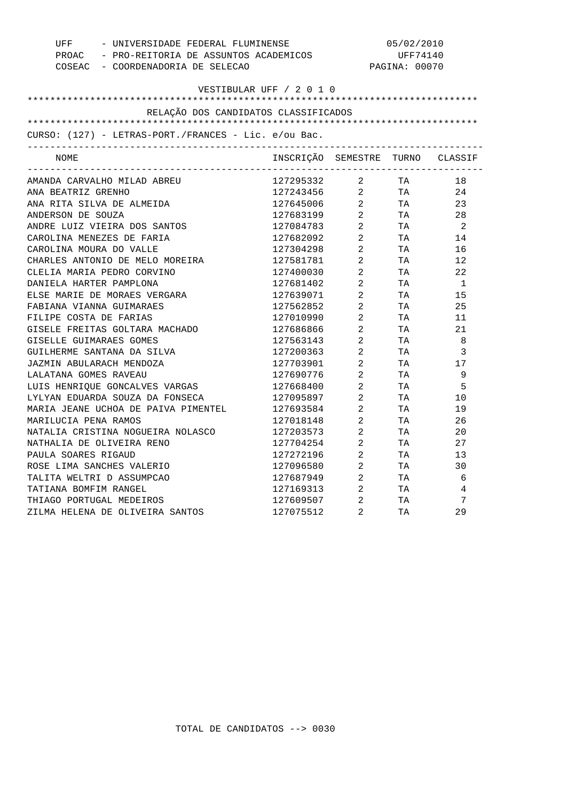|                                                                                  | UFF - UNIVERSIDADE FEDERAL FLUMINENSE<br>05/02/2010 |                                   |           |                            |
|----------------------------------------------------------------------------------|-----------------------------------------------------|-----------------------------------|-----------|----------------------------|
| PROAC - PRO-REITORIA DE ASSUNTOS ACADEMICOS<br>COSEAC - COORDENADORIA DE SELECAO |                                                     |                                   | UFF74140  |                            |
|                                                                                  |                                                     | PAGINA: 00070                     |           |                            |
| VESTIBULAR UFF / 2 0 1 0                                                         |                                                     |                                   |           |                            |
|                                                                                  |                                                     |                                   |           |                            |
| RELAÇÃO DOS CANDIDATOS CLASSIFICADOS                                             |                                                     |                                   |           |                            |
|                                                                                  |                                                     |                                   |           |                            |
| CURSO: (127) - LETRAS-PORT./FRANCES - Lic. e/ou Bac.                             |                                                     |                                   |           |                            |
| NOME                                                                             | INSCRIÇÃO SEMESTRE TURNO CLASSIF                    |                                   |           |                            |
| AMANDA CARVALHO MILAD ABREU                                                      | 127295332 2 TA                                      |                                   |           | 18                         |
| ANA BEATRIZ GRENHO                                                               |                                                     |                                   |           | 24                         |
| ANA RITA SILVA DE ALMEIDA                                                        | 127243456 2 TA<br>127645006 2 TA<br>127683199 2 TA  |                                   |           | 23                         |
| ANDERSON DE SOUZA                                                                |                                                     |                                   |           | 28                         |
| ANDRE LUIZ VIEIRA DOS SANTOS                                                     | 127084783 2 TA                                      |                                   |           | $\overline{\phantom{0}}^2$ |
| CAROLINA MENEZES DE FARIA                                                        | 127682092 2 TA                                      |                                   |           | 14                         |
| CAROLINA MOURA DO VALLE                                                          | $127304298$ 2<br>$127581781$ 2                      |                                   | TA        | 16                         |
| CHARLES ANTONIO DE MELO MOREIRA                                                  |                                                     |                                   | TA        | 12                         |
| CLELIA MARIA PEDRO CORVINO                                                       | 127400030 2                                         |                                   | TA        | 22                         |
| DANIELA HARTER PAMPLONA                                                          | 127681402 2                                         |                                   | TA        | $\overline{1}$             |
| ELSE MARIE DE MORAES VERGARA                                                     | 127639071                                           | $\overline{\mathbf{c}}$           | TA        | 15                         |
| FABIANA VIANNA GUIMARAES                                                         | 127562852                                           | 2                                 | <b>TA</b> | 25                         |
| FILIPE COSTA DE FARIAS                                                           | 127010990 2                                         |                                   | TA        | 11                         |
| GISELE FREITAS GOLTARA MACHADO                                                   | 127686866                                           | $2 \left( \frac{1}{2} \right)$    | TA TA     | 21                         |
| GISELLE GUIMARAES GOMES                                                          | 127563143 2                                         |                                   | TA        | - 8                        |
| GUILHERME SANTANA DA SILVA                                                       | 127200363                                           | $2^{\circ}$                       | TA        | 3                          |
| JAZMIN ABULARACH MENDOZA                                                         | 127200363 2<br>127703901 2                          |                                   | <b>TA</b> | 17                         |
| LALATANA GOMES RAVEAU                                                            | 127690776 2                                         |                                   | TA        | - 9                        |
| LUIS HENRIQUE GONCALVES VARGAS                                                   | 127668400 2                                         |                                   | TA        | 5                          |
| LYLYAN EDUARDA SOUZA DA FONSECA                                                  | 127095897                                           | $\overline{a}$                    | TA        | 10                         |
| MARIA JEANE UCHOA DE PAIVA PIMENTEL                                              | 127693584                                           | 2                                 | TA        | 19                         |
| MARILUCIA PENA RAMOS                                                             | 127018148 2                                         |                                   | TA T      | 26                         |
| NATALIA CRISTINA NOGUEIRA NOLASCO                                                | 127203573                                           | $\overline{2}$ and $\overline{2}$ | TA TA     | 20                         |
| NATHALIA DE OLIVEIRA RENO                                                        | 127704254 2                                         |                                   | TA        | 27                         |
| PAULA SOARES RIGAUD                                                              | 127272196                                           | $\overline{a}$                    | TA        | 13                         |
| ROSE LIMA SANCHES VALERIO                                                        |                                                     |                                   | TA        | 30                         |
| TALITA WELTRI D ASSUMPCAO                                                        | 127687949 2                                         |                                   | TA        | - 6                        |
| TATIANA BOMFIM RANGEL                                                            | 127169313 2                                         |                                   | <b>TA</b> | $\overline{4}$             |
| THIAGO PORTUGAL MEDEIROS                                                         | 127609507                                           |                                   | TA        | 7                          |
| ZILMA HELENA DE OLIVEIRA SANTOS                                                  | 127075512                                           | $\frac{2}{2}$                     | TA        | 29                         |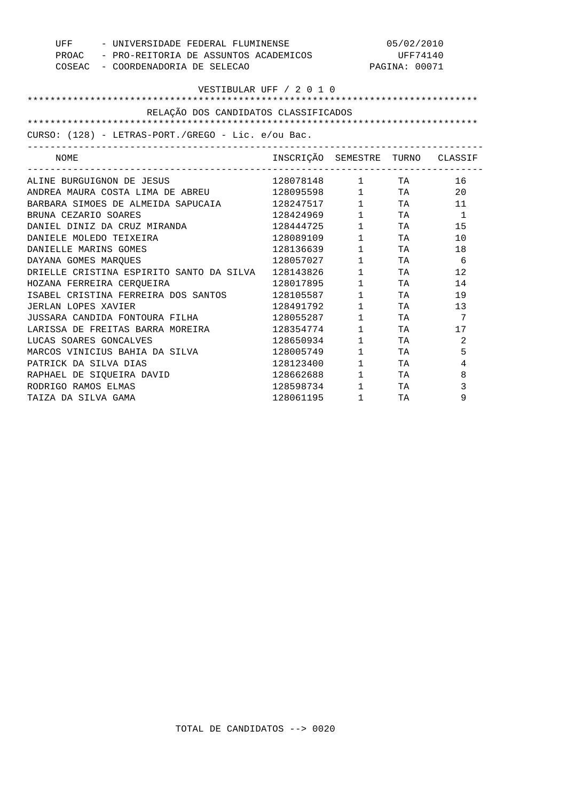| UFF - UNIVERSIDADE FEDERAL FLUMINENSE<br>PROAC - PRO-REITORIA DE ASSUNTOS ACADEMICOS<br>COSEAC - COORDENADORIA DE SELECAO |                                  |                        | 05/02/2010<br>UFF74140<br>PAGINA: 00071 |              |
|---------------------------------------------------------------------------------------------------------------------------|----------------------------------|------------------------|-----------------------------------------|--------------|
| VESTIBULAR UFF / 2 0 1 0                                                                                                  |                                  |                        |                                         |              |
| RELAÇÃO DOS CANDIDATOS CLASSIFICADOS                                                                                      |                                  |                        |                                         |              |
| CURSO: (128) - LETRAS-PORT./GREGO - Lic. e/ou Bac.                                                                        |                                  |                        |                                         |              |
| NOME                                                                                                                      | INSCRIÇÃO SEMESTRE TURNO CLASSIF |                        |                                         |              |
| ALINE BURGUIGNON DE JESUS                                                                                                 | 128078148 1 TA                   |                        |                                         | 16           |
| ANDREA MAURA COSTA LIMA DE ABREU                                                                                          | 128095598 1 TA                   |                        |                                         | 20           |
| BARBARA SIMOES DE ALMEIDA SAPUCAIA                                                                                        | 128247517                        | $1 \qquad \qquad$      | TA                                      | 11           |
| BRUNA CEZARIO SOARES                                                                                                      | 128424969                        | $1 \qquad \qquad$      | TA                                      | $\mathbf{1}$ |
| DANIEL DINIZ DA CRUZ MIRANDA                                                                                              | 128444725                        | $1 \qquad \qquad$      | TA                                      | 15           |
| DANIELE MOLEDO TEIXEIRA                                                                                                   | 128089109                        | $1 \qquad \qquad$      | TA                                      | 10           |
| DANIELLE MARINS GOMES                                                                                                     | 128136639                        | $1 \quad \blacksquare$ | TA                                      | 18           |
| DAYANA GOMES MAROUES                                                                                                      | 128057027                        | $1 \quad \blacksquare$ | TA                                      | -6           |
| DRIELLE CRISTINA ESPIRITO SANTO DA SILVA                                                                                  | 128143826                        | $1 \quad \Box$         | TA                                      | 12           |
| HOZANA FERREIRA CERQUEIRA                                                                                                 | 128017895                        | $1 \qquad \qquad$      | TA                                      | 14           |
| ISABEL CRISTINA FERREIRA DOS SANTOS                                                                                       | 128105587                        | $1 \qquad \qquad$      | TA                                      | 19           |
| JERLAN LOPES XAVIER                                                                                                       | 128491792                        | $1 \qquad \qquad$      | TA                                      | 13           |
| JUSSARA CANDIDA FONTOURA FILHA                                                                                            | 128055287                        | $1 \quad \Box$         | <b>TA</b>                               | 7            |
| LARISSA DE FREITAS BARRA MOREIRA                                                                                          | 128354774                        | $1 \qquad \qquad$      | TA                                      | 17           |
| LUCAS SOARES GONCALVES                                                                                                    | 128650934                        | $1 \qquad \qquad$      | TA                                      | 2            |
| MARCOS VINICIUS BAHIA DA SILVA                                                                                            | 128005749                        | $1 \quad \blacksquare$ | <b>TA</b>                               | 5            |
| PATRICK DA SILVA DIAS                                                                                                     | 128123400                        | $1 \qquad \qquad$      | <b>TA</b>                               | 4            |
| RAPHAEL DE SIOUEIRA DAVID                                                                                                 | 128662688                        | $1 \quad \cdots$       | TA                                      | 8            |
| RODRIGO RAMOS ELMAS                                                                                                       | 128598734                        | $1 \quad \Box$         | TA                                      | 3            |
| TAIZA DA SILVA GAMA                                                                                                       | 128061195                        | $1 \quad \cdots$       | TA                                      | 9            |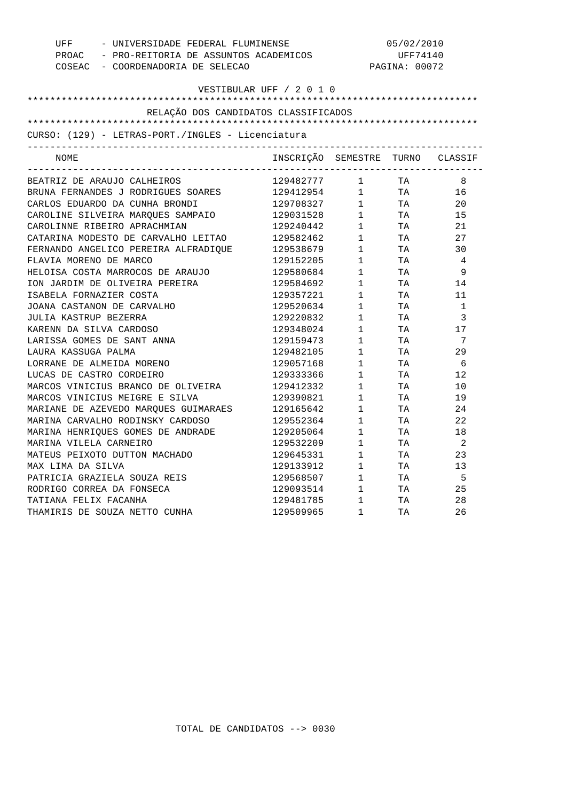| UFF - UNIVERSIDADE FEDERAL FLUMINENSE<br>PROAC - PRO-REITORIA DE ASSUNTOS ACADEMICOS<br>COSEAC - COORDENADORIA DE SELECAO                              |                                  | 05/02/2010<br>UFF74140<br>PAGINA: 00072 |              |                |
|--------------------------------------------------------------------------------------------------------------------------------------------------------|----------------------------------|-----------------------------------------|--------------|----------------|
|                                                                                                                                                        |                                  |                                         |              |                |
|                                                                                                                                                        | VESTIBULAR UFF / 2 0 1 0         |                                         |              |                |
| RELAÇÃO DOS CANDIDATOS CLASSIFICADOS                                                                                                                   |                                  |                                         |              |                |
|                                                                                                                                                        |                                  |                                         |              |                |
| CURSO: (129) - LETRAS-PORT./INGLES - Licenciatura                                                                                                      |                                  |                                         |              |                |
| NOME                                                                                                                                                   | INSCRIÇÃO SEMESTRE TURNO CLASSIF |                                         |              |                |
| BEATRIZ DE ARAUJO CALHEIROS                                                                                                                            | 129482777 1 TA                   |                                         |              | 8              |
|                                                                                                                                                        |                                  |                                         |              | 16             |
|                                                                                                                                                        |                                  |                                         |              | 20             |
| BRUNA FERNANDES J RODRIGUES SOARES 129412954 1 TA<br>CARLOS EDUARDO DA CUNHA BRONDI 129708327 1 TA<br>CAROLINE SILVEIRA MARQUES SAMPAIO 129031528 1 TA |                                  |                                         |              | 15             |
| CAROLINNE RIBEIRO APRACHMIAN                                                                                                                           | 129240442 1 TA                   |                                         |              | 21             |
| CATARINA MODESTO DE CARVALHO LEITAO                                                                                                                    | 129582462                        |                                         | 1 TA         | 27             |
| FERNANDO ANGELICO PEREIRA ALFRADIQUE                                                                                                                   | 129538679                        |                                         | $1$ TA       | 30             |
| FLAVIA MORENO DE MARCO                                                                                                                                 | 129152205                        | 1                                       | <b>TA</b>    | $\overline{4}$ |
| HELOISA COSTA MARROCOS DE ARAUJO                                                                                                                       | 129580684                        | $\mathbf 1$                             | TA           | - 9            |
| ION JARDIM DE OLIVEIRA PEREIRA                                                                                                                         | 129584692                        | $1 \qquad \qquad$                       | TA <b>TA</b> | 14             |
| ISABELA FORNAZIER COSTA                                                                                                                                | 129357221                        |                                         | $1$ TA       | 11             |
| JOANA CASTANON DE CARVALHO                                                                                                                             | 129520634                        |                                         | TA           | 1              |
| JULIA KASTRUP BEZERRA                                                                                                                                  | 129220832                        | $\begin{array}{c} 1 \\ 1 \end{array}$   | TA           | $\overline{3}$ |
| KARENN DA SILVA CARDOSO                                                                                                                                | 129348024                        | $1 \qquad \qquad$                       | TA TA        | 17             |
| LARISSA GOMES DE SANT ANNA                                                                                                                             | 129159473                        | $1 \quad \blacksquare$                  | TA           | $\overline{7}$ |
| LAURA KASSUGA PALMA                                                                                                                                    | 129482105                        | $\mathbf{1}$                            | TA           | 29             |
| LORRANE DE ALMEIDA MORENO                                                                                                                              | 129057168                        | 1                                       | TA           | 6              |
| LUCAS DE CASTRO CORDEIRO                                                                                                                               | 129333366                        | $\mathbf 1$                             | TA           | 12             |
| MARCOS VINICIUS BRANCO DE OLIVEIRA                                                                                                                     | 129412332                        | $1 \quad \blacksquare$                  | TA           | 10             |
| MARCOS VINICIUS MEIGRE E SILVA                                                                                                                         | 129390821                        | $\mathbf{1}$                            | TA           | 19             |
|                                                                                                                                                        | 129165642                        |                                         | TA           | 24             |
| MARIANE DE AZEVEDO MARQUES GUIMARAES<br>MARINA CARVALHO RODINSKY CARDOSO<br>MARINA CARVALHO RODINSKY CARDOSO                                           | 129552364                        | $\begin{array}{c} 1 \\ 1 \end{array}$   | TA           | 22             |
| MARINA HENRIQUES GOMES DE ANDRADE                                                                                                                      | 129205064                        | $1 \qquad \qquad$                       | TA TA        | 18             |
| MARINA VILELA CARNEIRO                                                                                                                                 | 129532209                        | $1 \quad \Box$                          | TA           | $\overline{2}$ |
| MATEUS PEIXOTO DUTTON MACHADO                                                                                                                          |                                  | $\frac{1}{1}$                           | TA           | 23             |
| MAX LIMA DA SILVA                                                                                                                                      | 129645331<br>129133912           | 1                                       | TA           | 13             |
| PATRICIA GRAZIELA SOUZA REIS                                                                                                                           | 129568507 1                      |                                         | TA           | $-5$           |
| RODRIGO CORREA DA FONSECA                                                                                                                              | 129093514                        | $1 \qquad \qquad$                       | TA TA        | 25             |
| TATIANA FELIX FACANHA                                                                                                                                  | 129481785                        | $1$ TA                                  |              | 28             |
| THAMIRIS DE SOUZA NETTO CUNHA                                                                                                                          | 129509965                        | 1                                       | TA           | 2.6            |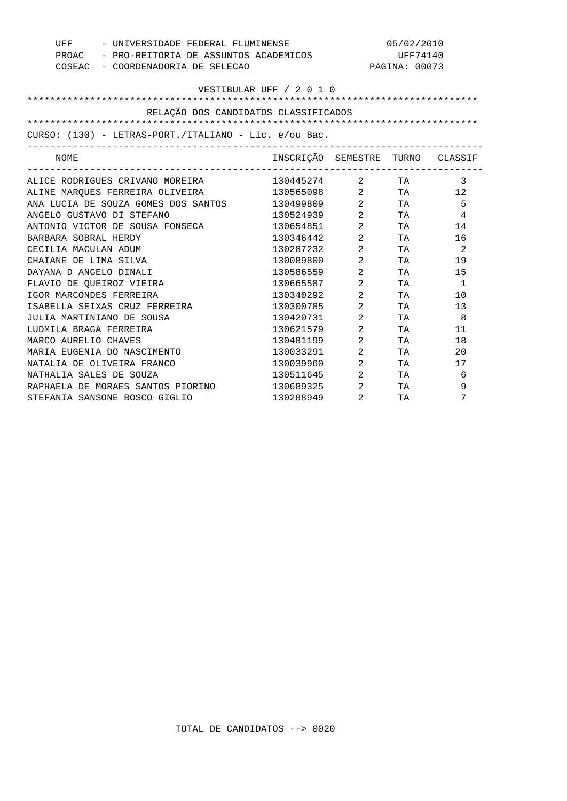| - UNIVERSIDADE FEDERAL FLUMINENSE<br>UFF              |                                  | 05/02/2010                     |                 |                |
|-------------------------------------------------------|----------------------------------|--------------------------------|-----------------|----------------|
| PROAC - PRO-REITORIA DE ASSUNTOS ACADEMICOS           |                                  |                                | UFF74140        |                |
| COSEAC - COORDENADORIA DE SELECAO                     |                                  |                                | PAGINA: 00073   |                |
|                                                       |                                  |                                |                 |                |
|                                                       | VESTIBULAR UFF / 2 0 1 0         |                                |                 |                |
|                                                       |                                  |                                |                 |                |
| RELAÇÃO DOS CANDIDATOS CLASSIFICADOS                  |                                  |                                |                 |                |
|                                                       |                                  |                                |                 |                |
| CURSO: (130) - LETRAS-PORT./ITALIANO - Lic. e/ou Bac. |                                  |                                |                 |                |
| NOME                                                  | INSCRIÇÃO SEMESTRE TURNO CLASSIF |                                |                 |                |
|                                                       |                                  |                                |                 | $\overline{3}$ |
| ALINE MARQUES FERREIRA OLIVEIRA 130565098 2 TA 12     |                                  |                                |                 |                |
| ANA LUCIA DE SOUZA GOMES DOS SANTOS                   | 130499809 2                      |                                | <b>TA</b>       | 5              |
| ANGELO GUSTAVO DI STEFANO                             | 130524939                        | $\overline{2}$                 | <b>TA</b>       | 4              |
| ANTONIO VICTOR DE SOUSA FONSECA                       | 130654851                        | $2 \left( \frac{1}{2} \right)$ | TA TA           | 14             |
| BARBARA SOBRAL HERDY                                  | 130346442                        | $\overline{a}$                 | <b>TA</b>       | 16             |
| CECILIA MACULAN ADUM                                  | 130287232                        | $\overline{2}$                 | TA <b>TA</b>    | $\overline{2}$ |
| CHAIANE DE LIMA SILVA                                 | 130089800                        | $2 \left( \frac{1}{2} \right)$ | TA TA           | 19             |
| DAYANA D ANGELO DINALI                                | 130586559                        | $\overline{2}$                 | <b>TA</b>       | 15             |
| FLAVIO DE OUEIROZ VIEIRA                              | 130665587                        | $\overline{2}$                 | <b>TA</b>       | $\mathbf{1}$   |
| IGOR MARCONDES FERREIRA                               | 130340292                        | $\overline{2}$                 | TA TA           | 10             |
| ISABELLA SEIXAS CRUZ FERREIRA                         | 130300785                        | $\overline{2}$                 | TA              | 13             |
| JULIA MARTINIANO DE SOUSA                             | 130420731                        | $\overline{2}$                 | TA <b>TA</b>    | - 8            |
| LUDMILA BRAGA FERREIRA                                | 130621579                        | $2 \left( \frac{1}{2} \right)$ | TA <b>TA</b>    | 11             |
| MARCO AURELIO CHAVES                                  | 130481199                        | $\overline{2}$                 | TA              | 18             |
| MARIA EUGENIA DO NASCIMENTO                           | 130033291                        | $\overline{2}$                 | TA <b>TA</b>    | 20             |
| NATALIA DE OLIVEIRA FRANCO                            | 130039960                        | $2 \left( \frac{1}{2} \right)$ | TA <sub>1</sub> | 17             |
| NATHALIA SALES DE SOUZA                               | 130511645                        | $\overline{a}$                 | TA              | 6              |
| RAPHAELA DE MORAES SANTOS PIORINO                     | 130689325                        | $\overline{2}$                 | TA              | 9              |
| STEFANIA SANSONE BOSCO GIGLIO                         | 130288949                        | $\overline{2}$                 | TA              | 7              |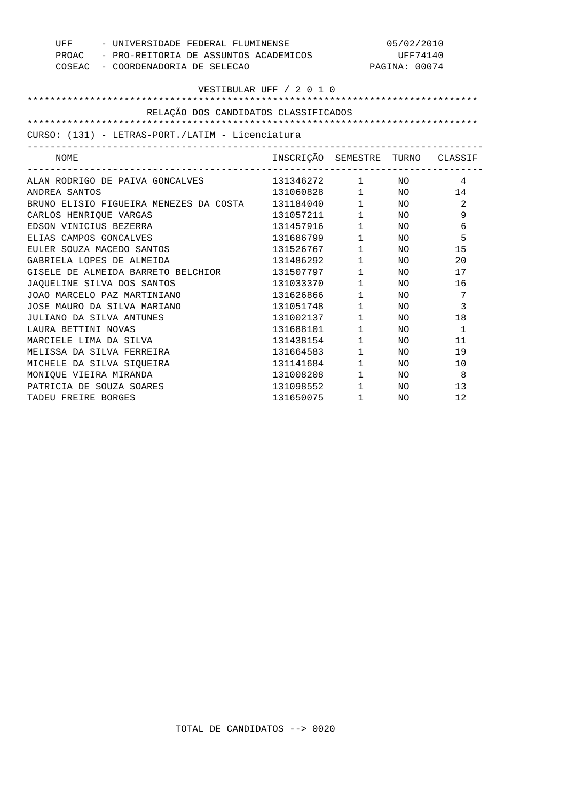| - UNIVERSIDADE FEDERAL FLUMINENSE<br>UFF         |                          | 05/02/2010                 |               |               |
|--------------------------------------------------|--------------------------|----------------------------|---------------|---------------|
| PROAC - PRO-REITORIA DE ASSUNTOS ACADEMICOS      |                          | UFF74140                   |               |               |
| COSEAC - COORDENADORIA DE SELECAO                |                          |                            | PAGINA: 00074 |               |
|                                                  |                          |                            |               |               |
|                                                  | VESTIBULAR UFF / 2 0 1 0 |                            |               |               |
|                                                  |                          |                            |               |               |
| RELAÇÃO DOS CANDIDATOS CLASSIFICADOS             |                          |                            |               |               |
|                                                  |                          |                            |               |               |
| CURSO: (131) - LETRAS-PORT./LATIM - Licenciatura |                          |                            |               |               |
| NOME                                             | INSCRIÇÃO SEMESTRE       |                            |               | TURNO CLASSIF |
| ALAN RODRIGO DE PAIVA GONCALVES                  | 131346272 1 NO           |                            |               | 4             |
| ANDREA SANTOS                                    | 131060828 1 NO 14        |                            |               |               |
| BRUNO ELISIO FIGUEIRA MENEZES DA COSTA           | 131184040                |                            | $1$ NO        | 2             |
| CARLOS HENRIOUE VARGAS                           | 131057211                | $1\qquad \qquad \text{NO}$ |               | 9             |
| EDSON VINICIUS BEZERRA                           | 131457916                | $1 \quad \blacksquare$     | NO.           | 6             |
| ELIAS CAMPOS GONCALVES                           | 131686799                | $1 \quad \blacksquare$     | NO            | 5             |
| EULER SOUZA MACEDO SANTOS                        | 131526767                | $1 \qquad \qquad$          | NO            | 15            |
| GABRIELA LOPES DE ALMEIDA                        | 131486292                | $1 \quad \blacksquare$     | NO            | 20            |
| GISELE DE ALMEIDA BARRETO BELCHIOR               | 131507797                | $1 \qquad \qquad$          | NO            | 17            |
| JAQUELINE SILVA DOS SANTOS                       | 131033370                | $1 \quad \Box$             | NO.           | 16            |
| JOAO MARCELO PAZ MARTINIANO                      | 131626866                | $1 \quad \blacksquare$     | NO.           | 7             |
| JOSE MAURO DA SILVA MARIANO                      | 131051748                | $1 \quad \blacksquare$     | NΟ            | 3             |
| JULIANO DA SILVA ANTUNES                         | 131002137                | $1 \quad \blacksquare$     | NO.           | 18            |
| LAURA BETTINI NOVAS                              | 131688101                | $1 \quad \blacksquare$     | NO            | $\mathbf{1}$  |
| MARCIELE LIMA DA SILVA                           | 131438154                | $1 \quad \blacksquare$     | NO            | 11            |
| MELISSA DA SILVA FERREIRA                        | 131664583                | $1 \qquad \qquad$          | NO            | 19            |
| MICHELE DA SILVA SIQUEIRA                        | 131141684                | $1 \qquad \qquad$          | NO.           | 10            |
| MONIQUE VIEIRA MIRANDA                           | 131008208                | $1 \quad \blacksquare$     | NO.           | 8             |
| PATRICIA DE SOUZA SOARES                         | 131098552                | $1 \quad \blacksquare$     | NO            | 13            |
| TADEU FREIRE BORGES                              | 131650075                | $1 \qquad \qquad$          | NO.           | 12            |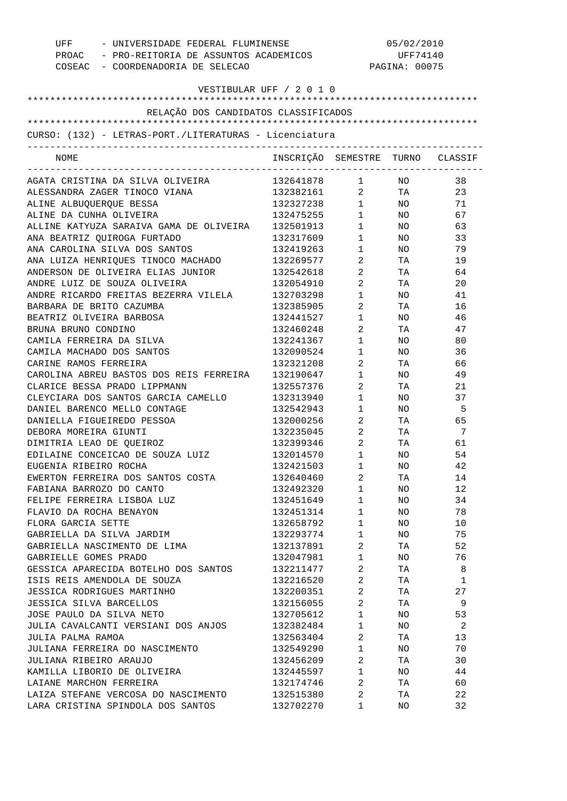| UFF - UNIVERSIDADE FEDERAL FLUMINENSE<br>PROAC - PRO-REITORIA DE ASSUNTOS ACADEMICOS |                                  |                                                             | 05/02/2010<br>UFF74140 |                |
|--------------------------------------------------------------------------------------|----------------------------------|-------------------------------------------------------------|------------------------|----------------|
| COSEAC - COORDENADORIA DE SELECAO                                                    |                                  |                                                             | PAGINA: 00075          |                |
|                                                                                      |                                  |                                                             |                        |                |
|                                                                                      | VESTIBULAR UFF / 2 0 1 0         |                                                             |                        |                |
| RELAÇÃO DOS CANDIDATOS CLASSIFICADOS                                                 |                                  |                                                             |                        |                |
|                                                                                      |                                  |                                                             |                        |                |
| CURSO: (132) - LETRAS-PORT./LITERATURAS - Licenciatura                               |                                  |                                                             |                        |                |
|                                                                                      |                                  |                                                             |                        |                |
| NOME                                                                                 | INSCRIÇÃO SEMESTRE TURNO CLASSIF |                                                             |                        |                |
|                                                                                      |                                  |                                                             |                        | 38             |
| ALESSANDRA ZAGER TINOCO VIANA                                                        | 132382161 2 TA                   |                                                             |                        | 23             |
| ALINE ALBUQUERQUE BESSA                                                              | 132327238 1                      |                                                             | NO <sub>2</sub>        | 71             |
| ALINE DA CUNHA OLIVEIRA                                                              | 132475255 1                      |                                                             | NO <sub>2</sub>        | 67             |
| ALLINE KATYUZA SARAIVA GAMA DE OLIVEIRA                                              | 132501913                        | 1                                                           | NO <sub>2</sub>        | 63             |
| ANA BEATRIZ QUIROGA FURTADO                                                          | 132317609                        | $1 \qquad \qquad$                                           | NO <sub>2</sub>        | 33             |
| ANA CAROLINA SILVA DOS SANTOS                                                        | 132419263                        | $1 \quad \blacksquare$                                      | NO <sub>2</sub>        | 79             |
| ANA LUIZA HENRIQUES TINOCO MACHADO                                                   | 132269577                        | $\overline{2}$ and $\overline{2}$                           | TA TA                  | 19             |
| ANDERSON DE OLIVEIRA ELIAS JUNIOR                                                    | 132542618                        | $\overline{2}$ and $\overline{2}$                           | <b>TA</b>              | 64             |
| ANDRE LUIZ DE SOUZA OLIVEIRA                                                         | 132054910                        | $\overline{2}$ and $\overline{2}$                           | <b>TA</b>              | 20             |
| ANDRE RICARDO FREITAS BEZERRA VILELA                                                 | 132703298                        | $1 \qquad \qquad$                                           | NO.                    | 41             |
| BARBARA DE BRITO CAZUMBA                                                             | 132385905                        | $\overline{2}$                                              | TA                     | 16             |
| BEATRIZ OLIVEIRA BARBOSA                                                             | 132441527                        | $1 \qquad \qquad$                                           | NO.                    | 46             |
| BRUNA BRUNO CONDINO                                                                  | 132460248                        | $\overline{2}$ and $\overline{2}$                           | TA                     | 47             |
| CAMILA FERREIRA DA SILVA                                                             | 132241367                        | $1 \qquad \qquad$                                           | NO.                    | 80             |
| CAMILA MACHADO DOS SANTOS                                                            | 132090524                        | $1 \quad \blacksquare$                                      | NO                     | 36             |
| CARINE RAMOS FERREIRA                                                                | 132321208                        | $\mathbf{2}$                                                | TA                     | 66             |
| CAROLINA ABREU BASTOS DOS REIS FERREIRA                                              | 132190647                        | $1 \qquad \qquad$                                           | NO.                    | 49             |
| CLARICE BESSA PRADO LIPPMANN                                                         | 132557376                        | $\overline{2}$                                              | TA                     | 21             |
| CLEYCIARA DOS SANTOS GARCIA CAMELLO                                                  | 132313940                        | $1 \qquad \qquad$                                           | NO                     | 37             |
|                                                                                      | 132542943                        |                                                             |                        | -5             |
| DANIEL BARENCO MELLO CONTAGE<br>DANIELLA FIGUEIREDO PESSOA                           | 132000256                        | $1 \quad \blacksquare$<br>$\overline{2}$ and $\overline{2}$ | NO L<br>TA TA          | 65             |
| DEBORA MOREIRA GIUNTI                                                                |                                  | $\overline{2}$                                              |                        | 7              |
|                                                                                      | 132235045<br>132399346           |                                                             | TA                     |                |
| DIMITRIA LEAO DE OUEIROZ                                                             |                                  | 2                                                           | TA                     | 61             |
| EDILAINE CONCEICAO DE SOUZA LUIZ                                                     | 132014570                        | $\mathbf{1}$                                                | NO                     | 54             |
| EUGENIA RIBEIRO ROCHA                                                                | 132421503 1                      |                                                             | NO.                    | 42             |
| EWERTON FERREIRA DOS SANTOS COSTA                                                    | 132640460 2                      |                                                             | TA TA                  | 14             |
| FABIANA BARROZO DO CANTO                                                             | 132492320 1                      |                                                             | NO <sub>2</sub>        | 12             |
| FELIPE FERREIRA LISBOA LUZ                                                           | 132451649 1                      |                                                             | NO <sub>2</sub>        | 34             |
| FLAVIO DA ROCHA BENAYON                                                              | 132451314 1                      |                                                             | NO <sub>2</sub>        | 78             |
| FLORA GARCIA SETTE                                                                   | 132658792 1                      |                                                             | NO <sub>2</sub>        | 10             |
| GABRIELLA DA SILVA JARDIM                                                            | 132293774 1                      |                                                             | NO <sub>2</sub>        | 75             |
| GABRIELLA NASCIMENTO DE LIMA                                                         | 132137891 2                      |                                                             | TA TA                  | 52             |
| GABRIELLE GOMES PRADO                                                                | 132047981 1                      |                                                             | NO <sub>n</sub>        | 76             |
| GESSICA APARECIDA BOTELHO DOS SANTOS                                                 | 132211477 2                      |                                                             | TA 1999.               | $_{\rm 8}$     |
| ISIS REIS AMENDOLA DE SOUZA                                                          | 132216520 2                      |                                                             | TA                     | $\mathbf{1}$   |
| JESSICA RODRIGUES MARTINHO                                                           | 132200351 2                      |                                                             | TA <sub>1</sub>        | 27             |
| JESSICA SILVA BARCELLOS                                                              | 132156055 2                      |                                                             | TA                     | $\overline{9}$ |
| JOSE PAULO DA SILVA NETO                                                             | 132705612 1                      |                                                             | NO <sub>2</sub>        | 53             |
| JULIA CAVALCANTI VERSIANI DOS ANJOS                                                  | 132382484 1                      |                                                             |                        | $NO$ 2         |
| JULIA PALMA RAMOA                                                                    | 132563404 2                      |                                                             | TA TA                  | 13             |
| JULIANA FERREIRA DO NASCIMENTO                                                       | 132549290 1                      |                                                             | NO <sub>n</sub>        | 70             |
| JULIANA RIBEIRO ARAUJO                                                               | 132456209 2                      |                                                             | TA TA                  | 30             |
| KAMILLA LIBORIO DE OLIVEIRA                                                          | 132445597 1                      |                                                             | NO <sub>n</sub>        | 44             |
| LAIANE MARCHON FERREIRA                                                              | 132174746 2                      |                                                             | TA                     | 60             |
| LAIZA STEFANE VERCOSA DO NASCIMENTO                                                  | 132515380 2                      |                                                             | TA                     | 22             |
| LARA CRISTINA SPINDOLA DOS SANTOS                                                    | 132702270 1                      |                                                             | NO                     | 32             |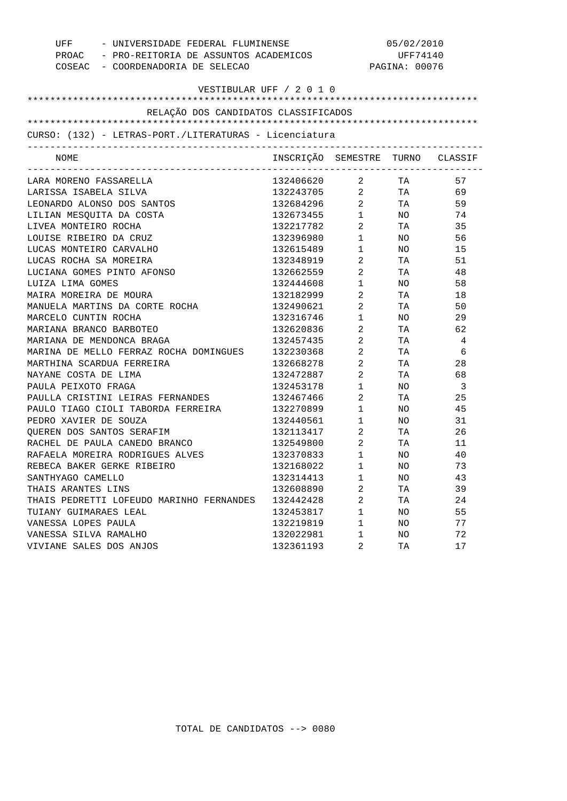|                         | - UNIVERSIDADE FEDERAL FLUMINENSE<br>UFF                                                          |                                  |                                     | 05/02/2010 |                         |  |
|-------------------------|---------------------------------------------------------------------------------------------------|----------------------------------|-------------------------------------|------------|-------------------------|--|
|                         | PROAC - PRO-REITORIA DE ASSUNTOS ACADEMICOS<br>COSEAC - COORDENADORIA DE SELECAO<br>PAGINA: 00076 |                                  | UFF74140                            |            |                         |  |
|                         |                                                                                                   |                                  |                                     |            |                         |  |
|                         |                                                                                                   | VESTIBULAR UFF / 2 0 1 0         |                                     |            |                         |  |
|                         |                                                                                                   |                                  |                                     |            |                         |  |
|                         | RELAÇÃO DOS CANDIDATOS CLASSIFICADOS                                                              |                                  |                                     |            |                         |  |
|                         |                                                                                                   |                                  |                                     |            |                         |  |
|                         | CURSO: (132) - LETRAS-PORT./LITERATURAS - Licenciatura                                            |                                  |                                     |            |                         |  |
| NOME                    |                                                                                                   | INSCRIÇÃO SEMESTRE TURNO CLASSIF |                                     |            |                         |  |
| LARA MORENO FASSARELLA  |                                                                                                   | 132406620 2                      | ----------------------------------- | TA         | 57                      |  |
| LARISSA ISABELA SILVA   |                                                                                                   | 132243705 2 TA                   |                                     |            | 69                      |  |
|                         | LEONARDO ALONSO DOS SANTOS                                                                        | 132684296 2                      |                                     | TA         | 59                      |  |
|                         | LILIAN MESQUITA DA COSTA                                                                          | 132673455                        | $1 \quad \Box$                      | NO .       | 74                      |  |
| LIVEA MONTEIRO ROCHA    |                                                                                                   | 132217782                        | $\overline{a}$                      | TA         | 35                      |  |
| LOUISE RIBEIRO DA CRUZ  |                                                                                                   | 132396980                        | $1 \quad \Box$                      | NO.        | 56                      |  |
| LUCAS MONTEIRO CARVALHO |                                                                                                   | 132615489                        | $1 \quad \blacksquare$              | NO.        | 15                      |  |
| LUCAS ROCHA SA MOREIRA  |                                                                                                   | 132348919                        | $\overline{a}$                      | TA         | 51                      |  |
|                         | LUCIANA GOMES PINTO AFONSO                                                                        | 132662559                        | $\overline{a}$                      | TA         | 48                      |  |
| LUIZA LIMA GOMES        |                                                                                                   | 132444608                        | $1$ $\hfill$                        | NO.        | 58                      |  |
| MAIRA MOREIRA DE MOURA  |                                                                                                   | 132182999                        | $\overline{a}$                      | TA         | 18                      |  |
|                         | MANUELA MARTINS DA CORTE ROCHA                                                                    | 132490621                        | $\overline{a}$                      | TA         | 50                      |  |
| MARCELO CUNTIN ROCHA    |                                                                                                   | 132316746                        | $1$ $\hfill$                        | NO.        | 29                      |  |
| MARIANA BRANCO BARBOTEO |                                                                                                   | 132620836                        | $\overline{2}$                      | TA         | 62                      |  |
|                         | MARIANA DE MENDONCA BRAGA                                                                         | 132457435                        | $\overline{2}$                      | TA         | 4                       |  |
|                         | MARINA DE MELLO FERRAZ ROCHA DOMINGUES                                                            | 132230368                        | $\overline{2}$                      | TA         | 6                       |  |
|                         | MARTHINA SCARDUA FERREIRA                                                                         | 132668278                        | $\overline{2}$                      | TA         | 28                      |  |
| NAYANE COSTA DE LIMA    |                                                                                                   | 132472887                        | $\overline{2}$                      | TA         | 68                      |  |
| PAULA PEIXOTO FRAGA     |                                                                                                   | 132453178                        | $1 \quad \blacksquare$              | NO.        | $\overline{\mathbf{3}}$ |  |
|                         | PAULLA CRISTINI LEIRAS FERNANDES                                                                  | 132467466                        | $\overline{a}$                      | TA         | 25                      |  |
|                         | PAULO TIAGO CIOLI TABORDA FERREIRA                                                                | 132270899                        | $\mathbf 1$                         | NO.        | 45                      |  |
| PEDRO XAVIER DE SOUZA   |                                                                                                   | 132440561                        | $1$ $\hfill$                        | NO.        | 31                      |  |
|                         | QUEREN DOS SANTOS SERAFIM                                                                         | 132113417                        | $\overline{2}$                      | TA         | 26                      |  |
|                         | RACHEL DE PAULA CANEDO BRANCO                                                                     | 132549800                        | $\overline{a}$                      | TA         | 11                      |  |
|                         | RAFAELA MOREIRA RODRIGUES ALVES                                                                   | 132370833                        | $1 \quad \Box$                      | NO.        | 40                      |  |
|                         | REBECA BAKER GERKE RIBEIRO                                                                        | 132168022                        | $\overline{1}$                      | NO         | 73                      |  |
| SANTHYAGO CAMELLO       |                                                                                                   | 132314413                        | 1                                   | ΝO         | 43                      |  |
| THAIS ARANTES LINS      |                                                                                                   | 132608890                        | 2                                   | TA         | 39                      |  |
|                         | THAIS PEDRETTI LOFEUDO MARINHO FERNANDES                                                          | 132442428                        | 2                                   | TA         | 24                      |  |
| TUIANY GUIMARAES LEAL   |                                                                                                   | 132453817                        | 1                                   | NO         | 55                      |  |
| VANESSA LOPES PAULA     |                                                                                                   | 132219819                        | 1                                   | NO         | 77                      |  |
| VANESSA SILVA RAMALHO   |                                                                                                   | 132022981                        | 1                                   | NO         | 72                      |  |
| VIVIANE SALES DOS ANJOS |                                                                                                   | 132361193                        | 2                                   | TA         | 17                      |  |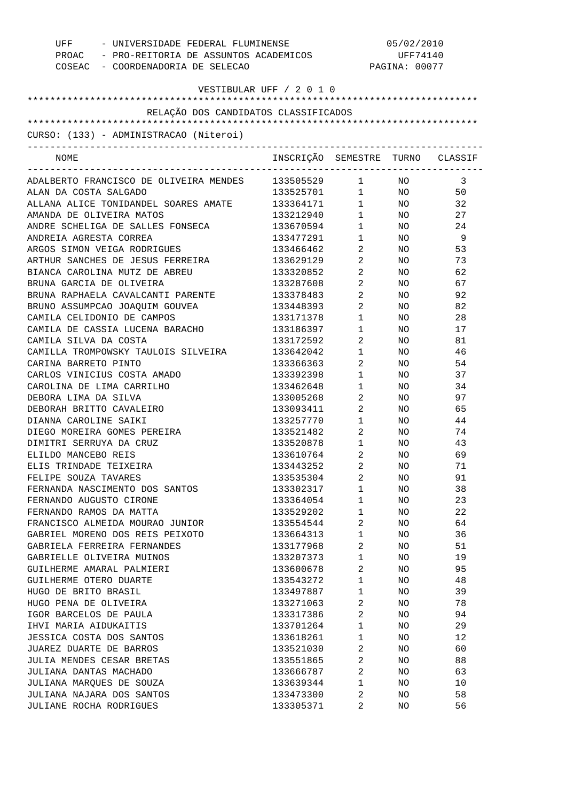| UFF - UNIVERSIDADE FEDERAL FLUMINENSE<br>PROAC - PRO-REITORIA DE ASSUNTOS ACADEMICOS<br>COSEAC - COORDENADORIA DE SELECAO |                                  | 05/02/2010<br>UFF74140<br>PAGINA: 00077 |                 |     |
|---------------------------------------------------------------------------------------------------------------------------|----------------------------------|-----------------------------------------|-----------------|-----|
| VESTIBULAR UFF / 2 0 1 0                                                                                                  |                                  |                                         |                 |     |
| RELAÇÃO DOS CANDIDATOS CLASSIFICADOS                                                                                      |                                  |                                         |                 |     |
|                                                                                                                           |                                  |                                         |                 |     |
| CURSO: (133) - ADMINISTRACAO (Niteroi)                                                                                    |                                  |                                         |                 |     |
| NOME                                                                                                                      | INSCRIÇÃO SEMESTRE TURNO CLASSIF |                                         |                 |     |
| ADALBERTO FRANCISCO DE OLIVEIRA MENDES                                                                                    | 133505529 1                      |                                         | NO 11           | 3   |
| ALAN DA COSTA SALGADO                                                                                                     | 133525701 1 NO                   |                                         |                 | 50  |
| ALLANA ALICE TONIDANDEL SOARES AMATE                                                                                      | 133364171 1                      |                                         | NO <sub>n</sub> | 32  |
| AMANDA DE OLIVEIRA MATOS                                                                                                  | 133212940                        | $1 \qquad \qquad$                       | NO <sub>2</sub> | 27  |
| ANDRE SCHELIGA DE SALLES FONSECA                                                                                          | 133670594                        | $1 \qquad \qquad$                       | NO <sub>2</sub> | 24  |
| ANDREIA AGRESTA CORREA                                                                                                    | 133477291                        | $1 \quad \blacksquare$                  | NO <sub>n</sub> | - 9 |
| ARGOS SIMON VEIGA RODRIGUES                                                                                               | 133466462                        | $\overline{2}$                          | NO              | 53  |
| ARTHUR SANCHES DE JESUS FERREIRA                                                                                          | 133629129                        | $2 \left( \frac{1}{2} \right)$          | NO              | 73  |
| BIANCA CAROLINA MUTZ DE ABREU                                                                                             | 133320852                        | $\overline{2}$ and $\overline{2}$       | NO .            | 62  |
| BRUNA GARCIA DE OLIVEIRA                                                                                                  | 133287608                        | $\overline{2}$ and $\overline{2}$       | NO              | 67  |
| BRUNA RAPHAELA CAVALCANTI PARENTE                                                                                         | 133378483                        | $\overline{2}$ and $\overline{2}$       | NO.             | 92  |
| BRUNO ASSUMPCAO JOAQUIM GOUVEA                                                                                            | 133448393                        | $\overline{2}$ and $\overline{2}$       | NO.             | 82  |
| CAMILA CELIDONIO DE CAMPOS                                                                                                | 133171378                        | $1 \qquad \qquad$                       | NO.             | 28  |
| CAMILA DE CASSIA LUCENA BARACHO                                                                                           | 133186397                        | $1 \qquad \qquad$                       | NO.             | 17  |
| CAMILA SILVA DA COSTA                                                                                                     | 133172592                        | $\overline{2}$                          | NO.             | 81  |
| CAMILLA TROMPOWSKY TAULOIS SILVEIRA                                                                                       | 133642042                        | $1 \qquad \qquad$                       | NO.             | 46  |
| CARINA BARRETO PINTO                                                                                                      | 133366363                        | $\overline{2}$                          | NO.             | 54  |
| CARLOS VINICIUS COSTA AMADO                                                                                               | 133392398                        | $1 \qquad \qquad$                       | NO.             | 37  |
| CAROLINA DE LIMA CARRILHO                                                                                                 | 133462648                        | $1 \qquad \qquad$                       | NO.             | 34  |
| DEBORA LIMA DA SILVA                                                                                                      | 133005268                        | $\overline{2}$ and $\overline{2}$       | NO.             | 97  |
| DEBORAH BRITTO CAVALEIRO                                                                                                  | 133093411                        | $\overline{2}$                          | NO .            | 65  |
| DIANNA CAROLINE SAIKI                                                                                                     | 133257770                        | $1 \qquad \qquad$                       | NO              | 44  |
| DIEGO MOREIRA GOMES PEREIRA                                                                                               | 133521482                        | $\overline{2}$                          | NO .            | 74  |
| DIMITRI SERRUYA DA CRUZ                                                                                                   | 133520878                        | $1 \qquad \qquad$                       | NO.             | 43  |
| ELILDO MANCEBO REIS                                                                                                       | 133610764                        | 2                                       | NO.             | 69  |
| ELIS TRINDADE TEIXEIRA                                                                                                    | 133443252                        | 2                                       | ΝO              | 71  |
| FELIPE SOUZA TAVARES                                                                                                      | 133535304                        | $\overline{a}$                          | NO              | 91  |
| FERNANDA NASCIMENTO DOS SANTOS                                                                                            | 133302317                        | $\mathbf 1$                             | NO              | 38  |
| FERNANDO AUGUSTO CIRONE                                                                                                   | 133364054                        | $\mathbf 1$                             | NO              | 23  |
| FERNANDO RAMOS DA MATTA                                                                                                   | 133529202                        | $\mathbf 1$                             | NO              | 22  |
| FRANCISCO ALMEIDA MOURAO JUNIOR                                                                                           | 133554544                        | 2                                       | NO              | 64  |
| GABRIEL MORENO DOS REIS PEIXOTO                                                                                           | 133664313                        | $\mathbf 1$                             | NO              | 36  |
| GABRIELA FERREIRA FERNANDES                                                                                               | 133177968                        | 2                                       | NO              | 51  |
| GABRIELLE OLIVEIRA MUINOS                                                                                                 | 133207373                        | $\mathbf 1$                             | NO              | 19  |
| GUILHERME AMARAL PALMIERI                                                                                                 | 133600678                        | 2                                       | NO.             | 95  |
| GUILHERME OTERO DUARTE                                                                                                    | 133543272                        | $\mathbf 1$                             | NO              | 48  |
| HUGO DE BRITO BRASIL                                                                                                      | 133497887                        | $\mathbf 1$                             | NO              | 39  |
| HUGO PENA DE OLIVEIRA                                                                                                     | 133271063                        | 2                                       | NO              | 78  |
| IGOR BARCELOS DE PAULA                                                                                                    | 133317386                        | 2                                       | NO              | 94  |
| IHVI MARIA AIDUKAITIS                                                                                                     | 133701264                        | $\mathbf 1$                             | NO              | 29  |
| JESSICA COSTA DOS SANTOS                                                                                                  | 133618261                        | $\mathbf 1$                             | NO              | 12  |
| JUAREZ DUARTE DE BARROS                                                                                                   | 133521030                        | 2                                       | NO.             | 60  |
| JULIA MENDES CESAR BRETAS                                                                                                 | 133551865                        | 2                                       | NO              | 88  |
| JULIANA DANTAS MACHADO                                                                                                    | 133666787                        | 2                                       | ΝO              | 63  |
| JULIANA MARQUES DE SOUZA                                                                                                  | 133639344                        | $\mathbf 1$                             | NO              | 10  |
| JULIANA NAJARA DOS SANTOS                                                                                                 | 133473300                        | 2                                       | NO              | 58  |
| JULIANE ROCHA RODRIGUES                                                                                                   | 133305371                        | 2                                       | NO              | 56  |
|                                                                                                                           |                                  |                                         |                 |     |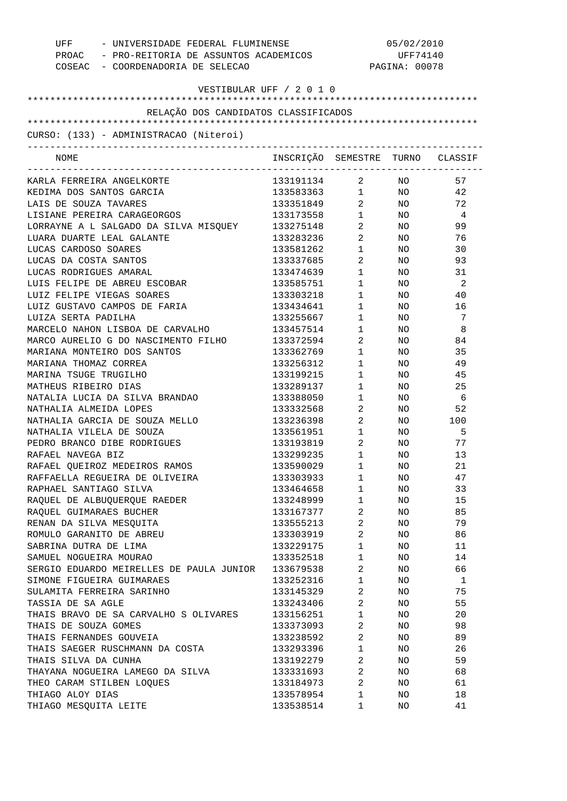| UFF - UNIVERSIDADE FEDERAL FLUMINENSE<br>PROAC - PRO-REITORIA DE ASSUNTOS ACADEMICOS<br>COSEAC - COORDENADORIA DE SELECAO |                                  | 05/02/2010<br>UFF74140<br>PAGINA: 00078 |                 |     |
|---------------------------------------------------------------------------------------------------------------------------|----------------------------------|-----------------------------------------|-----------------|-----|
| VESTIBULAR UFF / 2 0 1 0                                                                                                  |                                  |                                         |                 |     |
| RELAÇÃO DOS CANDIDATOS CLASSIFICADOS                                                                                      |                                  |                                         |                 |     |
|                                                                                                                           |                                  |                                         |                 |     |
| CURSO: (133) - ADMINISTRACAO (Niteroi)                                                                                    |                                  |                                         |                 |     |
| NOME                                                                                                                      | INSCRIÇÃO SEMESTRE TURNO CLASSIF |                                         |                 |     |
| KARLA FERREIRA ANGELKORTE                                                                                                 | 133191134 2 NO                   |                                         |                 | 57  |
| KEDIMA DOS SANTOS GARCIA                                                                                                  | 133583363 1                      |                                         | NO <sub>2</sub> | 42  |
| LAIS DE SOUZA TAVARES                                                                                                     | 133351849 2                      |                                         | NO <sub>2</sub> | 72  |
| LISIANE PEREIRA CARAGEORGOS                                                                                               | 133173558                        | $1 \quad \blacksquare$                  | NO <sub>n</sub> | 4   |
| LORRAYNE A L SALGADO DA SILVA MISQUEY                                                                                     | 133275148 2                      |                                         | NO <sub>2</sub> | 99  |
| LUARA DUARTE LEAL GALANTE                                                                                                 | 133283236                        | $2 \left( \frac{1}{2} \right)$          | NO <sub>2</sub> | 76  |
| LUCAS CARDOSO SOARES                                                                                                      | 133581262                        | $1 \quad \blacksquare$                  | NO <sub>1</sub> | 30  |
| LUCAS DA COSTA SANTOS                                                                                                     | 133337685                        | $2 \left( \frac{1}{2} \right)$          | NO              | 93  |
| LUCAS RODRIGUES AMARAL                                                                                                    | 133474639                        | $1 \quad \blacksquare$                  | NO.             | 31  |
| LUIS FELIPE DE ABREU ESCOBAR                                                                                              | 133585751                        | $1 \quad \blacksquare$                  | NO              | 2   |
| LUIZ FELIPE VIEGAS SOARES                                                                                                 | 133303218                        | $1 \quad \blacksquare$                  | NO.             | 40  |
| LUIZ GUSTAVO CAMPOS DE FARIA                                                                                              | 133434641                        | $1 \quad \blacksquare$                  | NO.             | 16  |
| LUIZA SERTA PADILHA                                                                                                       | 133255667                        | $1 \quad \blacksquare$                  | NO              | 7   |
| MARCELO NAHON LISBOA DE CARVALHO                                                                                          | 133457514                        | $1 \quad \blacksquare$                  | NO.             | 8   |
| MARCO AURELIO G DO NASCIMENTO FILHO                                                                                       | 133372594                        | $2 \left( \frac{1}{2} \right)$          | NO              | 84  |
| MARIANA MONTEIRO DOS SANTOS                                                                                               | 133362769                        | $1 \quad \blacksquare$                  | NO.             | 35  |
| MARIANA THOMAZ CORREA                                                                                                     | 133256312                        | $1 \qquad \qquad$                       | NO.             | 49  |
| MARINA TSUGE TRUGILHO                                                                                                     | 133199215                        | $1 \quad \blacksquare$                  | NO.             | 45  |
| MATHEUS RIBEIRO DIAS                                                                                                      | 133289137                        | $1 \quad \blacksquare$                  | NO              | 25  |
| NATALIA LUCIA DA SILVA BRANDAO                                                                                            | 133388050                        | $1 \qquad \qquad$                       | NO              | - 6 |
| NATHALIA ALMEIDA LOPES                                                                                                    | 133332568                        | $\overline{2}$                          | NO <sub>n</sub> | 52  |
| NATHALIA GARCIA DE SOUZA MELLO                                                                                            | 133236398                        | $2 \left( \frac{1}{2} \right)$          | NO <sub>n</sub> | 100 |
| NATHALIA VILELA DE SOUZA                                                                                                  | 133561951                        | $1 \quad \blacksquare$                  | NO              | 5   |
| PEDRO BRANCO DIBE RODRIGUES                                                                                               | 133193819                        | $2 \left( \frac{1}{2} \right)$          | NO.             | 77  |
| RAFAEL NAVEGA BIZ                                                                                                         | 133299235                        | $\mathbf{1}$                            | NO.             | 13  |
| RAFAEL QUEIROZ MEDEIROS RAMOS                                                                                             | 133590029                        | 1                                       | ΝO              | 21  |
| RAFFAELLA REGUEIRA DE OLIVEIRA                                                                                            | 133303933                        | $\mathbf 1$                             | NO              | 47  |
| RAPHAEL SANTIAGO SILVA                                                                                                    | 133464658                        | $\mathbf{1}$                            | NO              | 33  |
| RAQUEL DE ALBUQUERQUE RAEDER                                                                                              | 133248999                        | $\mathbf 1$                             | NO              | 15  |
| RAQUEL GUIMARAES BUCHER                                                                                                   | 133167377                        | $\overline{a}$                          | NO              | 85  |
| RENAN DA SILVA MESQUITA                                                                                                   | 133555213                        | 2                                       | NO              | 79  |
| ROMULO GARANITO DE ABREU                                                                                                  | 133303919                        | $\overline{a}$                          | NO              | 86  |
| SABRINA DUTRA DE LIMA                                                                                                     | 133229175                        | $\mathbf{1}$                            | NO              | 11  |
| SAMUEL NOGUEIRA MOURAO                                                                                                    | 133352518                        | $\mathbf{1}$                            | NO              | 14  |
| SERGIO EDUARDO MEIRELLES DE PAULA JUNIOR                                                                                  | 133679538                        | 2                                       | NO              | 66  |
| SIMONE FIGUEIRA GUIMARAES                                                                                                 | 133252316                        | $\mathbf{1}$                            | NO              | 1   |
| SULAMITA FERREIRA SARINHO                                                                                                 | 133145329                        | $\overline{a}$                          | NO              | 75  |
| TASSIA DE SA AGLE                                                                                                         | 133243406                        | 2                                       | NO              | 55  |
| THAIS BRAVO DE SA CARVALHO S OLIVARES                                                                                     | 133156251                        | $\mathbf{1}$                            |                 | 20  |
| THAIS DE SOUZA GOMES                                                                                                      | 133373093                        |                                         | NO              | 98  |
|                                                                                                                           |                                  | 2                                       | NO              |     |
| THAIS FERNANDES GOUVEIA                                                                                                   | 133238592                        | $\overline{2}$                          | NO              | 89  |
| THAIS SAEGER RUSCHMANN DA COSTA                                                                                           | 133293396                        | $\mathbf{1}$                            | NO              | 26  |
| THAIS SILVA DA CUNHA                                                                                                      | 133192279                        | 2                                       | NO              | 59  |
| THAYANA NOGUEIRA LAMEGO DA SILVA                                                                                          | 133331693                        | $\overline{a}$                          | NO              | 68  |
| THEO CARAM STILBEN LOQUES                                                                                                 | 133184973                        | $\overline{2}$                          | NO              | 61  |
| THIAGO ALOY DIAS                                                                                                          | 133578954                        | $\mathbf{1}$                            | NO              | 18  |
| THIAGO MESQUITA LEITE                                                                                                     | 133538514                        | 1                                       | NO              | 41  |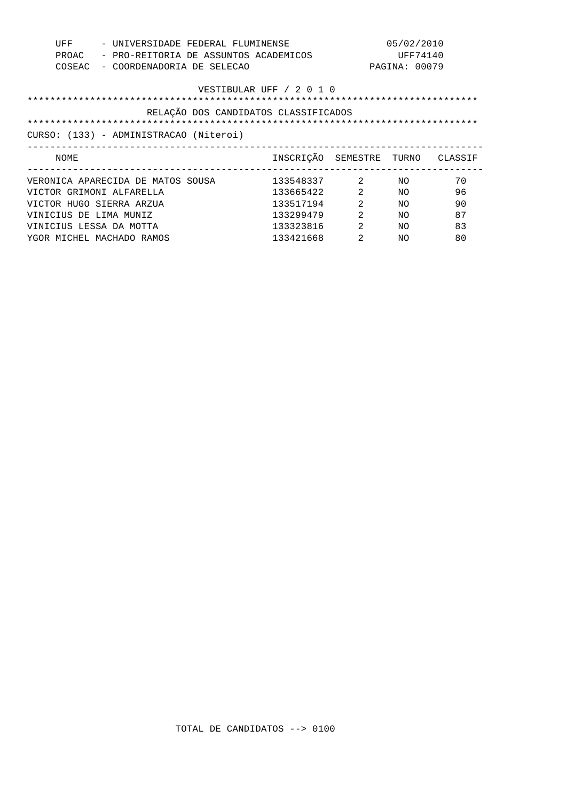| UFF<br>- UNIVERSIDADE FEDERAL FLUMINENSE<br>- PRO-REITORIA DE ASSUNTOS ACADEMICOS<br>PROAC<br>COSEAC<br>- COORDENADORIA DE SELECAO |                                  |   | 05/02/2010<br>UFF74140<br>PAGINA: 00079 |    |
|------------------------------------------------------------------------------------------------------------------------------------|----------------------------------|---|-----------------------------------------|----|
|                                                                                                                                    | VESTIBULAR UFF / 2 0 1 0         |   |                                         |    |
| RELAÇÃO DOS CANDIDATOS CLASSIFICADOS                                                                                               |                                  |   |                                         |    |
|                                                                                                                                    |                                  |   |                                         |    |
| CURSO: (133) - ADMINISTRACAO (Niteroi)                                                                                             |                                  |   |                                         |    |
|                                                                                                                                    |                                  |   |                                         |    |
| NOME                                                                                                                               | INSCRIÇÃO SEMESTRE TURNO CLASSIF |   |                                         |    |
| VERONICA APARECIDA DE MATOS SOUSA                                                                                                  | 133548337 2                      |   | NO.                                     | 70 |
| VICTOR GRIMONI ALFARELLA                                                                                                           | 133665422                        | 2 | NO.                                     | 96 |
| VICTOR HUGO SIERRA ARZUA                                                                                                           | 133517194                        | 2 | NO.                                     | 90 |
| VINICIUS DE LIMA MUNIZ                                                                                                             | 133299479                        | 2 | NO.                                     | 87 |
| VINICIUS LESSA DA MOTTA                                                                                                            | 133323816                        | 2 | NO.                                     | 83 |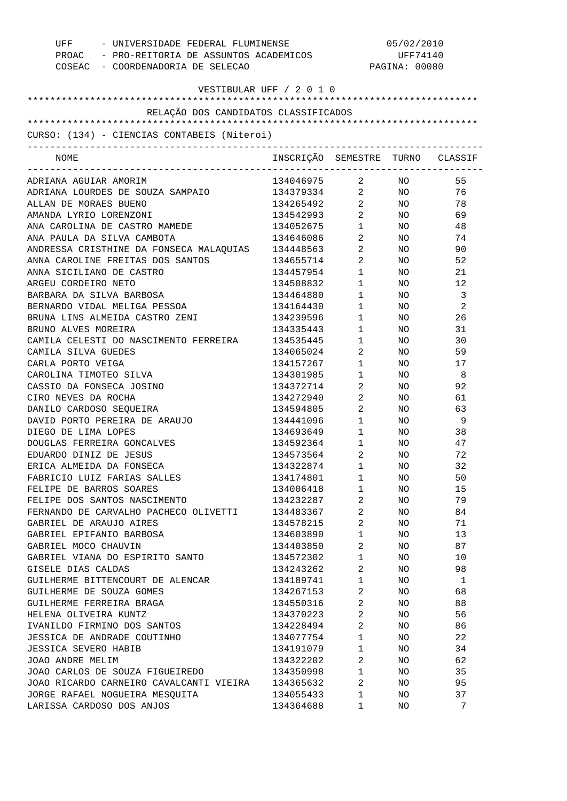| UFF - UNIVERSIDADE FEDERAL FLUMINENSE<br>PROAC - PRO-REITORIA DE ASSUNTOS ACADEMICOS<br>COSEAC - COORDENADORIA DE SELECAO |                                  | 05/02/2010<br>UFF74140<br>PAGINA: 00080 |                 |     |
|---------------------------------------------------------------------------------------------------------------------------|----------------------------------|-----------------------------------------|-----------------|-----|
| VESTIBULAR UFF / 2 0 1 0                                                                                                  |                                  |                                         |                 |     |
| RELAÇÃO DOS CANDIDATOS CLASSIFICADOS                                                                                      |                                  |                                         |                 |     |
|                                                                                                                           |                                  |                                         |                 |     |
| CURSO: (134) - CIENCIAS CONTABEIS (Niteroi)                                                                               |                                  |                                         |                 |     |
| _____________________________________<br>NOME                                                                             | INSCRIÇÃO SEMESTRE TURNO CLASSIF |                                         |                 |     |
| ADRIANA AGUIAR AMORIM                                                                                                     | 134046975 2 NO                   |                                         |                 | 55  |
| ADRIANA LOURDES DE SOUZA SAMPAIO                                                                                          | 134379334 2 NO                   |                                         |                 | 76  |
| ALLAN DE MORAES BUENO                                                                                                     | 134265492 2                      |                                         | NO <sub>2</sub> | 78  |
| AMANDA LYRIO LORENZONI                                                                                                    | 134542993 2                      |                                         | NO <sub>2</sub> | 69  |
| ANA CAROLINA DE CASTRO MAMEDE                                                                                             | 134052675                        | $1 \qquad \qquad$                       | NO .            | 48  |
| ANA PAULA DA SILVA CAMBOTA                                                                                                | 134646086                        | $2 \left( \frac{1}{2} \right)$          | NO .            | 74  |
| ANDRESSA CRISTHINE DA FONSECA MALAQUIAS                                                                                   | 134448563                        | $2 \left( \frac{1}{2} \right)$          | NO .            | 90  |
| ANNA CAROLINE FREITAS DOS SANTOS                                                                                          | 134655714                        | $2 \left( \frac{1}{2} \right)$          | NO              | 52  |
| ANNA SICILIANO DE CASTRO                                                                                                  | 134457954                        | $1 \qquad \qquad$                       | NO.             | 21  |
| ARGEU CORDEIRO NETO                                                                                                       | 134508832                        | $1 \qquad \qquad$                       | NO.             | 12  |
| BARBARA DA SILVA BARBOSA                                                                                                  | 134464880                        | $1 \qquad \qquad$                       | NO.             | -3  |
| BERNARDO VIDAL MELIGA PESSOA                                                                                              | 134164430                        | $1 \qquad \qquad$                       | NO.             | 2   |
| BRUNA LINS ALMEIDA CASTRO ZENI                                                                                            | 134239596                        | $1 \qquad \qquad$                       | NO.             | 26  |
| BRUNO ALVES MOREIRA                                                                                                       | 134335443                        | $1 \qquad \qquad$                       | NO.             | 31  |
| CAMILA CELESTI DO NASCIMENTO FERREIRA                                                                                     | 134535445                        | $1 \qquad \qquad$                       | NO.             | 30  |
| CAMILA SILVA GUEDES                                                                                                       | 134065024                        | $\overline{2}$                          | NO.             | 59  |
| CARLA PORTO VEIGA                                                                                                         | 134157267                        | $1 \qquad \qquad$                       | NO.             | 17  |
| CAROLINA TIMOTEO SILVA                                                                                                    | 134301985                        | $1 \quad \cdots$                        | NO.             | - 8 |
| CASSIO DA FONSECA JOSINO                                                                                                  | 134372714                        | $\overline{2}$ and $\overline{2}$       | NO.             | 92  |
| CIRO NEVES DA ROCHA                                                                                                       | 134272940                        | $\overline{2}$ and $\overline{2}$       | NO.             | 61  |
| DANILO CARDOSO SEQUEIRA                                                                                                   | 134594805                        | $\overline{2}$ and $\overline{2}$       | NO.             | 63  |
| DAVID PORTO PEREIRA DE ARAUJO                                                                                             | 134441096                        | $1 \qquad \qquad$                       | NO              | - 9 |
| DIEGO DE LIMA LOPES                                                                                                       | 134693649                        | $1 \qquad \qquad$                       | NO .            | 38  |
| DOUGLAS FERREIRA GONCALVES                                                                                                | 134592364                        | $1 \qquad \qquad$                       | NO.             | 47  |
| EDUARDO DINIZ DE JESUS                                                                                                    | 134573564                        | 2                                       | NO.             | 72  |
| ERICA ALMEIDA DA FONSECA                                                                                                  | 134322874                        | 1                                       | ΝO              | 32  |
| FABRICIO LUIZ FARIAS SALLES                                                                                               | 134174801                        | 1                                       | ΝO              | 50  |
| FELIPE DE BARROS SOARES                                                                                                   | 134006418                        | 1                                       | ΝO              | 15  |
| FELIPE DOS SANTOS NASCIMENTO                                                                                              | 134232287                        | $\overline{a}$                          | ΝO              | 79  |
| FERNANDO DE CARVALHO PACHECO OLIVETTI                                                                                     | 134483367                        | 2                                       | ΝO              | 84  |
| GABRIEL DE ARAUJO AIRES                                                                                                   | 134578215                        | 2                                       | ΝO              | 71  |
| GABRIEL EPIFANIO BARBOSA                                                                                                  | 134603890                        | $\mathbf 1$                             | ΝO              | 13  |
| GABRIEL MOCO CHAUVIN                                                                                                      | 134403850                        | 2                                       |                 | 87  |
| GABRIEL VIANA DO ESPIRITO SANTO                                                                                           |                                  |                                         | NO.             |     |
|                                                                                                                           | 134572302                        | 1<br>2                                  | ΝO              | 10  |
| GISELE DIAS CALDAS                                                                                                        | 134243262                        |                                         | ΝO              | 98  |
| GUILHERME BITTENCOURT DE ALENCAR                                                                                          | 134189741                        | 1                                       | ΝO              | 1   |
| GUILHERME DE SOUZA GOMES                                                                                                  | 134267153                        | 2                                       | ΝO              | 68  |
| GUILHERME FERREIRA BRAGA                                                                                                  | 134550316                        | 2                                       | NO.             | 88  |
| HELENA OLIVEIRA KUNTZ                                                                                                     | 134370223                        | $\overline{a}$                          | ΝO              | 56  |
| IVANILDO FIRMINO DOS SANTOS                                                                                               | 134228494                        | 2                                       | ΝO              | 86  |
| JESSICA DE ANDRADE COUTINHO                                                                                               | 134077754                        | 1                                       | NO.             | 22  |
| <b>JESSICA SEVERO HABIB</b>                                                                                               | 134191079                        | 1                                       | ΝO              | 34  |
| JOAO ANDRE MELIM                                                                                                          | 134322202                        | 2                                       | NO.             | 62  |
| JOAO CARLOS DE SOUZA FIGUEIREDO                                                                                           | 134350998                        | $\mathbf 1$                             | ΝO              | 35  |
| JOAO RICARDO CARNEIRO CAVALCANTI VIEIRA                                                                                   | 134365632                        | 2                                       | ΝO              | 95  |
| JORGE RAFAEL NOGUEIRA MESQUITA                                                                                            | 134055433                        | 1                                       | ΝO              | 37  |
| LARISSA CARDOSO DOS ANJOS                                                                                                 | 134364688                        | 1                                       | ΝO              | 7   |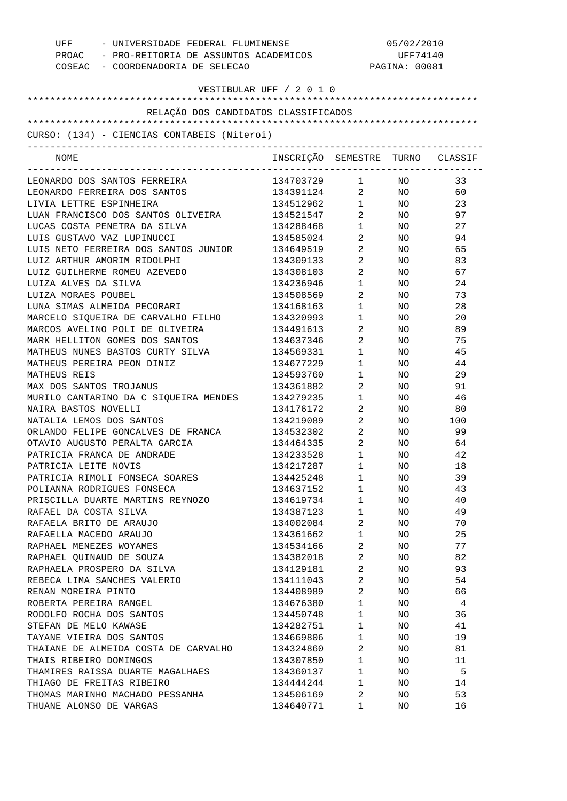| UFF - UNIVERSIDADE FEDERAL FLUMINENSE<br>PROAC - PRO-REITORIA DE ASSUNTOS ACADEMICOS<br>COSEAC - COORDENADORIA DE SELECAO |                                  | 05/02/2010<br>UFF74140<br>PAGINA: 00081 |                 |     |
|---------------------------------------------------------------------------------------------------------------------------|----------------------------------|-----------------------------------------|-----------------|-----|
| VESTIBULAR UFF / 2 0 1 0                                                                                                  |                                  |                                         |                 |     |
| RELAÇÃO DOS CANDIDATOS CLASSIFICADOS                                                                                      |                                  |                                         |                 |     |
|                                                                                                                           |                                  |                                         |                 |     |
| CURSO: (134) - CIENCIAS CONTABEIS (Niteroi)                                                                               |                                  |                                         |                 |     |
| NOME                                                                                                                      | INSCRIÇÃO SEMESTRE TURNO CLASSIF | ----------------------------            |                 |     |
| LEONARDO DOS SANTOS FERREIRA                                                                                              | 134703729 1                      |                                         | NO NO           | 33  |
| LEONARDO FERREIRA DOS SANTOS                                                                                              | 134391124 2                      |                                         | NO <sub>2</sub> | 60  |
| LIVIA LETTRE ESPINHEIRA                                                                                                   | 134512962 1                      |                                         | NO <sub>2</sub> | 23  |
| LUAN FRANCISCO DOS SANTOS OLIVEIRA                                                                                        | 134521547 2                      |                                         | NO <sub>1</sub> | 97  |
| LUCAS COSTA PENETRA DA SILVA                                                                                              | 134288468 1                      |                                         | NO <sub>1</sub> | 27  |
| LUIS GUSTAVO VAZ LUPINUCCI                                                                                                | 134585024                        | $\overline{2}$                          | NO <sub>2</sub> | 94  |
| LUIS NETO FERREIRA DOS SANTOS JUNIOR                                                                                      | 134649519                        | $2 \left( \frac{1}{2} \right)$          | NO              | 65  |
| LUIZ ARTHUR AMORIM RIDOLPHI                                                                                               | 134309133                        | $\overline{2}$                          | NO .            | 83  |
| LUIZ GUILHERME ROMEU AZEVEDO                                                                                              | 134308103                        | $\overline{2}$                          | NO              | 67  |
| LUIZA ALVES DA SILVA                                                                                                      | 134236946                        | $1 \qquad \qquad$                       | NO              | 24  |
| LUIZA MORAES POUBEL                                                                                                       | 134508569                        | $\overline{2}$                          | NO.             | 73  |
| LUNA SIMAS ALMEIDA PECORARI                                                                                               | 134168163                        | $1 \qquad \qquad$                       | NO              | 28  |
| MARCELO SIQUEIRA DE CARVALHO FILHO                                                                                        | 134320993                        | $1 \qquad \qquad$                       | NO.             | 20  |
| MARCOS AVELINO POLI DE OLIVEIRA                                                                                           | 134491613                        | $\overline{2}$ and $\overline{2}$       | NO.             | 89  |
| MARK HELLITON GOMES DOS SANTOS                                                                                            | 134637346                        | $\overline{2}$                          | NO.             | 75  |
| MATHEUS NUNES BASTOS CURTY SILVA                                                                                          | 134569331                        | $1 \qquad \qquad$                       | NO.             | 45  |
| MATHEUS PEREIRA PEON DINIZ                                                                                                | 134677229                        | $1 \quad \blacksquare$                  | NO.             | 44  |
| MATHEUS REIS                                                                                                              | 134593760                        | $1 \qquad \qquad$                       | NO.             | 29  |
| MAX DOS SANTOS TROJANUS                                                                                                   | 134361882                        | $\overline{2}$ and $\overline{2}$       | NO.             | 91  |
| MURILO CANTARINO DA C SIQUEIRA MENDES                                                                                     | 134279235                        | $1 \qquad \qquad$                       | NO.             | 46  |
| NAIRA BASTOS NOVELLI                                                                                                      | 134176172                        | $2 \left( \frac{1}{2} \right)$          | NO              | 80  |
| NATALIA LEMOS DOS SANTOS                                                                                                  | 134219089                        | $\overline{2}$ and $\overline{2}$       | NO              | 100 |
| ORLANDO FELIPE GONCALVES DE FRANCA                                                                                        | 134532302                        | $2 \left( \frac{1}{2} \right)$          | NO.             | 99  |
| OTAVIO AUGUSTO PERALTA GARCIA                                                                                             | 134464335                        | $2 \left( \frac{1}{2} \right)$          | NO.             | 64  |
| PATRICIA FRANCA DE ANDRADE                                                                                                | 134233528                        | $\mathbf{1}$                            | NO.             | 42  |
| PATRICIA LEITE NOVIS                                                                                                      | 134217287                        | 1                                       | ΝO              | 18  |
| PATRICIA RIMOLI FONSECA SOARES                                                                                            | 134425248                        | $\mathbf{1}$                            | NO              | 39  |
| POLIANNA RODRIGUES FONSECA                                                                                                | 134637152                        | $\mathbf{1}$                            | NO              | 43  |
| PRISCILLA DUARTE MARTINS REYNOZO                                                                                          | 134619734                        | $\mathbf{1}$                            | NO              | 40  |
| RAFAEL DA COSTA SILVA                                                                                                     | 134387123                        | $\mathbf{1}$                            | NO.             | 49  |
| RAFAELA BRITO DE ARAUJO                                                                                                   | 134002084                        | 2                                       | NO.             | 70  |
| RAFAELLA MACEDO ARAUJO                                                                                                    | 134361662                        | $\mathbf{1}$                            | NO.             | 25  |
| RAPHAEL MENEZES WOYAMES                                                                                                   | 134534166                        | 2                                       | NO.             | 77  |
| RAPHAEL OUINAUD DE SOUZA                                                                                                  | 134382018                        | 2                                       | NO.             | 82  |
| RAPHAELA PROSPERO DA SILVA                                                                                                | 134129181                        | 2                                       | NO.             | 93  |
| REBECA LIMA SANCHES VALERIO                                                                                               | 134111043                        | $\overline{2}$                          | NO.             | 54  |
| RENAN MOREIRA PINTO                                                                                                       | 134408989                        | 2                                       | NO.             | 66  |
| ROBERTA PEREIRA RANGEL                                                                                                    | 134676380                        | $\mathbf{1}$                            | NO.             | 4   |
| RODOLFO ROCHA DOS SANTOS                                                                                                  | 134450748                        | $\mathbf{1}$                            | NO.             | 36  |
| STEFAN DE MELO KAWASE                                                                                                     | 134282751                        | 1                                       | NO.             | 41  |
| TAYANE VIEIRA DOS SANTOS                                                                                                  | 134669806                        | $\mathbf{1}$                            | NO.             | 19  |
| THAIANE DE ALMEIDA COSTA DE CARVALHO                                                                                      | 134324860                        | 2                                       | NO.             | 81  |
| THAIS RIBEIRO DOMINGOS                                                                                                    | 134307850                        | $\mathbf{1}$                            | NO.             | 11  |
| THAMIRES RAISSA DUARTE MAGALHAES                                                                                          | 134360137                        | $\mathbf{1}$                            | NO.             | 5   |
| THIAGO DE FREITAS RIBEIRO                                                                                                 | 134444244                        | $\mathbf{1}$                            | NO.             | 14  |
| THOMAS MARINHO MACHADO PESSANHA                                                                                           | 134506169                        | 2                                       | NO.             | 53  |
| THUANE ALONSO DE VARGAS                                                                                                   | 134640771                        | 1                                       | NO.             | 16  |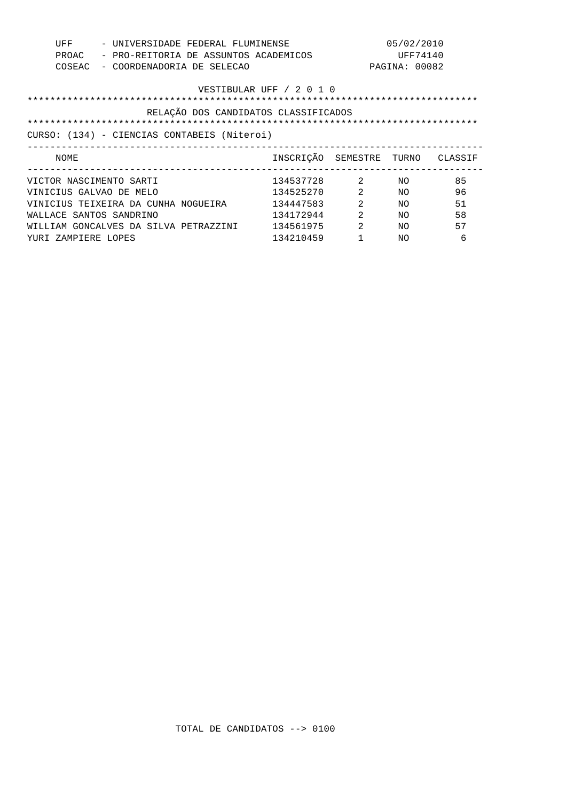| UFF<br>- UNIVERSIDADE FEDERAL FLUMINENSE<br>PROAC<br>- PRO-REITORIA DE ASSUNTOS ACADEMICOS<br>COSEAC<br>- COORDENADORIA DE SELECAO |                                  |                | 05/02/2010<br>UFF74140<br>PAGINA: 00082 |    |
|------------------------------------------------------------------------------------------------------------------------------------|----------------------------------|----------------|-----------------------------------------|----|
|                                                                                                                                    | VESTIBULAR UFF / 2 0 1 0         |                |                                         |    |
| RELAÇÃO DOS CANDIDATOS CLASSIFICADOS                                                                                               |                                  |                |                                         |    |
| CURSO: (134) - CIENCIAS CONTABEIS (Niteroi)                                                                                        |                                  |                |                                         |    |
|                                                                                                                                    |                                  |                |                                         |    |
| NOME                                                                                                                               | INSCRIÇÃO SEMESTRE TURNO CLASSIF |                |                                         |    |
| VICTOR NASCIMENTO SARTI                                                                                                            | 134537728 2                      |                | NO                                      | 85 |
| VINICIUS GALVAO DE MELO                                                                                                            | 134525270                        | 2              | NO.                                     | 96 |
| VINICIUS TEIXEIRA DA CUNHA NOGUEIRA                                                                                                | 134447583                        | 2              | NΟ                                      | 51 |
| WALLACE SANTOS SANDRINO                                                                                                            | 134172944                        | 2              | NΟ                                      | 58 |
| WILLIAM GONCALVES DA SILVA PETRAZZINI                                                                                              | 134561975                        | $\mathfrak{D}$ | NΟ                                      | 57 |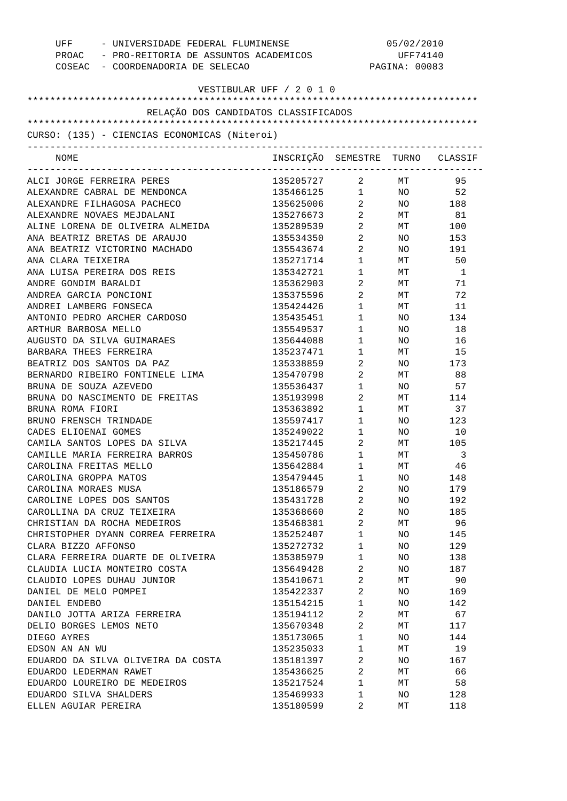| UFF - UNIVERSIDADE FEDERAL FLUMINENSE<br>PROAC - PRO-REITORIA DE ASSUNTOS ACADEMICOS<br>COSEAC - COORDENADORIA DE SELECAO |                                  | 05/02/2010<br>UFF74140<br>PAGINA: 00083 |           |           |
|---------------------------------------------------------------------------------------------------------------------------|----------------------------------|-----------------------------------------|-----------|-----------|
| VESTIBULAR UFF / 2 0 1 0                                                                                                  |                                  |                                         |           |           |
| RELAÇÃO DOS CANDIDATOS CLASSIFICADOS                                                                                      |                                  |                                         |           |           |
|                                                                                                                           |                                  |                                         |           |           |
| CURSO: (135) - CIENCIAS ECONOMICAS (Niteroi)<br>------------------------------------                                      |                                  |                                         |           |           |
| NOME                                                                                                                      | INSCRIÇÃO SEMESTRE TURNO CLASSIF |                                         |           |           |
| ALCI JORGE FERREIRA PERES                                                                                                 | 135205727                        | $\overline{2}$ and $\overline{2}$       | MT        | 95        |
| ALEXANDRE CABRAL DE MENDONCA                                                                                              | 135466125 1 NO 52                |                                         |           |           |
| ALEXANDRE FILHAGOSA PACHECO                                                                                               | 135625006 2                      |                                         |           | NO 188    |
| ALEXANDRE NOVAES MEJDALANI                                                                                                | 135276673 2                      |                                         | MT        | 81        |
| ALINE LORENA DE OLIVEIRA ALMEIDA                                                                                          | 135289539                        | $2 \left( \frac{1}{2} \right)$          | MT        | 100       |
| ANA BEATRIZ BRETAS DE ARAUJO                                                                                              | 135534350                        | $\overline{2}$                          | NO .      | 153       |
| ANA BEATRIZ VICTORINO MACHADO                                                                                             | 135543674                        | $\overline{2}$                          | NO        | 191       |
| ANA CLARA TEIXEIRA                                                                                                        | 135271714                        | $1 \quad \blacksquare$                  | MT        | 50        |
| ANA LUISA PEREIRA DOS REIS                                                                                                | 135342721                        | $1 \quad \Box$                          | MT        | -1        |
| ANDRE GONDIM BARALDI                                                                                                      | 135362903                        | $2 \left( \frac{1}{2} \right)$          | MT        | 71        |
| ANDREA GARCIA PONCIONI                                                                                                    | 135375596                        | $2 \left( \frac{1}{2} \right)$          | MT        | 72        |
| ANDREI LAMBERG FONSECA                                                                                                    | 135424426                        | $1 \qquad \qquad$                       | MT        | 11        |
| ANTONIO PEDRO ARCHER CARDOSO                                                                                              | 135435451                        | $1 \quad \blacksquare$                  | NO.       | 134       |
| ARTHUR BARBOSA MELLO                                                                                                      | 135549537                        | $1 \quad \blacksquare$                  | NO.       | 18        |
| AUGUSTO DA SILVA GUIMARAES                                                                                                | 135644088                        | $1 \quad \blacksquare$                  | NO.       | 16        |
| BARBARA THEES FERREIRA                                                                                                    | 135237471                        | $1 \quad \Box$                          | MT        | 15        |
| BEATRIZ DOS SANTOS DA PAZ<br>BERNARDO RIBEIRO FONTINELE LIMA                                                              | 135338859<br>135470798           | $\mathbf{2}$<br>$\overline{2}$          | NO<br>MT  | 173<br>88 |
| BRUNA DE SOUZA AZEVEDO                                                                                                    | 135536437                        | $\mathbf{1}$                            | NO.       | 57        |
| BRUNA DO NASCIMENTO DE FREITAS                                                                                            | 135193998                        | $\overline{2}$ and $\overline{2}$       | MT        | 114       |
| BRUNA ROMA FIORI                                                                                                          | 135363892                        | $1 \quad \cdots$                        | MT        | 37        |
| BRUNO FRENSCH TRINDADE                                                                                                    | 135597417                        | $1 \qquad \qquad$                       | NO.       | 123       |
| CADES ELIOENAI GOMES                                                                                                      | 135249022                        | $1 \qquad \qquad$                       | NO.       | 10        |
| CAMILA SANTOS LOPES DA SILVA                                                                                              | 135217445                        | $2 \left( \frac{1}{2} \right)$          | MT        | 105       |
| CAMILLE MARIA FERREIRA BARROS                                                                                             | 135450786                        | $\mathbf{1}$                            | МT        | 3         |
| CAROLINA FREITAS MELLO                                                                                                    | 135642884                        | 1                                       | МT        | 46        |
| CAROLINA GROPPA MATOS                                                                                                     | 135479445                        | 1                                       | NO.       | 148       |
| CAROLINA MORAES MUSA                                                                                                      | 135186579                        | 2                                       | NO.       | 179       |
| CAROLINE LOPES DOS SANTOS                                                                                                 | 135431728                        | $\overline{a}$                          | NO        | 192       |
| CAROLLINA DA CRUZ TEIXEIRA                                                                                                | 135368660                        | 2                                       | NO.       | 185       |
| CHRISTIAN DA ROCHA MEDEIROS                                                                                               | 135468381                        | 2                                       | МT        | 96        |
| CHRISTOPHER DYANN CORREA FERREIRA                                                                                         | 135252407                        | $\mathbf{1}$                            | NO.       | 145       |
| CLARA BIZZO AFFONSO                                                                                                       | 135272732                        | 1                                       | NO.       | 129       |
| CLARA FERREIRA DUARTE DE OLIVEIRA                                                                                         | 135385979                        | $\mathbf{1}$                            | NO        | 138       |
| CLAUDIA LUCIA MONTEIRO COSTA                                                                                              | 135649428                        | 2                                       | NO.       | 187       |
| CLAUDIO LOPES DUHAU JUNIOR                                                                                                | 135410671                        | $\overline{a}$                          | МT        | 90        |
| DANIEL DE MELO POMPEI                                                                                                     | 135422337                        | 2                                       | NO.       | 169       |
| DANIEL ENDEBO                                                                                                             | 135154215                        | $\mathbf{1}$                            | NO.       | 142       |
| DANILO JOTTA ARIZA FERREIRA                                                                                               | 135194112                        | 2                                       | МT        | 67        |
| DELIO BORGES LEMOS NETO                                                                                                   | 135670348                        | 2                                       | МT        | 117       |
| DIEGO AYRES                                                                                                               | 135173065                        | $\mathbf{1}$                            | NO.       | 144       |
| EDSON AN AN WU                                                                                                            | 135235033                        | 1                                       | МT        | 19        |
| EDUARDO DA SILVA OLIVEIRA DA COSTA                                                                                        | 135181397                        | 2<br>2                                  | NO.       | 167       |
| EDUARDO LEDERMAN RAWET<br>EDUARDO LOUREIRO DE MEDEIROS                                                                    | 135436625<br>135217524           | $\mathbf{1}$                            | МT        | 66<br>58  |
| EDUARDO SILVA SHALDERS                                                                                                    | 135469933                        | 1                                       | МT<br>NO. | 128       |
| ELLEN AGUIAR PEREIRA                                                                                                      | 135180599                        | 2                                       | МT        | 118       |
|                                                                                                                           |                                  |                                         |           |           |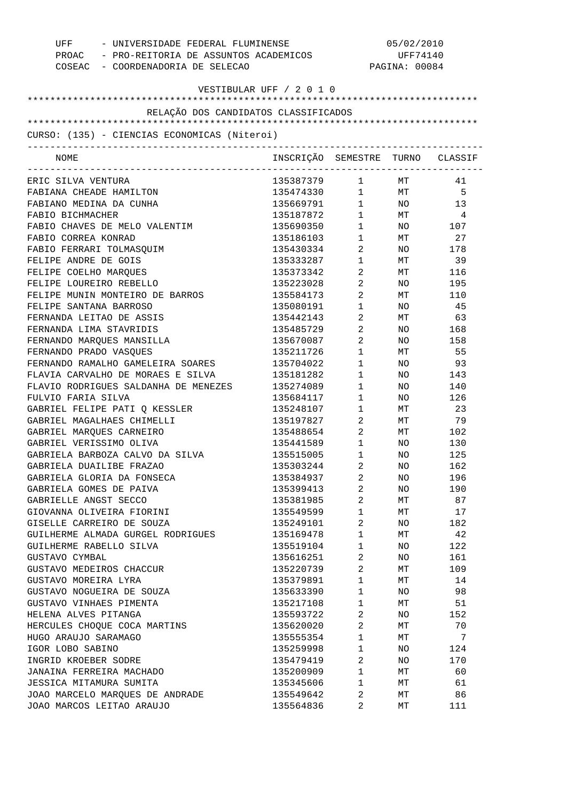| UFF - UNIVERSIDADE FEDERAL FLUMINENSE<br>PROAC - PRO-REITORIA DE ASSUNTOS ACADEMICOS<br>COSEAC - COORDENADORIA DE SELECAO |                                  | 05/02/2010<br>UFF74140<br>PAGINA: 00084 |                 |                |
|---------------------------------------------------------------------------------------------------------------------------|----------------------------------|-----------------------------------------|-----------------|----------------|
|                                                                                                                           | VESTIBULAR UFF / 2 0 1 0         |                                         |                 |                |
| RELAÇÃO DOS CANDIDATOS CLASSIFICADOS                                                                                      |                                  |                                         |                 |                |
|                                                                                                                           |                                  |                                         |                 |                |
| CURSO: (135) - CIENCIAS ECONOMICAS (Niteroi)                                                                              |                                  |                                         |                 |                |
| NOME                                                                                                                      | INSCRIÇÃO SEMESTRE TURNO CLASSIF |                                         |                 |                |
| ERIC SILVA VENTURA                                                                                                        | 135387379 1 MT                   |                                         |                 | 41             |
| FABIANA CHEADE HAMILTON                                                                                                   | 135474330 1 MT 5                 |                                         |                 |                |
| FABIANO MEDINA DA CUNHA                                                                                                   | 135669791 1 NO                   |                                         |                 | 13             |
| FABIO BICHMACHER                                                                                                          | 135187872                        | $1 \quad \blacksquare$                  | MT              | $\overline{4}$ |
| FABIO CHAVES DE MELO VALENTIM                                                                                             | 135690350                        | $1 \quad \blacksquare$                  |                 | NO 107         |
| FABIO CORREA KONRAD                                                                                                       | 135186103                        | $1 \quad \blacksquare$                  | MT              | 27             |
| FABIO FERRARI TOLMASQUIM                                                                                                  | 135430334                        | $\overline{2}$                          |                 | NO 178         |
| FELIPE ANDRE DE GOIS                                                                                                      | 135333287                        | $1 \quad \blacksquare$                  |                 | MT 39          |
| FELIPE COELHO MARQUES                                                                                                     | 135373342                        | $2 \left( \frac{1}{2} \right)$          | MT              | 116            |
| FELIPE LOUREIRO REBELLO                                                                                                   | 135223028                        | $\overline{2}$                          | NO              | 195            |
| FELIPE MUNIN MONTEIRO DE BARROS                                                                                           | 135584173                        | $\overline{2}$                          | МT              | 110            |
| FELIPE SANTANA BARROSO                                                                                                    | 135080191                        | $1 \quad \blacksquare$                  | NO              | 45             |
| FERNANDA LEITAO DE ASSIS                                                                                                  | 135442143                        | $2 \left( \frac{1}{2} \right)$          |                 | MT 63          |
| FERNANDA LIMA STAVRIDIS                                                                                                   | 135485729                        | $\overline{2}$                          |                 | NO 168         |
| FERNANDO MARQUES MANSILLA                                                                                                 | 135670087                        | $\overline{2}$                          | NO              | 158            |
| FERNANDO PRADO VASQUES                                                                                                    | 135211726                        | $1 \quad \blacksquare$                  | МT              | 55             |
| FERNANDO RAMALHO GAMELEIRA SOARES                                                                                         | 135704022                        | $1 \quad \blacksquare$                  | NO <sub>2</sub> | 93             |
| FLAVIA CARVALHO DE MORAES E SILVA                                                                                         | 135181282                        | $1 \quad \blacksquare$                  | NO              | 143            |
| FLAVIO RODRIGUES SALDANHA DE MENEZES                                                                                      | 135274089                        | $1 \quad \blacksquare$                  | NO.             | 140            |
| FULVIO FARIA SILVA                                                                                                        | 135684117                        | $1 \quad \blacksquare$                  | NO              | 126            |
| GABRIEL FELIPE PATI Q KESSLER                                                                                             | 135248107                        | $1 \quad \blacksquare$                  | MT              | 23             |
| GABRIEL MAGALHAES CHIMELLI                                                                                                | 135197827                        | $2 \left( \frac{1}{2} \right)$          | MT              | 79             |
| GABRIEL MARQUES CARNEIRO                                                                                                  | 135488654                        | $2 \left( \frac{1}{2} \right)$          | MT              | 102            |
| GABRIEL VERISSIMO OLIVA                                                                                                   | 135441589                        | $1 \qquad \qquad$                       | NO              | 130            |
| GABRIELA BARBOZA CALVO DA SILVA                                                                                           | 135515005                        | $\mathbf{1}$                            | NO.             | 125            |
| GABRIELA DUAILIBE FRAZAO                                                                                                  | 135303244                        | 2                                       | ΝO              | 162            |
| GABRIELA GLORIA DA FONSECA                                                                                                | 135384937                        | $\overline{2}$                          | NO              | 196            |
| GABRIELA GOMES DE PAIVA                                                                                                   | 135399413                        | $\overline{2}$                          | NO              | 190            |
| GABRIELLE ANGST SECCO                                                                                                     | 135381985                        | 2                                       | МT              | 87             |
| GIOVANNA OLIVEIRA FIORINI                                                                                                 | 135549599                        | $\mathbf 1$                             | МT              | 17             |
| GISELLE CARREIRO DE SOUZA                                                                                                 | 135249101                        | $\overline{2}$                          | NO              | 182            |
| GUILHERME ALMADA GURGEL RODRIGUES                                                                                         | 135169478                        | $\mathbf 1$                             | МT              | 42             |
| GUILHERME RABELLO SILVA                                                                                                   | 135519104                        | $\mathbf 1$                             | NO              | 122            |
| GUSTAVO CYMBAL                                                                                                            | 135616251                        | $\overline{c}$                          | NO              | 161            |
| GUSTAVO MEDEIROS CHACCUR                                                                                                  | 135220739                        | $\overline{a}$                          | МT              | 109            |
| GUSTAVO MOREIRA LYRA                                                                                                      | 135379891                        | $\mathbf 1$                             | МT              | 14             |
| GUSTAVO NOGUEIRA DE SOUZA                                                                                                 | 135633390                        | $\mathbf{1}$                            | NO              | 98             |
| GUSTAVO VINHAES PIMENTA                                                                                                   | 135217108                        | $\mathbf{1}$                            | МT              | 51             |
| HELENA ALVES PITANGA                                                                                                      | 135593722                        | $\overline{c}$                          | ΝO              | 152            |
| HERCULES CHOQUE COCA MARTINS<br>HUGO ARAUJO SARAMAGO                                                                      | 135620020<br>135555354           | $\overline{c}$<br>$\mathbf 1$           | МT              | 70<br>7        |
| IGOR LOBO SABINO                                                                                                          | 135259998                        | $\mathbf 1$                             | МT              |                |
| INGRID KROEBER SODRE                                                                                                      |                                  | 2                                       | NO              | 124<br>170     |
| JANAINA FERREIRA MACHADO                                                                                                  | 135479419<br>135200909           | $\mathbf 1$                             | ΝO              | 60             |
| JESSICA MITAMURA SUMITA                                                                                                   |                                  | $\mathbf{1}$                            | МT              | 61             |
| JOAO MARCELO MARQUES DE ANDRADE                                                                                           | 135345606<br>135549642           | 2                                       | МT<br>МT        | 86             |
| JOAO MARCOS LEITAO ARAUJO                                                                                                 | 135564836                        | 2                                       | МT              | 111            |
|                                                                                                                           |                                  |                                         |                 |                |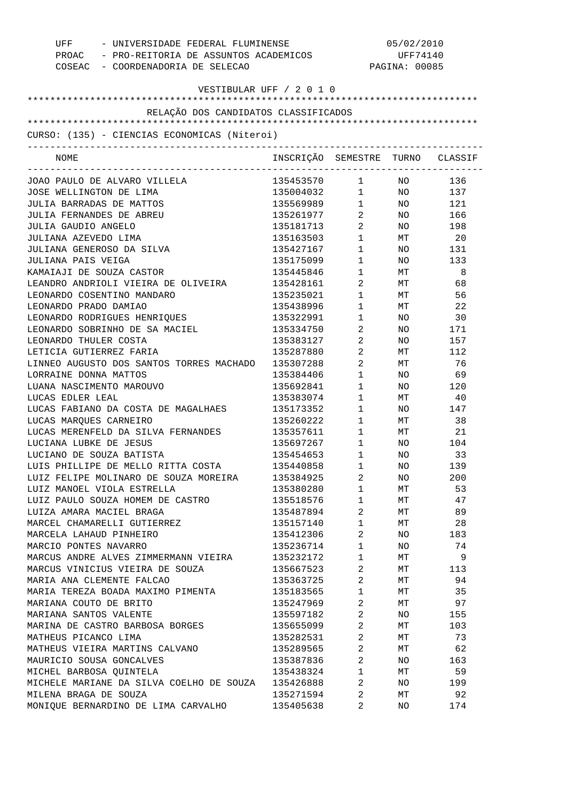| UFF<br>- UNIVERSIDADE FEDERAL FLUMINENSE<br>PROAC - PRO-REITORIA DE ASSUNTOS ACADEMICOS<br>COSEAC - COORDENADORIA DE SELECAO |                                  |                                   | 05/02/2010<br>UFF74140<br>PAGINA: 00085 |            |
|------------------------------------------------------------------------------------------------------------------------------|----------------------------------|-----------------------------------|-----------------------------------------|------------|
| VESTIBULAR UFF / 2 0 1 0                                                                                                     |                                  |                                   |                                         |            |
| RELAÇÃO DOS CANDIDATOS CLASSIFICADOS                                                                                         |                                  |                                   |                                         |            |
|                                                                                                                              |                                  |                                   |                                         |            |
| CURSO: (135) - CIENCIAS ECONOMICAS (Niteroi)                                                                                 |                                  |                                   |                                         |            |
| NOME                                                                                                                         | INSCRIÇÃO SEMESTRE TURNO CLASSIF |                                   |                                         |            |
| JOAO PAULO DE ALVARO VILLELA                                                                                                 | 135453570 1                      |                                   | NO NO                                   | 136        |
| JOSE WELLINGTON DE LIMA                                                                                                      | 135004032 1                      |                                   |                                         | NO 137     |
| JULIA BARRADAS DE MATTOS                                                                                                     | 135569989 1                      |                                   |                                         | NO 121     |
| JULIA FERNANDES DE ABREU                                                                                                     | 135261977                        | $\overline{2}$                    |                                         | NO 166     |
| JULIA GAUDIO ANGELO                                                                                                          | 135181713                        | $\overline{2}$                    |                                         | NO 198     |
| JULIANA AZEVEDO LIMA                                                                                                         | 135163503                        | $1 \quad \blacksquare$            | MT                                      | 20         |
| JULIANA GENEROSO DA SILVA                                                                                                    | 135427167                        | $1 \qquad \qquad$                 | NO <sub>2</sub>                         | 131        |
| JULIANA PAIS VEIGA                                                                                                           | 135175099                        | $1 \qquad \qquad$                 | NO                                      | 133        |
| KAMAIAJI DE SOUZA CASTOR                                                                                                     | 135445846                        | $1 \qquad \qquad$                 | МT                                      | 8          |
| LEANDRO ANDRIOLI VIEIRA DE OLIVEIRA                                                                                          | 135428161                        | $\overline{2}$                    | MT                                      | 68         |
| LEONARDO COSENTINO MANDARO<br>LEONARDO PRADO DAMIAO                                                                          | 135235021                        | $1 \qquad \qquad$                 | МT                                      | 56         |
| LEONARDO RODRIGUES HENRIQUES                                                                                                 | 135438996<br>135322991           | $\mathbf{1}$<br>$\mathbf{1}$      | МT<br>NO.                               | 22<br>30   |
| LEONARDO SOBRINHO DE SA MACIEL                                                                                               | 135334750                        | $\overline{2}$                    | NO.                                     | 171        |
| LEONARDO THULER COSTA                                                                                                        | 135383127                        | $\overline{2}$ and $\overline{2}$ | NO.                                     | 157        |
| LETICIA GUTIERREZ FARIA                                                                                                      | 135287880                        | $\overline{2}$                    | МT                                      | 112        |
| LINNEO AUGUSTO DOS SANTOS TORRES MACHADO                                                                                     | 135307288                        | $2 \left( \frac{1}{2} \right)$    | МT                                      | 76         |
| LORRAINE DONNA MATTOS                                                                                                        | 135384406                        | $\mathbf{1}$                      | NO.                                     | 69         |
| LUANA NASCIMENTO MAROUVO                                                                                                     | 135692841                        | $\mathbf{1}$                      | NO.                                     | 120        |
| LUCAS EDLER LEAL                                                                                                             | 135383074                        | $\mathbf{1}$                      | МT                                      | 40         |
| LUCAS FABIANO DA COSTA DE MAGALHAES                                                                                          | 135173352                        | $1 \qquad \qquad$                 | NO                                      | 147        |
| LUCAS MARQUES CARNEIRO                                                                                                       | 135260222                        | $1 \quad \blacksquare$            | МT                                      | 38         |
| LUCAS MERENFELD DA SILVA FERNANDES                                                                                           | 135357611                        | $1 \qquad \qquad$                 | MT                                      | 21         |
| LUCIANA LUBKE DE JESUS                                                                                                       | 135697267                        | $\mathbf{1}$                      | NO.                                     | 104        |
| LUCIANO DE SOUZA BATISTA                                                                                                     | 135454653                        | $\mathbf{1}$                      | NO.                                     | 33         |
| LUIS PHILLIPE DE MELLO RITTA COSTA                                                                                           | 135440858                        | 1                                 | ΝO                                      | 139        |
| LUIZ FELIPE MOLINARO DE SOUZA MOREIRA                                                                                        | 135384925                        | 2                                 | NO.                                     | 200        |
| LUIZ MANOEL VIOLA ESTRELLA                                                                                                   | 135380280                        | $\mathbf{1}$                      | MТ                                      | 53         |
| LUIZ PAULO SOUZA HOMEM DE CASTRO                                                                                             | 135518576                        | $\mathbf{1}$                      | MТ                                      | 47         |
| LUIZA AMARA MACIEL BRAGA                                                                                                     | 135487894                        | 2                                 | МT                                      | 89         |
| MARCEL CHAMARELLI GUTIERREZ                                                                                                  | 135157140                        | $\mathbf{1}$                      | МT                                      | 28         |
| MARCELA LAHAUD PINHEIRO                                                                                                      | 135412306                        | 2                                 | NO.                                     | 183        |
| MARCIO PONTES NAVARRO                                                                                                        | 135236714                        | $\mathbf{1}$                      | NO.                                     | 74         |
| MARCUS ANDRE ALVES ZIMMERMANN VIEIRA                                                                                         | 135232172                        | 1                                 | MТ                                      | 9          |
| MARCUS VINICIUS VIEIRA DE SOUZA                                                                                              | 135667523                        | 2                                 | MТ                                      | 113        |
| MARIA ANA CLEMENTE FALCAO                                                                                                    | 135363725                        | 2                                 | MТ                                      | 94         |
| MARIA TEREZA BOADA MAXIMO PIMENTA                                                                                            | 135183565                        | $\mathbf{1}$                      | MТ                                      | 35         |
| MARIANA COUTO DE BRITO                                                                                                       | 135247969                        | 2                                 | МT                                      | 97         |
| MARIANA SANTOS VALENTE<br>MARINA DE CASTRO BARBOSA BORGES                                                                    | 135597182<br>135655099           | 2<br>2                            | NO.<br>MТ                               | 155<br>103 |
| MATHEUS PICANCO LIMA                                                                                                         | 135282531                        | 2                                 | MТ                                      | 73         |
| MATHEUS VIEIRA MARTINS CALVANO                                                                                               | 135289565                        | 2                                 | MТ                                      | 62         |
| MAURICIO SOUSA GONCALVES                                                                                                     | 135387836                        | 2                                 | NO.                                     | 163        |
| MICHEL BARBOSA QUINTELA                                                                                                      | 135438324                        | $\mathbf{1}$                      | MТ                                      | 59         |
| MICHELE MARIANE DA SILVA COELHO DE SOUZA                                                                                     | 135426888                        | 2                                 | NO.                                     | 199        |
| MILENA BRAGA DE SOUZA                                                                                                        | 135271594                        | 2                                 | МT                                      | 92         |
| MONIQUE BERNARDINO DE LIMA CARVALHO                                                                                          | 135405638                        | 2                                 | NO.                                     | 174        |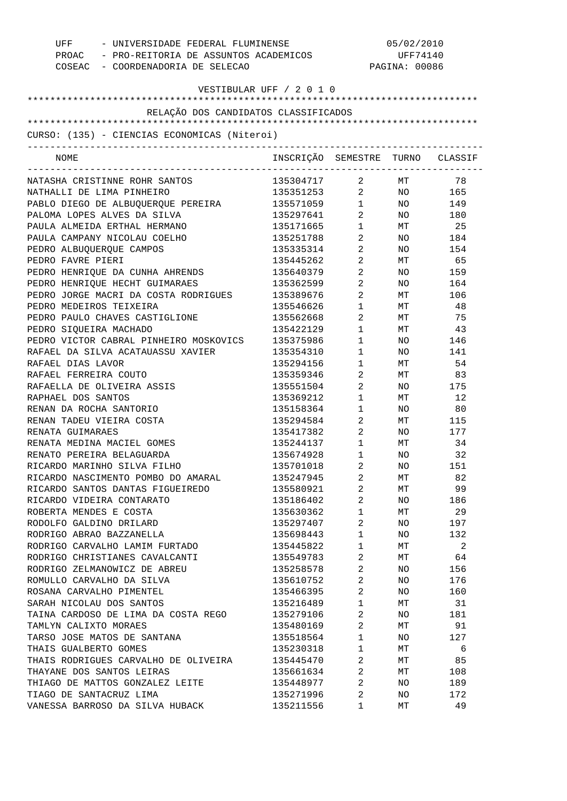| - UNIVERSIDADE FEDERAL FLUMINENSE<br>UFF<br>PROAC - PRO-REITORIA DE ASSUNTOS ACADEMICOS<br>COSEAC - COORDENADORIA DE SELECAO |                                  | 05/02/2010<br>UFF74140<br>PAGINA: 00086 |                 |        |
|------------------------------------------------------------------------------------------------------------------------------|----------------------------------|-----------------------------------------|-----------------|--------|
| VESTIBULAR UFF / 2 0 1 0                                                                                                     |                                  |                                         |                 |        |
| RELAÇÃO DOS CANDIDATOS CLASSIFICADOS                                                                                         |                                  |                                         |                 |        |
|                                                                                                                              |                                  |                                         |                 |        |
| CURSO: (135) - CIENCIAS ECONOMICAS (Niteroi)                                                                                 |                                  |                                         |                 |        |
| NOME                                                                                                                         | INSCRIÇÃO SEMESTRE TURNO CLASSIF |                                         |                 |        |
| NATASHA CRISTINNE ROHR SANTOS                                                                                                | 135304717                        | $\overline{2}$ and $\overline{2}$       | MT              | 78     |
| NATHALLI DE LIMA PINHEIRO                                                                                                    | 135351253 2 NO 165               |                                         |                 |        |
| PABLO DIEGO DE ALBUQUERQUE PEREIRA                                                                                           | 135571059 1                      |                                         |                 | NO 149 |
| PALOMA LOPES ALVES DA SILVA                                                                                                  | 135297641                        | $2 \left( \frac{1}{2} \right)$          |                 | NO 180 |
| PAULA ALMEIDA ERTHAL HERMANO                                                                                                 | 135171665                        | $1 \quad \blacksquare$                  |                 | MT 25  |
| PAULA CAMPANY NICOLAU COELHO                                                                                                 | 135251788                        | $2 \left( \frac{1}{2} \right)$          |                 | NO 184 |
| PEDRO ALBUQUERQUE CAMPOS                                                                                                     | 135335314                        | $\overline{2}$                          |                 | NO 154 |
| PEDRO FAVRE PIERI                                                                                                            | 135445262                        | $2 \left( \frac{1}{2} \right)$          |                 | MT 65  |
| PEDRO HENRIQUE DA CUNHA AHRENDS                                                                                              | 135640379                        | $\overline{2}$                          | NO <sub>2</sub> | 159    |
| PEDRO HENRIQUE HECHT GUIMARAES                                                                                               | 135362599                        | $2 \left( \frac{1}{2} \right)$          | NO.             | 164    |
| PEDRO JORGE MACRI DA COSTA RODRIGUES                                                                                         | 135389676                        | $\overline{2}$                          | MT <sub>2</sub> | 106    |
| PEDRO MEDEIROS TEIXEIRA                                                                                                      | 135546626                        | $1 \qquad \qquad$                       | МT              | 48     |
| PEDRO PAULO CHAVES CASTIGLIONE                                                                                               | 135562668                        | $2 \left( \frac{1}{2} \right)$          | MT              | 75     |
| PEDRO SIQUEIRA MACHADO                                                                                                       | 135422129                        | $1 \quad \blacksquare$                  |                 | MT 43  |
| PEDRO VICTOR CABRAL PINHEIRO MOSKOVICS                                                                                       | 135375986                        | $1 \qquad \qquad$                       | NO              | 146    |
| RAFAEL DA SILVA ACATAUASSU XAVIER                                                                                            | 135354310                        | $1 \qquad \qquad$                       | NO.             | 141    |
| RAFAEL DIAS LAVOR                                                                                                            | 135294156                        | $1 \qquad \qquad$                       | МT              | 54     |
| RAFAEL FERREIRA COUTO                                                                                                        | 135359346                        | $2 \left( \frac{1}{2} \right)$          | MT              | 83     |
| RAFAELLA DE OLIVEIRA ASSIS                                                                                                   | 135551504                        | $\overline{a}$                          | NO              | 175    |
| RAPHAEL DOS SANTOS                                                                                                           | 135369212                        | $1 \qquad \qquad$                       | МT              | 12     |
| RENAN DA ROCHA SANTORIO                                                                                                      | 135158364                        | $1 \qquad \qquad$                       | NO              | 80     |
| RENAN TADEU VIEIRA COSTA                                                                                                     | 135294584                        | $2 \left( \frac{1}{2} \right)$          |                 | MT 115 |
| RENATA GUIMARAES                                                                                                             | 135417382                        | $2 \left( \frac{1}{2} \right)$          | NO              | 177    |
| RENATA MEDINA MACIEL GOMES                                                                                                   | 135244137                        | $1 \qquad \qquad$                       | МT              | 34     |
| RENATO PEREIRA BELAGUARDA                                                                                                    | 135674928                        | $\mathbf{1}$                            | NO.             | 32     |
| RICARDO MARINHO SILVA FILHO                                                                                                  | 135701018                        | 2                                       | ΝO              | 151    |
| RICARDO NASCIMENTO POMBO DO AMARAL                                                                                           | 135247945                        | $\overline{\mathbf{c}}$                 | МT              | 82     |
| RICARDO SANTOS DANTAS FIGUEIREDO                                                                                             | 135580921                        | 2                                       | МT              | 99     |
| RICARDO VIDEIRA CONTARATO                                                                                                    | 135186402                        | 2                                       | NO              | 186    |
| ROBERTA MENDES E COSTA                                                                                                       | 135630362                        | $\mathbf 1$                             | МT              | 29     |
| RODOLFO GALDINO DRILARD                                                                                                      | 135297407                        | 2                                       | NO              | 197    |
| RODRIGO ABRAO BAZZANELLA                                                                                                     | 135698443                        | $\mathbf{1}$                            | NO              | 132    |
| RODRIGO CARVALHO LAMIM FURTADO                                                                                               | 135445822                        | 1                                       | МT              | 2      |
| RODRIGO CHRISTIANES CAVALCANTI                                                                                               | 135549783                        | 2                                       | МT              | 64     |
| RODRIGO ZELMANOWICZ DE ABREU                                                                                                 | 135258578                        | 2                                       | NO              | 156    |
| ROMULLO CARVALHO DA SILVA                                                                                                    | 135610752                        | 2                                       | NO              | 176    |
| ROSANA CARVALHO PIMENTEL                                                                                                     | 135466395                        | 2                                       | NO              | 160    |
| SARAH NICOLAU DOS SANTOS                                                                                                     | 135216489                        | 1                                       | МT              | 31     |
| TAINA CARDOSO DE LIMA DA COSTA REGO                                                                                          | 135279106                        | 2                                       | NO              | 181    |
| TAMLYN CALIXTO MORAES                                                                                                        | 135480169                        | 2                                       | МT              | 91     |
| TARSO JOSE MATOS DE SANTANA                                                                                                  | 135518564                        | $\mathbf{1}$                            | NO              | 127    |
| THAIS GUALBERTO GOMES                                                                                                        | 135230318                        | 1                                       | МT              | 6      |
| THAIS RODRIGUES CARVALHO DE OLIVEIRA                                                                                         | 135445470                        | 2                                       | МT              | 85     |
| THAYANE DOS SANTOS LEIRAS                                                                                                    | 135661634                        | 2                                       | МT              | 108    |
| THIAGO DE MATTOS GONZALEZ LEITE                                                                                              | 135448977                        | 2                                       | NO              | 189    |
| TIAGO DE SANTACRUZ LIMA                                                                                                      | 135271996                        | 2                                       | NO              | 172    |
| VANESSA BARROSO DA SILVA HUBACK                                                                                              | 135211556                        | 1                                       | МT              | 49     |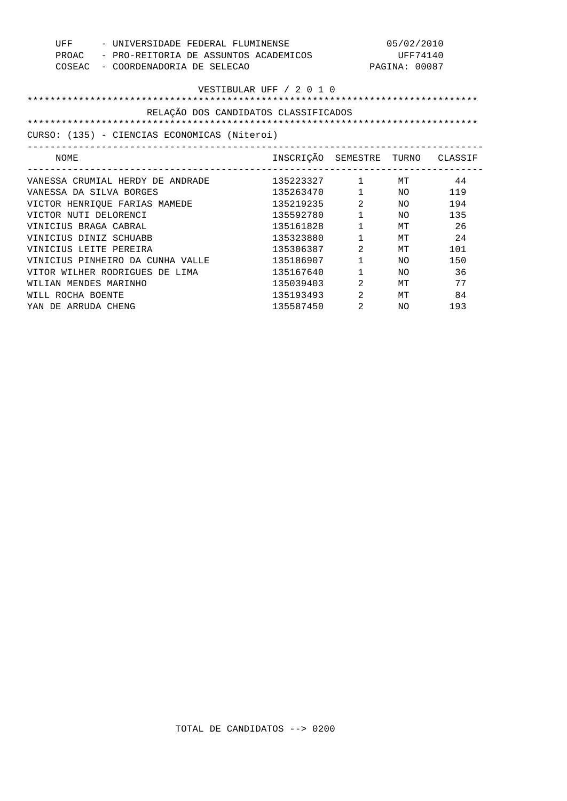| UFF<br>PROAC<br>COSEAC<br>- COORDENADORIA DE SELECAO                                                             | - UNIVERSIDADE FEDERAL FLUMINENSE<br>- PRO-REITORIA DE ASSUNTOS ACADEMICOS |                        | 05/02/2010<br>UFF74140<br>PAGINA: 00087 |      |  |
|------------------------------------------------------------------------------------------------------------------|----------------------------------------------------------------------------|------------------------|-----------------------------------------|------|--|
| VESTIBULAR UFF / 2 0 1 0<br>RELAÇÃO DOS CANDIDATOS CLASSIFICADOS<br>CURSO: (135) - CIENCIAS ECONOMICAS (Niteroi) |                                                                            |                        |                                         |      |  |
| NOME                                                                                                             | INSCRIÇÃO SEMESTRE TURNO CLASSIF                                           |                        |                                         |      |  |
| ----------------------------<br>VANESSA CRUMIAL HERDY DE ANDRADE<br>VANESSA DA SILVA BORGES                      | $135223327$ 1 MT 44<br>135263470  1  NO  119                               |                        |                                         |      |  |
| VICTOR HENRIQUE FARIAS MAMEDE                                                                                    | 135219235                                                                  | $\overline{2}$         | NO <sub>2</sub>                         | 194  |  |
| VICTOR NUTI DELORENCI                                                                                            | 135592780                                                                  | $1 \quad \blacksquare$ | NO <sub>1</sub>                         | 135  |  |
| VINICIUS BRAGA CABRAL                                                                                            | 135161828                                                                  | $1 \quad \Box$         | MT                                      | -26  |  |
| VINICIUS DINIZ SCHUABB                                                                                           | 135323880                                                                  | $1 \qquad \qquad$      | MТ                                      | 24   |  |
| VINICIUS LEITE PEREIRA                                                                                           | 135306387                                                                  | 2                      | МT                                      | 101  |  |
| VINICIUS PINHEIRO DA CUNHA VALLE                                                                                 | 135186907                                                                  | $1 \quad \blacksquare$ | NO                                      | 150  |  |
| VITOR WILHER RODRIGUES DE LIMA                                                                                   | 135167640                                                                  | $1 \qquad \qquad$      | NO.                                     | - 36 |  |
| WILIAN MENDES MARINHO                                                                                            | 135039403                                                                  | $\overline{2}$         | <b>MT</b>                               | 77   |  |
| WILL ROCHA BOENTE                                                                                                | 135193493                                                                  | 2                      | MТ                                      | 84   |  |
| YAN DE ARRUDA CHENG                                                                                              | 135587450                                                                  | 2                      | NO.                                     | 193  |  |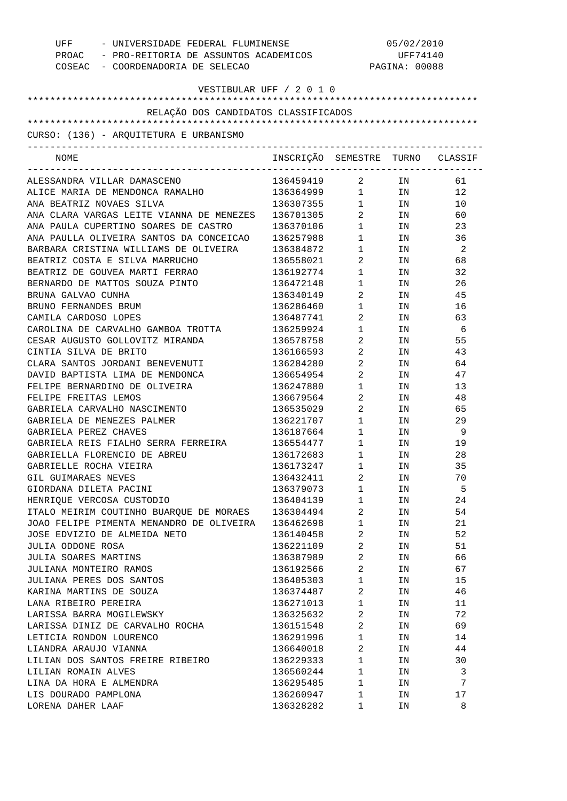| UFF<br>- UNIVERSIDADE FEDERAL FLUMINENSE<br>PROAC - PRO-REITORIA DE ASSUNTOS ACADEMICOS<br>COSEAC - COORDENADORIA DE SELECAO |                                  |                                   | 05/02/2010<br>UFF74140<br>PAGINA: 00088 |    |
|------------------------------------------------------------------------------------------------------------------------------|----------------------------------|-----------------------------------|-----------------------------------------|----|
| VESTIBULAR UFF / 2 0 1 0                                                                                                     |                                  |                                   |                                         |    |
| RELAÇÃO DOS CANDIDATOS CLASSIFICADOS                                                                                         |                                  |                                   |                                         |    |
| CURSO: (136) - AROUITETURA E URBANISMO                                                                                       |                                  |                                   |                                         |    |
| -------------------------------------                                                                                        |                                  |                                   |                                         |    |
| NOME                                                                                                                         | INSCRIÇÃO SEMESTRE TURNO CLASSIF |                                   |                                         |    |
| ALESSANDRA VILLAR DAMASCENO                                                                                                  | 136459419                        |                                   | 2 IN                                    | 61 |
| ALICE MARIA DE MENDONCA RAMALHO                                                                                              | 136364999 1 IN                   |                                   |                                         | 12 |
| ANA BEATRIZ NOVAES SILVA                                                                                                     | 136307355 1                      |                                   | IN                                      | 10 |
| ANA CLARA VARGAS LEITE VIANNA DE MENEZES                                                                                     | 136701305                        | $\overline{2}$                    | IN                                      | 60 |
| ANA PAULA CUPERTINO SOARES DE CASTRO                                                                                         | 136370106                        | $1 \quad \blacksquare$            | IN                                      | 23 |
| ANA PAULLA OLIVEIRA SANTOS DA CONCEICAO                                                                                      | 136257988                        | 1                                 | IN                                      | 36 |
| BARBARA CRISTINA WILLIAMS DE OLIVEIRA                                                                                        | 136384872                        | $1 \qquad \qquad$                 | IN                                      | -2 |
| BEATRIZ COSTA E SILVA MARRUCHO                                                                                               | 136558021                        | $\overline{2}$                    | IN                                      | 68 |
| BEATRIZ DE GOUVEA MARTI FERRAO                                                                                               | 136192774                        | $1 \qquad \qquad$                 | IN                                      | 32 |
| BERNARDO DE MATTOS SOUZA PINTO                                                                                               | 136472148                        | $\mathbf{1}$                      | IN                                      | 26 |
| BRUNA GALVAO CUNHA                                                                                                           | 136340149                        | $\overline{2}$                    | IN                                      | 45 |
| BRUNO FERNANDES BRUM                                                                                                         | 136286460                        | $1 \qquad \qquad$                 | IN                                      | 16 |
| CAMILA CARDOSO LOPES                                                                                                         | 136487741                        | $\overline{2}$ and $\overline{2}$ | IN                                      | 63 |
| CAROLINA DE CARVALHO GAMBOA TROTTA                                                                                           | 136259924                        | $\mathbf{1}$                      | IN                                      | -6 |
| CESAR AUGUSTO GOLLOVITZ MIRANDA                                                                                              | 136578758                        | 2                                 | IN                                      | 55 |
| CINTIA SILVA DE BRITO                                                                                                        | 136166593                        | $\overline{2}$                    | IN                                      | 43 |
| CLARA SANTOS JORDANI BENEVENUTI                                                                                              | 136284280                        | 2                                 | IN                                      | 64 |
| DAVID BAPTISTA LIMA DE MENDONCA                                                                                              | 136654954                        | $\overline{2}$                    | IN                                      | 47 |
| FELIPE BERNARDINO DE OLIVEIRA                                                                                                | 136247880                        | $\mathbf{1}$                      | IN                                      | 13 |
| FELIPE FREITAS LEMOS                                                                                                         | 136679564                        | $\overline{2}$ and $\overline{2}$ | IN                                      | 48 |
| GABRIELA CARVALHO NASCIMENTO                                                                                                 | 136535029                        | $\overline{2}$                    | IN                                      | 65 |
| GABRIELA DE MENEZES PALMER                                                                                                   | 136221707                        | $1 \quad \blacksquare$            | IN                                      | 29 |
| GABRIELA PEREZ CHAVES                                                                                                        | 136187664                        | 1                                 | IN                                      | 9  |
| GABRIELA REIS FIALHO SERRA FERREIRA                                                                                          | 136554477                        | $\mathbf{1}$                      | IN                                      | 19 |
| GABRIELLA FLORENCIO DE ABREU                                                                                                 | 136172683                        | $\mathbf{1}$                      | IN.                                     | 28 |
| GABRIELLE ROCHA VIEIRA                                                                                                       | 136173247                        | 1                                 | ΙN                                      | 35 |
| GIL GUIMARAES NEVES                                                                                                          | 136432411                        | 2                                 | IN                                      | 70 |
| GIORDANA DILETA PACINI                                                                                                       | 136379073                        | $\mathbf{1}$                      | ΙN                                      | 5  |
| HENRIOUE VERCOSA CUSTODIO                                                                                                    | 136404139                        | $\mathbf{1}$                      | ΙN                                      | 24 |
| ITALO MEIRIM COUTINHO BUARQUE DE MORAES                                                                                      | 136304494                        | 2                                 | IN                                      | 54 |
| JOAO FELIPE PIMENTA MENANDRO DE OLIVEIRA                                                                                     | 136462698                        | $\mathbf{1}$                      | IN                                      | 21 |
| JOSE EDVIZIO DE ALMEIDA NETO                                                                                                 | 136140458                        | 2                                 | IN                                      | 52 |
| JULIA ODDONE ROSA                                                                                                            | 136221109                        | $\sqrt{2}$                        | IN                                      | 51 |
| JULIA SOARES MARTINS                                                                                                         | 136387989                        | 2                                 | IN                                      | 66 |
| JULIANA MONTEIRO RAMOS                                                                                                       | 136192566                        | $\sqrt{2}$                        | IN                                      | 67 |
| JULIANA PERES DOS SANTOS                                                                                                     | 136405303                        | $\mathbf{1}$                      | IN                                      | 15 |
| KARINA MARTINS DE SOUZA                                                                                                      | 136374487                        | 2                                 | IN                                      | 46 |
| LANA RIBEIRO PEREIRA                                                                                                         | 136271013                        | $\mathbf{1}$                      |                                         | 11 |
|                                                                                                                              |                                  |                                   | IN                                      |    |
| LARISSA BARRA MOGILEWSKY                                                                                                     | 136325632                        | $\sqrt{2}$<br>2                   | IN                                      | 72 |
| LARISSA DINIZ DE CARVALHO ROCHA                                                                                              | 136151548                        |                                   | IN                                      | 69 |
| LETICIA RONDON LOURENCO                                                                                                      | 136291996                        | $\mathbf{1}$                      | IN                                      | 14 |
| LIANDRA ARAUJO VIANNA                                                                                                        | 136640018                        | 2                                 | IN                                      | 44 |
| LILIAN DOS SANTOS FREIRE RIBEIRO                                                                                             | 136229333                        | $\mathbf{1}$                      | IN                                      | 30 |
| LILIAN ROMAIN ALVES                                                                                                          | 136560244                        | $\mathbf{1}$                      | IN                                      | 3  |
| LINA DA HORA E ALMENDRA                                                                                                      | 136295485                        | $\mathbf{1}$                      | ΙN                                      | 7  |
| LIS DOURADO PAMPLONA                                                                                                         | 136260947                        | 1                                 | ΙN                                      | 17 |
| LORENA DAHER LAAF                                                                                                            | 136328282                        | 1                                 | ΙN                                      | 8  |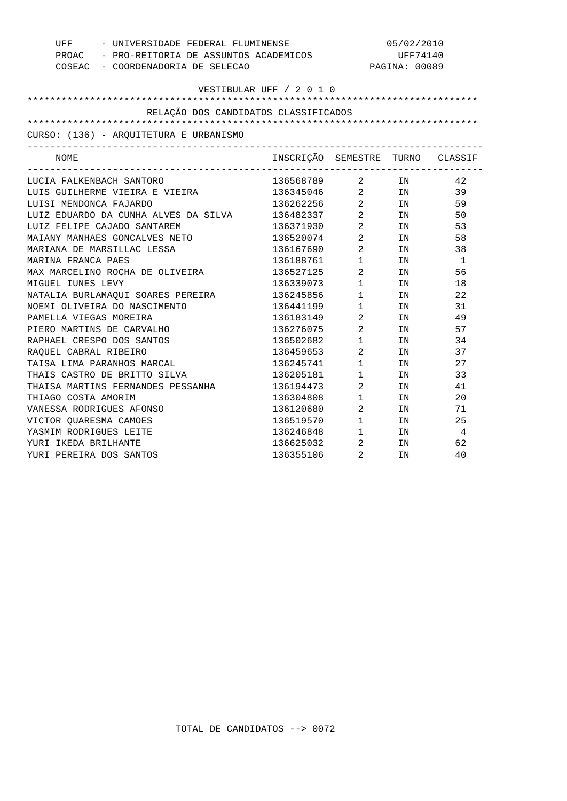|                                        | UFF - UNIVERSIDADE FEDERAL FLUMINENSE<br>PROAC - PRO-REITORIA DE ASSUNTOS ACADEMICOS |                | 05/02/2010<br>UFF74140                             |                |  |
|----------------------------------------|--------------------------------------------------------------------------------------|----------------|----------------------------------------------------|----------------|--|
| COSEAC - COORDENADORIA DE SELECAO      |                                                                                      |                | PAGINA: 00089                                      |                |  |
|                                        | VESTIBULAR UFF / 2 0 1 0                                                             |                |                                                    |                |  |
|                                        |                                                                                      |                |                                                    |                |  |
| RELAÇÃO DOS CANDIDATOS CLASSIFICADOS   |                                                                                      |                |                                                    |                |  |
|                                        |                                                                                      |                |                                                    |                |  |
| CURSO: (136) - ARQUITETURA E URBANISMO |                                                                                      |                |                                                    |                |  |
| NOME                                   | INSCRIÇÃO SEMESTRE TURNO CLASSIF                                                     |                |                                                    |                |  |
| LUCIA FALKENBACH SANTORO               | 136568789 2 IN                                                                       |                |                                                    | 42             |  |
| LUIS GUILHERME VIEIRA E VIEIRA         | 136345046 2 IN                                                                       |                |                                                    | 39             |  |
| LUISI MENDONCA FAJARDO                 | 136262256 2 IN                                                                       |                |                                                    | 59             |  |
| LUIZ EDUARDO DA CUNHA ALVES DA SILVA   | 136482337 2 IN                                                                       |                |                                                    | 50             |  |
| LUIZ FELIPE CAJADO SANTAREM            | 136371930 2                                                                          |                | IN                                                 | 53             |  |
| MAIANY MANHAES GONCALVES NETO          | 136520074 2                                                                          |                | IN                                                 | 58             |  |
| MARIANA DE MARSILLAC LESSA             | 136167690 2                                                                          |                | IN DESCRIPTION OF REAL PROPERTY AND REAL PROPERTY. | 38             |  |
| MARINA FRANCA PAES                     | 136188761 1                                                                          |                | IN                                                 | $\overline{1}$ |  |
| MAX MARCELINO ROCHA DE OLIVEIRA        | 136527125 2                                                                          |                | IN                                                 | 56             |  |
| MIGUEL IUNES LEVY                      | 136339073 1                                                                          |                | IN                                                 | 18             |  |
| NATALIA BURLAMAQUI SOARES PEREIRA      | 136245856 1                                                                          |                | IN                                                 | 22             |  |
| NOEMI OLIVEIRA DO NASCIMENTO           | 136441199 1                                                                          |                | IN                                                 | 31             |  |
| PAMELLA VIEGAS MOREIRA                 | 136183149 2                                                                          |                | IN                                                 | 49             |  |
| PIERO MARTINS DE CARVALHO              | 136276075 2                                                                          |                | IN                                                 | 57             |  |
| RAPHAEL CRESPO DOS SANTOS              | 136502682 1                                                                          |                | IN                                                 | 34             |  |
| RAOUEL CABRAL RIBEIRO                  | 136459653 2                                                                          |                | IN                                                 | 37             |  |
| TAISA LIMA PARANHOS MARCAL             | 136245741 1                                                                          |                | IN                                                 | 27             |  |
| THAIS CASTRO DE BRITTO SILVA           | 136205181 1                                                                          |                | IN                                                 | 33             |  |
| THAISA MARTINS FERNANDES PESSANHA      | 136194473 2                                                                          |                | IN                                                 | 41             |  |
| THIAGO COSTA AMORIM                    | 136304808 1                                                                          |                | IN                                                 | 20             |  |
| VANESSA RODRIGUES AFONSO               | 136120680 2                                                                          |                | IN                                                 | 71             |  |
| VICTOR QUARESMA CAMOES                 | 136519570 1                                                                          |                | IN                                                 | 25             |  |
| YASMIM RODRIGUES LEITE                 | 136246848 1                                                                          |                | IN                                                 | $\overline{4}$ |  |
| YURI IKEDA BRILHANTE                   | 136625032                                                                            | $\overline{2}$ | IN                                                 | 62             |  |
| YURI PEREIRA DOS SANTOS                | 136355106                                                                            | 2              | IN                                                 | 40             |  |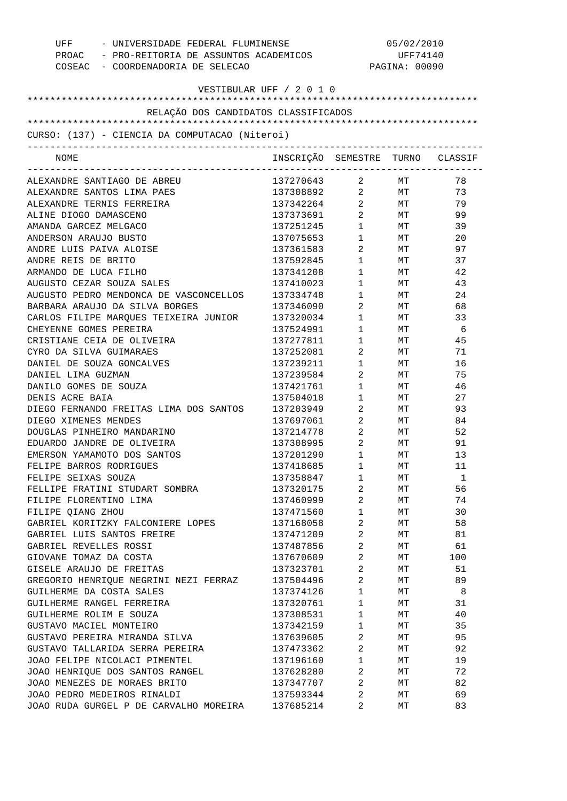| UFF - UNIVERSIDADE FEDERAL FLUMINENSE<br>PROAC - PRO-REITORIA DE ASSUNTOS ACADEMICOS<br>COSEAC - COORDENADORIA DE SELECAO |                                  |                                | 05/02/2010<br>UFF74140<br>PAGINA: 00090 |          |
|---------------------------------------------------------------------------------------------------------------------------|----------------------------------|--------------------------------|-----------------------------------------|----------|
| VESTIBULAR UFF / 2 0 1 0                                                                                                  |                                  |                                |                                         |          |
|                                                                                                                           |                                  |                                |                                         |          |
| RELAÇÃO DOS CANDIDATOS CLASSIFICADOS                                                                                      |                                  |                                |                                         |          |
| CURSO: (137) - CIENCIA DA COMPUTACAO (Niteroi)<br>-----------------------------                                           |                                  |                                |                                         |          |
| NOME                                                                                                                      | INSCRIÇÃO SEMESTRE TURNO CLASSIF |                                |                                         |          |
| ALEXANDRE SANTIAGO DE ABREU                                                                                               | 137270643 2 MT                   |                                |                                         | 78       |
| ALEXANDRE SANTOS LIMA PAES                                                                                                | 137308892 2 MT                   |                                |                                         | 73       |
| ALEXANDRE TERNIS FERREIRA                                                                                                 | 137342264 2                      |                                | MT                                      | 79       |
| ALINE DIOGO DAMASCENO                                                                                                     | 137373691                        | $\overline{2}$                 | MT                                      | 99       |
| AMANDA GARCEZ MELGACO                                                                                                     | 137251245                        | $1 \quad \Box$                 | MT                                      | 39       |
| ANDERSON ARAUJO BUSTO                                                                                                     | 137075653                        | $1 \qquad \qquad$              | MT                                      | 20       |
| ANDRE LUIS PAIVA ALOISE                                                                                                   | 137361583                        | $2 \left( \frac{1}{2} \right)$ | MT                                      | 97       |
| ANDRE REIS DE BRITO                                                                                                       | 137592845                        | $1 \quad \blacksquare$         | MT                                      | 37       |
| ARMANDO DE LUCA FILHO                                                                                                     | 137341208                        | $1 \quad \blacksquare$         | MT                                      | 42       |
| AUGUSTO CEZAR SOUZA SALES                                                                                                 | 137410023                        | $1 \qquad \qquad$              | MT                                      | 43       |
| AUGUSTO PEDRO MENDONCA DE VASCONCELLOS                                                                                    | 137334748                        | $1 \qquad \qquad$              | МT                                      | 24       |
| BARBARA ARAUJO DA SILVA BORGES                                                                                            | 137346090                        | $2 \left( \frac{1}{2} \right)$ | МT                                      | 68       |
| CARLOS FILIPE MARQUES TEIXEIRA JUNIOR                                                                                     | 137320034                        | $1 \quad \blacksquare$         | МT                                      | 33       |
| CHEYENNE GOMES PEREIRA                                                                                                    | 137524991                        | $1 \quad \blacksquare$         | МT                                      | - 6      |
| CRISTIANE CEIA DE OLIVEIRA                                                                                                | 137277811                        | $1 \quad \blacksquare$         | МT                                      | 45       |
| CYRO DA SILVA GUIMARAES                                                                                                   | 137252081                        | $2 \left( \frac{1}{2} \right)$ | МT                                      | 71       |
| DANIEL DE SOUZA GONCALVES                                                                                                 | 137239211                        | $1 \qquad \qquad$              | МT                                      | 16       |
| DANIEL LIMA GUZMAN                                                                                                        | 137239584                        | $2 \left( \frac{1}{2} \right)$ | МT                                      | 75       |
| DANILO GOMES DE SOUZA                                                                                                     | 137421761                        | $1 \quad \blacksquare$         | МT                                      | 46       |
| DENIS ACRE BAIA                                                                                                           | 137504018                        | $1 \qquad \qquad$              | МT                                      | 27       |
| DIEGO FERNANDO FREITAS LIMA DOS SANTOS                                                                                    | 137203949                        | $2 \left( \frac{1}{2} \right)$ | MT                                      | 93       |
| DIEGO XIMENES MENDES                                                                                                      | 137697061                        | $\overline{2}$                 | MT                                      | 84       |
| DOUGLAS PINHEIRO MANDARINO                                                                                                | 137214778                        | $2 \left( \frac{1}{2} \right)$ | MT                                      | 52       |
| EDUARDO JANDRE DE OLIVEIRA                                                                                                | 137308995                        | $2 \left( \frac{1}{2} \right)$ | МT                                      | 91       |
| EMERSON YAMAMOTO DOS SANTOS                                                                                               | 137201290                        | $\mathbf{1}$                   | МT                                      | 13       |
| FELIPE BARROS RODRIGUES                                                                                                   | 137418685                        | $\mathbf 1$                    | MТ                                      | 11       |
| FELIPE SEIXAS SOUZA                                                                                                       | 137358847                        | 1                              | МT                                      | 1        |
| FELLIPE FRATINI STUDART SOMBRA                                                                                            | 137320175                        | $\overline{a}$                 | МT                                      | 56       |
| FILIPE FLORENTINO LIMA                                                                                                    | 137460999                        | $\sqrt{2}$                     | МT                                      | 74       |
| FILIPE QIANG ZHOU                                                                                                         | 137471560                        | $\mathbf{1}$                   | МT                                      | 30       |
| GABRIEL KORITZKY FALCONIERE LOPES                                                                                         | 137168058                        | 2                              | МT                                      | 58       |
| GABRIEL LUIS SANTOS FREIRE                                                                                                | 137471209                        | $\overline{a}$                 | МT                                      | 81       |
| GABRIEL REVELLES ROSSI                                                                                                    | 137487856                        | 2                              | МT                                      | 61       |
| GIOVANE TOMAZ DA COSTA                                                                                                    | 137670609                        | $\overline{2}$                 | МT                                      | 100      |
| GISELE ARAUJO DE FREITAS                                                                                                  | 137323701                        | $\overline{a}$                 | МT                                      | 51       |
| GREGORIO HENRIQUE NEGRINI NEZI FERRAZ<br>GUILHERME DA COSTA SALES                                                         | 137504496                        | $\overline{2}$<br>$\mathbf{1}$ | МT                                      | 89       |
| GUILHERME RANGEL FERREIRA                                                                                                 | 137374126                        | $\mathbf{1}$                   | МT                                      | 8        |
| GUILHERME ROLIM E SOUZA                                                                                                   | 137320761<br>137308531           | $\mathbf{1}$                   | МT                                      | 31<br>40 |
| GUSTAVO MACIEL MONTEIRO                                                                                                   | 137342159                        | $\mathbf{1}$                   | МT<br>МT                                | 35       |
| GUSTAVO PEREIRA MIRANDA SILVA                                                                                             | 137639605                        | $\sqrt{2}$                     | МT                                      | 95       |
| GUSTAVO TALLARIDA SERRA PEREIRA                                                                                           | 137473362                        | $\overline{a}$                 | МT                                      | 92       |
| JOAO FELIPE NICOLACI PIMENTEL                                                                                             | 137196160                        | $\mathbf{1}$                   | МT                                      | 19       |
| JOAO HENRIQUE DOS SANTOS RANGEL                                                                                           | 137628280                        | $\overline{a}$                 | МT                                      | 72       |
| JOAO MENEZES DE MORAES BRITO                                                                                              | 137347707                        | 2                              | МT                                      | 82       |
| JOAO PEDRO MEDEIROS RINALDI                                                                                               | 137593344                        | 2                              | МT                                      | 69       |
| JOAO RUDA GURGEL P DE CARVALHO MOREIRA                                                                                    | 137685214                        | 2                              | МT                                      | 83       |
|                                                                                                                           |                                  |                                |                                         |          |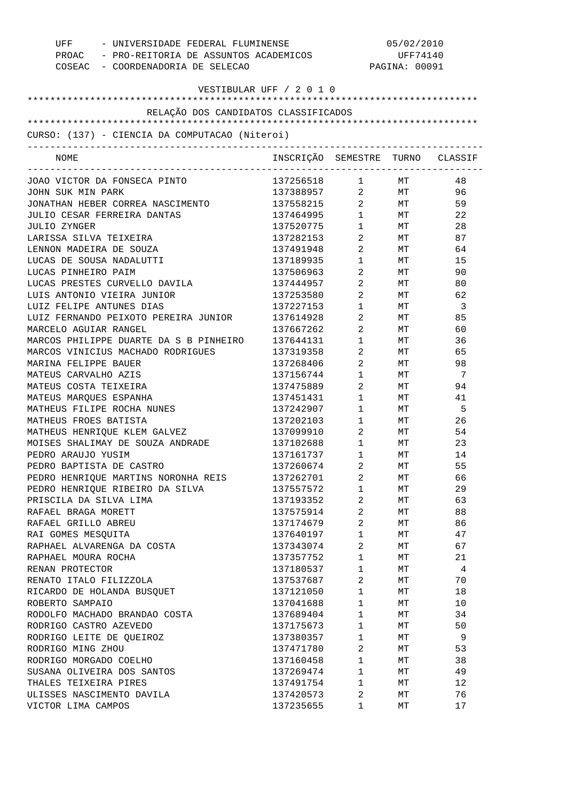| UFF - UNIVERSIDADE FEDERAL FLUMINENSE<br>PROAC - PRO-REITORIA DE ASSUNTOS ACADEMICOS<br>COSEAC - COORDENADORIA DE SELECAO |                                  | 05/02/2010<br>UFF74140<br>PAGINA: 00091 |                   |     |
|---------------------------------------------------------------------------------------------------------------------------|----------------------------------|-----------------------------------------|-------------------|-----|
| VESTIBULAR UFF / 2 0 1 0                                                                                                  |                                  |                                         |                   |     |
| RELAÇÃO DOS CANDIDATOS CLASSIFICADOS                                                                                      |                                  |                                         |                   |     |
|                                                                                                                           |                                  |                                         |                   |     |
| CURSO: (137) - CIENCIA DA COMPUTACAO (Niteroi)                                                                            |                                  |                                         |                   |     |
| NOME                                                                                                                      | INSCRIÇÃO SEMESTRE TURNO CLASSIF |                                         | ----------------- |     |
| JOAO VICTOR DA FONSECA PINTO                                                                                              | 137256518 1                      |                                         | MT                | 48  |
| JOHN SUK MIN PARK                                                                                                         | 137388957 2                      |                                         | <b>MT</b>         | 96  |
| JONATHAN HEBER CORREA NASCIMENTO                                                                                          | 137558215                        |                                         | $2$ MT            | 59  |
| JULIO CESAR FERREIRA DANTAS                                                                                               | 137464995                        | $1 \quad \blacksquare$                  | MT                | 22  |
| JULIO ZYNGER                                                                                                              | 137520775                        | $1 \quad \blacksquare$                  | <b>MT</b>         | 28  |
| LARISSA SILVA TEIXEIRA                                                                                                    | 137282153                        | $\overline{2}$                          | MT                | 87  |
| LENNON MADEIRA DE SOUZA                                                                                                   | 137491948                        | $\overline{2}$                          | MT                | 64  |
| LUCAS DE SOUSA NADALUTTI                                                                                                  | 137189935                        | $1 \quad \Box$                          | MT                | 15  |
| LUCAS PINHEIRO PAIM                                                                                                       | 137506963                        | $\overline{2}$                          | MT                | 90  |
| LUCAS PRESTES CURVELLO DAVILA                                                                                             | 137444957                        | $\overline{2}$                          | MT                | 80  |
| LUIS ANTONIO VIEIRA JUNIOR                                                                                                | 137253580                        | $\overline{2}$                          | MT                | 62  |
| LUIZ FELIPE ANTUNES DIAS                                                                                                  | 137227153                        | $\mathbf{1}$                            | MT                | -3  |
| LUIZ FERNANDO PEIXOTO PEREIRA JUNIOR                                                                                      | 137614928                        | $2 \left( \frac{1}{2} \right)$          | MT                | 85  |
| MARCELO AGUIAR RANGEL                                                                                                     | 137667262                        | $2 \left( \frac{1}{2} \right)$          | MT                | 60  |
| MARCOS PHILIPPE DUARTE DA S B PINHEIRO                                                                                    | 137644131                        | $\mathbf{1}$                            | MT                | 36  |
| MARCOS VINICIUS MACHADO RODRIGUES                                                                                         | 137319358                        | $\overline{2}$                          | MT                | 65  |
| MARINA FELIPPE BAUER                                                                                                      | 137268406                        | $\mathbf{2}$                            | MT                | 98  |
| MATEUS CARVALHO AZIS                                                                                                      | 137156744                        | $\mathbf{1}$                            | MT                | -7  |
| MATEUS COSTA TEIXEIRA                                                                                                     | 137475889                        | $\overline{2}$                          | MT                | 94  |
| MATEUS MARQUES ESPANHA                                                                                                    | 137451431                        | $1 \qquad \qquad$                       | МT                | 41  |
| MATHEUS FILIPE ROCHA NUNES                                                                                                | 137242907                        | $1 \qquad \qquad$                       | MT                | - 5 |
| MATHEUS FROES BATISTA                                                                                                     | 137202103                        | $1 \qquad \qquad$                       | MT                | 26  |
| MATHEUS HENRIOUE KLEM GALVEZ                                                                                              | 137099910                        | $\overline{2}$                          | MT                | 54  |
| MOISES SHALIMAY DE SOUZA ANDRADE                                                                                          | 137102688                        | $1 \qquad \qquad$                       | МT                | 23  |
| PEDRO ARAUJO YUSIM                                                                                                        | 137161737                        | $\mathbf{1}$                            | МT                | 14  |
| PEDRO BAPTISTA DE CASTRO                                                                                                  | 137260674                        |                                         |                   |     |
|                                                                                                                           |                                  | 2                                       | МT                | 55  |
| PEDRO HENRIQUE MARTINS NORONHA REIS                                                                                       | 137262701                        | 2                                       | МT                | 66  |
| PEDRO HENRIOUE RIBEIRO DA SILVA                                                                                           | 137557572                        | $\mathbf 1$                             | МT                | 29  |
| PRISCILA DA SILVA LIMA                                                                                                    | 137193352                        | $\overline{2}$                          | МT                | 63  |
| RAFAEL BRAGA MORETT                                                                                                       | 137575914                        | 2                                       | МT                | 88  |
| RAFAEL GRILLO ABREU                                                                                                       | 137174679                        | $\overline{2}$                          | МT                | 86  |
| RAI GOMES MESQUITA                                                                                                        | 137640197                        | $\mathbf{1}$                            | МT                | 47  |
| RAPHAEL ALVARENGA DA COSTA                                                                                                | 137343074                        | 2                                       | МT                | 67  |
| RAPHAEL MOURA ROCHA                                                                                                       | 137357752                        | $\mathbf{1}$                            | МT                | 21  |
| RENAN PROTECTOR                                                                                                           | 137180537                        | $\mathbf{1}$                            | МT                | 4   |
| RENATO ITALO FILIZZOLA                                                                                                    | 137537687                        | 2                                       | МT                | 70  |
| RICARDO DE HOLANDA BUSQUET                                                                                                | 137121050                        | $\mathbf{1}$                            | МT                | 18  |
| ROBERTO SAMPAIO                                                                                                           | 137041688                        | $\mathbf{1}$                            | МT                | 10  |
| RODOLFO MACHADO BRANDAO COSTA                                                                                             | 137689404                        | $\mathbf{1}$                            | МT                | 34  |
| RODRIGO CASTRO AZEVEDO                                                                                                    | 137175673                        | $\mathbf{1}$                            | МT                | 50  |
| RODRIGO LEITE DE QUEIROZ                                                                                                  | 137380357                        | $\mathbf{1}$                            | МT                | 9   |
| RODRIGO MING ZHOU                                                                                                         | 137471780                        | 2                                       | МT                | 53  |
| RODRIGO MORGADO COELHO                                                                                                    | 137160458                        | $\mathbf{1}$                            | МT                | 38  |
| SUSANA OLIVEIRA DOS SANTOS                                                                                                | 137269474                        | $\mathbf{1}$                            | МT                | 49  |
| THALES TEIXEIRA PIRES                                                                                                     | 137491754                        | $\mathbf{1}$                            | МT                | 12  |
| ULISSES NASCIMENTO DAVILA                                                                                                 | 137420573                        | 2                                       | МT                | 76  |
| VICTOR LIMA CAMPOS                                                                                                        | 137235655                        | 1                                       | МT                | 17  |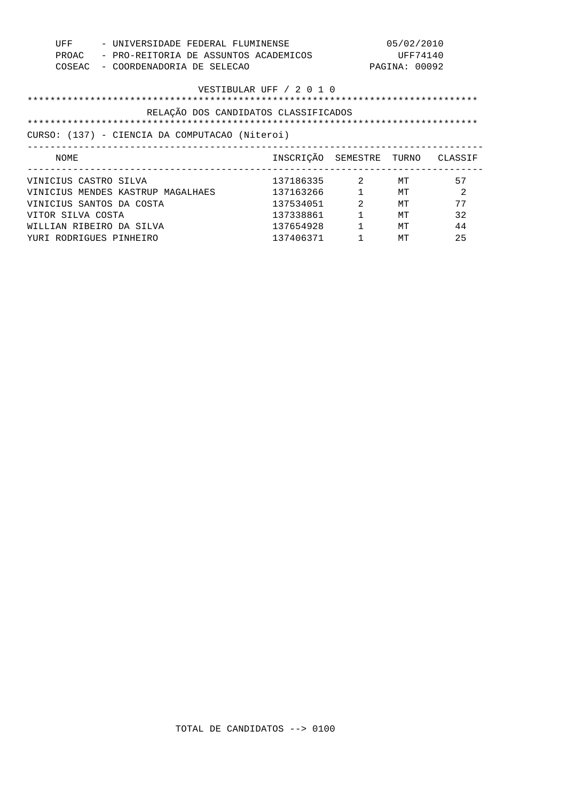| UFF<br>PROAC<br>COSEAC                                                                                                                                                  | - UNIVERSIDADE FEDERAL FLUMINENSE<br>- PRO-REITORIA DE ASSUNTOS ACADEMICOS<br>- COORDENADORIA DE SELECAO |                                                                              |                | 05/02/2010<br>UFF74140<br>PAGINA: 00092 |                                 |
|-------------------------------------------------------------------------------------------------------------------------------------------------------------------------|----------------------------------------------------------------------------------------------------------|------------------------------------------------------------------------------|----------------|-----------------------------------------|---------------------------------|
| VESTIBULAR UFF / 2 0 1 0                                                                                                                                                |                                                                                                          |                                                                              |                |                                         |                                 |
| RELAÇÃO DOS CANDIDATOS CLASSIFICADOS<br>*************************************<br>************************************<br>CURSO: (137) - CIENCIA DA COMPUTACAO (Niteroi) |                                                                                                          |                                                                              |                |                                         |                                 |
| NOME                                                                                                                                                                    |                                                                                                          | INSCRIÇÃO SEMESTRE                                                           |                |                                         | TURNO CLASSIF                   |
| VINICIUS CASTRO SILVA<br>VINICIUS SANTOS DA COSTA<br>VITOR SILVA COSTA<br>WILLIAN RIBEIRO DA SILVA<br>YURI RODRIGUES PINHEIRO                                           | VINICIUS MENDES KASTRUP MAGALHAES                                                                        | 137186335 2<br>137163266<br>137534051<br>137338861<br>137654928<br>137406371 | $\mathfrak{D}$ | MТ<br>MТ<br>MТ<br>MТ<br>MТ<br>MT        | 57<br>2<br>77<br>32<br>44<br>25 |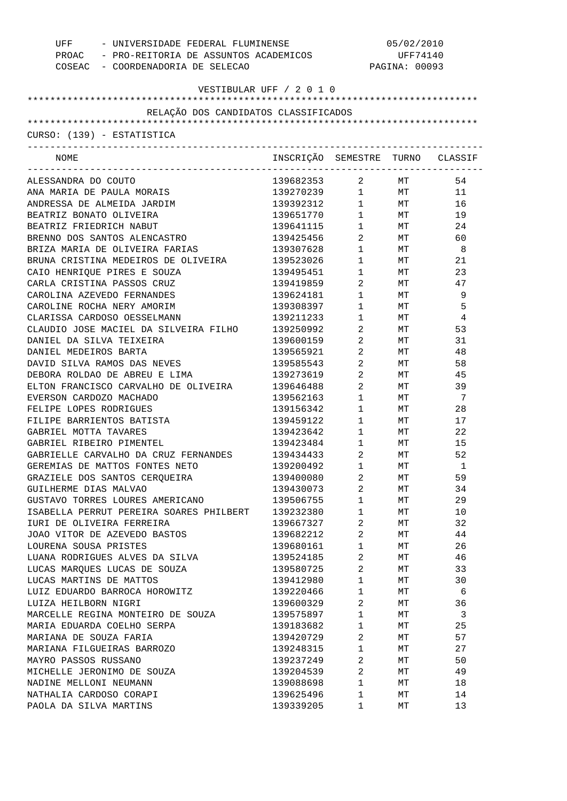| UFF - UNIVERSIDADE FEDERAL FLUMINENSE<br>PROAC - PRO-REITORIA DE ASSUNTOS ACADEMICOS<br>COSEAC - COORDENADORIA DE SELECAO |                                  | 05/02/2010<br>UFF74140<br>PAGINA: 00093 |                 |          |
|---------------------------------------------------------------------------------------------------------------------------|----------------------------------|-----------------------------------------|-----------------|----------|
| VESTIBULAR UFF / 2 0 1 0                                                                                                  |                                  |                                         |                 |          |
|                                                                                                                           |                                  |                                         |                 |          |
| RELAÇÃO DOS CANDIDATOS CLASSIFICADOS                                                                                      |                                  |                                         |                 |          |
|                                                                                                                           |                                  |                                         |                 |          |
| CURSO: (139) - ESTATISTICA                                                                                                |                                  |                                         |                 |          |
| NOME                                                                                                                      | INSCRIÇÃO SEMESTRE TURNO CLASSIF |                                         |                 |          |
| ALESSANDRA DO COUTO                                                                                                       | 139682353 2 MT                   |                                         |                 | 54       |
| ANA MARIA DE PAULA MORAIS                                                                                                 | 139270239 1 MT                   |                                         |                 | 11       |
| ANDRESSA DE ALMEIDA JARDIM                                                                                                | 139392312                        |                                         | 1 MT            | 16       |
| BEATRIZ BONATO OLIVEIRA                                                                                                   | 139651770                        |                                         | $1$ MT          | 19       |
| BEATRIZ FRIEDRICH NABUT                                                                                                   | 139641115 1                      |                                         | <b>MT</b>       | 24       |
| BRENNO DOS SANTOS ALENCASTRO                                                                                              | 139425456                        | $\overline{2}$                          | <b>MT</b>       | 60       |
| BRIZA MARIA DE OLIVEIRA FARIAS                                                                                            | 139307628 1                      |                                         |                 | MT 8     |
| BRUNA CRISTINA MEDEIROS DE OLIVEIRA                                                                                       | 139523026                        | $\mathbf 1$                             | <b>MT</b>       | 21       |
| CAIO HENRIQUE PIRES E SOUZA                                                                                               | 139495451                        | $1 \quad \blacksquare$                  | MT <sub>1</sub> | 23       |
| CARLA CRISTINA PASSOS CRUZ                                                                                                | 139419859                        | $\overline{2}$                          | MT              | 47       |
| CAROLINA AZEVEDO FERNANDES                                                                                                | 139624181                        | $1 \qquad \qquad$                       | MT              | 9        |
| CAROLINE ROCHA NERY AMORIM                                                                                                | 139308397                        | $1 \qquad \qquad$                       | MT              | 5        |
| CLARISSA CARDOSO OESSELMANN                                                                                               | 139211233                        | $1 \quad \blacksquare$                  | МT              | 4        |
| CLAUDIO JOSE MACIEL DA SILVEIRA FILHO                                                                                     | 139250992                        | $\overline{a}$                          | MT              | 53       |
| DANIEL DA SILVA TEIXEIRA                                                                                                  | 139600159                        | $\overline{a}$                          | <b>MT</b>       | 31       |
| DANIEL MEDEIROS BARTA                                                                                                     | 139565921                        | $2 \left( \frac{1}{2} \right)$          | <b>MT</b>       | 48       |
| DAVID SILVA RAMOS DAS NEVES                                                                                               | 139585543                        | $\overline{a}$                          | <b>MT</b>       | 58       |
| DEBORA ROLDAO DE ABREU E LIMA                                                                                             | 139273619                        | $\overline{2}$                          | MT              | 45       |
| ELTON FRANCISCO CARVALHO DE OLIVEIRA                                                                                      | 139646488                        | $\overline{2}$                          | MT <sub>1</sub> | 39       |
| EVERSON CARDOZO MACHADO                                                                                                   | 139562163                        | $1 \quad \Box$                          | MT              | 7        |
| FELIPE LOPES RODRIGUES                                                                                                    | 139156342                        | $1 \quad \blacksquare$                  | MT <sub>1</sub> | 28       |
| FILIPE BARRIENTOS BATISTA                                                                                                 | 139459122                        | $1 \quad \blacksquare$                  | <b>MT</b>       | 17       |
| GABRIEL MOTTA TAVARES                                                                                                     | 139423642                        | $1 \quad \blacksquare$                  | MT              | 22       |
| GABRIEL RIBEIRO PIMENTEL                                                                                                  | 139423484                        | $1 \quad \blacksquare$                  | MT <sub>1</sub> | 15       |
| GABRIELLE CARVALHO DA CRUZ FERNANDES                                                                                      | 139434433                        | $\overline{2}$                          | МT              | 52       |
| GEREMIAS DE MATTOS FONTES NETO                                                                                            | 139200492                        | 1                                       | МT              | 1        |
| GRAZIELE DOS SANTOS CERQUEIRA                                                                                             | 139400080                        | 2                                       |                 | 59       |
| GUILHERME DIAS MALVAO                                                                                                     | 139430073                        | $\overline{a}$                          | МT<br>МT        | 34       |
|                                                                                                                           |                                  | $\mathbf 1$                             |                 |          |
| GUSTAVO TORRES LOURES AMERICANO<br>ISABELLA PERRUT PEREIRA SOARES PHILBERT                                                | 139506755                        | $\mathbf 1$                             | МT              | 29       |
|                                                                                                                           | 139232380<br>139667327           | 2                                       | МT              | 10<br>32 |
| IURI DE OLIVEIRA FERREIRA                                                                                                 |                                  |                                         | МT              |          |
| JOAO VITOR DE AZEVEDO BASTOS                                                                                              | 139682212                        | 2                                       | МT              | 44       |
| LOURENA SOUSA PRISTES                                                                                                     | 139680161                        | $\mathbf 1$                             | МT              | 26       |
| LUANA RODRIGUES ALVES DA SILVA                                                                                            | 139524185                        | 2                                       | МT              | 46       |
| LUCAS MARQUES LUCAS DE SOUZA                                                                                              | 139580725                        | 2                                       | МT              | 33       |
| LUCAS MARTINS DE MATTOS                                                                                                   | 139412980                        | $\mathbf 1$                             | МT              | 30       |
| LUIZ EDUARDO BARROCA HOROWITZ                                                                                             | 139220466                        | $\mathbf 1$                             | МT              | 6        |
| LUIZA HEILBORN NIGRI                                                                                                      | 139600329                        | 2                                       | МT              | 36       |
| MARCELLE REGINA MONTEIRO DE SOUZA                                                                                         | 139575897                        | $\mathbf 1$                             | МT              | 3        |
| MARIA EDUARDA COELHO SERPA                                                                                                | 139183682                        | $\mathbf 1$                             | МT              | 25       |
| MARIANA DE SOUZA FARIA                                                                                                    | 139420729                        | 2                                       | МT              | 57       |
| MARIANA FILGUEIRAS BARROZO                                                                                                | 139248315                        | $\mathbf 1$                             | МT              | 27       |
| MAYRO PASSOS RUSSANO                                                                                                      | 139237249                        | 2                                       | МT              | 50       |
| MICHELLE JERONIMO DE SOUZA                                                                                                | 139204539                        | 2                                       | МT              | 49       |
| NADINE MELLONI NEUMANN                                                                                                    | 139088698                        | $\mathbf 1$                             | МT              | 18       |
| NATHALIA CARDOSO CORAPI                                                                                                   | 139625496                        | $\mathbf 1$                             | МT              | 14       |
| PAOLA DA SILVA MARTINS                                                                                                    | 139339205                        | 1                                       | МT              | 13       |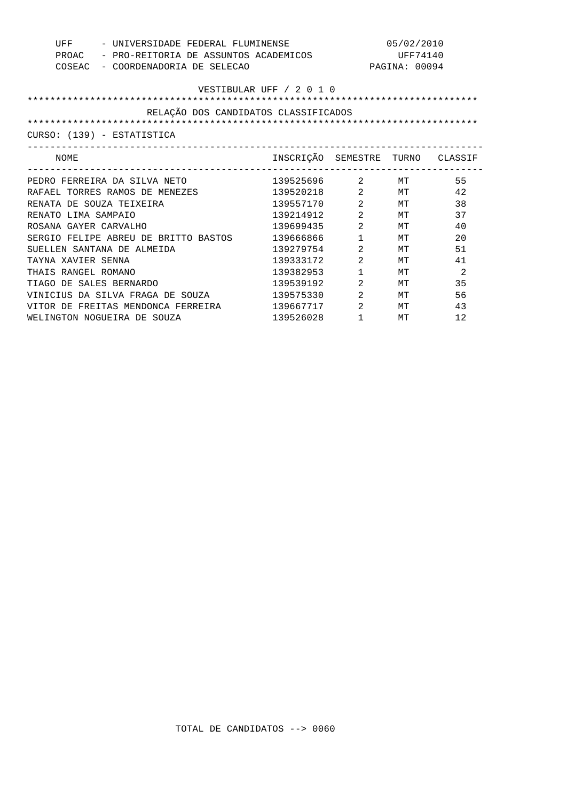| UFF<br>PROAC<br>COSEAC               | - UNIVERSIDADE FEDERAL FLUMINENSE<br>- PRO-REITORIA DE ASSUNTOS ACADEMICOS<br>- COORDENADORIA DE SELECAO |                                  |                | 05/02/2010<br>UFF74140<br>PAGINA: 00094 |    |
|--------------------------------------|----------------------------------------------------------------------------------------------------------|----------------------------------|----------------|-----------------------------------------|----|
| VESTIBULAR UFF / 2 0 1 0             |                                                                                                          |                                  |                |                                         |    |
| RELAÇÃO DOS CANDIDATOS CLASSIFICADOS |                                                                                                          |                                  |                |                                         |    |
|                                      |                                                                                                          |                                  |                |                                         |    |
|                                      | CURSO: (139) - ESTATISTICA                                                                               |                                  |                |                                         |    |
| NOME                                 |                                                                                                          | INSCRIÇÃO SEMESTRE TURNO CLASSIF |                |                                         |    |
|                                      | PEDRO FERREIRA DA SILVA NETO                                                                             | 139525696 2 MT                   |                |                                         | 55 |
|                                      | RAFAEL TORRES RAMOS DE MENEZES                                                                           | 139520218                        | $2^{\circ}$    | MТ                                      | 42 |
| RENATA DE SOUZA TEIXEIRA             |                                                                                                          | 139557170                        | 2              | МT                                      | 38 |
| RENATO LIMA SAMPAIO                  |                                                                                                          | 139214912                        | 2              | MТ                                      | 37 |
| ROSANA GAYER CARVALHO                |                                                                                                          | 139699435                        | 2              | MТ                                      | 40 |
|                                      | SERGIO FELIPE ABREU DE BRITTO BASTOS                                                                     | 139666866                        | $\mathbf{1}$   | MТ                                      | 20 |
|                                      | SUELLEN SANTANA DE ALMEIDA                                                                               | 139279754                        | 2              | MТ                                      | 51 |
| TAYNA XAVIER SENNA                   |                                                                                                          | 139333172                        | 2              | MТ                                      | 41 |
| THAIS RANGEL ROMANO                  |                                                                                                          | 139382953                        | $\mathbf{1}$   | MТ                                      | 2  |
| TIAGO DE SALES BERNARDO              |                                                                                                          | 139539192                        | 2              | MT                                      | 35 |
|                                      | VINICIUS DA SILVA FRAGA DE SOUZA                                                                         | 139575330                        | $\mathfrak{D}$ | MТ                                      | 56 |
|                                      | VITOR DE FREITAS MENDONCA FERREIRA                                                                       | 139667717                        | 2              | МT                                      | 43 |
|                                      | WELINGTON NOGUEIRA DE SOUZA                                                                              | 139526028                        | $\mathbf{1}$   | MT                                      | 12 |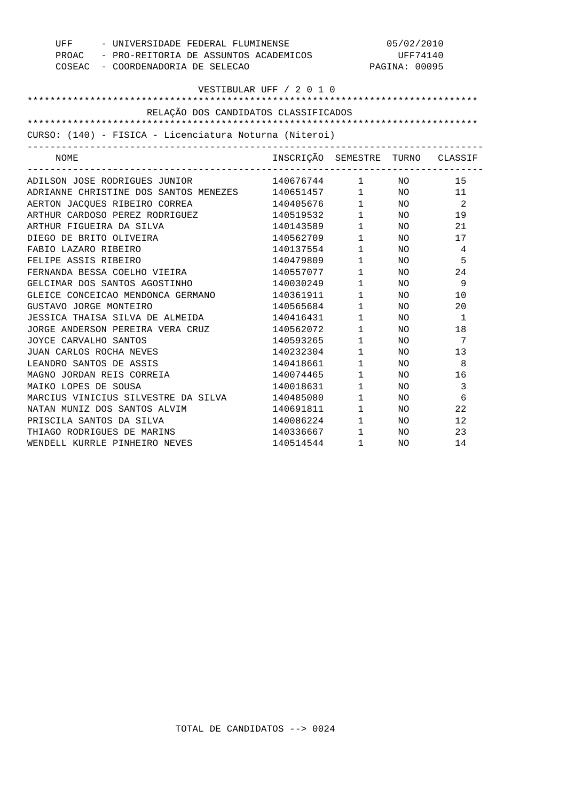| UFF - UNIVERSIDADE FEDERAL FLUMINENSE                  |                                  | 05/02/2010                                  |               |                 |
|--------------------------------------------------------|----------------------------------|---------------------------------------------|---------------|-----------------|
| PROAC - PRO-REITORIA DE ASSUNTOS ACADEMICOS            |                                  |                                             | UFF74140      |                 |
| COSEAC - COORDENADORIA DE SELECAO                      |                                  |                                             | PAGINA: 00095 |                 |
|                                                        |                                  |                                             |               |                 |
|                                                        | VESTIBULAR UFF / 2 0 1 0         |                                             |               |                 |
|                                                        |                                  |                                             |               |                 |
| RELAÇÃO DOS CANDIDATOS CLASSIFICADOS                   |                                  |                                             |               |                 |
|                                                        |                                  |                                             |               |                 |
| CURSO: (140) - FISICA - Licenciatura Noturna (Niteroi) |                                  |                                             |               |                 |
| NOME                                                   | INSCRIÇÃO SEMESTRE TURNO CLASSIF |                                             |               |                 |
| ADILSON JOSE RODRIGUES JUNIOR                          | 140676744 1 NO                   |                                             |               | 15              |
| ADRIANNE CHRISTINE DOS SANTOS MENEZES 140651457 1 NO   |                                  |                                             |               | 11              |
| AERTON JACOUES RIBEIRO CORREA                          | 140405676                        |                                             | $1$ NO        | $\overline{2}$  |
|                                                        |                                  |                                             | $1$ NO        | 19              |
| ARTHUR FIGUEIRA DA SILVA                               | 140143589                        |                                             | $1$ NO        | 21              |
| DIEGO DE BRITO OLIVEIRA                                | 140562709                        | $1$ NO                                      |               | 17              |
| FABIO LAZARO RIBEIRO                                   | 140137554                        | $1$ NO                                      |               | 4               |
| FELIPE ASSIS RIBEIRO                                   | 140479809                        | $1 \quad \blacksquare$                      | NO.           | 5               |
| FERNANDA BESSA COELHO VIEIRA                           | 140557077                        | $\begin{bmatrix} 1 \\ 1 \\ 1 \end{bmatrix}$ | NO            | 24              |
| GELCIMAR DOS SANTOS AGOSTINHO                          | 140030249                        |                                             | NO            | 9               |
| GLEICE CONCEICAO MENDONCA GERMANO                      | 140361911                        | $\mathbf{1}$                                | NO            | 10              |
| GUSTAVO JORGE MONTEIRO                                 | 140565684                        | $\mathbf{1}$                                | NO            | 20              |
| JESSICA THAISA SILVA DE ALMEIDA                        | 140416431                        | $\mathbf{1}$                                | NO            | $\overline{1}$  |
| JORGE ANDERSON PEREIRA VERA CRUZ                       | 140562072                        | $1 \qquad \qquad$                           | NO            | 18              |
| JOYCE CARVALHO SANTOS                                  | 140593265                        | $1 \quad \Box$                              | NO            | $7\phantom{.0}$ |
| JUAN CARLOS ROCHA NEVES                                | 140232304                        | $1 \qquad \qquad$                           | NO.           | 13              |
| LEANDRO SANTOS DE ASSIS                                | 140418661                        | $1 \qquad \qquad$                           | NO            | 8               |
| MAGNO JORDAN REIS CORREIA                              | 140074465                        | $1 \quad \Box$                              | NO            | 16              |
| MAIKO LOPES DE SOUSA                                   | 140018631                        | $1 \quad \blacksquare$                      | NO            | 3               |
| MARCIUS VINICIUS SILVESTRE DA SILVA                    | 140485080 1                      |                                             | NO.           | 6               |
| NATAN MUNIZ DOS SANTOS ALVIM                           | 140691811                        | $1\qquad \quad \, \textrm{NO}$              |               | 22              |
| PRISCILA SANTOS DA SILVA                               | 140086224                        | $1 \quad \blacksquare$                      | NO            | 12              |
| THIAGO RODRIGUES DE MARINS                             | 140336667                        | $\frac{1}{2}$                               | NO            | 23              |
| WENDELL KURRLE PINHEIRO NEVES                          | 140514544                        | $\mathbf{1}$                                | NO.           | 14              |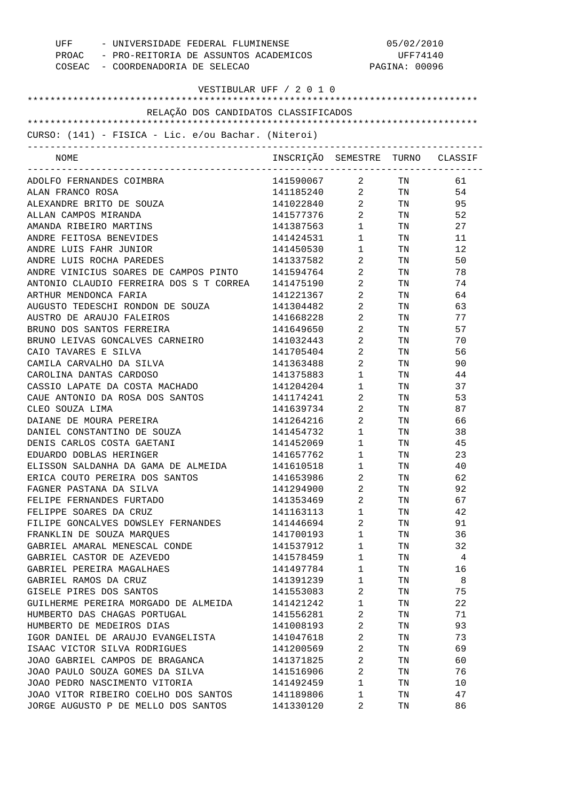| COSEAC - COORDENADORIA DE SELECAO                   | UFF - UNIVERSIDADE FEDERAL FLUMINENSE<br>PROAC - PRO-REITORIA DE ASSUNTOS ACADEMICOS |                                | 05/02/2010<br>UFF74140<br>PAGINA: 00096                                                                        |    |  |
|-----------------------------------------------------|--------------------------------------------------------------------------------------|--------------------------------|----------------------------------------------------------------------------------------------------------------|----|--|
| VESTIBULAR UFF / 2 0 1 0                            |                                                                                      |                                |                                                                                                                |    |  |
| RELAÇÃO DOS CANDIDATOS CLASSIFICADOS                |                                                                                      |                                |                                                                                                                |    |  |
|                                                     |                                                                                      |                                |                                                                                                                |    |  |
| CURSO: (141) - FISICA - Lic. e/ou Bachar. (Niteroi) |                                                                                      |                                |                                                                                                                |    |  |
| NOME                                                | INSCRIÇÃO SEMESTRE TURNO CLASSIF                                                     |                                |                                                                                                                |    |  |
| ADOLFO FERNANDES COIMBRA                            | 141590067 2 TN                                                                       |                                |                                                                                                                | 61 |  |
| ALAN FRANCO ROSA                                    | 141185240 2 TN                                                                       |                                |                                                                                                                | 54 |  |
| ALEXANDRE BRITO DE SOUZA                            | 141022840                                                                            | $\overline{2}$                 | TN TW                                                                                                          | 95 |  |
| ALLAN CAMPOS MIRANDA                                | 141577376                                                                            | $2 \left( \frac{1}{2} \right)$ | TN 97                                                                                                          | 52 |  |
| AMANDA RIBEIRO MARTINS                              | 141387563                                                                            | $1 \qquad \qquad$              | TN TW                                                                                                          | 27 |  |
| ANDRE FEITOSA BENEVIDES                             | 141424531                                                                            | $1 \quad \blacksquare$         | TN FOR THE THE TEST OF THE TEST OF THE TEST OF THE TEST OF THE TEST OF THE TEST OF THE TEST OF THE TEST OF THE | 11 |  |
| ANDRE LUIS FAHR JUNIOR                              | 141450530                                                                            | $\mathbf{1}$                   | TN 97                                                                                                          | 12 |  |
| ANDRE LUIS ROCHA PAREDES                            | 141337582                                                                            | $2 \left( \frac{1}{2} \right)$ | TN TW                                                                                                          | 50 |  |
| ANDRE VINICIUS SOARES DE CAMPOS PINTO               | 141594764                                                                            | $2 \left( \frac{1}{2} \right)$ | TN                                                                                                             | 78 |  |
| ANTONIO CLAUDIO FERREIRA DOS S T CORREA             | 141475190                                                                            | 2                              | TN                                                                                                             | 74 |  |
| ARTHUR MENDONCA FARIA                               | 141221367                                                                            | $\overline{2}$                 | TN                                                                                                             | 64 |  |
| AUGUSTO TEDESCHI RONDON DE SOUZA                    | 141304482                                                                            | 2                              | TN                                                                                                             | 63 |  |
| AUSTRO DE ARAUJO FALEIROS                           | 141668228                                                                            | $\overline{a}$                 | TN                                                                                                             | 77 |  |
| BRUNO DOS SANTOS FERREIRA                           | 141649650                                                                            | 2                              | TN                                                                                                             | 57 |  |
| BRUNO LEIVAS GONCALVES CARNEIRO                     | 141032443                                                                            | 2                              | TN                                                                                                             | 70 |  |
| CAIO TAVARES E SILVA                                | 141705404                                                                            | $\mathbf{2}$                   | TN                                                                                                             | 56 |  |
| CAMILA CARVALHO DA SILVA                            | 141363488                                                                            | $2 \left( \frac{1}{2} \right)$ | TN                                                                                                             | 90 |  |
| CAROLINA DANTAS CARDOSO                             | 141375883                                                                            | $\mathbf{1}$                   | TN                                                                                                             | 44 |  |
| CASSIO LAPATE DA COSTA MACHADO                      | 141204204                                                                            | $\mathbf{1}$                   | TN                                                                                                             | 37 |  |
| CAUE ANTONIO DA ROSA DOS SANTOS                     | 141174241                                                                            | $\overline{2}$                 | TN                                                                                                             | 53 |  |
| CLEO SOUZA LIMA                                     | 141639734                                                                            | $2 \left( \frac{1}{2} \right)$ | TN                                                                                                             | 87 |  |
| DAIANE DE MOURA PEREIRA                             | 141264216                                                                            | $\overline{2}$                 | TN TW                                                                                                          | 66 |  |
| DANIEL CONSTANTINO DE SOUZA                         | 141454732                                                                            | $1 \quad \blacksquare$         | TN                                                                                                             | 38 |  |
| DENIS CARLOS COSTA GAETANI                          | 141452069                                                                            | $\mathbf{1}$                   | TN                                                                                                             | 45 |  |
| EDUARDO DOBLAS HERINGER                             | 141657762                                                                            | $\mathbf{1}$                   | TN                                                                                                             | 23 |  |
| ELISSON SALDANHA DA GAMA DE ALMEIDA                 | 141610518                                                                            | 1                              | TN                                                                                                             | 40 |  |
| ERICA COUTO PEREIRA DOS SANTOS                      | 141653986                                                                            | 2                              | TN                                                                                                             | 62 |  |
| FAGNER PASTANA DA SILVA                             | 141294900                                                                            | 2                              | TN                                                                                                             | 92 |  |
| FELIPE FERNANDES FURTADO                            | 141353469                                                                            | 2                              | TN                                                                                                             | 67 |  |
| FELIPPE SOARES DA CRUZ                              | 141163113                                                                            | $\mathbf{1}$                   | TN                                                                                                             | 42 |  |
| FILIPE GONCALVES DOWSLEY FERNANDES                  | 141446694                                                                            | 2                              | TN                                                                                                             | 91 |  |
| FRANKLIN DE SOUZA MARQUES                           | 141700193                                                                            | $\mathbf{1}$                   | TN                                                                                                             | 36 |  |
| GABRIEL AMARAL MENESCAL CONDE                       | 141537912                                                                            | $\mathbf{1}$                   | TN                                                                                                             | 32 |  |
| GABRIEL CASTOR DE AZEVEDO                           | 141578459                                                                            | $\mathbf{1}$                   | TN                                                                                                             | 4  |  |
| GABRIEL PEREIRA MAGALHAES                           | 141497784                                                                            | $\mathbf{1}$                   | TN                                                                                                             | 16 |  |
| GABRIEL RAMOS DA CRUZ                               | 141391239                                                                            | $\mathbf{1}$                   | TN                                                                                                             | 8  |  |
| GISELE PIRES DOS SANTOS                             | 141553083                                                                            | 2                              | TN                                                                                                             | 75 |  |
| GUILHERME PEREIRA MORGADO DE ALMEIDA                | 141421242                                                                            | $\mathbf 1$                    | TN                                                                                                             | 22 |  |
| HUMBERTO DAS CHAGAS PORTUGAL                        | 141556281                                                                            | 2                              | TN                                                                                                             | 71 |  |
| HUMBERTO DE MEDEIROS DIAS                           | 141008193                                                                            | 2                              | TN                                                                                                             | 93 |  |
| IGOR DANIEL DE ARAUJO EVANGELISTA                   | 141047618                                                                            | 2                              | TN                                                                                                             | 73 |  |
| ISAAC VICTOR SILVA RODRIGUES                        | 141200569                                                                            | 2                              | TN                                                                                                             | 69 |  |
| JOAO GABRIEL CAMPOS DE BRAGANCA                     | 141371825                                                                            | 2                              | TN                                                                                                             | 60 |  |
| JOAO PAULO SOUZA GOMES DA SILVA                     | 141516906                                                                            | 2                              | TN                                                                                                             | 76 |  |
| JOAO PEDRO NASCIMENTO VITORIA                       | 141492459                                                                            | $\mathbf{1}$                   | TN                                                                                                             | 10 |  |
| JOAO VITOR RIBEIRO COELHO DOS SANTOS                | 141189806                                                                            | $\mathbf{1}$                   | TN                                                                                                             | 47 |  |
| JORGE AUGUSTO P DE MELLO DOS SANTOS                 | 141330120                                                                            | 2                              | TN                                                                                                             | 86 |  |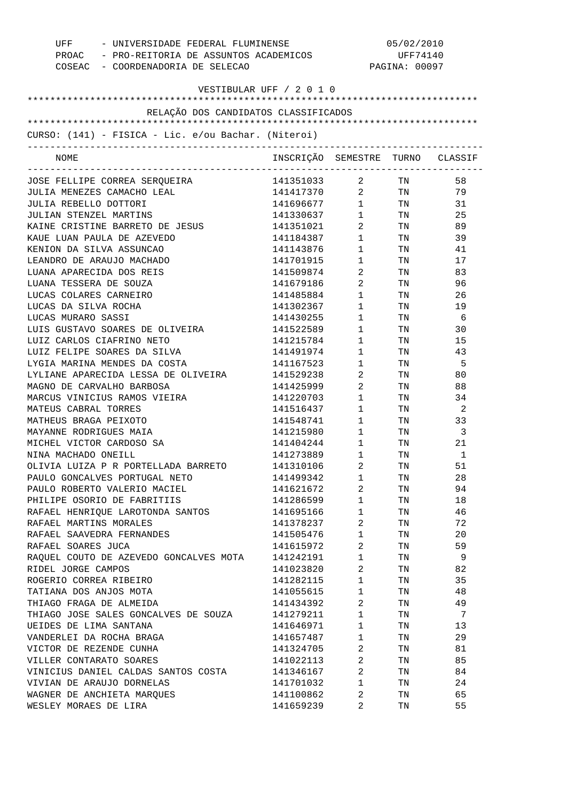| UFF<br>- UNIVERSIDADE FEDERAL FLUMINENSE<br>PROAC - PRO-REITORIA DE ASSUNTOS ACADEMICOS<br>COSEAC - COORDENADORIA DE SELECAO |                                  | 05/02/2010<br>UFF74140<br>PAGINA: 00097 |          |          |
|------------------------------------------------------------------------------------------------------------------------------|----------------------------------|-----------------------------------------|----------|----------|
| VESTIBULAR UFF / 2 0 1 0                                                                                                     |                                  |                                         |          |          |
| RELAÇÃO DOS CANDIDATOS CLASSIFICADOS                                                                                         |                                  |                                         |          |          |
|                                                                                                                              |                                  |                                         |          |          |
| CURSO: (141) - FISICA - Lic. e/ou Bachar. (Niteroi)                                                                          |                                  |                                         |          |          |
| NOME                                                                                                                         | INSCRIÇÃO SEMESTRE TURNO CLASSIF |                                         |          |          |
| JOSE FELLIPE CORREA SERQUEIRA                                                                                                | 141351033                        |                                         | 2 TN     | 58       |
| JULIA MENEZES CAMACHO LEAL                                                                                                   | 141417370 2 TN                   |                                         |          | 79       |
| JULIA REBELLO DOTTORI                                                                                                        | 141696677 1                      |                                         | TN 97    | 31       |
| JULIAN STENZEL MARTINS                                                                                                       | 141330637                        | $1 \quad \blacksquare$                  | TN       | 25       |
| KAINE CRISTINE BARRETO DE JESUS                                                                                              | 141351021                        | $\overline{a}$                          | TN 97    | 89       |
| KAUE LUAN PAULA DE AZEVEDO                                                                                                   | 141184387                        | $1 \quad \blacksquare$                  | TN 97    | 39       |
| KENION DA SILVA ASSUNCAO                                                                                                     | 141143876                        | $\mathbf{1}$                            | TN       | 41       |
| LEANDRO DE ARAUJO MACHADO                                                                                                    | 141701915                        | $\mathbf{1}$                            | TN       | 17       |
| LUANA APARECIDA DOS REIS                                                                                                     | 141509874                        | $\overline{2}$ and $\overline{2}$       | TN       | 83       |
| LUANA TESSERA DE SOUZA                                                                                                       | 141679186                        | $\overline{2}$                          | TN       | 96       |
| LUCAS COLARES CARNEIRO                                                                                                       | 141485884                        | $\mathbf{1}$                            | TN       | 26       |
| LUCAS DA SILVA ROCHA                                                                                                         | 141302367                        | 1                                       | TN       | 19       |
| LUCAS MURARO SASSI                                                                                                           | 141430255                        | $\mathbf{1}$                            | TN       | - 6      |
| LUIS GUSTAVO SOARES DE OLIVEIRA                                                                                              | 141522589                        | $\mathbf{1}$                            | TN       | 30       |
| LUIZ CARLOS CIAFRINO NETO                                                                                                    | 141215784                        | $\mathbf{1}$                            | TN       | 15       |
| LUIZ FELIPE SOARES DA SILVA                                                                                                  | 141491974                        | $\mathbf{1}$                            | TN       | 43       |
| LYGIA MARINA MENDES DA COSTA                                                                                                 | 141167523                        | $\mathbf{1}$                            | TN       | -5       |
| LYLIANE APARECIDA LESSA DE OLIVEIRA                                                                                          | 141529238                        | 2                                       | TN       | 80       |
| MAGNO DE CARVALHO BARBOSA                                                                                                    | 141425999                        | $\overline{2}$ and $\overline{2}$       | TN       | 88       |
| MARCUS VINICIUS RAMOS VIEIRA                                                                                                 | 141220703                        | $\mathbf{1}$                            | TN       | 34       |
| MATEUS CABRAL TORRES                                                                                                         | 141516437                        | $\mathbf{1}$                            | TN       | -2       |
| MATHEUS BRAGA PEIXOTO                                                                                                        | 141548741                        | $1 \quad \blacksquare$                  | TN       | 33       |
| MAYANNE RODRIGUES MAIA                                                                                                       | 141215980                        | $1 \qquad \qquad$                       | TN       | 3        |
| MICHEL VICTOR CARDOSO SA                                                                                                     | 141404244                        | 1                                       | TN       | 21       |
| NINA MACHADO ONEILL                                                                                                          | 141273889<br>141310106           | $\mathbf{1}$                            | TN       | 1        |
| OLIVIA LUIZA P R PORTELLADA BARRETO<br>PAULO GONCALVES PORTUGAL NETO                                                         | 141499342                        | 2<br>$\mathbf{1}$                       | TN<br>TN | 51<br>28 |
| PAULO ROBERTO VALERIO MACIEL                                                                                                 | 141621672                        | $\sqrt{2}$                              | TN       | 94       |
| PHILIPE OSORIO DE FABRITIIS                                                                                                  | 141286599                        | $\mathbf{1}$                            | TN       | 18       |
| RAFAEL HENRIQUE LAROTONDA SANTOS                                                                                             | 141695166                        | $\mathbf{1}$                            | TN       | 46       |
| RAFAEL MARTINS MORALES                                                                                                       | 141378237                        | $\overline{2}$                          | TN       | 72       |
| RAFAEL SAAVEDRA FERNANDES                                                                                                    | 141505476                        | $\mathbf{1}$                            | TN       | 20       |
| RAFAEL SOARES JUCA                                                                                                           | 141615972                        | $\overline{2}$                          | TN       | 59       |
| RAQUEL COUTO DE AZEVEDO GONCALVES MOTA                                                                                       | 141242191                        | $\mathbf{1}$                            | TN       | 9        |
| RIDEL JORGE CAMPOS                                                                                                           | 141023820                        | $\overline{2}$                          | TN       | 82       |
| ROGERIO CORREA RIBEIRO                                                                                                       | 141282115                        | 1                                       | TN       | 35       |
| TATIANA DOS ANJOS MOTA                                                                                                       | 141055615                        | $\mathbf{1}$                            | TN       | 48       |
| THIAGO FRAGA DE ALMEIDA                                                                                                      | 141434392                        | 2                                       | TN       | 49       |
| THIAGO JOSE SALES GONCALVES DE SOUZA                                                                                         | 141279211                        | $\mathbf{1}$                            | TN       | 7        |
| UEIDES DE LIMA SANTANA                                                                                                       | 141646971                        | 1                                       | TN       | 13       |
| VANDERLEI DA ROCHA BRAGA                                                                                                     | 141657487                        | $\mathbf{1}$                            | TN       | 29       |
| VICTOR DE REZENDE CUNHA                                                                                                      | 141324705                        | 2                                       | TN       | 81       |
| VILLER CONTARATO SOARES                                                                                                      | 141022113                        | 2                                       | TN       | 85       |
| VINICIUS DANIEL CALDAS SANTOS COSTA                                                                                          | 141346167                        | $\overline{2}$                          | TN       | 84       |
| VIVIAN DE ARAUJO DORNELAS                                                                                                    | 141701032                        | $\mathbf{1}$                            | TN       | 24       |
| WAGNER DE ANCHIETA MARQUES                                                                                                   | 141100862                        | 2                                       | TN       | 65       |
| WESLEY MORAES DE LIRA                                                                                                        | 141659239                        | 2                                       | TN       | 55       |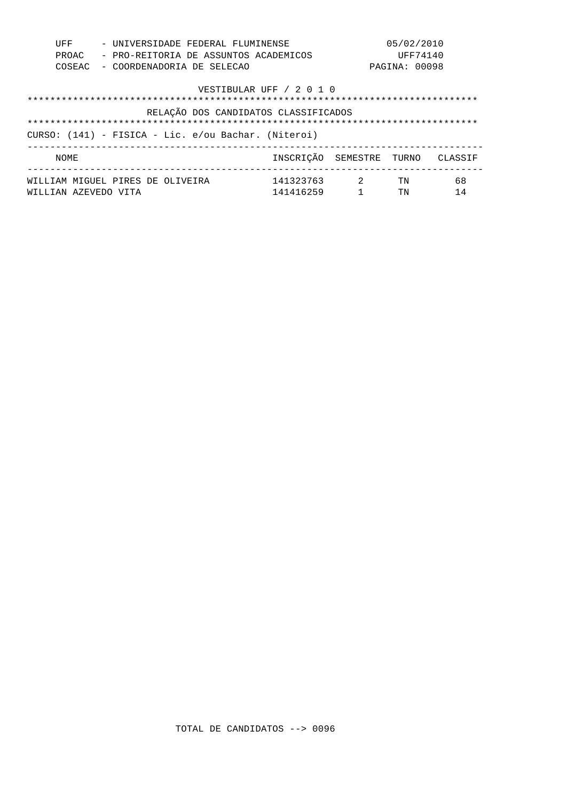| UFF    | - UNIVERSIDADE FEDERAL FLUMINENSE                   | 05/02/2010               |               |         |  |
|--------|-----------------------------------------------------|--------------------------|---------------|---------|--|
| PROAC  | - PRO-REITORIA DE ASSUNTOS ACADEMICOS               |                          | UFF74140      |         |  |
| COSEAC | - COORDENADORIA DE SELECAO                          |                          | PAGINA: 00098 |         |  |
|        | VESTIBULAR UFF / 2 0 1 0                            |                          |               |         |  |
|        |                                                     |                          |               |         |  |
|        | RELAÇÃO DOS CANDIDATOS CLASSIFICADOS                |                          |               |         |  |
|        |                                                     |                          |               |         |  |
|        | CURSO: (141) - FISICA - Lic. e/ou Bachar. (Niteroi) |                          |               |         |  |
| NOME   |                                                     | INSCRICÃO SEMESTRE TURNO |               | CLASSIF |  |
|        | 141323763<br>WILLIAM MIGUEL PIRES DE OLIVEIRA       | $\sim$ 2                 | TN            | 68      |  |
|        | 141416259<br>WILLIAN AZEVEDO VITA                   |                          | TN            | 14      |  |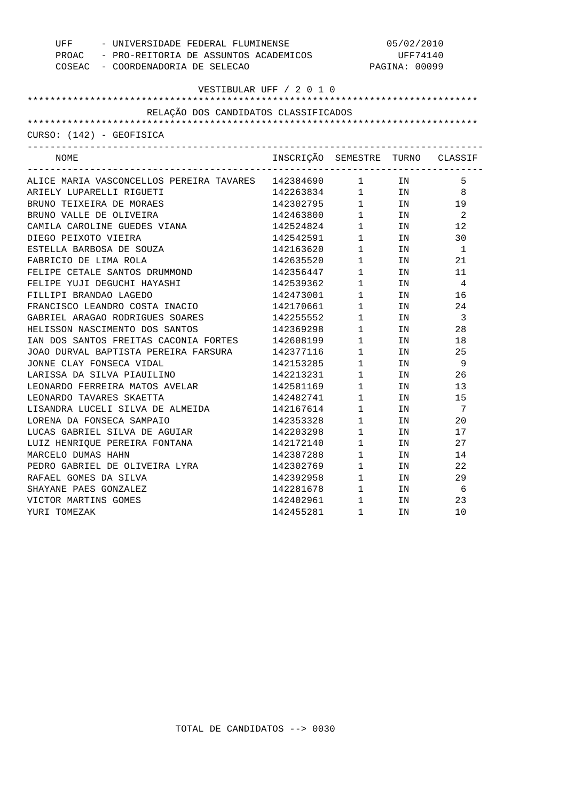| UFF<br>COSEAC - COORDENADORIA DE SELECAO                  | - UNIVERSIDADE FEDERAL FLUMINENSE<br>PROAC - PRO-REITORIA DE ASSUNTOS ACADEMICOS |                                               | 05/02/2010<br>UFF74140<br>PAGINA: 00099 |                |
|-----------------------------------------------------------|----------------------------------------------------------------------------------|-----------------------------------------------|-----------------------------------------|----------------|
| VESTIBULAR UFF / 2 0 1 0                                  |                                                                                  |                                               |                                         |                |
|                                                           |                                                                                  |                                               |                                         |                |
| RELAÇÃO DOS CANDIDATOS CLASSIFICADOS                      |                                                                                  |                                               |                                         |                |
| CURSO: (142) - GEOFISICA                                  |                                                                                  |                                               |                                         |                |
| NOME                                                      | INSCRIÇÃO SEMESTRE TURNO CLASSIF                                                 |                                               |                                         |                |
| ALICE MARIA VASCONCELLOS PEREIRA TAVARES 142384690 1 1 IN |                                                                                  |                                               |                                         | 5              |
| ARIELY LUPARELLI RIGUETI                                  | 142263834 1 IN 8                                                                 |                                               |                                         |                |
| BRUNO TEIXEIRA DE MORAES                                  |                                                                                  |                                               |                                         | 19             |
| BRUNO VALLE DE OLIVEIRA                                   |                                                                                  |                                               |                                         | $\overline{2}$ |
| CAMILA CAROLINE GUEDES VIANA                              | 142524824                                                                        |                                               | $\frac{1}{1}$ IN                        | 12             |
| DIEGO PEIXOTO VIEIRA                                      | 142542591                                                                        | $1 \quad \blacksquare$                        | IN                                      | 30             |
| ESTELLA BARBOSA DE SOUZA                                  | 142163620                                                                        | $1$ IN                                        |                                         | $\overline{1}$ |
| FABRICIO DE LIMA ROLA                                     | 142635520                                                                        | 1                                             | IN                                      | 21             |
| FELIPE CETALE SANTOS DRUMMOND                             | 142356447                                                                        | $1\qquad$                                     | IN                                      | 11             |
| FELIPE YUJI DEGUCHI HAYASHI                               | 142539362                                                                        | $1 \qquad \qquad$                             | IN                                      | $\overline{4}$ |
| FILLIPI BRANDAO LAGEDO                                    | 142473001                                                                        | $\mathbf{1}$                                  | IN                                      | 16             |
| FRANCISCO LEANDRO COSTA INACIO                            | 142170661                                                                        | $\begin{array}{c} 1 \\ 1 \end{array}$         | IN                                      | 24             |
| GABRIEL ARAGAO RODRIGUES SOARES                           | 142255552                                                                        |                                               | IN                                      | $\overline{3}$ |
| HELISSON NASCIMENTO DOS SANTOS                            | 142369298                                                                        | $1 \quad \cdots$                              | IN                                      | 28             |
| IAN DOS SANTOS FREITAS CACONIA FORTES                     | 142608199                                                                        | $1 \quad \blacksquare$                        | IN                                      | 18             |
| JOAO DURVAL BAPTISTA PEREIRA FARSURA                      |                                                                                  | $\frac{1}{4}$                                 | IN                                      | 25             |
| JONNE CLAY FONSECA VIDAL                                  | 142377116<br>142153285                                                           | 1                                             | IN                                      | 9              |
| LARISSA DA SILVA PIAUILINO                                | 142213231                                                                        | $1 \quad \blacksquare$                        | IN                                      | 26             |
| LEONARDO FERREIRA MATOS AVELAR                            | 142581169                                                                        | $1 \quad \blacksquare$                        | IN                                      | 13             |
| LEONARDO TAVARES SKAETTA                                  | 142482741                                                                        | $\mathbf{1}$                                  | IN                                      | 15             |
| LISANDRA LUCELI SILVA DE ALMEIDA                          | 142167614                                                                        | 1                                             | IN                                      | 7              |
| LORENA DA FONSECA SAMPAIO                                 | 142353328                                                                        | $\mathbf 1$                                   | IN                                      | 20             |
| LUCAS GABRIEL SILVA DE AGUIAR                             | 142203298                                                                        | $1 \qquad \qquad$                             | IN                                      | 17             |
| LUIZ HENRIQUE PEREIRA FONTANA                             | 142172140                                                                        | $\mathbf{1}$                                  | IN                                      | 27             |
| MARCELO DUMAS HAHN                                        | 142387288                                                                        | 1                                             | IN                                      | 14             |
| PEDRO GABRIEL DE OLIVEIRA LYRA                            | 142302769                                                                        | $1 \quad \blacksquare$                        | IN                                      | 22             |
| RAFAEL GOMES DA SILVA                                     | 142392958                                                                        | $1 \qquad \qquad$                             | IN                                      | 29             |
| SHAYANE PAES GONZALEZ                                     | 142281678                                                                        | $1$ IN                                        |                                         | 6              |
| VICTOR MARTINS GOMES                                      | 142402961                                                                        | $\begin{array}{ccc} 1 & & \\ & & \end{array}$ | IN                                      | 23             |
| YURI TOMEZAK                                              | 142455281                                                                        | $\mathbf{1}$                                  | IN                                      | 10             |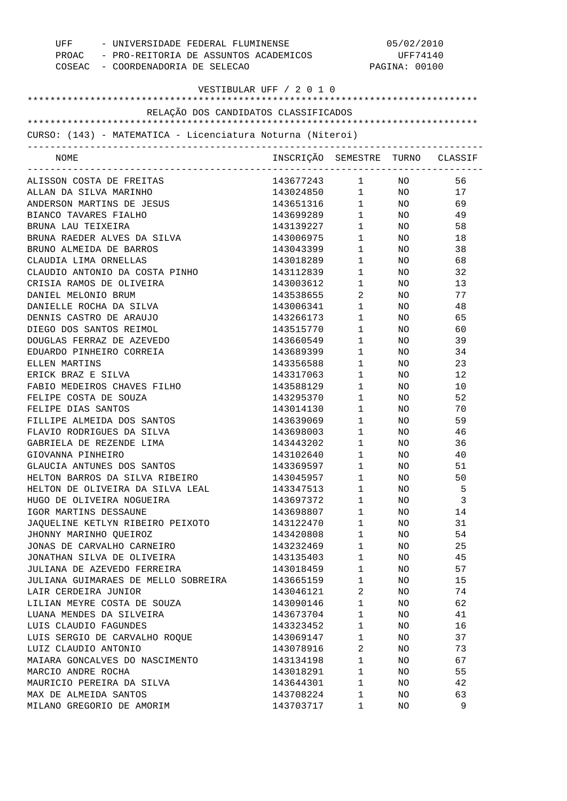| UFF - UNIVERSIDADE FEDERAL FLUMINENSE<br>PROAC - PRO-REITORIA DE ASSUNTOS ACADEMICOS<br>COSEAC - COORDENADORIA DE SELECAO |                                  | 05/02/2010<br>UFF74140<br>PAGINA: 00100 |                 |    |
|---------------------------------------------------------------------------------------------------------------------------|----------------------------------|-----------------------------------------|-----------------|----|
| VESTIBULAR UFF / 2 0 1 0                                                                                                  |                                  |                                         |                 |    |
| RELAÇÃO DOS CANDIDATOS CLASSIFICADOS                                                                                      |                                  |                                         |                 |    |
| CURSO: (143) - MATEMATICA - Licenciatura Noturna (Niteroi)                                                                |                                  |                                         |                 |    |
| ------------------------------<br>NOME                                                                                    | INSCRIÇÃO SEMESTRE TURNO CLASSIF |                                         |                 |    |
| ALISSON COSTA DE FREITAS                                                                                                  | 143677243 1 NO                   |                                         |                 | 56 |
| ALLAN DA SILVA MARINHO                                                                                                    | 143024850 1                      |                                         | NO <sub>1</sub> | 17 |
| ANDERSON MARTINS DE JESUS                                                                                                 | 143651316 1                      |                                         | NO <sub>2</sub> | 69 |
| BIANCO TAVARES FIALHO                                                                                                     | 143699289 1                      |                                         | NO <sub>2</sub> | 49 |
| BRUNA LAU TEIXEIRA                                                                                                        | 143139227 1                      |                                         | NO <sub>2</sub> | 58 |
| BRUNA RAEDER ALVES DA SILVA                                                                                               | 143006975                        | $1 \quad \blacksquare$                  | NO <sub>2</sub> | 18 |
| BRUNO ALMEIDA DE BARROS                                                                                                   | 143043399                        | $1 \quad \blacksquare$                  | NO <sub>2</sub> | 38 |
| CLAUDIA LIMA ORNELLAS                                                                                                     | 143018289                        | $1 \quad \blacksquare$                  | NO <sub>n</sub> | 68 |
| CLAUDIO ANTONIO DA COSTA PINHO                                                                                            | 143112839                        | $1 \quad \blacksquare$                  | NO <sub>n</sub> | 32 |
| CRISIA RAMOS DE OLIVEIRA                                                                                                  | 143003612                        | $1 \quad \blacksquare$                  | NO <sub>n</sub> | 13 |
| DANIEL MELONIO BRUM                                                                                                       | 143538655                        | $2 \left( \frac{1}{2} \right)$          | NO <sub>n</sub> | 77 |
| DANIELLE ROCHA DA SILVA                                                                                                   | 143006341                        | $1 \quad \blacksquare$                  | NO <sub>n</sub> | 48 |
| DENNIS CASTRO DE ARAUJO                                                                                                   | 143266173                        | $1 \quad \blacksquare$                  | NO <sub>n</sub> | 65 |
| DIEGO DOS SANTOS REIMOL                                                                                                   | 143515770                        | $1 \quad \blacksquare$                  | NO <sub>n</sub> | 60 |
| DOUGLAS FERRAZ DE AZEVEDO                                                                                                 | 143660549                        | $1 \quad \blacksquare$                  | NO <sub>n</sub> | 39 |
| EDUARDO PINHEIRO CORREIA                                                                                                  | 143689399                        | $1 \quad \blacksquare$                  | NO <sub>n</sub> | 34 |
| ELLEN MARTINS                                                                                                             | 143356588                        | $1 \quad \blacksquare$                  | NO <sub>n</sub> | 23 |
| ERICK BRAZ E SILVA                                                                                                        | 143317063                        | $1 \qquad \qquad$                       | NO <sub>n</sub> | 12 |
| FABIO MEDEIROS CHAVES FILHO                                                                                               | 143588129                        | $1 \quad \blacksquare$                  | NO <sub>2</sub> | 10 |
| FELIPE COSTA DE SOUZA                                                                                                     | 143295370                        | $1 \quad \blacksquare$                  | NO <sub>n</sub> | 52 |
| FELIPE DIAS SANTOS                                                                                                        | 143014130                        | $1 \quad \blacksquare$                  | NO <sub>n</sub> | 70 |
| FILLIPE ALMEIDA DOS SANTOS                                                                                                | 143639069                        | $1 \quad \blacksquare$                  | NO <sub>n</sub> | 59 |
| FLAVIO RODRIGUES DA SILVA                                                                                                 | 143698003 1                      |                                         | NO <sub>n</sub> | 46 |
| GABRIELA DE REZENDE LIMA                                                                                                  | 143443202 1                      |                                         | NO              | 36 |
| GIOVANNA PINHEIRO                                                                                                         | 143102640                        | $1 \qquad \qquad$                       | NO              | 40 |
| GLAUCIA ANTUNES DOS SANTOS                                                                                                | 143369597                        | 1                                       | ΝO              | 51 |
| HELTON BARROS DA SILVA RIBEIRO                                                                                            | 143045957                        | $\mathbf{1}$                            | NO              | 50 |
| HELTON DE OLIVEIRA DA SILVA LEAL                                                                                          | 143347513                        | $\mathbf{1}$                            | NO              | 5  |
| HUGO DE OLIVEIRA NOGUEIRA                                                                                                 | 143697372                        | $\mathbf{1}$                            | NO              | 3  |
| IGOR MARTINS DESSAUNE                                                                                                     | 143698807                        | $\mathbf{1}$                            | NO              | 14 |
| JAQUELINE KETLYN RIBEIRO PEIXOTO                                                                                          | 143122470                        | $\mathbf{1}$                            | NO              | 31 |
| JHONNY MARINHO QUEIROZ                                                                                                    | 143420808                        | $\mathbf{1}$                            | NO              | 54 |
| JONAS DE CARVALHO CARNEIRO                                                                                                | 143232469                        | $\mathbf{1}$                            | NO              | 25 |
| JONATHAN SILVA DE OLIVEIRA                                                                                                | 143135403                        | 1                                       | NO              | 45 |
| JULIANA DE AZEVEDO FERREIRA                                                                                               | 143018459                        | $\mathbf{1}$                            | NO.             | 57 |
| JULIANA GUIMARAES DE MELLO SOBREIRA                                                                                       | 143665159                        | $\mathbf{1}$                            | NO.             | 15 |
| LAIR CERDEIRA JUNIOR                                                                                                      | 143046121                        | $\overline{c}$                          | NO              | 74 |
| LILIAN MEYRE COSTA DE SOUZA                                                                                               | 143090146                        | 1                                       | NO              | 62 |
| LUANA MENDES DA SILVEIRA                                                                                                  | 143673704                        | $\mathbf{1}$                            | NO              | 41 |
| LUIS CLAUDIO FAGUNDES                                                                                                     | 143323452                        | 1                                       | NO              | 16 |
| LUIS SERGIO DE CARVALHO ROQUE                                                                                             | 143069147                        | $\mathbf{1}$                            | NO              | 37 |
| LUIZ CLAUDIO ANTONIO                                                                                                      | 143078916                        | $\overline{a}$                          | NO              | 73 |
| MAIARA GONCALVES DO NASCIMENTO                                                                                            | 143134198                        | $\mathbf{1}$                            | NO              | 67 |
| MARCIO ANDRE ROCHA                                                                                                        | 143018291                        | $\mathbf{1}$                            | NO              | 55 |
| MAURICIO PEREIRA DA SILVA                                                                                                 | 143644301                        | $\mathbf{1}$                            | NO              | 42 |
| MAX DE ALMEIDA SANTOS                                                                                                     | 143708224                        | $\mathbf 1$                             | NO              | 63 |
| MILANO GREGORIO DE AMORIM                                                                                                 | 143703717                        | 1                                       | NO              | 9  |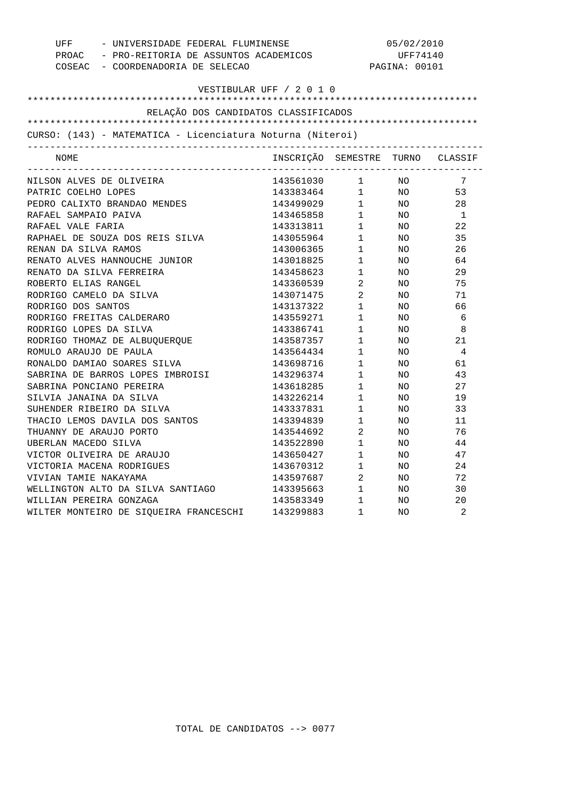| PROAC - PRO-REITORIA DE ASSUNTOS ACADEMICOS<br>UFF74140<br>COSEAC - COORDENADORIA DE SELECAO<br>PAGINA: 00101<br>VESTIBULAR UFF / 2 0 1 0<br>RELAÇÃO DOS CANDIDATOS CLASSIFICADOS<br>CURSO: (143) - MATEMATICA - Licenciatura Noturna (Niteroi)<br>INSCRIÇÃO SEMESTRE TURNO CLASSIF<br>NOME<br>143561030 1 NO<br>NILSON ALVES DE OLIVEIRA<br>7<br>143383464 1 NO<br>143499029 1 NO<br>143465858 1 NO<br>53<br>PATRIC COELHO LOPES<br>PEDRO CALIXTO BRANDAO MENDES<br>28<br>RAFAEL SAMPAIO PAIVA<br>$\overline{1}$<br>143313811 1 NO<br>RAFAEL VALE FARIA<br>22<br>$\begin{array}{ccc} 1 & & \text{NO} \\ 1 & & \text{NO} \\ 1 & & \text{NO} \\ \end{array}$<br>RAPHAEL DE SOUZA DOS REIS SILVA<br>143055964<br>35<br>RENAN DA SILVA RAMOS<br>26<br>143006365<br>RENATO ALVES HANNOUCHE JUNIOR<br>143018825<br>64<br>143458623 1<br>RENATO DA SILVA FERREIRA<br>29<br>NO<br>$\begin{array}{ccc} 143360539 & 2 \\ 143071475 & 2 \\ 143137322 & 1 \\ 143559271 & 1 \end{array}$<br>ROBERTO ELIAS RANGEL<br>NO<br>75<br>RODRIGO CAMELO DA SILVA<br>NO<br>71<br>RODRIGO DOS SANTOS<br>66<br>NO<br>RODRIGO FREITAS CALDERARO<br>NO<br>- 6<br>$1 \quad \Box$<br>RODRIGO LOPES DA SILVA<br>143386741<br>- 8<br>NO<br>RODRIGO THOMAZ DE ALBUQUERQUE<br>$\mathbf{1}$<br>143587357<br>NO<br>21<br>ROMULO ARAUJO DE PAULA<br>$\begin{array}{c} 1 \\ 1 \end{array}$<br>$\overline{4}$<br>143564434<br>NO.<br>143698716<br>RONALDO DAMIAO SOARES SILVA<br>NO<br>61<br>$1 \quad \blacksquare$<br>143296374<br>SABRINA DE BARROS LOPES IMBROISI<br>NO.<br>43<br>$1$ , $\qquad \qquad$<br>SABRINA PONCIANO PEREIRA<br>143618285<br>NO<br>27<br>$\begin{array}{c} 1 \\ 1 \end{array}$<br>SILVIA JANAINA DA SILVA<br>143226214<br>NO<br>19<br>SUHENDER RIBEIRO DA SILVA<br>143337831<br>NO<br>33<br>$1 \quad \blacksquare$<br>143394839<br>THACIO LEMOS DAVILA DOS SANTOS<br>NO<br>11<br>$\overline{2}$<br>THUANNY DE ARAUJO PORTO<br>76<br>143544692<br>NO<br>$\mathbf{1}$<br>UBERLAN MACEDO SILVA<br>143522890<br>44<br>NO.<br>143650427 1<br>143670312 1<br>VICTOR OLIVEIRA DE ARAUJO<br>47<br>NO<br>VICTORIA MACENA RODRIGUES<br>24<br>NO<br>143597687 2<br>VIVIAN TAMIE NAKAYAMA<br>72<br>NO<br>143395663 1 NO<br>WELLINGTON ALTO DA SILVA SANTIAGO<br>30<br>$\frac{1}{1}$<br>WILLIAN PEREIRA GONZAGA<br>143583349<br>NO<br>20 | UFF - UNIVERSIDADE FEDERAL FLUMINENSE  | 05/02/2010 |   |     |                |
|------------------------------------------------------------------------------------------------------------------------------------------------------------------------------------------------------------------------------------------------------------------------------------------------------------------------------------------------------------------------------------------------------------------------------------------------------------------------------------------------------------------------------------------------------------------------------------------------------------------------------------------------------------------------------------------------------------------------------------------------------------------------------------------------------------------------------------------------------------------------------------------------------------------------------------------------------------------------------------------------------------------------------------------------------------------------------------------------------------------------------------------------------------------------------------------------------------------------------------------------------------------------------------------------------------------------------------------------------------------------------------------------------------------------------------------------------------------------------------------------------------------------------------------------------------------------------------------------------------------------------------------------------------------------------------------------------------------------------------------------------------------------------------------------------------------------------------------------------------------------------------------------------------------------------------------------------------------------------------------------------------------------------------------------------------------------------------------------------------------------------------------------------------------------------------------------------------------------------------------------------------------------------------------------------------------|----------------------------------------|------------|---|-----|----------------|
|                                                                                                                                                                                                                                                                                                                                                                                                                                                                                                                                                                                                                                                                                                                                                                                                                                                                                                                                                                                                                                                                                                                                                                                                                                                                                                                                                                                                                                                                                                                                                                                                                                                                                                                                                                                                                                                                                                                                                                                                                                                                                                                                                                                                                                                                                                                  |                                        |            |   |     |                |
|                                                                                                                                                                                                                                                                                                                                                                                                                                                                                                                                                                                                                                                                                                                                                                                                                                                                                                                                                                                                                                                                                                                                                                                                                                                                                                                                                                                                                                                                                                                                                                                                                                                                                                                                                                                                                                                                                                                                                                                                                                                                                                                                                                                                                                                                                                                  |                                        |            |   |     |                |
|                                                                                                                                                                                                                                                                                                                                                                                                                                                                                                                                                                                                                                                                                                                                                                                                                                                                                                                                                                                                                                                                                                                                                                                                                                                                                                                                                                                                                                                                                                                                                                                                                                                                                                                                                                                                                                                                                                                                                                                                                                                                                                                                                                                                                                                                                                                  |                                        |            |   |     |                |
|                                                                                                                                                                                                                                                                                                                                                                                                                                                                                                                                                                                                                                                                                                                                                                                                                                                                                                                                                                                                                                                                                                                                                                                                                                                                                                                                                                                                                                                                                                                                                                                                                                                                                                                                                                                                                                                                                                                                                                                                                                                                                                                                                                                                                                                                                                                  |                                        |            |   |     |                |
|                                                                                                                                                                                                                                                                                                                                                                                                                                                                                                                                                                                                                                                                                                                                                                                                                                                                                                                                                                                                                                                                                                                                                                                                                                                                                                                                                                                                                                                                                                                                                                                                                                                                                                                                                                                                                                                                                                                                                                                                                                                                                                                                                                                                                                                                                                                  |                                        |            |   |     |                |
|                                                                                                                                                                                                                                                                                                                                                                                                                                                                                                                                                                                                                                                                                                                                                                                                                                                                                                                                                                                                                                                                                                                                                                                                                                                                                                                                                                                                                                                                                                                                                                                                                                                                                                                                                                                                                                                                                                                                                                                                                                                                                                                                                                                                                                                                                                                  |                                        |            |   |     |                |
|                                                                                                                                                                                                                                                                                                                                                                                                                                                                                                                                                                                                                                                                                                                                                                                                                                                                                                                                                                                                                                                                                                                                                                                                                                                                                                                                                                                                                                                                                                                                                                                                                                                                                                                                                                                                                                                                                                                                                                                                                                                                                                                                                                                                                                                                                                                  |                                        |            |   |     |                |
|                                                                                                                                                                                                                                                                                                                                                                                                                                                                                                                                                                                                                                                                                                                                                                                                                                                                                                                                                                                                                                                                                                                                                                                                                                                                                                                                                                                                                                                                                                                                                                                                                                                                                                                                                                                                                                                                                                                                                                                                                                                                                                                                                                                                                                                                                                                  |                                        |            |   |     |                |
|                                                                                                                                                                                                                                                                                                                                                                                                                                                                                                                                                                                                                                                                                                                                                                                                                                                                                                                                                                                                                                                                                                                                                                                                                                                                                                                                                                                                                                                                                                                                                                                                                                                                                                                                                                                                                                                                                                                                                                                                                                                                                                                                                                                                                                                                                                                  |                                        |            |   |     |                |
|                                                                                                                                                                                                                                                                                                                                                                                                                                                                                                                                                                                                                                                                                                                                                                                                                                                                                                                                                                                                                                                                                                                                                                                                                                                                                                                                                                                                                                                                                                                                                                                                                                                                                                                                                                                                                                                                                                                                                                                                                                                                                                                                                                                                                                                                                                                  |                                        |            |   |     |                |
|                                                                                                                                                                                                                                                                                                                                                                                                                                                                                                                                                                                                                                                                                                                                                                                                                                                                                                                                                                                                                                                                                                                                                                                                                                                                                                                                                                                                                                                                                                                                                                                                                                                                                                                                                                                                                                                                                                                                                                                                                                                                                                                                                                                                                                                                                                                  |                                        |            |   |     |                |
|                                                                                                                                                                                                                                                                                                                                                                                                                                                                                                                                                                                                                                                                                                                                                                                                                                                                                                                                                                                                                                                                                                                                                                                                                                                                                                                                                                                                                                                                                                                                                                                                                                                                                                                                                                                                                                                                                                                                                                                                                                                                                                                                                                                                                                                                                                                  |                                        |            |   |     |                |
|                                                                                                                                                                                                                                                                                                                                                                                                                                                                                                                                                                                                                                                                                                                                                                                                                                                                                                                                                                                                                                                                                                                                                                                                                                                                                                                                                                                                                                                                                                                                                                                                                                                                                                                                                                                                                                                                                                                                                                                                                                                                                                                                                                                                                                                                                                                  |                                        |            |   |     |                |
|                                                                                                                                                                                                                                                                                                                                                                                                                                                                                                                                                                                                                                                                                                                                                                                                                                                                                                                                                                                                                                                                                                                                                                                                                                                                                                                                                                                                                                                                                                                                                                                                                                                                                                                                                                                                                                                                                                                                                                                                                                                                                                                                                                                                                                                                                                                  |                                        |            |   |     |                |
|                                                                                                                                                                                                                                                                                                                                                                                                                                                                                                                                                                                                                                                                                                                                                                                                                                                                                                                                                                                                                                                                                                                                                                                                                                                                                                                                                                                                                                                                                                                                                                                                                                                                                                                                                                                                                                                                                                                                                                                                                                                                                                                                                                                                                                                                                                                  |                                        |            |   |     |                |
|                                                                                                                                                                                                                                                                                                                                                                                                                                                                                                                                                                                                                                                                                                                                                                                                                                                                                                                                                                                                                                                                                                                                                                                                                                                                                                                                                                                                                                                                                                                                                                                                                                                                                                                                                                                                                                                                                                                                                                                                                                                                                                                                                                                                                                                                                                                  |                                        |            |   |     |                |
|                                                                                                                                                                                                                                                                                                                                                                                                                                                                                                                                                                                                                                                                                                                                                                                                                                                                                                                                                                                                                                                                                                                                                                                                                                                                                                                                                                                                                                                                                                                                                                                                                                                                                                                                                                                                                                                                                                                                                                                                                                                                                                                                                                                                                                                                                                                  |                                        |            |   |     |                |
|                                                                                                                                                                                                                                                                                                                                                                                                                                                                                                                                                                                                                                                                                                                                                                                                                                                                                                                                                                                                                                                                                                                                                                                                                                                                                                                                                                                                                                                                                                                                                                                                                                                                                                                                                                                                                                                                                                                                                                                                                                                                                                                                                                                                                                                                                                                  |                                        |            |   |     |                |
|                                                                                                                                                                                                                                                                                                                                                                                                                                                                                                                                                                                                                                                                                                                                                                                                                                                                                                                                                                                                                                                                                                                                                                                                                                                                                                                                                                                                                                                                                                                                                                                                                                                                                                                                                                                                                                                                                                                                                                                                                                                                                                                                                                                                                                                                                                                  |                                        |            |   |     |                |
|                                                                                                                                                                                                                                                                                                                                                                                                                                                                                                                                                                                                                                                                                                                                                                                                                                                                                                                                                                                                                                                                                                                                                                                                                                                                                                                                                                                                                                                                                                                                                                                                                                                                                                                                                                                                                                                                                                                                                                                                                                                                                                                                                                                                                                                                                                                  |                                        |            |   |     |                |
|                                                                                                                                                                                                                                                                                                                                                                                                                                                                                                                                                                                                                                                                                                                                                                                                                                                                                                                                                                                                                                                                                                                                                                                                                                                                                                                                                                                                                                                                                                                                                                                                                                                                                                                                                                                                                                                                                                                                                                                                                                                                                                                                                                                                                                                                                                                  |                                        |            |   |     |                |
|                                                                                                                                                                                                                                                                                                                                                                                                                                                                                                                                                                                                                                                                                                                                                                                                                                                                                                                                                                                                                                                                                                                                                                                                                                                                                                                                                                                                                                                                                                                                                                                                                                                                                                                                                                                                                                                                                                                                                                                                                                                                                                                                                                                                                                                                                                                  |                                        |            |   |     |                |
|                                                                                                                                                                                                                                                                                                                                                                                                                                                                                                                                                                                                                                                                                                                                                                                                                                                                                                                                                                                                                                                                                                                                                                                                                                                                                                                                                                                                                                                                                                                                                                                                                                                                                                                                                                                                                                                                                                                                                                                                                                                                                                                                                                                                                                                                                                                  |                                        |            |   |     |                |
|                                                                                                                                                                                                                                                                                                                                                                                                                                                                                                                                                                                                                                                                                                                                                                                                                                                                                                                                                                                                                                                                                                                                                                                                                                                                                                                                                                                                                                                                                                                                                                                                                                                                                                                                                                                                                                                                                                                                                                                                                                                                                                                                                                                                                                                                                                                  |                                        |            |   |     |                |
|                                                                                                                                                                                                                                                                                                                                                                                                                                                                                                                                                                                                                                                                                                                                                                                                                                                                                                                                                                                                                                                                                                                                                                                                                                                                                                                                                                                                                                                                                                                                                                                                                                                                                                                                                                                                                                                                                                                                                                                                                                                                                                                                                                                                                                                                                                                  |                                        |            |   |     |                |
|                                                                                                                                                                                                                                                                                                                                                                                                                                                                                                                                                                                                                                                                                                                                                                                                                                                                                                                                                                                                                                                                                                                                                                                                                                                                                                                                                                                                                                                                                                                                                                                                                                                                                                                                                                                                                                                                                                                                                                                                                                                                                                                                                                                                                                                                                                                  |                                        |            |   |     |                |
|                                                                                                                                                                                                                                                                                                                                                                                                                                                                                                                                                                                                                                                                                                                                                                                                                                                                                                                                                                                                                                                                                                                                                                                                                                                                                                                                                                                                                                                                                                                                                                                                                                                                                                                                                                                                                                                                                                                                                                                                                                                                                                                                                                                                                                                                                                                  |                                        |            |   |     |                |
|                                                                                                                                                                                                                                                                                                                                                                                                                                                                                                                                                                                                                                                                                                                                                                                                                                                                                                                                                                                                                                                                                                                                                                                                                                                                                                                                                                                                                                                                                                                                                                                                                                                                                                                                                                                                                                                                                                                                                                                                                                                                                                                                                                                                                                                                                                                  |                                        |            |   |     |                |
|                                                                                                                                                                                                                                                                                                                                                                                                                                                                                                                                                                                                                                                                                                                                                                                                                                                                                                                                                                                                                                                                                                                                                                                                                                                                                                                                                                                                                                                                                                                                                                                                                                                                                                                                                                                                                                                                                                                                                                                                                                                                                                                                                                                                                                                                                                                  |                                        |            |   |     |                |
|                                                                                                                                                                                                                                                                                                                                                                                                                                                                                                                                                                                                                                                                                                                                                                                                                                                                                                                                                                                                                                                                                                                                                                                                                                                                                                                                                                                                                                                                                                                                                                                                                                                                                                                                                                                                                                                                                                                                                                                                                                                                                                                                                                                                                                                                                                                  |                                        |            |   |     |                |
|                                                                                                                                                                                                                                                                                                                                                                                                                                                                                                                                                                                                                                                                                                                                                                                                                                                                                                                                                                                                                                                                                                                                                                                                                                                                                                                                                                                                                                                                                                                                                                                                                                                                                                                                                                                                                                                                                                                                                                                                                                                                                                                                                                                                                                                                                                                  |                                        |            |   |     |                |
|                                                                                                                                                                                                                                                                                                                                                                                                                                                                                                                                                                                                                                                                                                                                                                                                                                                                                                                                                                                                                                                                                                                                                                                                                                                                                                                                                                                                                                                                                                                                                                                                                                                                                                                                                                                                                                                                                                                                                                                                                                                                                                                                                                                                                                                                                                                  |                                        |            |   |     |                |
|                                                                                                                                                                                                                                                                                                                                                                                                                                                                                                                                                                                                                                                                                                                                                                                                                                                                                                                                                                                                                                                                                                                                                                                                                                                                                                                                                                                                                                                                                                                                                                                                                                                                                                                                                                                                                                                                                                                                                                                                                                                                                                                                                                                                                                                                                                                  |                                        |            |   |     |                |
|                                                                                                                                                                                                                                                                                                                                                                                                                                                                                                                                                                                                                                                                                                                                                                                                                                                                                                                                                                                                                                                                                                                                                                                                                                                                                                                                                                                                                                                                                                                                                                                                                                                                                                                                                                                                                                                                                                                                                                                                                                                                                                                                                                                                                                                                                                                  |                                        |            |   |     |                |
|                                                                                                                                                                                                                                                                                                                                                                                                                                                                                                                                                                                                                                                                                                                                                                                                                                                                                                                                                                                                                                                                                                                                                                                                                                                                                                                                                                                                                                                                                                                                                                                                                                                                                                                                                                                                                                                                                                                                                                                                                                                                                                                                                                                                                                                                                                                  |                                        |            |   |     |                |
|                                                                                                                                                                                                                                                                                                                                                                                                                                                                                                                                                                                                                                                                                                                                                                                                                                                                                                                                                                                                                                                                                                                                                                                                                                                                                                                                                                                                                                                                                                                                                                                                                                                                                                                                                                                                                                                                                                                                                                                                                                                                                                                                                                                                                                                                                                                  |                                        |            |   |     |                |
|                                                                                                                                                                                                                                                                                                                                                                                                                                                                                                                                                                                                                                                                                                                                                                                                                                                                                                                                                                                                                                                                                                                                                                                                                                                                                                                                                                                                                                                                                                                                                                                                                                                                                                                                                                                                                                                                                                                                                                                                                                                                                                                                                                                                                                                                                                                  |                                        |            |   |     |                |
|                                                                                                                                                                                                                                                                                                                                                                                                                                                                                                                                                                                                                                                                                                                                                                                                                                                                                                                                                                                                                                                                                                                                                                                                                                                                                                                                                                                                                                                                                                                                                                                                                                                                                                                                                                                                                                                                                                                                                                                                                                                                                                                                                                                                                                                                                                                  |                                        |            |   |     |                |
|                                                                                                                                                                                                                                                                                                                                                                                                                                                                                                                                                                                                                                                                                                                                                                                                                                                                                                                                                                                                                                                                                                                                                                                                                                                                                                                                                                                                                                                                                                                                                                                                                                                                                                                                                                                                                                                                                                                                                                                                                                                                                                                                                                                                                                                                                                                  | WILTER MONTEIRO DE SIQUEIRA FRANCESCHI | 143299883  | 1 | NO. | $\overline{2}$ |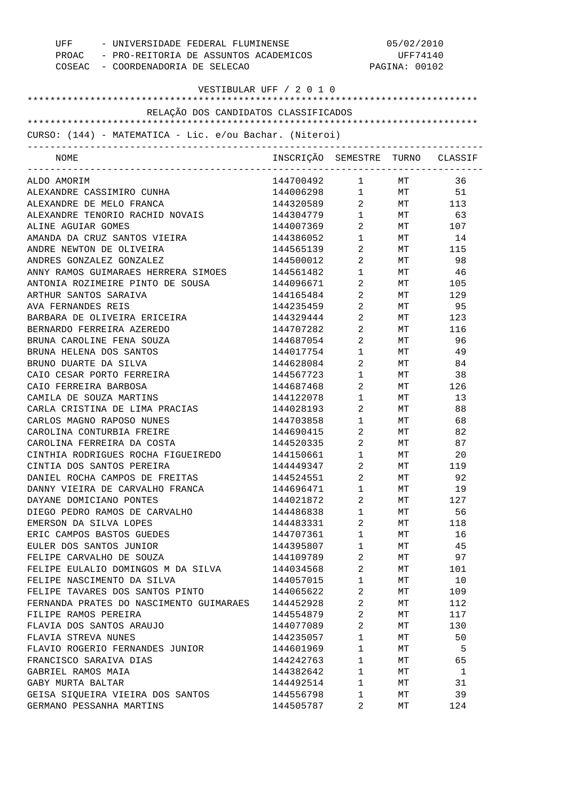| UFF - UNIVERSIDADE FEDERAL FLUMINENSE<br>PROAC - PRO-REITORIA DE ASSUNTOS ACADEMICOS<br>COSEAC - COORDENADORIA DE SELECAO |                                  |                                                  | 05/02/2010<br>UFF74140<br>PAGINA: 00102 |           |
|---------------------------------------------------------------------------------------------------------------------------|----------------------------------|--------------------------------------------------|-----------------------------------------|-----------|
| VESTIBULAR UFF / 2 0 1 0                                                                                                  |                                  |                                                  |                                         |           |
| RELAÇÃO DOS CANDIDATOS CLASSIFICADOS                                                                                      |                                  |                                                  |                                         |           |
|                                                                                                                           |                                  |                                                  |                                         |           |
| CURSO: (144) - MATEMATICA - Lic. e/ou Bachar. (Niteroi)                                                                   |                                  |                                                  |                                         |           |
| NOME                                                                                                                      | INSCRIÇÃO SEMESTRE TURNO CLASSIF |                                                  |                                         |           |
| ALDO AMORIM                                                                                                               | 144700492 1                      |                                                  | MT                                      | 36        |
| ALEXANDRE CASSIMIRO CUNHA                                                                                                 | 144006298 1 MT 51                |                                                  |                                         |           |
| ALEXANDRE DE MELO FRANCA                                                                                                  | 144320589 2 MT 113               |                                                  |                                         |           |
| ALEXANDRE TENORIO RACHID NOVAIS                                                                                           | 144304779                        | $1 \quad \blacksquare$                           | MT                                      | 63        |
| ALINE AGUIAR GOMES                                                                                                        | 144007369                        | $2 \left( \frac{1}{2} \right)$                   |                                         | MT 107    |
| AMANDA DA CRUZ SANTOS VIEIRA                                                                                              | 144386052                        | $1 \qquad \qquad$                                | MT                                      | 14        |
| ANDRE NEWTON DE OLIVEIRA                                                                                                  | 144565139                        | $\overline{2}$                                   |                                         | MT 115    |
| ANDRES GONZALEZ GONZALEZ                                                                                                  | 144500012                        | $\overline{2}$                                   | MT                                      | 98        |
| ANNY RAMOS GUIMARAES HERRERA SIMOES                                                                                       | 144561482                        | $1 \quad \blacksquare$                           | MT                                      | -46       |
| ANTONIA ROZIMEIRE PINTO DE SOUSA                                                                                          | 144096671                        | $\mathbf{2}$                                     | MT                                      | 105       |
| ARTHUR SANTOS SARAIVA                                                                                                     | 144165484                        | $2 \left( \frac{1}{2} \right)$                   | MT                                      | 129       |
| AVA FERNANDES REIS                                                                                                        | 144235459                        | $\overline{2}$                                   | MT                                      | 95        |
| BARBARA DE OLIVEIRA ERICEIRA                                                                                              | 144329444                        | $2 \qquad \qquad$                                | MT                                      | 123       |
| BERNARDO FERREIRA AZEREDO                                                                                                 | 144707282                        | $\overline{2}$                                   | MT                                      | 116       |
| BRUNA CAROLINE FENA SOUZA                                                                                                 | 144687054                        | $\mathbf{2}$                                     | МT                                      | 96        |
| BRUNA HELENA DOS SANTOS                                                                                                   | 144017754                        | $\mathbf{1}$                                     | МT                                      | 49        |
| BRUNO DUARTE DA SILVA                                                                                                     | 144628084                        | $\overline{a}$                                   | МT                                      | 84        |
| CAIO CESAR PORTO FERREIRA                                                                                                 | 144567723                        | $\mathbf{1}$                                     | MT                                      | 38        |
| CAIO FERREIRA BARBOSA                                                                                                     | 144687468                        | $\overline{2}$                                   | MT                                      | 126       |
| CAMILA DE SOUZA MARTINS                                                                                                   | 144122078                        | $\mathbf{1}$                                     | МT                                      | 13        |
| CARLA CRISTINA DE LIMA PRACIAS                                                                                            | 144028193                        | $2 \left( \frac{1}{2} \right)$                   | МT                                      | 88        |
| CARLOS MAGNO RAPOSO NUNES                                                                                                 | 144703858                        | $1 \quad \Box$                                   | MT                                      | 68        |
| CAROLINA CONTURBIA FREIRE                                                                                                 | 144690415                        | $\overline{2}$<br>$2 \left( \frac{1}{2} \right)$ | MT                                      | 82        |
| CAROLINA FERREIRA DA COSTA                                                                                                | 144520335<br>144150661           | $\mathbf{1}$                                     | МT                                      | 87        |
| CINTHIA RODRIGUES ROCHA FIGUEIREDO                                                                                        |                                  |                                                  | МT                                      | 20        |
| CINTIA DOS SANTOS PEREIRA<br>DANIEL ROCHA CAMPOS DE FREITAS                                                               | 144449347<br>144524551           | 2<br>2                                           | МT                                      | 119<br>92 |
| DANNY VIEIRA DE CARVALHO FRANCA                                                                                           | 144696471                        | $\mathbf{1}$                                     | МT<br>МT                                | 19        |
| DAYANE DOMICIANO PONTES                                                                                                   | 144021872                        | 2                                                | МT                                      | 127       |
| DIEGO PEDRO RAMOS DE CARVALHO                                                                                             | 144486838                        | 1                                                | МT                                      | 56        |
| EMERSON DA SILVA LOPES                                                                                                    | 144483331                        | 2                                                | МT                                      | 118       |
| ERIC CAMPOS BASTOS GUEDES                                                                                                 | 144707361                        | $\mathbf{1}$                                     | МT                                      | 16        |
| EULER DOS SANTOS JUNIOR                                                                                                   | 144395807                        | 1                                                | МT                                      | 45        |
| FELIPE CARVALHO DE SOUZA                                                                                                  | 144109789                        | 2                                                | МT                                      | 97        |
| FELIPE EULALIO DOMINGOS M DA SILVA                                                                                        | 144034568                        | 2                                                | МT                                      | 101       |
| FELIPE NASCIMENTO DA SILVA                                                                                                | 144057015                        | $\mathbf{1}$                                     | МT                                      | 10        |
| FELIPE TAVARES DOS SANTOS PINTO                                                                                           | 144065622                        | 2                                                | МT                                      | 109       |
| FERNANDA PRATES DO NASCIMENTO GUIMARAES                                                                                   | 144452928                        | 2                                                | МT                                      | 112       |
| FILIPE RAMOS PEREIRA                                                                                                      | 144554879                        | 2                                                | МT                                      | 117       |
| FLAVIA DOS SANTOS ARAUJO                                                                                                  | 144077089                        | 2                                                | МT                                      | 130       |
| FLAVIA STREVA NUNES                                                                                                       | 144235057                        | $\mathbf{1}$                                     | МT                                      | 50        |
| FLAVIO ROGERIO FERNANDES JUNIOR                                                                                           | 144601969                        | $\mathbf{1}$                                     | МT                                      | 5         |
| FRANCISCO SARAIVA DIAS                                                                                                    | 144242763                        | $\mathbf{1}$                                     | МT                                      | 65        |
| GABRIEL RAMOS MAIA                                                                                                        | 144382642                        | $\mathbf{1}$                                     | МT                                      | 1         |
| GABY MURTA BALTAR                                                                                                         | 144492514                        | $\mathbf{1}$                                     | МT                                      | 31        |
| GEISA SIQUEIRA VIEIRA DOS SANTOS                                                                                          | 144556798                        | 1                                                | МT                                      | 39        |
| GERMANO PESSANHA MARTINS                                                                                                  | 144505787                        | 2                                                | МT                                      | 124       |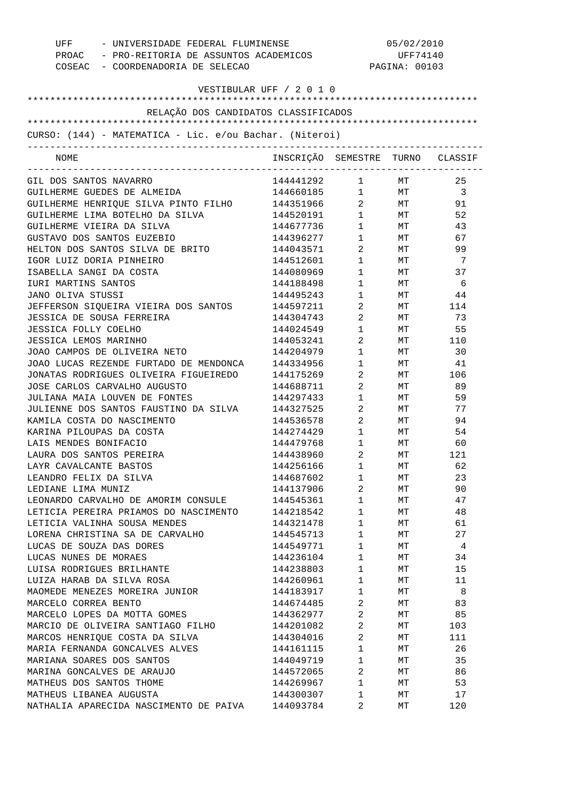| UFF - UNIVERSIDADE FEDERAL FLUMINENSE<br>PROAC - PRO-REITORIA DE ASSUNTOS ACADEMICOS<br>COSEAC - COORDENADORIA DE SELECAO |                                  | 05/02/2010<br>UFF74140<br>PAGINA: 00103 |                     |         |
|---------------------------------------------------------------------------------------------------------------------------|----------------------------------|-----------------------------------------|---------------------|---------|
| VESTIBULAR UFF / 2 0 1 0                                                                                                  |                                  |                                         |                     |         |
| RELAÇÃO DOS CANDIDATOS CLASSIFICADOS                                                                                      |                                  |                                         |                     |         |
|                                                                                                                           |                                  |                                         |                     |         |
| CURSO: (144) - MATEMATICA - Lic. e/ou Bachar. (Niteroi)                                                                   |                                  |                                         |                     |         |
| NOME<br>________________________________                                                                                  | INSCRIÇÃO SEMESTRE TURNO CLASSIF |                                         |                     |         |
| GIL DOS SANTOS NAVARRO                                                                                                    | 144441292 1 MT                   |                                         |                     | 25      |
| GUILHERME GUEDES DE ALMEIDA                                                                                               | 144660185 1 MT 3                 |                                         |                     |         |
| GUILHERME HENRIQUE SILVA PINTO FILHO 144351966                                                                            |                                  |                                         | $2$ MT              | 91      |
| GUILHERME LIMA BOTELHO DA SILVA                                                                                           | 144520191                        |                                         | $1$ MT              | 52      |
| GUILHERME VIEIRA DA SILVA                                                                                                 | 144677736                        | $1 \qquad \qquad$                       | MT                  | 43      |
| GUSTAVO DOS SANTOS EUZEBIO                                                                                                | 144396277                        | $1 \qquad \qquad$                       | MT                  | 67      |
| HELTON DOS SANTOS SILVA DE BRITO                                                                                          | 144043571                        | $\overline{2}$                          | MT                  | 99      |
| IGOR LUIZ DORIA PINHEIRO                                                                                                  | 144512601                        | $1 \qquad \qquad$                       | <b>MT</b>           | - 7     |
| ISABELLA SANGI DA COSTA                                                                                                   | 144080969                        | $1 \quad \blacksquare$                  | MT                  | 37      |
| IURI MARTINS SANTOS                                                                                                       | 144188498                        | $1 \quad \blacksquare$                  | MT                  | 6       |
| JANO OLIVA STUSSI                                                                                                         | 144495243                        | $1 \quad \blacksquare$                  |                     | $MT$ 44 |
| JEFFERSON SIQUEIRA VIEIRA DOS SANTOS                                                                                      | 144597211                        | $\overline{2}$                          |                     | MT 114  |
| JESSICA DE SOUSA FERREIRA                                                                                                 | 144304743                        | $\overline{2}$                          | MT                  | 73      |
| <b>JESSICA FOLLY COELHO</b>                                                                                               | 144024549                        | $1 \quad \blacksquare$                  | MT                  | 55      |
| JESSICA LEMOS MARINHO                                                                                                     | 144053241                        | $2 \left( \frac{1}{2} \right)$          |                     | MT 110  |
| JOAO CAMPOS DE OLIVEIRA NETO                                                                                              | 144204979                        | $1 \qquad \qquad$                       | MT                  | 30      |
| JOAO LUCAS REZENDE FURTADO DE MENDONCA                                                                                    | 144334956                        | $1 \quad \blacksquare$                  | $\operatorname{MT}$ | 41      |
| JONATAS RODRIGUES OLIVEIRA FIGUEIREDO                                                                                     | 144175269                        | $2 \left( \frac{1}{2} \right)$          |                     | MT 106  |
| JOSE CARLOS CARVALHO AUGUSTO                                                                                              | 144688711                        | $2 \left( \frac{1}{2} \right)$          | MT                  | 89      |
| JULIANA MAIA LOUVEN DE FONTES                                                                                             | 144297433                        | $1 \quad \blacksquare$                  | MT                  | 59      |
| JULIENNE DOS SANTOS FAUSTINO DA SILVA                                                                                     | 144327525                        | $2 \left( \frac{1}{2} \right)$          | MT                  | 77      |
| KAMILA COSTA DO NASCIMENTO                                                                                                | 144536578                        | $\overline{2}$                          | MT                  | 94      |
| KARINA PILOUPAS DA COSTA                                                                                                  | 144274429                        | $1 \quad \blacksquare$                  | MT                  | 54      |
| LAIS MENDES BONIFACIO                                                                                                     | 144479768                        | $1 \quad \blacksquare$                  | $\operatorname{MT}$ | 60      |
| LAURA DOS SANTOS PEREIRA                                                                                                  | 144438960                        | $2 \left( \frac{1}{2} \right)$          | МT                  | 121     |
| LAYR CAVALCANTE BASTOS                                                                                                    | 144256166                        | 1                                       | MТ                  | 62      |
| LEANDRO FELIX DA SILVA                                                                                                    | 144687602                        | $\mathbf{1}$                            | MТ                  | 23      |
| LEDIANE LIMA MUNIZ                                                                                                        | 144137906                        | 2                                       | МT                  | 90      |
| LEONARDO CARVALHO DE AMORIM CONSULE                                                                                       | 144545361                        | $\mathbf{1}$                            | МT                  | 47      |
| LETICIA PEREIRA PRIAMOS DO NASCIMENTO                                                                                     | 144218542                        | $\mathbf{1}$                            | МT                  | 48      |
| LETICIA VALINHA SOUSA MENDES                                                                                              | 144321478                        | $\mathbf{1}$                            | МT                  | 61      |
| LORENA CHRISTINA SA DE CARVALHO                                                                                           | 144545713                        | $\mathbf{1}$                            | МT                  | 27      |
| LUCAS DE SOUZA DAS DORES                                                                                                  | 144549771                        | $\mathbf{1}$                            | МT                  | 4       |
| LUCAS NUNES DE MORAES                                                                                                     | 144236104                        | $\mathbf{1}$                            | МT                  | 34      |
| LUISA RODRIGUES BRILHANTE                                                                                                 | 144238803                        | $\mathbf{1}$                            | МT                  | 15      |
| LUIZA HARAB DA SILVA ROSA                                                                                                 | 144260961                        | $\mathbf{1}$                            | МT                  | 11      |
| MAOMEDE MENEZES MOREIRA JUNIOR                                                                                            | 144183917                        | $\mathbf{1}$                            | МT                  | 8       |
| MARCELO CORREA BENTO                                                                                                      | 144674485                        | 2                                       | МT                  | 83      |
| MARCELO LOPES DA MOTTA GOMES                                                                                              | 144362977                        | 2                                       | МT                  | 85      |
| MARCIO DE OLIVEIRA SANTIAGO FILHO                                                                                         | 144201082                        | 2                                       | МT                  | 103     |
| MARCOS HENRIQUE COSTA DA SILVA                                                                                            | 144304016                        | 2                                       | МT                  | 111     |
| MARIA FERNANDA GONCALVES ALVES                                                                                            | 144161115                        | $\mathbf{1}$                            | МT                  | 26      |
| MARIANA SOARES DOS SANTOS                                                                                                 | 144049719                        | $\mathbf{1}$                            | МT                  | 35      |
| MARINA GONCALVES DE ARAUJO                                                                                                | 144572065                        | 2                                       | МT                  | 86      |
| MATHEUS DOS SANTOS THOME                                                                                                  | 144269967                        | $\mathbf{1}$                            | МT                  | 53      |
| MATHEUS LIBANEA AUGUSTA                                                                                                   | 144300307                        | $\mathbf{1}$                            | МT                  | 17      |
| NATHALIA APARECIDA NASCIMENTO DE PAIVA                                                                                    | 144093784                        | 2                                       | МT                  | 120     |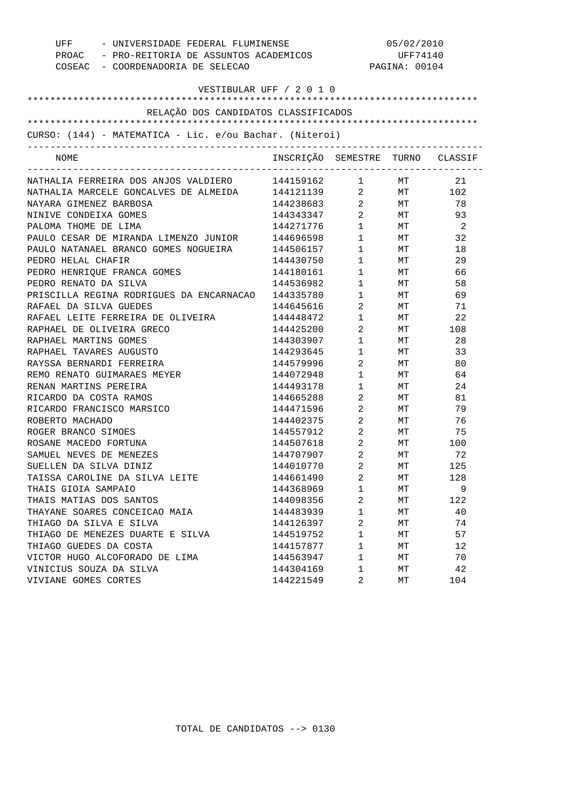| UFF - UNIVERSIDADE FEDERAL FLUMINENSE                    |                                  | 05/02/2010     |                                                                                                                                                                                                                                           |        |
|----------------------------------------------------------|----------------------------------|----------------|-------------------------------------------------------------------------------------------------------------------------------------------------------------------------------------------------------------------------------------------|--------|
| PROAC - PRO-REITORIA DE ASSUNTOS ACADEMICOS              |                                  | UFF74140       |                                                                                                                                                                                                                                           |        |
| COSEAC - COORDENADORIA DE SELECAO                        |                                  | PAGINA: 00104  |                                                                                                                                                                                                                                           |        |
| VESTIBULAR UFF / 2 0 1 0                                 |                                  |                |                                                                                                                                                                                                                                           |        |
|                                                          |                                  |                |                                                                                                                                                                                                                                           |        |
| RELAÇÃO DOS CANDIDATOS CLASSIFICADOS                     |                                  |                |                                                                                                                                                                                                                                           |        |
|                                                          |                                  |                |                                                                                                                                                                                                                                           |        |
| CURSO: (144) - MATEMATICA - Lic. e/ou Bachar. (Niteroi)  |                                  |                |                                                                                                                                                                                                                                           |        |
| NOME                                                     | INSCRIÇÃO SEMESTRE TURNO CLASSIF |                |                                                                                                                                                                                                                                           |        |
|                                                          |                                  |                |                                                                                                                                                                                                                                           |        |
| NATHALIA FERREIRA DOS ANJOS VALDIERO 144159162 1 MT      |                                  |                |                                                                                                                                                                                                                                           | 21     |
| NATHALIA MARCELE GONCALVES DE ALMEIDA 144121139 2 MT 102 |                                  |                |                                                                                                                                                                                                                                           |        |
| NAYARA GIMENEZ BARBOSA                                   | 144238683 2 MT                   |                |                                                                                                                                                                                                                                           | 78     |
| NINIVE CONDEIXA GOMES                                    | 144343347 2 MT                   |                |                                                                                                                                                                                                                                           | 93     |
| PALOMA THOME DE LIMA                                     | 144271776                        |                | $\begin{matrix} 1 \hspace{2.3cm} &\hspace{2.3cm} &\hspace{2.3cm} &\hspace{2.3cm} \hspace{2.3cm} &\hspace{2.3cm} \hspace{2.3cm} &\hspace{2.3cm} \hspace{2.3cm} &\hspace{2.3cm} \hspace{2.3cm} &\hspace{2.3cm} \hspace{2.3cm} \end{matrix}$ |        |
| PAULO CESAR DE MIRANDA LIMENZO JUNIOR 144696598          |                                  |                | $1$ MT                                                                                                                                                                                                                                    | 32     |
| PAULO NATANAEL BRANCO GOMES NOGUEIRA 144506157           |                                  |                | $1$ MT                                                                                                                                                                                                                                    | 18     |
| PEDRO HELAL CHAFIR                                       | 144430750                        |                | 1 MT                                                                                                                                                                                                                                      | 29     |
| PEDRO HENRIQUE FRANCA GOMES                              | 144180161                        |                | $1$ MT                                                                                                                                                                                                                                    | 66     |
| PEDRO RENATO DA SILVA                                    | 144536982                        |                | $1$ MT                                                                                                                                                                                                                                    | 58     |
| PRISCILLA REGINA RODRIGUES DA ENCARNACAO 144335780       |                                  | $1 \quad \Box$ | MT <sub>1</sub>                                                                                                                                                                                                                           | 69     |
| RAFAEL DA SILVA GUEDES                                   | 144645616                        | $\overline{2}$ | MT <sub>1</sub>                                                                                                                                                                                                                           | 71     |
| RAFAEL LEITE FERREIRA DE OLIVEIRA                        | 144448472                        | $1 \quad \Box$ | MT <sub>1</sub>                                                                                                                                                                                                                           | 22     |
| RAPHAEL DE OLIVEIRA GRECO                                | 144425200                        | $\overline{2}$ |                                                                                                                                                                                                                                           | MT 108 |
| RAPHAEL MARTINS GOMES                                    | 144303907                        | $1 \quad \Box$ | MT                                                                                                                                                                                                                                        | 28     |
| RAPHAEL TAVARES AUGUSTO                                  | 144293645                        | $1 \quad \Box$ | MT                                                                                                                                                                                                                                        | 33     |
| RAYSSA BERNARDI FERREIRA                                 | 144579996                        | $\overline{2}$ | MT                                                                                                                                                                                                                                        | 80     |
| REMO RENATO GUIMARAES MEYER                              | 144072948                        | $1 \quad \Box$ | MT <sub>1</sub>                                                                                                                                                                                                                           | 64     |
| RENAN MARTINS PEREIRA                                    | 144493178                        | $1 \quad \Box$ | MT                                                                                                                                                                                                                                        | 24     |
| RICARDO DA COSTA RAMOS                                   | 144665288                        | $\overline{2}$ | MT                                                                                                                                                                                                                                        | 81     |
| RICARDO FRANCISCO MARSICO                                | 144471596                        | $\overline{2}$ | <b>MT</b>                                                                                                                                                                                                                                 | 79     |
| ROBERTO MACHADO                                          | 144402375 2                      |                | MT <sub>1</sub>                                                                                                                                                                                                                           | 76     |
| ROGER BRANCO SIMOES                                      | 144557912 2                      |                | <b>MT</b>                                                                                                                                                                                                                                 | 75     |
| ROSANE MACEDO FORTUNA                                    | 144507618                        | $\overline{2}$ | MT <sub>1</sub>                                                                                                                                                                                                                           | 100    |
| SAMUEL NEVES DE MENEZES                                  | 144707907                        | $\overline{2}$ | MT                                                                                                                                                                                                                                        | 72     |
| SUELLEN DA SILVA DINIZ                                   | 144010770                        | 2              | МT                                                                                                                                                                                                                                        | 125    |
| TAISSA CAROLINE DA SILVA LEITE                           | 144661490                        | 2              | МT                                                                                                                                                                                                                                        | 128    |
| THAIS GIOIA SAMPAIO                                      | 144368969                        | $\mathbf 1$    | МT                                                                                                                                                                                                                                        | 9      |
| THAIS MATIAS DOS SANTOS                                  | 144098356                        | 2              | МT                                                                                                                                                                                                                                        | 122    |
| THAYANE SOARES CONCEICAO MAIA                            | 144483939                        | 1              | МT                                                                                                                                                                                                                                        | 40     |
| THIAGO DA SILVA E SILVA                                  | 144126397                        | 2              | МT                                                                                                                                                                                                                                        | 74     |
| THIAGO DE MENEZES DUARTE E SILVA                         | 144519752                        | $\mathbf 1$    | МT                                                                                                                                                                                                                                        | 57     |
| THIAGO GUEDES DA COSTA                                   | 144157877                        | 1              | МT                                                                                                                                                                                                                                        | 12     |
| VICTOR HUGO ALCOFORADO DE LIMA                           | 144563947                        | 1              | MТ                                                                                                                                                                                                                                        | 70     |
| VINICIUS SOUZA DA SILVA                                  | 144304169                        | 1              | МT                                                                                                                                                                                                                                        | 42     |
| VIVIANE GOMES CORTES                                     | 144221549                        | 2              | MТ                                                                                                                                                                                                                                        | 104    |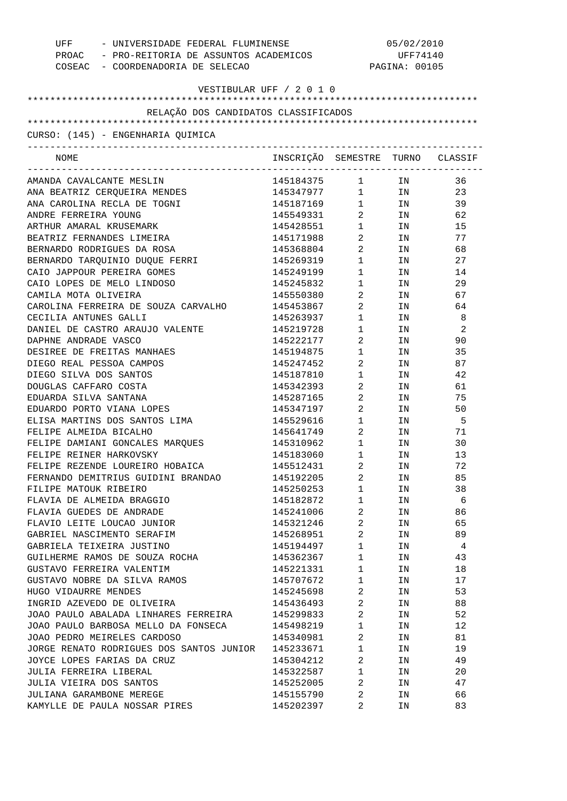| - UNIVERSIDADE FEDERAL FLUMINENSE<br>UFF<br>PROAC - PRO-REITORIA DE ASSUNTOS ACADEMICOS<br>COSEAC - COORDENADORIA DE SELECAO |                                  | 05/02/2010<br>UFF74140<br>PAGINA: 00105 |                                                                                                                |     |
|------------------------------------------------------------------------------------------------------------------------------|----------------------------------|-----------------------------------------|----------------------------------------------------------------------------------------------------------------|-----|
| VESTIBULAR UFF / 2 0 1 0                                                                                                     |                                  |                                         |                                                                                                                |     |
|                                                                                                                              |                                  |                                         |                                                                                                                |     |
| RELAÇÃO DOS CANDIDATOS CLASSIFICADOS                                                                                         |                                  |                                         |                                                                                                                |     |
| CURSO: (145) - ENGENHARIA QUIMICA                                                                                            |                                  |                                         |                                                                                                                |     |
| NOME                                                                                                                         | INSCRIÇÃO SEMESTRE TURNO CLASSIF |                                         |                                                                                                                |     |
| AMANDA CAVALCANTE MESLIN                                                                                                     | 145184375 1                      |                                         | IN                                                                                                             | 36  |
| ANA BEATRIZ CERQUEIRA MENDES                                                                                                 | 145347977 1 IN                   |                                         |                                                                                                                | 23  |
| ANA CAROLINA RECLA DE TOGNI                                                                                                  | 145187169 1 IN                   |                                         |                                                                                                                | 39  |
| ANDRE FERREIRA YOUNG                                                                                                         | 145549331                        | $\overline{2}$                          | IN THE TEST OF THE TEST OF THE TEST OF THE TEST OF THE TEST OF THE TEST OF THE TEST OF THE TEST OF THE TEST OF | 62  |
| ARTHUR AMARAL KRUSEMARK                                                                                                      | 145428551                        | $1 \quad \blacksquare$                  | IN                                                                                                             | 15  |
| BEATRIZ FERNANDES LIMEIRA                                                                                                    | 145171988                        | $\overline{2}$                          | IN THE TERM OF THE TERM OF THE TERM OF THE TERM OF THE TERM OF THE TERM OF THE TERM OF THE TERM OF THE TERM OF | 77  |
| BERNARDO RODRIGUES DA ROSA                                                                                                   | 145368804                        | $2 \left( \frac{1}{2} \right)$          | IN                                                                                                             | 68  |
| BERNARDO TARQUINIO DUQUE FERRI                                                                                               | 145269319                        | $1 \qquad \qquad$                       | IN                                                                                                             | 27  |
| CAIO JAPPOUR PEREIRA GOMES                                                                                                   | 145249199                        | $1 \quad \blacksquare$                  | IN                                                                                                             | 14  |
| CAIO LOPES DE MELO LINDOSO                                                                                                   | 145245832                        | $1 \quad \blacksquare$                  | IN                                                                                                             | 29  |
| CAMILA MOTA OLIVEIRA                                                                                                         | 145550380                        | $\overline{2}$                          | IN THE TERM OF THE TERM OF THE TERM OF THE TERM OF THE TERM OF THE TERM OF THE TERM OF THE TERM OF THE TERM OF | 67  |
| CAROLINA FERREIRA DE SOUZA CARVALHO                                                                                          | 145453867                        | $\overline{2}$                          | IN THE TEST OF THE TEST OF THE TEST OF THE TEST OF THE TEST OF THE TEST OF THE TEST OF THE TEST OF THE TEST OF | 64  |
| CECILIA ANTUNES GALLI                                                                                                        | 145263937                        | $1 \quad \blacksquare$                  | IN                                                                                                             | 8   |
| DANIEL DE CASTRO ARAUJO VALENTE                                                                                              | 145219728                        | $1 \quad \blacksquare$                  | IN                                                                                                             | 2   |
| DAPHNE ANDRADE VASCO                                                                                                         | 145222177                        | $2 \left( \frac{1}{2} \right)$          | IN THE TERM OF THE TERM OF THE TERM OF THE TERM OF THE TERM OF THE TERM OF THE TERM OF THE TERM OF THE TERM OF | 90  |
| DESIREE DE FREITAS MANHAES                                                                                                   | 145194875                        | $1 \quad \blacksquare$                  | IN THE TEST OF THE TEST OF THE TEST OF THE TEST OF THE TEST OF THE TEST OF THE TEST OF THE TEST OF THE TEST OF | 35  |
| DIEGO REAL PESSOA CAMPOS                                                                                                     | 145247452                        | $\mathbf{2}$                            | IN THE TEST OF THE TEST OF THE TEST OF THE TEST OF THE TEST OF THE TEST OF THE TEST OF THE TEST OF THE TEST OF | 87  |
| DIEGO SILVA DOS SANTOS                                                                                                       | 145187810                        | $1 \quad \blacksquare$                  | IN THE TERM OF THE TERM OF THE TERM OF THE TERM OF THE TERM OF THE TERM OF THE TERM OF THE TERM OF THE TERM OF | 42  |
| DOUGLAS CAFFARO COSTA                                                                                                        | 145342393                        | $\mathbf{2}$                            | IN THE TEST OF THE TEST OF THE TEST OF THE TEST OF THE TEST OF THE TEST OF THE TEST OF THE TEST OF THE TEST OF | 61  |
| EDUARDA SILVA SANTANA                                                                                                        | 145287165                        | $2 \left( \frac{1}{2} \right)$          | IN                                                                                                             | 75  |
| EDUARDO PORTO VIANA LOPES                                                                                                    | 145347197                        | $\overline{2}$                          | IN                                                                                                             | 50  |
| ELISA MARTINS DOS SANTOS LIMA                                                                                                | 145529616                        | $1 \quad \blacksquare$                  | IN                                                                                                             | - 5 |
| FELIPE ALMEIDA BICALHO                                                                                                       | 145641749                        | $\overline{2}$                          | IN THE TEST OF THE TEST OF THE TEST OF THE TEST OF THE TEST OF THE TEST OF THE TEST OF THE TEST OF THE TEST OF | 71  |
| FELIPE DAMIANI GONCALES MARQUES                                                                                              | 145310962                        | $1 \qquad \qquad$                       | IN                                                                                                             | 30  |
| FELIPE REINER HARKOVSKY                                                                                                      | 145183060                        | $\mathbf{1}$                            | IN                                                                                                             | 13  |
| FELIPE REZENDE LOUREIRO HOBAICA                                                                                              | 145512431                        | 2                                       | ΙN                                                                                                             | 72  |
| FERNANDO DEMITRIUS GUIDINI BRANDAO                                                                                           | 145192205                        | 2                                       | ΙN                                                                                                             | 85  |
| FILIPE MATOUK RIBEIRO                                                                                                        | 145250253                        | 1                                       | ΙN                                                                                                             | 38  |
| FLAVIA DE ALMEIDA BRAGGIO                                                                                                    | 145182872                        | 1                                       | ΙN                                                                                                             | 6   |
| FLAVIA GUEDES DE ANDRADE                                                                                                     | 145241006                        | 2                                       | ΙN                                                                                                             | 86  |
| FLAVIO LEITE LOUCAO JUNIOR                                                                                                   | 145321246                        | 2                                       | ΙN                                                                                                             | 65  |
| GABRIEL NASCIMENTO SERAFIM                                                                                                   | 145268951                        | 2                                       | ΙN                                                                                                             | 89  |
| GABRIELA TEIXEIRA JUSTINO                                                                                                    | 145194497                        | 1                                       | ΙN                                                                                                             | 4   |
| GUILHERME RAMOS DE SOUZA ROCHA                                                                                               | 145362367                        | $\mathbf{1}$                            | ΙN                                                                                                             | 43  |
| GUSTAVO FERREIRA VALENTIM                                                                                                    | 145221331                        | 1                                       | ΙN                                                                                                             | 18  |
| GUSTAVO NOBRE DA SILVA RAMOS                                                                                                 | 145707672                        | 1                                       | ΙN                                                                                                             | 17  |
| HUGO VIDAURRE MENDES                                                                                                         | 145245698                        | 2                                       | ΙN                                                                                                             | 53  |
| INGRID AZEVEDO DE OLIVEIRA                                                                                                   | 145436493                        | 2                                       | ΙN                                                                                                             | 88  |
| JOAO PAULO ABALADA LINHARES FERREIRA                                                                                         | 145299833                        | 2                                       | ΙN                                                                                                             | 52  |
| JOAO PAULO BARBOSA MELLO DA FONSECA                                                                                          | 145498219                        | 1                                       | ΙN                                                                                                             | 12  |
| JOAO PEDRO MEIRELES CARDOSO                                                                                                  | 145340981                        | 2                                       | ΙN                                                                                                             | 81  |
| JORGE RENATO RODRIGUES DOS SANTOS JUNIOR                                                                                     | 145233671                        | 1                                       | ΙN                                                                                                             | 19  |
| JOYCE LOPES FARIAS DA CRUZ                                                                                                   | 145304212                        | 2                                       | ΙN                                                                                                             | 49  |
| JULIA FERREIRA LIBERAL                                                                                                       | 145322587                        | 1                                       | ΙN                                                                                                             | 20  |
| JULIA VIEIRA DOS SANTOS                                                                                                      | 145252005                        | 2                                       | ΙN                                                                                                             | 47  |
| JULIANA GARAMBONE MEREGE                                                                                                     | 145155790                        | 2                                       | ΙN                                                                                                             | 66  |
| KAMYLLE DE PAULA NOSSAR PIRES                                                                                                | 145202397                        | 2                                       | ΙN                                                                                                             | 83  |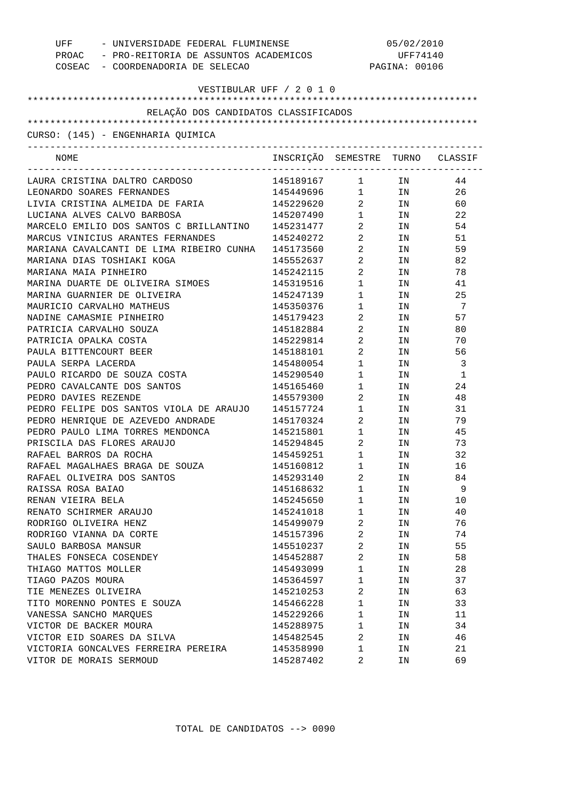| UFF - UNIVERSIDADE FEDERAL FLUMINENSE<br>PROAC - PRO-REITORIA DE ASSUNTOS ACADEMICOS<br>COSEAC - COORDENADORIA DE SELECAO |                                  | 05/02/2010<br>UFF74140<br>PAGINA: 00106 |                                                                                                                 |    |
|---------------------------------------------------------------------------------------------------------------------------|----------------------------------|-----------------------------------------|-----------------------------------------------------------------------------------------------------------------|----|
| VESTIBULAR UFF / 2 0 1 0                                                                                                  |                                  |                                         |                                                                                                                 |    |
| RELAÇÃO DOS CANDIDATOS CLASSIFICADOS                                                                                      |                                  |                                         |                                                                                                                 |    |
|                                                                                                                           |                                  |                                         |                                                                                                                 |    |
| CURSO: (145) - ENGENHARIA QUIMICA                                                                                         |                                  |                                         |                                                                                                                 |    |
| NOME                                                                                                                      | INSCRIÇÃO SEMESTRE TURNO CLASSIF |                                         |                                                                                                                 |    |
| LAURA CRISTINA DALTRO CARDOSO                                                                                             | 145189167 1 IN                   |                                         |                                                                                                                 | 44 |
| LEONARDO SOARES FERNANDES                                                                                                 | 145449696 1 IN                   |                                         |                                                                                                                 | 26 |
| LIVIA CRISTINA ALMEIDA DE FARIA                                                                                           | 145229620 2 IN                   |                                         |                                                                                                                 | 60 |
| LUCIANA ALVES CALVO BARBOSA                                                                                               | 145207490                        |                                         | $1$ IN                                                                                                          | 22 |
| MARCELO EMILIO DOS SANTOS C BRILLANTINO 145231477                                                                         |                                  | $\overline{2}$ and $\overline{2}$       | IN                                                                                                              | 54 |
| MARCUS VINICIUS ARANTES FERNANDES                                                                                         | 145240272                        | $\overline{2}$                          | IN THE TEST OF THE TEST OF THE TEST OF THE TEST OF THE TEST OF THE TEST OF THE TEST OF THE TEST OF THE TEST OF  | 51 |
| MARIANA CAVALCANTI DE LIMA RIBEIRO CUNHA 145173560                                                                        |                                  | $2 \left( \frac{1}{2} \right)$          | IN THE TEST OF THE TEST OF THE TEST OF THE TEST OF THE TEST OF THE TEST OF THE TEST OF THE TEST OF THE TEST OF  | 59 |
| MARIANA DIAS TOSHIAKI KOGA                                                                                                | 145552637                        | $2 \left( \frac{1}{2} \right)$          | IN THE TEST OF THE TEST OF THE TEST OF THE TEST OF THE TEST OF THE TEST OF THE TEST OF THE TEST OF THE TEST OF  | 82 |
| MARIANA MAIA PINHEIRO                                                                                                     | 145242115                        | $\overline{2}$                          | IN THE TEST OF THE TEST OF THE TEST OF THE TEST OF THE TEST OF THE TEST OF THE TEST OF THE TEST OF THE TEST OF  | 78 |
| MARINA DUARTE DE OLIVEIRA SIMOES                                                                                          | 145319516                        | $1 \quad \cdots$                        | IN THE TEST OF THE TEST OF THE TEST OF THE TEST OF THE TEST OF THE TEST OF THE TEST OF THE TEST OF THE TEST OF  | 41 |
| MARINA GUARNIER DE OLIVEIRA                                                                                               | 145247139                        | $1 \quad \cdots$                        | IN THE TEST OF THE TEST OF THE TEST OF THE TEST OF THE TEST OF THE TEST OF THE TEST OF THE TEST OF THE TEST OF  | 25 |
| MAURICIO CARVALHO MATHEUS                                                                                                 | 145350376                        | $1 \quad \cdots$                        | IN                                                                                                              | 7  |
| NADINE CAMASMIE PINHEIRO                                                                                                  | 145179423                        | $\overline{a}$                          | IN THE TEST OF THE TEST OF THE TEST OF THE TEST OF THE TEST OF THE TEST OF THE TEST OF THE TEST OF THE TEST OF  | 57 |
| PATRICIA CARVALHO SOUZA                                                                                                   | 145182884                        | $2 \left( \frac{1}{2} \right)$          | IN THE TEST OF THE TEST OF THE TEST OF THE TEST OF THE TEST OF THE TEST OF THE TEST OF THE TEST OF THE TEST OF  | 80 |
| PATRICIA OPALKA COSTA                                                                                                     | 145229814                        | $\overline{2}$                          | IN                                                                                                              | 70 |
| PAULA BITTENCOURT BEER                                                                                                    | 145188101                        | $2 \left( \frac{1}{2} \right)$          | IN                                                                                                              | 56 |
| PAULA SERPA LACERDA                                                                                                       | 145480054                        | $1 \quad \cdots$                        | IN                                                                                                              | 3  |
| PAULO RICARDO DE SOUZA COSTA                                                                                              | 145290540                        | $1 \quad \cdots$                        | IN                                                                                                              | 1  |
| PEDRO CAVALCANTE DOS SANTOS                                                                                               | 145165460                        | $1 \quad \cdots$                        | IN                                                                                                              | 24 |
| PEDRO DAVIES REZENDE                                                                                                      | 145579300                        | $2 \left( \frac{1}{2} \right)$          | IN                                                                                                              | 48 |
| PEDRO FELIPE DOS SANTOS VIOLA DE ARAUJO                                                                                   | 145157724                        | $1 \quad \blacksquare$                  | IN THE TELEVISION OF THE TELEVISION OF THE TELEVISION OF THE TELEVISION OF THE TELEVISION OF THE TELEVISION OF  | 31 |
| PEDRO HENRIQUE DE AZEVEDO ANDRADE                                                                                         | 145170324                        | $2 \left( \frac{1}{2} \right)$          | IN THE TEST OF THE TEST OF THE TEST OF THE TEST OF THE TEST OF THE TEST OF THE TEST OF THE TEST OF THE TEST OF  | 79 |
| PEDRO PAULO LIMA TORRES MENDONCA                                                                                          | 145215801                        | $1 \quad \Box$                          | IN DIE STREEP EN DIE STREEP EN DIE STREEP EN DIE STREEP EN DIE STREEP EN DIE STREEP EN DIE STREEP EN DIE STREEP | 45 |
| PRISCILA DAS FLORES ARAUJO                                                                                                | 145294845                        | $2 \left( \frac{1}{2} \right)$          | IN                                                                                                              | 73 |
| RAFAEL BARROS DA ROCHA                                                                                                    | 145459251                        | $\mathbf{1}$                            | IN                                                                                                              | 32 |
| RAFAEL MAGALHAES BRAGA DE SOUZA                                                                                           | 145160812                        | $\mathbf 1$                             | ΙN                                                                                                              | 16 |
| RAFAEL OLIVEIRA DOS SANTOS                                                                                                | 145293140                        | 2                                       | ΙN                                                                                                              | 84 |
| RAISSA ROSA BAIAO                                                                                                         | 145168632                        | 1                                       | ΙN                                                                                                              | 9  |
| RENAN VIEIRA BELA                                                                                                         | 145245650                        | $\mathbf 1$                             | ΙN                                                                                                              | 10 |
| RENATO SCHIRMER ARAUJO                                                                                                    | 145241018                        | $\mathbf 1$                             | ΙN                                                                                                              | 40 |
| RODRIGO OLIVEIRA HENZ                                                                                                     | 145499079                        | 2                                       | ΙN                                                                                                              | 76 |
| RODRIGO VIANNA DA CORTE                                                                                                   | 145157396                        | 2                                       | ΙN                                                                                                              | 74 |
| SAULO BARBOSA MANSUR                                                                                                      | 145510237                        | 2                                       | ΙN                                                                                                              | 55 |
| THALES FONSECA COSENDEY                                                                                                   | 145452887                        | 2                                       | ΙN                                                                                                              | 58 |
| THIAGO MATTOS MOLLER                                                                                                      | 145493099                        | $\mathbf 1$                             | ΙN                                                                                                              | 28 |
| TIAGO PAZOS MOURA                                                                                                         | 145364597                        | $\mathbf 1$                             | ΙN                                                                                                              | 37 |
| TIE MENEZES OLIVEIRA                                                                                                      | 145210253                        | 2                                       | ΙN                                                                                                              | 63 |
| TITO MORENNO PONTES E SOUZA                                                                                               | 145466228                        | $\mathbf 1$                             | ΙN                                                                                                              | 33 |
| VANESSA SANCHO MARQUES                                                                                                    | 145229266                        | $\mathbf 1$                             | ΙN                                                                                                              | 11 |
| VICTOR DE BACKER MOURA                                                                                                    | 145288975                        | $\mathbf 1$                             | ΙN                                                                                                              | 34 |
| VICTOR EID SOARES DA SILVA                                                                                                | 145482545                        | 2                                       | ΙN                                                                                                              | 46 |
| VICTORIA GONCALVES FERREIRA PEREIRA                                                                                       | 145358990                        | 1                                       | ΙN                                                                                                              | 21 |
| VITOR DE MORAIS SERMOUD                                                                                                   | 145287402                        | 2                                       | ΙN                                                                                                              | 69 |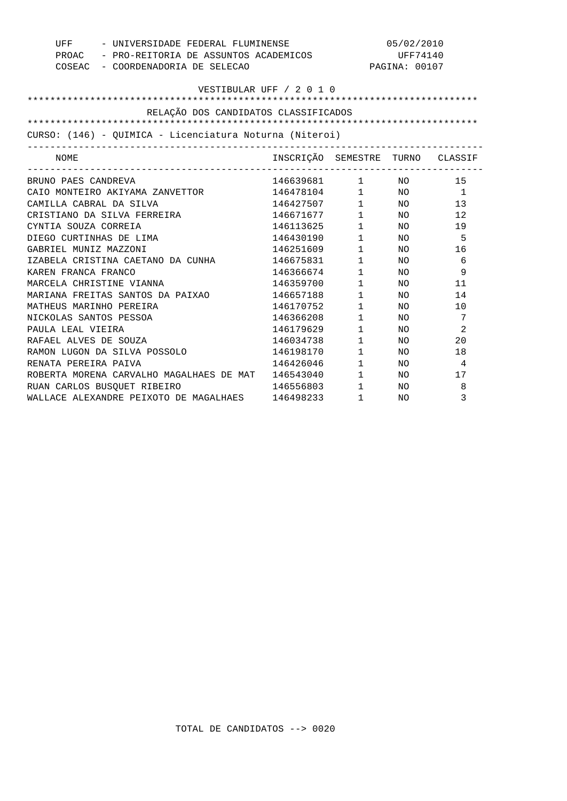| - UNIVERSIDADE FEDERAL FLUMINENSE<br>UFF                |                                  | 05/02/2010             |               |                |
|---------------------------------------------------------|----------------------------------|------------------------|---------------|----------------|
| PROAC - PRO-REITORIA DE ASSUNTOS ACADEMICOS             |                                  | UFF74140               |               |                |
| COSEAC - COORDENADORIA DE SELECAO                       |                                  |                        | PAGINA: 00107 |                |
|                                                         |                                  |                        |               |                |
|                                                         | VESTIBULAR UFF / 2 0 1 0         |                        |               |                |
|                                                         |                                  |                        |               |                |
| RELAÇÃO DOS CANDIDATOS CLASSIFICADOS                    |                                  |                        |               |                |
|                                                         |                                  |                        |               |                |
| CURSO: (146) - QUIMICA - Licenciatura Noturna (Niteroi) |                                  |                        |               |                |
| NOME                                                    | INSCRIÇÃO SEMESTRE TURNO CLASSIF |                        |               |                |
| BRUNO PAES CANDREVA                                     | 146639681 1 NO                   |                        |               | 15             |
| CAIO MONTEIRO AKIYAMA ZANVETTOR                         | 146478104 1 NO                   |                        |               | $\overline{1}$ |
| CAMILLA CABRAL DA SILVA                                 | 146427507                        |                        | $1$ NO        | 13             |
| CRISTIANO DA SILVA FERREIRA                             | 146671677                        | 1 NO                   |               | 12             |
| CYNTIA SOUZA CORREIA                                    | 146113625                        | $1 \quad \blacksquare$ | NO.           | 19             |
| DIEGO CURTINHAS DE LIMA                                 | 146430190                        | $1 \quad \Box$         | NO            | 5              |
| GABRIEL MUNIZ MAZZONI                                   | 146251609                        | $1 \quad \blacksquare$ | NO.           | 16             |
| IZABELA CRISTINA CAETANO DA CUNHA                       | 146675831                        | $1 \quad \blacksquare$ | NO.           | 6              |
| KAREN FRANCA FRANCO                                     | 146366674                        | $1$ NO                 |               | 9              |
| MARCELA CHRISTINE VIANNA                                | 146359700                        | $1$ $\hfill$           | NO            | 11             |
| MARIANA FREITAS SANTOS DA PAIXAO                        | 146657188                        | $1 \quad \blacksquare$ | NO.           | 14             |
| MATHEUS MARINHO PEREIRA                                 | 146170752                        | $1 \quad \Box$         | NO.           | 10             |
| NICKOLAS SANTOS PESSOA                                  | 146366208                        | $1 \quad \cdots$       | NO.           | 7              |
| PAULA LEAL VIEIRA                                       | 146179629                        | $1 \quad \blacksquare$ | NO.           | 2              |
| RAFAEL ALVES DE SOUZA                                   | 146034738                        | $1 \quad \blacksquare$ | NO            | 20             |
| RAMON LUGON DA SILVA POSSOLO                            | 146198170                        | $1 \quad \Box$         | NO            | 18             |
| RENATA PEREIRA PAIVA                                    | 146426046                        | $1 \quad \blacksquare$ | NO.           | 4              |
| ROBERTA MORENA CARVALHO MAGALHAES DE MAT                | 146543040                        | $1 \quad \blacksquare$ | NO.           | 17             |
| RUAN CARLOS BUSOUET RIBEIRO                             | 146556803                        | $1 \quad \blacksquare$ | NO.           | 8              |
| WALLACE ALEXANDRE PEIXOTO DE MAGALHAES                  | 146498233                        | $1 \qquad \qquad$      | NO.           | 3              |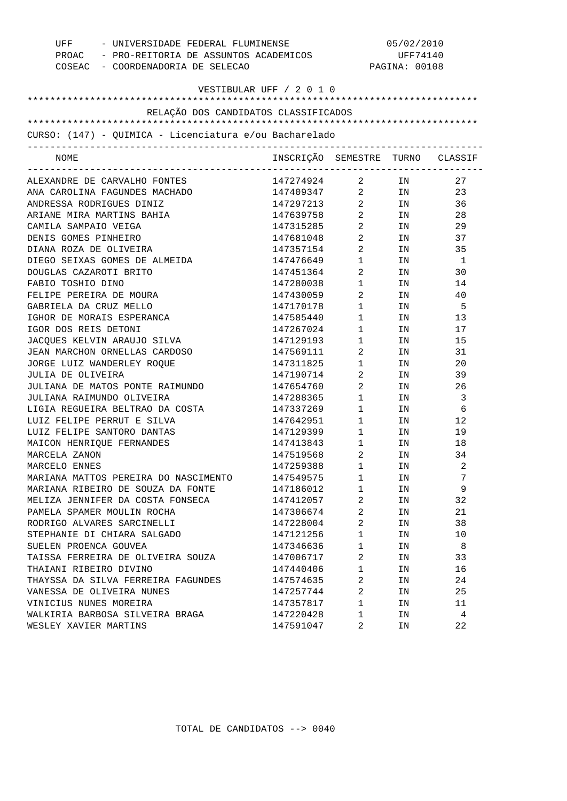| UFF - UNIVERSIDADE FEDERAL FLUMINENSE<br>PROAC - PRO-REITORIA DE ASSUNTOS ACADEMICOS |                                  | 05/02/2010<br>UFF74140         |     |                          |
|--------------------------------------------------------------------------------------|----------------------------------|--------------------------------|-----|--------------------------|
| COSEAC - COORDENADORIA DE SELECAO                                                    |                                  | PAGINA: 00108                  |     |                          |
|                                                                                      | VESTIBULAR UFF / 2 0 1 0         |                                |     |                          |
|                                                                                      |                                  |                                |     |                          |
| RELAÇÃO DOS CANDIDATOS CLASSIFICADOS                                                 |                                  |                                |     |                          |
| CURSO: (147) - QUIMICA - Licenciatura e/ou Bacharelado                               |                                  |                                |     |                          |
|                                                                                      |                                  |                                |     |                          |
| NOME                                                                                 | INSCRIÇÃO SEMESTRE TURNO CLASSIF |                                |     |                          |
| ALEXANDRE DE CARVALHO FONTES                                                         | 147274924 2                      |                                | IN  | 27                       |
| ANA CAROLINA FAGUNDES MACHADO                                                        | 147409347 2 IN                   |                                |     | 23                       |
| ANDRESSA RODRIGUES DINIZ                                                             | 147297213 2 IN                   |                                |     | 36                       |
| ARIANE MIRA MARTINS BAHIA                                                            | 147639758                        | $\overline{2}$                 | IN  | 28                       |
| CAMILA SAMPAIO VEIGA                                                                 | 147315285                        | $\overline{2}$                 | IN  | 29                       |
| DENIS GOMES PINHEIRO                                                                 | 147681048                        | $\overline{2}$                 | IN  | 37                       |
| DIANA ROZA DE OLIVEIRA                                                               | 147357154                        | $\overline{2}$                 | IN  | 35                       |
| DIEGO SEIXAS GOMES DE ALMEIDA                                                        | 147476649                        | $1 \quad \Box$                 | IN  | $\overline{\phantom{0}}$ |
| DOUGLAS CAZAROTI BRITO                                                               | 147451364                        | $\overline{2}$                 | IN  | 30                       |
| FABIO TOSHIO DINO                                                                    | 147280038                        | $1 \quad \Box$                 | IN  | 14                       |
| FELIPE PEREIRA DE MOURA                                                              | 147430059                        | $\overline{2}$                 | IN  | 40                       |
| GABRIELA DA CRUZ MELLO                                                               | 147170178                        | $1 \qquad \qquad$              | IN  | - 5                      |
| IGHOR DE MORAIS ESPERANCA                                                            | 147585440                        | $1 \qquad \qquad$              | IN  | 13                       |
| IGOR DOS REIS DETONI                                                                 | 147267024                        | $1 \quad \blacksquare$         | IN  | 17                       |
| JACQUES KELVIN ARAUJO SILVA                                                          | 147129193                        | $1 \qquad \qquad$              | IN  | 15                       |
| JEAN MARCHON ORNELLAS CARDOSO                                                        | 147569111                        | $\overline{2}$                 | IN  | 31                       |
| JORGE LUIZ WANDERLEY ROQUE                                                           | 147311825                        | $1 \quad \Box$                 | IN  | 20                       |
| JULIA DE OLIVEIRA                                                                    | 147190714                        | $\overline{2}$                 | IN  | 39                       |
| JULIANA DE MATOS PONTE RAIMUNDO                                                      | 147654760                        | $\overline{2}$                 | IN  | 26                       |
| JULIANA RAIMUNDO OLIVEIRA                                                            | 147288365                        | $1 \quad \Box$                 | IN  | 3                        |
| LIGIA REGUEIRA BELTRAO DA COSTA                                                      | 147337269                        | $1 \qquad \qquad$              | IN  | 6                        |
| LUIZ FELIPE PERRUT E SILVA                                                           | 147642951                        | $1 \qquad \qquad$              | IN  | 12                       |
| LUIZ FELIPE SANTORO DANTAS                                                           | 147129399                        | $1 \qquad \qquad$              | IN  | 19                       |
| MAICON HENRIQUE FERNANDES                                                            | 147413843                        | $1 \quad \Box$                 | IN  | 18                       |
| MARCELA ZANON                                                                        | 147519568                        | $2 \left( \frac{1}{2} \right)$ | IN. | 34                       |
| MARCELO ENNES                                                                        | 147259388                        | 1                              | ΙN  | 2                        |
| MARIANA MATTOS PEREIRA DO NASCIMENTO                                                 | 147549575                        | 1                              | ΙN  | 7                        |
| MARIANA RIBEIRO DE SOUZA DA FONTE                                                    | 147186012                        | 1                              | ΙN  | 9                        |
| MELIZA JENNIFER DA COSTA FONSECA                                                     | 147412057                        | 2                              | ΙN  | 32                       |
| PAMELA SPAMER MOULIN ROCHA                                                           | 147306674                        | 2                              | IN  | 21                       |
| RODRIGO ALVARES SARCINELLI                                                           | 147228004                        | 2                              | ΙN  | 38                       |
| STEPHANIE DI CHIARA SALGADO                                                          | 147121256                        | 1                              | ΙN  | 10                       |
| SUELEN PROENCA GOUVEA                                                                | 147346636                        | $\mathbf 1$                    | ΙN  | 8                        |
| TAISSA FERREIRA DE OLIVEIRA SOUZA                                                    | 147006717                        | 2                              | ΙN  | 33                       |
| THAIANI RIBEIRO DIVINO                                                               | 147440406                        | 1                              | ΙN  | 16                       |
| THAYSSA DA SILVA FERREIRA FAGUNDES                                                   | 147574635                        | 2                              | ΙN  | 24                       |
| VANESSA DE OLIVEIRA NUNES                                                            | 147257744                        | 2                              | ΙN  | 25                       |
| VINICIUS NUNES MOREIRA                                                               | 147357817                        | $\mathbf 1$                    | ΙN  | 11                       |
| WALKIRIA BARBOSA SILVEIRA BRAGA                                                      | 147220428                        | 1                              | ΙN  | 4                        |
| WESLEY XAVIER MARTINS                                                                | 147591047                        | 2                              | ΙN  | 22                       |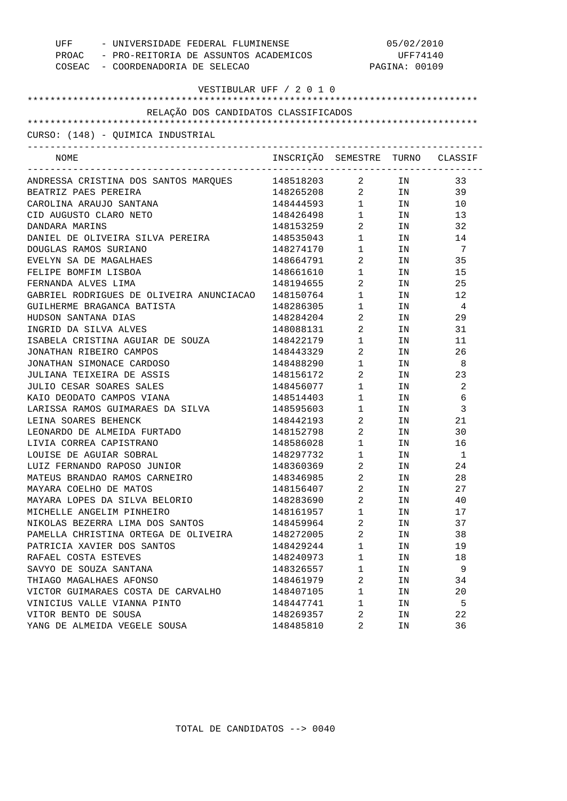| UFF - UNIVERSIDADE FEDERAL FLUMINENSE<br>PROAC - PRO-REITORIA DE ASSUNTOS ACADEMICOS<br>COSEAC - COORDENADORIA DE SELECAO |                                  |                                        | 05/02/2010<br>UFF74140<br>PAGINA: 00109 |                |
|---------------------------------------------------------------------------------------------------------------------------|----------------------------------|----------------------------------------|-----------------------------------------|----------------|
| VESTIBULAR UFF / 2 0 1 0                                                                                                  |                                  |                                        |                                         |                |
| RELAÇÃO DOS CANDIDATOS CLASSIFICADOS                                                                                      |                                  |                                        |                                         |                |
|                                                                                                                           |                                  |                                        |                                         |                |
| CURSO: (148) - QUIMICA INDUSTRIAL                                                                                         |                                  |                                        |                                         |                |
|                                                                                                                           |                                  |                                        |                                         |                |
| NOME                                                                                                                      | INSCRIÇÃO SEMESTRE TURNO CLASSIF |                                        |                                         |                |
| ANDRESSA CRISTINA DOS SANTOS MARQUES                                                                                      | 148518203                        | $\overline{2}$                         | IN                                      | 33             |
| BEATRIZ PAES PEREIRA                                                                                                      | 148265208 2 IN                   |                                        |                                         | 39             |
| CAROLINA ARAUJO SANTANA                                                                                                   | 148444593 1 IN                   |                                        |                                         | 10             |
| CID AUGUSTO CLARO NETO                                                                                                    | 148426498                        |                                        | $1$ IN                                  | 13             |
| DANDARA MARINS                                                                                                            | 148153259                        | $\overline{a}$                         | IN                                      | 32             |
| DANIEL DE OLIVEIRA SILVA PEREIRA                                                                                          | 148535043                        | $1 \quad \Box$                         | IN                                      | 14             |
| DOUGLAS RAMOS SURIANO                                                                                                     | 148274170                        | $1 \qquad \qquad$                      | IN                                      | 7              |
| EVELYN SA DE MAGALHAES                                                                                                    | 148664791                        | $\overline{2}$                         | IN                                      | 35             |
| FELIPE BOMFIM LISBOA                                                                                                      | 148661610                        | $1 \qquad \qquad$                      | IN                                      | 15             |
| FERNANDA ALVES LIMA                                                                                                       | 148194655                        | $\overline{2}$                         | IN                                      | 25             |
| GABRIEL RODRIGUES DE OLIVEIRA ANUNCIACAO                                                                                  | 148150764                        | $1 \quad \Box$                         | IN                                      | 12             |
| GUILHERME BRAGANCA BATISTA                                                                                                | 148286305                        | $1 \quad \Box$                         | IN                                      | $\overline{4}$ |
| HUDSON SANTANA DIAS                                                                                                       | 148284204                        | $\overline{2}$                         | IN                                      | 29             |
| INGRID DA SILVA ALVES                                                                                                     | 148088131                        | $\overline{a}$                         | IN                                      | 31             |
| ISABELA CRISTINA AGUIAR DE SOUZA                                                                                          | 148422179                        | $1 \quad \Box$                         | IN                                      | 11             |
| JONATHAN RIBEIRO CAMPOS                                                                                                   | 148443329                        | $\overline{2}$                         | IN                                      | 26             |
| JONATHAN SIMONACE CARDOSO                                                                                                 | 148488290                        | $1 \quad \Box$                         | IN                                      | - 8            |
| JULIANA TEIXEIRA DE ASSIS                                                                                                 | 148156172                        | $\overline{2}$                         | IN                                      | 23             |
| JULIO CESAR SOARES SALES                                                                                                  | 148456077                        | $1 \quad \Box$                         | IN                                      | 2              |
| KAIO DEODATO CAMPOS VIANA                                                                                                 | 148514403                        | $1 \quad \Box$                         | IN                                      | 6              |
| LARISSA RAMOS GUIMARAES DA SILVA                                                                                          | 148595603                        | $1 \quad \blacksquare$                 | IN                                      | 3              |
| LEINA SOARES BEHENCK                                                                                                      | 148442193                        | $\overline{2}$                         | IN                                      | 21             |
| LEONARDO DE ALMEIDA FURTADO                                                                                               |                                  | $\overline{2}$                         |                                         | 30             |
| LIVIA CORREA CAPISTRANO                                                                                                   | 148152798                        |                                        | IN                                      |                |
| LOUISE DE AGUIAR SOBRAL                                                                                                   | 148586028<br>148297732           | $1 \qquad \qquad$<br>$1 \qquad \qquad$ | IN                                      | 16<br>1        |
|                                                                                                                           |                                  |                                        | IN                                      |                |
| LUIZ FERNANDO RAPOSO JUNIOR                                                                                               | 148360369                        | 2                                      | ΙN                                      | 24             |
| MATEUS BRANDAO RAMOS CARNEIRO                                                                                             | 148346985                        | 2                                      | ΙN                                      | 28             |
| MAYARA COELHO DE MATOS                                                                                                    | 148156407                        | $\overline{2}$                         | ΙN                                      | 27             |
| MAYARA LOPES DA SILVA BELORIO                                                                                             | 148283690                        | 2                                      | ΙN                                      | 40             |
| MICHELLE ANGELIM PINHEIRO                                                                                                 | 148161957                        | $\mathbf 1$                            | ΙN                                      | 17             |
| NIKOLAS BEZERRA LIMA DOS SANTOS                                                                                           | 148459964                        | $\overline{a}$                         | ΙN                                      | 37             |
| PAMELLA CHRISTINA ORTEGA DE OLIVEIRA                                                                                      | 148272005                        | 2                                      | ΙN                                      | 38             |
| PATRICIA XAVIER DOS SANTOS                                                                                                | 148429244                        | 1                                      | ΙN                                      | 19             |
| RAFAEL COSTA ESTEVES                                                                                                      | 148240973                        | $\mathbf 1$                            | ΙN                                      | 18             |
| SAVYO DE SOUZA SANTANA                                                                                                    | 148326557                        | 1                                      | ΙN                                      | 9              |
| THIAGO MAGALHAES AFONSO                                                                                                   | 148461979                        | 2                                      | ΙN                                      | 34             |
| VICTOR GUIMARAES COSTA DE CARVALHO                                                                                        | 148407105                        | 1                                      | ΙN                                      | 20             |
| VINICIUS VALLE VIANNA PINTO                                                                                               | 148447741                        | 1                                      | ΙN                                      | 5              |
| VITOR BENTO DE SOUSA                                                                                                      | 148269357                        | 2                                      | ΙN                                      | 22             |
| YANG DE ALMEIDA VEGELE SOUSA                                                                                              | 148485810                        | 2                                      | ΙN                                      | 36             |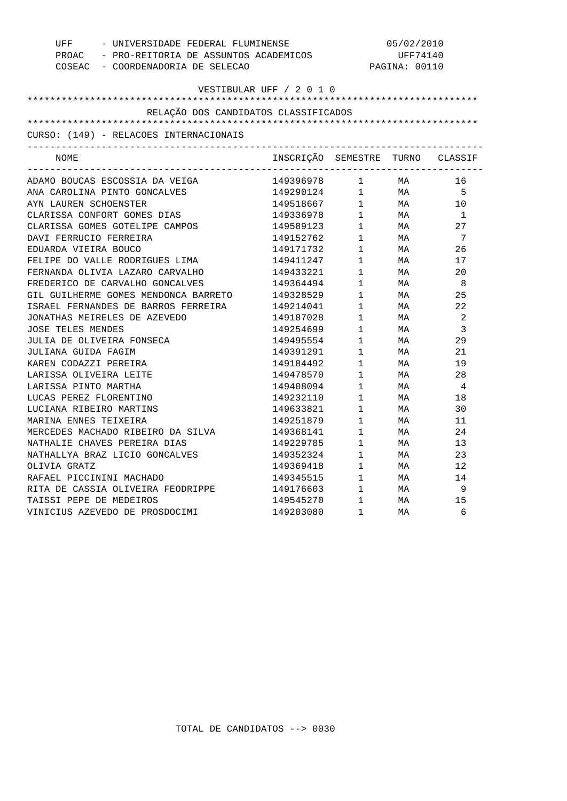| UFF - UNIVERSIDADE FEDERAL FLUMINENSE<br>PROAC - PRO-REITORIA DE ASSUNTOS ACADEMICOS<br>COSEAC - COORDENADORIA DE SELECAO |                                                    | 05/02/2010<br>UFF74140<br>PAGINA: 00110                                           |                                                                                   |                |  |                          |  |  |  |  |
|---------------------------------------------------------------------------------------------------------------------------|----------------------------------------------------|-----------------------------------------------------------------------------------|-----------------------------------------------------------------------------------|----------------|--|--------------------------|--|--|--|--|
|                                                                                                                           |                                                    |                                                                                   |                                                                                   |                |  | VESTIBULAR UFF / 2 0 1 0 |  |  |  |  |
|                                                                                                                           |                                                    |                                                                                   |                                                                                   |                |  |                          |  |  |  |  |
| RELAÇÃO DOS CANDIDATOS CLASSIFICADOS                                                                                      |                                                    |                                                                                   |                                                                                   |                |  |                          |  |  |  |  |
|                                                                                                                           |                                                    |                                                                                   |                                                                                   |                |  |                          |  |  |  |  |
| CURSO: (149) - RELACOES INTERNACIONAIS                                                                                    |                                                    |                                                                                   |                                                                                   |                |  |                          |  |  |  |  |
|                                                                                                                           |                                                    |                                                                                   |                                                                                   |                |  |                          |  |  |  |  |
| NOME                                                                                                                      | INSCRIÇÃO SEMESTRE TURNO CLASSIF                   |                                                                                   |                                                                                   |                |  |                          |  |  |  |  |
| ADAMO BOUCAS ESCOSSIA DA VEIGA                                                                                            | 149396978 1 MA                                     |                                                                                   |                                                                                   | 16             |  |                          |  |  |  |  |
| ANA CAROLINA PINTO GONCALVES                                                                                              | 149290124 1 MA<br>149518667 1 MA<br>149336978 1 MA |                                                                                   |                                                                                   | $5^{\circ}$    |  |                          |  |  |  |  |
| AYN LAUREN SCHOENSTER                                                                                                     |                                                    |                                                                                   |                                                                                   | 10             |  |                          |  |  |  |  |
| CLARISSA CONFORT GOMES DIAS                                                                                               |                                                    |                                                                                   |                                                                                   | $\overline{1}$ |  |                          |  |  |  |  |
| CLARISSA GOMES GOTELIPE CAMPOS                                                                                            | 149589123                                          |                                                                                   | $1$ MA                                                                            | 27             |  |                          |  |  |  |  |
| DAVI FERRUCIO FERREIRA                                                                                                    | 149152762                                          |                                                                                   | $1$ MA                                                                            | $\overline{7}$ |  |                          |  |  |  |  |
| EDUARDA VIEIRA BOUCO                                                                                                      | 149171732                                          |                                                                                   | 1 MA<br>1 MA                                                                      | 26             |  |                          |  |  |  |  |
| FELIPE DO VALLE RODRIGUES LIMA                                                                                            | 149411247                                          |                                                                                   |                                                                                   | 17             |  |                          |  |  |  |  |
| FERNANDA OLIVIA LAZARO CARVALHO                                                                                           | 149433221                                          | $1$ MA                                                                            |                                                                                   | 20             |  |                          |  |  |  |  |
| FREDERICO DE CARVALHO GONCALVES                                                                                           | 149364494                                          | $1$ MA                                                                            |                                                                                   | - 8            |  |                          |  |  |  |  |
| GIL GUILHERME GOMES MENDONCA BARRETO                                                                                      | 149328529                                          |                                                                                   | 1 MA<br>1 MA<br>1 MA                                                              | 25             |  |                          |  |  |  |  |
| ISRAEL FERNANDES DE BARROS FERREIRA                                                                                       | 149214041                                          |                                                                                   |                                                                                   | 22             |  |                          |  |  |  |  |
| JONATHAS MEIRELES DE AZEVEDO                                                                                              | 149187028                                          |                                                                                   |                                                                                   | $\overline{2}$ |  |                          |  |  |  |  |
| <b>JOSE TELES MENDES</b>                                                                                                  | 149254699                                          | $1$ MA                                                                            |                                                                                   | 3              |  |                          |  |  |  |  |
| JULIA DE OLIVEIRA FONSECA                                                                                                 | 149495554                                          | $1$ MA                                                                            |                                                                                   | 29             |  |                          |  |  |  |  |
| JULIANA GUIDA FAGIM                                                                                                       | 149391291                                          | $\begin{array}{ccc} 1 & \qquad & \text{MA} \\ 1 & \qquad & \text{MA} \end{array}$ |                                                                                   | 21             |  |                          |  |  |  |  |
| KAREN CODAZZI PEREIRA                                                                                                     | 149184492                                          |                                                                                   |                                                                                   | 19             |  |                          |  |  |  |  |
| LARISSA OLIVEIRA LEITE                                                                                                    | 149478570                                          | $1$ MA                                                                            |                                                                                   | 28             |  |                          |  |  |  |  |
| LARISSA PINTO MARTHA                                                                                                      | 149408094                                          | $1$ MA                                                                            |                                                                                   | $\overline{4}$ |  |                          |  |  |  |  |
| LUCAS PEREZ FLORENTINO                                                                                                    | 149232110                                          |                                                                                   |                                                                                   | 18             |  |                          |  |  |  |  |
| LUCIANA RIBEIRO MARTINS                                                                                                   | 149633821                                          |                                                                                   | $\begin{array}{ccc} 1 & \qquad & \text{MA} \\ 1 & \qquad & \text{MA} \end{array}$ | 30             |  |                          |  |  |  |  |
| MARINA ENNES TEIXEIRA                                                                                                     | 149251879                                          |                                                                                   | $1$ MA                                                                            | 11             |  |                          |  |  |  |  |
| MERCEDES MACHADO RIBEIRO DA SILVA                                                                                         | 149368141                                          |                                                                                   | 1 MA                                                                              | 24             |  |                          |  |  |  |  |
| NATHALIE CHAVES PEREIRA DIAS                                                                                              | 149229785                                          | $1$ MA                                                                            |                                                                                   | 13             |  |                          |  |  |  |  |
| NATHALLYA BRAZ LICIO GONCALVES                                                                                            | 149352324                                          |                                                                                   |                                                                                   | 23             |  |                          |  |  |  |  |
| OLIVIA GRATZ                                                                                                              | 149369418                                          | $\begin{array}{ccc} 1 & & \text{MA} \\ 1 & & \text{MA} \end{array}$               |                                                                                   | 12             |  |                          |  |  |  |  |
| RAFAEL PICCININI MACHADO                                                                                                  | 149345515                                          | $1$ MA                                                                            |                                                                                   | 14             |  |                          |  |  |  |  |
| RITA DE CASSIA OLIVEIRA FEODRIPPE                                                                                         | 149176603                                          | $1$ MA                                                                            |                                                                                   | - 9            |  |                          |  |  |  |  |
| TAISSI PEPE DE MEDEIROS                                                                                                   | 149545270                                          | $1$ MA                                                                            |                                                                                   | 15             |  |                          |  |  |  |  |
| VINICIUS AZEVEDO DE PROSDOCIMI                                                                                            | 149203080                                          | $\mathbf{1}$                                                                      | MA                                                                                | 6              |  |                          |  |  |  |  |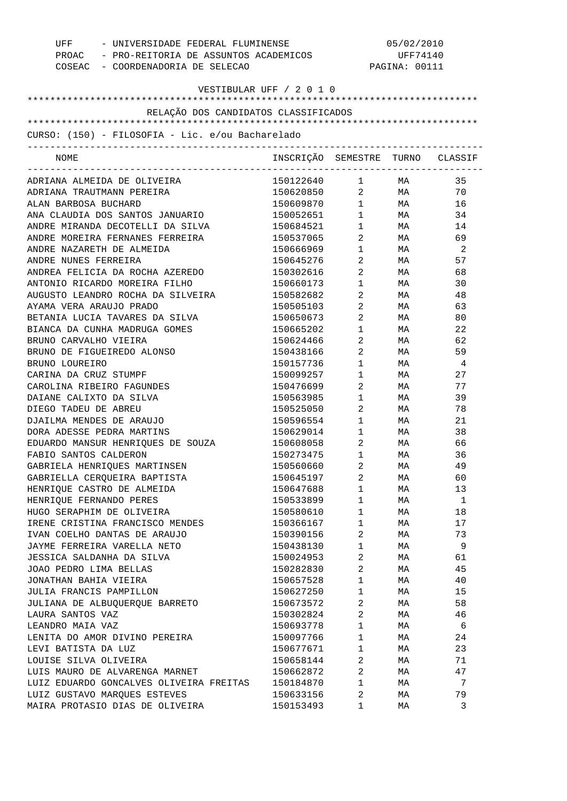| UFF<br>- UNIVERSIDADE FEDERAL FLUMINENSE<br>PROAC - PRO-REITORIA DE ASSUNTOS ACADEMICOS<br>COSEAC - COORDENADORIA DE SELECAO |                                  | 05/02/2010<br>UFF74140<br>PAGINA: 00111 |              |    |
|------------------------------------------------------------------------------------------------------------------------------|----------------------------------|-----------------------------------------|--------------|----|
| VESTIBULAR UFF / 2 0 1 0                                                                                                     |                                  |                                         |              |    |
| RELAÇÃO DOS CANDIDATOS CLASSIFICADOS                                                                                         |                                  |                                         |              |    |
|                                                                                                                              |                                  |                                         |              |    |
| CURSO: (150) - FILOSOFIA - Lic. e/ou Bacharelado<br>------------------------------------                                     |                                  |                                         |              |    |
| NOME                                                                                                                         | INSCRIÇÃO SEMESTRE TURNO CLASSIF |                                         |              |    |
| ADRIANA ALMEIDA DE OLIVEIRA                                                                                                  | 150122640 1                      |                                         | MA <b>MA</b> | 35 |
| ADRIANA TRAUTMANN PEREIRA                                                                                                    | 150620850 2 MA                   |                                         |              | 70 |
| ALAN BARBOSA BUCHARD                                                                                                         | 150609870 1                      |                                         | MA           | 16 |
| ANA CLAUDIA DOS SANTOS JANUARIO                                                                                              | 150052651                        | $1 \quad \blacksquare$                  | <b>MA</b>    | 34 |
| ANDRE MIRANDA DECOTELLI DA SILVA                                                                                             | 150684521                        | $1 \quad \blacksquare$                  | <b>MA</b>    | 14 |
| ANDRE MOREIRA FERNANES FERREIRA                                                                                              | 150537065                        | $\overline{2}$                          | <b>MA</b>    | 69 |
| ANDRE NAZARETH DE ALMEIDA                                                                                                    | 150666969                        | $1 \quad \blacksquare$                  | MA           | -2 |
| ANDRE NUNES FERREIRA                                                                                                         | 150645276                        | $\overline{2}$ and $\overline{2}$       | MA           | 57 |
| ANDREA FELICIA DA ROCHA AZEREDO                                                                                              | 150302616                        | $\overline{2}$ and $\overline{2}$       | MA           | 68 |
| ANTONIO RICARDO MOREIRA FILHO                                                                                                | 150660173                        | $\mathbf{1}$                            | MA           | 30 |
| AUGUSTO LEANDRO ROCHA DA SILVEIRA                                                                                            | 150582682                        | 2                                       | MA           | 48 |
| AYAMA VERA ARAUJO PRADO                                                                                                      | 150505103                        | $\overline{2}$                          | MA           | 63 |
| BETANIA LUCIA TAVARES DA SILVA                                                                                               | 150650673                        | 2                                       | MA           | 80 |
| BIANCA DA CUNHA MADRUGA GOMES                                                                                                | 150665202                        | 1                                       | MA           | 22 |
| BRUNO CARVALHO VIEIRA                                                                                                        | 150624466                        | 2                                       | MA           | 62 |
| BRUNO DE FIGUEIREDO ALONSO                                                                                                   | 150438166                        | 2                                       | <b>MA</b>    | 59 |
| BRUNO LOUREIRO                                                                                                               | 150157736                        | $\mathbf{1}$                            | MA           | 4  |
| CARINA DA CRUZ STUMPF                                                                                                        | 150099257                        | $\mathbf{1}$                            | MA           | 27 |
| CAROLINA RIBEIRO FAGUNDES                                                                                                    | 150476699                        | $\overline{2}$ and $\overline{2}$       | MA           | 77 |
| DAIANE CALIXTO DA SILVA                                                                                                      | 150563985                        | $\mathbf{1}$                            | MA           | 39 |
| DIEGO TADEU DE ABREU                                                                                                         | 150525050                        | $\overline{2}$ and $\overline{2}$       | MA           | 78 |
| DJAILMA MENDES DE ARAUJO                                                                                                     | 150596554                        | $1 \qquad \qquad$                       | MA           | 21 |
| DORA ADESSE PEDRA MARTINS                                                                                                    | 150629014                        | $1 \qquad \qquad$                       | <b>MA</b>    | 38 |
| EDUARDO MANSUR HENRIQUES DE SOUZA                                                                                            | 150608058                        | $2 \left( \frac{1}{2} \right)$          | MA           | 66 |
| FABIO SANTOS CALDERON                                                                                                        | 150273475                        | $\mathbf{1}$                            | MA           | 36 |
| GABRIELA HENRIQUES MARTINSEN                                                                                                 | 150560660                        | 2                                       | МA           | 49 |
| GABRIELLA CEROUEIRA BAPTISTA                                                                                                 | 150645197                        | $\overline{2}$                          | МA           | 60 |
| HENRIQUE CASTRO DE ALMEIDA                                                                                                   | 150647688                        | $\mathbf{1}$                            | МA           | 13 |
| HENRIOUE FERNANDO PERES                                                                                                      | 150533899                        | $\mathbf{1}$                            | МA           | 1  |
| HUGO SERAPHIM DE OLIVEIRA                                                                                                    | 150580610                        | $\mathbf{1}$                            | МA           | 18 |
| IRENE CRISTINA FRANCISCO MENDES                                                                                              | 150366167                        | $\mathbf{1}$                            | МA           | 17 |
| IVAN COELHO DANTAS DE ARAUJO                                                                                                 | 150390156                        | 2                                       | МA           | 73 |
| JAYME FERREIRA VARELLA NETO                                                                                                  | 150438130                        | $\mathbf{1}$                            | МA           | 9  |
| JESSICA SALDANHA DA SILVA                                                                                                    | 150024953                        | 2                                       | МA           | 61 |
| JOAO PEDRO LIMA BELLAS                                                                                                       | 150282830                        | $\overline{2}$                          | МA           | 45 |
| JONATHAN BAHIA VIEIRA                                                                                                        | 150657528                        | $\mathbf{1}$                            | МA           | 40 |
| JULIA FRANCIS PAMPILLON                                                                                                      | 150627250                        | $\mathbf{1}$                            | МA           | 15 |
| JULIANA DE ALBUQUERQUE BARRETO                                                                                               | 150673572                        | 2                                       | МA           | 58 |
| LAURA SANTOS VAZ                                                                                                             | 150302824                        | $\overline{2}$                          | МA           | 46 |
| LEANDRO MAIA VAZ                                                                                                             | 150693778                        | $\mathbf{1}$                            | МA           | 6  |
| LENITA DO AMOR DIVINO PEREIRA                                                                                                | 150097766                        | $\mathbf{1}$                            | МA           | 24 |
| LEVI BATISTA DA LUZ                                                                                                          | 150677671                        | $\mathbf{1}$                            | МA           | 23 |
| LOUISE SILVA OLIVEIRA                                                                                                        | 150658144                        | 2                                       | МA           | 71 |
| LUIS MAURO DE ALVARENGA MARNET                                                                                               | 150662872                        | 2                                       | МA           | 47 |
| LUIZ EDUARDO GONCALVES OLIVEIRA FREITAS                                                                                      | 150184870                        | $\mathbf{1}$                            | МA           | 7  |
| LUIZ GUSTAVO MARQUES ESTEVES                                                                                                 | 150633156                        | 2                                       | МA           | 79 |
| MAIRA PROTASIO DIAS DE OLIVEIRA                                                                                              | 150153493                        | 1                                       | МA           | 3  |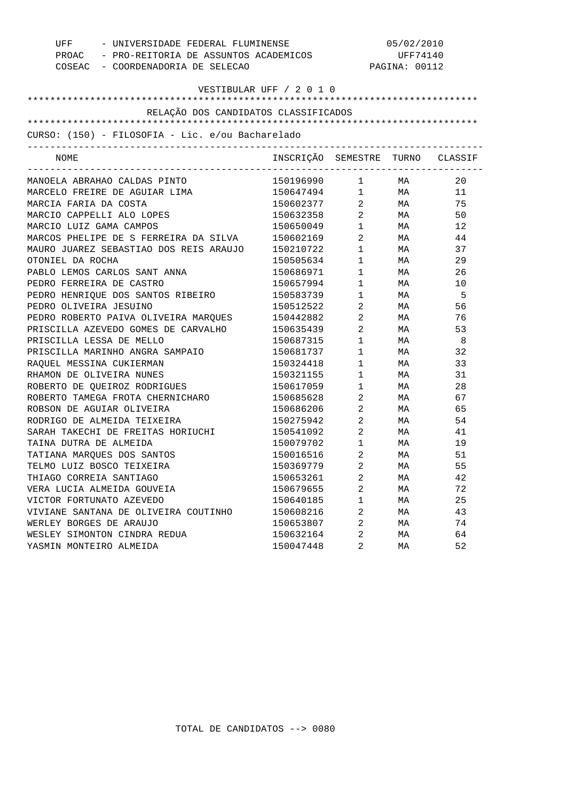|                                                  | UFF - UNIVERSIDADE FEDERAL FLUMINENSE       |                                  | 05/02/2010                                    |           |      |  |
|--------------------------------------------------|---------------------------------------------|----------------------------------|-----------------------------------------------|-----------|------|--|
|                                                  | PROAC - PRO-REITORIA DE ASSUNTOS ACADEMICOS |                                  | UFF74140                                      |           |      |  |
|                                                  | COSEAC - COORDENADORIA DE SELECAO           | PAGINA: 00112                    |                                               |           |      |  |
|                                                  |                                             | VESTIBULAR UFF / 2 0 1 0         |                                               |           |      |  |
|                                                  |                                             |                                  |                                               |           |      |  |
|                                                  | RELAÇÃO DOS CANDIDATOS CLASSIFICADOS        |                                  |                                               |           |      |  |
|                                                  |                                             |                                  |                                               |           |      |  |
| CURSO: (150) - FILOSOFIA - Lic. e/ou Bacharelado |                                             |                                  |                                               |           |      |  |
| NOME                                             |                                             | INSCRIÇÃO SEMESTRE TURNO CLASSIF |                                               |           |      |  |
| MANOELA ABRAHAO CALDAS PINTO                     |                                             | 150196990                        |                                               | $1$ MA    | 20   |  |
| MARCELO FREIRE DE AGUIAR LIMA                    |                                             | 150647494 1 MA                   |                                               |           | 11   |  |
| MARCIA FARIA DA COSTA                            |                                             | 150602377                        | $\overline{2}$                                | <b>MA</b> | 75   |  |
| MARCIO CAPPELLI ALO LOPES                        |                                             | 150632358 2                      |                                               | <b>MA</b> | 50   |  |
| MARCIO LUIZ GAMA CAMPOS                          |                                             | 150650049                        | $\begin{array}{ccc} 1 & & \\ & & \end{array}$ | <b>MA</b> | 12   |  |
| MARCOS PHELIPE DE S FERREIRA DA SILVA            |                                             | 150602169                        | $\overline{a}$                                | <b>MA</b> | 44   |  |
| MAURO JUAREZ SEBASTIAO DOS REIS ARAUJO           |                                             | 150210722                        | $\mathbf 1$                                   | <b>MA</b> | 37   |  |
| OTONIEL DA ROCHA                                 |                                             | 150505634                        | $\mathbf 1$                                   | <b>MA</b> | 29   |  |
| PABLO LEMOS CARLOS SANT ANNA                     |                                             | 150686971                        | $\mathbf 1$                                   | <b>MA</b> | 26   |  |
| PEDRO FERREIRA DE CASTRO                         |                                             | 150657994                        | $\begin{array}{ccc} 1 & & \\ & & \end{array}$ | <b>MA</b> | 10   |  |
| PEDRO HENRIQUE DOS SANTOS RIBEIRO                |                                             | 150583739                        | $\mathbf 1$                                   | MA        | $-5$ |  |
| PEDRO OLIVEIRA JESUINO                           |                                             | 150512522                        | $\overline{2}$                                | <b>MA</b> | 56   |  |
| PEDRO ROBERTO PAIVA OLIVEIRA MARQUES             |                                             | 150442882                        | $\overline{2}$                                | <b>MA</b> | 76   |  |
| PRISCILLA AZEVEDO GOMES DE CARVALHO              |                                             | 150635439                        | $\overline{a}$                                | <b>MA</b> | 53   |  |
| PRISCILLA LESSA DE MELLO                         |                                             | 150687315                        | $\mathbf 1$                                   | <b>MA</b> | - 8  |  |
| PRISCILLA MARINHO ANGRA SAMPAIO                  |                                             | 150681737                        | $\mathbf 1$                                   | <b>MA</b> | 32   |  |
| RAQUEL MESSINA CUKIERMAN                         |                                             | 150324418                        | $\begin{array}{ccc} 1 & & \\ & & \end{array}$ | <b>MA</b> | 33   |  |
| RHAMON DE OLIVEIRA NUNES                         |                                             | 150321155                        | $\mathbf 1$                                   | MA        | 31   |  |
| ROBERTO DE QUEIROZ RODRIGUES                     |                                             | 150617059                        | $1 \quad \Box$                                | <b>MA</b> | 28   |  |
| ROBERTO TAMEGA FROTA CHERNICHARO                 |                                             | 150685628                        | $\overline{2}$                                | <b>MA</b> | 67   |  |
| ROBSON DE AGUIAR OLIVEIRA                        |                                             | 150686206                        | $\overline{2}$                                | <b>MA</b> | 65   |  |
| RODRIGO DE ALMEIDA TEIXEIRA                      |                                             | 150275942                        | $\overline{a}$                                | <b>MA</b> | 54   |  |
| SARAH TAKECHI DE FREITAS HORIUCHI                |                                             | 150541092 2                      |                                               | <b>MA</b> | 41   |  |
| TAINA DUTRA DE ALMEIDA                           |                                             | 150079702                        | $\mathbf 1$                                   | <b>MA</b> | 19   |  |
| TATIANA MAROUES DOS SANTOS                       |                                             | 150016516                        | $2 \left( \frac{1}{2} \right)$                | MA        | 51   |  |
| TELMO LUIZ BOSCO TEIXEIRA                        |                                             | 150369779                        | $\overline{a}$                                | MA        | 55   |  |
| THIAGO CORREIA SANTIAGO                          |                                             | 150653261                        | 2                                             | МA        | 42   |  |
| VERA LUCIA ALMEIDA GOUVEIA                       |                                             | 150679655                        | 2                                             | МA        | 72   |  |
| VICTOR FORTUNATO AZEVEDO                         |                                             | 150640185                        | 1                                             | МA        | 25   |  |
| VIVIANE SANTANA DE OLIVEIRA COUTINHO             |                                             | 150608216                        | 2                                             | МA        | 43   |  |
| WERLEY BORGES DE ARAUJO                          |                                             | 150653807                        | 2                                             | МA        | 74   |  |
| WESLEY SIMONTON CINDRA REDUA                     |                                             | 150632164                        | 2                                             | МA        | 64   |  |
| YASMIN MONTEIRO ALMEIDA                          |                                             | 150047448                        | 2                                             | МA        | 52   |  |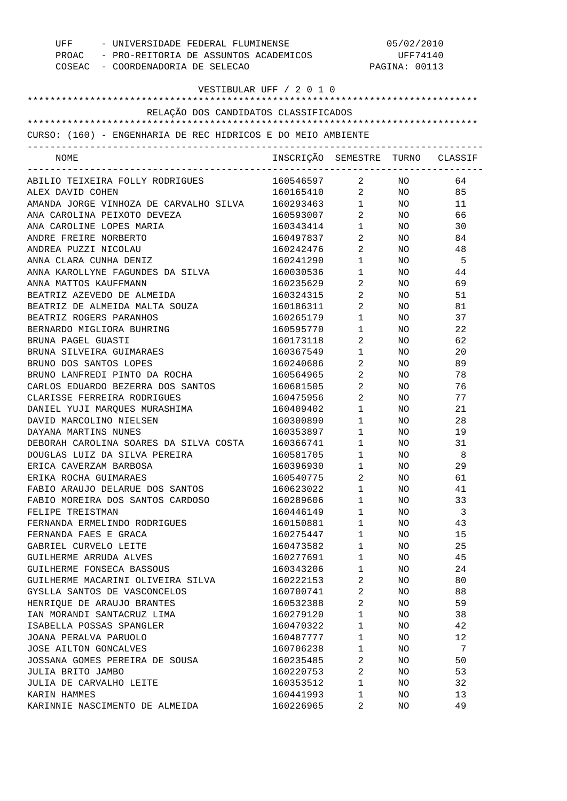| UFF - UNIVERSIDADE FEDERAL FLUMINENSE<br>PROAC - PRO-REITORIA DE ASSUNTOS ACADEMICOS<br>COSEAC - COORDENADORIA DE SELECAO |                                                              |                                   | 05/02/2010<br>UFF74140<br>PAGINA: 00113 |          |  |  |
|---------------------------------------------------------------------------------------------------------------------------|--------------------------------------------------------------|-----------------------------------|-----------------------------------------|----------|--|--|
| VESTIBULAR UFF / 2 0 1 0                                                                                                  |                                                              |                                   |                                         |          |  |  |
| RELAÇÃO DOS CANDIDATOS CLASSIFICADOS                                                                                      |                                                              |                                   |                                         |          |  |  |
|                                                                                                                           | CURSO: (160) - ENGENHARIA DE REC HIDRICOS E DO MEIO AMBIENTE |                                   |                                         |          |  |  |
|                                                                                                                           |                                                              |                                   |                                         |          |  |  |
| NOME                                                                                                                      | INSCRIÇÃO SEMESTRE TURNO CLASSIF                             |                                   |                                         |          |  |  |
| ABILIO TEIXEIRA FOLLY RODRIGUES                                                                                           | 160546597 2 NO                                               |                                   |                                         | 64       |  |  |
| ALEX DAVID COHEN                                                                                                          | 160165410 2 NO                                               |                                   |                                         | 85       |  |  |
| AMANDA JORGE VINHOZA DE CARVALHO SILVA                                                                                    | 160293463 1                                                  |                                   | NO <sub>n</sub>                         | 11       |  |  |
| ANA CAROLINA PEIXOTO DEVEZA                                                                                               | 160593007 2                                                  |                                   | NO <sub>1</sub>                         | 66       |  |  |
| ANA CAROLINE LOPES MARIA                                                                                                  | 160343414                                                    | $1 \qquad \qquad$                 | NO .                                    | 30       |  |  |
| ANDRE FREIRE NORBERTO                                                                                                     | 160497837                                                    | $\overline{2}$                    | NO .                                    | 84       |  |  |
| ANDREA PUZZI NICOLAU                                                                                                      | 160242476                                                    | $\overline{2}$                    | NO.                                     | 48       |  |  |
| ANNA CLARA CUNHA DENIZ                                                                                                    | 160241290                                                    | $1 \qquad \qquad$                 | NO.                                     | - 5      |  |  |
| ANNA KAROLLYNE FAGUNDES DA SILVA                                                                                          | 160030536                                                    | $1 \qquad \qquad$                 | NO.                                     | 44       |  |  |
| ANNA MATTOS KAUFFMANN                                                                                                     | 160235629                                                    | $\overline{2}$ and $\overline{2}$ | NO.                                     | 69       |  |  |
| BEATRIZ AZEVEDO DE ALMEIDA                                                                                                | 160324315                                                    | $2 \left( \frac{1}{2} \right)$    | NO.                                     | 51       |  |  |
| BEATRIZ DE ALMEIDA MALTA SOUZA                                                                                            | 160186311                                                    | $\overline{2}$ and $\overline{2}$ | NO.                                     | 81       |  |  |
| BEATRIZ ROGERS PARANHOS                                                                                                   | 160265179                                                    | $1 \qquad \qquad$                 | NO.                                     | 37       |  |  |
| BERNARDO MIGLIORA BUHRING                                                                                                 | 160595770                                                    | $1 \quad \cdots$                  | NO.                                     | 22       |  |  |
| BRUNA PAGEL GUASTI                                                                                                        | 160173118                                                    | $\overline{2}$ and $\overline{2}$ | NO.                                     | 62       |  |  |
| BRUNA SILVEIRA GUIMARAES                                                                                                  | 160367549                                                    | $1 \quad \cdots$                  | NO.                                     | 20       |  |  |
| BRUNO DOS SANTOS LOPES                                                                                                    | 160240686                                                    | $\overline{2}$                    | NO.                                     | 89       |  |  |
| BRUNO LANFREDI PINTO DA ROCHA                                                                                             | 160564965                                                    | $\overline{2}$ and $\overline{2}$ | NO.                                     | 78       |  |  |
| CARLOS EDUARDO BEZERRA DOS SANTOS                                                                                         | 160681505                                                    | $\overline{2}$                    | NO.                                     | 76       |  |  |
| CLARISSE FERREIRA RODRIGUES                                                                                               | 160475956                                                    | $\overline{2}$ and $\overline{2}$ | NO.                                     | 77       |  |  |
| DANIEL YUJI MARQUES MURASHIMA                                                                                             | 160409402                                                    | $1 \quad \blacksquare$            | NO.                                     | 21       |  |  |
| DAVID MARCOLINO NIELSEN                                                                                                   | 160300890                                                    | $1 \qquad \qquad$                 | NO.                                     | 28       |  |  |
| DAYANA MARTINS NUNES                                                                                                      | 160353897                                                    | $1 \quad \blacksquare$            | NO.                                     | 19       |  |  |
| DEBORAH CAROLINA SOARES DA SILVA COSTA                                                                                    | 160366741                                                    | $1 \qquad \qquad$                 | NO.                                     | 31       |  |  |
| DOUGLAS LUIZ DA SILVA PEREIRA                                                                                             | 160581705                                                    | $\mathbf 1$                       | NO.                                     | 8        |  |  |
| ERICA CAVERZAM BARBOSA                                                                                                    | 160396930                                                    | 1                                 | ΝO                                      | 29       |  |  |
| ERIKA ROCHA GUIMARAES                                                                                                     | 160540775                                                    | $\overline{2}$                    | NO                                      | 61       |  |  |
| FABIO ARAUJO DELARUE DOS SANTOS                                                                                           | 160623022                                                    | 1                                 | NO.                                     | 41       |  |  |
| FABIO MOREIRA DOS SANTOS CARDOSO                                                                                          | 160289606                                                    | 1                                 | NO                                      | 33       |  |  |
| FELIPE TREISTMAN                                                                                                          | 160446149                                                    | 1                                 | NO.                                     | 3        |  |  |
| FERNANDA ERMELINDO RODRIGUES                                                                                              | 160150881                                                    | 1                                 | NO.                                     | 43       |  |  |
| FERNANDA FAES E GRACA                                                                                                     | 160275447                                                    | 1                                 | NO.                                     | 15       |  |  |
| GABRIEL CURVELO LEITE                                                                                                     | 160473582                                                    | 1                                 | NO.                                     | 25       |  |  |
| GUILHERME ARRUDA ALVES                                                                                                    | 160277691                                                    | 1                                 | NO                                      | 45       |  |  |
| GUILHERME FONSECA BASSOUS                                                                                                 | 160343206                                                    | 1                                 | NO.                                     | 24       |  |  |
| GUILHERME MACARINI OLIVEIRA SILVA                                                                                         | 160222153                                                    | 2                                 | NO.                                     | 80       |  |  |
| GYSLLA SANTOS DE VASCONCELOS                                                                                              | 160700741                                                    | 2                                 | NO.                                     | 88       |  |  |
| HENRIQUE DE ARAUJO BRANTES                                                                                                | 160532388                                                    | 2                                 | NO.                                     | 59       |  |  |
|                                                                                                                           |                                                              |                                   |                                         |          |  |  |
| IAN MORANDI SANTACRUZ LIMA<br>ISABELLA POSSAS SPANGLER                                                                    | 160279120<br>160470322                                       | 1<br>1                            | NO.<br>NO.                              | 38<br>42 |  |  |
|                                                                                                                           |                                                              |                                   |                                         |          |  |  |
| JOANA PERALVA PARUOLO                                                                                                     | 160487777                                                    | 1                                 | NO.                                     | 12<br>7  |  |  |
| JOSE AILTON GONCALVES                                                                                                     | 160706238                                                    | 1                                 | NO.                                     |          |  |  |
| JOSSANA GOMES PEREIRA DE SOUSA                                                                                            | 160235485                                                    | 2                                 | NO.                                     | 50       |  |  |
| JULIA BRITO JAMBO                                                                                                         | 160220753                                                    | 2                                 | NO.                                     | 53       |  |  |
| JULIA DE CARVALHO LEITE                                                                                                   | 160353512                                                    | 1                                 | NO.                                     | 32       |  |  |
| KARIN HAMMES                                                                                                              | 160441993                                                    | 1                                 | NO                                      | 13       |  |  |
| KARINNIE NASCIMENTO DE ALMEIDA                                                                                            | 160226965                                                    | 2                                 | NO.                                     | 49       |  |  |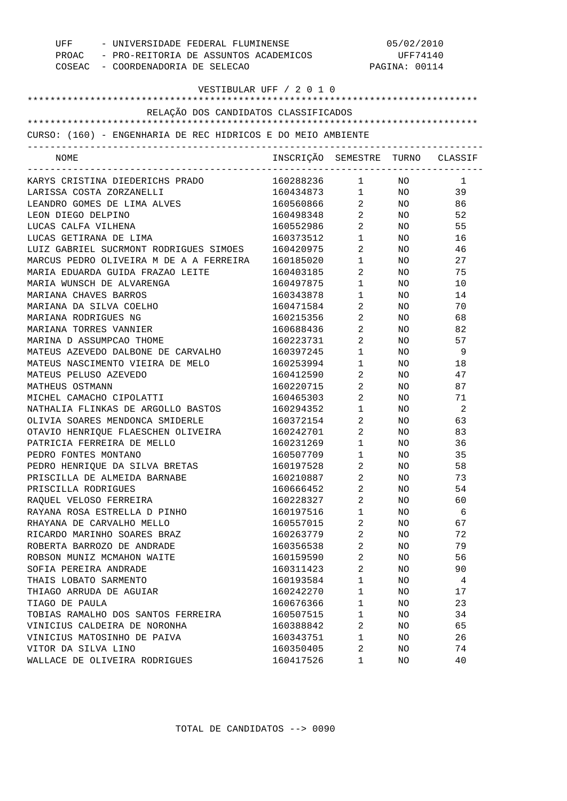| - UNIVERSIDADE FEDERAL FLUMINENSE<br>UFF                     |                                  | 05/02/2010                     |                 |                |  |
|--------------------------------------------------------------|----------------------------------|--------------------------------|-----------------|----------------|--|
| PROAC - PRO-REITORIA DE ASSUNTOS ACADEMICOS                  |                                  |                                | UFF74140        |                |  |
| COSEAC - COORDENADORIA DE SELECAO                            |                                  |                                | PAGINA: 00114   |                |  |
|                                                              |                                  |                                |                 |                |  |
| VESTIBULAR UFF / 2 0 1 0                                     |                                  |                                |                 |                |  |
|                                                              |                                  |                                |                 |                |  |
| RELAÇÃO DOS CANDIDATOS CLASSIFICADOS                         |                                  |                                |                 |                |  |
|                                                              |                                  |                                |                 |                |  |
| CURSO: (160) - ENGENHARIA DE REC HIDRICOS E DO MEIO AMBIENTE |                                  |                                |                 |                |  |
|                                                              |                                  |                                |                 |                |  |
| NOME                                                         | INSCRIÇÃO SEMESTRE TURNO CLASSIF |                                |                 |                |  |
|                                                              |                                  | ----------------------------   |                 |                |  |
| KARYS CRISTINA DIEDERICHS PRADO                              | 160288236 1 NO                   | $1 \quad \blacksquare$         |                 | $\overline{1}$ |  |
| LARISSA COSTA ZORZANELLI                                     | 160434873                        |                                | NO <sub>2</sub> | 39             |  |
| LEANDRO GOMES DE LIMA ALVES                                  | 160560866                        | $2 \left( \frac{1}{2} \right)$ | NO              | 86             |  |
| LEON DIEGO DELPINO                                           | 160498348                        | $\overline{a}$                 | NO.             | 52             |  |
| LUCAS CALFA VILHENA                                          | 160552986                        | $\overline{a}$                 | NO.             | 55             |  |
| LUCAS GETIRANA DE LIMA                                       | 160373512                        | $\mathbf 1$                    | NO.             | 16             |  |
| LUIZ GABRIEL SUCRMONT RODRIGUES SIMOES                       | 160420975                        | $\overline{a}$                 | NO              | 46             |  |
| MARCUS PEDRO OLIVEIRA M DE A A FERREIRA                      | 160185020                        | $\mathbf 1$                    | NO              | 27             |  |
| MARIA EDUARDA GUIDA FRAZAO LEITE                             | 160403185                        | 2                              | NO              | 75             |  |
| MARIA WUNSCH DE ALVARENGA                                    | 160497875                        | $\mathbf 1$                    | NO              | 10             |  |
| MARIANA CHAVES BARROS                                        | 160343878                        | 1                              | NO              | 14             |  |
| MARIANA DA SILVA COELHO                                      | 160471584                        | 2                              | NO.             | 70             |  |
| MARIANA RODRIGUES NG                                         | 160215356                        | 2                              | NO              | 68             |  |
| MARIANA TORRES VANNIER                                       | 160688436                        | $\overline{2}$                 | NO              | 82             |  |
| MARINA D ASSUMPCAO THOME                                     | 160223731                        | $\overline{a}$                 | NO              | 57             |  |
| MATEUS AZEVEDO DALBONE DE CARVALHO                           | 160397245                        | $\mathbf 1$                    | NO              | - 9            |  |
| MATEUS NASCIMENTO VIEIRA DE MELO                             | 160253994                        | 1                              | NO.             | 18             |  |
| MATEUS PELUSO AZEVEDO                                        | 160412590                        | 2                              | NO              | 47             |  |
| MATHEUS OSTMANN                                              | 160220715                        | 2                              | NO              | 87             |  |
| MICHEL CAMACHO CIPOLATTI                                     | 160465303                        | 2                              | NO              | 71             |  |
| NATHALIA FLINKAS DE ARGOLLO BASTOS                           | 160294352                        | 1                              | NO              | $\overline{2}$ |  |
| OLIVIA SOARES MENDONCA SMIDERLE                              | 160372154                        | 2                              | NO              | 63             |  |
| OTAVIO HENRIQUE FLAESCHEN OLIVEIRA                           | 160242701                        | $\overline{a}$                 | NO.             | 83             |  |
| PATRICIA FERREIRA DE MELLO                                   | 160231269                        | $\mathbf 1$                    | NO.             | 36             |  |
| PEDRO FONTES MONTANO                                         | 160507709                        | 1                              | NO.             | 35             |  |
| PEDRO HENRIQUE DA SILVA BRETAS                               | 160197528                        | $\overline{2}$                 | NO              | 58             |  |
| PRISCILLA DE ALMEIDA BARNABE                                 | 160210887                        | 2                              | NO.             | 73             |  |
| PRISCILLA RODRIGUES                                          | 160666452                        | $\overline{a}$                 | NO              | 54             |  |
| RAQUEL VELOSO FERREIRA                                       | 160228327                        | $\overline{a}$                 | NO.             | 60             |  |
| RAYANA ROSA ESTRELLA D PINHO                                 | 160197516                        | 1                              | NO.             | - 6            |  |
| RHAYANA DE CARVALHO MELLO                                    | 160557015                        | 2                              | NO.             | 67             |  |
| RICARDO MARINHO SOARES BRAZ                                  | 160263779                        | $\overline{2}$                 | NO.             | 72             |  |
| ROBERTA BARROZO DE ANDRADE                                   | 160356538                        | 2                              | NO.             | 79             |  |
| ROBSON MUNIZ MCMAHON WAITE                                   | 160159590                        | $\overline{2}$                 | NO.             | 56             |  |
| SOFIA PEREIRA ANDRADE                                        | 160311423                        | $\overline{a}$                 | NO.             | 90             |  |
| THAIS LOBATO SARMENTO                                        | 160193584                        | 1                              | NO.             | 4              |  |
| THIAGO ARRUDA DE AGUIAR                                      | 160242270                        | $\mathbf 1$                    | NO.             | 17             |  |
| TIAGO DE PAULA                                               | 160676366                        | 1                              | NO.             | 23             |  |
| TOBIAS RAMALHO DOS SANTOS FERREIRA                           | 160507515                        | 1                              | NO.             | 34             |  |
| VINICIUS CALDEIRA DE NORONHA                                 | 160388842                        | 2                              | NO.             | 65             |  |
| VINICIUS MATOSINHO DE PAIVA                                  | 160343751                        | 1                              | NO              | 26             |  |
| VITOR DA SILVA LINO                                          | 160350405                        | 2                              | NO.             | 74             |  |
| WALLACE DE OLIVEIRA RODRIGUES                                | 160417526                        | 1                              | NO              | 40             |  |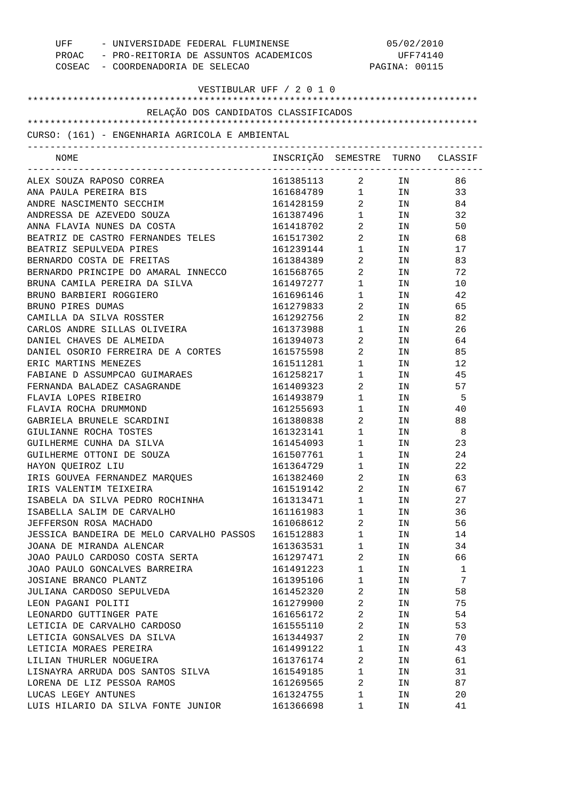| UFF - UNIVERSIDADE FEDERAL FLUMINENSE<br>PROAC - PRO-REITORIA DE ASSUNTOS ACADEMICOS<br>COSEAC - COORDENADORIA DE SELECAO |                                  | 05/02/2010<br>UFF74140<br>PAGINA: 00115 |                                                                                                                |     |
|---------------------------------------------------------------------------------------------------------------------------|----------------------------------|-----------------------------------------|----------------------------------------------------------------------------------------------------------------|-----|
| VESTIBULAR UFF / 2 0 1 0                                                                                                  |                                  |                                         |                                                                                                                |     |
| RELAÇÃO DOS CANDIDATOS CLASSIFICADOS                                                                                      |                                  |                                         |                                                                                                                |     |
|                                                                                                                           |                                  |                                         |                                                                                                                |     |
| CURSO: (161) - ENGENHARIA AGRICOLA E AMBIENTAL<br>--------------------------------                                        |                                  |                                         |                                                                                                                |     |
| NOME                                                                                                                      | INSCRIÇÃO SEMESTRE TURNO CLASSIF |                                         |                                                                                                                |     |
| ALEX SOUZA RAPOSO CORREA                                                                                                  | 161385113 2 IN                   |                                         |                                                                                                                | 86  |
| ANA PAULA PEREIRA BIS                                                                                                     | 161684789 1 IN                   |                                         |                                                                                                                | 33  |
| ANDRE NASCIMENTO SECCHIM                                                                                                  | 161428159                        |                                         | $2$ IN                                                                                                         | 84  |
| ANDRESSA DE AZEVEDO SOUZA                                                                                                 | 161387496                        | $1 \quad \blacksquare$                  | IN THE TEST OF THE TEST OF THE TEST OF THE TEST OF THE TEST OF THE TEST OF THE TEST OF THE TEST OF THE TEST OF | 32  |
| ANNA FLAVIA NUNES DA COSTA                                                                                                | 161418702                        | $\overline{2}$                          | IN THE TERM OF THE TERM OF THE TERM OF THE TERM OF THE TERM OF THE TERM OF THE TERM OF THE TERM OF THE TERM OF | 50  |
| BEATRIZ DE CASTRO FERNANDES TELES                                                                                         | 161517302                        | $2 \left( \frac{1}{2} \right)$          | IN                                                                                                             | 68  |
| BEATRIZ SEPULVEDA PIRES                                                                                                   | 161239144                        | $1 \qquad \qquad$                       | IN                                                                                                             | 17  |
| BERNARDO COSTA DE FREITAS                                                                                                 | 161384389                        | $2 \left( \frac{1}{2} \right)$          | IN                                                                                                             | 83  |
| BERNARDO PRINCIPE DO AMARAL INNECCO                                                                                       | 161568765                        | $2 \left( \frac{1}{2} \right)$          | IN                                                                                                             | 72  |
| BRUNA CAMILA PEREIRA DA SILVA                                                                                             | 161497277                        | $1 \quad \blacksquare$                  | IN                                                                                                             | 10  |
| BRUNO BARBIERI ROGGIERO                                                                                                   | 161696146                        | $1 \quad \blacksquare$                  | IN                                                                                                             | 42  |
| BRUNO PIRES DUMAS                                                                                                         | 161279833                        | $2 \left( \frac{1}{2} \right)$          | IN THE TERM OF THE TERM OF THE TERM OF THE TERM OF THE TERM OF THE TERM OF THE TERM OF THE TERM OF THE TERM OF | 65  |
| CAMILLA DA SILVA ROSSTER                                                                                                  | 161292756                        | $\overline{2}$                          | IN THE TELEVISION OF THE TELEVISION OF THE TELEVISION OF THE TELEVISION OF THE TELEVISION OF THE TELEVISION OF | 82  |
| CARLOS ANDRE SILLAS OLIVEIRA                                                                                              | 161373988                        | $1 \quad \blacksquare$                  | IN THE TEST OF THE TEST OF THE TEST OF THE TEST OF THE TEST OF THE TEST OF THE TEST OF THE TEST OF THE TEST OF | 26  |
| DANIEL CHAVES DE ALMEIDA                                                                                                  | 161394073                        | $2 \left( \frac{1}{2} \right)$          | IN THE TERM OF THE TERM OF THE TERM OF THE TERM OF THE TERM OF THE TERM OF THE TERM OF THE TERM OF THE TERM OF | 64  |
| DANIEL OSORIO FERREIRA DE A CORTES                                                                                        | 161575598                        | $2 \left( \frac{1}{2} \right)$          | IN THE TELEVISION OF THE TELEVISION OF THE TELEVISION OF THE TELEVISION OF THE TELEVISION OF THE TELEVISION OF | 85  |
| ERIC MARTINS MENEZES                                                                                                      | 161511281                        | $1 \quad \blacksquare$                  | IN                                                                                                             | 12  |
| FABIANE D ASSUMPCAO GUIMARAES                                                                                             | 161258217                        | $1 \quad \blacksquare$                  | IN THE TEST OF THE TEST OF THE TEST OF THE TEST OF THE TEST OF THE TEST OF THE TEST OF THE TEST OF THE TEST OF | 45  |
| FERNANDA BALADEZ CASAGRANDE                                                                                               | 161409323                        | $2 \left( \frac{1}{2} \right)$          | IN                                                                                                             | 57  |
| FLAVIA LOPES RIBEIRO                                                                                                      | 161493879                        | $1 \quad \blacksquare$                  | IN                                                                                                             | - 5 |
| FLAVIA ROCHA DRUMMOND                                                                                                     | 161255693                        | $1 \quad \blacksquare$                  | IN THE TEST OF THE TEST OF THE TEST OF THE TEST OF THE TEST OF THE TEST OF THE TEST OF THE TEST OF THE TEST OF | 40  |
| GABRIELA BRUNELE SCARDINI                                                                                                 | 161380838                        | $\overline{2}$                          | IN                                                                                                             | 88  |
| GIULIANNE ROCHA TOSTES                                                                                                    | 161323141                        | $1 \quad \blacksquare$                  | IN                                                                                                             | - 8 |
| GUILHERME CUNHA DA SILVA                                                                                                  | 161454093                        | $1 \quad \blacksquare$                  | IN                                                                                                             | 23  |
| GUILHERME OTTONI DE SOUZA                                                                                                 | 161507761                        | $\mathbf{1}$                            | IN                                                                                                             | 24  |
| HAYON QUEIROZ LIU                                                                                                         | 161364729                        | 1                                       | ΙN                                                                                                             | 22  |
| IRIS GOUVEA FERNANDEZ MARQUES                                                                                             | 161382460                        | 2                                       | ΙN                                                                                                             | 63  |
| IRIS VALENTIM TEIXEIRA                                                                                                    | 161519142                        | 2                                       | ΙN                                                                                                             | 67  |
| ISABELA DA SILVA PEDRO ROCHINHA                                                                                           | 161313471                        | $\mathbf 1$                             | IN                                                                                                             | 27  |
| ISABELLA SALIM DE CARVALHO                                                                                                | 161161983                        | $\mathbf 1$                             | ΙN                                                                                                             | 36  |
| JEFFERSON ROSA MACHADO                                                                                                    | 161068612                        | 2                                       | ΙN                                                                                                             | 56  |
| JESSICA BANDEIRA DE MELO CARVALHO PASSOS                                                                                  | 161512883                        | $\mathbf 1$                             | ΙN                                                                                                             | 14  |
| JOANA DE MIRANDA ALENCAR                                                                                                  | 161363531                        | $\mathbf 1$                             | ΙN                                                                                                             | 34  |
| JOAO PAULO CARDOSO COSTA SERTA                                                                                            | 161297471                        | 2                                       | ΙN                                                                                                             | 66  |
| JOAO PAULO GONCALVES BARREIRA                                                                                             | 161491223                        | $\mathbf 1$                             | ΙN                                                                                                             | 1   |
| JOSIANE BRANCO PLANTZ                                                                                                     | 161395106                        | $\mathbf 1$                             | ΙN                                                                                                             | 7   |
| JULIANA CARDOSO SEPULVEDA                                                                                                 | 161452320                        | 2                                       | ΙN                                                                                                             | 58  |
| LEON PAGANI POLITI                                                                                                        | 161279900                        | 2                                       | ΙN                                                                                                             | 75  |
| LEONARDO GUTTINGER PATE                                                                                                   | 161656172                        | 2                                       | ΙN                                                                                                             | 54  |
| LETICIA DE CARVALHO CARDOSO                                                                                               | 161555110                        | 2                                       | ΙN                                                                                                             | 53  |
| LETICIA GONSALVES DA SILVA                                                                                                | 161344937                        | 2                                       | ΙN                                                                                                             | 70  |
| LETICIA MORAES PEREIRA                                                                                                    | 161499122                        | $\mathbf 1$                             | ΙN                                                                                                             | 43  |
| LILIAN THURLER NOGUEIRA                                                                                                   | 161376174                        | 2                                       | ΙN                                                                                                             | 61  |
| LISNAYRA ARRUDA DOS SANTOS SILVA                                                                                          | 161549185                        | $\mathbf 1$                             | ΙN                                                                                                             | 31  |
| LORENA DE LIZ PESSOA RAMOS                                                                                                | 161269565                        | 2                                       | ΙN                                                                                                             | 87  |
| LUCAS LEGEY ANTUNES                                                                                                       | 161324755                        | $\mathbf 1$                             | ΙN                                                                                                             | 20  |
| LUIS HILARIO DA SILVA FONTE JUNIOR                                                                                        | 161366698                        | 1                                       | ΙN                                                                                                             | 41  |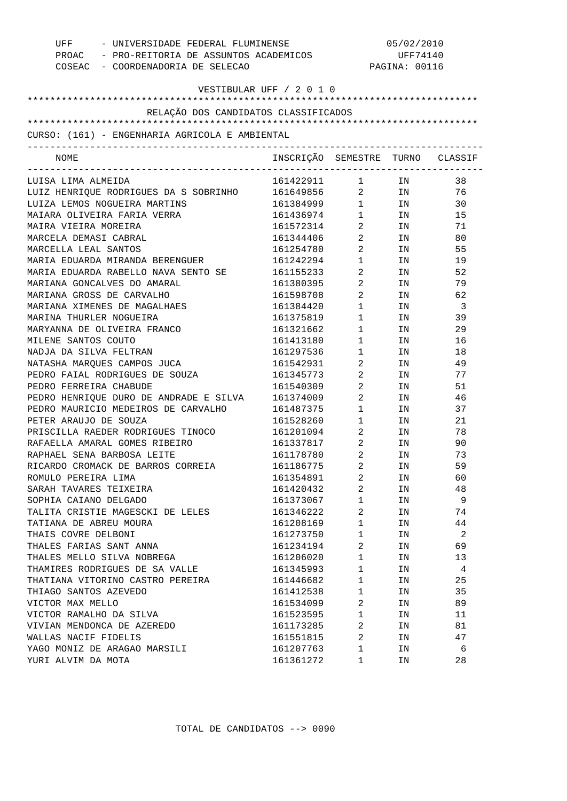| UFF - UNIVERSIDADE FEDERAL FLUMINENSE<br>PROAC - PRO-REITORIA DE ASSUNTOS ACADEMICOS<br>COSEAC - COORDENADORIA DE SELECAO |                                  | 05/02/2010<br>UFF74140<br>PAGINA: 00116 |      |     |
|---------------------------------------------------------------------------------------------------------------------------|----------------------------------|-----------------------------------------|------|-----|
| VESTIBULAR UFF / 2 0 1 0                                                                                                  |                                  |                                         |      |     |
| RELAÇÃO DOS CANDIDATOS CLASSIFICADOS                                                                                      |                                  |                                         |      |     |
|                                                                                                                           |                                  |                                         |      |     |
| CURSO: (161) - ENGENHARIA AGRICOLA E AMBIENTAL                                                                            |                                  |                                         |      |     |
| NOME                                                                                                                      | INSCRIÇÃO SEMESTRE TURNO CLASSIF |                                         |      |     |
| LUISA LIMA ALMEIDA                                                                                                        | 161422911 1 IN                   |                                         |      | 38  |
| LUIZ HENRIQUE RODRIGUES DA S SOBRINHO                                                                                     | 161649856 2 IN                   |                                         |      | 76  |
| LUIZA LEMOS NOGUEIRA MARTINS                                                                                              | 161384999 1 IN                   |                                         |      | 30  |
| MAIARA OLIVEIRA FARIA VERRA                                                                                               | 161436974 1                      |                                         | IN   | 15  |
| MAIRA VIEIRA MOREIRA                                                                                                      | 161572314                        | $\overline{2}$                          | IN   | 71  |
| MARCELA DEMASI CABRAL                                                                                                     | 161344406                        | $\overline{2}$                          | IN   | 80  |
| MARCELLA LEAL SANTOS                                                                                                      | 161254780                        | $\overline{2}$                          | IN   | 55  |
| MARIA EDUARDA MIRANDA BERENGUER                                                                                           | 161242294                        | $1 \qquad \qquad$                       | IN   | 19  |
| MARIA EDUARDA RABELLO NAVA SENTO SE                                                                                       | 161155233                        | $\overline{2}$ and $\overline{2}$       | IN   | 52  |
| MARIANA GONCALVES DO AMARAL                                                                                               | 161380395                        | $\overline{2}$                          | IN   | 79  |
| MARIANA GROSS DE CARVALHO                                                                                                 | 161598708                        | $\overline{2}$                          | IN   | 62  |
| MARIANA XIMENES DE MAGALHAES                                                                                              | 161384420                        | $1 \quad \blacksquare$                  | IN   | - 3 |
| MARINA THURLER NOGUEIRA                                                                                                   | 161375819                        | $1 \quad \blacksquare$                  | IN N | 39  |
| MARYANNA DE OLIVEIRA FRANCO                                                                                               | 161321662                        | $1 \quad \blacksquare$                  | IN   | 29  |
| MILENE SANTOS COUTO                                                                                                       | 161413180                        | 1                                       | IN   | 16  |
| NADJA DA SILVA FELTRAN                                                                                                    | 161297536                        | $1 \qquad \qquad$                       | IN   | 18  |
| NATASHA MARQUES CAMPOS JUCA                                                                                               | 161542931                        | $\overline{2}$ and $\overline{2}$       | IN   | 49  |
| PEDRO FAIAL RODRIGUES DE SOUZA                                                                                            | 161345773                        | $\overline{2}$ and $\overline{2}$       | IN   | 77  |
| PEDRO FERREIRA CHABUDE                                                                                                    | 161540309                        | $\overline{2}$ and $\overline{2}$       | IN   | 51  |
| PEDRO HENRIQUE DURO DE ANDRADE E SILVA                                                                                    | 161374009                        | $\overline{2}$                          | IN   | 46  |
| PEDRO MAURICIO MEDEIROS DE CARVALHO                                                                                       | 161487375                        | $1 \qquad \qquad$                       | IN   | 37  |
| PETER ARAUJO DE SOUZA                                                                                                     | 161528260                        | $1 \qquad \qquad$                       | IN   | 21  |
| PRISCILLA RAEDER RODRIGUES TINOCO                                                                                         | 161201094                        | $2 \left( \frac{1}{2} \right)$          | IN   | 78  |
| RAFAELLA AMARAL GOMES RIBEIRO                                                                                             | 161337817                        | $2 \left( \frac{1}{2} \right)$          | IN   | 90  |
| RAPHAEL SENA BARBOSA LEITE                                                                                                | 161178780                        | 2                                       | IN   | 73  |
| RICARDO CROMACK DE BARROS CORREIA                                                                                         | 161186775                        | 2                                       | ΙN   | 59  |
| ROMULO PEREIRA LIMA                                                                                                       | 161354891                        | 2                                       | IN   | 60  |
| SARAH TAVARES TEIXEIRA                                                                                                    | 161420432                        | 2                                       | IN   | 48  |
| SOPHIA CAIANO DELGADO                                                                                                     | 161373067                        | $\mathbf 1$                             | ΙN   | 9   |
| TALITA CRISTIE MAGESCKI DE LELES                                                                                          | 161346222                        | 2                                       | ΙN   | 74  |
| TATIANA DE ABREU MOURA                                                                                                    | 161208169                        | 1                                       | ΙN   | 44  |
| THAIS COVRE DELBONI                                                                                                       | 161273750                        | 1                                       | ΙN   | 2   |
| THALES FARIAS SANT ANNA                                                                                                   | 161234194                        | 2                                       | ΙN   | 69  |
| THALES MELLO SILVA NOBREGA                                                                                                | 161206020                        | 1                                       | ΙN   | 13  |
| THAMIRES RODRIGUES DE SA VALLE                                                                                            | 161345993                        | 1                                       | ΙN   | 4   |
| THATIANA VITORINO CASTRO PEREIRA                                                                                          | 161446682                        | 1                                       | ΙN   | 25  |
| THIAGO SANTOS AZEVEDO                                                                                                     | 161412538                        | 1                                       | ΙN   | 35  |
| VICTOR MAX MELLO                                                                                                          | 161534099                        | 2                                       | ΙN   | 89  |
| VICTOR RAMALHO DA SILVA                                                                                                   | 161523595                        | 1                                       | ΙN   | 11  |
| VIVIAN MENDONCA DE AZEREDO                                                                                                | 161173285                        | 2                                       | ΙN   | 81  |
| WALLAS NACIF FIDELIS                                                                                                      | 161551815                        | 2                                       | IN   | 47  |
| YAGO MONIZ DE ARAGAO MARSILI                                                                                              | 161207763                        | 1                                       | ΙN   | 6   |
| YURI ALVIM DA MOTA                                                                                                        | 161361272                        | 1                                       | ΙN   | 28  |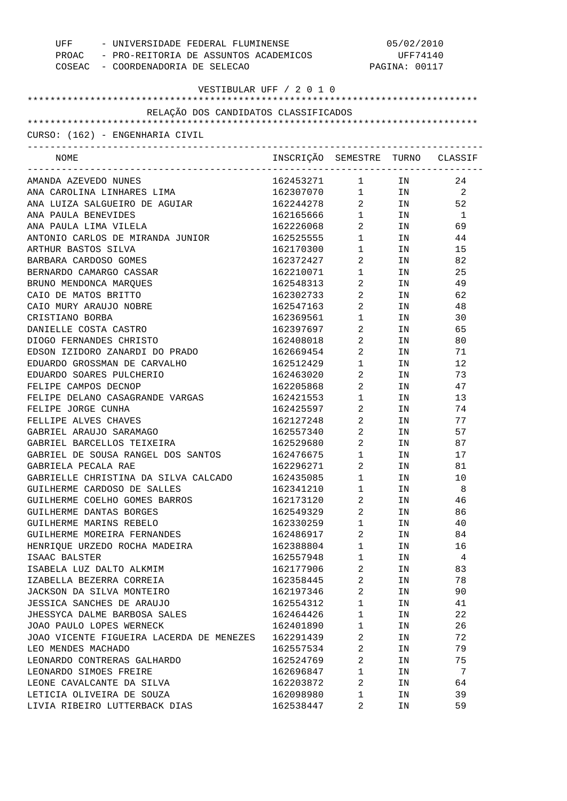| UFF<br>- UNIVERSIDADE FEDERAL FLUMINENSE    |                                  | 05/02/2010                                    |               |              |  |
|---------------------------------------------|----------------------------------|-----------------------------------------------|---------------|--------------|--|
| PROAC - PRO-REITORIA DE ASSUNTOS ACADEMICOS |                                  | UFF74140                                      |               |              |  |
| COSEAC - COORDENADORIA DE SELECAO           |                                  |                                               | PAGINA: 00117 |              |  |
| VESTIBULAR UFF / 2 0 1 0                    |                                  |                                               |               |              |  |
|                                             |                                  |                                               |               |              |  |
| RELAÇÃO DOS CANDIDATOS CLASSIFICADOS        |                                  |                                               |               |              |  |
|                                             |                                  |                                               |               |              |  |
| CURSO: (162) - ENGENHARIA CIVIL             |                                  |                                               |               |              |  |
| NOME                                        | INSCRIÇÃO SEMESTRE TURNO CLASSIF |                                               |               |              |  |
| AMANDA AZEVEDO NUNES                        | 162453271                        | $\mathbf{1}$                                  | IN            | 24           |  |
| ANA CAROLINA LINHARES LIMA                  | 162307070                        | $\mathbf{1}$                                  |               | IN 2         |  |
| ANA LUIZA SALGUEIRO DE AGUIAR               | 162244278                        | $\overline{a}$                                | IN            | 52           |  |
| ANA PAULA BENEVIDES                         | 162165666                        | $1 \quad \Box$                                | IN            | $\mathbf{1}$ |  |
| ANA PAULA LIMA VILELA                       | 162226068                        | $\overline{a}$                                | IN            | 69           |  |
| ANTONIO CARLOS DE MIRANDA JUNIOR            | 162525555                        | $\begin{array}{ccc} 1 & & \\ & & \end{array}$ | IN            | 44           |  |
| ARTHUR BASTOS SILVA                         | 162170300                        | $1 \quad \blacksquare$                        | IN            | 15           |  |
| BARBARA CARDOSO GOMES                       | 162372427                        | $\overline{a}$                                | IN            | 82           |  |
| BERNARDO CAMARGO CASSAR                     | 162210071                        | $\mathbf{1}$                                  | IN            | 25           |  |
| BRUNO MENDONCA MARQUES                      | 162548313                        | $\overline{a}$                                | IN            | 49           |  |
| CAIO DE MATOS BRITTO                        | 162302733                        | $\overline{a}$                                | IN            | 62           |  |
| CAIO MURY ARAUJO NOBRE                      | 162547163                        | $\overline{a}$                                | IN            | 48           |  |
| CRISTIANO BORBA                             | 162369561                        | $1$ $\hfill$                                  | IN            | 30           |  |
| DANIELLE COSTA CASTRO                       | 162397697                        | $\overline{a}$                                | IN            | 65           |  |
| DIOGO FERNANDES CHRISTO                     | 162408018                        | $\overline{a}$                                | IN            | 80           |  |
| EDSON IZIDORO ZANARDI DO PRADO              | 162669454                        | $\overline{a}$                                | IN            | 71           |  |
| EDUARDO GROSSMAN DE CARVALHO                | 162512429                        | $1 \quad \Box$                                | IN            | 12           |  |
| EDUARDO SOARES PULCHERIO                    | 162463020                        | $\overline{a}$                                | IN            | 73           |  |
| FELIPE CAMPOS DECNOP                        | 162205868                        | $\overline{a}$                                | IN            | 47           |  |
| FELIPE DELANO CASAGRANDE VARGAS             | 162421553                        | $1 \quad \blacksquare$                        | IN            | 13           |  |
| FELIPE JORGE CUNHA                          | 162425597                        | $\overline{a}$                                | IN            | 74           |  |
| FELLIPE ALVES CHAVES                        | 162127248                        | $\overline{a}$                                | IN            | 77           |  |
| GABRIEL ARAUJO SARAMAGO                     | 162557340                        | $\overline{a}$                                | ΙN            | 57           |  |
| GABRIEL BARCELLOS TEIXEIRA                  | 162529680                        | $\overline{2}$                                | IN            | 87           |  |
| GABRIEL DE SOUSA RANGEL DOS SANTOS          | 162476675                        | $\mathbf{1}$                                  | IN.           | 17           |  |
| GABRIELA PECALA RAE                         | 162296271                        | $\overline{2}$                                | IN            | 81           |  |
| GABRIELLE CHRISTINA DA SILVA CALCADO        | 162435085                        | 1                                             | ΙN            | 10           |  |
| GUILHERME CARDOSO DE SALLES                 | 162341210                        | $\mathbf 1$                                   | ΙN            | 8            |  |
| GUILHERME COELHO GOMES BARROS               | 162173120                        | $\overline{\mathbf{c}}$                       | ΙN            | 46           |  |
| GUILHERME DANTAS BORGES                     | 162549329                        | 2                                             | ΙN            | 86           |  |
| GUILHERME MARINS REBELO                     | 162330259                        | $\mathbf 1$                                   | ΙN            | 40           |  |
| GUILHERME MOREIRA FERNANDES                 | 162486917                        | 2                                             | ΙN            | 84           |  |
| HENRIQUE URZEDO ROCHA MADEIRA               | 162388804                        | 1                                             | ΙN            | 16           |  |
| ISAAC BALSTER                               | 162557948                        | $\mathbf 1$                                   | ΙN            | 4            |  |
| ISABELA LUZ DALTO ALKMIM                    | 162177906                        | 2                                             | ΙN            | 83           |  |
| IZABELLA BEZERRA CORREIA                    | 162358445                        | 2                                             | ΙN            | 78           |  |
| JACKSON DA SILVA MONTEIRO                   | 162197346                        | 2                                             | ΙN            | 90           |  |
| JESSICA SANCHES DE ARAUJO                   | 162554312                        | 1                                             | ΙN            | 41           |  |
| JHESSYCA DALME BARBOSA SALES                | 162464426                        | $\mathbf 1$                                   | ΙN            | 22           |  |
| JOAO PAULO LOPES WERNECK                    | 162401890                        | $\mathbf 1$                                   | ΙN            | 26           |  |
| JOAO VICENTE FIGUEIRA LACERDA DE MENEZES    | 162291439                        | $\overline{\mathbf{c}}$                       | ΙN            | 72           |  |
| LEO MENDES MACHADO                          | 162557534                        | 2                                             | ΙN            | 79           |  |
| LEONARDO CONTRERAS GALHARDO                 | 162524769                        | $\overline{a}$                                | ΙN            | 75           |  |
| LEONARDO SIMOES FREIRE                      | 162696847                        | $\mathbf 1$                                   | ΙN            | 7            |  |
| LEONE CAVALCANTE DA SILVA                   | 162203872                        | $\overline{a}$                                | ΙN            | 64           |  |
| LETICIA OLIVEIRA DE SOUZA                   | 162098980                        | 1                                             | ΙN            | 39           |  |
| LIVIA RIBEIRO LUTTERBACK DIAS               | 162538447                        | 2                                             | ΙN            | 59           |  |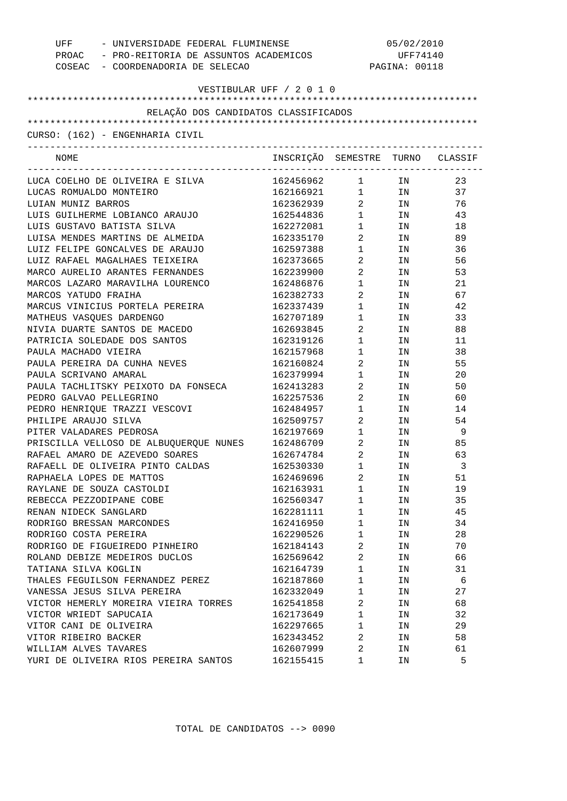| UFF - UNIVERSIDADE FEDERAL FLUMINENSE<br>PROAC - PRO-REITORIA DE ASSUNTOS ACADEMICOS<br>COSEAC - COORDENADORIA DE SELECAO |                                  | 05/02/2010<br>UFF74140<br>PAGINA: 00118 |     |     |
|---------------------------------------------------------------------------------------------------------------------------|----------------------------------|-----------------------------------------|-----|-----|
|                                                                                                                           | VESTIBULAR UFF / 2 0 1 0         |                                         |     |     |
|                                                                                                                           |                                  |                                         |     |     |
| RELAÇÃO DOS CANDIDATOS CLASSIFICADOS                                                                                      |                                  |                                         |     |     |
| CURSO: (162) - ENGENHARIA CIVIL                                                                                           |                                  |                                         |     |     |
|                                                                                                                           |                                  |                                         |     |     |
| NOME                                                                                                                      | INSCRIÇÃO SEMESTRE TURNO CLASSIF |                                         |     |     |
| LUCA COELHO DE OLIVEIRA E SILVA                                                                                           | 162456962                        | 1                                       | IN  | 23  |
| LUCAS ROMUALDO MONTEIRO                                                                                                   | 162166921 1 IN                   |                                         |     | 37  |
| LUIAN MUNIZ BARROS                                                                                                        | 162362939 2 IN                   |                                         |     | 76  |
| LUIS GUILHERME LOBIANCO ARAUJO                                                                                            | 162544836 1 IN                   |                                         |     | 43  |
| LUIS GUSTAVO BATISTA SILVA                                                                                                | 162272081                        | $1 \qquad \qquad$                       | IN  | 18  |
| LUISA MENDES MARTINS DE ALMEIDA                                                                                           | 162335170                        | $\overline{2}$                          | IN  | 89  |
| LUIZ FELIPE GONCALVES DE ARAUJO                                                                                           | 162597388                        | $1 \qquad \qquad$                       | IN  | 36  |
| LUIZ RAFAEL MAGALHAES TEIXEIRA                                                                                            | 162373665                        | $\overline{2}$                          | IN  | 56  |
| MARCO AURELIO ARANTES FERNANDES                                                                                           | 162239900                        | $\overline{2}$                          | IN  | 53  |
| MARCOS LAZARO MARAVILHA LOURENCO                                                                                          | 162486876                        | $1 \qquad \qquad$                       | IN  | 21  |
| MARCOS YATUDO FRAIHA                                                                                                      | 162382733                        | $\overline{2}$                          | IN  | 67  |
| MARCUS VINICIUS PORTELA PEREIRA                                                                                           | 162337439                        | $1 \qquad \qquad$                       | IN  | 42  |
| MATHEUS VASQUES DARDENGO                                                                                                  | 162707189                        | $1 \quad \Box$                          | IN  | 33  |
| NIVIA DUARTE SANTOS DE MACEDO                                                                                             | 162693845                        | $\overline{a}$                          | IN  | 88  |
| PATRICIA SOLEDADE DOS SANTOS                                                                                              | 162319126                        | $1 \qquad \qquad$                       | IN  | 11  |
| PAULA MACHADO VIEIRA                                                                                                      | 162157968                        | $1 \quad \Box$                          | IN  | 38  |
| PAULA PEREIRA DA CUNHA NEVES                                                                                              | 162160824                        | $\overline{2}$                          | IN  | 55  |
| PAULA SCRIVANO AMARAL                                                                                                     | 162379994                        | $1 \quad \Box$                          | IN  | 20  |
| PAULA TACHLITSKY PEIXOTO DA FONSECA                                                                                       | 162413283                        | $\overline{2}$                          | IN  | 50  |
| PEDRO GALVAO PELLEGRINO                                                                                                   | 162257536                        | $\overline{2}$                          | IN  | 60  |
| PEDRO HENRIQUE TRAZZI VESCOVI                                                                                             | 162484957                        | $1 \qquad \qquad$                       | IN  | 14  |
| PHILIPE ARAUJO SILVA                                                                                                      | 162509757                        | $\overline{2}$                          | IN  | 54  |
| PITER VALADARES PEDROSA                                                                                                   | 162197669                        | $1 \quad \blacksquare$                  | IN  | - 9 |
| PRISCILLA VELLOSO DE ALBUQUERQUE NUNES 162486709                                                                          |                                  | $\overline{2}$                          | IN  | 85  |
| RAFAEL AMARO DE AZEVEDO SOARES                                                                                            | 162674784                        | $\overline{2}$                          | IN. | 63  |
| RAFAELL DE OLIVEIRA PINTO CALDAS                                                                                          | 162530330                        | 1                                       | ΙN  | 3   |
| RAPHAELA LOPES DE MATTOS                                                                                                  | 162469696                        | 2                                       | ΙN  | 51  |
| RAYLANE DE SOUZA CASTOLDI                                                                                                 | 162163931                        | 1                                       | ΙN  | 19  |
| REBECCA PEZZODIPANE COBE                                                                                                  | 162560347                        | 1                                       | ΙN  | 35  |
| RENAN NIDECK SANGLARD                                                                                                     | 162281111                        | 1                                       | ΙN  | 45  |
| RODRIGO BRESSAN MARCONDES                                                                                                 | 162416950                        | 1                                       | ΙN  | 34  |
| RODRIGO COSTA PEREIRA                                                                                                     | 162290526                        | 1                                       | ΙN  | 28  |
| RODRIGO DE FIGUEIREDO PINHEIRO                                                                                            | 162184143                        | 2                                       | ΙN  | 70  |
| ROLAND DEBIZE MEDEIROS DUCLOS                                                                                             | 162569642                        | 2                                       | ΙN  | 66  |
| TATIANA SILVA KOGLIN                                                                                                      | 162164739                        | 1                                       | ΙN  | 31  |
| THALES FEGUILSON FERNANDEZ PEREZ                                                                                          | 162187860                        | 1                                       | ΙN  | 6   |
| VANESSA JESUS SILVA PEREIRA                                                                                               | 162332049                        | $\mathbf 1$                             | ΙN  | 27  |
| VICTOR HEMERLY MOREIRA VIEIRA TORRES                                                                                      | 162541858                        | 2                                       | ΙN  | 68  |
| VICTOR WRIEDT SAPUCAIA                                                                                                    | 162173649                        | 1                                       | ΙN  | 32  |
| VITOR CANI DE OLIVEIRA                                                                                                    | 162297665                        | 1                                       | ΙN  | 29  |
| VITOR RIBEIRO BACKER                                                                                                      | 162343452                        | 2                                       | ΙN  | 58  |
| WILLIAM ALVES TAVARES                                                                                                     | 162607999                        | 2                                       | ΙN  | 61  |
| YURI DE OLIVEIRA RIOS PEREIRA SANTOS                                                                                      | 162155415                        | 1                                       | ΙN  | 5   |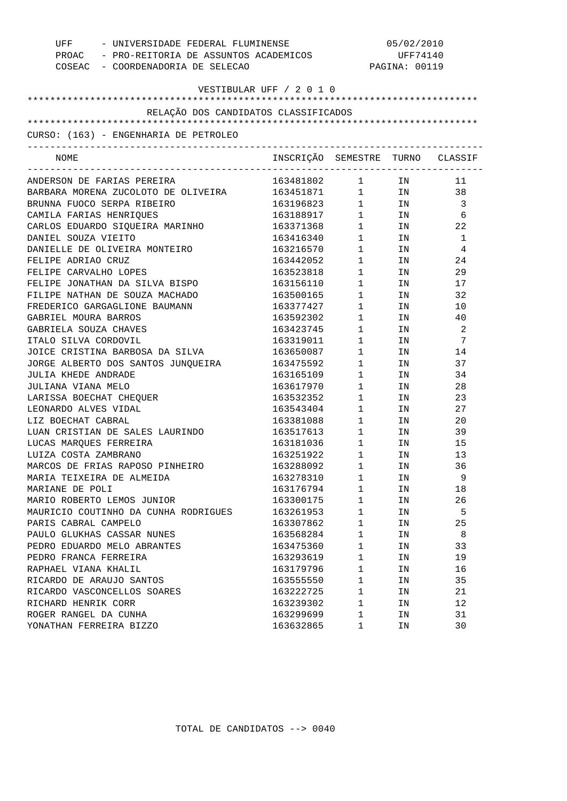| UFF - UNIVERSIDADE FEDERAL FLUMINENSE<br>PROAC - PRO-REITORIA DE ASSUNTOS ACADEMICOS<br>COSEAC - COORDENADORIA DE SELECAO |                                  |                                             | 05/02/2010<br>UFF74140<br>PAGINA: 00119 |                            |
|---------------------------------------------------------------------------------------------------------------------------|----------------------------------|---------------------------------------------|-----------------------------------------|----------------------------|
|                                                                                                                           | VESTIBULAR UFF / 2 0 1 0         |                                             |                                         |                            |
|                                                                                                                           |                                  |                                             |                                         |                            |
| RELAÇÃO DOS CANDIDATOS CLASSIFICADOS                                                                                      |                                  |                                             |                                         |                            |
|                                                                                                                           |                                  |                                             |                                         |                            |
| CURSO: (163) - ENGENHARIA DE PETROLEO                                                                                     |                                  |                                             |                                         |                            |
| NOME                                                                                                                      | INSCRIÇÃO SEMESTRE TURNO CLASSIF |                                             |                                         |                            |
| ANDERSON DE FARIAS PEREIRA                                                                                                | 163481802                        | $\mathbf{1}$                                | IN                                      | 11                         |
| BARBARA MORENA ZUCOLOTO DE OLIVEIRA                                                                                       | 163451871                        |                                             | $1$ IN 38                               |                            |
| BRUNNA FUOCO SERPA RIBEIRO                                                                                                | 163196823                        |                                             | $1$ IN 3                                |                            |
| CAMILA FARIAS HENRIQUES                                                                                                   | 163188917                        |                                             | $1$ IN                                  | - 6                        |
| CARLOS EDUARDO SIQUEIRA MARINHO                                                                                           | 163371368                        |                                             | $1$ IN                                  | 22                         |
| DANIEL SOUZA VIEITO                                                                                                       | 163416340                        |                                             | $1$ IN                                  | $\overline{1}$             |
| DANIELLE DE OLIVEIRA MONTEIRO                                                                                             | 163216570                        | $1 \quad \blacksquare$                      | IN                                      | $\overline{4}$             |
| FELIPE ADRIAO CRUZ                                                                                                        | 163442052                        | $1 \quad \blacksquare$                      | IN                                      | 24                         |
| FELIPE CARVALHO LOPES                                                                                                     | 163523818                        | $1 \quad \blacksquare$                      | IN                                      | 29                         |
| FELIPE JONATHAN DA SILVA BISPO                                                                                            | 163156110                        | $1 \quad \Box$                              | IN                                      | 17                         |
| FILIPE NATHAN DE SOUZA MACHADO                                                                                            | 163500165                        | $1 \quad \blacksquare$                      | IN                                      | 32                         |
| FREDERICO GARGAGLIONE BAUMANN                                                                                             | 163377427                        | $1 \quad \Box$                              | IN                                      | 10                         |
| GABRIEL MOURA BARROS                                                                                                      | 163592302                        | 1                                           | IN                                      | 40                         |
| GABRIELA SOUZA CHAVES                                                                                                     | 163423745                        | $1 \quad \blacksquare$                      | IN                                      | $\overline{\phantom{0}}^2$ |
| ITALO SILVA CORDOVIL                                                                                                      | 163319011                        | $1 \quad \Box$                              | IN                                      | 7                          |
| JOICE CRISTINA BARBOSA DA SILVA                                                                                           | 163650087                        | $1 \quad \Box$                              | IN                                      | 14                         |
| JORGE ALBERTO DOS SANTOS JUNQUEIRA                                                                                        | 163475592                        | $1 \quad \Box$                              | IN                                      | 37                         |
| JULIA KHEDE ANDRADE                                                                                                       | 163165109                        | $1 \quad \blacksquare$                      | IN                                      | 34                         |
| JULIANA VIANA MELO                                                                                                        | 163617970                        | $1 \quad \blacksquare$                      | IN                                      | 28                         |
| LARISSA BOECHAT CHEQUER                                                                                                   | 163532352                        | $\mathbf 1$                                 | IN                                      | 23                         |
| LEONARDO ALVES VIDAL                                                                                                      | 163543404                        | $\begin{array}{ccc} 1 & & \\ & \end{array}$ | IN                                      | 27                         |
| LIZ BOECHAT CABRAL                                                                                                        | 163381088                        | $1 \quad \Box$                              | IN                                      | 20                         |
| LUAN CRISTIAN DE SALES LAURINDO                                                                                           | 163517613                        | $1 \quad \blacksquare$                      | IN                                      | 39                         |
| LUCAS MARQUES FERREIRA                                                                                                    | 163181036                        | $1 \quad \blacksquare$                      | IN                                      | 15                         |
| LUIZA COSTA ZAMBRANO                                                                                                      | 163251922                        | $1 \quad \Box$                              | IN                                      | 13                         |
| MARCOS DE FRIAS RAPOSO PINHEIRO                                                                                           | 163288092                        | 1                                           | IN                                      | 36                         |
| MARIA TEIXEIRA DE ALMEIDA                                                                                                 | 163278310                        | 1                                           | ΙN                                      | 9                          |
| MARIANE DE POLI                                                                                                           | 163176794                        | $\mathbf{1}$                                | ΙN                                      | 18                         |
| MARIO ROBERTO LEMOS JUNIOR                                                                                                | 163300175                        | $\mathbf{1}$                                | ΙN                                      | 26                         |
| MAURICIO COUTINHO DA CUNHA RODRIGUES                                                                                      | 163261953                        | $\mathbf{1}$                                | ΙN                                      | 5                          |
| PARIS CABRAL CAMPELO                                                                                                      | 163307862                        | $\mathbf{1}$                                | IΝ                                      | 25                         |
| PAULO GLUKHAS CASSAR NUNES                                                                                                | 163568284                        | $\mathbf{1}$                                | ΙN                                      | 8                          |
| PEDRO EDUARDO MELO ABRANTES                                                                                               | 163475360                        | $\mathbf{1}$                                | ΙN                                      | 33                         |
| PEDRO FRANCA FERREIRA                                                                                                     | 163293619                        | $\mathbf{1}$                                | ΙN                                      | 19                         |
| RAPHAEL VIANA KHALIL                                                                                                      | 163179796                        | $\mathbf{1}$                                | ΙN                                      | 16                         |
| RICARDO DE ARAUJO SANTOS                                                                                                  | 163555550                        | $\mathbf{1}$                                | ΙN                                      | 35                         |
| RICARDO VASCONCELLOS SOARES                                                                                               | 163222725                        | $\mathbf{1}$                                | ΙN                                      | 21                         |
| RICHARD HENRIK CORR                                                                                                       | 163239302                        | $\mathbf{1}$                                | ΙN                                      | 12                         |
| ROGER RANGEL DA CUNHA                                                                                                     | 163299699                        | 1                                           | ΙN                                      | 31                         |
| YONATHAN FERREIRA BIZZO                                                                                                   | 163632865                        | 1                                           | ΙN                                      | 30                         |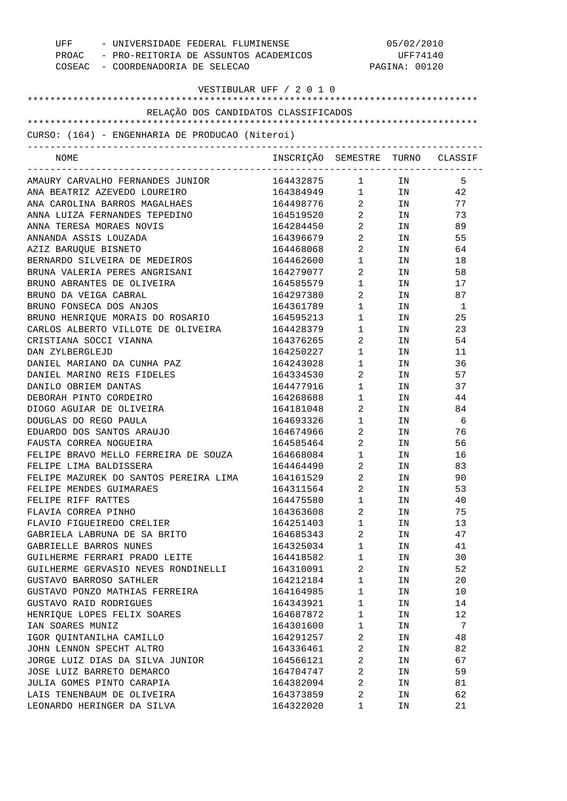| UFF<br>- UNIVERSIDADE FEDERAL FLUMINENSE<br>PROAC - PRO-REITORIA DE ASSUNTOS ACADEMICOS<br>COSEAC - COORDENADORIA DE SELECAO |                                  | 05/02/2010<br>UFF74140<br>PAGINA: 00120 |                                                                                                                |                |
|------------------------------------------------------------------------------------------------------------------------------|----------------------------------|-----------------------------------------|----------------------------------------------------------------------------------------------------------------|----------------|
| VESTIBULAR UFF / 2 0 1 0                                                                                                     |                                  |                                         |                                                                                                                |                |
|                                                                                                                              |                                  |                                         |                                                                                                                |                |
| RELAÇÃO DOS CANDIDATOS CLASSIFICADOS                                                                                         |                                  |                                         |                                                                                                                |                |
| CURSO: (164) - ENGENHARIA DE PRODUCAO (Niteroi)                                                                              |                                  |                                         |                                                                                                                |                |
|                                                                                                                              |                                  |                                         |                                                                                                                |                |
| NOME                                                                                                                         | INSCRIÇÃO SEMESTRE TURNO CLASSIF |                                         |                                                                                                                |                |
| AMAURY CARVALHO FERNANDES JUNIOR                                                                                             | 164432875                        | $1$ IN                                  |                                                                                                                | 5              |
| ANA BEATRIZ AZEVEDO LOUREIRO                                                                                                 | 164384949 1 IN                   |                                         |                                                                                                                | 42             |
| ANA CAROLINA BARROS MAGALHAES                                                                                                | 164498776                        | $\overline{2}$                          | IN                                                                                                             | 77             |
| ANNA LUIZA FERNANDES TEPEDINO                                                                                                | 164519520                        | $\overline{2}$                          | IN                                                                                                             | 73             |
| ANNA TERESA MORAES NOVIS                                                                                                     | 164284450                        | $\overline{2}$                          | IN                                                                                                             | 89             |
| ANNANDA ASSIS LOUZADA                                                                                                        | 164396679                        | $\overline{2}$ and $\overline{2}$       | IN                                                                                                             | 55             |
| AZIZ BARUQUE BISNETO                                                                                                         | 164468068                        | $2 \qquad \qquad$                       | IN                                                                                                             | 64             |
| BERNARDO SILVEIRA DE MEDEIROS                                                                                                | 164462600                        | $1 \quad \blacksquare$                  | IN                                                                                                             | 18             |
| BRUNA VALERIA PERES ANGRISANI                                                                                                | 164279077                        | 2                                       | IN                                                                                                             | 58             |
| BRUNO ABRANTES DE OLIVEIRA                                                                                                   | 164585579                        | $1 \quad \Box$                          | IN                                                                                                             | 17             |
| BRUNO DA VEIGA CABRAL                                                                                                        | 164297380                        | $\mathbf{2}$                            | IN                                                                                                             | 87             |
| BRUNO FONSECA DOS ANJOS                                                                                                      | 164361789                        | $1 \qquad \qquad$                       | IN                                                                                                             | -1             |
| BRUNO HENRIQUE MORAIS DO ROSARIO                                                                                             | 164595213                        | $1 \qquad \qquad$                       | IN                                                                                                             | 25             |
| CARLOS ALBERTO VILLOTE DE OLIVEIRA                                                                                           | 164428379                        | $1 \quad \Box$                          | IN                                                                                                             | 23             |
| CRISTIANA SOCCI VIANNA                                                                                                       | 164376265                        | 2                                       | IN                                                                                                             | 54             |
| DAN ZYLBERGLEJD                                                                                                              | 164250227                        | $1 \quad \Box$                          | IN                                                                                                             | 11             |
| DANIEL MARIANO DA CUNHA PAZ                                                                                                  | 164243028                        | $1 \quad \blacksquare$                  | IN                                                                                                             | 36             |
| DANIEL MARINO REIS FIDELES                                                                                                   | 164334530                        | 2                                       | IN                                                                                                             | 57             |
| DANILO OBRIEM DANTAS                                                                                                         | 164477916                        | $1 \quad \Box$                          | IN                                                                                                             | 37             |
| DEBORAH PINTO CORDEIRO                                                                                                       | 164268688                        | $1 \quad \blacksquare$                  | IN                                                                                                             | 44             |
| DIOGO AGUIAR DE OLIVEIRA                                                                                                     | 164181048                        | $\mathbf{2}$                            | IN                                                                                                             | 84             |
| DOUGLAS DO REGO PAULA                                                                                                        | 164693326                        | $1 \quad \blacksquare$                  | IN                                                                                                             | - 6            |
| EDUARDO DOS SANTOS ARAUJO                                                                                                    | 164674966                        | $\mathbf{2}$                            | IN                                                                                                             | 76             |
| FAUSTA CORREA NOGUEIRA                                                                                                       | 164585464                        | 2                                       | IN                                                                                                             | 56             |
| FELIPE BRAVO MELLO FERREIRA DE SOUZA                                                                                         | 164668084                        | $\mathbf{1}$                            | ΙN                                                                                                             | 16             |
| FELIPE LIMA BALDISSERA                                                                                                       | 164464490                        | $\mathbf{2}$                            | IN                                                                                                             | 83             |
| FELIPE MAZUREK DO SANTOS PEREIRA LIMA                                                                                        | 164161529                        | $2 \left( \frac{1}{2} \right)$          | IN                                                                                                             | 90             |
| FELIPE MENDES GUIMARAES                                                                                                      | 164311564                        | $2 \left( \frac{1}{2} \right)$          | IN                                                                                                             | 53             |
| FELIPE RIFF RATTES                                                                                                           | 164475580                        | $1 \qquad \qquad$                       | IN THE TEST OF THE TEST OF THE TEST OF THE TEST OF THE TEST OF THE TEST OF THE TEST OF THE TEST OF THE TEST OF | 40             |
| FLAVIA CORREA PINHO                                                                                                          | 164363608                        | $\overline{2}$                          | IN                                                                                                             | 75             |
| FLAVIO FIGUEIREDO CRELIER                                                                                                    | 164251403                        | $1 \quad \blacksquare$                  | IN                                                                                                             | 13             |
| GABRIELA LABRUNA DE SA BRITO                                                                                                 | 164685343                        | $\overline{2}$                          | IN                                                                                                             | 47             |
| GABRIELLE BARROS NUNES                                                                                                       | 164325034                        | 1                                       | IN THE TEST OF THE TEST OF THE TEST OF THE TEST OF THE TEST OF THE TEST OF THE TEST OF THE TEST OF THE TEST OF | 41             |
| GUILHERME FERRARI PRADO LEITE                                                                                                | 164418582                        | $1 \quad \Box$                          | IN                                                                                                             | 30             |
| GUILHERME GERVASIO NEVES RONDINELLI                                                                                          | 164310091                        | $\overline{a}$                          | IN                                                                                                             | 52             |
| GUSTAVO BARROSO SATHLER                                                                                                      | 164212184                        | $1 \quad \blacksquare$                  | IN                                                                                                             | 20             |
| GUSTAVO PONZO MATHIAS FERREIRA                                                                                               | 164164985                        | $1 \quad \Box$                          | IN                                                                                                             | 10             |
| GUSTAVO RAID RODRIGUES                                                                                                       | 164343921                        | 1                                       | IN                                                                                                             | 14             |
| HENRIQUE LOPES FELIX SOARES                                                                                                  | 164687872                        | $1 \qquad \qquad$                       | IN                                                                                                             | 12             |
| IAN SOARES MUNIZ                                                                                                             | 164301600                        | $1 \quad \blacksquare$                  | IN                                                                                                             | $\overline{7}$ |
| IGOR QUINTANILHA CAMILLO                                                                                                     | 164291257                        | $\overline{2}$                          | IN                                                                                                             | 48             |
| JOHN LENNON SPECHT ALTRO                                                                                                     | 164336461                        | $\overline{2}$                          | IN                                                                                                             | 82             |
| JORGE LUIZ DIAS DA SILVA JUNIOR                                                                                              | 164566121 2                      |                                         | IN                                                                                                             | 67             |
| JOSE LUIZ BARRETO DEMARCO                                                                                                    | 164704747 2                      |                                         | IN                                                                                                             | 59             |
| JULIA GOMES PINTO CARAPIA                                                                                                    | 164382094 2                      |                                         | IN                                                                                                             | 81             |
| LAIS TENENBAUM DE OLIVEIRA                                                                                                   | 164373859 2                      |                                         | IN                                                                                                             | 62             |
| LEONARDO HERINGER DA SILVA                                                                                                   | 164322020                        | 1                                       | IN                                                                                                             | 21             |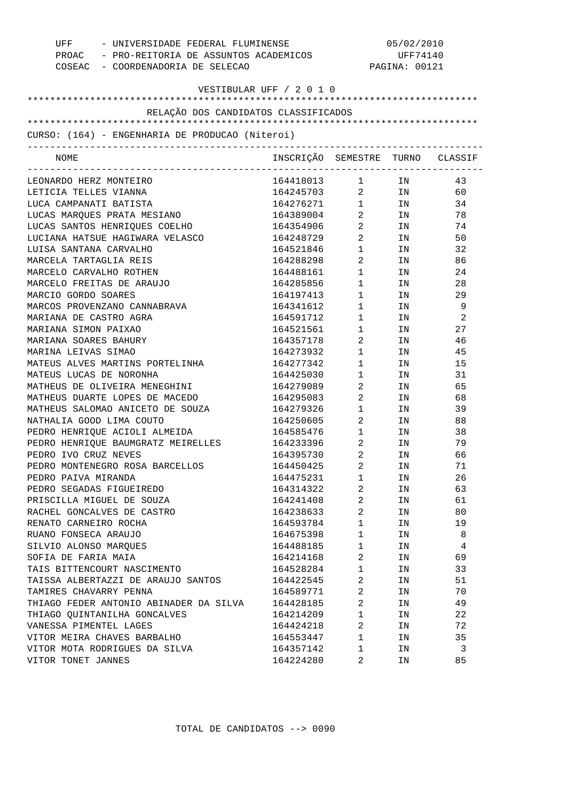| - UNIVERSIDADE FEDERAL FLUMINENSE<br>UFF        | 05/02/2010                       |                        |               |    |
|-------------------------------------------------|----------------------------------|------------------------|---------------|----|
| PROAC - PRO-REITORIA DE ASSUNTOS ACADEMICOS     |                                  | UFF74140               |               |    |
| COSEAC - COORDENADORIA DE SELECAO               |                                  |                        | PAGINA: 00121 |    |
|                                                 |                                  |                        |               |    |
| VESTIBULAR UFF / 2 0 1 0                        |                                  |                        |               |    |
| RELAÇÃO DOS CANDIDATOS CLASSIFICADOS            |                                  |                        |               |    |
|                                                 |                                  |                        |               |    |
| CURSO: (164) - ENGENHARIA DE PRODUCAO (Niteroi) |                                  |                        |               |    |
|                                                 |                                  |                        |               |    |
| NOME                                            | INSCRIÇÃO SEMESTRE TURNO CLASSIF |                        |               |    |
| LEONARDO HERZ MONTEIRO                          | 164418013                        | $1 \quad \blacksquare$ | IN            | 43 |
| LETICIA TELLES VIANNA                           | 164245703                        | $\overline{2}$         | IN            | 60 |
| LUCA CAMPANATI BATISTA                          | 164276271                        | $1 \quad \blacksquare$ | IN            | 34 |
| LUCAS MARQUES PRATA MESIANO                     | 164389004                        | 2                      | IN            | 78 |
| LUCAS SANTOS HENRIQUES COELHO                   | 164354906                        | $\overline{a}$         | IN.           | 74 |
| LUCIANA HATSUE HAGIWARA VELASCO                 | 164248729                        | $\overline{a}$         | IN.           | 50 |
| LUISA SANTANA CARVALHO                          | 164521846                        | $\mathbf 1$            | IN.           | 32 |
| MARCELA TARTAGLIA REIS                          | 164288298                        | 2                      | IN.           | 86 |
| MARCELO CARVALHO ROTHEN                         | 164488161                        | $\mathbf 1$            | IN.           | 24 |
| MARCELO FREITAS DE ARAUJO                       | 164285856                        | $\mathbf 1$            | IN            | 28 |
| MARCIO GORDO SOARES                             | 164197413                        | $\mathbf 1$            | IN.           | 29 |
| MARCOS PROVENZANO CANNABRAVA                    | 164341612                        | $\mathbf 1$            | IN            | 9  |
| MARIANA DE CASTRO AGRA                          | 164591712                        | $\mathbf 1$            | IN            | 2  |
| MARIANA SIMON PAIXAO                            | 164521561                        | $\mathbf 1$            | IN            | 27 |
| MARIANA SOARES BAHURY                           |                                  | 2                      | IN            | 46 |
| MARINA LEIVAS SIMAO                             | 164357178<br>164273932           | $\mathbf 1$            | IN            | 45 |
| MATEUS ALVES MARTINS PORTELINHA                 | 164277342                        |                        |               |    |
| MATEUS LUCAS DE NORONHA                         | 164425030                        | 1                      | IN            | 15 |
|                                                 |                                  | $\mathbf 1$            | IN            | 31 |
| MATHEUS DE OLIVEIRA MENEGHINI                   | 164279089                        | 2                      | IN            | 65 |
| MATHEUS DUARTE LOPES DE MACEDO                  | 164295083                        | 2                      | IN            | 68 |
| MATHEUS SALOMAO ANICETO DE SOUZA                | 164279326                        | $\mathbf 1$            | ΙN            | 39 |
| NATHALIA GOOD LIMA COUTO                        | 164250605                        | 2                      | IN.           | 88 |
| PEDRO HENRIQUE ACIOLI ALMEIDA                   | 164585476                        | $\mathbf 1$            | IN            | 38 |
| PEDRO HENRIQUE BAUMGRATZ MEIRELLES              | 164233396                        | 2                      | ΙN            | 79 |
| PEDRO IVO CRUZ NEVES                            | 164395730                        | 2                      | IN            | 66 |
| PEDRO MONTENEGRO ROSA BARCELLOS                 | 164450425                        | 2                      | IN            | 71 |
| PEDRO PAIVA MIRANDA                             | 164475231                        | 1                      | IN            | 26 |
| PEDRO SEGADAS FIGUEIREDO                        | 164314322                        | $\overline{a}$         | IN            | 63 |
| PRISCILLA MIGUEL DE SOUZA                       | 164241408                        | 2                      | IN            | 61 |
| RACHEL GONCALVES DE CASTRO                      | 164238633                        | $\overline{a}$         | IN            | 80 |
| RENATO CARNEIRO ROCHA                           | 164593784                        | $\mathbf 1$            | IN            | 19 |
| RUANO FONSECA ARAUJO                            | 164675398                        | $\mathbf 1$            | ΙN            | 8  |
| SILVIO ALONSO MARQUES                           | 164488185                        | $\mathbf 1$            | ΙN            | 4  |
| SOFIA DE FARIA MAIA                             | 164214168                        | $\overline{2}$         | IN            | 69 |
| TAIS BITTENCOURT NASCIMENTO                     | 164528284                        | $\mathbf 1$            | ΙN            | 33 |
| TAISSA ALBERTAZZI DE ARAUJO SANTOS              | 164422545                        | $\overline{2}$         | ΙN            | 51 |
| TAMIRES CHAVARRY PENNA                          | 164589771                        | 2                      | IN            | 70 |
| THIAGO FEDER ANTONIO ABINADER DA SILVA          | 164428185                        | $\overline{a}$         | ΙN            | 49 |
| THIAGO QUINTANILHA GONCALVES                    | 164214209                        | 1                      | IN            | 22 |
| VANESSA PIMENTEL LAGES                          | 164424218                        | $\overline{a}$         | IN            | 72 |
| VITOR MEIRA CHAVES BARBALHO                     | 164553447                        | $\mathbf 1$            | ΙN            | 35 |
| VITOR MOTA RODRIGUES DA SILVA                   | 164357142                        | 1                      | ΙN            | 3  |
| VITOR TONET JANNES                              | 164224280                        | 2                      | ΙN            | 85 |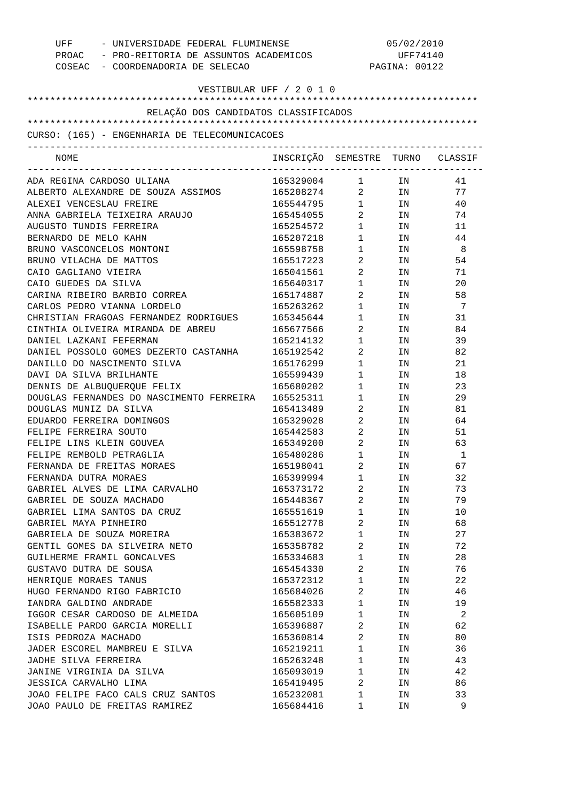| UFF<br>COSEAC - COORDENADORIA DE SELECAO      | - UNIVERSIDADE FEDERAL FLUMINENSE<br>PROAC - PRO-REITORIA DE ASSUNTOS ACADEMICOS |                                | 05/02/2010<br>UFF74140<br>PAGINA: 00122                                                                         |    |  |
|-----------------------------------------------|----------------------------------------------------------------------------------|--------------------------------|-----------------------------------------------------------------------------------------------------------------|----|--|
| VESTIBULAR UFF / 2 0 1 0                      |                                                                                  |                                |                                                                                                                 |    |  |
| RELAÇÃO DOS CANDIDATOS CLASSIFICADOS          |                                                                                  |                                |                                                                                                                 |    |  |
|                                               |                                                                                  |                                |                                                                                                                 |    |  |
| CURSO: (165) - ENGENHARIA DE TELECOMUNICACOES |                                                                                  |                                |                                                                                                                 |    |  |
| NOME                                          | INSCRIÇÃO SEMESTRE TURNO CLASSIF                                                 |                                | _________________                                                                                               |    |  |
| ADA REGINA CARDOSO ULIANA                     | 165329004 1                                                                      |                                | IN DIE STREEP EN DIE STREEP EN DIE STREEP EN DIE STREEP EN DIE STREEP EN DIE STREEP EN DIE STREEP EN DIE STREEP | 41 |  |
| ALBERTO ALEXANDRE DE SOUZA ASSIMOS            | 165208274 2                                                                      |                                | IN                                                                                                              | 77 |  |
| ALEXEI VENCESLAU FREIRE                       | 165544795 1                                                                      |                                | IN                                                                                                              | 40 |  |
| ANNA GABRIELA TEIXEIRA ARAUJO                 | 165454055                                                                        | $\overline{2}$                 | IN                                                                                                              | 74 |  |
| AUGUSTO TUNDIS FERREIRA                       | 165254572                                                                        | $1 \quad \blacksquare$         | IN                                                                                                              | 11 |  |
| BERNARDO DE MELO KAHN                         | 165207218                                                                        | $\mathbf{1}$                   | IN                                                                                                              | 44 |  |
| BRUNO VASCONCELOS MONTONI                     | 165598758                                                                        | $1 \quad \blacksquare$         | IN                                                                                                              | -8 |  |
| BRUNO VILACHA DE MATTOS                       | 165517223                                                                        | $2 \left( \frac{1}{2} \right)$ | IN                                                                                                              | 54 |  |
| CAIO GAGLIANO VIEIRA                          | 165041561                                                                        | $2 \left( \frac{1}{2} \right)$ | IN                                                                                                              | 71 |  |
| CAIO GUEDES DA SILVA                          | 165640317                                                                        | 1                              | IN                                                                                                              | 20 |  |
| CARINA RIBEIRO BARBIO CORREA                  | 165174887                                                                        | $\overline{2}$                 | IN                                                                                                              | 58 |  |
| CARLOS PEDRO VIANNA LORDELO                   | 165263262                                                                        | 1                              | IN                                                                                                              | 7  |  |
| CHRISTIAN FRAGOAS FERNANDEZ RODRIGUES         | 165345644                                                                        | $\mathbf{1}$                   | IN                                                                                                              | 31 |  |
| CINTHIA OLIVEIRA MIRANDA DE ABREU             | 165677566                                                                        | 2                              | IN                                                                                                              | 84 |  |
| DANIEL LAZKANI FEFERMAN                       | 165214132                                                                        | $\mathbf{1}$                   | IN                                                                                                              | 39 |  |
| DANIEL POSSOLO GOMES DEZERTO CASTANHA         | 165192542                                                                        | 2                              | IN                                                                                                              | 82 |  |
| DANILLO DO NASCIMENTO SILVA                   | 165176299                                                                        | $\mathbf{1}$                   | IN                                                                                                              | 21 |  |
| DAVI DA SILVA BRILHANTE                       | 165599439                                                                        | 1                              | IN                                                                                                              | 18 |  |
| DENNIS DE ALBUQUERQUE FELIX                   | 165680202                                                                        | 1                              | IN                                                                                                              | 23 |  |
| DOUGLAS FERNANDES DO NASCIMENTO FERREIRA      | 165525311                                                                        | 1                              | IN                                                                                                              | 29 |  |
| DOUGLAS MUNIZ DA SILVA                        | 165413489                                                                        | $\overline{2}$                 | IN                                                                                                              | 81 |  |
| EDUARDO FERREIRA DOMINGOS                     | 165329028                                                                        | $2 \qquad \qquad$              | IN                                                                                                              | 64 |  |
| FELIPE FERREIRA SOUTO                         | 165442583                                                                        | $\overline{2}$                 | IN                                                                                                              | 51 |  |
| FELIPE LINS KLEIN GOUVEA                      | 165349200                                                                        | 2                              | IN                                                                                                              | 63 |  |
| FELIPE REMBOLD PETRAGLIA                      | 165480286                                                                        | $\mathbf{1}$                   | IN.                                                                                                             | 1  |  |
| FERNANDA DE FREITAS MORAES                    | 165198041                                                                        | 2                              | ΙN                                                                                                              | 67 |  |
| FERNANDA DUTRA MORAES                         | 165399994                                                                        | 1                              | ΙN                                                                                                              | 32 |  |
| GABRIEL ALVES DE LIMA CARVALHO                | 165373172                                                                        | $\sqrt{2}$                     | ΙN                                                                                                              | 73 |  |
| GABRIEL DE SOUZA MACHADO                      | 165448367                                                                        | $\overline{2}$                 | ΙN                                                                                                              | 79 |  |
| GABRIEL LIMA SANTOS DA CRUZ                   | 165551619                                                                        | 1                              | ΙN                                                                                                              | 10 |  |
| GABRIEL MAYA PINHEIRO                         | 165512778                                                                        | $\overline{2}$                 | ΙN                                                                                                              | 68 |  |
| GABRIELA DE SOUZA MOREIRA                     | 165383672                                                                        | 1                              | ΙN                                                                                                              | 27 |  |
| GENTIL GOMES DA SILVEIRA NETO                 | 165358782                                                                        | $\overline{2}$                 | ΙN                                                                                                              | 72 |  |
| GUILHERME FRAMIL GONCALVES                    | 165334683                                                                        | 1                              | ΙN                                                                                                              | 28 |  |
| GUSTAVO DUTRA DE SOUSA                        | 165454330                                                                        | $\overline{2}$                 | ΙN                                                                                                              | 76 |  |
| HENRIQUE MORAES TANUS                         | 165372312                                                                        | 1                              | ΙN                                                                                                              | 22 |  |
| HUGO FERNANDO RIGO FABRICIO                   | 165684026                                                                        | $\overline{2}$                 | ΙN                                                                                                              | 46 |  |
| IANDRA GALDINO ANDRADE                        | 165582333                                                                        | 1                              |                                                                                                                 | 19 |  |
|                                               |                                                                                  |                                | ΙN                                                                                                              |    |  |
| IGGOR CESAR CARDOSO DE ALMEIDA                | 165605109                                                                        | 1                              | ΙN                                                                                                              | 2  |  |
| ISABELLE PARDO GARCIA MORELLI                 | 165396887                                                                        | 2                              | ΙN                                                                                                              | 62 |  |
| ISIS PEDROZA MACHADO                          | 165360814                                                                        | $\overline{2}$                 | ΙN                                                                                                              | 80 |  |
| JADER ESCOREL MAMBREU E SILVA                 | 165219211                                                                        | $\mathbf 1$                    | ΙN                                                                                                              | 36 |  |
| JADHE SILVA FERREIRA                          | 165263248                                                                        | 1                              | ΙN                                                                                                              | 43 |  |
| JANINE VIRGINIA DA SILVA                      | 165093019                                                                        | 1                              | ΙN                                                                                                              | 42 |  |
| JESSICA CARVALHO LIMA                         | 165419495                                                                        | $\overline{2}$                 | ΙN                                                                                                              | 86 |  |
| JOAO FELIPE FACO CALS CRUZ SANTOS             | 165232081                                                                        | 1                              | ΙN                                                                                                              | 33 |  |
| JOAO PAULO DE FREITAS RAMIREZ                 | 165684416                                                                        | 1                              | ΙN                                                                                                              | 9  |  |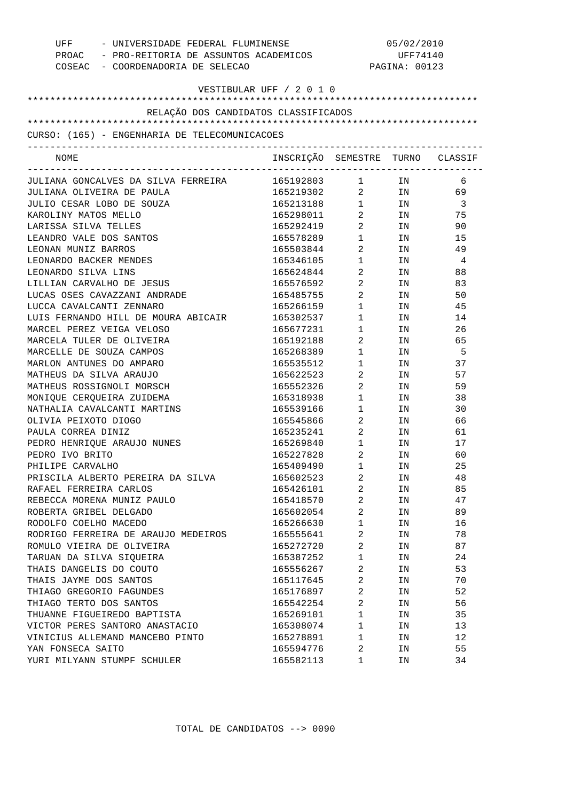| - UNIVERSIDADE FEDERAL FLUMINENSE<br>UFF      | 05/02/2010                                  |                        |               |                         |
|-----------------------------------------------|---------------------------------------------|------------------------|---------------|-------------------------|
|                                               | PROAC - PRO-REITORIA DE ASSUNTOS ACADEMICOS |                        | UFF74140      |                         |
| COSEAC - COORDENADORIA DE SELECAO             |                                             |                        | PAGINA: 00123 |                         |
| VESTIBULAR UFF / 2 0 1 0                      |                                             |                        |               |                         |
|                                               |                                             |                        |               |                         |
| RELAÇÃO DOS CANDIDATOS CLASSIFICADOS          |                                             |                        |               |                         |
|                                               |                                             |                        |               |                         |
| CURSO: (165) - ENGENHARIA DE TELECOMUNICACOES |                                             |                        |               |                         |
| NOME                                          | INSCRIÇÃO SEMESTRE TURNO CLASSIF            |                        |               |                         |
|                                               |                                             |                        |               |                         |
| JULIANA GONCALVES DA SILVA FERREIRA           | 165192803                                   | $1 \quad \blacksquare$ | IN            | 6                       |
| JULIANA OLIVEIRA DE PAULA                     | 165219302                                   | $\overline{2}$         | IN            | 69                      |
| JULIO CESAR LOBO DE SOUZA                     | 165213188                                   | $\mathbf{1}$           | IN            | $\overline{\mathbf{3}}$ |
| KAROLINY MATOS MELLO                          | 165298011                                   | 2                      | IN.           | 75                      |
| LARISSA SILVA TELLES                          | 165292419                                   | $\overline{a}$         | IN.           | 90                      |
| LEANDRO VALE DOS SANTOS                       | 165578289                                   | $\mathbf 1$            | IN            | 15                      |
| LEONAN MUNIZ BARROS                           | 165503844                                   | 2                      | IN.           | 49                      |
| LEONARDO BACKER MENDES                        | 165346105                                   | 1                      | IN            | 4                       |
| LEONARDO SILVA LINS                           | 165624844                                   | 2                      | IN            | 88                      |
| LILLIAN CARVALHO DE JESUS                     | 165576592                                   | 2                      | IN            | 83                      |
| LUCAS OSES CAVAZZANI ANDRADE                  | 165485755                                   | 2                      | IN            | 50                      |
| LUCCA CAVALCANTI ZENNARO                      | 165266159                                   | $\mathbf 1$            | IN            | 45                      |
| LUIS FERNANDO HILL DE MOURA ABICAIR           | 165302537                                   | 1                      | ΙN            | 14                      |
| MARCEL PEREZ VEIGA VELOSO                     | 165677231                                   | 1                      | IN            | 26                      |
| MARCELA TULER DE OLIVEIRA                     | 165192188                                   | 2                      | IN            | 65                      |
| MARCELLE DE SOUZA CAMPOS                      | 165268389                                   | $\mathbf 1$            | IN            | 5                       |
| MARLON ANTUNES DO AMPARO                      | 165535512                                   | 1                      | IN            | 37                      |
| MATHEUS DA SILVA ARAUJO                       | 165622523                                   | 2                      | IN            | 57                      |
| MATHEUS ROSSIGNOLI MORSCH                     | 165552326                                   | 2                      | IN            | 59                      |
| MONIQUE CERQUEIRA ZUIDEMA                     | 165318938                                   | $\mathbf 1$            | IN            | 38                      |
| NATHALIA CAVALCANTI MARTINS                   | 165539166                                   | 1                      | IN            | 30                      |
| OLIVIA PEIXOTO DIOGO                          | 165545866                                   | 2                      | IN            | 66                      |
| PAULA CORREA DINIZ                            | 165235241                                   | 2                      | IN.           | 61                      |
| PEDRO HENRIQUE ARAUJO NUNES                   | 165269840                                   | $\mathbf 1$            |               | 17                      |
| PEDRO IVO BRITO                               | 165227828                                   | 2                      | ΙN<br>IN      | 60                      |
|                                               |                                             |                        |               | 25                      |
| PHILIPE CARVALHO                              | 165409490                                   | $\mathbf{1}$           | IN            |                         |
| PRISCILA ALBERTO PEREIRA DA SILVA             | 165602523                                   | 2                      | IN            | 48                      |
| RAFAEL FERREIRA CARLOS                        | 165426101                                   | 2                      | IN            | 85                      |
| REBECCA MORENA MUNIZ PAULO                    | 165418570                                   | $\overline{a}$         | ΙN            | 47                      |
| ROBERTA GRIBEL DELGADO                        | 165602054                                   | $\overline{2}$         | ΙN            | 89                      |
| RODOLFO COELHO MACEDO                         | 165266630                                   | $\mathbf{1}$           | ΙN            | 16                      |
| RODRIGO FERREIRA DE ARAUJO MEDEIROS           | 165555641                                   | $\overline{a}$         | IN            | 78                      |
| ROMULO VIEIRA DE OLIVEIRA                     | 165272720                                   | 2                      | IN            | 87                      |
| TARUAN DA SILVA SIQUEIRA                      | 165387252                                   | $\mathbf{1}$           | IN            | 24                      |
| THAIS DANGELIS DO COUTO                       | 165556267                                   | 2                      | IN            | 53                      |
| THAIS JAYME DOS SANTOS                        | 165117645                                   | $\overline{a}$         | IN            | 70                      |
| THIAGO GREGORIO FAGUNDES                      | 165176897                                   | 2                      | IN            | 52                      |
| THIAGO TERTO DOS SANTOS                       | 165542254                                   | $\overline{a}$         | IN            | 56                      |
| THUANNE FIGUEIREDO BAPTISTA                   | 165269101                                   | $\mathbf 1$            | ΙN            | 35                      |
| VICTOR PERES SANTORO ANASTACIO                | 165308074                                   | $\mathbf{1}$           | IN            | 13                      |
| VINICIUS ALLEMAND MANCEBO PINTO               | 165278891                                   | 1                      | ΙN            | 12                      |
| YAN FONSECA SAITO                             | 165594776                                   | 2                      | ΙN            | 55                      |
| YURI MILYANN STUMPF SCHULER                   | 165582113                                   | 1                      | ΙN            | 34                      |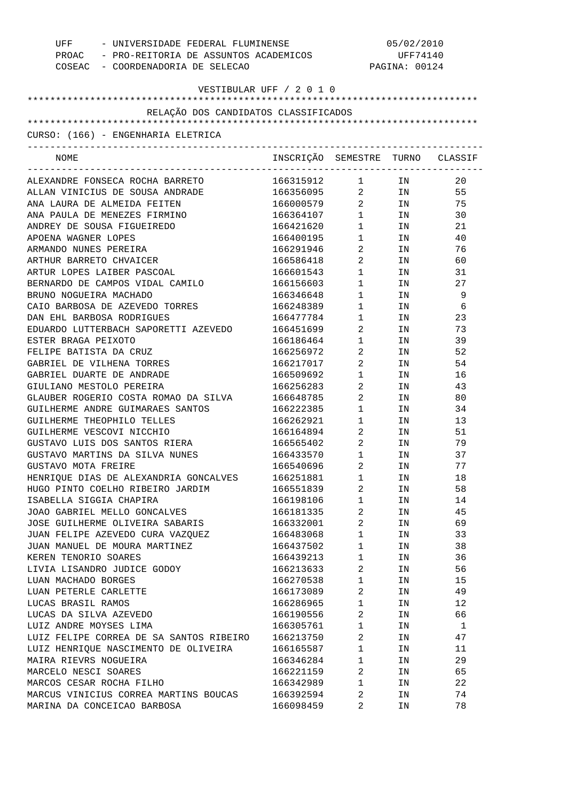| UFF<br>COSEAC - COORDENADORIA DE SELECAO | - UNIVERSIDADE FEDERAL FLUMINENSE<br>PROAC - PRO-REITORIA DE ASSUNTOS ACADEMICOS |                                   |                                                                                                                | 05/02/2010<br>UFF74140<br>PAGINA: 00124 |
|------------------------------------------|----------------------------------------------------------------------------------|-----------------------------------|----------------------------------------------------------------------------------------------------------------|-----------------------------------------|
| VESTIBULAR UFF / 2 0 1 0                 |                                                                                  |                                   |                                                                                                                |                                         |
| RELAÇÃO DOS CANDIDATOS CLASSIFICADOS     |                                                                                  |                                   |                                                                                                                |                                         |
|                                          |                                                                                  |                                   |                                                                                                                |                                         |
| CURSO: (166) - ENGENHARIA ELETRICA       |                                                                                  |                                   |                                                                                                                |                                         |
| -----------------------------<br>NOME    | INSCRIÇÃO SEMESTRE TURNO CLASSIF                                                 |                                   |                                                                                                                |                                         |
| ALEXANDRE FONSECA ROCHA BARRETO          | 166315912                                                                        |                                   | $1$ IN                                                                                                         | 20                                      |
| ALLAN VINICIUS DE SOUSA ANDRADE          | 166356095                                                                        |                                   | $2$ IN                                                                                                         | 55                                      |
| ANA LAURA DE ALMEIDA FEITEN              | 166000579                                                                        |                                   | $2$ IN                                                                                                         | 75                                      |
| ANA PAULA DE MENEZES FIRMINO             | 166364107                                                                        | $1 \quad \Box$                    | IN THE TEST OF THE TEST OF THE TEST OF THE TEST OF THE TEST OF THE TEST OF THE TEST OF THE TEST OF THE TEST OF | 30                                      |
| ANDREY DE SOUSA FIGUEIREDO               | 166421620                                                                        | $1 \qquad \qquad$                 | IN THE TEST OF THE TEST OF THE TEST OF THE TEST OF THE TEST OF THE TEST OF THE TEST OF THE TEST OF THE TEST OF | 21                                      |
| APOENA WAGNER LOPES                      | 166400195                                                                        | $1 \quad \Box$                    | IN                                                                                                             | 40                                      |
| ARMANDO NUNES PEREIRA                    | 166291946                                                                        | $\overline{2}$                    | IN THE TEST OF THE TEST OF THE TEST OF THE TEST OF THE TEST OF THE TEST OF THE TEST OF THE TEST OF THE TEST OF | 76                                      |
| ARTHUR BARRETO CHVAICER                  | 166586418                                                                        | $\overline{2}$                    | IN THE TEST OF THE TEST OF THE TEST OF THE TEST OF THE TEST OF THE TEST OF THE TEST OF THE TEST OF THE TEST OF | 60                                      |
| ARTUR LOPES LAIBER PASCOAL               | 166601543                                                                        | $1 \quad \blacksquare$            | IN THE TERM OF THE TERM OF THE TERM OF THE TERM OF THE TERM OF THE TERM OF THE TERM OF THE TERM OF THE TERM OF | 31                                      |
| BERNARDO DE CAMPOS VIDAL CAMILO          | 166156603                                                                        | $1 \quad \Box$                    | IN                                                                                                             | 27                                      |
| BRUNO NOGUEIRA MACHADO                   | 166346648                                                                        | $1 \quad \Box$                    | IN                                                                                                             | 9                                       |
| CAIO BARBOSA DE AZEVEDO TORRES           | 166248389                                                                        | $1 \quad \Box$                    | IN                                                                                                             | 6                                       |
| DAN EHL BARBOSA RODRIGUES                | 166477784                                                                        | $1 \quad \Box$                    | IN THE TEST OF THE TEST OF THE TEST OF THE TEST OF THE TEST OF THE TEST OF THE TEST OF THE TEST OF THE TEST OF | 23                                      |
| EDUARDO LUTTERBACH SAPORETTI AZEVEDO     | 166451699                                                                        | $\overline{2}$ and $\overline{2}$ | IN THE TERM OF THE TERM OF THE TERM OF THE TERM OF THE TERM OF THE TERM OF THE TERM OF THE TERM OF THE TERM OF | 73                                      |
| ESTER BRAGA PEIXOTO                      | 166186464                                                                        | $1 \quad \Box$                    | IN THE TEST OF THE TEST OF THE TEST OF THE TEST OF THE TEST OF THE TEST OF THE TEST OF THE TEST OF THE TEST OF | 39                                      |
| FELIPE BATISTA DA CRUZ                   | 166256972                                                                        | $\overline{2}$                    | IN                                                                                                             | 52                                      |
| GABRIEL DE VILHENA TORRES                | 166217017                                                                        | $\overline{2}$                    | IN                                                                                                             | 54                                      |
| GABRIEL DUARTE DE ANDRADE                | 166509692                                                                        | $\mathbf 1$                       | IN                                                                                                             | 16                                      |
| GIULIANO MESTOLO PEREIRA                 | 166256283                                                                        | 2                                 | IN                                                                                                             | 43                                      |
| GLAUBER ROGERIO COSTA ROMAO DA SILVA     | 166648785                                                                        | $\mathbf{2}$                      | IN                                                                                                             | 80                                      |
| GUILHERME ANDRE GUIMARAES SANTOS         | 166222385                                                                        | $1 \quad \Box$                    | IN                                                                                                             | 34                                      |
| GUILHERME THEOPHILO TELLES               | 166262921                                                                        | $1 \quad \Box$                    | IN THE TERM OF THE TERM OF THE TERM OF THE TERM OF THE TERM OF THE TERM OF THE TERM OF THE TERM OF THE TERM OF | 13                                      |
| GUILHERME VESCOVI NICCHIO                | 166164894                                                                        | $\overline{2}$                    | IN                                                                                                             | 51                                      |
| GUSTAVO LUIS DOS SANTOS RIERA            | 166565402                                                                        | $2 \left( \frac{1}{2} \right)$    | IN                                                                                                             | 79                                      |
| GUSTAVO MARTINS DA SILVA NUNES           | 166433570                                                                        | $\mathbf{1}$                      | IN.                                                                                                            | 37                                      |
| GUSTAVO MOTA FREIRE                      | 166540696                                                                        | 2                                 | ΙN                                                                                                             | 77                                      |
| HENRIQUE DIAS DE ALEXANDRIA GONCALVES    | 166251881                                                                        | 1                                 | ΙN                                                                                                             | 18                                      |
| HUGO PINTO COELHO RIBEIRO JARDIM         | 166551839                                                                        | 2                                 | ΙN                                                                                                             | 58                                      |
| ISABELLA SIGGIA CHAPIRA                  | 166198106                                                                        | 1                                 | ΙN                                                                                                             | 14                                      |
| JOAO GABRIEL MELLO GONCALVES             | 166181335                                                                        | 2                                 | ΙN                                                                                                             | 45                                      |
| JOSE GUILHERME OLIVEIRA SABARIS          | 166332001                                                                        | 2                                 | ΙN                                                                                                             | 69                                      |
| JUAN FELIPE AZEVEDO CURA VAZQUEZ         | 166483068                                                                        | $\mathbf 1$                       | ΙN                                                                                                             | 33                                      |
| JUAN MANUEL DE MOURA MARTINEZ            | 166437502                                                                        | $\mathbf 1$                       | ΙN                                                                                                             | 38                                      |
| KEREN TENORIO SOARES                     | 166439213                                                                        | $\mathbf 1$                       | ΙN                                                                                                             | 36                                      |
| LIVIA LISANDRO JUDICE GODOY              | 166213633                                                                        | 2                                 | ΙN                                                                                                             | 56                                      |
| LUAN MACHADO BORGES                      | 166270538                                                                        | $\mathbf 1$                       | ΙN                                                                                                             | 15                                      |
| LUAN PETERLE CARLETTE                    | 166173089                                                                        | 2                                 | ΙN                                                                                                             | 49                                      |
| LUCAS BRASIL RAMOS                       | 166286965                                                                        | $\mathbf 1$                       | ΙN                                                                                                             | 12                                      |
| LUCAS DA SILVA AZEVEDO                   | 166190556                                                                        | 2                                 | ΙN                                                                                                             | 66                                      |
| LUIZ ANDRE MOYSES LIMA                   | 166305761                                                                        | $\mathbf 1$                       | ΙN                                                                                                             | 1                                       |
| LUIZ FELIPE CORREA DE SA SANTOS RIBEIRO  | 166213750                                                                        | 2                                 | ΙN                                                                                                             | 47                                      |
| LUIZ HENRIQUE NASCIMENTO DE OLIVEIRA     | 166165587                                                                        | $\mathbf 1$                       | ΙN                                                                                                             | 11                                      |
| MAIRA RIEVRS NOGUEIRA                    | 166346284                                                                        | $\mathbf 1$                       | ΙN                                                                                                             | 29                                      |
| MARCELO NESCI SOARES                     | 166221159                                                                        | 2                                 | ΙN                                                                                                             | 65                                      |
| MARCOS CESAR ROCHA FILHO                 | 166342989                                                                        | $\mathbf 1$                       | ΙN                                                                                                             | 22                                      |
| MARCUS VINICIUS CORREA MARTINS BOUCAS    | 166392594                                                                        | 2                                 | ΙN                                                                                                             | 74                                      |
| MARINA DA CONCEICAO BARBOSA              | 166098459                                                                        | 2                                 | ΙN                                                                                                             | 78                                      |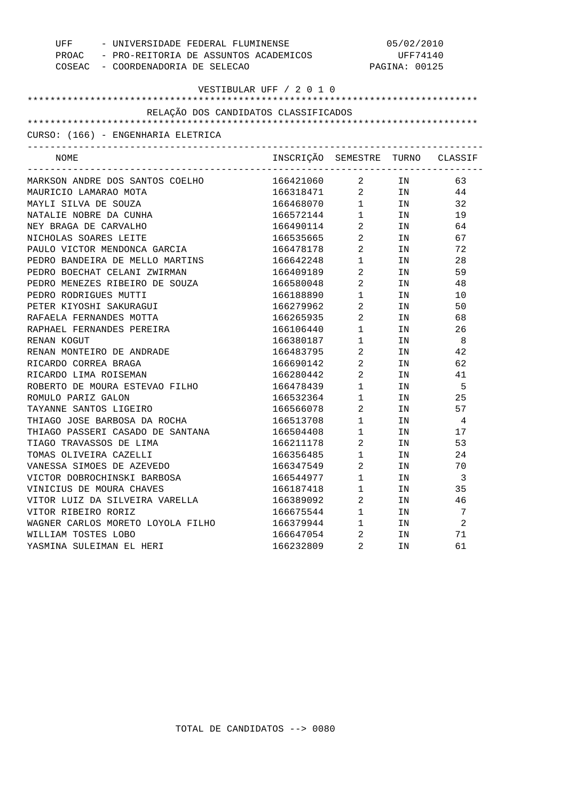|                         | - UNIVERSIDADE FEDERAL FLUMINENSE<br>UFF                                         |                                  | 05/02/2010                           |        |                |  |
|-------------------------|----------------------------------------------------------------------------------|----------------------------------|--------------------------------------|--------|----------------|--|
|                         | PROAC - PRO-REITORIA DE ASSUNTOS ACADEMICOS<br>COSEAC - COORDENADORIA DE SELECAO |                                  | UFF74140<br>PAGINA: 00125            |        |                |  |
|                         |                                                                                  |                                  |                                      |        |                |  |
|                         |                                                                                  | VESTIBULAR UFF / 2 0 1 0         |                                      |        |                |  |
|                         |                                                                                  |                                  |                                      |        |                |  |
|                         | RELAÇÃO DOS CANDIDATOS CLASSIFICADOS                                             |                                  |                                      |        |                |  |
|                         |                                                                                  |                                  |                                      |        |                |  |
|                         | CURSO: (166) - ENGENHARIA ELETRICA                                               |                                  |                                      |        |                |  |
| NOME                    |                                                                                  | INSCRIÇÃO SEMESTRE TURNO CLASSIF | ____________________________________ |        |                |  |
|                         | MARKSON ANDRE DOS SANTOS COELHO                                                  | 166421060 2                      |                                      | IN     | 63             |  |
| MAURICIO LAMARAO MOTA   |                                                                                  | $166318471$ 2 IN                 |                                      |        | 44             |  |
| MAYLI SILVA DE SOUZA    |                                                                                  | 166468070                        |                                      | $1$ IN | 32             |  |
| NATALIE NOBRE DA CUNHA  |                                                                                  | 166572144                        | $\mathbf{1}$                         | IN     | 19             |  |
| NEY BRAGA DE CARVALHO   |                                                                                  | 166490114                        | $\overline{2}$                       | IN     | 64             |  |
| NICHOLAS SOARES LEITE   |                                                                                  | 166535665                        | $\overline{2}$                       | IN     | 67             |  |
|                         | PAULO VICTOR MENDONCA GARCIA                                                     | 166478178                        | $\overline{a}$                       | IN     | 72             |  |
|                         | PEDRO BANDEIRA DE MELLO MARTINS                                                  | 166642248                        | $1 \qquad \qquad$                    | IN     | 28             |  |
|                         | PEDRO BOECHAT CELANI ZWIRMAN                                                     | 166409189                        | $\overline{2}$                       | IN     | 59             |  |
|                         | PEDRO MENEZES RIBEIRO DE SOUZA                                                   | 166580048                        | $\overline{a}$                       | IN     | 48             |  |
| PEDRO RODRIGUES MUTTI   |                                                                                  | 166188890                        | $1 \quad \Box$                       | IN     | 10             |  |
| PETER KIYOSHI SAKURAGUI |                                                                                  | 166279962                        | $\overline{2}$                       | IN     | 50             |  |
| RAFAELA FERNANDES MOTTA |                                                                                  | 166265935                        | $\overline{a}$                       | IN     | 68             |  |
|                         | RAPHAEL FERNANDES PEREIRA                                                        | 166106440                        | $1 \quad \Box$                       | IN     | 26             |  |
| RENAN KOGUT             |                                                                                  | 166380187                        | $1 \quad \blacksquare$               | IN     | - 8            |  |
|                         | RENAN MONTEIRO DE ANDRADE                                                        | 166483795                        | $\overline{2}$                       | IN     | 42             |  |
| RICARDO CORREA BRAGA    |                                                                                  | 166690142                        | $\overline{a}$                       | IN     | 62             |  |
| RICARDO LIMA ROISEMAN   |                                                                                  | 166280442                        | $\overline{2}$                       | IN     | 41             |  |
|                         | ROBERTO DE MOURA ESTEVAO FILHO                                                   | 166478439                        | $\mathbf{1}$                         | IN     | - 5            |  |
| ROMULO PARIZ GALON      |                                                                                  | 166532364                        | $1 \quad \Box$                       | IN     | 25             |  |
| TAYANNE SANTOS LIGEIRO  |                                                                                  | 166566078                        | $\overline{2}$                       | IN     | 57             |  |
|                         | THIAGO JOSE BARBOSA DA ROCHA                                                     | 166513708                        | $\mathbf{1}$                         | IN     | $\overline{4}$ |  |
|                         | THIAGO PASSERI CASADO DE SANTANA                                                 | 166504408                        | $\mathbf{1}$                         | IN     | 17             |  |
| TIAGO TRAVASSOS DE LIMA |                                                                                  | 166211178                        | $\overline{a}$                       | IN     | 53             |  |
| TOMAS OLIVEIRA CAZELLI  |                                                                                  | 166356485                        | 1                                    | IN     | 24             |  |
|                         | VANESSA SIMOES DE AZEVEDO                                                        | 166347549                        | $\overline{2}$                       | IN     | 70             |  |
|                         | VICTOR DOBROCHINSKI BARBOSA                                                      | 166544977                        | 1                                    | ΙN     | 3              |  |
|                         | VINICIUS DE MOURA CHAVES                                                         | 166187418                        | 1                                    | ΙN     | 35             |  |
|                         | VITOR LUIZ DA SILVEIRA VARELLA                                                   | 166389092                        | 2                                    | ΙN     | 46             |  |
| VITOR RIBEIRO RORIZ     |                                                                                  | 166675544                        | 1                                    | ΙN     | 7              |  |
|                         | WAGNER CARLOS MORETO LOYOLA FILHO                                                | 166379944                        | 1                                    | ΙN     | 2              |  |
| WILLIAM TOSTES LOBO     |                                                                                  | 166647054                        | 2                                    | ΙN     | 71             |  |
|                         | YASMINA SULEIMAN EL HERI                                                         | 166232809                        | 2                                    | IN     | 61             |  |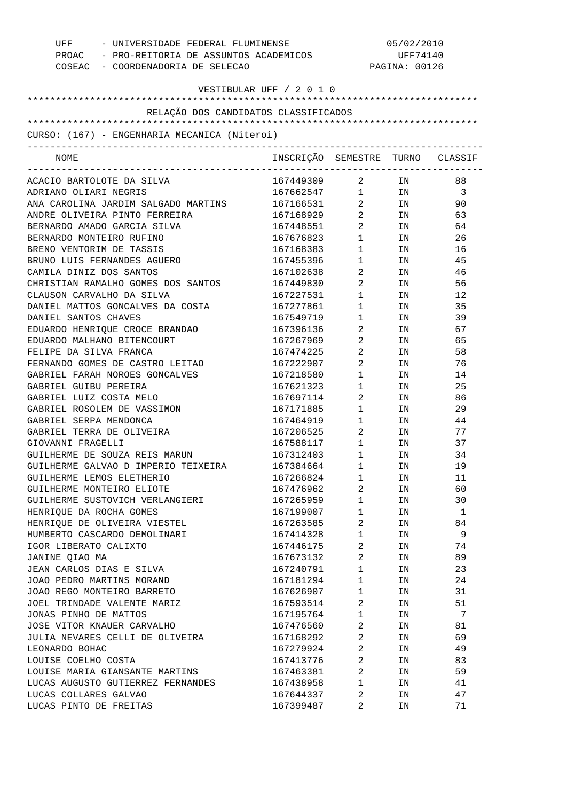| COSEAC - COORDENADORIA DE SELECAO                       | UFF - UNIVERSIDADE FEDERAL FLUMINENSE<br>PROAC - PRO-REITORIA DE ASSUNTOS ACADEMICOS |                                   | 05/02/2010<br>UFF74140<br>PAGINA: 00126                                                                        |         |  |
|---------------------------------------------------------|--------------------------------------------------------------------------------------|-----------------------------------|----------------------------------------------------------------------------------------------------------------|---------|--|
| VESTIBULAR UFF / 2 0 1 0                                |                                                                                      |                                   |                                                                                                                |         |  |
| RELAÇÃO DOS CANDIDATOS CLASSIFICADOS                    |                                                                                      |                                   |                                                                                                                |         |  |
|                                                         |                                                                                      |                                   |                                                                                                                |         |  |
| CURSO: (167) - ENGENHARIA MECANICA (Niteroi)            |                                                                                      |                                   |                                                                                                                |         |  |
| NOME                                                    | INSCRIÇÃO SEMESTRE TURNO CLASSIF                                                     |                                   |                                                                                                                |         |  |
| ACACIO BARTOLOTE DA SILVA                               | 167449309 2 IN                                                                       |                                   |                                                                                                                | 88      |  |
| ADRIANO OLIARI NEGRIS                                   | 167662547 1 IN                                                                       |                                   |                                                                                                                | - 3     |  |
| ANA CAROLINA JARDIM SALGADO MARTINS                     | 167166531 2 IN                                                                       |                                   |                                                                                                                | 90      |  |
| ANDRE OLIVEIRA PINTO FERREIRA                           | 167168929                                                                            | $\overline{2}$                    | IN THE TEST OF THE TEST OF THE TEST OF THE TEST OF THE TEST OF THE TEST OF THE TEST OF THE TEST OF THE TEST OF | 63      |  |
| BERNARDO AMADO GARCIA SILVA                             | 167448551                                                                            | $\overline{2}$                    | IN                                                                                                             | 64      |  |
| BERNARDO MONTEIRO RUFINO                                | 167676823                                                                            | $1 \quad \blacksquare$            | IN                                                                                                             | 26      |  |
| BRENO VENTORIM DE TASSIS                                | 167168383                                                                            | $1 \quad \blacksquare$            | IN                                                                                                             | 16      |  |
| BRUNO LUIS FERNANDES AGUERO                             | 167455396                                                                            | $1 \qquad \qquad$                 | IN                                                                                                             | 45      |  |
| CAMILA DINIZ DOS SANTOS                                 | 167102638                                                                            | $\overline{2}$ and $\overline{2}$ | IN                                                                                                             | 46      |  |
| CHRISTIAN RAMALHO GOMES DOS SANTOS                      | 167449830                                                                            | $\overline{2}$                    | IN                                                                                                             | 56      |  |
| CLAUSON CARVALHO DA SILVA                               | 167227531                                                                            | $1 \qquad \qquad$                 | IN                                                                                                             | 12      |  |
| DANIEL MATTOS GONCALVES DA COSTA                        | 167277861                                                                            | $1 \quad \blacksquare$            | IN                                                                                                             | 35      |  |
| DANIEL SANTOS CHAVES                                    | 167549719                                                                            | $1 \qquad \qquad$                 | IN                                                                                                             | 39      |  |
| EDUARDO HENRIQUE CROCE BRANDAO                          | 167396136                                                                            | $\overline{2}$ and $\overline{2}$ | IN                                                                                                             | 67      |  |
| EDUARDO MALHANO BITENCOURT                              | 167267969                                                                            | $\overline{2}$ and $\overline{2}$ | IN                                                                                                             | 65      |  |
| FELIPE DA SILVA FRANCA                                  | 167474225                                                                            | $\overline{2}$                    | IN                                                                                                             | 58      |  |
| FERNANDO GOMES DE CASTRO LEITAO                         | 167222907                                                                            | $\overline{2}$ and $\overline{2}$ | IN                                                                                                             | 76      |  |
| GABRIEL FARAH NOROES GONCALVES                          | 167218580                                                                            | $1 \qquad \qquad$                 | IN                                                                                                             | 14      |  |
| GABRIEL GUIBU PEREIRA                                   | 167621323                                                                            | $1 \quad \Box$                    | IN                                                                                                             | 25      |  |
| GABRIEL LUIZ COSTA MELO                                 | 167697114                                                                            | $\overline{2}$                    | IN                                                                                                             | 86      |  |
| GABRIEL ROSOLEM DE VASSIMON                             | 167171885                                                                            | $1 \qquad \qquad$                 | IN                                                                                                             | 29      |  |
| GABRIEL SERPA MENDONCA                                  | 167464919                                                                            | $1 \qquad \qquad$                 | IN                                                                                                             | 44      |  |
| GABRIEL TERRA DE OLIVEIRA                               | 167206525                                                                            | $\overline{2}$                    | IN                                                                                                             | 77      |  |
| GIOVANNI FRAGELLI                                       | 167588117                                                                            | 1                                 | IN                                                                                                             | 37      |  |
| GUILHERME DE SOUZA REIS MARUN                           | 167312403                                                                            | $\mathbf{1}$                      | IN                                                                                                             | 34      |  |
| GUILHERME GALVAO D IMPERIO TEIXEIRA                     | 167384664                                                                            | 1                                 | ΙN                                                                                                             | 19      |  |
| GUILHERME LEMOS ELETHERIO                               | 167266824                                                                            | 1                                 | IN                                                                                                             | 11      |  |
| GUILHERME MONTEIRO ELIOTE                               | 167476962                                                                            | 2                                 | IN                                                                                                             | 60      |  |
| GUILHERME SUSTOVICH VERLANGIERI                         | 167265959                                                                            | 1                                 | IN                                                                                                             | 30      |  |
| HENRIQUE DA ROCHA GOMES<br>HENRIQUE DE OLIVEIRA VIESTEL | 167199007<br>167263585                                                               | 1<br>2                            | ΙN                                                                                                             | 1<br>84 |  |
| HUMBERTO CASCARDO DEMOLINARI                            | 167414328                                                                            | 1                                 | IN<br>ΙN                                                                                                       | 9       |  |
| IGOR LIBERATO CALIXTO                                   | 167446175                                                                            | 2                                 | ΙN                                                                                                             | 74      |  |
| JANINE QIAO MA                                          | 167673132                                                                            | 2                                 | ΙN                                                                                                             | 89      |  |
| JEAN CARLOS DIAS E SILVA                                | 167240791                                                                            | 1                                 | ΙN                                                                                                             | 23      |  |
| JOAO PEDRO MARTINS MORAND                               | 167181294                                                                            | 1                                 | ΙN                                                                                                             | 24      |  |
| JOAO REGO MONTEIRO BARRETO                              | 167626907                                                                            | 1                                 | ΙN                                                                                                             | 31      |  |
| JOEL TRINDADE VALENTE MARIZ                             | 167593514                                                                            | 2                                 | ΙN                                                                                                             | 51      |  |
| JONAS PINHO DE MATTOS                                   | 167195764                                                                            | 1                                 | ΙN                                                                                                             | 7       |  |
| JOSE VITOR KNAUER CARVALHO                              | 167476560                                                                            | 2                                 | ΙN                                                                                                             | 81      |  |
| JULIA NEVARES CELLI DE OLIVEIRA                         | 167168292                                                                            | 2                                 | IN                                                                                                             | 69      |  |
| LEONARDO BOHAC                                          | 167279924                                                                            | 2                                 | IN                                                                                                             | 49      |  |
| LOUISE COELHO COSTA                                     | 167413776                                                                            | 2                                 | IN                                                                                                             | 83      |  |
| LOUISE MARIA GIANSANTE MARTINS                          | 167463381                                                                            | 2                                 | IN                                                                                                             | 59      |  |
| LUCAS AUGUSTO GUTIERREZ FERNANDES                       | 167438958                                                                            | 1                                 | IN                                                                                                             | 41      |  |
| LUCAS COLLARES GALVAO                                   | 167644337                                                                            | 2                                 | ΙN                                                                                                             | 47      |  |
| LUCAS PINTO DE FREITAS                                  | 167399487                                                                            | 2                                 | ΙN                                                                                                             | 71      |  |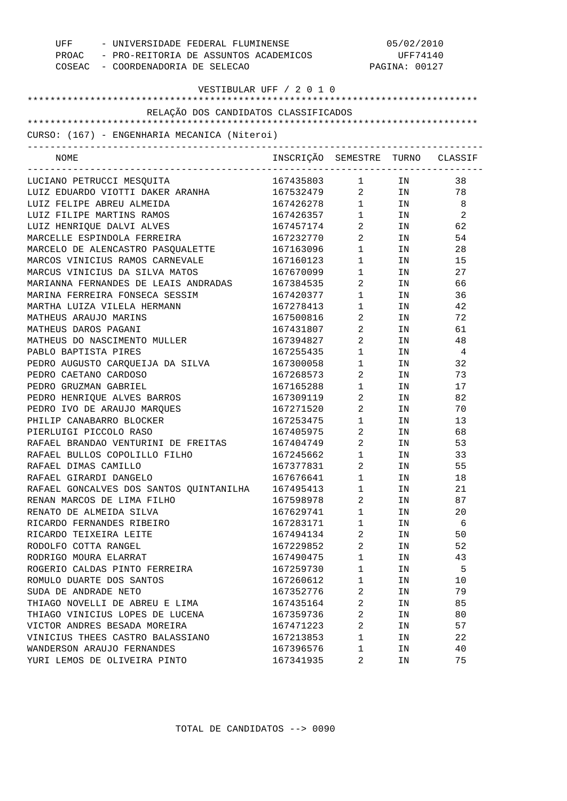| - UNIVERSIDADE FEDERAL FLUMINENSE<br>UFF     |                                  | 05/02/2010                     |               |                |  |
|----------------------------------------------|----------------------------------|--------------------------------|---------------|----------------|--|
| PROAC - PRO-REITORIA DE ASSUNTOS ACADEMICOS  |                                  | UFF74140                       |               |                |  |
| COSEAC - COORDENADORIA DE SELECAO            |                                  |                                | PAGINA: 00127 |                |  |
|                                              |                                  |                                |               |                |  |
| VESTIBULAR UFF / 2 0 1 0                     |                                  |                                |               |                |  |
|                                              |                                  |                                |               |                |  |
| RELAÇÃO DOS CANDIDATOS CLASSIFICADOS         |                                  |                                |               |                |  |
|                                              |                                  |                                |               |                |  |
| CURSO: (167) - ENGENHARIA MECANICA (Niteroi) |                                  |                                |               |                |  |
|                                              |                                  |                                |               |                |  |
| <b>NOME</b>                                  | INSCRIÇÃO SEMESTRE TURNO CLASSIF |                                |               |                |  |
|                                              | 167435803                        |                                |               |                |  |
| LUCIANO PETRUCCI MESQUITA                    | 167532479                        | $\mathbf{1}$<br>$\overline{2}$ | IN<br>IN      | 38<br>78       |  |
| LUIZ EDUARDO VIOTTI DAKER ARANHA             |                                  |                                |               |                |  |
| LUIZ FELIPE ABREU ALMEIDA                    | 167426278                        | 1                              | IN            | 8              |  |
| LUIZ FILIPE MARTINS RAMOS                    | 167426357                        | $\mathbf{1}$                   | IN.           | 2              |  |
| LUIZ HENRIQUE DALVI ALVES                    | 167457174                        | 2                              | IN.           | 62             |  |
| MARCELLE ESPINDOLA FERREIRA                  | 167232770                        | $\overline{a}$                 | IN.           | 54             |  |
| MARCELO DE ALENCASTRO PASQUALETTE            | 167163096                        | $\mathbf{1}$                   | IN.           | 28             |  |
| MARCOS VINICIUS RAMOS CARNEVALE              | 167160123                        | $\mathbf{1}$                   | IN.           | 15             |  |
| MARCUS VINICIUS DA SILVA MATOS               | 167670099                        | $\mathbf{1}$                   | IN.           | 27             |  |
| MARIANNA FERNANDES DE LEAIS ANDRADAS         | 167384535                        | 2                              | IN.           | 66             |  |
| MARINA FERREIRA FONSECA SESSIM               | 167420377                        | 1                              | IN.           | 36             |  |
| MARTHA LUIZA VILELA HERMANN                  | 167278413                        | 1                              | IN.           | 42             |  |
| MATHEUS ARAUJO MARINS                        | 167500816                        | 2                              | IN.           | 72             |  |
| MATHEUS DAROS PAGANI                         | 167431807                        | 2                              | IN.           | 61             |  |
| MATHEUS DO NASCIMENTO MULLER                 | 167394827                        | $\overline{2}$                 | IN.           | 48             |  |
| PABLO BAPTISTA PIRES                         | 167255435                        | 1                              | IN.           | $\overline{4}$ |  |
| PEDRO AUGUSTO CARQUEIJA DA SILVA             | 167300058                        | 1                              | IN.           | 32             |  |
| PEDRO CAETANO CARDOSO                        | 167268573                        | 2                              | IN.           | 73             |  |
| PEDRO GRUZMAN GABRIEL                        | 167165288                        | 1                              | IN.           | 17             |  |
| PEDRO HENRIQUE ALVES BARROS                  | 167309119                        | 2                              | IN.           | 82             |  |
| PEDRO IVO DE ARAUJO MARQUES                  | 167271520                        | 2                              | IN            | 70             |  |
| PHILIP CANABARRO BLOCKER                     | 167253475                        | $\mathbf{1}$                   | ΙN            | 13             |  |
| PIERLUIGI PICCOLO RASO                       | 167405975                        | 2                              | IN            | 68             |  |
| RAFAEL BRANDAO VENTURINI DE FREITAS          | 167404749                        | $\overline{a}$                 | IN            | 53             |  |
| RAFAEL BULLOS COPOLILLO FILHO                | 167245662                        | $\mathbf 1$                    | ΙN            | 33             |  |
| RAFAEL DIMAS CAMILLO                         | 167377831                        | $\overline{2}$                 | IN            | 55             |  |
| RAFAEL GIRARDI DANGELO                       | 167676641                        | $\mathbf{1}$                   | IN            | 18             |  |
| RAFAEL GONCALVES DOS SANTOS QUINTANILHA      | 167495413                        | 1                              | IN            | 21             |  |
| RENAN MARCOS DE LIMA FILHO                   | 167598978                        | $\overline{a}$                 | ΙN            | 87             |  |
| RENATO DE ALMEIDA SILVA                      | 167629741                        | 1                              | IN            | 20             |  |
| RICARDO FERNANDES RIBEIRO                    | 167283171                        | $\mathbf{1}$                   | IN            | 6              |  |
| RICARDO TEIXEIRA LEITE                       | 167494134                        | $\overline{a}$                 | IN            | 50             |  |
| RODOLFO COTTA RANGEL                         | 167229852                        | 2                              | IN            | 52             |  |
| RODRIGO MOURA ELARRAT                        | 167490475                        | 1                              | ΙN            | 43             |  |
| ROGERIO CALDAS PINTO FERREIRA                | 167259730                        | $\mathbf{1}$                   | IN            | 5              |  |
| ROMULO DUARTE DOS SANTOS                     | 167260612                        | $\mathbf 1$                    | IN            | 10             |  |
| SUDA DE ANDRADE NETO                         | 167352776                        | 2                              | IN            | 79             |  |
| THIAGO NOVELLI DE ABREU E LIMA               | 167435164                        | $\overline{a}$                 | IN            | 85             |  |
| THIAGO VINICIUS LOPES DE LUCENA              | 167359736                        | $\overline{a}$                 | IN            | 80             |  |
| VICTOR ANDRES BESADA MOREIRA                 | 167471223                        | 2                              | IN            | 57             |  |
| VINICIUS THEES CASTRO BALASSIANO             | 167213853                        | $\mathbf{1}$                   | ΙN            | 22             |  |
| WANDERSON ARAUJO FERNANDES                   | 167396576                        | 1                              | IN            | 40             |  |
| YURI LEMOS DE OLIVEIRA PINTO                 | 167341935                        | 2                              | IN            | 75             |  |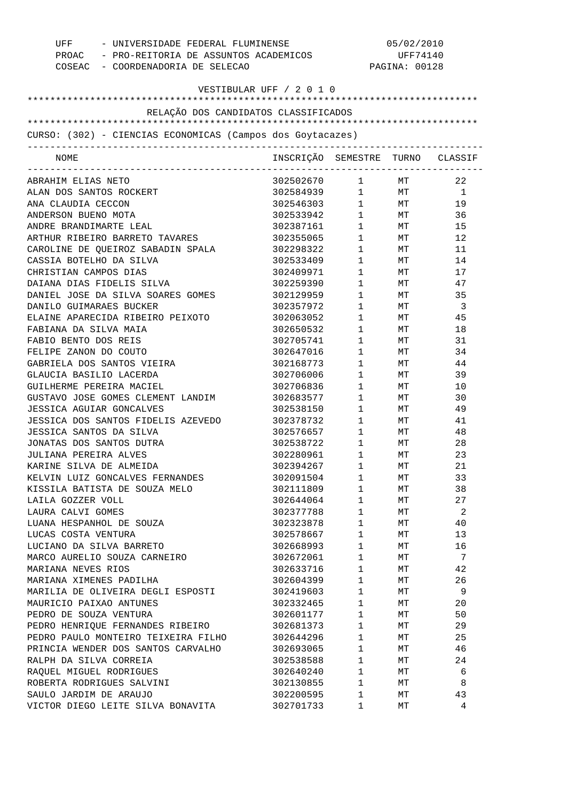| COSEAC - COORDENADORIA DE SELECAO                                         | UFF - UNIVERSIDADE FEDERAL FLUMINENSE<br>PROAC - PRO-REITORIA DE ASSUNTOS ACADEMICOS |                        | 05/02/2010<br>UFF74140<br>PAGINA: 00128 |              |  |
|---------------------------------------------------------------------------|--------------------------------------------------------------------------------------|------------------------|-----------------------------------------|--------------|--|
| VESTIBULAR UFF / 2 0 1 0                                                  |                                                                                      |                        |                                         |              |  |
| RELAÇÃO DOS CANDIDATOS CLASSIFICADOS                                      |                                                                                      |                        |                                         |              |  |
|                                                                           |                                                                                      |                        |                                         |              |  |
| CURSO: (302) - CIENCIAS ECONOMICAS (Campos dos Goytacazes)                |                                                                                      |                        |                                         |              |  |
| NOME                                                                      | INSCRIÇÃO SEMESTRE TURNO CLASSIF                                                     |                        |                                         |              |  |
| ABRAHIM ELIAS NETO                                                        | 302502670 1 MT                                                                       |                        |                                         | 22           |  |
| ALAN DOS SANTOS ROCKERT                                                   | 302584939 1 MT                                                                       |                        |                                         | $\mathbf{1}$ |  |
| ANA CLAUDIA CECCON                                                        | 302546303                                                                            |                        | $1$ MT                                  | 19           |  |
| ANDERSON BUENO MOTA                                                       | 302533942                                                                            |                        | $1$ MT                                  | 36           |  |
| ANDRE BRANDIMARTE LEAL                                                    | 302387161                                                                            | $1 \quad \blacksquare$ | MT                                      | 15           |  |
| ARTHUR RIBEIRO BARRETO TAVARES                                            | 302355065                                                                            | $1 \quad \blacksquare$ | <b>MT</b>                               | 12           |  |
| CAROLINE DE QUEIROZ SABADIN SPALA                                         | 302298322                                                                            | $1 \quad \blacksquare$ | MT                                      | 11           |  |
| CASSIA BOTELHO DA SILVA                                                   | 302533409                                                                            | $1 \qquad \qquad$      | MT                                      | 14           |  |
| CHRISTIAN CAMPOS DIAS                                                     | 302409971                                                                            | $1 \qquad \qquad$      | MT                                      | 17           |  |
| DAIANA DIAS FIDELIS SILVA                                                 | 302259390                                                                            | $1 \quad \blacksquare$ | MT                                      | 47           |  |
| DANIEL JOSE DA SILVA SOARES GOMES                                         | 302129959                                                                            | $1 \qquad \qquad$      | MT                                      | 35           |  |
| DANILO GUIMARAES BUCKER                                                   | 302357972                                                                            | $1 \quad \blacksquare$ | MT                                      | - 3          |  |
| ELAINE APARECIDA RIBEIRO PEIXOTO                                          | 302063052                                                                            | $1 \qquad \qquad$      | MT                                      | 45           |  |
| FABIANA DA SILVA MAIA                                                     | 302650532                                                                            | $1 \qquad \qquad$      | MT                                      | 18           |  |
| FABIO BENTO DOS REIS                                                      | 302705741                                                                            | $1 \quad \blacksquare$ | MT                                      | 31           |  |
| FELIPE ZANON DO COUTO                                                     | 302647016                                                                            | $1 \quad \blacksquare$ | MT                                      | 34           |  |
| GABRIELA DOS SANTOS VIEIRA                                                | 302168773                                                                            | $1 \qquad \qquad$      | MT                                      | 44           |  |
| GLAUCIA BASILIO LACERDA                                                   | 302706006                                                                            | $1 \qquad \qquad$      | MT                                      | 39           |  |
| GUILHERME PEREIRA MACIEL                                                  | 302706836                                                                            | $1 \qquad \qquad$      | MT                                      | 10           |  |
| GUSTAVO JOSE GOMES CLEMENT LANDIM                                         | 302683577                                                                            | $1 \qquad \qquad$      | MT                                      | 30           |  |
| <b>JESSICA AGUIAR GONCALVES</b>                                           | 302538150                                                                            | $1 \qquad \qquad$      | MT                                      | 49           |  |
| JESSICA DOS SANTOS FIDELIS AZEVEDO                                        | 302378732                                                                            | $1 \quad \blacksquare$ | MT                                      | 41           |  |
| JESSICA SANTOS DA SILVA                                                   | 302576657                                                                            | $1 \qquad \qquad$      | MT                                      | 48           |  |
| JONATAS DOS SANTOS DUTRA                                                  | 302538722                                                                            | $1 \qquad \qquad$      | MT                                      | 28           |  |
| JULIANA PEREIRA ALVES                                                     | 302280961                                                                            | $1 \quad \cdots$       | МT                                      | 23           |  |
| KARINE SILVA DE ALMEIDA                                                   | 302394267                                                                            | 1                      | MТ                                      | 21           |  |
| KELVIN LUIZ GONCALVES FERNANDES                                           | 302091504                                                                            | 1                      | MТ                                      | 33           |  |
| KISSILA BATISTA DE SOUZA MELO                                             | 302111809                                                                            | 1                      | MТ                                      | 38           |  |
| LAILA GOZZER VOLL                                                         | 302644064                                                                            | 1                      | MТ                                      | 27           |  |
| LAURA CALVI GOMES                                                         | 302377788                                                                            | 1                      | MТ                                      | 2            |  |
| LUANA HESPANHOL DE SOUZA                                                  | 302323878                                                                            | 1                      | MТ                                      | 40           |  |
| LUCAS COSTA VENTURA                                                       | 302578667                                                                            | 1                      | MТ                                      | 13           |  |
| LUCIANO DA SILVA BARRETO                                                  | 302668993                                                                            | 1                      | MТ                                      | 16           |  |
| MARCO AURELIO SOUZA CARNEIRO                                              | 302672061                                                                            | 1                      | MТ                                      | 7            |  |
| MARIANA NEVES RIOS                                                        | 302633716                                                                            | 1                      | MТ                                      | 42           |  |
| MARIANA XIMENES PADILHA                                                   | 302604399                                                                            | 1                      | MТ                                      | 26           |  |
| MARILIA DE OLIVEIRA DEGLI ESPOSTI                                         | 302419603                                                                            | 1                      | MТ                                      | 9            |  |
| MAURICIO PAIXAO ANTUNES                                                   | 302332465                                                                            | 1                      | MТ                                      | 20           |  |
| PEDRO DE SOUZA VENTURA                                                    |                                                                                      |                        |                                         |              |  |
| PEDRO HENRIQUE FERNANDES RIBEIRO                                          | 302601177<br>302681373                                                               | 1<br>1                 | MТ                                      | 50<br>29     |  |
|                                                                           |                                                                                      |                        | MТ                                      |              |  |
| PEDRO PAULO MONTEIRO TEIXEIRA FILHO<br>PRINCIA WENDER DOS SANTOS CARVALHO | 302644296                                                                            | 1                      | MТ                                      | 25           |  |
|                                                                           | 302693065                                                                            | 1                      | MТ                                      | 46           |  |
| RALPH DA SILVA CORREIA                                                    | 302538588                                                                            | 1                      | MТ                                      | 24           |  |
| RAQUEL MIGUEL RODRIGUES                                                   | 302640240                                                                            | 1                      | MТ                                      | 6            |  |
| ROBERTA RODRIGUES SALVINI                                                 | 302130855                                                                            | 1                      | МT                                      | 8            |  |
| SAULO JARDIM DE ARAUJO                                                    | 302200595                                                                            | 1                      | МT                                      | 43           |  |
| VICTOR DIEGO LEITE SILVA BONAVITA                                         | 302701733                                                                            | 1                      | МT                                      | 4            |  |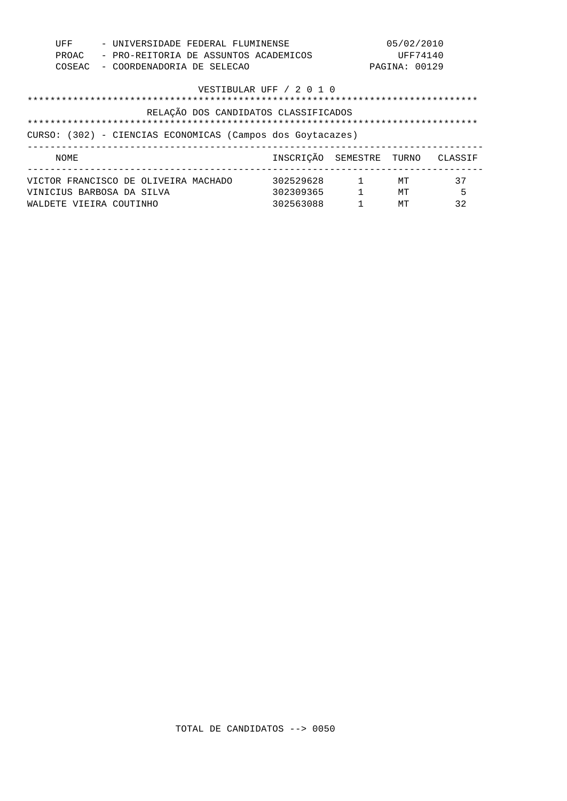| - UNIVERSIDADE FEDERAL FLUMINENSE<br>UFF |                                                |                                                            |  |  | 05/02/2010                           |                  |               |         |
|------------------------------------------|------------------------------------------------|------------------------------------------------------------|--|--|--------------------------------------|------------------|---------------|---------|
|                                          | PROAC<br>- PRO-REITORIA DE ASSUNTOS ACADEMICOS |                                                            |  |  | UFF74140                             |                  |               |         |
|                                          | COSEAC                                         | - COORDENADORIA DE SELECAO                                 |  |  |                                      |                  | PAGINA: 00129 |         |
|                                          |                                                |                                                            |  |  | VESTIBULAR UFF / 2 0 1 0             |                  |               |         |
|                                          |                                                |                                                            |  |  |                                      |                  |               |         |
|                                          |                                                |                                                            |  |  | RELAÇÃO DOS CANDIDATOS CLASSIFICADOS |                  |               |         |
|                                          |                                                |                                                            |  |  |                                      |                  |               |         |
|                                          |                                                |                                                            |  |  |                                      |                  |               |         |
|                                          |                                                | CURSO: (302) - CIENCIAS ECONOMICAS (Campos dos Goytacazes) |  |  |                                      |                  |               |         |
|                                          | NOME                                           | ------------------------------                             |  |  | INSCRICÃO SEMESTRE TURNO             |                  |               | CLASSIF |
|                                          |                                                | VICTOR FRANCISCO DE OLIVEIRA MACHADO                       |  |  | 302529628                            | $\sim$ $\sim$ 1. | МT            | 37      |
|                                          |                                                | VINICIUS BARBOSA DA SILVA                                  |  |  | 302309365                            | $\mathbf{1}$     | MТ            | 5       |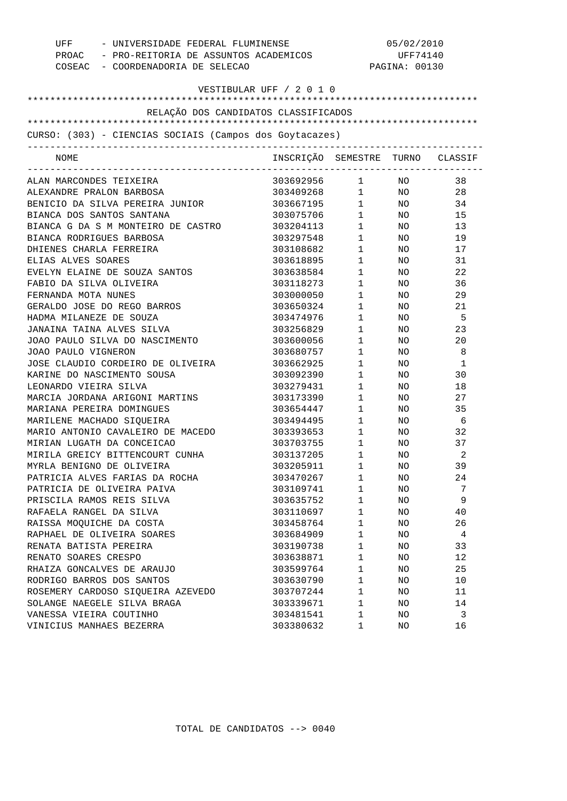| COSEAC - COORDENADORIA DE SELECAO                       | UFF - UNIVERSIDADE FEDERAL FLUMINENSE<br>PROAC - PRO-REITORIA DE ASSUNTOS ACADEMICOS |                        |                 | 05/02/2010<br>UFF74140<br>PAGINA: 00130 |  |  |
|---------------------------------------------------------|--------------------------------------------------------------------------------------|------------------------|-----------------|-----------------------------------------|--|--|
| VESTIBULAR UFF / 2 0 1 0                                |                                                                                      |                        |                 |                                         |  |  |
| RELAÇÃO DOS CANDIDATOS CLASSIFICADOS                    |                                                                                      |                        |                 |                                         |  |  |
|                                                         |                                                                                      |                        |                 |                                         |  |  |
| CURSO: (303) - CIENCIAS SOCIAIS (Campos dos Goytacazes) |                                                                                      |                        |                 |                                         |  |  |
| -------------------------------                         |                                                                                      |                        |                 |                                         |  |  |
| NOME                                                    | INSCRIÇÃO SEMESTRE TURNO CLASSIF                                                     |                        |                 |                                         |  |  |
| ALAN MARCONDES TEIXEIRA                                 | 303692956 1 NO                                                                       |                        |                 | 38                                      |  |  |
| ALEXANDRE PRALON BARBOSA                                | 303409268 1 NO                                                                       |                        |                 | 28                                      |  |  |
| BENICIO DA SILVA PEREIRA JUNIOR                         | 303667195 1 NO                                                                       |                        |                 | 34                                      |  |  |
| BIANCA DOS SANTOS SANTANA                               | 303075706                                                                            |                        | $1$ NO          | 15                                      |  |  |
| BIANCA G DA S M MONTEIRO DE CASTRO                      | 303204113                                                                            | $1 \quad \Box$         | NO <sub>2</sub> | 13                                      |  |  |
| BIANCA RODRIGUES BARBOSA                                | 303297548                                                                            | $1 \quad \blacksquare$ | NO <sub>2</sub> | 19                                      |  |  |
| DHIENES CHARLA FERREIRA                                 | 303108682                                                                            | $1 \quad \blacksquare$ | NO <sub>n</sub> | 17                                      |  |  |
| ELIAS ALVES SOARES                                      | 303618895                                                                            | $1 \quad \blacksquare$ | NO              | 31                                      |  |  |
| EVELYN ELAINE DE SOUZA SANTOS                           | 303638584                                                                            | $1 \qquad \qquad$      | NO .            | 22                                      |  |  |
| FABIO DA SILVA OLIVEIRA                                 | 303118273                                                                            | $1 \quad \blacksquare$ | NO              | 36                                      |  |  |
| FERNANDA MOTA NUNES                                     | 303000050                                                                            | $1 \quad \blacksquare$ | NO .            | 29                                      |  |  |
| GERALDO JOSE DO REGO BARROS                             | 303650324                                                                            | $1 \quad \blacksquare$ | NO              | 21                                      |  |  |
| HADMA MILANEZE DE SOUZA                                 | 303474976                                                                            | $1 \quad \blacksquare$ | NO .            | - 5                                     |  |  |
| JANAINA TAINA ALVES SILVA                               | 303256829                                                                            | $1 \quad \blacksquare$ | NO .            | 23                                      |  |  |
| JOAO PAULO SILVA DO NASCIMENTO                          | 303600056                                                                            | $1 \quad \blacksquare$ | NO              | 20                                      |  |  |
| JOAO PAULO VIGNERON                                     | 303680757                                                                            | $1 \quad \blacksquare$ | NO.             | 8                                       |  |  |
| JOSE CLAUDIO CORDEIRO DE OLIVEIRA                       | 303662925                                                                            | $1 \quad \blacksquare$ | NO              | 1                                       |  |  |
| KARINE DO NASCIMENTO SOUSA                              | 303092390                                                                            | $1 \quad \blacksquare$ | NO.             | 30                                      |  |  |
| LEONARDO VIEIRA SILVA                                   | 303279431                                                                            | $1 \qquad \qquad$      | NO              | 18                                      |  |  |
| MARCIA JORDANA ARIGONI MARTINS                          | 303173390                                                                            | $1 \quad \blacksquare$ | NO              | 27                                      |  |  |
| MARIANA PEREIRA DOMINGUES                               | 303654447                                                                            | $1 \quad \blacksquare$ | NO              | 35                                      |  |  |
| MARILENE MACHADO SIQUEIRA                               | 303494495                                                                            | $1 \quad \blacksquare$ | NO              | - 6                                     |  |  |
| MARIO ANTONIO CAVALEIRO DE MACEDO                       | 303393653                                                                            | $1 \quad \blacksquare$ | NO              | 32                                      |  |  |
| MIRIAN LUGATH DA CONCEICAO                              | 303703755                                                                            | $1 \quad \blacksquare$ | NO.             | 37                                      |  |  |
| MIRILA GREICY BITTENCOURT CUNHA                         | 303137205                                                                            | $1 \qquad \qquad$      | NO.             | 2                                       |  |  |
| MYRLA BENIGNO DE OLIVEIRA                               | 303205911                                                                            | 1                      | ΝO              | 39                                      |  |  |
| PATRICIA ALVES FARIAS DA ROCHA                          | 303470267                                                                            | $\mathbf 1$            | NO              | 24                                      |  |  |
| PATRICIA DE OLIVEIRA PAIVA                              | 303109741                                                                            | 1                      | ΝO              | 7                                       |  |  |
| PRISCILA RAMOS REIS SILVA                               | 303635752                                                                            | $\mathbf 1$            | ΝO              | 9                                       |  |  |
| RAFAELA RANGEL DA SILVA                                 | 303110697                                                                            | 1                      | ΝO              | 40                                      |  |  |
| RAISSA MOQUICHE DA COSTA                                | 303458764                                                                            | 1                      | ΝO              | 26                                      |  |  |
| RAPHAEL DE OLIVEIRA SOARES                              | 303684909                                                                            | 1                      | ΝO              | 4                                       |  |  |
| RENATA BATISTA PEREIRA                                  | 303190738                                                                            | 1                      | ΝO              | 33                                      |  |  |
| RENATO SOARES CRESPO                                    | 303638871                                                                            | 1                      | ΝO              | 12                                      |  |  |
| RHAIZA GONCALVES DE ARAUJO                              | 303599764                                                                            | 1                      | ΝO              | 25                                      |  |  |
| RODRIGO BARROS DOS SANTOS                               | 303630790                                                                            | $\mathbf 1$            | ΝO              | 10                                      |  |  |
| ROSEMERY CARDOSO SIQUEIRA AZEVEDO                       | 303707244                                                                            | 1                      | ΝO              | 11                                      |  |  |
| SOLANGE NAEGELE SILVA BRAGA                             | 303339671                                                                            | 1                      | NO              | 14                                      |  |  |
| VANESSA VIEIRA COUTINHO                                 | 303481541                                                                            | 1                      | NO              | 3                                       |  |  |
| VINICIUS MANHAES BEZERRA                                | 303380632                                                                            | 1                      | NO              | 16                                      |  |  |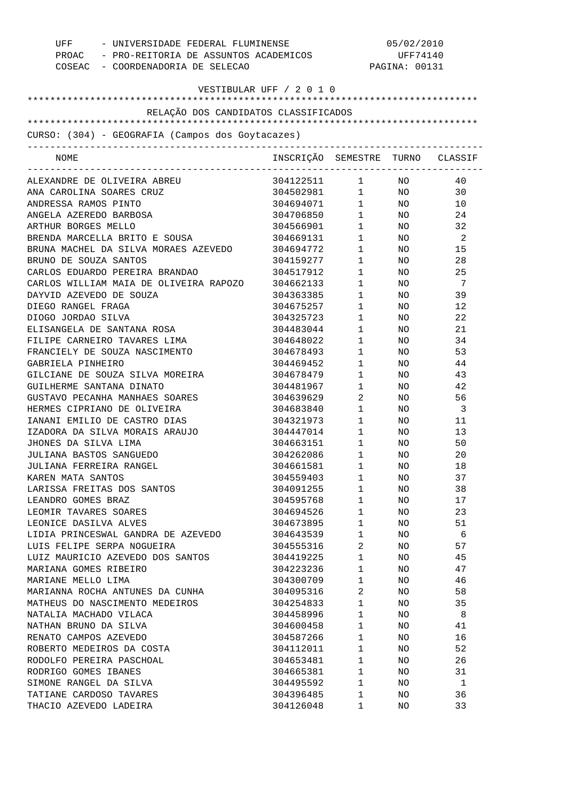| UFF<br>COSEAC - COORDENADORIA DE SELECAO                                                  | - UNIVERSIDADE FEDERAL FLUMINENSE<br>PROAC - PRO-REITORIA DE ASSUNTOS ACADEMICOS |                        |                 | 05/02/2010<br>UFF74140<br>PAGINA: 00131 |
|-------------------------------------------------------------------------------------------|----------------------------------------------------------------------------------|------------------------|-----------------|-----------------------------------------|
|                                                                                           | VESTIBULAR UFF / 2 0 1 0                                                         |                        |                 |                                         |
| RELAÇÃO DOS CANDIDATOS CLASSIFICADOS                                                      |                                                                                  |                        |                 |                                         |
|                                                                                           |                                                                                  |                        |                 |                                         |
| CURSO: (304) - GEOGRAFIA (Campos dos Goytacazes)<br>_____________________________________ |                                                                                  |                        |                 |                                         |
| NOME                                                                                      | INSCRIÇÃO SEMESTRE TURNO CLASSIF                                                 |                        |                 |                                         |
| ALEXANDRE DE OLIVEIRA ABREU                                                               | 304122511 1                                                                      |                        | NO NO           | 40                                      |
| ANA CAROLINA SOARES CRUZ                                                                  | 304502981 1                                                                      |                        | NO <sub>n</sub> | 30                                      |
| ANDRESSA RAMOS PINTO                                                                      | 304694071 1                                                                      |                        | NO <sub>2</sub> | 10                                      |
| ANGELA AZEREDO BARBOSA                                                                    | 304706850                                                                        | $1 \quad \blacksquare$ | NO <sub>1</sub> | 24                                      |
| ARTHUR BORGES MELLO                                                                       | 304566901                                                                        | $1 \quad \blacksquare$ | NO <sub>1</sub> | 32                                      |
| BRENDA MARCELLA BRITO E SOUSA                                                             | 304669131                                                                        | $1 \quad \blacksquare$ | NO <sub>n</sub> | -2                                      |
| BRUNA MACHEL DA SILVA MORAES AZEVEDO                                                      | 304694772                                                                        | $1 \quad \blacksquare$ | NO <sub>2</sub> | 15                                      |
| BRUNO DE SOUZA SANTOS                                                                     | 304159277                                                                        | $1 \quad \blacksquare$ | NO .            | 28                                      |
| CARLOS EDUARDO PEREIRA BRANDAO                                                            | 304517912                                                                        | $1 \quad \blacksquare$ | NO.             | 25                                      |
| CARLOS WILLIAM MAIA DE OLIVEIRA RAPOZO                                                    | 304662133                                                                        | $1 \quad \blacksquare$ | NO.             | -7                                      |
| DAYVID AZEVEDO DE SOUZA                                                                   | 304363385                                                                        | $1 \quad \blacksquare$ | NO              | 39                                      |
| DIEGO RANGEL FRAGA                                                                        | 304675257                                                                        | $1 \qquad \qquad$      | NO.             | 12                                      |
| DIOGO JORDAO SILVA                                                                        | 304325723                                                                        | $1 \qquad \qquad$      | NO.             | 22                                      |
| ELISANGELA DE SANTANA ROSA                                                                | 304483044                                                                        | $1 \qquad \qquad$      | NO.             | 21                                      |
| FILIPE CARNEIRO TAVARES LIMA                                                              | 304648022                                                                        | $1 \qquad \qquad$      | NO.             | 34                                      |
| FRANCIELY DE SOUZA NASCIMENTO                                                             | 304678493                                                                        | $1 \qquad \qquad$      | NO.             | 53                                      |
| GABRIELA PINHEIRO                                                                         | 304469452                                                                        | $1 \qquad \qquad$      | NO.             | 44                                      |
| GILCIANE DE SOUZA SILVA MOREIRA                                                           | 304678479                                                                        | $\mathbf{1}$           | NO.             | 43                                      |
| GUILHERME SANTANA DINATO                                                                  | 304481967                                                                        | $1 \qquad \qquad$      | NO.             | 42                                      |
| GUSTAVO PECANHA MANHAES SOARES                                                            | 304639629                                                                        | $\overline{2}$         | NO.             | 56                                      |
| HERMES CIPRIANO DE OLIVEIRA                                                               | 304683840                                                                        | $1 \quad \blacksquare$ | NO .            | -3                                      |
| IANANI EMILIO DE CASTRO DIAS                                                              | 304321973                                                                        | $1 \quad \blacksquare$ | NO .            | 11                                      |
| IZADORA DA SILVA MORAIS ARAUJO                                                            | 304447014                                                                        | $1 \quad \blacksquare$ | NO .            | 13                                      |
| JHONES DA SILVA LIMA                                                                      | 304663151                                                                        | $1 \qquad \qquad$      | NO.             | 50                                      |
| JULIANA BASTOS SANGUEDO                                                                   | 304262086                                                                        | $\mathbf{1}$           | NO.             | 20                                      |
| JULIANA FERREIRA RANGEL                                                                   | 304661581                                                                        | 1                      | ΝO              | 18                                      |
| KAREN MATA SANTOS                                                                         | 304559403                                                                        | 1                      | NO.             | 37                                      |
| LARISSA FREITAS DOS SANTOS                                                                | 304091255                                                                        | $\mathbf 1$            | NO.             | 38                                      |
| LEANDRO GOMES BRAZ                                                                        | 304595768                                                                        | 1                      | NO.             | 17                                      |
| LEOMIR TAVARES SOARES                                                                     | 304694526                                                                        | $\mathbf 1$            | NO.             | 23                                      |
| LEONICE DASILVA ALVES                                                                     | 304673895                                                                        | 1                      | NO.             | 51                                      |
| LIDIA PRINCESWAL GANDRA DE AZEVEDO                                                        | 304643539                                                                        | 1                      | NO.             | 6                                       |
| LUIS FELIPE SERPA NOGUEIRA                                                                | 304555316                                                                        | 2                      | NO.             | 57                                      |
| LUIZ MAURICIO AZEVEDO DOS SANTOS                                                          | 304419225                                                                        | $\mathbf 1$<br>1       | NO.             | 45                                      |
| MARIANA GOMES RIBEIRO<br>MARIANE MELLO LIMA                                               | 304223236<br>304300709                                                           | $\mathbf 1$            | NO.             | 47                                      |
| MARIANNA ROCHA ANTUNES DA CUNHA                                                           | 304095316                                                                        | 2                      | NO.             | 46<br>58                                |
| MATHEUS DO NASCIMENTO MEDEIROS                                                            | 304254833                                                                        | $\mathbf 1$            | NO.             | 35                                      |
|                                                                                           |                                                                                  | 1                      | NO.             | 8                                       |
| NATALIA MACHADO VILACA<br>NATHAN BRUNO DA SILVA                                           | 304458996<br>304600458                                                           | $\mathbf 1$            | NO.<br>NO.      | 41                                      |
| RENATO CAMPOS AZEVEDO                                                                     | 304587266                                                                        | 1                      | NO.             | 16                                      |
| ROBERTO MEDEIROS DA COSTA                                                                 | 304112011                                                                        | $\mathbf 1$            | NO.             | 52                                      |
| RODOLFO PEREIRA PASCHOAL                                                                  | 304653481                                                                        | 1                      | NO.             | 26                                      |
| RODRIGO GOMES IBANES                                                                      | 304665381                                                                        | $\mathbf 1$            | NO.             | 31                                      |
| SIMONE RANGEL DA SILVA                                                                    | 304495592                                                                        | 1                      | NO.             | 1                                       |
| TATIANE CARDOSO TAVARES                                                                   | 304396485                                                                        | 1                      | NO.             | 36                                      |
| THACIO AZEVEDO LADEIRA                                                                    | 304126048                                                                        | 1                      | NO.             | 33                                      |
|                                                                                           |                                                                                  |                        |                 |                                         |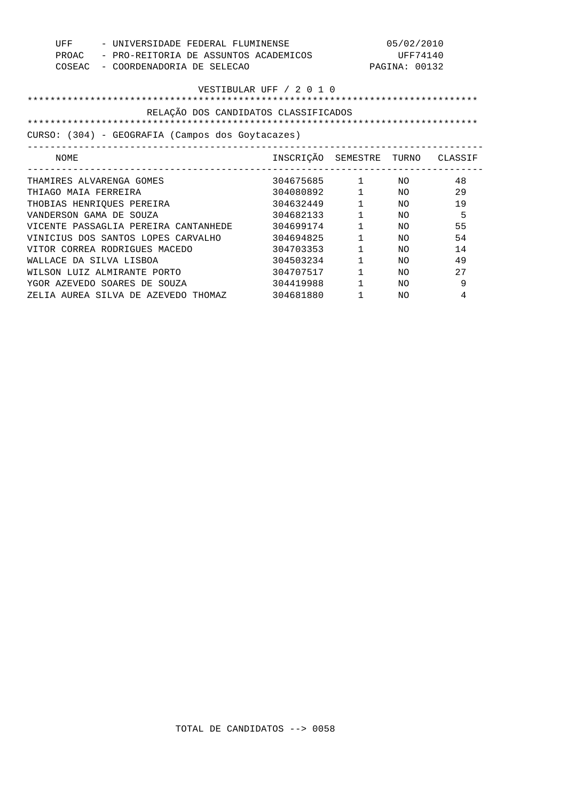| UFF<br>PROAC<br>COSEAC                           | - UNIVERSIDADE FEDERAL FLUMINENSE<br>- PRO-REITORIA DE ASSUNTOS ACADEMICOS<br>- COORDENADORIA DE SELECAO |                                  |                        | 05/02/2010<br>UFF74140<br>PAGINA: 00132 |     |
|--------------------------------------------------|----------------------------------------------------------------------------------------------------------|----------------------------------|------------------------|-----------------------------------------|-----|
| VESTIBULAR UFF / 2 0 1 0                         |                                                                                                          |                                  |                        |                                         |     |
|                                                  | RELAÇÃO DOS CANDIDATOS CLASSIFICADOS                                                                     |                                  |                        |                                         |     |
|                                                  |                                                                                                          |                                  |                        |                                         |     |
| CURSO: (304) - GEOGRAFIA (Campos dos Goytacazes) |                                                                                                          |                                  |                        |                                         |     |
| NOME                                             |                                                                                                          | INSCRIÇÃO SEMESTRE TURNO CLASSIF |                        |                                         |     |
|                                                  | THAMIRES ALVARENGA GOMES                                                                                 | 304675685 1                      |                        | NO.                                     | 48  |
| THIAGO MAIA FERREIRA                             |                                                                                                          | 304080892 1                      |                        | NO                                      | 29  |
|                                                  | THOBIAS HENRIQUES PEREIRA                                                                                | 304632449                        | $1 \quad \blacksquare$ | NO.                                     | 19  |
| VANDERSON GAMA DE SOUZA                          |                                                                                                          | 304682133                        | $1 \qquad \qquad$      | NO.                                     | 5   |
|                                                  | VICENTE PASSAGLIA PEREIRA CANTANHEDE                                                                     | 304699174                        | $\mathbf{1}$           | NΟ                                      | 55  |
|                                                  | VINICIUS DOS SANTOS LOPES CARVALHO                                                                       | 304694825                        | $\mathbf{1}$           | NΟ                                      | 54  |
|                                                  | VITOR CORREA RODRIGUES MACEDO                                                                            | 304703353                        | $\mathbf{1}$           | NΟ                                      | 14  |
| WALLACE DA SILVA LISBOA                          |                                                                                                          | 304503234                        | $\mathbf{1}$           | NΟ                                      | 49  |
|                                                  | WILSON LUIZ ALMIRANTE PORTO                                                                              | 304707517                        | $\mathbf{1}$           | NO.                                     | 2.7 |
|                                                  | YGOR AZEVEDO SOARES DE SOUZA                                                                             | 304419988                        | $\mathbf{1}$           | NΟ                                      | 9   |
|                                                  | ZELIA AUREA SILVA DE AZEVEDO THOMAZ                                                                      | 304681880                        | $\mathbf{1}$           | NO.                                     | 4   |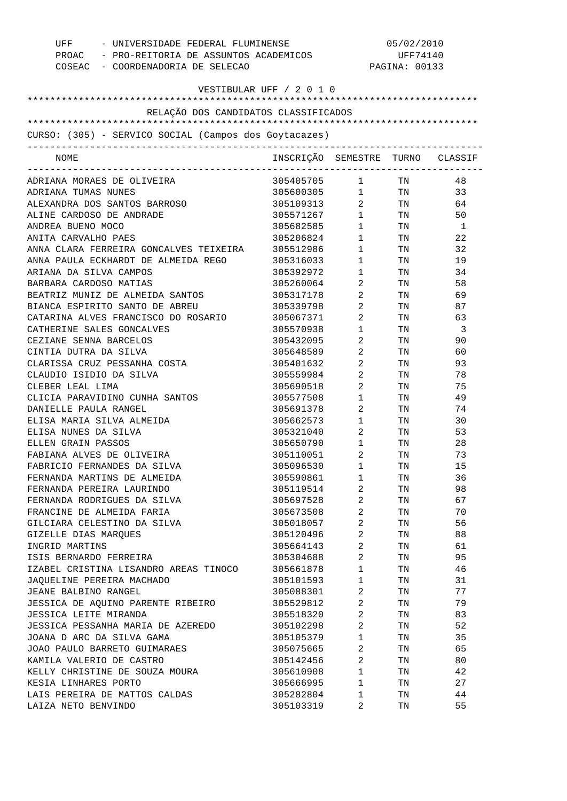| - UNIVERSIDADE FEDERAL FLUMINENSE<br>UFF<br>PROAC - PRO-REITORIA DE ASSUNTOS ACADEMICOS<br>COSEAC - COORDENADORIA DE SELECAO |                                  | 05/02/2010<br>UFF74140<br>PAGINA: 00133 |                                                                                                                |    |
|------------------------------------------------------------------------------------------------------------------------------|----------------------------------|-----------------------------------------|----------------------------------------------------------------------------------------------------------------|----|
| VESTIBULAR UFF / 2 0 1 0                                                                                                     |                                  |                                         |                                                                                                                |    |
|                                                                                                                              |                                  |                                         |                                                                                                                |    |
| RELAÇÃO DOS CANDIDATOS CLASSIFICADOS                                                                                         |                                  |                                         |                                                                                                                |    |
|                                                                                                                              |                                  |                                         |                                                                                                                |    |
| CURSO: (305) - SERVICO SOCIAL (Campos dos Goytacazes)                                                                        |                                  |                                         |                                                                                                                |    |
| NOME                                                                                                                         | INSCRIÇÃO SEMESTRE TURNO CLASSIF |                                         |                                                                                                                |    |
| ADRIANA MORAES DE OLIVEIRA                                                                                                   | 305405705 1 TN                   |                                         |                                                                                                                | 48 |
| ADRIANA TUMAS NUNES                                                                                                          | 305600305 1 TN                   |                                         |                                                                                                                | 33 |
| ALEXANDRA DOS SANTOS BARROSO                                                                                                 | 305109313                        | $\overline{2}$                          | TN FOR THE THE TEST OF THE TEST OF THE TEST OF THE TEST OF THE TEST OF THE TEST OF THE TEST OF THE TEST OF THE | 64 |
| ALINE CARDOSO DE ANDRADE                                                                                                     | 305571267                        | $1 \quad \blacksquare$                  | TN 97                                                                                                          | 50 |
| ANDREA BUENO MOCO                                                                                                            | 305682585                        | $1 \quad \blacksquare$                  | TN                                                                                                             | -1 |
| ANITA CARVALHO PAES                                                                                                          | 305206824                        | $1 \quad \Box$                          | TN 500                                                                                                         | 22 |
| ANNA CLARA FERREIRA GONCALVES TEIXEIRA                                                                                       | 305512986                        | $1 \qquad \qquad$                       | TN                                                                                                             | 32 |
| ANNA PAULA ECKHARDT DE ALMEIDA REGO                                                                                          | 305316033                        | $1 \quad \blacksquare$                  | TN                                                                                                             | 19 |
| ARIANA DA SILVA CAMPOS                                                                                                       | 305392972                        | $1 \qquad \qquad$                       | TN                                                                                                             | 34 |
| BARBARA CARDOSO MATIAS                                                                                                       | 305260064                        | $\mathbf{2}$                            | TN                                                                                                             | 58 |
| BEATRIZ MUNIZ DE ALMEIDA SANTOS                                                                                              | 305317178                        | $\overline{2}$                          | TN                                                                                                             | 69 |
| BIANCA ESPIRITO SANTO DE ABREU                                                                                               | 305339798                        | $2 \qquad \qquad$                       | TN                                                                                                             | 87 |
| CATARINA ALVES FRANCISCO DO ROSARIO                                                                                          | 305067371                        | $\overline{2}$ and $\overline{2}$       | TN                                                                                                             | 63 |
| CATHERINE SALES GONCALVES                                                                                                    | 305570938                        | $1 \quad \Box$                          | TN                                                                                                             | -3 |
| CEZIANE SENNA BARCELOS                                                                                                       | 305432095                        | $\mathbf{2}$                            | TN                                                                                                             | 90 |
| CINTIA DUTRA DA SILVA                                                                                                        | 305648589                        | $\mathbf{2}$                            | TN                                                                                                             | 60 |
| CLARISSA CRUZ PESSANHA COSTA                                                                                                 | 305401632                        | $\mathbf{2}$                            | TN                                                                                                             | 93 |
| CLAUDIO ISIDIO DA SILVA                                                                                                      | 305559984                        | $\mathbf{2}$                            | TN                                                                                                             | 78 |
| CLEBER LEAL LIMA                                                                                                             | 305690518                        | $2 \qquad \qquad$                       | TN                                                                                                             | 75 |
| CLICIA PARAVIDINO CUNHA SANTOS                                                                                               | 305577508                        | $1 \qquad \qquad$                       | TN                                                                                                             | 49 |
| DANIELLE PAULA RANGEL                                                                                                        | 305691378                        | $2 \left( \frac{1}{2} \right)$          | TN                                                                                                             | 74 |
| ELISA MARIA SILVA ALMEIDA                                                                                                    | 305662573                        | $1 \qquad \qquad$                       | TN                                                                                                             | 30 |
| ELISA NUNES DA SILVA                                                                                                         | 305321040                        | $\overline{2}$                          | TN                                                                                                             | 53 |
| ELLEN GRAIN PASSOS                                                                                                           | 305650790                        | $\mathbf{1}$                            | TN                                                                                                             | 28 |
| FABIANA ALVES DE OLIVEIRA                                                                                                    | 305110051                        | 2                                       | $\rm TN$                                                                                                       | 73 |
| FABRICIO FERNANDES DA SILVA                                                                                                  | 305096530                        | $\mathbf{1}$                            | TN                                                                                                             | 15 |
| FERNANDA MARTINS DE ALMEIDA                                                                                                  | 305590861                        | $1 \quad \blacksquare$                  | TN                                                                                                             | 36 |
| FERNANDA PEREIRA LAURINDO                                                                                                    | 305119514                        | $\overline{2}$                          | TN                                                                                                             | 98 |
| FERNANDA RODRIGUES DA SILVA                                                                                                  | 305697528                        | $2 \left( \frac{1}{2} \right)$          | TN                                                                                                             | 67 |
| FRANCINE DE ALMEIDA FARIA                                                                                                    | 305673508                        | $\overline{2}$                          | TN                                                                                                             | 70 |
| GILCIARA CELESTINO DA SILVA                                                                                                  | 305018057                        | $2 \left( \frac{1}{2} \right)$          | TN                                                                                                             | 56 |
| GIZELLE DIAS MARQUES                                                                                                         | 305120496                        | $\overline{2}$                          | TN                                                                                                             | 88 |
| INGRID MARTINS                                                                                                               | 305664143                        | $\overline{2}$                          | TN                                                                                                             | 61 |
| ISIS BERNARDO FERREIRA                                                                                                       | 305304688                        | $2 \left( \frac{1}{2} \right)$          | TN                                                                                                             | 95 |
| IZABEL CRISTINA LISANDRO AREAS TINOCO                                                                                        | 305661878                        | $1 \quad \blacksquare$                  | TN                                                                                                             | 46 |
| JAQUELINE PEREIRA MACHADO                                                                                                    | 305101593                        | $1 \quad \blacksquare$                  | TN                                                                                                             | 31 |
| JEANE BALBINO RANGEL                                                                                                         | 305088301                        | $\overline{2}$                          | TN                                                                                                             | 77 |
| JESSICA DE AQUINO PARENTE RIBEIRO                                                                                            | 305529812                        | $2 \left( \frac{1}{2} \right)$          | TN                                                                                                             | 79 |
| JESSICA LEITE MIRANDA                                                                                                        | 305518320                        | $\overline{2}$                          | TN                                                                                                             | 83 |
| JESSICA PESSANHA MARIA DE AZEREDO                                                                                            | 305102298                        | $2 \left( \frac{1}{2} \right)$          | TN                                                                                                             | 52 |
| JOANA D ARC DA SILVA GAMA                                                                                                    | 305105379                        | $1 \quad \blacksquare$                  | TN                                                                                                             | 35 |
| JOAO PAULO BARRETO GUIMARAES                                                                                                 | 305075665                        | $2 \left( \frac{1}{2} \right)$          | TN                                                                                                             | 65 |
| KAMILA VALERIO DE CASTRO                                                                                                     | 305142456                        | $2 \left( \frac{1}{2} \right)$          | TN                                                                                                             | 80 |
| KELLY CHRISTINE DE SOUZA MOURA                                                                                               | 305610908                        | $1 \quad \blacksquare$                  | TN                                                                                                             | 42 |
| KESIA LINHARES PORTO                                                                                                         | 305666995                        | $1 \quad \blacksquare$                  | TN                                                                                                             | 27 |
| LAIS PEREIRA DE MATTOS CALDAS                                                                                                | 305282804                        | $1 \quad \blacksquare$                  | TN                                                                                                             | 44 |
| LAIZA NETO BENVINDO                                                                                                          | 305103319                        | 2                                       | TN                                                                                                             | 55 |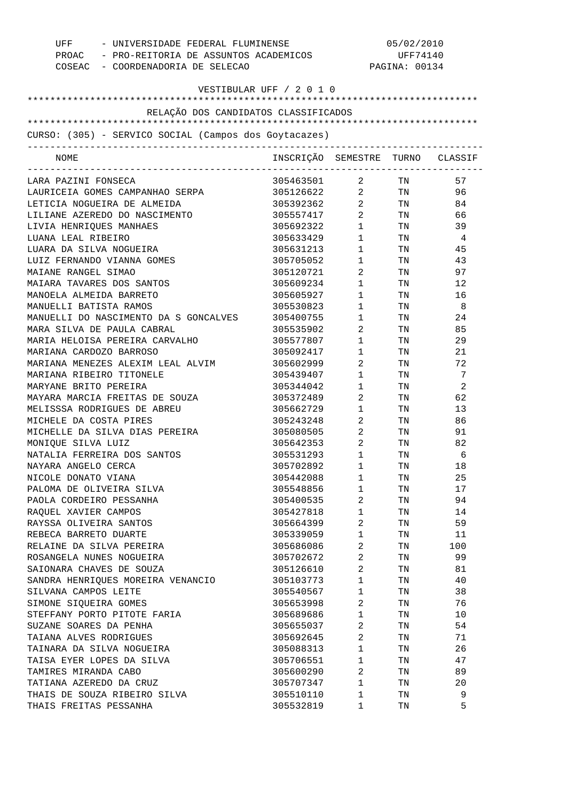| UFF - UNIVERSIDADE FEDERAL FLUMINENSE<br>PROAC - PRO-REITORIA DE ASSUNTOS ACADEMICOS<br>COSEAC - COORDENADORIA DE SELECAO | 05/02/2010<br>UFF74140<br>PAGINA: 00134 |                                   |                                                                                                                |                |
|---------------------------------------------------------------------------------------------------------------------------|-----------------------------------------|-----------------------------------|----------------------------------------------------------------------------------------------------------------|----------------|
| VESTIBULAR UFF / 2 0 1 0                                                                                                  |                                         |                                   |                                                                                                                |                |
| RELAÇÃO DOS CANDIDATOS CLASSIFICADOS                                                                                      |                                         |                                   |                                                                                                                |                |
| CURSO: (305) - SERVICO SOCIAL (Campos dos Goytacazes)                                                                     |                                         |                                   |                                                                                                                |                |
| NOME                                                                                                                      | INSCRIÇÃO SEMESTRE TURNO CLASSIF        |                                   |                                                                                                                |                |
| LARA PAZINI FONSECA                                                                                                       | 305463501 2 TN                          |                                   |                                                                                                                | 57             |
| LAURICEIA GOMES CAMPANHAO SERPA                                                                                           | 305126622 2 TN                          |                                   |                                                                                                                | 96             |
| LETICIA NOGUEIRA DE ALMEIDA                                                                                               | 305392362 2                             |                                   | TN TW                                                                                                          | 84             |
| LILIANE AZEREDO DO NASCIMENTO                                                                                             | 305557417 2                             |                                   | TN                                                                                                             | 66             |
| LIVIA HENRIQUES MANHAES                                                                                                   | 305692322                               | $1 \quad \blacksquare$            | TN 97                                                                                                          | 39             |
| LUANA LEAL RIBEIRO                                                                                                        | 305633429                               | $1 \qquad \qquad$                 | TN 1999 1999                                                                                                   | $\overline{4}$ |
| LUARA DA SILVA NOGUEIRA                                                                                                   | 305631213                               | $1 \qquad \qquad$                 | TN FOR THE THE TEST OF THE TEST OF THE TEST OF THE TEST OF THE TEST OF THE TEST OF THE TEST OF THE TEST OF THE | 45             |
| LUIZ FERNANDO VIANNA GOMES                                                                                                | 305705052                               | $1 \qquad \qquad$                 | TN TW                                                                                                          | 43             |
| MAIANE RANGEL SIMAO                                                                                                       | 305120721                               | $\overline{2}$                    | TN                                                                                                             | 97             |
| MAIARA TAVARES DOS SANTOS                                                                                                 | 305609234                               | $1 \qquad \qquad$                 | TN                                                                                                             | 12             |
| MANOELA ALMEIDA BARRETO                                                                                                   | 305605927                               | $1 \qquad \qquad$                 | TN                                                                                                             | 16             |
| MANUELLI BATISTA RAMOS                                                                                                    | 305530823                               | $1 \quad \blacksquare$            | TN                                                                                                             | - 8            |
| MANUELLI DO NASCIMENTO DA S GONCALVES                                                                                     | 305400755                               | $1 \qquad \qquad$                 | TN                                                                                                             | 24             |
| MARA SILVA DE PAULA CABRAL                                                                                                | 305535902                               | $\overline{2}$ and $\overline{2}$ | TN                                                                                                             | 85             |
| MARIA HELOISA PEREIRA CARVALHO                                                                                            | 305577807                               | $1 \quad \blacksquare$            | TN                                                                                                             | 29             |
| MARIANA CARDOZO BARROSO                                                                                                   | 305092417                               | $\mathbf{1}$                      | TN                                                                                                             | 21             |
| MARIANA MENEZES ALEXIM LEAL ALVIM                                                                                         | 305602999                               | $\overline{2}$ and $\overline{2}$ | TN                                                                                                             | 72             |
| MARIANA RIBEIRO TITONELE                                                                                                  | 305439407                               | $1 \qquad \qquad$                 | TN                                                                                                             | 7              |
| MARYANE BRITO PEREIRA                                                                                                     | 305344042                               | $\mathbf{1}$                      | TN                                                                                                             | 2              |
| MAYARA MARCIA FREITAS DE SOUZA                                                                                            | 305372489                               | $\overline{2}$ and $\overline{2}$ | TN                                                                                                             | 62             |
| MELISSSA RODRIGUES DE ABREU                                                                                               | 305662729                               | $\mathbf{1}$                      | TN                                                                                                             | 13             |
| MICHELE DA COSTA PIRES                                                                                                    | 305243248                               | $\overline{2}$ and $\overline{2}$ | TN                                                                                                             | 86             |
| MICHELLE DA SILVA DIAS PEREIRA                                                                                            | 305080505                               | $\overline{2}$ and $\overline{2}$ | TN                                                                                                             | 91             |
|                                                                                                                           | 305642353                               | 2                                 | TN                                                                                                             | 82             |
| MONIQUE SILVA LUIZ                                                                                                        | 305531293                               | $\mathbf{1}$                      |                                                                                                                | 6              |
| NATALIA FERREIRA DOS SANTOS                                                                                               |                                         |                                   | TN                                                                                                             |                |
| NAYARA ANGELO CERCA                                                                                                       | 305702892                               | 1                                 | TN                                                                                                             | 18             |
| NICOLE DONATO VIANA                                                                                                       | 305442088                               | $\mathbf{1}$                      | TN                                                                                                             | 25             |
| PALOMA DE OLIVEIRA SILVA                                                                                                  | 305548856                               | $\mathbf 1$                       | TN                                                                                                             | 17             |
| PAOLA CORDEIRO PESSANHA                                                                                                   | 305400535                               | $\overline{2}$                    | TN                                                                                                             | 94             |
| RAQUEL XAVIER CAMPOS                                                                                                      | 305427818                               | $\mathbf{1}$                      | TN                                                                                                             | 14             |
| RAYSSA OLIVEIRA SANTOS                                                                                                    | 305664399                               | 2                                 | TN                                                                                                             | 59             |
| REBECA BARRETO DUARTE                                                                                                     | 305339059                               | $\mathbf{1}$                      | TN                                                                                                             | 11             |
| RELAINE DA SILVA PEREIRA                                                                                                  | 305686086                               | 2                                 | TN                                                                                                             | 100            |
| ROSANGELA NUNES NOGUEIRA                                                                                                  | 305702672                               | 2                                 | TN                                                                                                             | 99             |
| SAIONARA CHAVES DE SOUZA                                                                                                  | 305126610                               | 2                                 | TN                                                                                                             | 81             |
| SANDRA HENRIQUES MOREIRA VENANCIO                                                                                         | 305103773                               | $\mathbf{1}$                      | TN                                                                                                             | 40             |
| SILVANA CAMPOS LEITE                                                                                                      | 305540567                               | $\mathbf{1}$                      | TN                                                                                                             | 38             |
| SIMONE SIQUEIRA GOMES                                                                                                     | 305653998                               | 2                                 | TN                                                                                                             | 76             |
| STEFFANY PORTO PITOTE FARIA                                                                                               | 305689686                               | $\mathbf{1}$                      | TN                                                                                                             | 10             |
| SUZANE SOARES DA PENHA                                                                                                    | 305655037                               | 2                                 | TN                                                                                                             | 54             |
| TAIANA ALVES RODRIGUES                                                                                                    | 305692645                               | $\overline{a}$                    | TN                                                                                                             | 71             |
| TAINARA DA SILVA NOGUEIRA                                                                                                 | 305088313                               | $\mathbf{1}$                      | TN                                                                                                             | 26             |
| TAISA EYER LOPES DA SILVA                                                                                                 | 305706551                               | $\mathbf{1}$                      | TN                                                                                                             | 47             |
| TAMIRES MIRANDA CABO                                                                                                      | 305600290                               | 2                                 | TN                                                                                                             | 89             |
| TATIANA AZEREDO DA CRUZ                                                                                                   | 305707347                               | $\mathbf{1}$                      | TN                                                                                                             | 20             |
| THAIS DE SOUZA RIBEIRO SILVA                                                                                              | 305510110                               | 1                                 | TN                                                                                                             | 9              |
| THAIS FREITAS PESSANHA                                                                                                    | 305532819                               | 1                                 | TN                                                                                                             | 5              |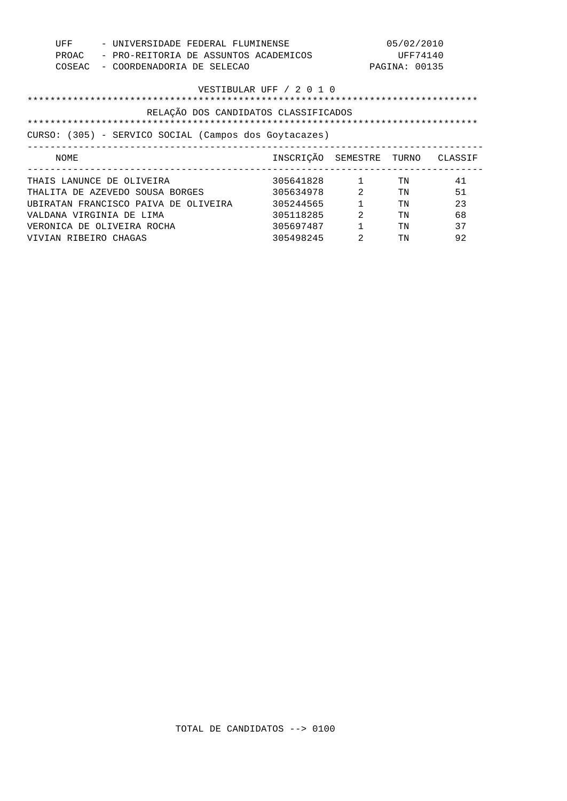| UFF<br>PROAC<br>COSEAC                                                         | - UNIVERSIDADE FEDERAL FLUMINENSE<br>- PRO-REITORIA DE ASSUNTOS ACADEMICOS<br>- COORDENADORIA DE SELECAO |                                                                            |                                               | 05/02/2010<br>UFF74140<br>PAGINA: 00135 |                                  |
|--------------------------------------------------------------------------------|----------------------------------------------------------------------------------------------------------|----------------------------------------------------------------------------|-----------------------------------------------|-----------------------------------------|----------------------------------|
|                                                                                |                                                                                                          | VESTIBULAR UFF / 2 0 1 0                                                   |                                               |                                         |                                  |
|                                                                                | RELAÇÃO DOS CANDIDATOS CLASSIFICADOS<br>CURSO: (305) - SERVICO SOCIAL (Campos dos Goytacazes)            |                                                                            |                                               |                                         |                                  |
| NOME                                                                           |                                                                                                          | INSCRIÇÃO SEMESTRE TURNO CLASSIF                                           |                                               |                                         |                                  |
| THAIS LANUNCE DE OLIVEIRA<br>VALDANA VIRGINIA DE LIMA<br>VIVIAN RIBEIRO CHAGAS | THALITA DE AZEVEDO SOUSA BORGES<br>UBIRATAN FRANCISCO PAIVA DE OLIVEIRA<br>VERONICA DE OLIVEIRA ROCHA    | 305641828<br>305634978<br>305244565<br>305118285<br>305697487<br>305498245 | 1<br>2<br>2<br>$\mathbf{1}$<br>$\mathfrak{D}$ | TN<br>TN<br>TN<br>TN<br>TN<br>TN        | 41<br>51<br>23<br>68<br>37<br>92 |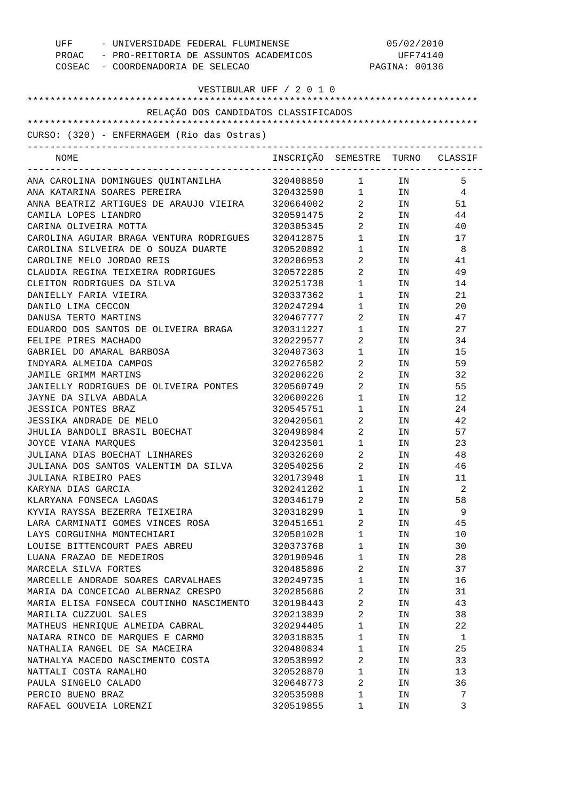| UFF - UNIVERSIDADE FEDERAL FLUMINENSE<br>PROAC - PRO-REITORIA DE ASSUNTOS ACADEMICOS<br>COSEAC - COORDENADORIA DE SELECAO |                                  | 05/02/2010<br>UFF74140<br>PAGINA: 00136 |        |                |
|---------------------------------------------------------------------------------------------------------------------------|----------------------------------|-----------------------------------------|--------|----------------|
| VESTIBULAR UFF / 2 0 1 0                                                                                                  |                                  |                                         |        |                |
| RELAÇÃO DOS CANDIDATOS CLASSIFICADOS                                                                                      |                                  |                                         |        |                |
|                                                                                                                           |                                  |                                         |        |                |
| CURSO: (320) - ENFERMAGEM (Rio das Ostras)                                                                                |                                  |                                         |        |                |
| NOME                                                                                                                      | INSCRIÇÃO SEMESTRE TURNO CLASSIF |                                         |        |                |
| ANA CAROLINA DOMINGUES QUINTANILHA                                                                                        | 320408850                        | $1 \quad \cdots$                        | IN     | 5              |
| ANA KATARINA SOARES PEREIRA                                                                                               | 320432590 1 IN                   |                                         |        | $\overline{4}$ |
| ANNA BEATRIZ ARTIGUES DE ARAUJO VIEIRA                                                                                    | 320664002                        |                                         | $2$ IN | 51             |
| CAMILA LOPES LIANDRO                                                                                                      | 320591475                        | $\overline{2}$                          | IN     | 44             |
| CARINA OLIVEIRA MOTTA                                                                                                     | 320305345                        | $\overline{2}$                          | IN     | 40             |
| CAROLINA AGUIAR BRAGA VENTURA RODRIGUES                                                                                   | 320412875                        | $1 \quad \blacksquare$                  | IN     | 17             |
| CAROLINA SILVEIRA DE O SOUZA DUARTE                                                                                       | 320520892                        | $1 \qquad \qquad$                       | IN     | - 8            |
| CAROLINE MELO JORDAO REIS                                                                                                 | 320206953                        | $\overline{2}$ and $\overline{2}$       | IN     | 41             |
| CLAUDIA REGINA TEIXEIRA RODRIGUES                                                                                         | 320572285                        | $\overline{2}$ and $\overline{2}$       | IN     | 49             |
| CLEITON RODRIGUES DA SILVA                                                                                                | 320251738                        | $1 \quad \blacksquare$                  | IN     | 14             |
| DANIELLY FARIA VIEIRA                                                                                                     | 320337362                        | $\mathbf{1}$                            | IN     | 21             |
| DANILO LIMA CECCON                                                                                                        | 320247294                        | $\mathbf{1}$                            | IN     | 20             |
| DANUSA TERTO MARTINS                                                                                                      | 320467777                        | $\overline{a}$                          | IN     | 47             |
| EDUARDO DOS SANTOS DE OLIVEIRA BRAGA                                                                                      | 320311227                        | $\mathbf{1}$                            | IN     | 27             |
| FELIPE PIRES MACHADO                                                                                                      | 320229577                        | 2                                       | IN     | 34             |
| GABRIEL DO AMARAL BARBOSA                                                                                                 | 320407363                        | $\mathbf{1}$                            | IN     | 15             |
| INDYARA ALMEIDA CAMPOS                                                                                                    | 320276582                        | 2                                       | IN     | 59             |
| JAMILE GRIMM MARTINS                                                                                                      | 320206226                        | $\overline{a}$                          | IN     | 32             |
| JANIELLY RODRIGUES DE OLIVEIRA PONTES                                                                                     | 320560749                        | $\overline{2}$                          | IN     | 55             |
| JAYNE DA SILVA ABDALA                                                                                                     | 320600226                        | $\mathbf{1}$                            | IN     | 12             |
| <b>JESSICA PONTES BRAZ</b>                                                                                                | 320545751                        | $\mathbf{1}$                            | IN     | 24             |
| JESSIKA ANDRADE DE MELO                                                                                                   | 320420561                        | $\overline{2}$ and $\overline{2}$       | IN     | 42             |
| JHULIA BANDOLI BRASIL BOECHAT                                                                                             | 320498984                        | $\overline{2}$ and $\overline{2}$       | IN     | 57             |
| JOYCE VIANA MARQUES                                                                                                       | 320423501                        | $\mathbf{1}$                            | IN     | 23             |
| JULIANA DIAS BOECHAT LINHARES                                                                                             | 320326260                        | 2                                       | IN     | 48             |
| JULIANA DOS SANTOS VALENTIM DA SILVA                                                                                      | 320540256                        | 2                                       | ΙN     | 46             |
| JULIANA RIBEIRO PAES                                                                                                      | 320173948                        | 1                                       | ΙN     | 11             |
| KARYNA DIAS GARCIA                                                                                                        | 320241202                        | 1                                       | IN     | 2              |
| KLARYANA FONSECA LAGOAS                                                                                                   | 320346179                        | 2                                       | IN     | 58             |
| KYVIA RAYSSA BEZERRA TEIXEIRA                                                                                             | 320318299                        | 1                                       |        | 9              |
|                                                                                                                           | 320451651                        | 2                                       | IN     |                |
| LARA CARMINATI GOMES VINCES ROSA<br>LAYS CORGUINHA MONTECHIARI                                                            | 320501028                        |                                         | IN     | 45             |
| LOUISE BITTENCOURT PAES ABREU                                                                                             |                                  | 1                                       | IN     | 10             |
|                                                                                                                           | 320373768                        | 1                                       | IN     | 30             |
| LUANA FRAZAO DE MEDEIROS                                                                                                  | 320190946                        | 1                                       | IN     | 28             |
| MARCELA SILVA FORTES                                                                                                      | 320485896                        | 2                                       | IN     | 37             |
| MARCELLE ANDRADE SOARES CARVALHAES                                                                                        | 320249735                        | 1                                       | IN     | 16             |
| MARIA DA CONCEICAO ALBERNAZ CRESPO                                                                                        | 320285686                        | 2                                       | IN     | 31             |
| MARIA ELISA FONSECA COUTINHO NASCIMENTO                                                                                   | 320198443                        | 2                                       | IN     | 43             |
| MARILIA CUZZUOL SALES                                                                                                     | 320213839                        | 2                                       | IN     | 38             |
| MATHEUS HENRIQUE ALMEIDA CABRAL                                                                                           | 320294405                        | 1                                       | IN     | 22             |
| NAIARA RINCO DE MARQUES E CARMO                                                                                           | 320318835                        | 1                                       | IN     | 1              |
| NATHALIA RANGEL DE SA MACEIRA                                                                                             | 320480834                        | 1                                       | IN     | 25             |
| NATHALYA MACEDO NASCIMENTO COSTA                                                                                          | 320538992                        | 2                                       | ΙN     | 33             |
| NATTALI COSTA RAMALHO                                                                                                     | 320528870                        | 1                                       | ΙN     | 13             |
| PAULA SINGELO CALADO                                                                                                      | 320648773                        | 2                                       | ΙN     | 36             |
| PERCIO BUENO BRAZ                                                                                                         | 320535988                        | 1                                       | ΙN     | 7              |
| RAFAEL GOUVEIA LORENZI                                                                                                    | 320519855                        | 1                                       | ΙN     | 3              |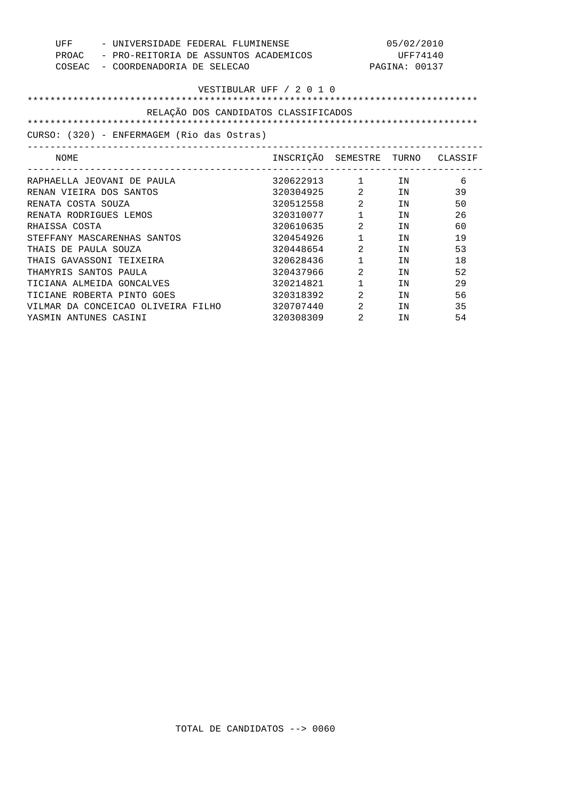| UFF<br>- UNIVERSIDADE FEDERAL FLUMINENSE |                                                | 05/02/2010 |                                      |                                |               |    |
|------------------------------------------|------------------------------------------------|------------|--------------------------------------|--------------------------------|---------------|----|
|                                          | - PRO-REITORIA DE ASSUNTOS ACADEMICOS<br>PROAC |            | UFF74140                             |                                |               |    |
| COSEAC                                   | - COORDENADORIA DE SELECAO                     |            |                                      |                                | PAGINA: 00137 |    |
|                                          |                                                |            |                                      |                                |               |    |
|                                          |                                                |            | VESTIBULAR UFF / 2 0 1 0             |                                |               |    |
|                                          |                                                |            |                                      |                                |               |    |
|                                          |                                                |            | RELAÇÃO DOS CANDIDATOS CLASSIFICADOS |                                |               |    |
|                                          |                                                |            |                                      |                                |               |    |
|                                          | CURSO: (320) - ENFERMAGEM (Rio das Ostras)     |            |                                      |                                |               |    |
| NOME                                     |                                                |            | INSCRIÇÃO SEMESTRE TURNO CLASSIF     | -----------------              |               |    |
|                                          | RAPHAELLA JEOVANI DE PAULA                     |            | 320622913 1 IN                       |                                |               | 6  |
| RENAN VIEIRA DOS SANTOS                  |                                                |            | 320304925 2                          |                                | IN            | 39 |
| RENATA COSTA SOUZA                       |                                                |            | 320512558 2                          |                                | IN            | 50 |
| RENATA RODRIGUES LEMOS                   |                                                |            | 320310077 1                          |                                | IN            | 26 |
| RHAISSA COSTA                            |                                                |            | 320610635                            | $2 \left( \frac{1}{2} \right)$ | IN            | 60 |
|                                          | STEFFANY MASCARENHAS SANTOS                    |            | 320454926                            | $1 \qquad \qquad$              | IN            | 19 |
| THAIS DE PAULA SOUZA                     |                                                |            | 320448654                            | $2 \left( \frac{1}{2} \right)$ | IN            | 53 |
|                                          | THAIS GAVASSONI TEIXEIRA                       |            | 320628436                            | $\mathbf{1}$                   | IN            | 18 |
| THAMYRIS SANTOS PAULA                    |                                                |            | 320437966                            | 2                              | IN            | 52 |
|                                          | TICIANA ALMEIDA GONCALVES                      |            | 320214821                            | $\mathbf{1}$                   | TN            | 29 |
|                                          | TICIANE ROBERTA PINTO GOES                     |            | 320318392                            | $2 \left( \frac{1}{2} \right)$ | IN            | 56 |
|                                          | VILMAR DA CONCEICAO OLIVEIRA FILHO             |            | 320707440                            | 2                              | TN            | 35 |
| YASMIN ANTUNES CASINI                    |                                                |            | 320308309                            | 2                              | IN            | 54 |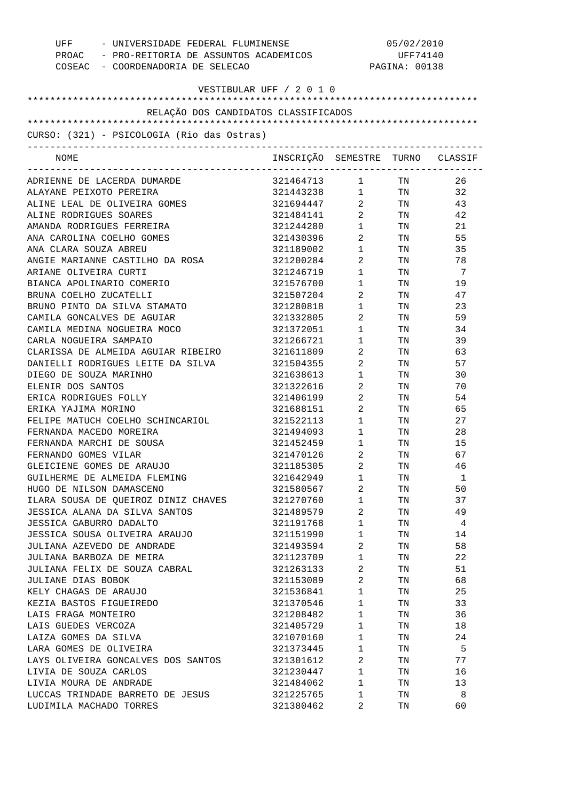| UFF<br>- UNIVERSIDADE FEDERAL FLUMINENSE<br>PROAC - PRO-REITORIA DE ASSUNTOS ACADEMICOS<br>COSEAC - COORDENADORIA DE SELECAO |                                  |                                   | 05/02/2010<br>UFF74140<br>PAGINA: 00138 |              |
|------------------------------------------------------------------------------------------------------------------------------|----------------------------------|-----------------------------------|-----------------------------------------|--------------|
|                                                                                                                              | VESTIBULAR UFF / 2 0 1 0         |                                   |                                         |              |
| RELAÇÃO DOS CANDIDATOS CLASSIFICADOS                                                                                         |                                  |                                   |                                         |              |
|                                                                                                                              |                                  |                                   |                                         |              |
| CURSO: (321) - PSICOLOGIA (Rio das Ostras)                                                                                   |                                  |                                   |                                         |              |
|                                                                                                                              |                                  |                                   |                                         |              |
| NOME                                                                                                                         | INSCRIÇÃO SEMESTRE TURNO CLASSIF |                                   |                                         |              |
| ADRIENNE DE LACERDA DUMARDE                                                                                                  | 321464713 1 TN                   |                                   |                                         | 26           |
| ALAYANE PEIXOTO PEREIRA                                                                                                      | 321443238 1 TN                   |                                   |                                         | 32           |
| ALINE LEAL DE OLIVEIRA GOMES                                                                                                 | 321694447                        | $2 \left( \frac{1}{2} \right)$    | TN 97                                   | 43           |
| ALINE RODRIGUES SOARES                                                                                                       | 321484141                        | $\overline{2}$                    | TN 97                                   | 42           |
| AMANDA RODRIGUES FERREIRA                                                                                                    | 321244280                        | 1                                 | TN 97                                   | 21           |
| ANA CAROLINA COELHO GOMES                                                                                                    | 321430396                        | $\overline{2}$                    | TN                                      | 55           |
| ANA CLARA SOUZA ABREU                                                                                                        | 321189002                        | $1 \quad \blacksquare$            | TN                                      | 35           |
| ANGIE MARIANNE CASTILHO DA ROSA                                                                                              | 321200284                        | $\overline{2}$                    | TN                                      | 78           |
| ARIANE OLIVEIRA CURTI                                                                                                        | 321246719                        | $\mathbf 1$                       | TN                                      | -7           |
| BIANCA APOLINARIO COMERIO                                                                                                    | 321576700                        | $\mathbf 1$                       | TN                                      | 19           |
| BRUNA COELHO ZUCATELLI                                                                                                       | 321507204                        | $\mathbf{2}$                      | TN                                      | 47           |
| BRUNO PINTO DA SILVA STAMATO                                                                                                 | 321280818                        | $\mathbf{1}$                      | TN                                      | 23           |
| CAMILA GONCALVES DE AGUIAR                                                                                                   | 321332805                        | $\mathbf{2}$                      | TN                                      | 59           |
| CAMILA MEDINA NOGUEIRA MOCO                                                                                                  | 321372051                        | $\mathbf 1$                       | TN                                      | 34           |
| CARLA NOGUEIRA SAMPAIO                                                                                                       | 321266721                        | $\mathbf 1$                       | TN                                      | 39           |
| CLARISSA DE ALMEIDA AGUIAR RIBEIRO                                                                                           | 321611809                        | 2                                 | TN                                      | 63           |
| DANIELLI RODRIGUES LEITE DA SILVA                                                                                            | 321504355                        | 2                                 | TN                                      | 57           |
| DIEGO DE SOUZA MARINHO                                                                                                       | 321638613                        | $\mathbf 1$                       | TN                                      | 30           |
| ELENIR DOS SANTOS                                                                                                            | 321322616                        | $2 \quad$                         | TN                                      | 70           |
| ERICA RODRIGUES FOLLY                                                                                                        | 321406199                        | $\mathbf{2}$                      | TN                                      | 54           |
| ERIKA YAJIMA MORINO                                                                                                          | 321688151                        | $\overline{2}$ and $\overline{2}$ | TN                                      | 65           |
| FELIPE MATUCH COELHO SCHINCARIOL                                                                                             | 321522113                        | $1 \qquad \qquad$                 | TN                                      | 27           |
| FERNANDA MACEDO MOREIRA                                                                                                      | 321494093                        | $\mathbf 1$                       | TN                                      | 28           |
| FERNANDA MARCHI DE SOUSA                                                                                                     | 321452459                        | 1                                 | TN                                      | 15           |
| FERNANDO GOMES VILAR                                                                                                         | 321470126                        | 2                                 | TN                                      | 67           |
| GLEICIENE GOMES DE ARAUJO                                                                                                    | 321185305                        | 2                                 | TN                                      | 46           |
| GUILHERME DE ALMEIDA FLEMING                                                                                                 | 321642949                        | $1 \quad \blacksquare$            | TN                                      | $\mathbf{1}$ |
| HUGO DE NILSON DAMASCENO                                                                                                     | 321580567                        | $2 \left( \frac{1}{2} \right)$    | TN                                      | 50           |
| ILARA SOUSA DE QUEIROZ DINIZ CHAVES                                                                                          | 321270760                        | $1 \qquad \qquad$                 | TN                                      | 37           |
| JESSICA ALANA DA SILVA SANTOS                                                                                                | 321489579                        | $2 \left( \frac{1}{2} \right)$    | TN                                      | 49           |
| <b>JESSICA GABURRO DADALTO</b>                                                                                               | 321191768                        | $1 \qquad \qquad$                 | TN                                      | 4            |
| JESSICA SOUSA OLIVEIRA ARAUJO                                                                                                | 321151990                        | $1 \quad \blacksquare$            | TN                                      | 14           |
| JULIANA AZEVEDO DE ANDRADE                                                                                                   | 321493594                        | $2 \left( \frac{1}{2} \right)$    | TN                                      | 58           |
| JULIANA BARBOZA DE MEIRA                                                                                                     | 321123709                        | $1 \qquad \qquad$                 | TN                                      | 22           |
| JULIANA FELIX DE SOUZA CABRAL                                                                                                | 321263133                        | $2 \left( \frac{1}{2} \right)$    | TN                                      | 51           |
| JULIANE DIAS BOBOK                                                                                                           | 321153089                        | $2 \left( \frac{1}{2} \right)$    | TN                                      | 68           |
| KELY CHAGAS DE ARAUJO                                                                                                        | 321536841                        | $1 \qquad \qquad$                 | TN                                      | 25           |
| KEZIA BASTOS FIGUEIREDO                                                                                                      | 321370546                        | $1 \qquad \qquad$                 | TN                                      | 33           |
| LAIS FRAGA MONTEIRO                                                                                                          | 321208482                        | $1 \quad \blacksquare$            | TN                                      | 36           |
| LAIS GUEDES VERCOZA                                                                                                          | 321405729                        | $1 \qquad \qquad$                 | TN                                      | 18           |
| LAIZA GOMES DA SILVA                                                                                                         | 321070160                        | $1 \qquad \qquad$                 | TN                                      | 24           |
| LARA GOMES DE OLIVEIRA                                                                                                       | 321373445                        | $1 \quad \blacksquare$            | TN                                      | $5^{\circ}$  |
| LAYS OLIVEIRA GONCALVES DOS SANTOS                                                                                           | 321301612                        | $2 \left( \frac{1}{2} \right)$    | TN                                      | 77           |
| LIVIA DE SOUZA CARLOS                                                                                                        | 321230447                        | $1 \qquad \qquad$                 | TN                                      | 16           |
| LIVIA MOURA DE ANDRADE                                                                                                       | 321484062                        | $1 \qquad \qquad$                 | TN                                      | 13           |
| LUCCAS TRINDADE BARRETO DE JESUS                                                                                             | 321225765                        | $\mathbf{1}$                      | TN                                      | - 8          |
| LUDIMILA MACHADO TORRES                                                                                                      | 321380462                        | 2                                 | TN                                      | 60           |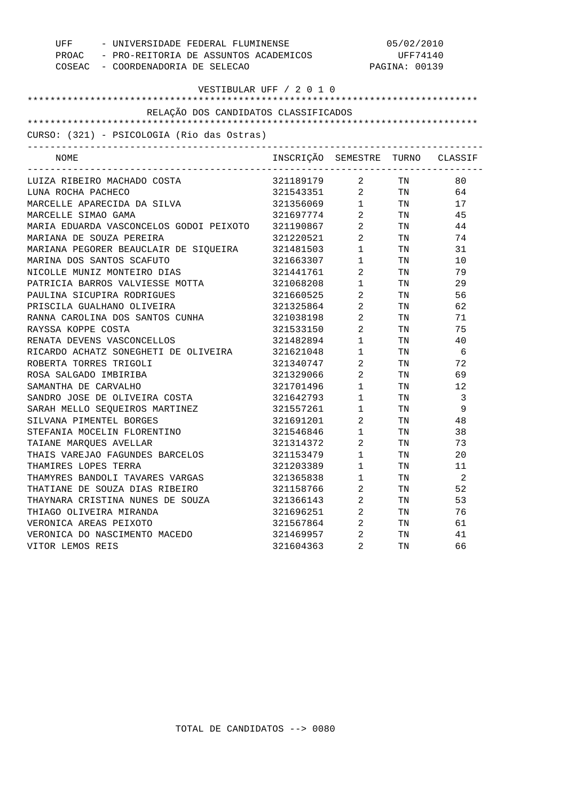| UFF                     | - UNIVERSIDADE FEDERAL FLUMINENSE                 |                                  | 05/02/2010             |               |                         |  |
|-------------------------|---------------------------------------------------|----------------------------------|------------------------|---------------|-------------------------|--|
|                         | PROAC - PRO-REITORIA DE ASSUNTOS ACADEMICOS       |                                  | UFF74140               |               |                         |  |
|                         | COSEAC - COORDENADORIA DE SELECAO                 |                                  |                        | PAGINA: 00139 |                         |  |
|                         |                                                   | VESTIBULAR UFF / 2 0 1 0         |                        |               |                         |  |
|                         |                                                   |                                  |                        |               |                         |  |
|                         | RELAÇÃO DOS CANDIDATOS CLASSIFICADOS              |                                  |                        |               |                         |  |
|                         |                                                   |                                  |                        |               |                         |  |
|                         | CURSO: (321) - PSICOLOGIA (Rio das Ostras)        |                                  |                        |               |                         |  |
| NOME                    |                                                   | INSCRIÇÃO SEMESTRE TURNO CLASSIF |                        |               |                         |  |
|                         | LUIZA RIBEIRO MACHADO COSTA                       | 321189179                        | $\overline{a}$         | TN            | 80                      |  |
| LUNA ROCHA PACHECO      |                                                   | 321543351 2 TN                   |                        |               | 64                      |  |
|                         | MARCELLE APARECIDA DA SILVA                       | 321356069                        | $\mathbf 1$            | TN            | 17                      |  |
| MARCELLE SIMAO GAMA     |                                                   | 321697774                        | $\overline{2}$         | TN            | 45                      |  |
|                         | MARIA EDUARDA VASCONCELOS GODOI PEIXOTO 321190867 |                                  | $\overline{2}$         | TN            | 44                      |  |
|                         | MARIANA DE SOUZA PEREIRA                          | 321220521                        | $\overline{2}$         | TN            | 74                      |  |
|                         | MARIANA PEGORER BEAUCLAIR DE SIQUEIRA 321481503   |                                  | $1 \qquad \qquad$      | TN            | 31                      |  |
|                         | MARINA DOS SANTOS SCAFUTO                         | 321663307                        | $1 \quad \Box$         | TN            | 10                      |  |
|                         | NICOLLE MUNIZ MONTEIRO DIAS                       | 321441761                        | $\overline{2}$         | TN            | 79                      |  |
|                         | PATRICIA BARROS VALVIESSE MOTTA                   | 321068208                        | $\mathbf{1}$           | TN            | 29                      |  |
|                         | PAULINA SICUPIRA RODRIGUES                        | 321660525                        | $\overline{2}$         | TN            | 56                      |  |
|                         | PRISCILA GUALHANO OLIVEIRA                        | 321325864                        | $\overline{a}$         | TN            | 62                      |  |
|                         | RANNA CAROLINA DOS SANTOS CUNHA                   | 321038198                        | $\overline{a}$         | TN            | 71                      |  |
| RAYSSA KOPPE COSTA      |                                                   | 321533150                        | $\overline{a}$         | TN            | 75                      |  |
|                         | RENATA DEVENS VASCONCELLOS                        | 321482894                        | $\mathbf{1}$           | TN            | 40                      |  |
|                         | RICARDO ACHATZ SONEGHETI DE OLIVEIRA              | 321621048                        | $1 \qquad \qquad$      | TN            | - 6                     |  |
| ROBERTA TORRES TRIGOLI  |                                                   | 321340747                        | $\overline{2}$         | TN            | 72                      |  |
| ROSA SALGADO IMBIRIBA   |                                                   | 321329066                        | $\overline{a}$         | TN            | 69                      |  |
| SAMANTHA DE CARVALHO    |                                                   | 321701496                        | $\mathbf{1}$           | TN            | 12                      |  |
|                         | SANDRO JOSE DE OLIVEIRA COSTA                     | 321642793                        | $1 \quad \blacksquare$ | TN            | $\overline{\mathbf{3}}$ |  |
|                         | SARAH MELLO SEQUEIROS MARTINEZ                    | 321557261                        | $1$ $\hfill$           | TN            | 9                       |  |
| SILVANA PIMENTEL BORGES |                                                   | 321691201                        | $\overline{2}$         | TN            | 48                      |  |
|                         | STEFANIA MOCELIN FLORENTINO                       | 321546846 1                      |                        | TN            | 38                      |  |
| TAIANE MARQUES AVELLAR  |                                                   | 321314372                        | $\overline{2}$         | TN            | 73                      |  |
|                         | THAIS VAREJAO FAGUNDES BARCELOS                   | 321153479                        | $1 \quad \blacksquare$ | TN            | 20                      |  |
| THAMIRES LOPES TERRA    |                                                   | 321203389                        | 1                      | TN            | $11$                    |  |
|                         | THAMYRES BANDOLI TAVARES VARGAS                   | 321365838                        | 1                      | TN            | 2                       |  |
|                         | THATIANE DE SOUZA DIAS RIBEIRO                    | 321158766                        | 2                      | TN            | 52                      |  |
|                         | THAYNARA CRISTINA NUNES DE SOUZA                  | 321366143                        | 2                      | TN            | 53                      |  |
| THIAGO OLIVEIRA MIRANDA |                                                   | 321696251                        | 2                      | TN            | 76                      |  |
| VERONICA AREAS PEIXOTO  |                                                   | 321567864                        | 2                      | TN            | 61                      |  |
|                         | VERONICA DO NASCIMENTO MACEDO                     | 321469957                        | 2                      | TN            | 41                      |  |
| VITOR LEMOS REIS        |                                                   | 321604363                        | 2                      | TN            | 66                      |  |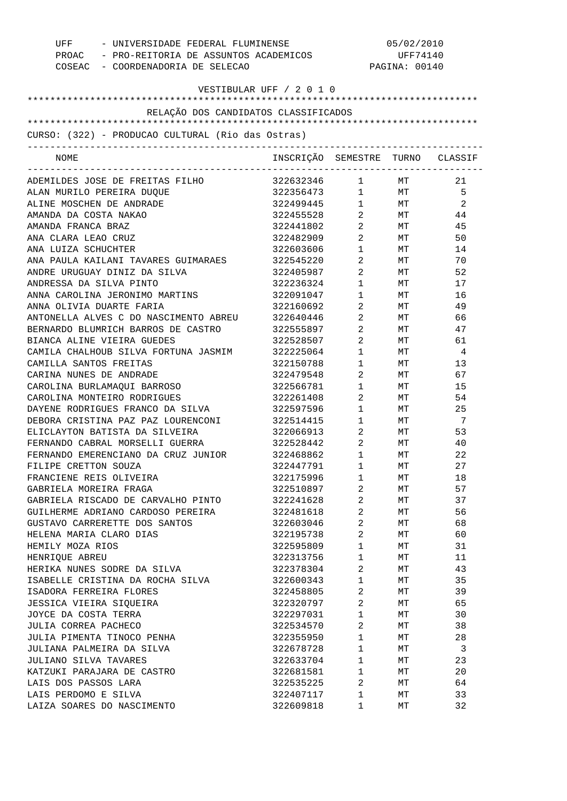| UFF - UNIVERSIDADE FEDERAL FLUMINENSE<br>PROAC - PRO-REITORIA DE ASSUNTOS ACADEMICOS<br>COSEAC - COORDENADORIA DE SELECAO |                                  | 05/02/2010<br>UFF74140<br>PAGINA: 00140 |    |     |
|---------------------------------------------------------------------------------------------------------------------------|----------------------------------|-----------------------------------------|----|-----|
| VESTIBULAR UFF / 2 0 1 0                                                                                                  |                                  |                                         |    |     |
| RELAÇÃO DOS CANDIDATOS CLASSIFICADOS                                                                                      |                                  |                                         |    |     |
|                                                                                                                           |                                  |                                         |    |     |
| CURSO: (322) - PRODUCAO CULTURAL (Rio das Ostras)                                                                         |                                  |                                         |    |     |
| NOME                                                                                                                      | INSCRIÇÃO SEMESTRE TURNO CLASSIF |                                         |    |     |
| ADEMILDES JOSE DE FREITAS FILHO                                                                                           | 322632346 1                      |                                         | MT | 21  |
| ALAN MURILO PEREIRA DUQUE                                                                                                 | 322356473 1 MT                   |                                         |    | - 5 |
| ALINE MOSCHEN DE ANDRADE                                                                                                  | 322499445 1 MT                   |                                         |    | 2   |
| AMANDA DA COSTA NAKAO                                                                                                     | 322455528 2 MT                   |                                         |    | 44  |
| AMANDA FRANCA BRAZ                                                                                                        | 322441802 2                      |                                         | MT | 45  |
| ANA CLARA LEAO CRUZ                                                                                                       | 322482909                        | $\overline{2}$                          | MT | 50  |
| ANA LUIZA SCHUCHTER                                                                                                       | 322603606                        | $1 \qquad \qquad$                       | MT | 14  |
| ANA PAULA KAILANI TAVARES GUIMARAES                                                                                       | 322545220                        | $\overline{2}$ and $\overline{2}$       | MT | 70  |
| ANDRE URUGUAY DINIZ DA SILVA                                                                                              | 322405987                        | $\overline{2}$                          | MT | 52  |
| ANDRESSA DA SILVA PINTO                                                                                                   | 322236324                        | $1 \qquad \qquad$                       | MT | 17  |
| ANNA CAROLINA JERONIMO MARTINS                                                                                            | 322091047                        | $1 \qquad \qquad$                       | MT | 16  |
| ANNA OLIVIA DUARTE FARIA                                                                                                  | 322160692                        | $\overline{2}$ and $\overline{2}$       | MT | 49  |
| ANTONELLA ALVES C DO NASCIMENTO ABREU                                                                                     | 322640446                        | $\overline{2}$ and $\overline{2}$       | MT | 66  |
| BERNARDO BLUMRICH BARROS DE CASTRO                                                                                        | 322555897                        | $2 \left( \frac{1}{2} \right)$          | MT | 47  |
| BIANCA ALINE VIEIRA GUEDES                                                                                                | 322528507                        | $\overline{2}$                          | MT | 61  |
| CAMILA CHALHOUB SILVA FORTUNA JASMIM                                                                                      | 322225064                        | $1 \quad \blacksquare$                  | MT | 4   |
| CAMILLA SANTOS FREITAS                                                                                                    | 322150788                        | $1 \quad \blacksquare$                  | MT | 13  |
| CARINA NUNES DE ANDRADE                                                                                                   | 322479548                        | $\overline{2}$                          | MT | 67  |
| CAROLINA BURLAMAQUI BARROSO                                                                                               | 322566781                        | $1 \quad \Box$                          | MT | 15  |
| CAROLINA MONTEIRO RODRIGUES                                                                                               | 322261408                        | $\overline{2}$ and $\overline{2}$       | MT | 54  |
| DAYENE RODRIGUES FRANCO DA SILVA                                                                                          | 322597596                        | $1 \qquad \qquad$                       | MT | 25  |
| DEBORA CRISTINA PAZ PAZ LOURENCONI                                                                                        | 322514415                        | $1 \qquad \qquad$                       | MT | - 7 |
| ELICLAYTON BATISTA DA SILVEIRA                                                                                            | 322066913                        | $\overline{2}$                          | MT | 53  |
| FERNANDO CABRAL MORSELLI GUERRA                                                                                           | 322528442                        | $\overline{2}$                          | MT | 40  |
| FERNANDO EMERENCIANO DA CRUZ JUNIOR                                                                                       | 322468862                        | $\mathbf{1}$                            | МT | 22  |
| FILIPE CRETTON SOUZA                                                                                                      | 322447791                        | 1                                       | MТ | 27  |
| FRANCIENE REIS OLIVEIRA                                                                                                   | 322175996                        | 1                                       | МT | 18  |
| GABRIELA MOREIRA FRAGA                                                                                                    | 322510897                        | 2                                       | МT | 57  |
| GABRIELA RISCADO DE CARVALHO PINTO                                                                                        | 322241628                        | 2                                       | МT | 37  |
| GUILHERME ADRIANO CARDOSO PEREIRA                                                                                         | 322481618                        | 2                                       | МT | 56  |
| GUSTAVO CARRERETTE DOS SANTOS                                                                                             | 322603046                        | 2                                       | МT | 68  |
| HELENA MARIA CLARO DIAS                                                                                                   | 322195738                        | $\overline{a}$                          | МT | 60  |
| HEMILY MOZA RIOS                                                                                                          | 322595809                        | $\mathbf 1$                             | МT | 31  |
| HENRIQUE ABREU                                                                                                            | 322313756                        | 1                                       | МT | 11  |
| HERIKA NUNES SODRE DA SILVA                                                                                               | 322378304                        | 2                                       | МT | 43  |
| ISABELLE CRISTINA DA ROCHA SILVA                                                                                          | 322600343                        | $\mathbf 1$                             | МT | 35  |
| ISADORA FERREIRA FLORES                                                                                                   | 322458805                        | 2                                       | МT | 39  |
| JESSICA VIEIRA SIQUEIRA                                                                                                   | 322320797                        | 2                                       | МT | 65  |
| JOYCE DA COSTA TERRA                                                                                                      | 322297031                        | $\mathbf{1}$                            | МT | 30  |
| JULIA CORREA PACHECO                                                                                                      | 322534570                        | 2                                       | МT | 38  |
| JULIA PIMENTA TINOCO PENHA                                                                                                | 322355950                        | $\mathbf 1$                             | МT | 28  |
|                                                                                                                           |                                  | 1                                       |    | 3   |
| JULIANA PALMEIRA DA SILVA                                                                                                 | 322678728                        | $\mathbf 1$                             | МT |     |
| JULIANO SILVA TAVARES                                                                                                     | 322633704                        |                                         | МT | 23  |
| KATZUKI PARAJARA DE CASTRO                                                                                                | 322681581                        | 1                                       | МT | 20  |
| LAIS DOS PASSOS LARA                                                                                                      | 322535225                        | 2                                       | МT | 64  |
| LAIS PERDOMO E SILVA                                                                                                      | 322407117                        | 1                                       | МT | 33  |
| LAIZA SOARES DO NASCIMENTO                                                                                                | 322609818                        | 1                                       | МT | 32  |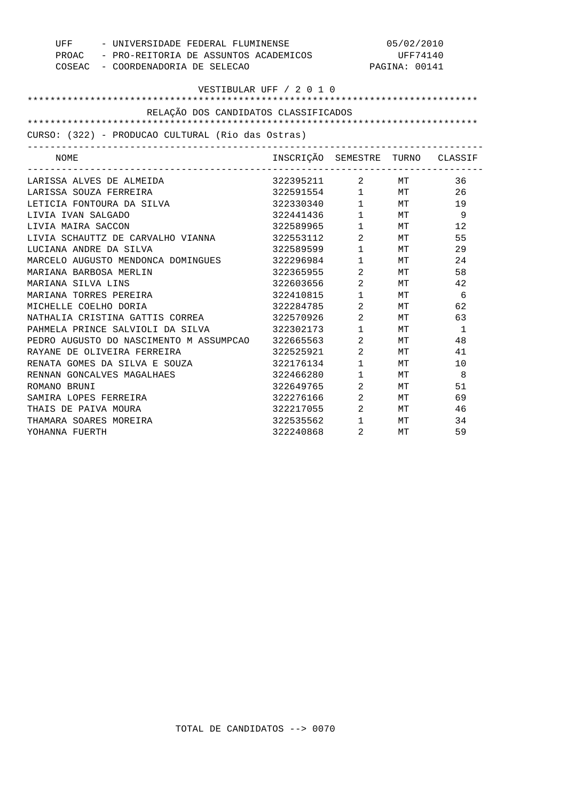| - UNIVERSIDADE FEDERAL FLUMINENSE<br>UFF          |                                             | 05/02/2010                     |               |              |  |
|---------------------------------------------------|---------------------------------------------|--------------------------------|---------------|--------------|--|
|                                                   | PROAC - PRO-REITORIA DE ASSUNTOS ACADEMICOS |                                | UFF74140      |              |  |
| COSEAC - COORDENADORIA DE SELECAO                 |                                             |                                | PAGINA: 00141 |              |  |
|                                                   |                                             |                                |               |              |  |
| VESTIBULAR UFF / 2 0 1 0                          |                                             |                                |               |              |  |
|                                                   |                                             |                                |               |              |  |
| RELAÇÃO DOS CANDIDATOS CLASSIFICADOS              |                                             |                                |               |              |  |
|                                                   |                                             |                                |               |              |  |
| CURSO: (322) - PRODUCAO CULTURAL (Rio das Ostras) |                                             |                                |               |              |  |
| NOME                                              | INSCRIÇÃO SEMESTRE TURNO CLASSIF            |                                |               |              |  |
| LARISSA ALVES DE ALMEIDA                          | 322395211 2 MT                              |                                |               | 36           |  |
| LARISSA SOUZA FERREIRA                            | 322591554                                   |                                | $1$ MT        | 26           |  |
| LETICIA FONTOURA DA SILVA                         | 322330340                                   |                                | $1$ MT        | 19           |  |
| LIVIA IVAN SALGADO                                | 322441436                                   | $1$ MT                         |               | - 9          |  |
| LIVIA MAIRA SACCON                                | 322589965                                   |                                | $1$ MT        | 12           |  |
| LIVIA SCHAUTTZ DE CARVALHO VIANNA                 | 322553112 2 MT                              |                                |               | 55           |  |
| LUCIANA ANDRE DA SILVA                            | 322589599 1 MT                              |                                |               | 29           |  |
| MARCELO AUGUSTO MENDONCA DOMINGUES                | 322296984                                   | $1 \quad \blacksquare$         | MT            | 24           |  |
| MARIANA BARBOSA MERLIN                            | 322365955                                   | $\overline{a}$                 | MT            | 58           |  |
| MARIANA SILVA LINS                                | 322603656                                   | $\overline{2}$                 | MТ            | 42           |  |
| MARIANA TORRES PEREIRA                            | 322410815                                   | $1 \quad \blacksquare$         | МT            | 6            |  |
| MICHELLE COELHO DORIA                             | 322284785                                   | $2 \left( \frac{1}{2} \right)$ | MT            | 62           |  |
| NATHALIA CRISTINA GATTIS CORREA 69 322570926      |                                             | $2$ MT                         |               | 63           |  |
| PAHMELA PRINCE SALVIOLI DA SILVA                  | 322302173                                   | $1 \quad \blacksquare$         | MT            | $\mathbf{1}$ |  |
| PEDRO AUGUSTO DO NASCIMENTO M ASSUMPCAO           | 322665563                                   | $\overline{2}$                 | MT            | 48           |  |
| RAYANE DE OLIVEIRA FERREIRA                       | 322525921                                   | $\overline{a}$                 | MT            | 41           |  |
| RENATA GOMES DA SILVA E SOUZA                     | 322176134                                   | $1 \quad \Box$                 | MT            | 10           |  |
| RENNAN GONCALVES MAGALHAES                        | 322466280                                   | $\mathbf{1}$                   | МT            | - 8          |  |
| ROMANO BRUNI                                      | 322649765                                   | $\overline{2}$                 | МT            | 51           |  |
| SAMIRA LOPES FERREIRA                             | 322276166                                   | $2$ MT                         |               | 69           |  |
| THAIS DE PAIVA MOURA                              | 322217055 2 MT                              |                                |               | 46           |  |
| THAMARA SOARES MOREIRA                            | 322535562                                   | $1$ MT                         |               | 34           |  |
| YOHANNA FUERTH                                    | 322240868                                   | 2                              | МT            | 59           |  |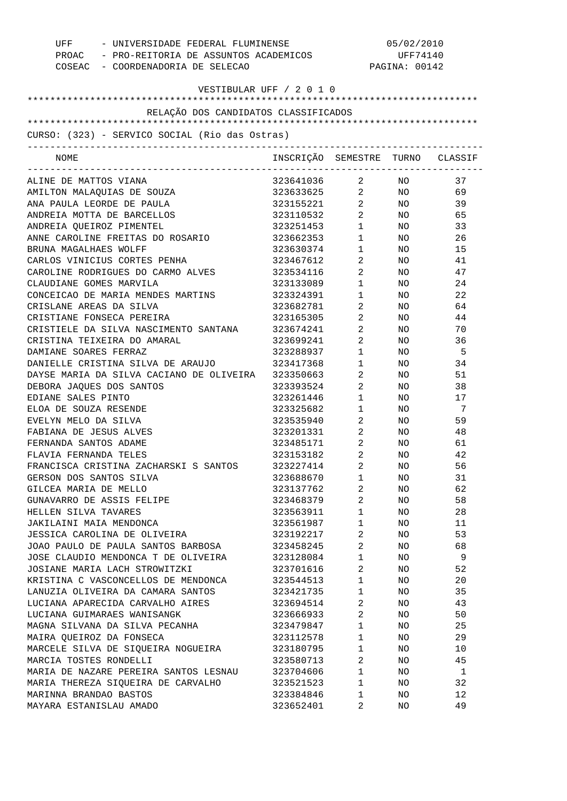| UFF - UNIVERSIDADE FEDERAL FLUMINENSE<br>PROAC - PRO-REITORIA DE ASSUNTOS ACADEMICOS<br>COSEAC - COORDENADORIA DE SELECAO | 05/02/2010<br>UFF74140<br>PAGINA: 00142 |                                   |                 |     |
|---------------------------------------------------------------------------------------------------------------------------|-----------------------------------------|-----------------------------------|-----------------|-----|
| VESTIBULAR UFF / 2 0 1 0                                                                                                  |                                         |                                   |                 |     |
| RELAÇÃO DOS CANDIDATOS CLASSIFICADOS                                                                                      |                                         |                                   |                 |     |
|                                                                                                                           |                                         |                                   |                 |     |
| CURSO: (323) - SERVICO SOCIAL (Rio das Ostras)<br>--------------------------                                              |                                         |                                   |                 |     |
| NOME                                                                                                                      | INSCRIÇÃO SEMESTRE TURNO CLASSIF        |                                   |                 |     |
| ALINE DE MATTOS VIANA                                                                                                     | 323641036 2 NO                          |                                   |                 | 37  |
| AMILTON MALAQUIAS DE SOUZA                                                                                                | 323633625 2 NO                          |                                   |                 | 69  |
| ANA PAULA LEORDE DE PAULA                                                                                                 | 323155221 2                             |                                   | NO <sub>n</sub> | 39  |
| ANDREIA MOTTA DE BARCELLOS                                                                                                | 323110532                               | $2 \left( \frac{1}{2} \right)$    | NO <sub>2</sub> | 65  |
| ANDREIA QUEIROZ PIMENTEL                                                                                                  | 323251453                               | $1 \quad \blacksquare$            | NO <sub>2</sub> | 33  |
| ANNE CAROLINE FREITAS DO ROSARIO                                                                                          | 323662353                               | $1 \qquad \qquad$                 | NO <sub>2</sub> | 26  |
| BRUNA MAGALHAES WOLFF                                                                                                     | 323630374                               | $1 \quad \blacksquare$            | NO <sub>2</sub> | 15  |
| CARLOS VINICIUS CORTES PENHA                                                                                              | 323467612                               | $\overline{2}$                    | NO              | 41  |
| CAROLINE RODRIGUES DO CARMO ALVES                                                                                         | 323534116                               | $2 \left( \frac{1}{2} \right)$    | NO              | 47  |
| CLAUDIANE GOMES MARVILA                                                                                                   | 323133089                               | $1 \quad \blacksquare$            | NO              | 24  |
| CONCEICAO DE MARIA MENDES MARTINS                                                                                         | 323324391                               | $1 \quad \blacksquare$            | NO              | 22  |
| CRISLANE AREAS DA SILVA                                                                                                   | 323682781                               | $2 \left( \frac{1}{2} \right)$    | NO              | 64  |
| CRISTIANE FONSECA PEREIRA                                                                                                 | 323165305                               | $\overline{2}$ and $\overline{2}$ | NO              | 44  |
| CRISTIELE DA SILVA NASCIMENTO SANTANA                                                                                     | 323674241                               | $2 \left( \frac{1}{2} \right)$    | NO              | 70  |
| CRISTINA TEIXEIRA DO AMARAL                                                                                               | 323699241                               | $\overline{2}$                    | NO              | 36  |
| DAMIANE SOARES FERRAZ                                                                                                     | 323288937                               | $1 \quad \blacksquare$            | NO              | - 5 |
| DANIELLE CRISTINA SILVA DE ARAUJO                                                                                         | 323417368                               | $1 \quad \blacksquare$            | NO              | 34  |
| DAYSE MARIA DA SILVA CACIANO DE OLIVEIRA                                                                                  | 323350663                               | $\overline{a}$                    | NO              | 51  |
| DEBORA JAQUES DOS SANTOS                                                                                                  | 323393524                               | $2 \left( \frac{1}{2} \right)$    | NO              | 38  |
| EDIANE SALES PINTO                                                                                                        | 323261446                               | $1 \qquad \qquad$                 | NO              | 17  |
| ELOA DE SOUZA RESENDE                                                                                                     | 323325682                               | $1 \quad \blacksquare$            | NO <sub>2</sub> | 7   |
| EVELYN MELO DA SILVA                                                                                                      | 323535940                               | $2 \left( \frac{1}{2} \right)$    | NO <sub>2</sub> | 59  |
| FABIANA DE JESUS ALVES                                                                                                    | 323201331                               | $2 \left( \frac{1}{2} \right)$    | NO <sub>2</sub> | 48  |
| FERNANDA SANTOS ADAME                                                                                                     | 323485171                               | $2 \left( \frac{1}{2} \right)$    | NO              | 61  |
| FLAVIA FERNANDA TELES                                                                                                     | 323153182                               | 2                                 | NO.             | 42  |
| FRANCISCA CRISTINA ZACHARSKI S SANTOS                                                                                     | 323227414                               | 2                                 | ΝO              | 56  |
| GERSON DOS SANTOS SILVA                                                                                                   | 323688670                               | $\mathbf 1$                       | NO              | 31  |
| GILCEA MARIA DE MELLO                                                                                                     | 323137762                               | 2                                 | ΝO              | 62  |
| GUNAVARRO DE ASSIS FELIPE                                                                                                 | 323468379                               | 2                                 | ΝO              | 58  |
| HELLEN SILVA TAVARES                                                                                                      | 323563911                               | $\mathbf{1}$                      | ΝO              | 28  |
| JAKILAINI MAIA MENDONCA                                                                                                   | 323561987                               | 1                                 | ΝO              | 11  |
| JESSICA CAROLINA DE OLIVEIRA                                                                                              | 323192217                               | 2                                 | ΝO              | 53  |
| JOAO PAULO DE PAULA SANTOS BARBOSA                                                                                        | 323458245                               | 2                                 | ΝO              | 68  |
| JOSE CLAUDIO MENDONCA T DE OLIVEIRA                                                                                       | 323128084                               | $\mathbf 1$                       | ΝO              | 9   |
| JOSIANE MARIA LACH STROWITZKI                                                                                             | 323701616                               | 2                                 | ΝO              | 52  |
| KRISTINA C VASCONCELLOS DE MENDONCA                                                                                       | 323544513                               | $\mathbf{1}$                      | ΝO              | 20  |
| LANUZIA OLIVEIRA DA CAMARA SANTOS                                                                                         | 323421735                               | $\mathbf{1}$                      | ΝO              | 35  |
| LUCIANA APARECIDA CARVALHO AIRES                                                                                          | 323694514                               | 2                                 | ΝO              | 43  |
| LUCIANA GUIMARAES WANISANGK                                                                                               | 323666933                               | 2                                 | ΝO              | 50  |
| MAGNA SILVANA DA SILVA PECANHA                                                                                            | 323479847                               | $\mathbf{1}$                      | ΝO              | 25  |
| MAIRA QUEIROZ DA FONSECA                                                                                                  | 323112578<br>323180795                  | 1<br>$\mathbf 1$                  | ΝO              | 29  |
| MARCELE SILVA DE SIQUEIRA NOGUEIRA                                                                                        |                                         |                                   | ΝO              | 10  |
| MARCIA TOSTES RONDELLI                                                                                                    | 323580713                               | 2                                 | ΝO              | 45  |
| MARIA DE NAZARE PEREIRA SANTOS LESNAU                                                                                     | 323704606                               | $\mathbf{1}$                      | ΝO              | 1   |
| MARIA THEREZA SIQUEIRA DE CARVALHO                                                                                        | 323521523                               | $\mathbf{1}$                      | ΝO              | 32  |
| MARINNA BRANDAO BASTOS                                                                                                    | 323384846                               | 1                                 | ΝO              | 12  |
| MAYARA ESTANISLAU AMADO                                                                                                   | 323652401                               | 2                                 | ΝO              | 49  |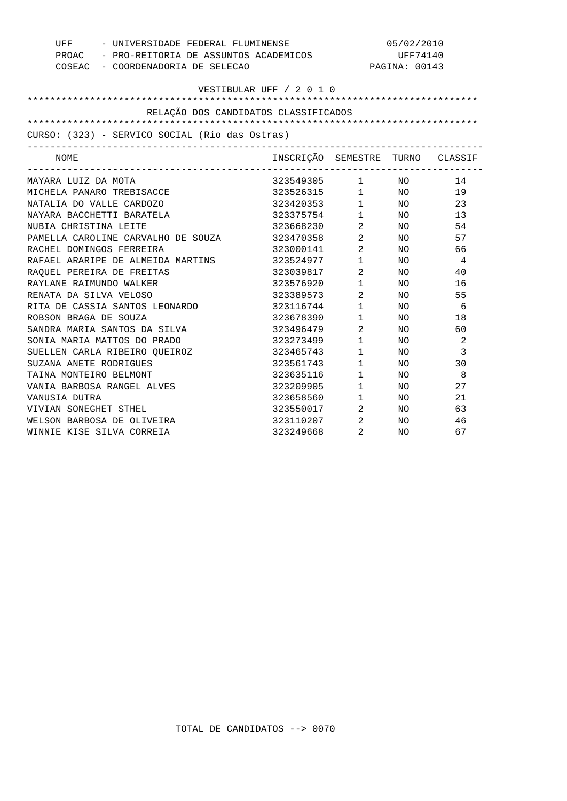| - UNIVERSIDADE FEDERAL FLUMINENSE<br>UFF       |                                             | 05/02/2010                     |                 |                |  |
|------------------------------------------------|---------------------------------------------|--------------------------------|-----------------|----------------|--|
|                                                | PROAC - PRO-REITORIA DE ASSUNTOS ACADEMICOS |                                | UFF74140        |                |  |
| COSEAC - COORDENADORIA DE SELECAO              |                                             |                                | PAGINA: 00143   |                |  |
|                                                |                                             |                                |                 |                |  |
| VESTIBULAR UFF / 2 0 1 0                       |                                             |                                |                 |                |  |
|                                                |                                             |                                |                 |                |  |
| RELAÇÃO DOS CANDIDATOS CLASSIFICADOS           |                                             |                                |                 |                |  |
|                                                |                                             |                                |                 |                |  |
| CURSO: (323) - SERVICO SOCIAL (Rio das Ostras) |                                             |                                |                 |                |  |
| NOME<br>__________________________________     | INSCRIÇÃO SEMESTRE TURNO CLASSIF            |                                |                 |                |  |
| MAYARA LUIZ DA MOTA                            | 323549305                                   |                                | $1$ NO          | 14             |  |
| MICHELA PANARO TREBISACCE                      | 323526315                                   | $1$ NO                         |                 | 19             |  |
| NATALIA DO VALLE CARDOZO                       | 323420353                                   | $1$ NO                         |                 | 23             |  |
| NAYARA BACCHETTI BARATELA                      | 323375754                                   | $1\qquad \quad \, \textrm{NO}$ |                 | 13             |  |
| NUBIA CHRISTINA LEITE                          | 323668230 2 NO                              |                                |                 | 54             |  |
| PAMELLA CAROLINE CARVALHO DE SOUZA             | 323470358 2                                 |                                | NO <sub>n</sub> | 57             |  |
| RACHEL DOMINGOS FERREIRA                       | 323000141 2                                 |                                | NO <sub>n</sub> | 66             |  |
| RAFAEL ARARIPE DE ALMEIDA MARTINS              | 323524977                                   | $1 \quad \Box$                 | NO              | $\overline{4}$ |  |
| RAOUEL PEREIRA DE FREITAS                      | 323039817                                   | $\overline{2}$                 | NO              | 40             |  |
| RAYLANE RAIMUNDO WALKER                        | 323576920                                   | $1 \quad \Box$                 | NO.             | 16             |  |
| RENATA DA SILVA VELOSO                         | 323389573                                   | $\overline{2}$                 | NO              | 55             |  |
| RITA DE CASSIA SANTOS LEONARDO                 | 323116744                                   | $1 \quad \blacksquare$         | NO.             | 6              |  |
| ROBSON BRAGA DE SOUZA                          | 323678390                                   | $1 \quad \blacksquare$         | NO              | 18             |  |
| SANDRA MARIA SANTOS DA SILVA                   | 323496479                                   | $\overline{2}$                 | NO.             | 60             |  |
| SONIA MARIA MATTOS DO PRADO                    | 323273499                                   | $1 \quad \blacksquare$         | NO.             | 2              |  |
| SUELLEN CARLA RIBEIRO QUEIROZ                  | 323465743                                   | $1 \quad \blacksquare$         | NO.             | 3              |  |
| SUZANA ANETE RODRIGUES                         | 323561743                                   | $\mathbf{1}$                   | NO.             | 30             |  |
| TAINA MONTEIRO BELMONT                         | 323635116                                   | $\mathbf{1}$                   | NO.             | 8              |  |
| VANIA BARBOSA RANGEL ALVES                     | 323209905                                   | $\mathbf 1$                    | NO              | 27             |  |
| VANUSIA DUTRA                                  | 323658560                                   | $1 \qquad \qquad$              | NO.             | 21             |  |
| VIVIAN SONEGHET STHEL                          | 323550017 2                                 |                                | NO              | 63             |  |
| WELSON BARBOSA DE OLIVEIRA                     | 323110207                                   | $\overline{2}$                 | NO              | 46             |  |
| WINNIE KISE SILVA CORREIA                      | 323249668                                   | 2                              | NO.             | 67             |  |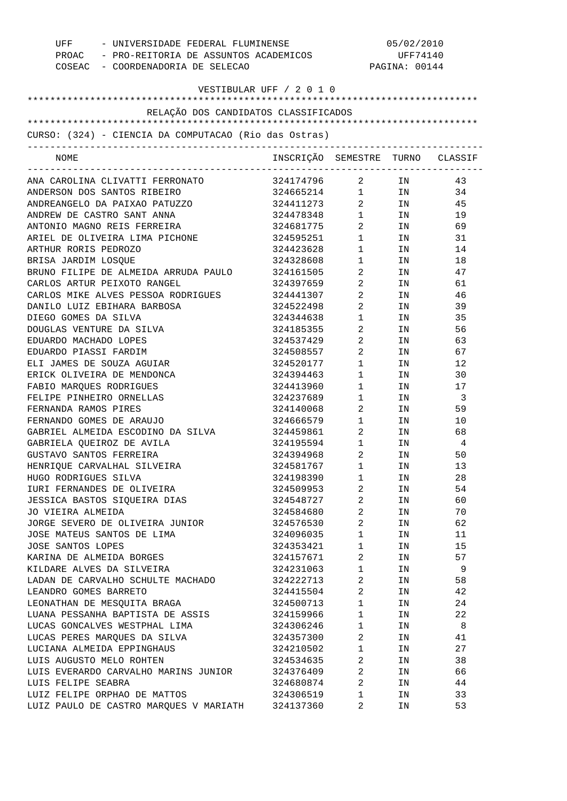| - UNIVERSIDADE FEDERAL FLUMINENSE<br>UFF<br>PROAC - PRO-REITORIA DE ASSUNTOS ACADEMICOS<br>COSEAC - COORDENADORIA DE SELECAO |                                  | 05/02/2010<br>UFF74140<br>PAGINA: 00144 |      |     |
|------------------------------------------------------------------------------------------------------------------------------|----------------------------------|-----------------------------------------|------|-----|
| VESTIBULAR UFF / 2 0 1 0                                                                                                     |                                  |                                         |      |     |
|                                                                                                                              |                                  |                                         |      |     |
| RELAÇÃO DOS CANDIDATOS CLASSIFICADOS                                                                                         |                                  |                                         |      |     |
|                                                                                                                              |                                  |                                         |      |     |
| CURSO: (324) - CIENCIA DA COMPUTACAO (Rio das Ostras)                                                                        |                                  |                                         |      |     |
| NOME                                                                                                                         | INSCRIÇÃO SEMESTRE TURNO CLASSIF |                                         |      |     |
| ANA CAROLINA CLIVATTI FERRONATO                                                                                              | 324174796                        |                                         | 2 IN | 43  |
| ANDERSON DOS SANTOS RIBEIRO                                                                                                  | 324665214 1 IN                   |                                         |      | 34  |
| ANDREANGELO DA PAIXAO PATUZZO                                                                                                | 324411273                        | $\overline{2}$                          | IN   | 45  |
| ANDREW DE CASTRO SANT ANNA                                                                                                   | 324478348                        | $1 \quad \blacksquare$                  | IN   | 19  |
| ANTONIO MAGNO REIS FERREIRA                                                                                                  | 324681775                        | $\overline{2}$                          | IN   | 69  |
| ARIEL DE OLIVEIRA LIMA PICHONE                                                                                               | 324595251                        | $1 \quad \blacksquare$                  | IN   | 31  |
| ARTHUR RORIS PEDROZO                                                                                                         | 324423628                        | $1 \quad \blacksquare$                  | IN   | 14  |
| BRISA JARDIM LOSQUE                                                                                                          | 324328608                        | $1 \qquad \qquad$                       | IN   | 18  |
| BRUNO FILIPE DE ALMEIDA ARRUDA PAULO                                                                                         | 324161505                        | $\mathbf{2}$                            | IN   | 47  |
| CARLOS ARTUR PEIXOTO RANGEL                                                                                                  | 324397659                        | $\mathbf{2}$                            | IN   | 61  |
| CARLOS MIKE ALVES PESSOA RODRIGUES                                                                                           | 324441307                        | $\mathbf{2}$                            | IN   | 46  |
| DANILO LUIZ EBIHARA BARBOSA                                                                                                  | 324522498                        | $\overline{a}$                          | IN   | 39  |
| DIEGO GOMES DA SILVA                                                                                                         | 324344638                        | $1 \quad \Box$                          | IN   | 35  |
| DOUGLAS VENTURE DA SILVA                                                                                                     | 324185355                        | 2                                       | IN   | 56  |
| EDUARDO MACHADO LOPES                                                                                                        | 324537429                        | $2 \quad$                               | IN   | 63  |
| EDUARDO PIASSI FARDIM                                                                                                        | 324508557                        | $\mathbf{2}$                            | IN   | 67  |
| ELI JAMES DE SOUZA AGUIAR                                                                                                    | 324520177                        | $1 \quad \blacksquare$                  | IN   | 12  |
| ERICK OLIVEIRA DE MENDONCA                                                                                                   | 324394463                        | $1 \qquad \qquad$                       | IN   | 30  |
| FABIO MARQUES RODRIGUES                                                                                                      | 324413960                        | $1 \qquad \qquad$                       | IN   | 17  |
| FELIPE PINHEIRO ORNELLAS                                                                                                     | 324237689                        | $1 \quad \cdots$                        | IN   | -3  |
| FERNANDA RAMOS PIRES                                                                                                         | 324140068                        | $2 \left( \frac{1}{2} \right)$          | IN   | 59  |
| FERNANDO GOMES DE ARAUJO                                                                                                     | 324666579                        | $1 \qquad \qquad$                       | IN   | 10  |
| GABRIEL ALMEIDA ESCODINO DA SILVA                                                                                            | 324459861                        | $\overline{2}$                          | IN   | 68  |
| GABRIELA QUEIROZ DE AVILA                                                                                                    | 324195594                        | $\mathbf{1}$                            | ΙN   | 4   |
| GUSTAVO SANTOS FERREIRA                                                                                                      | 324394968                        | 2                                       | IN   | 50  |
| HENRIQUE CARVALHAL SILVEIRA                                                                                                  | 324581767                        | $\mathbf{1}$                            | IN   | 13  |
| HUGO RODRIGUES SILVA                                                                                                         | 324198390                        | $1 \quad \blacksquare$                  | IN   | 28  |
| IURI FERNANDES DE OLIVEIRA                                                                                                   | 324509953                        | $2 \left( \frac{1}{2} \right)$          | IN   | 54  |
| JESSICA BASTOS SIQUEIRA DIAS                                                                                                 | 324548727                        | $\overline{2}$                          | IN   | 60  |
| JO VIEIRA ALMEIDA                                                                                                            | 324584680                        | $\overline{2}$                          | IN   | 70  |
| JORGE SEVERO DE OLIVEIRA JUNIOR                                                                                              | 324576530                        | $\overline{2}$                          | IN   | 62  |
| JOSE MATEUS SANTOS DE LIMA                                                                                                   | 324096035                        | $1 \quad \blacksquare$                  | IN   | 11  |
| JOSE SANTOS LOPES                                                                                                            | 324353421                        | $1 \qquad \qquad$                       | IN   | 15  |
| KARINA DE ALMEIDA BORGES                                                                                                     | 324157671                        | $2 \left( \frac{1}{2} \right)$          | IN   | 57  |
| KILDARE ALVES DA SILVEIRA                                                                                                    | 324231063                        | $1 \quad \blacksquare$                  | IN   | - 9 |
| LADAN DE CARVALHO SCHULTE MACHADO                                                                                            | 324222713                        | $\overline{2}$                          | IN   | 58  |
| LEANDRO GOMES BARRETO                                                                                                        | 324415504                        | $\overline{2}$                          | IN   | 42  |
| LEONATHAN DE MESQUITA BRAGA                                                                                                  | 324500713                        | $1 \quad \Box$                          | IN   | 24  |
| LUANA PESSANHA BAPTISTA DE ASSIS                                                                                             | 324159966                        | $1 \quad \blacksquare$                  | IN   | 22  |
| LUCAS GONCALVES WESTPHAL LIMA                                                                                                | 324306246                        | $1 \quad \blacksquare$                  | IN   | 8   |
| LUCAS PERES MARQUES DA SILVA                                                                                                 | 324357300                        | $\overline{2}$                          | IN   | 41  |
| LUCIANA ALMEIDA EPPINGHAUS                                                                                                   | 324210502                        | $1 \quad \blacksquare$                  | IN   | 27  |
| LUIS AUGUSTO MELO ROHTEN                                                                                                     | 324534635                        | $2 \left( \frac{1}{2} \right)$          | IN   | 38  |
| LUIS EVERARDO CARVALHO MARINS JUNIOR                                                                                         | 324376409                        | $\overline{2}$                          | IN   | 66  |
| LUIS FELIPE SEABRA                                                                                                           | 324680874                        | $2 \left( \frac{1}{2} \right)$          | IN   | 44  |
| LUIZ FELIPE ORPHAO DE MATTOS                                                                                                 | 324306519                        | $1 \quad \blacksquare$                  | IN   | 33  |
| LUIZ PAULO DE CASTRO MARQUES V MARIATH 324137360                                                                             |                                  | 2                                       | IN   | 53  |
|                                                                                                                              |                                  |                                         |      |     |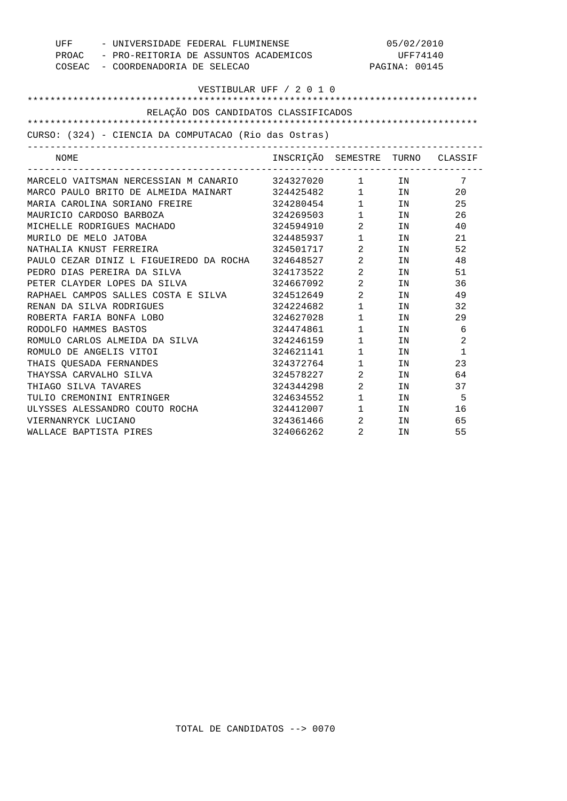| - UNIVERSIDADE FEDERAL FLUMINENSE<br>UFF              |                                  | 05/02/2010                     |                                                                                                                 |                |
|-------------------------------------------------------|----------------------------------|--------------------------------|-----------------------------------------------------------------------------------------------------------------|----------------|
| PROAC - PRO-REITORIA DE ASSUNTOS ACADEMICOS           |                                  | UFF74140                       |                                                                                                                 |                |
| COSEAC - COORDENADORIA DE SELECAO                     |                                  |                                | PAGINA: 00145                                                                                                   |                |
|                                                       |                                  |                                |                                                                                                                 |                |
|                                                       | VESTIBULAR UFF / 2 0 1 0         |                                |                                                                                                                 |                |
|                                                       |                                  |                                |                                                                                                                 |                |
| RELAÇÃO DOS CANDIDATOS CLASSIFICADOS                  |                                  |                                |                                                                                                                 |                |
|                                                       |                                  |                                |                                                                                                                 |                |
| CURSO: (324) - CIENCIA DA COMPUTACAO (Rio das Ostras) |                                  |                                |                                                                                                                 |                |
| NOME                                                  | INSCRIÇÃO SEMESTRE TURNO CLASSIF |                                |                                                                                                                 |                |
| MARCELO VAITSMAN NERCESSIAN M CANARIO 324327020 1 IN  |                                  |                                |                                                                                                                 | $\overline{7}$ |
| MARCO PAULO BRITO DE ALMEIDA MAINART 324425482        |                                  |                                | $1$ IN                                                                                                          | 20             |
| MARIA CAROLINA SORIANO FREIRE                         | 324280454                        |                                | $1$ IN                                                                                                          | 25             |
| MAURICIO CARDOSO BARBOZA                              | 324269503                        | $1 \quad \Box$                 | IN                                                                                                              | 26             |
| MICHELLE RODRIGUES MACHADO                            | 324594910                        | $\overline{2}$                 | IN DIE STREEP IN 1979 VAN DIE STREEP VAN DIE STREEP VAN DIE STREEP VAN DIE STREEP VAN DIE STREEP VAN DIE STREEP | 40             |
| MURILO DE MELO JATOBA                                 | 324485937 1                      |                                | IN                                                                                                              | 21             |
| NATHALIA KNUST FERREIRA                               | 324501717 2                      |                                | IN                                                                                                              | 52             |
| PAULO CEZAR DINIZ L FIGUEIREDO DA ROCHA 324648527     |                                  | $\overline{2}$                 | IN                                                                                                              | 48             |
| PEDRO DIAS PEREIRA DA SILVA                           | 324173522                        | $2^{\circ}$                    | IN                                                                                                              | 51             |
| PETER CLAYDER LOPES DA SILVA                          | 324667092                        | $\overline{2}$                 | IN                                                                                                              | 36             |
| RAPHAEL CAMPOS SALLES COSTA E SILVA                   | 324512649                        | $\overline{a}$                 | IN                                                                                                              | 49             |
| RENAN DA SILVA RODRIGUES                              | 324224682                        | $1 \qquad \qquad$              | IN DESCRIPTION OF REAL PROPERTY.                                                                                | 32             |
| ROBERTA FARIA BONFA LOBO                              | 324627028                        | $1 \qquad \qquad$              | IN THE TEST OF THE TEST OF THE TEST OF THE TEST OF THE TEST OF THE TEST OF THE TEST OF THE TEST OF THE TEST OF  | 29             |
| RODOLFO HAMMES BASTOS                                 | 324474861                        | $1 \quad \blacksquare$         | IN                                                                                                              | 6              |
| ROMULO CARLOS ALMEIDA DA SILVA                        | 324246159                        | $1 \quad \Box$                 | IN                                                                                                              | 2              |
| ROMULO DE ANGELIS VITOI                               | 324621141                        | $\mathbf{1}$                   | IN                                                                                                              | $\mathbf{1}$   |
| THAIS OUESADA FERNANDES                               | 324372764                        | $1 \quad \Box$                 | IN                                                                                                              | 23             |
| THAYSSA CARVALHO SILVA                                | 324578227                        | $\overline{2}$                 | TN                                                                                                              | 64             |
| THIAGO SILVA TAVARES                                  | 324344298                        | $\overline{2}$                 | TN                                                                                                              | 37             |
| TULIO CREMONINI ENTRINGER                             | 324634552                        | $1 \qquad \qquad$              | IN THE TEST OF THE TEST OF THE TEST OF THE TEST OF THE TEST OF THE TEST OF THE TEST OF THE TEST OF THE TEST OF  | - 5            |
| ULYSSES ALESSANDRO COUTO ROCHA                        | 324412007                        | $1 \quad \blacksquare$         | IN THE TEST OF THE TEST OF THE TEST OF THE TEST OF THE TEST OF THE TEST OF THE TEST OF THE TEST OF THE TEST OF  | 16             |
| VIERNANRYCK LUCIANO                                   | 324361466                        | $2 \left( \frac{1}{2} \right)$ | IN                                                                                                              | 65             |
| WALLACE BAPTISTA PIRES                                | 324066262                        | $\overline{2}$                 | IN                                                                                                              | 55             |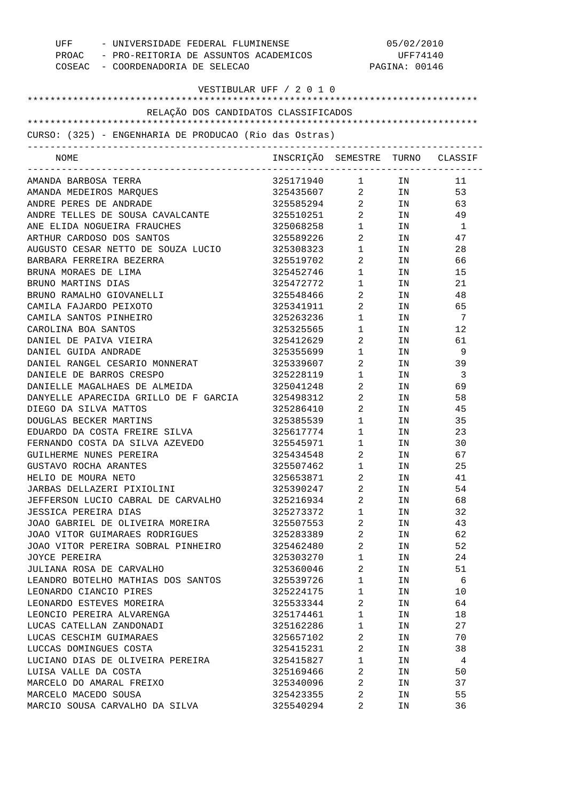| UFF - UNIVERSIDADE FEDERAL FLUMINENSE<br>PROAC - PRO-REITORIA DE ASSUNTOS ACADEMICOS<br>COSEAC - COORDENADORIA DE SELECAO |                                  |                                   | 05/02/2010<br>UFF74140<br>PAGINA: 00146                                                                        |     |
|---------------------------------------------------------------------------------------------------------------------------|----------------------------------|-----------------------------------|----------------------------------------------------------------------------------------------------------------|-----|
| VESTIBULAR UFF / 2 0 1 0                                                                                                  |                                  |                                   |                                                                                                                |     |
| RELAÇÃO DOS CANDIDATOS CLASSIFICADOS                                                                                      |                                  |                                   |                                                                                                                |     |
| CURSO: (325) - ENGENHARIA DE PRODUCAO (Rio das Ostras)                                                                    |                                  |                                   |                                                                                                                |     |
| NOME                                                                                                                      | INSCRIÇÃO SEMESTRE TURNO CLASSIF |                                   |                                                                                                                |     |
| AMANDA BARBOSA TERRA                                                                                                      | 325171940 1 IN                   |                                   |                                                                                                                | 11  |
| AMANDA MEDEIROS MAROUES                                                                                                   | 325435607 2 IN                   |                                   |                                                                                                                | 53  |
| ANDRE PERES DE ANDRADE                                                                                                    | 325585294 2 IN                   |                                   |                                                                                                                | 63  |
| ANDRE TELLES DE SOUSA CAVALCANTE                                                                                          | 325510251 2                      |                                   | IN                                                                                                             | 49  |
| ANE ELIDA NOGUEIRA FRAUCHES                                                                                               | 325068258                        | $1 \qquad \qquad$                 | IN                                                                                                             | - 1 |
| ARTHUR CARDOSO DOS SANTOS                                                                                                 | 325589226                        | $\overline{2}$                    | IN THE TEST OF THE TEST OF THE TEST OF THE TEST OF THE TEST OF THE TEST OF THE TEST OF THE TEST OF THE TEST OF | 47  |
| AUGUSTO CESAR NETTO DE SOUZA LUCIO                                                                                        | 325308323                        | $1 \qquad \qquad$                 | IN                                                                                                             | 28  |
| BARBARA FERREIRA BEZERRA                                                                                                  | 325519702                        | $\overline{2}$                    | IN                                                                                                             | 66  |
| BRUNA MORAES DE LIMA                                                                                                      | 325452746                        | $1 \quad \blacksquare$            | IN                                                                                                             | 15  |
| BRUNO MARTINS DIAS                                                                                                        | 325472772                        | $1 \qquad \qquad$                 | IN                                                                                                             | 21  |
| BRUNO RAMALHO GIOVANELLI                                                                                                  | 325548466                        | $\overline{2}$ and $\overline{2}$ | IN                                                                                                             | 48  |
| CAMILA FAJARDO PEIXOTO                                                                                                    | 325341911                        | $\overline{2}$                    | IN                                                                                                             | 65  |
| CAMILA SANTOS PINHEIRO                                                                                                    | 325263236                        | $1 \qquad \qquad$                 | IN                                                                                                             | - 7 |
| CAROLINA BOA SANTOS                                                                                                       | 325325565                        | $1 \qquad \qquad$                 | IN                                                                                                             | 12  |
| DANIEL DE PAIVA VIEIRA                                                                                                    | 325412629                        | $\overline{2}$                    | IN                                                                                                             | 61  |
| DANIEL GUIDA ANDRADE                                                                                                      | 325355699                        | $1 \qquad \qquad$                 | IN                                                                                                             | -9  |
| DANIEL RANGEL CESARIO MONNERAT                                                                                            | 325339607                        | $\overline{2}$                    | IN                                                                                                             | 39  |
| DANIELE DE BARROS CRESPO                                                                                                  | 325228119                        | $1 \quad \blacksquare$            | IN                                                                                                             | -3  |
| DANIELLE MAGALHAES DE ALMEIDA                                                                                             | 325041248                        | $\overline{2}$ and $\overline{2}$ | IN                                                                                                             | 69  |
| DANYELLE APARECIDA GRILLO DE F GARCIA                                                                                     | 325498312                        | $\overline{2}$ and $\overline{2}$ | IN                                                                                                             | 58  |
| DIEGO DA SILVA MATTOS                                                                                                     | 325286410                        | $\overline{2}$                    | IN                                                                                                             | 45  |
| DOUGLAS BECKER MARTINS                                                                                                    | 325385539                        | $1 \qquad \qquad$                 | IN                                                                                                             | 35  |
| EDUARDO DA COSTA FREIRE SILVA                                                                                             | 325617774                        | $1 \quad \blacksquare$            | IN                                                                                                             | 23  |
| FERNANDO COSTA DA SILVA AZEVEDO                                                                                           | 325545971                        | $\mathbf{1}$                      | IN                                                                                                             | 30  |
| GUILHERME NUNES PEREIRA                                                                                                   | 325434548                        | 2                                 | IN                                                                                                             | 67  |
| GUSTAVO ROCHA ARANTES                                                                                                     | 325507462                        | 1                                 | ΙN                                                                                                             | 25  |
| HELIO DE MOURA NETO                                                                                                       | 325653871                        | 2                                 | IN                                                                                                             | 41  |
| JARBAS DELLAZERI PIXIOLINI                                                                                                | 325390247                        | 2                                 | IN                                                                                                             | 54  |
| JEFFERSON LUCIO CABRAL DE CARVALHO                                                                                        | 325216934                        | 2                                 | IN                                                                                                             | 68  |
| JESSICA PEREIRA DIAS                                                                                                      | 325273372                        | $\mathbf{1}$                      | IN                                                                                                             | 32  |
| JOAO GABRIEL DE OLIVEIRA MOREIRA                                                                                          | 325507553                        | 2                                 | IN                                                                                                             | 43  |
| JOAO VITOR GUIMARAES RODRIGUES                                                                                            | 325283389                        | 2                                 | IN                                                                                                             | 62  |
| JOAO VITOR PEREIRA SOBRAL PINHEIRO                                                                                        | 325462480                        | 2                                 | IN                                                                                                             | 52  |
| JOYCE PEREIRA                                                                                                             | 325303270                        | $\mathbf{1}$                      | IN                                                                                                             | 24  |
| JULIANA ROSA DE CARVALHO                                                                                                  | 325360046                        | 2                                 | IN                                                                                                             | 51  |
| LEANDRO BOTELHO MATHIAS DOS SANTOS                                                                                        | 325539726                        | 1                                 | IN                                                                                                             | -6  |
| LEONARDO CIANCIO PIRES                                                                                                    | 325224175                        | $\mathbf{1}$                      | IN                                                                                                             | 10  |
| LEONARDO ESTEVES MOREIRA                                                                                                  | 325533344                        | 2                                 | IN                                                                                                             | 64  |
| LEONCIO PEREIRA ALVARENGA                                                                                                 | 325174461                        | 1                                 | IN                                                                                                             | 18  |
| LUCAS CATELLAN ZANDONADI                                                                                                  | 325162286                        | 1                                 | IN                                                                                                             | 27  |
| LUCAS CESCHIM GUIMARAES                                                                                                   | 325657102                        | 2                                 | IN                                                                                                             | 70  |
| LUCCAS DOMINGUES COSTA                                                                                                    | 325415231                        | 2                                 | IN                                                                                                             | 38  |
| LUCIANO DIAS DE OLIVEIRA PEREIRA                                                                                          | 325415827                        | 1                                 | IN                                                                                                             | 4   |
| LUISA VALLE DA COSTA                                                                                                      | 325169466                        | 2                                 | IN                                                                                                             | 50  |
| MARCELO DO AMARAL FREIXO                                                                                                  | 325340096                        | 2                                 | IN                                                                                                             | 37  |
| MARCELO MACEDO SOUSA                                                                                                      | 325423355                        | 2                                 | IN                                                                                                             | 55  |
| MARCIO SOUSA CARVALHO DA SILVA                                                                                            | 325540294                        | 2                                 | ΙN                                                                                                             | 36  |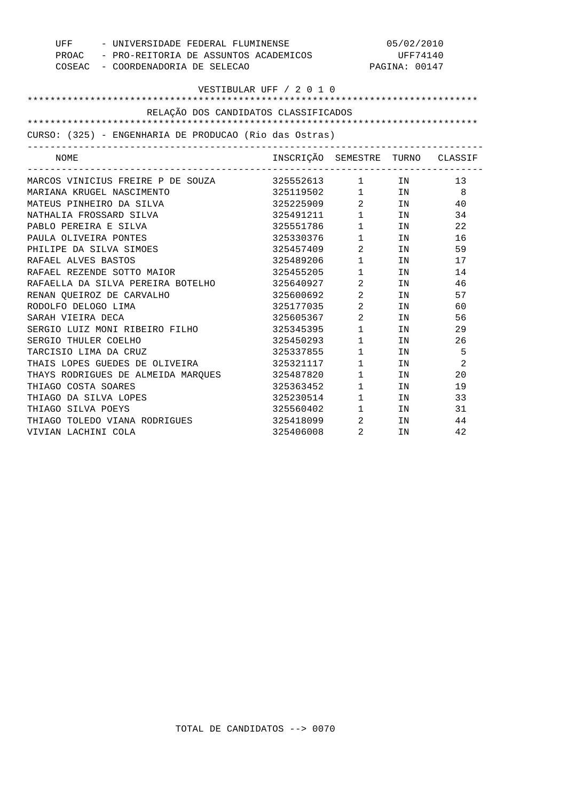| - UNIVERSIDADE FEDERAL FLUMINENSE<br>UFF               |                                  | 05/02/2010                     |                                                                                                                |                |
|--------------------------------------------------------|----------------------------------|--------------------------------|----------------------------------------------------------------------------------------------------------------|----------------|
| PROAC - PRO-REITORIA DE ASSUNTOS ACADEMICOS            |                                  | UFF74140                       |                                                                                                                |                |
| COSEAC - COORDENADORIA DE SELECAO                      |                                  |                                | PAGINA: 00147                                                                                                  |                |
|                                                        |                                  |                                |                                                                                                                |                |
|                                                        | VESTIBULAR UFF / 2 0 1 0         |                                |                                                                                                                |                |
|                                                        |                                  |                                |                                                                                                                |                |
| RELAÇÃO DOS CANDIDATOS CLASSIFICADOS                   |                                  |                                |                                                                                                                |                |
|                                                        |                                  |                                |                                                                                                                |                |
| CURSO: (325) - ENGENHARIA DE PRODUCAO (Rio das Ostras) |                                  |                                |                                                                                                                |                |
| NOME                                                   | INSCRIÇÃO SEMESTRE TURNO CLASSIF |                                |                                                                                                                |                |
| MARCOS VINICIUS FREIRE P DE SOUZA                      | 325552613 1 IN                   |                                |                                                                                                                | 13             |
| MARIANA KRUGEL NASCIMENTO                              | 325119502                        |                                | $1$ IN                                                                                                         | - 8            |
| MATEUS PINHEIRO DA SILVA                               | 325225909                        |                                | $2$ IN                                                                                                         | 40             |
| NATHALIA FROSSARD SILVA                                | 325491211 1 IN                   |                                |                                                                                                                | 34             |
| PABLO PEREIRA E SILVA                                  | 325551786                        | $1 \quad \Box$                 | IN                                                                                                             | 22             |
| PAULA OLIVEIRA PONTES                                  | 325330376 1                      |                                | IN                                                                                                             | 16             |
| PHILIPE DA SILVA SIMOES                                | 325457409                        | $\overline{2}$                 | IN                                                                                                             | 59             |
| RAFAEL ALVES BASTOS                                    | 325489206                        | $\mathbf{1}$                   | IN                                                                                                             | 17             |
| RAFAEL REZENDE SOTTO MAIOR                             | 325455205                        | 1                              | IN                                                                                                             | 14             |
| RAFAELLA DA SILVA PEREIRA BOTELHO                      | 325640927                        | $\overline{2}$                 | IN                                                                                                             | 46             |
| RENAN QUEIROZ DE CARVALHO                              | 325600692                        | $\overline{2}$                 | IN                                                                                                             | 57             |
| RODOLFO DELOGO LIMA                                    | 325177035                        | $2 \left( \frac{1}{2} \right)$ | IN THE TEST OF THE TEST OF THE TEST OF THE TEST OF THE TEST OF THE TEST OF THE TEST OF THE TEST OF THE TEST OF | 60             |
| SARAH VIEIRA DECA                                      | 325605367                        | $\overline{2}$                 | IN                                                                                                             | 56             |
| SERGIO LUIZ MONI RIBEIRO FILHO                         | 325345395                        | $1 \quad \blacksquare$         | IN                                                                                                             | 29             |
| SERGIO THULER COELHO                                   | 325450293                        | $1 \qquad \qquad$              | IN                                                                                                             | 26             |
| TARCISIO LIMA DA CRUZ                                  | 325337855                        | $\mathbf{1}$                   | IN                                                                                                             | 5              |
| THAIS LOPES GUEDES DE OLIVEIRA                         | 325321117                        | $1 \quad \Box$                 | IN                                                                                                             | $\overline{2}$ |
| THAYS RODRIGUES DE ALMEIDA MARQUES                     | 325487820                        | $1 \quad \Box$                 | TN                                                                                                             | 20             |
| THIAGO COSTA SOARES                                    | 325363452                        | $1 \quad \Box$                 | IN                                                                                                             | 19             |
| THIAGO DA SILVA LOPES                                  | 325230514                        | $1 \quad \blacksquare$         | IN                                                                                                             | 33             |
| THIAGO SILVA POEYS                                     | 325560402 1                      |                                | IN DESCRIPTION OF THE STATE OF THE STATE OF THE STATE OF THE STATE OF THE STATE OF THE STATE OF THE STATE OF T | 31             |
| THIAGO TOLEDO VIANA RODRIGUES                          | 325418099                        | $\overline{2}$                 | IN                                                                                                             | 44             |
| VIVIAN LACHINI COLA                                    | 325406008                        | 2                              | IN                                                                                                             | 42             |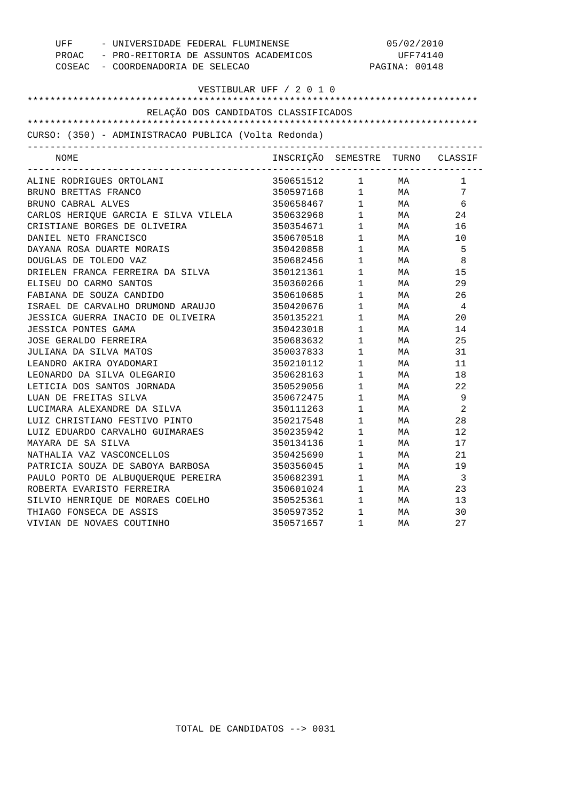|                                                                                  | - UNIVERSIDADE FEDERAL FLUMINENSE<br>UFF             |                           | 05/02/2010             |        |                         |  |
|----------------------------------------------------------------------------------|------------------------------------------------------|---------------------------|------------------------|--------|-------------------------|--|
| PROAC - PRO-REITORIA DE ASSUNTOS ACADEMICOS<br>COSEAC - COORDENADORIA DE SELECAO |                                                      | UFF74140<br>PAGINA: 00148 |                        |        |                         |  |
|                                                                                  |                                                      |                           |                        |        |                         |  |
|                                                                                  |                                                      |                           |                        |        |                         |  |
|                                                                                  | RELAÇÃO DOS CANDIDATOS CLASSIFICADOS                 |                           |                        |        |                         |  |
|                                                                                  |                                                      |                           |                        |        |                         |  |
|                                                                                  | CURSO: (350) - ADMINISTRACAO PUBLICA (Volta Redonda) |                           |                        |        |                         |  |
| NOME                                                                             |                                                      | INSCRIÇÃO SEMESTRE        |                        |        | TURNO CLASSIF           |  |
|                                                                                  | ALINE RODRIGUES ORTOLANI                             | 350651512 1 MA            |                        |        | 1                       |  |
| BRUNO BRETTAS FRANCO                                                             |                                                      | 350597168                 |                        | $1$ MA | 7                       |  |
| BRUNO CABRAL ALVES                                                               |                                                      | 350658467                 |                        | $1$ MA | 6                       |  |
|                                                                                  | CARLOS HERIQUE GARCIA E SILVA VILELA                 | 350632968                 |                        | $1$ MA | 24                      |  |
|                                                                                  | CRISTIANE BORGES DE OLIVEIRA                         | 350354671                 | 1                      | MA     | 16                      |  |
| DANIEL NETO FRANCISCO                                                            |                                                      | 350670518                 | 1                      | MA     | 10                      |  |
|                                                                                  | DAYANA ROSA DUARTE MORAIS                            | 350420858                 | $1 \quad \Box$         | MA     | 5                       |  |
| DOUGLAS DE TOLEDO VAZ                                                            |                                                      | 350682456                 | $\mathbf{1}$           | MA     | 8                       |  |
|                                                                                  | DRIELEN FRANCA FERREIRA DA SILVA                     | 350121361                 | 1                      | MA     | 15                      |  |
| ELISEU DO CARMO SANTOS                                                           |                                                      | 350360266                 | $1 \quad \blacksquare$ | MA     | 29                      |  |
|                                                                                  | FABIANA DE SOUZA CANDIDO                             | 350610685                 | $1 \quad \blacksquare$ | МA     | 26                      |  |
|                                                                                  | ISRAEL DE CARVALHO DRUMOND ARAUJO                    | 350420676                 | 1                      | MA     | $\overline{4}$          |  |
|                                                                                  | JESSICA GUERRA INACIO DE OLIVEIRA                    | 350135221                 | 1                      | MA     | 20                      |  |
| <b>JESSICA PONTES GAMA</b>                                                       |                                                      | 350423018                 | $1 \qquad \qquad$      | MA     | 14                      |  |
| JOSE GERALDO FERREIRA                                                            |                                                      | 350683632                 | $1 \quad \Box$         | МA     | 25                      |  |
| JULIANA DA SILVA MATOS                                                           |                                                      | 350037833                 | 1                      | MA     | 31                      |  |
| LEANDRO AKIRA OYADOMARI                                                          |                                                      | 350210112                 | 1                      | MA     | 11                      |  |
|                                                                                  | LEONARDO DA SILVA OLEGARIO                           | 350628163                 | $1 \quad \blacksquare$ | MA     | 18                      |  |
|                                                                                  | LETICIA DOS SANTOS JORNADA                           | 350529056                 | $\mathbf{1}$           | MA     | 22                      |  |
| LUAN DE FREITAS SILVA                                                            |                                                      | 350672475                 | 1                      | MA     | 9                       |  |
|                                                                                  | LUCIMARA ALEXANDRE DA SILVA                          | 350111263                 | 1                      | MA     | 2                       |  |
|                                                                                  | LUIZ CHRISTIANO FESTIVO PINTO                        | 350217548                 | $1 \qquad \qquad$      | MA     | 28                      |  |
|                                                                                  | LUIZ EDUARDO CARVALHO GUIMARAES                      | 350235942                 | $1$ – $\sim$           | MA     | 12                      |  |
| MAYARA DE SA SILVA                                                               |                                                      | 350134136                 | 1                      | MA     | 17                      |  |
|                                                                                  | NATHALIA VAZ VASCONCELLOS                            | 350425690                 | $\mathbf{1}$           | MA     | 21                      |  |
|                                                                                  | PATRICIA SOUZA DE SABOYA BARBOSA                     | 350356045                 | $1 \quad \blacksquare$ | MA     | 19                      |  |
|                                                                                  | PAULO PORTO DE ALBUQUERQUE PEREIRA                   | 350682391                 | $\mathbf 1$            | MA     | $\overline{\mathbf{3}}$ |  |
|                                                                                  | ROBERTA EVARISTO FERREIRA                            | 350601024                 | 1                      | MA     | 23                      |  |
|                                                                                  | SILVIO HENRIQUE DE MORAES COELHO                     | 350525361                 | $\mathbf{1}$           | MA     | 13                      |  |
| THIAGO FONSECA DE ASSIS                                                          |                                                      | 350597352                 | $1 \quad \blacksquare$ | МA     | 30                      |  |
|                                                                                  | VIVIAN DE NOVAES COUTINHO                            | 350571657                 | $\mathbf{1}$           | МA     | 2.7                     |  |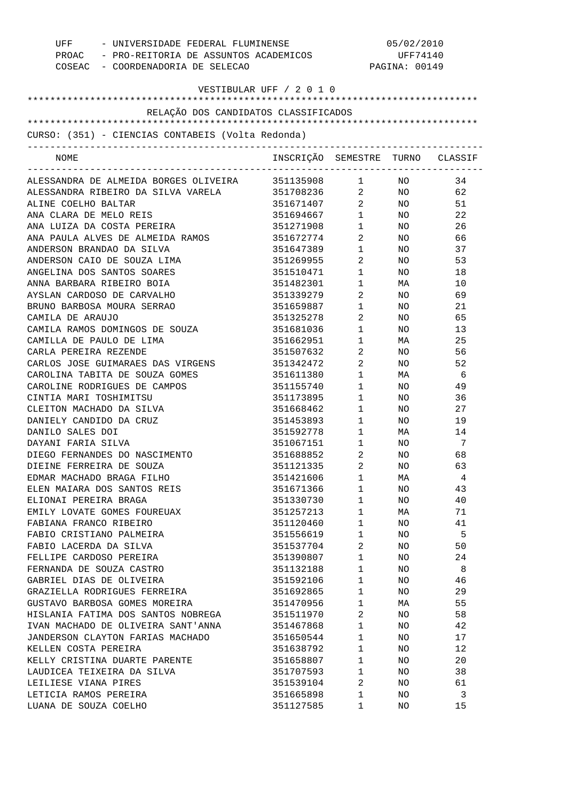| UFF - UNIVERSIDADE FEDERAL FLUMINENSE<br>PROAC - PRO-REITORIA DE ASSUNTOS ACADEMICOS<br>COSEAC - COORDENADORIA DE SELECAO |                                  | 05/02/2010<br>UFF74140<br>PAGINA: 00149 |                 |     |
|---------------------------------------------------------------------------------------------------------------------------|----------------------------------|-----------------------------------------|-----------------|-----|
| VESTIBULAR UFF / 2 0 1 0                                                                                                  |                                  |                                         |                 |     |
| RELAÇÃO DOS CANDIDATOS CLASSIFICADOS                                                                                      |                                  |                                         |                 |     |
|                                                                                                                           |                                  |                                         |                 |     |
| CURSO: (351) - CIENCIAS CONTABEIS (Volta Redonda)                                                                         |                                  |                                         |                 |     |
| NOME                                                                                                                      | INSCRIÇÃO SEMESTRE TURNO CLASSIF |                                         |                 |     |
| ALESSANDRA DE ALMEIDA BORGES OLIVEIRA                                                                                     | 351135908 1 NO                   |                                         |                 | 34  |
| ALESSANDRA RIBEIRO DA SILVA VARELA                                                                                        | 351708236 2 NO                   |                                         |                 | 62  |
| ALINE COELHO BALTAR                                                                                                       | 351671407 2                      |                                         | NO <sub>2</sub> | 51  |
| ANA CLARA DE MELO REIS                                                                                                    | 351694667 1                      |                                         | NO <sub>1</sub> | 22  |
| ANA LUIZA DA COSTA PEREIRA                                                                                                | 351271908 1                      |                                         | NO <sub>1</sub> | 26  |
| ANA PAULA ALVES DE ALMEIDA RAMOS                                                                                          | 351672774 2                      |                                         | NO <sub>2</sub> | 66  |
| ANDERSON BRANDAO DA SILVA                                                                                                 | 351647389                        | $1 \qquad \qquad$                       | NO <sub>2</sub> | 37  |
| ANDERSON CAIO DE SOUZA LIMA                                                                                               | 351269955                        | $\overline{2}$                          | NO <sub>2</sub> | 53  |
| ANGELINA DOS SANTOS SOARES                                                                                                | 351510471                        | $1 \quad \blacksquare$                  | NO <sub>2</sub> | 18  |
| ANNA BARBARA RIBEIRO BOIA                                                                                                 | 351482301                        | $1 \quad \blacksquare$                  | MA              | 10  |
| AYSLAN CARDOSO DE CARVALHO                                                                                                | 351339279                        | $\overline{2}$                          | NO <sub>2</sub> | 69  |
| BRUNO BARBOSA MOURA SERRAO                                                                                                | 351659887                        | $1 \qquad \qquad$                       | NO <sub>2</sub> | 21  |
| CAMILA DE ARAUJO                                                                                                          | 351325278                        | $\overline{2}$                          | NO              | 65  |
| CAMILA RAMOS DOMINGOS DE SOUZA                                                                                            | 351681036                        | $1 \qquad \qquad$                       | NO .            | 13  |
| CAMILLA DE PAULO DE LIMA                                                                                                  | 351662951                        | $1 \qquad \qquad$                       | MA              | 25  |
| CARLA PEREIRA REZENDE                                                                                                     | 351507632                        | $\overline{2}$                          | NO              | 56  |
| CARLOS JOSE GUIMARAES DAS VIRGENS                                                                                         | 351342472                        | $\overline{2}$                          | NO              | 52  |
| CAROLINA TABITA DE SOUZA GOMES                                                                                            | 351611380                        | $1 \qquad \qquad$                       | MA              | - 6 |
| CAROLINE RODRIGUES DE CAMPOS                                                                                              | 351155740                        | $1 \qquad \qquad$                       | NO              | 49  |
| CINTIA MARI TOSHIMITSU                                                                                                    | 351173895                        | $1 \quad \blacksquare$                  | NO .            | 36  |
| CLEITON MACHADO DA SILVA                                                                                                  | 351668462                        | $1 \qquad \qquad$                       | NO              | 27  |
| DANIELY CANDIDO DA CRUZ                                                                                                   | 351453893                        | $1 \quad \blacksquare$                  | NO              | 19  |
| DANILO SALES DOI                                                                                                          | 351592778                        | $1 \quad \blacksquare$                  | MA              | 14  |
| DAYANI FARIA SILVA                                                                                                        | 351067151                        | $1 \qquad \qquad$                       | NO              | 7   |
| DIEGO FERNANDES DO NASCIMENTO                                                                                             | 351688852                        | $2 \left( \frac{1}{2} \right)$          | NO.             | 68  |
| DIEINE FERREIRA DE SOUZA                                                                                                  | 351121335                        | 2                                       | ΝO              | 63  |
| EDMAR MACHADO BRAGA FILHO                                                                                                 | 351421606                        | $\mathbf{1}$                            | МA              | 4   |
| ELEN MAIARA DOS SANTOS REIS                                                                                               | 351671366                        | $\mathbf{1}$                            | NO              | 43  |
| ELIONAI PEREIRA BRAGA                                                                                                     | 351330730                        | $\mathbf 1$                             | NO              | 40  |
| EMILY LOVATE GOMES FOUREUAX                                                                                               | 351257213                        | 1                                       | МA              | 71  |
| FABIANA FRANCO RIBEIRO                                                                                                    | 351120460                        | 1                                       | NO.             | 41  |
| FABIO CRISTIANO PALMEIRA                                                                                                  | 351556619                        | $\mathbf 1$                             | NO              | 5   |
| FABIO LACERDA DA SILVA                                                                                                    | 351537704                        | 2                                       | NO.             | 50  |
| FELLIPE CARDOSO PEREIRA                                                                                                   | 351390807                        | $\mathbf{1}$                            | NO              | 24  |
| FERNANDA DE SOUZA CASTRO                                                                                                  | 351132188                        | 1                                       | NO.             | 8   |
| GABRIEL DIAS DE OLIVEIRA                                                                                                  | 351592106                        | $\mathbf{1}$                            | NO.             | 46  |
| GRAZIELLA RODRIGUES FERREIRA                                                                                              | 351692865                        | 1                                       | NO.             | 29  |
| GUSTAVO BARBOSA GOMES MOREIRA                                                                                             | 351470956                        | 1                                       | МA              | 55  |
| HISLANIA FATIMA DOS SANTOS NOBREGA                                                                                        | 351511970                        | 2                                       | NO.             | 58  |
| IVAN MACHADO DE OLIVEIRA SANT'ANNA                                                                                        | 351467868                        | 1                                       | NO.             | 42  |
| JANDERSON CLAYTON FARIAS MACHADO                                                                                          | 351650544                        | $\mathbf 1$                             | NO.             | 17  |
| KELLEN COSTA PEREIRA                                                                                                      | 351638792                        | 1                                       | NO.             | 12  |
| KELLY CRISTINA DUARTE PARENTE                                                                                             | 351658807                        | 1                                       | NO.             | 20  |
| LAUDICEA TEIXEIRA DA SILVA                                                                                                | 351707593                        | 1                                       | NO.             | 38  |
| LEILIESE VIANA PIRES                                                                                                      | 351539104                        | 2                                       | NO.             | 61  |
| LETICIA RAMOS PEREIRA                                                                                                     | 351665898                        | 1                                       | NO              | 3   |
| LUANA DE SOUZA COELHO                                                                                                     | 351127585                        | 1                                       | NO              | 15  |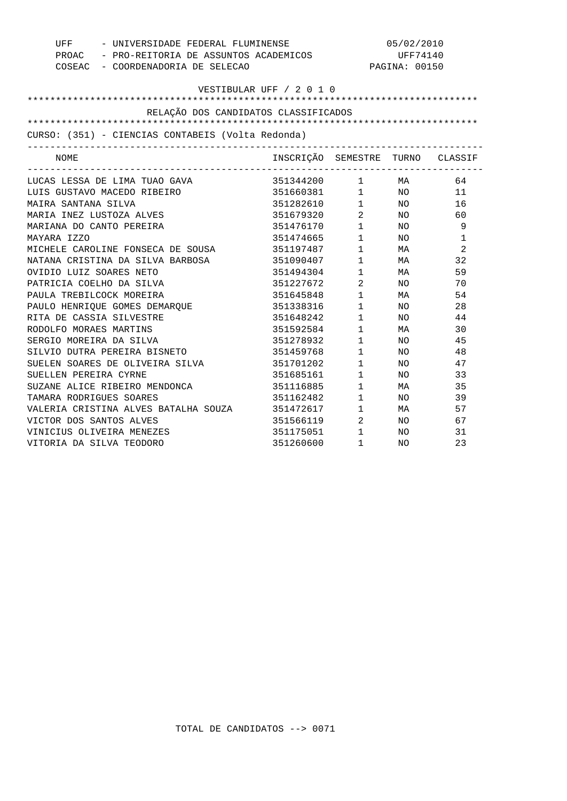|                                                   | UFF - UNIVERSIDADE FEDERAL FLUMINENSE       |                                                                        | 05/02/2010    |    |  |
|---------------------------------------------------|---------------------------------------------|------------------------------------------------------------------------|---------------|----|--|
|                                                   | PROAC - PRO-REITORIA DE ASSUNTOS ACADEMICOS |                                                                        | UFF74140      |    |  |
| COSEAC - COORDENADORIA DE SELECAO                 |                                             |                                                                        | PAGINA: 00150 |    |  |
|                                                   |                                             |                                                                        |               |    |  |
|                                                   | VESTIBULAR UFF / 2 0 1 0                    |                                                                        |               |    |  |
| RELAÇÃO DOS CANDIDATOS CLASSIFICADOS              |                                             |                                                                        |               |    |  |
|                                                   |                                             |                                                                        |               |    |  |
| CURSO: (351) - CIENCIAS CONTABEIS (Volta Redonda) |                                             |                                                                        |               |    |  |
| NOME                                              | INSCRIÇÃO SEMESTRE TURNO CLASSIF            |                                                                        |               |    |  |
| LUCAS LESSA DE LIMA TUAO GAVA                     | 351344200 1 MA                              |                                                                        |               | 64 |  |
| LUIS GUSTAVO MACEDO RIBEIRO                       | 351660381 1 NO                              |                                                                        |               | 11 |  |
| MAIRA SANTANA SILVA                               | 351282610 1 NO                              |                                                                        |               | 16 |  |
| MARIA INEZ LUSTOZA ALVES                          | 351679320 2 NO                              |                                                                        |               | 60 |  |
| MARIANA DO CANTO PEREIRA                          | 351476170                                   |                                                                        | $1$ NO        | 9  |  |
| MAYARA IZZO                                       | 351474665                                   |                                                                        | $1$ NO        | 1  |  |
| MICHELE CAROLINE FONSECA DE SOUSA                 | 351197487                                   |                                                                        | $1$ MA        | 2  |  |
| NATANA CRISTINA DA SILVA BARBOSA                  | 351090407                                   |                                                                        | $1$ MA        | 32 |  |
| OVIDIO LUIZ SOARES NETO                           | 351494304                                   |                                                                        | $1$ MA        | 59 |  |
| PATRICIA COELHO DA SILVA                          | 351227672                                   |                                                                        | 2NO           | 70 |  |
| PAULA TREBILCOCK MOREIRA                          | 351645848                                   | $\begin{array}{ccc} 1 & & \text{NA} \\ 1 & & \text{NA} \\ \end{array}$ |               | 54 |  |
| PAULO HENRIQUE GOMES DEMARQUE                     | 351338316                                   |                                                                        |               | 28 |  |
| RITA DE CASSIA SILVESTRE                          | 351648242                                   | $\mathbf{1}$                                                           | NO            | 44 |  |
| RODOLFO MORAES MARTINS                            | 351592584                                   | $1$ MA                                                                 |               | 30 |  |
| SERGIO MOREIRA DA SILVA                           | 351278932                                   | $1$ NO                                                                 |               | 45 |  |
| SILVIO DUTRA PEREIRA BISNETO                      | 351459768                                   | $1\qquad \quad \, \textrm{NO}$                                         |               | 48 |  |
| SUELEN SOARES DE OLIVEIRA SILVA                   | 351701202                                   | $1$ NO                                                                 |               | 47 |  |
| SUELLEN PEREIRA CYRNE                             | 351685161                                   | $1$ NO                                                                 |               | 33 |  |
| SUZANE ALICE RIBEIRO MENDONCA                     | 351116885                                   | $1$ MA                                                                 |               | 35 |  |
| TAMARA RODRIGUES SOARES                           | 351162482                                   |                                                                        | $1$ NO        | 39 |  |
| VALERIA CRISTINA ALVES BATALHA SOUZA              | 351472617                                   |                                                                        | $1$ MA        | 57 |  |
| VICTOR DOS SANTOS ALVES                           | 351566119 2 NO                              |                                                                        |               | 67 |  |
| VINICIUS OLIVEIRA MENEZES                         | 351175051                                   | $1$ NO                                                                 |               | 31 |  |
| VITORIA DA SILVA TEODORO                          | 351260600                                   | 1                                                                      | NO            | 23 |  |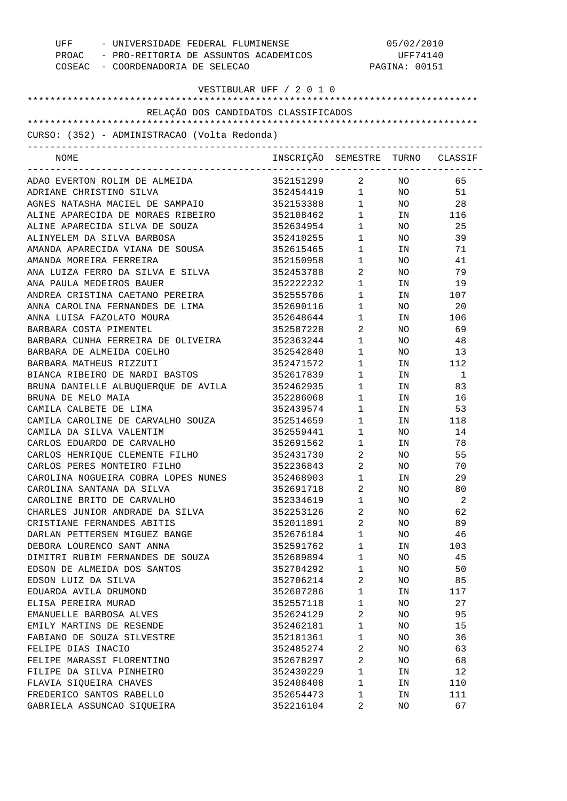| UFF - UNIVERSIDADE FEDERAL FLUMINENSE<br>PROAC - PRO-REITORIA DE ASSUNTOS ACADEMICOS<br>COSEAC - COORDENADORIA DE SELECAO |                                  | 05/02/2010<br>UFF74140<br>PAGINA: 00151 |                 |        |
|---------------------------------------------------------------------------------------------------------------------------|----------------------------------|-----------------------------------------|-----------------|--------|
| VESTIBULAR UFF / 2 0 1 0                                                                                                  |                                  |                                         |                 |        |
| RELAÇÃO DOS CANDIDATOS CLASSIFICADOS                                                                                      |                                  |                                         |                 |        |
|                                                                                                                           |                                  |                                         |                 |        |
| CURSO: (352) - ADMINISTRACAO (Volta Redonda)                                                                              |                                  |                                         |                 |        |
| NOME                                                                                                                      | INSCRIÇÃO SEMESTRE TURNO CLASSIF | ----------------------------            |                 |        |
| ADAO EVERTON ROLIM DE ALMEIDA                                                                                             | 352151299                        |                                         | 2 $\,$ NO $\,$  | 65     |
| ADRIANE CHRISTINO SILVA                                                                                                   | 352454419 1 NO                   |                                         |                 | 51     |
| AGNES NATASHA MACIEL DE SAMPAIO                                                                                           | 352153388 1 NO                   |                                         |                 | 28     |
| ALINE APARECIDA DE MORAES RIBEIRO                                                                                         | 352108462                        |                                         | 1 IN 116        |        |
| ALINE APARECIDA SILVA DE SOUZA                                                                                            | 352634954                        | $1 \quad \blacksquare$                  | NO <sub>2</sub> | 25     |
| ALINYELEM DA SILVA BARBOSA                                                                                                | 352410255                        | $1 \quad \blacksquare$                  | NO <sub>1</sub> | 39     |
| AMANDA APARECIDA VIANA DE SOUSA                                                                                           | 352615465                        | $1 \quad \blacksquare$                  | IN              | 71     |
| AMANDA MOREIRA FERREIRA                                                                                                   | 352150958                        | $1 \quad \blacksquare$                  | NO <sub>1</sub> | 41     |
| ANA LUIZA FERRO DA SILVA E SILVA                                                                                          | 352453788                        | $\overline{a}$                          | NO <sub>1</sub> | 79     |
| ANA PAULA MEDEIROS BAUER                                                                                                  | 352222232                        | $1 \quad \blacksquare$                  | IN              | 19     |
| ANDREA CRISTINA CAETANO PEREIRA                                                                                           | 352555706                        | $1 \quad \Box$                          |                 | IN 107 |
| ANNA CAROLINA FERNANDES DE LIMA                                                                                           | 352690116                        | $1 \quad \blacksquare$                  | NO <sub>2</sub> | 20     |
| ANNA LUISA FAZOLATO MOURA                                                                                                 | 352648644                        | $1 \qquad \qquad$                       | IN              | 106    |
| BARBARA COSTA PIMENTEL                                                                                                    | 352587228                        | $\overline{2}$                          | NO              | 69     |
| BARBARA CUNHA FERREIRA DE OLIVEIRA                                                                                        | 352363244                        | $1 \qquad \qquad$                       | NO              | 48     |
| BARBARA DE ALMEIDA COELHO                                                                                                 | 352542840                        | $1 \qquad \qquad$                       | NO <sub>2</sub> | 13     |
| BARBARA MATHEUS RIZZUTI                                                                                                   | 352471572                        | $1 \qquad \qquad$                       |                 | IN 112 |
| BIANCA RIBEIRO DE NARDI BASTOS                                                                                            | 352617839                        | $1 \quad \blacksquare$                  | IN              | 1      |
| BRUNA DANIELLE ALBUQUERQUE DE AVILA                                                                                       | 352462935                        | $1 \qquad \qquad$                       | IN              | 83     |
| BRUNA DE MELO MAIA                                                                                                        | 352286068                        | $1 \quad \blacksquare$                  | IN              | 16     |
| CAMILA CALBETE DE LIMA                                                                                                    | 352439574                        | $1 \quad \blacksquare$                  | IN              | 53     |
| CAMILA CAROLINE DE CARVALHO SOUZA                                                                                         | 352514659                        | $1 \quad \Box$                          |                 | IN 118 |
| CAMILA DA SILVA VALENTIM                                                                                                  | 352559441                        | $1 \quad \blacksquare$                  | NO              | 14     |
| CARLOS EDUARDO DE CARVALHO                                                                                                | 352691562                        | $1 \quad \blacksquare$                  | IN              | 78     |
| CARLOS HENRIQUE CLEMENTE FILHO                                                                                            | 352431730                        | $2 \left( \frac{1}{2} \right)$          | NO.             | 55     |
| CARLOS PERES MONTEIRO FILHO                                                                                               | 352236843                        | 2                                       | ΝO              | 70     |
| CAROLINA NOGUEIRA COBRA LOPES NUNES                                                                                       | 352468903                        | $\mathbf 1$                             | ΙN              | 29     |
| CAROLINA SANTANA DA SILVA                                                                                                 | 352691718                        | 2                                       | NO              | 80     |
| CAROLINE BRITO DE CARVALHO                                                                                                | 352334619                        | $\mathbf 1$                             | ΝO              | 2      |
| CHARLES JUNIOR ANDRADE DA SILVA                                                                                           | 352253126                        | 2                                       | NO              | 62     |
| CRISTIANE FERNANDES ABITIS                                                                                                | 352011891                        | 2                                       | ΝO              | 89     |
| DARLAN PETTERSEN MIGUEZ BANGE                                                                                             | 352676184                        | $\mathbf 1$                             | ΝO              | 46     |
| DEBORA LOURENCO SANT ANNA                                                                                                 | 352591762                        | $\mathbf 1$                             | ΙN              | 103    |
| DIMITRI RUBIM FERNANDES DE SOUZA                                                                                          | 352689894                        | 1                                       | ΝO              | 45     |
| EDSON DE ALMEIDA DOS SANTOS                                                                                               | 352704292                        | 1                                       | ΝO              | 50     |
| EDSON LUIZ DA SILVA                                                                                                       | 352706214                        | 2                                       | ΝO              | 85     |
| EDUARDA AVILA DRUMOND                                                                                                     | 352607286                        | $\mathbf 1$                             | IN              | 117    |
| ELISA PEREIRA MURAD                                                                                                       | 352557118                        | $\mathbf 1$                             | ΝO              | 27     |
| EMANUELLE BARBOSA ALVES                                                                                                   | 352624129                        | $\overline{a}$                          | ΝO              | 95     |
| EMILY MARTINS DE RESENDE                                                                                                  | 352462181                        | 1                                       | ΝO              | 15     |
| FABIANO DE SOUZA SILVESTRE                                                                                                | 352181361                        | $\mathbf 1$                             | NO              | 36     |
| FELIPE DIAS INACIO                                                                                                        | 352485274                        | 2                                       | ΝO              | 63     |
| FELIPE MARASSI FLORENTINO                                                                                                 | 352678297                        | 2                                       | ΝO              | 68     |
| FILIPE DA SILVA PINHEIRO                                                                                                  | 352430229                        | $\mathbf 1$                             | IN              | 12     |
| FLAVIA SIQUEIRA CHAVES                                                                                                    | 352408408                        | $\mathbf 1$                             | ΙN              | 110    |
| FREDERICO SANTOS RABELLO                                                                                                  | 352654473                        | 1                                       | ΙN              | 111    |
| GABRIELA ASSUNCAO SIQUEIRA                                                                                                | 352216104                        | 2                                       | NO              | 67     |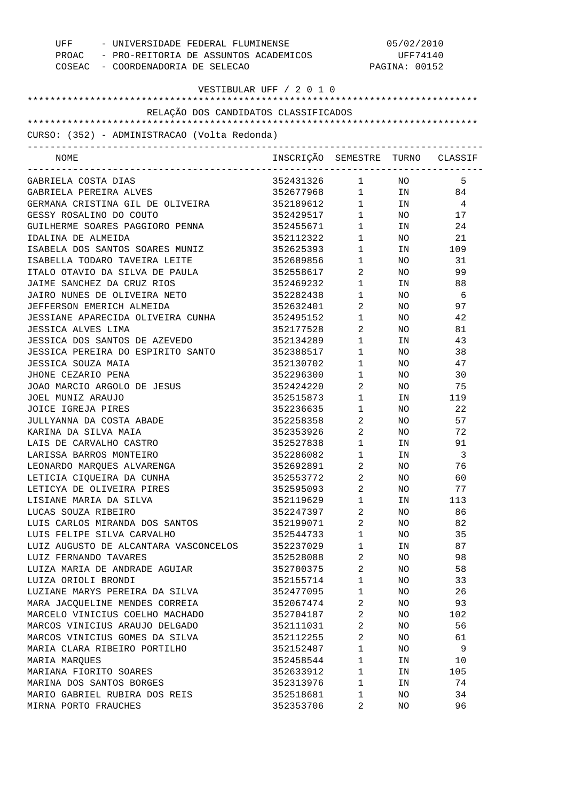| UFF - UNIVERSIDADE FEDERAL FLUMINENSE<br>PROAC - PRO-REITORIA DE ASSUNTOS ACADEMICOS<br>COSEAC - COORDENADORIA DE SELECAO |                                  | 05/02/2010<br>UFF74140<br>PAGINA: 00152 |                 |                |
|---------------------------------------------------------------------------------------------------------------------------|----------------------------------|-----------------------------------------|-----------------|----------------|
| VESTIBULAR UFF / 2 0 1 0                                                                                                  |                                  |                                         |                 |                |
| RELAÇÃO DOS CANDIDATOS CLASSIFICADOS                                                                                      |                                  |                                         |                 |                |
| CURSO: (352) - ADMINISTRACAO (Volta Redonda)                                                                              |                                  |                                         |                 |                |
|                                                                                                                           |                                  |                                         |                 |                |
| NOME                                                                                                                      | INSCRIÇÃO SEMESTRE TURNO CLASSIF |                                         |                 |                |
| GABRIELA COSTA DIAS                                                                                                       | 352431326 1 NO                   |                                         |                 | 5              |
| GABRIELA PEREIRA ALVES                                                                                                    | 352677968 1 IN 84                |                                         |                 |                |
| GERMANA CRISTINA GIL DE OLIVEIRA                                                                                          | 352189612 1 IN                   |                                         |                 | 4              |
| GESSY ROSALINO DO COUTO                                                                                                   | 352429517 1 NO                   |                                         |                 | 17             |
| GUILHERME SOARES PAGGIORO PENNA                                                                                           | 352455671                        | $1 \quad \blacksquare$                  | IN              | 24             |
| IDALINA DE ALMEIDA                                                                                                        | 352112322                        | $1 \quad \blacksquare$                  | NO <sub>2</sub> | 21             |
| ISABELA DOS SANTOS SOARES MUNIZ                                                                                           | 352625393                        | $1 \qquad \qquad$                       |                 | IN 109         |
| ISABELLA TODARO TAVEIRA LEITE                                                                                             | 352689856                        | $1 \quad \blacksquare$                  | NO .            | 31             |
| ITALO OTAVIO DA SILVA DE PAULA                                                                                            | 352558617                        | $2 \left( \frac{1}{2} \right)$          | NO .            | 99             |
| JAIME SANCHEZ DA CRUZ RIOS                                                                                                | 352469232                        | $1 \qquad \qquad$                       | IN              | 88             |
| JAIRO NUNES DE OLIVEIRA NETO                                                                                              | 352282438                        | $1 \qquad \qquad$                       | NO.             | - 6            |
| JEFFERSON EMERICH ALMEIDA                                                                                                 | 352632401                        | $\overline{2}$                          | NO              | 97             |
| JESSIANE APARECIDA OLIVEIRA CUNHA                                                                                         | 352495152                        | $1 \qquad \qquad$                       | NO.             | 42             |
| JESSICA ALVES LIMA                                                                                                        | 352177528                        | $\overline{2}$ and $\overline{2}$       | NO.             | 81             |
| JESSICA DOS SANTOS DE AZEVEDO                                                                                             | 352134289                        | $1 \quad \blacksquare$                  | IN              | 43             |
| JESSICA PEREIRA DO ESPIRITO SANTO                                                                                         | 352388517                        | $1 \qquad \qquad$                       | NO.             | 38             |
| JESSICA SOUZA MAIA                                                                                                        | 352130702                        | $1 \quad \blacksquare$                  | NO.             | 47             |
| JHONE CEZARIO PENA                                                                                                        | 352296300                        | $1 \quad \cdots$                        | NO.             | 30             |
| JOAO MARCIO ARGOLO DE JESUS                                                                                               | 352424220                        | $\overline{2}$ and $\overline{2}$       | NO              | 75             |
| JOEL MUNIZ ARAUJO                                                                                                         | 352515873                        | $1 \qquad \qquad$                       | IN              | 119            |
| JOICE IGREJA PIRES                                                                                                        | 352236635                        | $1 \quad \cdots$                        | NO.             | 22             |
| JULLYANNA DA COSTA ABADE                                                                                                  | 352258358                        | $\overline{2}$                          | NO              | 57             |
| KARINA DA SILVA MAIA                                                                                                      | 352353926                        | $\overline{2}$                          | NO .            | 72             |
| LAIS DE CARVALHO CASTRO                                                                                                   | 352527838                        | $\mathbf{1}$                            | IN              | 91             |
| LARISSA BARROS MONTEIRO                                                                                                   | 352286082                        | $\mathbf{1}$                            | IN              | $\overline{3}$ |
| LEONARDO MARQUES ALVARENGA                                                                                                | 352692891                        | 2                                       | ΝO              | 76             |
| LETICIA CIOUEIRA DA CUNHA                                                                                                 | 352553772                        | $\overline{a}$                          | NO              | 60             |
| LETICYA DE OLIVEIRA PIRES                                                                                                 | 352595093                        | 2                                       | NO              | 77             |
| LISIANE MARIA DA SILVA                                                                                                    | 352119629                        | $\mathbf{1}$                            | ΙN              | 113            |
| LUCAS SOUZA RIBEIRO                                                                                                       | 352247397                        | 2                                       | NO              | 86             |
| LUIS CARLOS MIRANDA DOS SANTOS                                                                                            | 352199071                        | 2                                       | NO              | 82             |
| LUIS FELIPE SILVA CARVALHO                                                                                                | 352544733                        | $\mathbf{1}$                            | NO              | 35             |
| LUIZ AUGUSTO DE ALCANTARA VASCONCELOS                                                                                     | 352237029                        | $\mathbf{1}$                            | ΙN              | 87             |
| LUIZ FERNANDO TAVARES                                                                                                     | 352528088                        | 2                                       | NO              | 98             |
| LUIZA MARIA DE ANDRADE AGUIAR                                                                                             | 352700375                        | 2                                       | NO              | 58             |
| LUIZA ORIOLI BRONDI                                                                                                       | 352155714                        | $\mathbf{1}$<br>$\mathbf{1}$            | NO              | 33             |
| LUZIANE MARYS PEREIRA DA SILVA                                                                                            | 352477095                        | 2                                       | NO              | 26             |
| MARA JACQUELINE MENDES CORREIA<br>MARCELO VINICIUS COELHO MACHADO                                                         | 352067474                        | 2                                       | NO              | 93             |
| MARCOS VINICIUS ARAUJO DELGADO                                                                                            | 352704187<br>352111031           | 2                                       | NO<br>NO        | 102<br>56      |
| MARCOS VINICIUS GOMES DA SILVA                                                                                            | 352112255                        | $\overline{2}$                          | NO              | 61             |
| MARIA CLARA RIBEIRO PORTILHO                                                                                              | 352152487                        | $\mathbf{1}$                            | ΝO              | 9              |
| MARIA MARQUES                                                                                                             | 352458544                        | $\mathbf{1}$                            |                 |                |
|                                                                                                                           |                                  | $\mathbf{1}$                            | ΙN              | 10             |
| MARIANA FIORITO SOARES                                                                                                    | 352633912                        | $\mathbf{1}$                            | ΙN              | 105<br>74      |
| MARINA DOS SANTOS BORGES<br>MARIO GABRIEL RUBIRA DOS REIS                                                                 | 352313976<br>352518681           | 1                                       | ΙN<br>NO        | 34             |
| MIRNA PORTO FRAUCHES                                                                                                      | 352353706                        | 2                                       | NO              | 96             |
|                                                                                                                           |                                  |                                         |                 |                |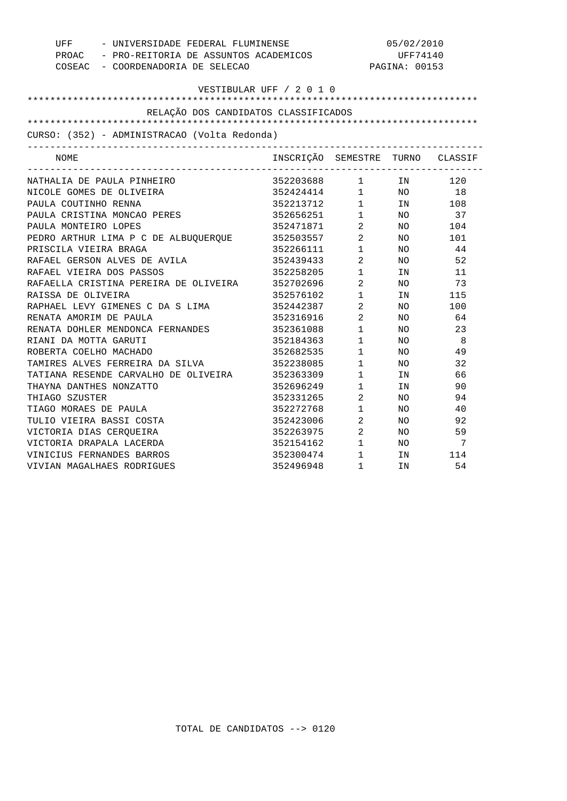| UFF                                          | - UNIVERSIDADE FEDERAL FLUMINENSE           |                        | 05/02/2010    |                |  |
|----------------------------------------------|---------------------------------------------|------------------------|---------------|----------------|--|
|                                              | PROAC - PRO-REITORIA DE ASSUNTOS ACADEMICOS |                        | UFF74140      |                |  |
| COSEAC - COORDENADORIA DE SELECAO            |                                             |                        | PAGINA: 00153 |                |  |
|                                              |                                             |                        |               |                |  |
|                                              | VESTIBULAR UFF / 2 0 1 0                    |                        |               |                |  |
| RELAÇÃO DOS CANDIDATOS CLASSIFICADOS         |                                             |                        |               |                |  |
|                                              |                                             |                        |               |                |  |
| CURSO: (352) - ADMINISTRACAO (Volta Redonda) |                                             |                        |               |                |  |
| ------------------------------------<br>NOME | INSCRIÇÃO SEMESTRE TURNO CLASSIF            |                        |               |                |  |
| NATHALIA DE PAULA PINHEIRO                   | 352203688 1 IN 120                          |                        |               |                |  |
| NICOLE GOMES DE OLIVEIRA                     | $352424414$ 1 NO 18                         |                        |               |                |  |
| PAULA COUTINHO RENNA                         | 352213712 1 IN                              |                        |               | 108            |  |
| PAULA CRISTINA MONCAO PERES                  | 352656251 1                                 |                        | NO            | 37             |  |
| PAULA MONTEIRO LOPES                         | 352471871                                   | $\overline{2}$         | NO            | 104            |  |
| PEDRO ARTHUR LIMA P C DE ALBUQUERQUE         | 352503557 2                                 |                        | NO.           | 101            |  |
| PRISCILA VIEIRA BRAGA                        | 352266111 1                                 |                        | NO.           | 44             |  |
| RAFAEL GERSON ALVES DE AVILA                 | 352439433                                   | $\overline{2}$         | NO.           | 52             |  |
| RAFAEL VIEIRA DOS PASSOS                     | 352258205                                   | $1 \qquad \qquad$      | IN            | 11             |  |
| RAFAELLA CRISTINA PEREIRA DE OLIVEIRA        | 352702696                                   | $\overline{2}$         | NO.           | 73             |  |
| RAISSA DE OLIVEIRA                           | 352576102                                   | $1 \quad \blacksquare$ | IN            | 115            |  |
| RAPHAEL LEVY GIMENES C DA S LIMA             | 352442387                                   | $\overline{2}$         | NO.           | 100            |  |
| RENATA AMORIM DE PAULA                       | 352316916                                   | $\overline{2}$         | NO            | 64             |  |
| RENATA DOHLER MENDONCA FERNANDES             | 352361088                                   | 1                      | NO.           | 23             |  |
| RIANI DA MOTTA GARUTI                        | 352184363                                   | $1 \qquad \qquad$      | NO.           | - 8            |  |
| ROBERTA COELHO MACHADO                       | 352682535                                   | $\mathbf 1$            | NO.           | 49             |  |
| TAMIRES ALVES FERREIRA DA SILVA              | 352238085                                   | $\mathbf 1$            | NO.           | 32             |  |
| TATIANA RESENDE CARVALHO DE OLIVEIRA         | 352363309                                   | $\mathbf{1}$           | IN            | 66             |  |
| THAYNA DANTHES NONZATTO                      | 352696249                                   | $\mathbf 1$            | IN            | 90             |  |
| THIAGO SZUSTER                               | 352331265                                   | $\overline{a}$         | NO.           | 94             |  |
| TIAGO MORAES DE PAULA                        | 352272768                                   | $1$ $\hfill$           | NO.           | 40             |  |
| TULIO VIEIRA BASSI COSTA                     | 352423006                                   | $\overline{a}$         | NO.           | 92             |  |
| VICTORIA DIAS CERQUEIRA                      | 352263975                                   | $\overline{a}$         | NO.           | 59             |  |
| VICTORIA DRAPALA LACERDA                     | 352154162                                   | $\mathbf{1}$           | NO.           | $\overline{7}$ |  |
| VINICIUS FERNANDES BARROS                    | 352300474                                   | $1$ $\,$               | IN            | 114            |  |
| VIVIAN MAGALHAES RODRIGUES                   | 352496948                                   | $\mathbf{1}$           | IN            | 54             |  |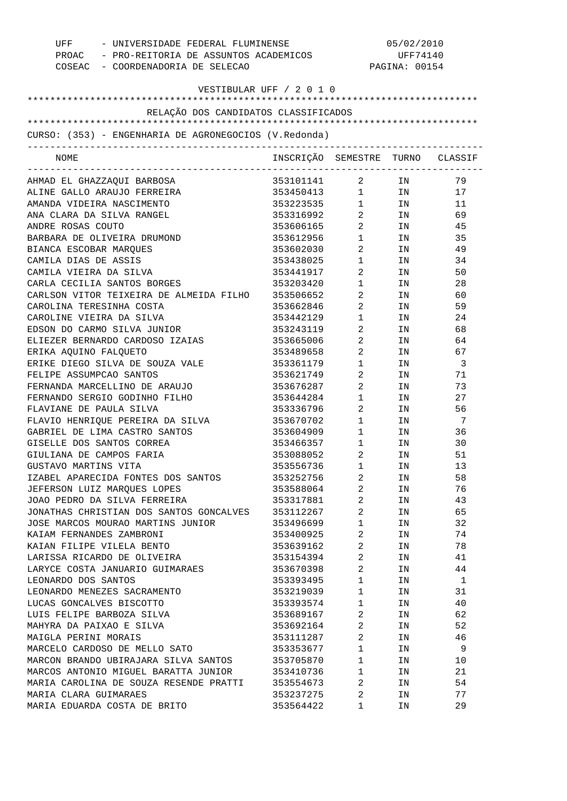| UFF - UNIVERSIDADE FEDERAL FLUMINENSE<br>PROAC - PRO-REITORIA DE ASSUNTOS ACADEMICOS<br>COSEAC - COORDENADORIA DE SELECAO |                                  |                                   | 05/02/2010<br>UFF74140<br>PAGINA: 00154 |          |  |  |
|---------------------------------------------------------------------------------------------------------------------------|----------------------------------|-----------------------------------|-----------------------------------------|----------|--|--|
| VESTIBULAR UFF / 2 0 1 0                                                                                                  |                                  |                                   |                                         |          |  |  |
| RELAÇÃO DOS CANDIDATOS CLASSIFICADOS                                                                                      |                                  |                                   |                                         |          |  |  |
| CURSO: (353) - ENGENHARIA DE AGRONEGOCIOS (V.Redonda)                                                                     |                                  |                                   |                                         |          |  |  |
| NOME                                                                                                                      | INSCRIÇÃO SEMESTRE TURNO CLASSIF |                                   |                                         |          |  |  |
| AHMAD EL GHAZZAQUI BARBOSA                                                                                                | 353101141 2                      |                                   | IN                                      | 79       |  |  |
| ALINE GALLO ARAUJO FERREIRA                                                                                               | 353450413 1 IN                   |                                   |                                         | 17       |  |  |
| AMANDA VIDEIRA NASCIMENTO                                                                                                 | 353223535 1                      |                                   | IN                                      | 11       |  |  |
| ANA CLARA DA SILVA RANGEL                                                                                                 | 353316992                        | $2 \left( \frac{1}{2} \right)$    | IN                                      | 69       |  |  |
| ANDRE ROSAS COUTO                                                                                                         | 353606165                        | $\overline{2}$                    | IN                                      | 45       |  |  |
| BARBARA DE OLIVEIRA DRUMOND                                                                                               | 353612956                        | 1                                 | IN                                      | 35       |  |  |
| BIANCA ESCOBAR MARQUES                                                                                                    | 353602030                        | $\overline{2}$                    | IN                                      | 49       |  |  |
| CAMILA DIAS DE ASSIS                                                                                                      | 353438025                        | $1 \quad \blacksquare$            | IN                                      | 34       |  |  |
| CAMILA VIEIRA DA SILVA                                                                                                    | 353441917                        | $\overline{2}$                    | IN                                      | 50       |  |  |
| CARLA CECILIA SANTOS BORGES                                                                                               | 353203420                        | $1 \qquad \qquad$                 | IN                                      | 28       |  |  |
| CARLSON VITOR TEIXEIRA DE ALMEIDA FILHO                                                                                   | 353506652                        | $\overline{2}$ and $\overline{2}$ | IN                                      | 60       |  |  |
| CAROLINA TERESINHA COSTA                                                                                                  | 353662846                        | $\overline{2}$                    | IN                                      | 59       |  |  |
| CAROLINE VIEIRA DA SILVA                                                                                                  | 353442129                        | $\mathbf{1}$                      | IN                                      | 24       |  |  |
| EDSON DO CARMO SILVA JUNIOR                                                                                               | 353243119                        | $\overline{2}$ and $\overline{2}$ | IN                                      | 68       |  |  |
| ELIEZER BERNARDO CARDOSO IZAIAS                                                                                           | 353665006                        | $\overline{2}$ and $\overline{2}$ | IN                                      | 64       |  |  |
| ERIKA AQUINO FALQUETO                                                                                                     | 353489658                        | $\overline{2}$                    | IN                                      | 67       |  |  |
| ERIKE DIEGO SILVA DE SOUZA VALE                                                                                           | 353361179                        | 1                                 | IN                                      | -3       |  |  |
| FELIPE ASSUMPCAO SANTOS                                                                                                   | 353621749                        | 2                                 | IN                                      | 71       |  |  |
| FERNANDA MARCELLINO DE ARAUJO                                                                                             | 353676287                        | $\overline{2}$                    | IN                                      | 73       |  |  |
| FERNANDO SERGIO GODINHO FILHO                                                                                             | 353644284                        | $\mathbf{1}$                      | IN                                      | 27       |  |  |
| FLAVIANE DE PAULA SILVA                                                                                                   | 353336796                        | $\overline{2}$                    | IN                                      | 56       |  |  |
| FLAVIO HENRIQUE PEREIRA DA SILVA                                                                                          | 353670702                        | $1 \quad \blacksquare$            | IN                                      | -7       |  |  |
| GABRIEL DE LIMA CASTRO SANTOS                                                                                             | 353604909                        | $1 \quad \blacksquare$            | IN                                      | 36       |  |  |
| GISELLE DOS SANTOS CORREA                                                                                                 | 353466357                        | $\mathbf 1$                       | IN                                      | 30       |  |  |
| GIULIANA DE CAMPOS FARIA                                                                                                  | 353088052                        | 2                                 | IN                                      | 51       |  |  |
| GUSTAVO MARTINS VITA                                                                                                      | 353556736                        | 1                                 | ΙN                                      | 13       |  |  |
| IZABEL APARECIDA FONTES DOS SANTOS                                                                                        | 353252756                        | $\overline{2}$                    | ΙN                                      | 58       |  |  |
| JEFERSON LUIZ MARQUES LOPES                                                                                               | 353588064                        | $\sqrt{2}$                        | IN                                      | 76       |  |  |
| JOAO PEDRO DA SILVA FERREIRA                                                                                              | 353317881                        | $\overline{2}$                    | ΙN                                      | 43       |  |  |
| JONATHAS CHRISTIAN DOS SANTOS GONCALVES                                                                                   | 353112267                        | 2                                 | ΙN                                      | 65       |  |  |
| JOSE MARCOS MOURAO MARTINS JUNIOR                                                                                         | 353496699                        | $\mathbf 1$                       | ΙN                                      | 32       |  |  |
| KAIAM FERNANDES ZAMBRONI                                                                                                  | 353400925                        | 2                                 | ΙN                                      | 74       |  |  |
| KAIAN FILIPE VILELA BENTO                                                                                                 | 353639162                        | $\sqrt{2}$                        | ΙN                                      | 78       |  |  |
| LARISSA RICARDO DE OLIVEIRA                                                                                               | 353154394                        | $\overline{2}$                    | IN                                      | 41       |  |  |
| LARYCE COSTA JANUARIO GUIMARAES                                                                                           | 353670398                        | $\overline{2}$                    | ΙN                                      | 44       |  |  |
| LEONARDO DOS SANTOS                                                                                                       | 353393495                        | $\mathbf 1$                       | ΙN                                      | 1        |  |  |
| LEONARDO MENEZES SACRAMENTO                                                                                               | 353219039                        | 1                                 | ΙN                                      | 31       |  |  |
| LUCAS GONCALVES BISCOTTO                                                                                                  | 353393574                        | $\mathbf{1}$                      | ΙN                                      | 40       |  |  |
|                                                                                                                           |                                  |                                   |                                         |          |  |  |
| LUIS FELIPE BARBOZA SILVA                                                                                                 | 353689167                        | 2<br>$\overline{2}$               | ΙN                                      | 62<br>52 |  |  |
| MAHYRA DA PAIXAO E SILVA                                                                                                  | 353692164                        |                                   | ΙN                                      |          |  |  |
| MAIGLA PERINI MORAIS                                                                                                      | 353111287                        | 2                                 | ΙN                                      | 46       |  |  |
| MARCELO CARDOSO DE MELLO SATO                                                                                             | 353353677                        | $\mathbf 1$                       | ΙN                                      | 9        |  |  |
| MARCON BRANDO UBIRAJARA SILVA SANTOS                                                                                      | 353705870                        | 1                                 | ΙN                                      | 10       |  |  |
| MARCOS ANTONIO MIGUEL BARATTA JUNIOR                                                                                      | 353410736                        | $\mathbf 1$                       | ΙN                                      | 21       |  |  |
| MARIA CAROLINA DE SOUZA RESENDE PRATTI                                                                                    | 353554673                        | 2                                 | ΙN                                      | 54       |  |  |
| MARIA CLARA GUIMARAES                                                                                                     | 353237275                        | 2                                 | ΙN                                      | 77       |  |  |
| MARIA EDUARDA COSTA DE BRITO                                                                                              | 353564422                        | 1                                 | ΙN                                      | 29       |  |  |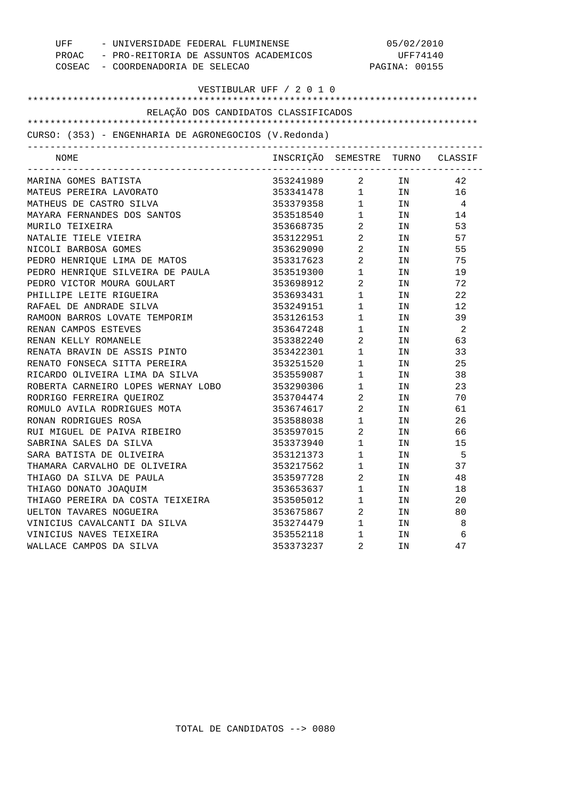|                          | UFF - UNIVERSIDADE FEDERAL FLUMINENSE<br>PROAC - PRO-REITORIA DE ASSUNTOS ACADEMICOS |                                        | 05/02/2010<br>UFF74140                      |                                                                                                                |                |  |
|--------------------------|--------------------------------------------------------------------------------------|----------------------------------------|---------------------------------------------|----------------------------------------------------------------------------------------------------------------|----------------|--|
|                          | COSEAC - COORDENADORIA DE SELECAO                                                    | PAGINA: 00155                          |                                             |                                                                                                                |                |  |
|                          |                                                                                      | VESTIBULAR UFF / 2 0 1 0               |                                             |                                                                                                                |                |  |
|                          |                                                                                      |                                        |                                             |                                                                                                                |                |  |
|                          | RELAÇÃO DOS CANDIDATOS CLASSIFICADOS                                                 |                                        |                                             |                                                                                                                |                |  |
|                          | CURSO: (353) - ENGENHARIA DE AGRONEGOCIOS (V.Redonda)                                |                                        |                                             |                                                                                                                |                |  |
| NOME                     |                                                                                      | INSCRIÇÃO SEMESTRE TURNO CLASSIF       | -----------------------------------         |                                                                                                                |                |  |
| MARINA GOMES BATISTA     |                                                                                      | 353241989 2 IN 42<br>353341478 1 IN 16 |                                             |                                                                                                                |                |  |
|                          | MATEUS PEREIRA LAVORATO                                                              |                                        |                                             |                                                                                                                |                |  |
| MATHEUS DE CASTRO SILVA  |                                                                                      | 353379358 1 IN                         |                                             |                                                                                                                | $\overline{4}$ |  |
|                          | MAYARA FERNANDES DOS SANTOS                                                          | 353518540 1 IN                         |                                             |                                                                                                                | 14             |  |
| MURILO TEIXEIRA          |                                                                                      | 353668735 2 IN                         |                                             |                                                                                                                | 53             |  |
| NATALIE TIELE VIEIRA     |                                                                                      | 353122951 2                            |                                             | IN                                                                                                             | 57             |  |
| NICOLI BARBOSA GOMES     |                                                                                      | 353629090 2                            |                                             | IN                                                                                                             | 55             |  |
|                          | PEDRO HENRIQUE LIMA DE MATOS                                                         | 353317623 2                            |                                             | IN                                                                                                             | 75             |  |
|                          | PEDRO HENRIQUE SILVEIRA DE PAULA 69 353519300 1                                      |                                        |                                             | IN                                                                                                             | 19             |  |
|                          | PEDRO VICTOR MOURA GOULART                                                           | 353698912                              | $\overline{a}$                              | IN                                                                                                             | 72             |  |
| PHILLIPE LEITE RIGUEIRA  |                                                                                      | 353693431                              | $1 \quad \Box$                              | IN                                                                                                             | 22             |  |
| RAFAEL DE ANDRADE SILVA  |                                                                                      | 353249151                              | $1 \quad \Box$                              | IN                                                                                                             | 12             |  |
|                          | RAMOON BARROS LOVATE TEMPORIM                                                        | 353126153                              | $1 \quad \Box$                              | IN                                                                                                             | 39             |  |
| RENAN CAMPOS ESTEVES     |                                                                                      | 353647248                              | $\begin{array}{ccc} 1 & & \\ & \end{array}$ | IN                                                                                                             | $\overline{2}$ |  |
| RENAN KELLY ROMANELE     |                                                                                      | 353382240                              | $\overline{2}$                              | IN                                                                                                             | 63             |  |
|                          | RENATA BRAVIN DE ASSIS PINTO                                                         | 353422301                              | $1 \quad \Box$                              | IN                                                                                                             | 33             |  |
|                          | RENATO FONSECA SITTA PEREIRA                                                         | 353251520                              | $1 \quad \Box$                              | IN                                                                                                             | 25             |  |
|                          | RICARDO OLIVEIRA LIMA DA SILVA                                                       | 353559087                              | $1 \quad \Box$                              | IN                                                                                                             | 38             |  |
|                          | ROBERTA CARNEIRO LOPES WERNAY LOBO                                                   | 353290306                              | $1 \quad \Box$                              | IN                                                                                                             | 23             |  |
| RODRIGO FERREIRA QUEIROZ |                                                                                      | 353704474                              | $\overline{a}$                              | IN                                                                                                             | 70             |  |
|                          | ROMULO AVILA RODRIGUES MOTA                                                          | 353674617 2                            |                                             | IN                                                                                                             | 61             |  |
| RONAN RODRIGUES ROSA     |                                                                                      | 353588038 1                            |                                             | IN                                                                                                             | 26             |  |
|                          | RUI MIGUEL DE PAIVA RIBEIRO                                                          | 353597015 2                            |                                             | IN THE TERM OF THE TERM OF THE TERM OF THE TERM OF THE TERM OF THE TERM OF THE TERM OF THE TERM OF THE TERM OF | 66             |  |
| SABRINA SALES DA SILVA   |                                                                                      | 353373940                              | $1 \quad \Box$                              | IN                                                                                                             | 15             |  |
| SARA BATISTA DE OLIVEIRA |                                                                                      | 353121373                              | $1 \quad \blacksquare$                      | IN                                                                                                             | 5              |  |
|                          | THAMARA CARVALHO DE OLIVEIRA                                                         | 353217562                              | 1                                           | IN                                                                                                             | 37             |  |
| THIAGO DA SILVA DE PAULA |                                                                                      | 353597728                              | 2                                           | ΙN                                                                                                             | 48             |  |
| THIAGO DONATO JOAQUIM    |                                                                                      | 353653637                              | $\mathbf 1$                                 | ΙN                                                                                                             | 18             |  |
|                          | THIAGO PEREIRA DA COSTA TEIXEIRA                                                     | 353505012                              | 1                                           | ΙN                                                                                                             | 20             |  |
| UELTON TAVARES NOGUEIRA  |                                                                                      | 353675867                              | 2                                           | ΙN                                                                                                             | 80             |  |
|                          | VINICIUS CAVALCANTI DA SILVA                                                         | 353274479                              | $\mathbf{1}$                                | ΙN                                                                                                             | 8              |  |
| VINICIUS NAVES TEIXEIRA  |                                                                                      | 353552118                              | $\mathbf 1$                                 | ΙN                                                                                                             | 6              |  |
| WALLACE CAMPOS DA SILVA  |                                                                                      | 353373237                              | 2                                           | IN                                                                                                             | 47             |  |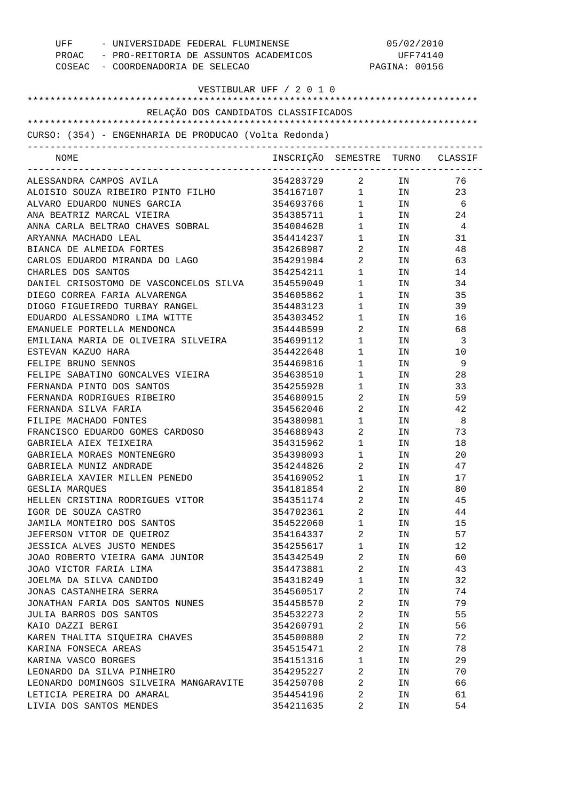| UFF<br>- UNIVERSIDADE FEDERAL FLUMINENSE<br>PROAC - PRO-REITORIA DE ASSUNTOS ACADEMICOS<br>COSEAC - COORDENADORIA DE SELECAO |                                  |                                | 05/02/2010<br>UFF74140<br>PAGINA: 00156                                                                        |     |
|------------------------------------------------------------------------------------------------------------------------------|----------------------------------|--------------------------------|----------------------------------------------------------------------------------------------------------------|-----|
| VESTIBULAR UFF / 2 0 1 0                                                                                                     |                                  |                                |                                                                                                                |     |
|                                                                                                                              |                                  |                                |                                                                                                                |     |
| RELAÇÃO DOS CANDIDATOS CLASSIFICADOS                                                                                         |                                  |                                |                                                                                                                |     |
| CURSO: (354) - ENGENHARIA DE PRODUCAO (Volta Redonda)                                                                        |                                  |                                |                                                                                                                |     |
|                                                                                                                              |                                  |                                |                                                                                                                |     |
| NOME                                                                                                                         | INSCRIÇÃO SEMESTRE TURNO CLASSIF |                                |                                                                                                                |     |
| ALESSANDRA CAMPOS AVILA                                                                                                      | 354283729 2 IN                   |                                |                                                                                                                | 76  |
| ALOISIO SOUZA RIBEIRO PINTO FILHO                                                                                            | 354167107 1 IN                   |                                |                                                                                                                | 23  |
| ALVARO EDUARDO NUNES GARCIA                                                                                                  | 354693766                        |                                | $1$ IN                                                                                                         | - 6 |
| ANA BEATRIZ MARCAL VIEIRA                                                                                                    | 354385711                        |                                | $1$ IN                                                                                                         | 24  |
| ANNA CARLA BELTRAO CHAVES SOBRAL                                                                                             | 354004628                        | $1 \qquad \qquad$              | IN                                                                                                             | 4   |
| ARYANNA MACHADO LEAL                                                                                                         | 354414237                        | $1 \qquad \qquad$              | IN THE TEST OF THE TEST OF THE TEST OF THE TEST OF THE TEST OF THE TEST OF THE TEST OF THE TEST OF THE TEST OF | 31  |
| BIANCA DE ALMEIDA FORTES                                                                                                     | 354268987                        | $\overline{2}$                 | IN                                                                                                             | 48  |
| CARLOS EDUARDO MIRANDA DO LAGO                                                                                               | 354291984                        | $\overline{2}$                 | IN                                                                                                             | 63  |
| CHARLES DOS SANTOS                                                                                                           | 354254211                        | $1 \quad \blacksquare$         | IN                                                                                                             | 14  |
| DANIEL CRISOSTOMO DE VASCONCELOS SILVA                                                                                       | 354559049                        | $1 \quad \blacksquare$         | IN                                                                                                             | 34  |
| DIEGO CORREA FARIA ALVARENGA                                                                                                 | 354605862                        | $1 \quad \blacksquare$         | IN                                                                                                             | 35  |
| DIOGO FIGUEIREDO TURBAY RANGEL                                                                                               | 354483123                        | $1 \quad \blacksquare$         | IN                                                                                                             | 39  |
| EDUARDO ALESSANDRO LIMA WITTE                                                                                                | 354303452                        | $1 \quad \blacksquare$         | IN                                                                                                             | 16  |
| EMANUELE PORTELLA MENDONCA                                                                                                   | 354448599                        | $\overline{2}$                 | IN                                                                                                             | 68  |
| EMILIANA MARIA DE OLIVEIRA SILVEIRA                                                                                          | 354699112                        | $1 \quad \blacksquare$         | IN                                                                                                             | -3  |
| ESTEVAN KAZUO HARA                                                                                                           | 354422648                        | $1 \quad \blacksquare$         | IN                                                                                                             | 10  |
| FELIPE BRUNO SENNOS                                                                                                          | 354469816                        | $1 \quad \blacksquare$         | IN                                                                                                             | 9   |
| FELIPE SABATINO GONCALVES VIEIRA                                                                                             | 354638510                        | $1 \quad \Box$                 | IN                                                                                                             | 28  |
| FERNANDA PINTO DOS SANTOS                                                                                                    | 354255928                        | $1 \quad \blacksquare$         | IN                                                                                                             | 33  |
| FERNANDA RODRIGUES RIBEIRO                                                                                                   | 354680915                        | $\overline{2}$                 | IN                                                                                                             | 59  |
| FERNANDA SILVA FARIA                                                                                                         | 354562046                        | $\overline{2}$                 | IN                                                                                                             | 42  |
| FILIPE MACHADO FONTES                                                                                                        | 354380981                        | $1 \qquad \qquad$              | IN                                                                                                             | - 8 |
| FRANCISCO EDUARDO GOMES CARDOSO                                                                                              | 354688943                        | $\overline{2}$                 | IN                                                                                                             | 73  |
| GABRIELA AIEX TEIXEIRA                                                                                                       | 354315962                        | $1 \quad \blacksquare$         | IN                                                                                                             | 18  |
| GABRIELA MORAES MONTENEGRO                                                                                                   | 354398093                        | $\mathbf{1}$                   | IN                                                                                                             | 20  |
| GABRIELA MUNIZ ANDRADE                                                                                                       | 354244826                        | $\overline{a}$                 | IN                                                                                                             | 47  |
| GABRIELA XAVIER MILLEN PENEDO                                                                                                | 354169052                        | $1 \quad \blacksquare$         | IN                                                                                                             | 17  |
| GESLIA MAROUES                                                                                                               | 354181854                        | $2 \left( \frac{1}{2} \right)$ | IN                                                                                                             | 80  |
| HELLEN CRISTINA RODRIGUES VITOR                                                                                              | 354351174                        | $\overline{2}$                 | IN                                                                                                             | 45  |
| IGOR DE SOUZA CASTRO                                                                                                         | 354702361                        | $\overline{2}$                 | IN                                                                                                             | 44  |
| JAMILA MONTEIRO DOS SANTOS                                                                                                   | 354522060                        | $1 \quad \Box$                 | IN                                                                                                             | 15  |
| JEFERSON VITOR DE OUEIROZ                                                                                                    | 354164337                        | $2 \left( \frac{1}{2} \right)$ | IN                                                                                                             | 57  |
| JESSICA ALVES JUSTO MENDES                                                                                                   | 354255617                        | $1 \quad \blacksquare$         | IN                                                                                                             | 12  |
| JOAO ROBERTO VIEIRA GAMA JUNIOR                                                                                              | 354342549                        | $\overline{2}$                 | IN                                                                                                             | 60  |
| JOAO VICTOR FARIA LIMA                                                                                                       | 354473881                        | $\overline{2}$                 | IN                                                                                                             | 43  |
| JOELMA DA SILVA CANDIDO                                                                                                      | 354318249                        | $1 \quad \blacksquare$         | IN                                                                                                             | 32  |
| JONAS CASTANHEIRA SERRA                                                                                                      | 354560517                        | $\overline{2}$                 | IN                                                                                                             | 74  |
| JONATHAN FARIA DOS SANTOS NUNES                                                                                              | 354458570                        | $2 \left( \frac{1}{2} \right)$ | IN                                                                                                             | 79  |
| JULIA BARROS DOS SANTOS                                                                                                      | 354532273                        | $\overline{2}$                 | IN                                                                                                             | 55  |
| KAIO DAZZI BERGI                                                                                                             | 354260791                        | $\overline{2}$                 | IN                                                                                                             | 56  |
| KAREN THALITA SIQUEIRA CHAVES                                                                                                | 354500880                        | $\overline{2}$                 | IN                                                                                                             | 72  |
| KARINA FONSECA AREAS                                                                                                         | 354515471                        | $\overline{2}$                 | IN                                                                                                             | 78  |
| KARINA VASCO BORGES                                                                                                          | 354151316                        | $1 \quad \blacksquare$         | IN                                                                                                             | 29  |
| LEONARDO DA SILVA PINHEIRO                                                                                                   | 354295227                        | $\overline{2}$                 | IN                                                                                                             | 70  |
| LEONARDO DOMINGOS SILVEIRA MANGARAVITE                                                                                       | 354250708                        | $2 \left( \frac{1}{2} \right)$ | IN                                                                                                             | 66  |
| LETICIA PEREIRA DO AMARAL                                                                                                    | 354454196                        | $\overline{2}$                 | IN                                                                                                             | 61  |
| LIVIA DOS SANTOS MENDES                                                                                                      | 354211635                        | 2                              | ΙN                                                                                                             | 54  |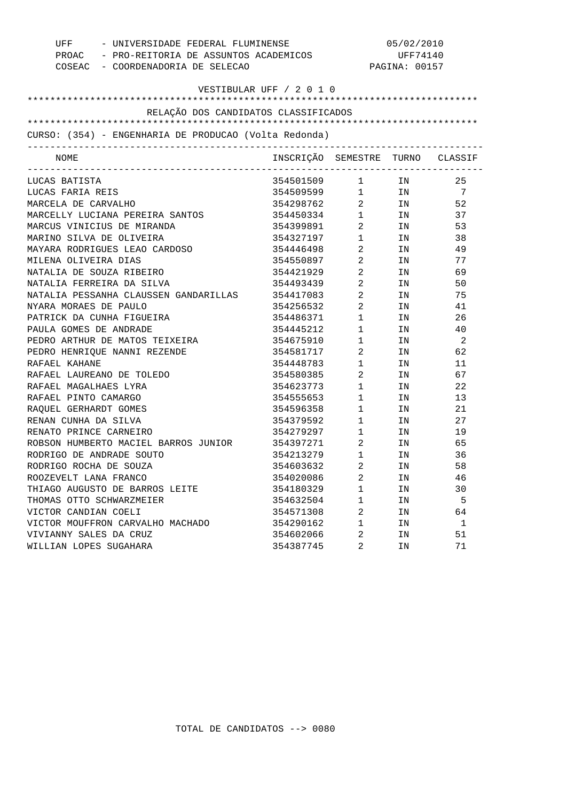|                        | UFF - UNIVERSIDADE FEDERAL FLUMINENSE                 |                                             | 05/02/2010                                    |                           |                |  |
|------------------------|-------------------------------------------------------|---------------------------------------------|-----------------------------------------------|---------------------------|----------------|--|
|                        | COSEAC - COORDENADORIA DE SELECAO                     | PROAC - PRO-REITORIA DE ASSUNTOS ACADEMICOS |                                               | UFF74140<br>PAGINA: 00157 |                |  |
|                        |                                                       |                                             |                                               |                           |                |  |
|                        |                                                       | VESTIBULAR UFF / 2 0 1 0                    |                                               |                           |                |  |
|                        |                                                       |                                             |                                               |                           |                |  |
|                        | RELAÇÃO DOS CANDIDATOS CLASSIFICADOS                  |                                             |                                               |                           |                |  |
|                        | CURSO: (354) - ENGENHARIA DE PRODUCAO (Volta Redonda) |                                             |                                               |                           |                |  |
| NOME                   |                                                       | INSCRIÇÃO SEMESTRE TURNO CLASSIF            |                                               |                           |                |  |
|                        |                                                       |                                             |                                               |                           |                |  |
| LUCAS BATISTA          |                                                       | 354501509                                   | $1 \quad \blacksquare$                        | IN                        | 25             |  |
| LUCAS FARIA REIS       |                                                       | 354509599 1 IN 7                            |                                               |                           |                |  |
| MARCELA DE CARVALHO    |                                                       | 354298762 2 IN                              |                                               |                           | 52             |  |
|                        | MARCELLY LUCIANA PEREIRA SANTOS                       | 354450334 1                                 |                                               | IN                        | 37             |  |
|                        | MARCUS VINICIUS DE MIRANDA                            | 354399891                                   | $\overline{a}$                                | IN                        | 53             |  |
|                        | MARINO SILVA DE OLIVEIRA                              | 354327197                                   | $1$ $\hfill$                                  | IN                        | 38             |  |
|                        | MAYARA RODRIGUES LEAO CARDOSO                         | 354446498                                   | $\overline{a}$                                | IN                        | 49             |  |
| MILENA OLIVEIRA DIAS   |                                                       | 354550897                                   | $\overline{2}$                                | IN                        | 77             |  |
|                        | NATALIA DE SOUZA RIBEIRO                              | 354421929                                   | $\overline{a}$                                | IN                        | 69             |  |
|                        | NATALIA FERREIRA DA SILVA                             | 354493439                                   | $\overline{2}$                                | IN                        | 50             |  |
|                        | NATALIA PESSANHA CLAUSSEN GANDARILLAS 354417083       |                                             | $\overline{a}$                                | IN                        | 75             |  |
| NYARA MORAES DE PAULO  |                                                       | 354256532                                   | $\overline{2}$                                | IN                        | 41             |  |
|                        | PATRICK DA CUNHA FIGUEIRA                             | 354486371                                   | $\mathbf{1}$                                  | IN                        | 26             |  |
| PAULA GOMES DE ANDRADE |                                                       | 354445212                                   | $1 \quad \Box$                                | IN                        | 40             |  |
|                        | PEDRO ARTHUR DE MATOS TEIXEIRA                        | 354675910                                   | $\mathbf{1}$                                  | IN                        | $\overline{2}$ |  |
|                        | PEDRO HENRIQUE NANNI REZENDE                          | 354581717                                   | $\overline{2}$                                | IN                        | 62             |  |
| RAFAEL KAHANE          |                                                       | 354448783                                   | $1$ $\hfill$                                  | IN                        | 11             |  |
|                        | RAFAEL LAUREANO DE TOLEDO                             | 354580385                                   | $\overline{a}$                                | IN                        | 67             |  |
| RAFAEL MAGALHAES LYRA  |                                                       | 354623773                                   | $\mathbf{1}$                                  | IN                        | 22             |  |
| RAFAEL PINTO CAMARGO   |                                                       | 354555653                                   | $\mathbf{1}$                                  | IN                        | 13             |  |
| RAQUEL GERHARDT GOMES  |                                                       | 354596358                                   | $\begin{array}{ccc} 1 & & \\ & & \end{array}$ | IN                        | 21             |  |
| RENAN CUNHA DA SILVA   |                                                       | 354379592                                   | $\mathbf{1}$                                  | IN                        | 27             |  |
| RENATO PRINCE CARNEIRO |                                                       | 354279297                                   | $\mathbf{1}$                                  | IN                        | 19             |  |
|                        | ROBSON HUMBERTO MACIEL BARROS JUNIOR 354397271        |                                             | $\overline{2}$                                | IN                        | 65             |  |
|                        | RODRIGO DE ANDRADE SOUTO                              | 354213279                                   | $\mathbf 1$                                   | IN                        | 36             |  |
| RODRIGO ROCHA DE SOUZA |                                                       | 354603632                                   | $\overline{2}$                                | IN                        | 58             |  |
| ROOZEVELT LANA FRANCO  |                                                       | 354020086                                   | 2                                             | ΙN                        | 46             |  |
|                        | THIAGO AUGUSTO DE BARROS LEITE                        | 354180329                                   | 1                                             | ΙN                        | 30             |  |
|                        | THOMAS OTTO SCHWARZMEIER                              | 354632504                                   | 1                                             | ΙN                        | 5              |  |
| VICTOR CANDIAN COELI   |                                                       | 354571308                                   | 2                                             | ΙN                        | 64             |  |
|                        | VICTOR MOUFFRON CARVALHO MACHADO                      | 354290162                                   | 1                                             | ΙN                        | $\mathbf{1}$   |  |
| VIVIANNY SALES DA CRUZ |                                                       | 354602066                                   | 2                                             | ΙN                        | 51             |  |
| WILLIAN LOPES SUGAHARA |                                                       | 354387745                                   | 2                                             | ΙN                        | 71             |  |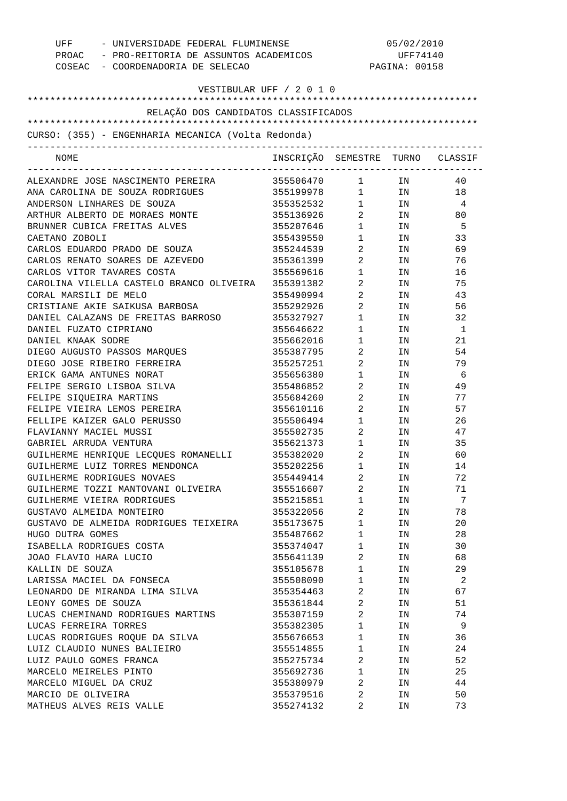| UFF<br>- UNIVERSIDADE FEDERAL FLUMINENSE<br>PROAC - PRO-REITORIA DE ASSUNTOS ACADEMICOS<br>COSEAC - COORDENADORIA DE SELECAO |                                  | PAGINA: 00158                     |                                                                                                                | 05/02/2010<br>UFF74140     |
|------------------------------------------------------------------------------------------------------------------------------|----------------------------------|-----------------------------------|----------------------------------------------------------------------------------------------------------------|----------------------------|
| VESTIBULAR UFF / 2 0 1 0                                                                                                     |                                  |                                   |                                                                                                                |                            |
| RELAÇÃO DOS CANDIDATOS CLASSIFICADOS                                                                                         |                                  |                                   |                                                                                                                |                            |
|                                                                                                                              |                                  |                                   |                                                                                                                |                            |
| CURSO: (355) - ENGENHARIA MECANICA (Volta Redonda)                                                                           |                                  |                                   |                                                                                                                |                            |
| NOME                                                                                                                         |                                  |                                   |                                                                                                                |                            |
|                                                                                                                              | INSCRIÇÃO SEMESTRE TURNO CLASSIF |                                   |                                                                                                                |                            |
| ALEXANDRE JOSE NASCIMENTO PEREIRA                                                                                            | 355506470 1 IN                   |                                   |                                                                                                                | 40                         |
| ANA CAROLINA DE SOUZA RODRIGUES                                                                                              | 355199978 1 IN                   |                                   |                                                                                                                | 18                         |
| ANDERSON LINHARES DE SOUZA                                                                                                   | 355352532                        | $1 \quad \blacksquare$            | IN                                                                                                             | 4                          |
| ARTHUR ALBERTO DE MORAES MONTE                                                                                               | 355136926                        | $\overline{2}$                    | IN                                                                                                             | 80                         |
| BRUNNER CUBICA FREITAS ALVES                                                                                                 | 355207646                        | $1 \quad \blacksquare$            | IN                                                                                                             | - 5                        |
| CAETANO ZOBOLI                                                                                                               | 355439550                        | $1 \qquad \qquad$                 | IN                                                                                                             | 33                         |
| CARLOS EDUARDO PRADO DE SOUZA                                                                                                | 355244539                        | $2 \left( \frac{1}{2} \right)$    | IN                                                                                                             | 69                         |
| CARLOS RENATO SOARES DE AZEVEDO                                                                                              | 355361399                        | $\overline{2}$ and $\overline{2}$ | IN                                                                                                             | 76                         |
| CARLOS VITOR TAVARES COSTA                                                                                                   | 355569616                        | $\mathbf{1}$                      | IN                                                                                                             | 16                         |
| CAROLINA VILELLA CASTELO BRANCO OLIVEIRA                                                                                     | 355391382                        | $\mathbf{2}$                      | IN                                                                                                             | 75                         |
| CORAL MARSILI DE MELO                                                                                                        | 355490994                        | $\mathbf{2}$                      | IN                                                                                                             | 43                         |
| CRISTIANE AKIE SAIKUSA BARBOSA                                                                                               | 355292926                        | $2 \qquad \qquad$                 | IN                                                                                                             | 56                         |
| DANIEL CALAZANS DE FREITAS BARROSO                                                                                           | 355327927                        | $1 \quad \blacksquare$            | IN                                                                                                             | 32                         |
| DANIEL FUZATO CIPRIANO                                                                                                       | 355646622                        | $\mathbf{1}$                      | IN                                                                                                             | 1                          |
| DANIEL KNAAK SODRE                                                                                                           | 355662016                        | $\mathbf{1}$                      | IN                                                                                                             | 21                         |
| DIEGO AUGUSTO PASSOS MAROUES                                                                                                 | 355387795                        | 2                                 | IN                                                                                                             | 54                         |
| DIEGO JOSE RIBEIRO FERREIRA                                                                                                  | 355257251                        | 2                                 | IN                                                                                                             | 79                         |
| ERICK GAMA ANTUNES NORAT                                                                                                     | 355656380                        | $\mathbf{1}$                      | IN                                                                                                             | - 6                        |
| FELIPE SERGIO LISBOA SILVA                                                                                                   | 355486852                        | 2                                 | IN                                                                                                             | 49                         |
| FELIPE SIQUEIRA MARTINS                                                                                                      | 355684260                        | $\mathbf{2}$                      | IN                                                                                                             | 77                         |
| FELIPE VIEIRA LEMOS PEREIRA                                                                                                  | 355610116                        | $2 \left( \frac{1}{2} \right)$    | IN                                                                                                             | 57                         |
| FELLIPE KAIZER GALO PERUSSO                                                                                                  | 355506494                        | $1 \qquad \qquad$                 | IN                                                                                                             | 26                         |
| FLAVIANNY MACIEL MUSSI                                                                                                       | 355502735                        | $\overline{2}$                    | IN                                                                                                             | 47                         |
| GABRIEL ARRUDA VENTURA                                                                                                       | 355621373                        | $\mathbf{1}$                      | IN                                                                                                             | 35                         |
| GUILHERME HENRIQUE LECQUES ROMANELLI                                                                                         | 355382020                        | 2                                 | IN                                                                                                             | 60                         |
| GUILHERME LUIZ TORRES MENDONCA                                                                                               | 355202256 1                      |                                   | IN                                                                                                             | 14                         |
| GUILHERME RODRIGUES NOVAES                                                                                                   | 355449414 2                      |                                   | IN                                                                                                             | 72                         |
| GUILHERME TOZZI MANTOVANI OLIVEIRA                                                                                           | 355516607 2                      |                                   | IN                                                                                                             | 71                         |
| GUILHERME VIEIRA RODRIGUES                                                                                                   | 355215851 1                      |                                   | IN                                                                                                             | 7                          |
| GUSTAVO ALMEIDA MONTEIRO                                                                                                     | 355322056 2                      |                                   | IN                                                                                                             | 78                         |
| GUSTAVO DE ALMEIDA RODRIGUES TEIXEIRA                                                                                        | 355173675 1                      |                                   | IN                                                                                                             | 20                         |
| HUGO DUTRA GOMES                                                                                                             | 355487662 1                      |                                   | IN                                                                                                             | 28                         |
| ISABELLA RODRIGUES COSTA                                                                                                     | 355374047 1                      |                                   | IN                                                                                                             | 30                         |
| JOAO FLAVIO HARA LUCIO                                                                                                       | 355641139 2                      |                                   | IN                                                                                                             | 68                         |
| KALLIN DE SOUZA                                                                                                              | 355105678 1                      |                                   | IN                                                                                                             | 29                         |
| LARISSA MACIEL DA FONSECA                                                                                                    | 355508090 1                      |                                   | IN                                                                                                             | $\overline{\phantom{a}}$ 2 |
| LEONARDO DE MIRANDA LIMA SILVA                                                                                               | 355354463 2                      |                                   | IN                                                                                                             | 67                         |
| LEONY GOMES DE SOUZA                                                                                                         | 355361844 2                      |                                   | IN THE TEST OF THE TEST OF THE TEST OF THE TEST OF THE TEST OF THE TEST OF THE TEST OF THE TEST OF THE TEST OF | 51                         |
| LUCAS CHEMINAND RODRIGUES MARTINS                                                                                            | 355307159 2                      |                                   | IN                                                                                                             | 74                         |
| LUCAS FERREIRA TORRES                                                                                                        | 355382305 1                      |                                   | IN                                                                                                             | $\overline{9}$             |
| LUCAS RODRIGUES ROQUE DA SILVA                                                                                               | 355676653 1                      |                                   | IN                                                                                                             | 36                         |
| LUIZ CLAUDIO NUNES BALIEIRO                                                                                                  | 355514855 1                      |                                   | IN                                                                                                             | 24                         |
| LUIZ PAULO GOMES FRANCA                                                                                                      | 355275734 2                      |                                   | IN                                                                                                             | 52                         |
| MARCELO MEIRELES PINTO                                                                                                       | 355692736 1                      |                                   | IN                                                                                                             | 25                         |
| MARCELO MIGUEL DA CRUZ                                                                                                       | 355380979 2                      |                                   | IN                                                                                                             | 44                         |
| MARCIO DE OLIVEIRA                                                                                                           | 355379516 2                      |                                   | IN                                                                                                             | 50                         |
| MATHEUS ALVES REIS VALLE                                                                                                     | 355274132                        | $\overline{\mathbf{2}}$           | IN                                                                                                             | 73                         |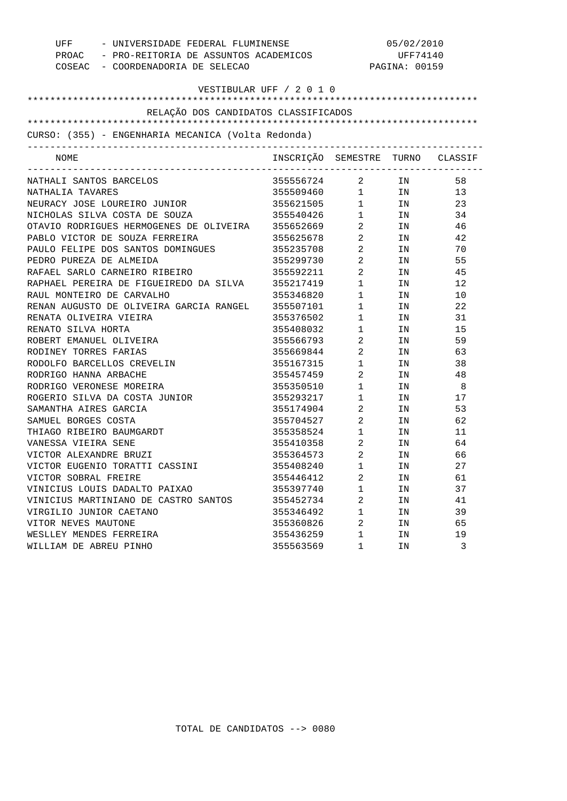|                               | UFF - UNIVERSIDADE FEDERAL FLUMINENSE                  |                                                                                                               | 05/02/2010                                    |    |     |  |
|-------------------------------|--------------------------------------------------------|---------------------------------------------------------------------------------------------------------------|-----------------------------------------------|----|-----|--|
|                               |                                                        | PROAC - PRO-REITORIA DE ASSUNTOS ACADEMICOS<br>UFF74140<br>COSEAC - COORDENADORIA DE SELECAO<br>PAGINA: 00159 |                                               |    |     |  |
|                               |                                                        |                                                                                                               |                                               |    |     |  |
|                               |                                                        | VESTIBULAR UFF / 2 0 1 0                                                                                      |                                               |    |     |  |
|                               |                                                        |                                                                                                               |                                               |    |     |  |
|                               | RELAÇÃO DOS CANDIDATOS CLASSIFICADOS                   |                                                                                                               |                                               |    |     |  |
|                               |                                                        |                                                                                                               |                                               |    |     |  |
|                               | CURSO: (355) - ENGENHARIA MECANICA (Volta Redonda)     |                                                                                                               |                                               |    |     |  |
| NOME                          |                                                        | INSCRIÇÃO SEMESTRE TURNO CLASSIF                                                                              |                                               |    |     |  |
| NATHALI SANTOS BARCELOS       |                                                        |                                                                                                               |                                               |    | 58  |  |
| NATHALIA TAVARES              |                                                        |                                                                                                               |                                               |    | 13  |  |
|                               | NEURACY JOSE LOUREIRO JUNIOR                           | 355621505 1 IN                                                                                                |                                               |    | 23  |  |
|                               | NICHOLAS SILVA COSTA DE SOUZA                          | 355540426 1 IN                                                                                                |                                               |    | 34  |  |
|                               | OTAVIO RODRIGUES HERMOGENES DE OLIVEIRA 355652669 2 IN |                                                                                                               |                                               |    | 46  |  |
|                               | PABLO VICTOR DE SOUZA FERREIRA                         | 355625678 2 IN                                                                                                |                                               |    | 42  |  |
|                               | PAULO FELIPE DOS SANTOS DOMINGUES 355235708 2          |                                                                                                               |                                               | IN | 70  |  |
| PEDRO PUREZA DE ALMEIDA       |                                                        | 355299730 2                                                                                                   |                                               | IN | 55  |  |
|                               | RAFAEL SARLO CARNEIRO RIBEIRO                          | 355592211 2                                                                                                   |                                               | IN | 45  |  |
|                               | RAPHAEL PEREIRA DE FIGUEIREDO DA SILVA 355217419       |                                                                                                               | $\mathbf{1}$                                  | IN | 12  |  |
| RAUL MONTEIRO DE CARVALHO     |                                                        | 355346820                                                                                                     | $\mathbf{1}$                                  | IN | 10  |  |
|                               | RENAN AUGUSTO DE OLIVEIRA GARCIA RANGEL 355507101      |                                                                                                               | $1 \quad \Box$                                | IN | 22  |  |
| RENATA OLIVEIRA VIEIRA        |                                                        | 355376502 1                                                                                                   |                                               | IN | 31  |  |
| RENATO SILVA HORTA            |                                                        | 355408032 1                                                                                                   |                                               | IN | 15  |  |
| ROBERT EMANUEL OLIVEIRA       |                                                        | 355566793 2                                                                                                   |                                               | IN | 59  |  |
| RODINEY TORRES FARIAS         |                                                        | 355669844 2                                                                                                   |                                               | IN | 63  |  |
| RODOLFO BARCELLOS CREVELIN    |                                                        | 355167315                                                                                                     | $\begin{array}{ccc} 1 & & \\ & & \end{array}$ | IN | 38  |  |
| RODRIGO HANNA ARBACHE         |                                                        | 355457459                                                                                                     | $\overline{a}$                                | IN | 48  |  |
| RODRIGO VERONESE MOREIRA      |                                                        | 355350510                                                                                                     | $\begin{array}{ccc} 1 & & \\ & & \end{array}$ | IN | - 8 |  |
|                               | ROGERIO SILVA DA COSTA JUNIOR                          | 355293217                                                                                                     | $\mathbf{1}$                                  | IN | 17  |  |
| SAMANTHA AIRES GARCIA         |                                                        | 355174904 2                                                                                                   |                                               | IN | 53  |  |
| SAMUEL BORGES COSTA           |                                                        | 355704527 2                                                                                                   |                                               | IN | 62  |  |
| THIAGO RIBEIRO BAUMGARDT      |                                                        | 355358524 1                                                                                                   |                                               | IN | 11  |  |
| VANESSA VIEIRA SENE           |                                                        | 355410358 2                                                                                                   |                                               | IN | 64  |  |
| VICTOR ALEXANDRE BRUZI        |                                                        | 355364573                                                                                                     | $\overline{2}$                                | IN | 66  |  |
|                               | VICTOR EUGENIO TORATTI CASSINI                         | 355408240                                                                                                     | 1                                             | IN | 27  |  |
| VICTOR SOBRAL FREIRE          |                                                        | 355446412                                                                                                     | 2                                             | ΙN | 61  |  |
| VINICIUS LOUIS DADALTO PAIXAO |                                                        | 355397740                                                                                                     | $\mathbf 1$                                   | ΙN | 37  |  |
|                               | VINICIUS MARTINIANO DE CASTRO SANTOS                   | 355452734                                                                                                     | 2                                             | ΙN | 41  |  |
| VIRGILIO JUNIOR CAETANO       |                                                        | 355346492                                                                                                     | 1                                             | ΙN | 39  |  |
| VITOR NEVES MAUTONE           |                                                        | 355360826                                                                                                     | 2                                             | ΙN | 65  |  |
| WESLLEY MENDES FERREIRA       |                                                        | 355436259                                                                                                     | $\mathbf 1$                                   | ΙN | 19  |  |
| WILLIAM DE ABREU PINHO        |                                                        | 355563569                                                                                                     | 1                                             | ΙN | 3   |  |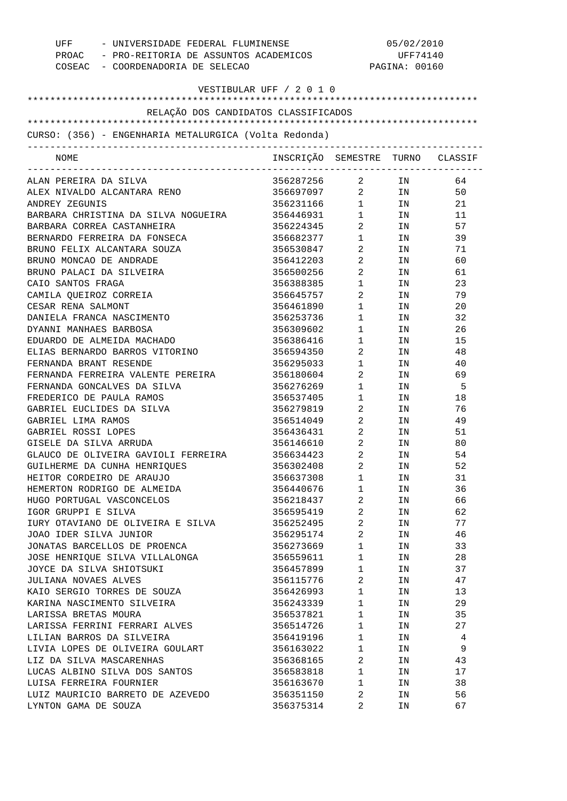| UFF<br>- UNIVERSIDADE FEDERAL FLUMINENSE<br>PROAC - PRO-REITORIA DE ASSUNTOS ACADEMICOS<br>COSEAC - COORDENADORIA DE SELECAO |                                  | 05/02/2010<br>UFF74140<br>PAGINA: 00160          |          |          |
|------------------------------------------------------------------------------------------------------------------------------|----------------------------------|--------------------------------------------------|----------|----------|
| VESTIBULAR UFF / 2 0 1 0                                                                                                     |                                  |                                                  |          |          |
|                                                                                                                              |                                  |                                                  |          |          |
| RELAÇÃO DOS CANDIDATOS CLASSIFICADOS                                                                                         |                                  |                                                  |          |          |
|                                                                                                                              |                                  |                                                  |          |          |
| CURSO: (356) - ENGENHARIA METALURGICA (Volta Redonda)                                                                        |                                  |                                                  |          |          |
| NOME                                                                                                                         | INSCRIÇÃO SEMESTRE TURNO CLASSIF |                                                  |          |          |
| ALAN PEREIRA DA SILVA                                                                                                        | 356287256 2 IN                   |                                                  |          | 64       |
| ALEX NIVALDO ALCANTARA RENO                                                                                                  | 356697097 2 IN                   |                                                  |          | 50       |
| ANDREY ZEGUNIS                                                                                                               | 356231166                        |                                                  | $1$ IN   | 21       |
| BARBARA CHRISTINA DA SILVA NOGUEIRA                                                                                          | 356446931                        | $1 \qquad \qquad$                                | IN       | 11       |
| BARBARA CORREA CASTANHEIRA                                                                                                   | 356224345                        | $\overline{2}$                                   | IN       | 57       |
| BERNARDO FERREIRA DA FONSECA                                                                                                 | 356682377                        | $1 \quad \blacksquare$                           | IN       | 39       |
| BRUNO FELIX ALCANTARA SOUZA                                                                                                  | 356530847                        | $\overline{2}$                                   | IN       | 71       |
| BRUNO MONCAO DE ANDRADE                                                                                                      | 356412203                        | $\overline{2}$                                   | IN       | 60       |
| BRUNO PALACI DA SILVEIRA                                                                                                     | 356500256                        | $\overline{2}$                                   | IN       | 61       |
| CAIO SANTOS FRAGA                                                                                                            | 356388385                        | $1 \qquad \qquad$                                | IN       | 23       |
| CAMILA QUEIROZ CORREIA                                                                                                       | 356645757                        | $\overline{2}$                                   | IN       | 79       |
| CESAR RENA SALMONT                                                                                                           | 356461890                        | $1 \quad \cdots$                                 | IN       | 20       |
| DANIELA FRANCA NASCIMENTO                                                                                                    | 356253736                        | $1 \quad \blacksquare$                           | IN       | 32       |
| DYANNI MANHAES BARBOSA                                                                                                       | 356309602                        | $1 \quad \blacksquare$                           | IN       | 26       |
| EDUARDO DE ALMEIDA MACHADO                                                                                                   | 356386416                        | $1 \qquad \qquad$                                | IN       | 15       |
| ELIAS BERNARDO BARROS VITORINO                                                                                               | 356594350                        | $2 \left( \frac{1}{2} \right)$                   | IN       | 48       |
| FERNANDA BRANT RESENDE                                                                                                       | 356295033                        | $1 \quad \blacksquare$                           | IN       | 40       |
| FERNANDA FERREIRA VALENTE PEREIRA                                                                                            | 356180604                        | $\overline{2}$                                   | IN       | 69       |
| FERNANDA GONCALVES DA SILVA                                                                                                  | 356276269                        | $1 \quad \blacksquare$                           | IN       | - 5      |
| FREDERICO DE PAULA RAMOS                                                                                                     | 356537405                        | $1 \qquad \qquad$                                | IN       | 18       |
| GABRIEL EUCLIDES DA SILVA                                                                                                    | 356279819                        | $\mathbf{2}$                                     | IN       | 76       |
| GABRIEL LIMA RAMOS                                                                                                           | 356514049                        | $\overline{2}$                                   | IN       | 49       |
| GABRIEL ROSSI LOPES                                                                                                          | 356436431                        | $\overline{2}$ and $\overline{2}$                | IN       | 51       |
| GISELE DA SILVA ARRUDA                                                                                                       | 356146610                        | $\overline{a}$                                   | IN       | 80       |
| GLAUCO DE OLIVEIRA GAVIOLI FERREIRA                                                                                          | 356634423                        | 2                                                | IN       | 54       |
| GUILHERME DA CUNHA HENRIQUES                                                                                                 | 356302408                        | $\overline{a}$                                   | IN       | 52       |
| HEITOR CORDEIRO DE ARAUJO                                                                                                    | 356637308                        | $1 \quad \blacksquare$                           | IN       | 31       |
| HEMERTON RODRIGO DE ALMEIDA                                                                                                  | 356440676                        | $1 \quad \blacksquare$                           | IN       | 36       |
| HUGO PORTUGAL VASCONCELOS                                                                                                    | 356218437                        | $2 \left( \frac{1}{2} \right)$<br>$\overline{2}$ | IN       | 66       |
| IGOR GRUPPI E SILVA                                                                                                          | 356595419                        |                                                  | IN       | 62       |
| IURY OTAVIANO DE OLIVEIRA E SILVA                                                                                            | 356252495<br>356295174           | $2 \left( \frac{1}{2} \right)$<br>$\overline{a}$ | IN       | 77       |
| JOAO IDER SILVA JUNIOR<br>JONATAS BARCELLOS DE PROENCA                                                                       | 356273669                        | $1 \qquad \qquad$                                | IN<br>IN | 46<br>33 |
| JOSE HENRIQUE SILVA VILLALONGA                                                                                               | 356559611                        | $1 \qquad \qquad$                                | IN       | 28       |
| JOYCE DA SILVA SHIOTSUKI                                                                                                     | 356457899                        | $1 \quad \blacksquare$                           | IN       | 37       |
| JULIANA NOVAES ALVES                                                                                                         | 356115776                        | $\overline{2}$                                   | IN       | 47       |
| KAIO SERGIO TORRES DE SOUZA                                                                                                  | 356426993                        | $1 \qquad \qquad$                                | IN       | 13       |
| KARINA NASCIMENTO SILVEIRA                                                                                                   | 356243339                        | $1 \qquad \qquad$                                | IN       | 29       |
| LARISSA BRETAS MOURA                                                                                                         | 356537821                        | $1 \quad \blacksquare$                           | IN       | 35       |
| LARISSA FERRINI FERRARI ALVES                                                                                                | 356514726                        | $1 \quad \blacksquare$                           | IN       | 27       |
| LILIAN BARROS DA SILVEIRA                                                                                                    | 356419196                        | $1 \quad \blacksquare$                           | IN       | 4        |
| LIVIA LOPES DE OLIVEIRA GOULART                                                                                              | 356163022                        | $1 \quad \blacksquare$                           | IN       | - 9      |
| LIZ DA SILVA MASCARENHAS                                                                                                     | 356368165                        | $\overline{2}$                                   | IN       | 43       |
| LUCAS ALBINO SILVA DOS SANTOS                                                                                                | 356583818                        | $1 \quad \blacksquare$                           | IN       | 17       |
| LUISA FERREIRA FOURNIER                                                                                                      | 356163670                        | $1 \quad \blacksquare$                           | ΙN       | 38       |
| LUIZ MAURICIO BARRETO DE AZEVEDO                                                                                             | 356351150                        | $\overline{2}$                                   | IN       | 56       |
| LYNTON GAMA DE SOUZA                                                                                                         | 356375314                        | 2                                                | ΙN       | 67       |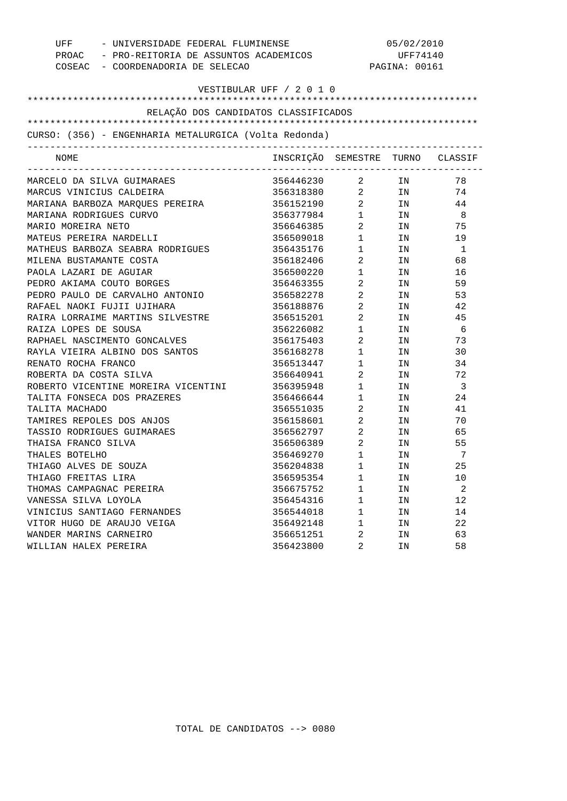| UFF                                                   | - UNIVERSIDADE FEDERAL FLUMINENSE           |                        | 05/02/2010 |                         |  |  |
|-------------------------------------------------------|---------------------------------------------|------------------------|------------|-------------------------|--|--|
|                                                       | PROAC - PRO-REITORIA DE ASSUNTOS ACADEMICOS |                        | UFF74140   |                         |  |  |
| COSEAC - COORDENADORIA DE SELECAO                     |                                             | PAGINA: 00161          |            |                         |  |  |
|                                                       | VESTIBULAR UFF / 2 0 1 0                    |                        |            |                         |  |  |
|                                                       |                                             |                        |            |                         |  |  |
|                                                       | RELAÇÃO DOS CANDIDATOS CLASSIFICADOS        |                        |            |                         |  |  |
|                                                       |                                             |                        |            |                         |  |  |
| CURSO: (356) - ENGENHARIA METALURGICA (Volta Redonda) |                                             |                        |            |                         |  |  |
| NOME                                                  | INSCRIÇÃO SEMESTRE TURNO CLASSIF            |                        |            |                         |  |  |
| MARCELO DA SILVA GUIMARAES                            | 356446230                                   | $\overline{a}$         | IN         | 78                      |  |  |
| MARCUS VINICIUS CALDEIRA                              | 356318380                                   |                        | $2$ IN     | 74                      |  |  |
| MARIANA BARBOZA MARQUES PEREIRA                       | 356152190 2 IN                              |                        |            | 44                      |  |  |
| MARIANA RODRIGUES CURVO                               | 356377984 1 IN                              |                        |            | - 8                     |  |  |
| MARIO MOREIRA NETO                                    | 356646385                                   | $\overline{2}$         | IN         | 75                      |  |  |
| MATEUS PEREIRA NARDELLI                               | 356509018                                   | $1 \qquad \qquad$      | IN         | 19                      |  |  |
| MATHEUS BARBOZA SEABRA RODRIGUES                      | 356435176                                   | $1 \qquad \qquad$      | IN         | $\overline{1}$          |  |  |
| MILENA BUSTAMANTE COSTA                               | 356182406                                   | $\overline{2}$         | IN         | 68                      |  |  |
| PAOLA LAZARI DE AGUIAR                                | 356500220                                   | $1$ , $\qquad \qquad$  | IN         | 16                      |  |  |
| PEDRO AKIAMA COUTO BORGES                             | 356463355                                   | $\overline{2}$         | IN         | 59                      |  |  |
| PEDRO PAULO DE CARVALHO ANTONIO                       | 356582278                                   | $\overline{2}$         | IN         | 53                      |  |  |
| RAFAEL NAOKI FUJII UJIHARA                            | 356188876                                   | $\overline{a}$         | IN         | 42                      |  |  |
| RAIRA LORRAIME MARTINS SILVESTRE                      | 356515201                                   | $\overline{a}$         | IN         | 45                      |  |  |
| RAIZA LOPES DE SOUSA                                  | 356226082                                   | $1 \quad \Box$         | IN         | 6                       |  |  |
| RAPHAEL NASCIMENTO GONCALVES                          | 356175403                                   | $\overline{2}$         | IN         | 73                      |  |  |
| RAYLA VIEIRA ALBINO DOS SANTOS                        | 356168278                                   | $1$ , $\qquad \qquad$  | IN         | 30                      |  |  |
| RENATO ROCHA FRANCO                                   | 356513447                                   | $\mathbf{1}$           | IN         | 34                      |  |  |
| ROBERTA DA COSTA SILVA                                | 356640941                                   | $\overline{2}$         | IN         | 72                      |  |  |
| ROBERTO VICENTINE MOREIRA VICENTINI                   | 356395948                                   | $\mathbf 1$            | IN         | $\overline{\mathbf{3}}$ |  |  |
| TALITA FONSECA DOS PRAZERES                           | 356466644                                   | $1 \quad \Box$         | IN         | 24                      |  |  |
| TALITA MACHADO                                        | 356551035                                   | $\overline{2}$         | IN         | 41                      |  |  |
| TAMIRES REPOLES DOS ANJOS                             | 356158601                                   | $\overline{a}$         | IN         | 70                      |  |  |
| TASSIO RODRIGUES GUIMARAES                            | 356562797 2                                 |                        | IN         | 65                      |  |  |
| THAISA FRANCO SILVA                                   | 356506389                                   | $\overline{a}$         | IN         | 55                      |  |  |
| THALES BOTELHO                                        | 356469270                                   | $1 \quad \blacksquare$ | IN.        | - 7                     |  |  |
| THIAGO ALVES DE SOUZA                                 | 356204838                                   | 1                      | IN         | 25                      |  |  |
| THIAGO FREITAS LIRA                                   | 356595354                                   | 1                      | ΙN         | 10                      |  |  |
| THOMAS CAMPAGNAC PEREIRA                              | 356675752                                   | $\mathbf{1}$           | ΙN         | $\overline{2}$          |  |  |
| VANESSA SILVA LOYOLA                                  | 356454316                                   | 1                      | ΙN         | 12                      |  |  |
| VINICIUS SANTIAGO FERNANDES                           | 356544018                                   | 1                      | ΙN         | 14                      |  |  |
| VITOR HUGO DE ARAUJO VEIGA                            | 356492148                                   | 1                      | ΙN         | 22                      |  |  |
| WANDER MARINS CARNEIRO                                | 356651251                                   | 2                      | ΙN         | 63                      |  |  |
| WILLIAN HALEX PEREIRA                                 | 356423800                                   | 2                      | IN         | 58                      |  |  |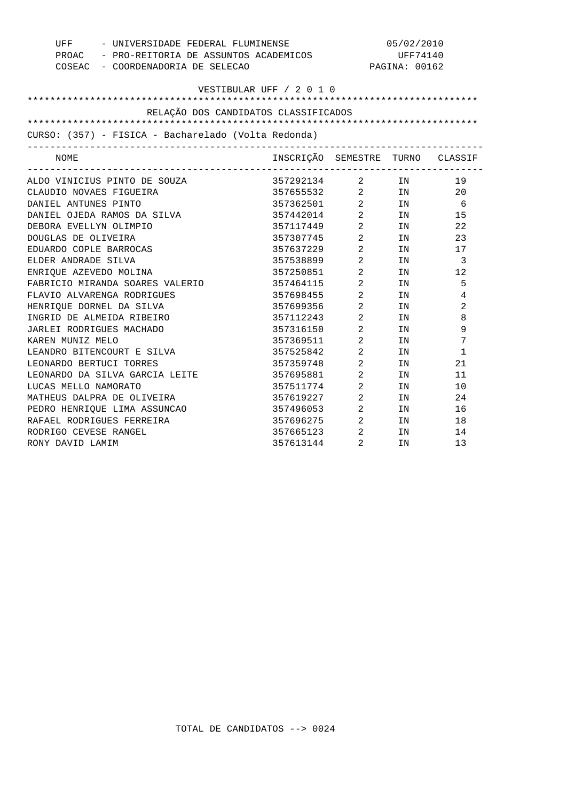| UFF - UNIVERSIDADE FEDERAL FLUMINENSE               |                                             | 05/02/2010                     |                                                                                                                |              |  |
|-----------------------------------------------------|---------------------------------------------|--------------------------------|----------------------------------------------------------------------------------------------------------------|--------------|--|
|                                                     | PROAC - PRO-REITORIA DE ASSUNTOS ACADEMICOS |                                | UFF74140                                                                                                       |              |  |
| COSEAC - COORDENADORIA DE SELECAO                   |                                             |                                | PAGINA: 00162                                                                                                  |              |  |
|                                                     |                                             |                                |                                                                                                                |              |  |
| VESTIBULAR UFF / 2 0 1 0                            |                                             |                                |                                                                                                                |              |  |
|                                                     |                                             |                                |                                                                                                                |              |  |
| RELAÇÃO DOS CANDIDATOS CLASSIFICADOS                |                                             |                                |                                                                                                                |              |  |
|                                                     |                                             |                                |                                                                                                                |              |  |
| CURSO: (357) - FISICA - Bacharelado (Volta Redonda) |                                             |                                |                                                                                                                |              |  |
| NOME                                                | INSCRIÇÃO SEMESTRE TURNO CLASSIF            |                                |                                                                                                                |              |  |
| ALDO VINICIUS PINTO DE SOUZA                        | 357292134 2 IN                              |                                |                                                                                                                | 19           |  |
| CLAUDIO NOVAES FIGUEIRA                             | 357655532 2 IN                              |                                |                                                                                                                | 20           |  |
| DANIEL ANTUNES PINTO                                | 357362501 2 IN                              |                                |                                                                                                                | 6            |  |
| DANIEL OJEDA RAMOS DA SILVA                         | 357442014 2                                 |                                | IN                                                                                                             | 15           |  |
| DEBORA EVELLYN OLIMPIO                              | 357117449 2                                 |                                | IN                                                                                                             | 22           |  |
| DOUGLAS DE OLIVEIRA                                 | 357307745 2                                 |                                | IN                                                                                                             | 23           |  |
| EDUARDO COPLE BARROCAS                              | 357637229                                   | $\overline{a}$                 | IN                                                                                                             | 17           |  |
| ELDER ANDRADE SILVA                                 | 357538899                                   | $\overline{a}$                 | IN                                                                                                             | 3            |  |
| ENRIOUE AZEVEDO MOLINA                              | 357250851                                   | $\overline{a}$                 | IN                                                                                                             | 12           |  |
| FABRICIO MIRANDA SOARES VALERIO                     | 357464115                                   | $\frac{2}{2}$                  | IN                                                                                                             | 5            |  |
| FLAVIO ALVARENGA RODRIGUES                          | 357698455                                   | $\overline{a}$                 | IN                                                                                                             | 4            |  |
| HENRIQUE DORNEL DA SILVA                            | 357699356                                   | $\overline{a}$                 | IN                                                                                                             | 2            |  |
| INGRID DE ALMEIDA RIBEIRO                           | 357112243                                   | $\overline{a}$                 | IN                                                                                                             | 8            |  |
| JARLEI RODRIGUES MACHADO                            | 357316150                                   | $\overline{2}$                 | TN                                                                                                             | 9            |  |
| KAREN MUNIZ MELO                                    | 357369511                                   | $\overline{2}$                 | IN                                                                                                             | 7            |  |
| LEANDRO BITENCOURT E SILVA                          | 357525842                                   | $\overline{2}$                 | IN                                                                                                             | $\mathbf{1}$ |  |
| LEONARDO BERTUCI TORRES                             | 357359748                                   | $2 \left( \frac{1}{2} \right)$ | IN THE TEST OF THE TEST OF THE TEST OF THE TEST OF THE TEST OF THE TEST OF THE TEST OF THE TEST OF THE TEST OF | 21           |  |
| LEONARDO DA SILVA GARCIA LEITE                      | 357695881 2                                 |                                | IN THE TEST OF THE TEST OF THE TEST OF THE TEST OF THE TEST OF THE TEST OF THE TEST OF THE TEST OF THE TEST OF | 11           |  |
| LUCAS MELLO NAMORATO                                | 357511774 2                                 |                                | IN                                                                                                             | 10           |  |
| MATHEUS DALPRA DE OLIVEIRA                          | 357619227 2                                 |                                | IN                                                                                                             | 24           |  |
| PEDRO HENRIQUE LIMA ASSUNCAO                        | 357496053 2                                 |                                | IN                                                                                                             | 16           |  |
| RAFAEL RODRIGUES FERREIRA                           | 357696275                                   | $\overline{a}$                 | IN                                                                                                             | 18           |  |
| RODRIGO CEVESE RANGEL                               | 357665123                                   | $\overline{2}$                 | IN                                                                                                             | 14           |  |
| RONY DAVID LAMIM                                    | 357613144                                   | 2                              | IN                                                                                                             | 13           |  |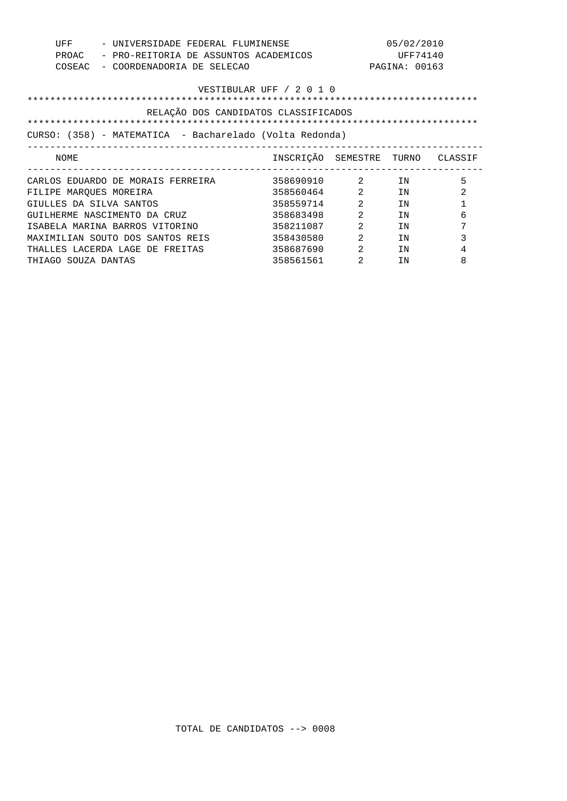| UFF<br>PROAC<br>COSEAC   | - UNIVERSIDADE FEDERAL FLUMINENSE<br>- PRO-REITORIA DE ASSUNTOS ACADEMICOS<br>- COORDENADORIA DE SELECAO |                                  |                                | 05/02/2010<br>UFF74140<br>PAGINA: 00163 |   |
|--------------------------|----------------------------------------------------------------------------------------------------------|----------------------------------|--------------------------------|-----------------------------------------|---|
| VESTIBULAR UFF / 2 0 1 0 |                                                                                                          |                                  |                                |                                         |   |
|                          | RELAÇÃO DOS CANDIDATOS CLASSIFICADOS                                                                     |                                  |                                |                                         |   |
|                          |                                                                                                          |                                  |                                |                                         |   |
|                          | CURSO: (358) - MATEMATICA - Bacharelado (Volta Redonda)                                                  |                                  |                                |                                         |   |
| NOME                     |                                                                                                          | INSCRIÇÃO SEMESTRE TURNO CLASSIF |                                |                                         |   |
|                          | CARLOS EDUARDO DE MORAIS FERREIRA                                                                        | 358690910                        | $2 \left( \frac{1}{2} \right)$ | TN                                      | 5 |
| FILIPE MAROUES MOREIRA   |                                                                                                          | 358560464                        | 2                              | TN                                      | 2 |
| GIULLES DA SILVA SANTOS  |                                                                                                          | 358559714                        | $\mathfrak{D}$                 | TN                                      | 1 |
|                          | GUILHERME NASCIMENTO DA CRUZ                                                                             | 358683498                        | 2                              | TN                                      | 6 |
|                          | ISABELA MARINA BARROS VITORINO                                                                           | 358211087                        | 2                              | TN                                      | 7 |
|                          | MAXIMILIAN SOUTO DOS SANTOS REIS                                                                         | 358430580                        | $\mathfrak{D}$                 | TN                                      | 3 |
|                          | THALLES LACERDA LAGE DE FREITAS                                                                          | 358687690                        | $\mathfrak{D}$                 | TN                                      | 4 |
| THIAGO SOUZA DANTAS      |                                                                                                          | 358561561                        | $\mathfrak{D}$                 | TN                                      | 8 |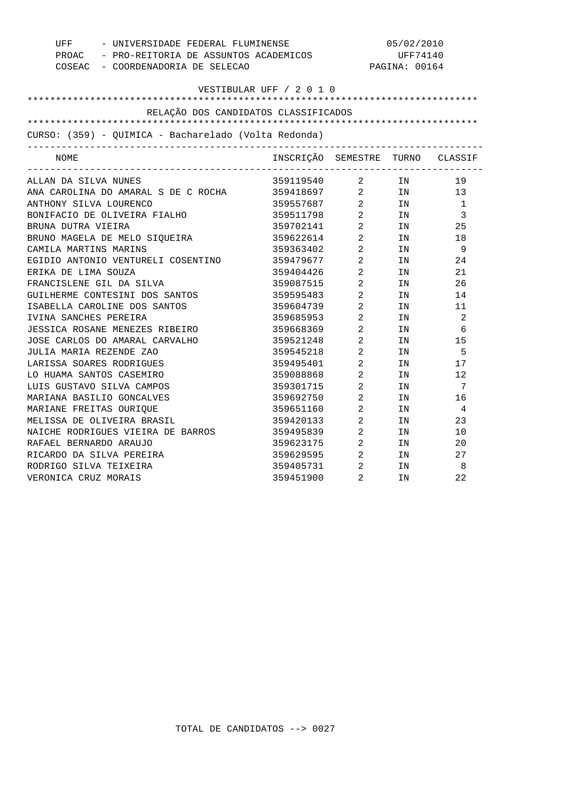| UFF                                                  | - UNIVERSIDADE FEDERAL FLUMINENSE<br>PROAC - PRO-REITORIA DE ASSUNTOS ACADEMICOS |                                            | 05/02/2010<br>UFF74140                                                                                         |                |  |
|------------------------------------------------------|----------------------------------------------------------------------------------|--------------------------------------------|----------------------------------------------------------------------------------------------------------------|----------------|--|
|                                                      |                                                                                  |                                            |                                                                                                                |                |  |
| COSEAC - COORDENADORIA DE SELECAO                    |                                                                                  |                                            | PAGINA: 00164                                                                                                  |                |  |
|                                                      |                                                                                  |                                            |                                                                                                                |                |  |
|                                                      | VESTIBULAR UFF / 2 0 1 0                                                         |                                            |                                                                                                                |                |  |
|                                                      |                                                                                  |                                            |                                                                                                                |                |  |
| RELAÇÃO DOS CANDIDATOS CLASSIFICADOS                 |                                                                                  |                                            |                                                                                                                |                |  |
|                                                      |                                                                                  |                                            |                                                                                                                |                |  |
| CURSO: (359) - QUIMICA - Bacharelado (Volta Redonda) |                                                                                  |                                            |                                                                                                                |                |  |
| NOME                                                 | INSCRIÇÃO SEMESTRE TURNO CLASSIF                                                 |                                            |                                                                                                                |                |  |
| ALLAN DA SILVA NUNES                                 | 359119540 2 IN                                                                   |                                            |                                                                                                                | 19             |  |
| ANA CAROLINA DO AMARAL S DE C ROCHA                  | 359418697 2 IN<br>359557687 2 IN<br>359511798 2 IN<br>359702141 2 IN             |                                            |                                                                                                                | 13             |  |
| ANTHONY SILVA LOURENCO                               |                                                                                  |                                            |                                                                                                                | $\overline{1}$ |  |
| BONIFACIO DE OLIVEIRA FIALHO                         |                                                                                  |                                            |                                                                                                                | 3              |  |
| BRUNA DUTRA VIEIRA                                   |                                                                                  |                                            |                                                                                                                | 25             |  |
| BRUNO MAGELA DE MELO SIQUEIRA                        | 359622614 2                                                                      |                                            | IN                                                                                                             | 18             |  |
| CAMILA MARTINS MARINS                                | 359363402 2                                                                      |                                            | IN                                                                                                             | - 9            |  |
| EGIDIO ANTONIO VENTURELI COSENTINO                   | 359479677 2                                                                      |                                            | IN THE TEST OF THE TEST OF THE TEST OF THE TEST OF THE TEST OF THE TEST OF THE TEST OF THE TEST OF THE TEST OF | 24             |  |
| ERIKA DE LIMA SOUZA                                  | 359404426 2                                                                      |                                            | IN THE TEST OF THE TEST OF THE TEST OF THE TEST OF THE TEST OF THE TEST OF THE TEST OF THE TEST OF THE TEST OF | 21             |  |
| FRANCISLENE GIL DA SILVA                             | 359087515 2                                                                      |                                            | IN                                                                                                             | 26             |  |
| GUILHERME CONTESINI DOS SANTOS                       | 359595483                                                                        | $\overline{a}$                             | IN                                                                                                             | 14             |  |
| ISABELLA CAROLINE DOS SANTOS                         | 359604739 2                                                                      |                                            | IN                                                                                                             | 11             |  |
| IVINA SANCHES PEREIRA                                | 359685953 2                                                                      |                                            | IN                                                                                                             | 2              |  |
| JESSICA ROSANE MENEZES RIBEIRO                       | 359668369                                                                        | $\begin{array}{c} 2 \\ 2 \\ 2 \end{array}$ | IN                                                                                                             | 6              |  |
| JOSE CARLOS DO AMARAL CARVALHO                       | 359521248                                                                        |                                            | IN                                                                                                             | 15             |  |
| JULIA MARIA REZENDE ZAO                              | 359545218                                                                        |                                            | IN                                                                                                             | 5              |  |
| LARISSA SOARES RODRIGUES                             | 359495401 2                                                                      |                                            | IN                                                                                                             | 17             |  |
| LO HUAMA SANTOS CASEMIRO                             | 359088868 2                                                                      |                                            | IN                                                                                                             | 12             |  |
| LUIS GUSTAVO SILVA CAMPOS                            | 359301715 2                                                                      |                                            | IN                                                                                                             | 7              |  |
| MARIANA BASILIO GONCALVES                            | 359692750 2                                                                      |                                            | IN                                                                                                             | 16             |  |
| MARIANE FREITAS OURIQUE                              | 359651160 2                                                                      |                                            | IN                                                                                                             | $\overline{4}$ |  |
| MELISSA DE OLIVEIRA BRASIL                           | 359420133                                                                        | $\overline{a}$                             | IN                                                                                                             | 23             |  |
| NAICHE RODRIGUES VIEIRA DE BARROS                    | 359495839                                                                        | $\overline{2}$                             | IN                                                                                                             | 10             |  |
| RAFAEL BERNARDO ARAUJO                               | 359623175 2                                                                      |                                            | IN                                                                                                             | 20             |  |
| RICARDO DA SILVA PEREIRA                             | 359629595 2                                                                      |                                            | IN                                                                                                             | 27             |  |
| RODRIGO SILVA TEIXEIRA                               | 359405731                                                                        | $\begin{array}{c} 2 \\ 2 \end{array}$      | IN                                                                                                             | 8              |  |
| VERONICA CRUZ MORAIS                                 | 359451900                                                                        |                                            | IN                                                                                                             | 22             |  |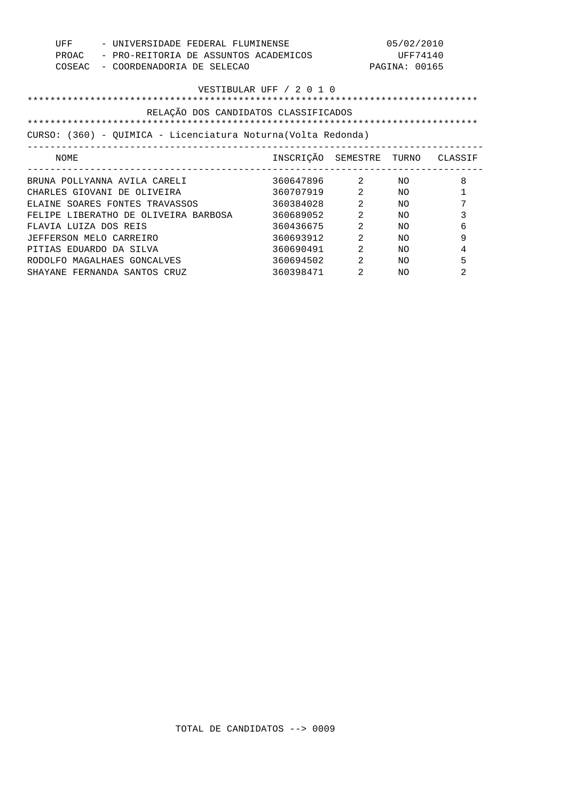| UFF<br>PROAC<br>COSEAC                                             | - UNIVERSIDADE FEDERAL FLUMINENSE<br>- PRO-REITORIA DE ASSUNTOS ACADEMICOS<br>- COORDENADORIA DE SELECAO |                          |                | 05/02/2010<br>UFF74140<br>PAGINA: 00165 |         |
|--------------------------------------------------------------------|----------------------------------------------------------------------------------------------------------|--------------------------|----------------|-----------------------------------------|---------|
| VESTIBULAR UFF / 2 0 1 0                                           |                                                                                                          |                          |                |                                         |         |
| RELAÇÃO DOS CANDIDATOS CLASSIFICADOS<br>************************** |                                                                                                          |                          |                |                                         |         |
|                                                                    | *************************                                                                                |                          |                |                                         |         |
|                                                                    | CURSO: (360) - OUIMICA - Licenciatura Noturna (Volta Redonda)                                            |                          |                |                                         |         |
| NOME                                                               |                                                                                                          | INSCRIÇÃO SEMESTRE TURNO |                |                                         | CLASSIF |
|                                                                    | BRUNA POLLYANNA AVILA CARELI                                                                             | 360647896                | $\sim$ 2       | NO.                                     | 8       |
|                                                                    | CHARLES GIOVANI DE OLIVEIRA                                                                              | 360707919                | 2              | NΟ                                      | 1       |
|                                                                    | ELAINE SOARES FONTES TRAVASSOS                                                                           | 360384028                | $\mathfrak{D}$ | NΟ                                      | 7       |
| FELIPE                                                             | LIBERATHO DE OLIVEIRA BARBOSA                                                                            | 360689052                | $\mathfrak{D}$ | NO.                                     | 3       |
| FLAVIA LUIZA DOS REIS                                              |                                                                                                          | 360436675                | 2              | NO.                                     | 6       |
| JEFFERSON MELO CARREIRO                                            |                                                                                                          | 360693912                | 2              | NO.                                     | 9       |
| PITIAS EDUARDO DA SILVA                                            |                                                                                                          | 360690491                | 2              | NO.                                     | 4       |
| RODOLFO                                                            | MAGALHAES GONCALVES                                                                                      | 360694502                | $\mathfrak{D}$ | NO.                                     | 5       |
|                                                                    | SHAYANE FERNANDA SANTOS CRUZ                                                                             | 360398471                | $\mathfrak{D}$ | NO                                      | 2       |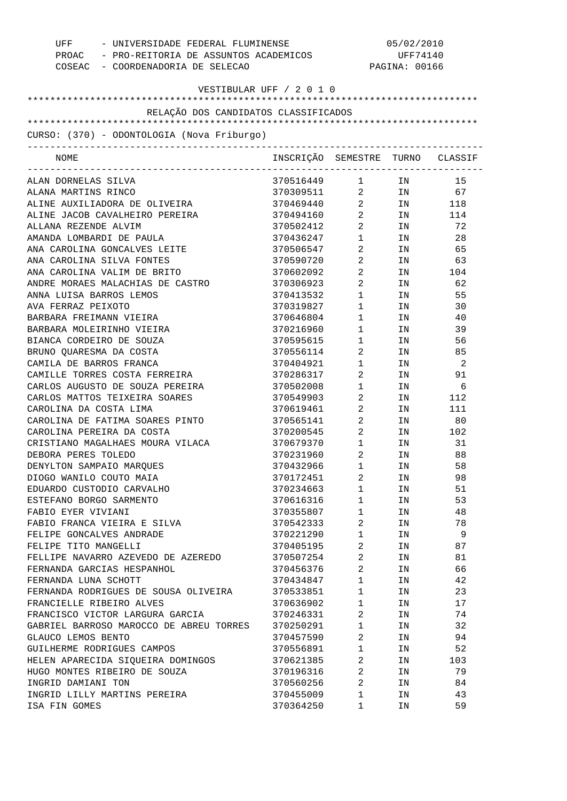| COSEAC - COORDENADORIA DE SELECAO                                                 | UFF - UNIVERSIDADE FEDERAL FLUMINENSE<br>PROAC - PRO-REITORIA DE ASSUNTOS ACADEMICOS |                                   | 05/02/2010<br>UFF74140<br>PAGINA: 00166 |        |  |
|-----------------------------------------------------------------------------------|--------------------------------------------------------------------------------------|-----------------------------------|-----------------------------------------|--------|--|
| VESTIBULAR UFF / 2 0 1 0                                                          |                                                                                      |                                   |                                         |        |  |
| RELAÇÃO DOS CANDIDATOS CLASSIFICADOS                                              |                                                                                      |                                   |                                         |        |  |
|                                                                                   |                                                                                      |                                   |                                         |        |  |
| CURSO: (370) - ODONTOLOGIA (Nova Friburgo)<br>----------------------------------- |                                                                                      |                                   |                                         |        |  |
| NOME                                                                              | INSCRIÇÃO SEMESTRE TURNO CLASSIF                                                     |                                   |                                         |        |  |
| ALAN DORNELAS SILVA                                                               | 370516449                                                                            |                                   | $1$ IN                                  | 15     |  |
| ALANA MARTINS RINCO                                                               | 370309511 2 IN 67                                                                    |                                   |                                         |        |  |
| ALINE AUXILIADORA DE OLIVEIRA                                                     | 370469440 2 IN 118                                                                   |                                   |                                         |        |  |
| ALINE JACOB CAVALHEIRO PEREIRA                                                    | 370494160                                                                            | $\overline{2}$                    |                                         | IN 114 |  |
| ALLANA REZENDE ALVIM                                                              | 370502412                                                                            | $\overline{2}$                    | IN                                      | 72     |  |
| AMANDA LOMBARDI DE PAULA                                                          | 370436247                                                                            | $1 \qquad \qquad$                 | IN                                      | 28     |  |
| ANA CAROLINA GONCALVES LEITE                                                      | 370506547                                                                            | $\overline{2}$                    | IN                                      | 65     |  |
| ANA CAROLINA SILVA FONTES                                                         | 370590720                                                                            | $\overline{2}$ and $\overline{2}$ | IN                                      | 63     |  |
| ANA CAROLINA VALIM DE BRITO                                                       | 370602092                                                                            | $\overline{2}$ and $\overline{2}$ |                                         | IN 104 |  |
| ANDRE MORAES MALACHIAS DE CASTRO                                                  | 370306923                                                                            | $\overline{2}$                    | IN                                      | 62     |  |
| ANNA LUISA BARROS LEMOS                                                           | 370413532                                                                            | $1 \quad \blacksquare$            | IN                                      | 55     |  |
| AVA FERRAZ PEIXOTO                                                                | 370319827                                                                            | $1 \quad \Box$                    | IN                                      | 30     |  |
| BARBARA FREIMANN VIEIRA                                                           | 370646804                                                                            | $1 \quad \blacksquare$            | IN                                      | 40     |  |
| BARBARA MOLEIRINHO VIEIRA                                                         | 370216960                                                                            | $1 \quad \Box$                    | IN                                      | 39     |  |
| BIANCA CORDEIRO DE SOUZA                                                          | 370595615                                                                            | $1 \qquad \qquad$                 | IN                                      | 56     |  |
| BRUNO QUARESMA DA COSTA                                                           | 370556114                                                                            | $\overline{2}$                    | IN                                      | 85     |  |
| CAMILA DE BARROS FRANCA                                                           | 370404921                                                                            | $1 \quad \blacksquare$            | IN                                      | - 2    |  |
| CAMILLE TORRES COSTA FERREIRA                                                     | 370286317                                                                            | $2 \left( \frac{1}{2} \right)$    | IN                                      | 91     |  |
| CARLOS AUGUSTO DE SOUZA PEREIRA                                                   | 370502008                                                                            | $1 \qquad \qquad$                 | IN                                      | 6      |  |
| CARLOS MATTOS TEIXEIRA SOARES                                                     | 370549903                                                                            | $\overline{2}$ and $\overline{2}$ | IN                                      | 112    |  |
| CAROLINA DA COSTA LIMA                                                            | 370619461                                                                            | $\mathbf{2}$                      | IN                                      | 111    |  |
| CAROLINA DE FATIMA SOARES PINTO                                                   | 370565141                                                                            | $\overline{2}$ and $\overline{2}$ | IN                                      | 80     |  |
| CAROLINA PEREIRA DA COSTA                                                         | 370200545                                                                            | $2 \left( \frac{1}{2} \right)$    |                                         | IN 102 |  |
| CRISTIANO MAGALHAES MOURA VILACA                                                  | 370679370                                                                            | 1                                 | IN                                      | 31     |  |
| DEBORA PERES TOLEDO                                                               | 370231960                                                                            | 2                                 | IN                                      | 88     |  |
| DENYLTON SAMPAIO MARQUES                                                          | 370432966                                                                            | 1                                 | ΙN                                      | 58     |  |
| DIOGO WANILO COUTO MAIA                                                           | 370172451                                                                            | 2                                 | ΙN                                      | 98     |  |
| EDUARDO CUSTODIO CARVALHO                                                         | 370234663                                                                            | $\mathbf 1$                       | ΙN                                      | 51     |  |
| ESTEFANO BORGO SARMENTO                                                           | 370616316                                                                            | 1                                 | ΙN                                      | 53     |  |
| FABIO EYER VIVIANI                                                                | 370355807                                                                            | 1                                 | ΙN                                      | 48     |  |
| FABIO FRANCA VIEIRA E SILVA                                                       | 370542333                                                                            | 2                                 | ΙN                                      | 78     |  |
| FELIPE GONCALVES ANDRADE                                                          | 370221290                                                                            | 1                                 | ΙN                                      | 9      |  |
| FELIPE TITO MANGELLI                                                              | 370405195                                                                            | 2                                 | ΙN                                      | 87     |  |
| FELLIPE NAVARRO AZEVEDO DE AZEREDO                                                | 370507254                                                                            | 2                                 | ΙN                                      | 81     |  |
| FERNANDA GARCIAS HESPANHOL                                                        | 370456376                                                                            | 2                                 | ΙN                                      | 66     |  |
| FERNANDA LUNA SCHOTT                                                              | 370434847                                                                            | 1                                 | ΙN                                      | 42     |  |
| FERNANDA RODRIGUES DE SOUSA OLIVEIRA                                              | 370533851                                                                            | 1                                 | ΙN                                      | 23     |  |
| FRANCIELLE RIBEIRO ALVES                                                          | 370636902                                                                            | 1                                 | ΙN                                      | 17     |  |
| FRANCISCO VICTOR LARGURA GARCIA                                                   | 370246331                                                                            | 2                                 | ΙN                                      | 74     |  |
| GABRIEL BARROSO MAROCCO DE ABREU TORRES                                           | 370250291                                                                            | 1                                 | ΙN                                      | 32     |  |
| GLAUCO LEMOS BENTO                                                                | 370457590                                                                            | 2                                 |                                         | 94     |  |
|                                                                                   |                                                                                      |                                   | ΙN                                      |        |  |
| GUILHERME RODRIGUES CAMPOS                                                        | 370556891                                                                            | 1                                 | ΙN                                      | 52     |  |
| HELEN APARECIDA SIQUEIRA DOMINGOS                                                 | 370621385                                                                            | 2                                 | ΙN                                      | 103    |  |
| HUGO MONTES RIBEIRO DE SOUZA                                                      | 370196316                                                                            | 2                                 | ΙN                                      | 79     |  |
| INGRID DAMIANI TON                                                                | 370560256                                                                            | 2                                 | IN                                      | 84     |  |
| INGRID LILLY MARTINS PEREIRA                                                      | 370455009                                                                            | $\mathbf{1}$                      | ΙN                                      | 43     |  |
| ISA FIN GOMES                                                                     | 370364250                                                                            | 1                                 | ΙN                                      | 59     |  |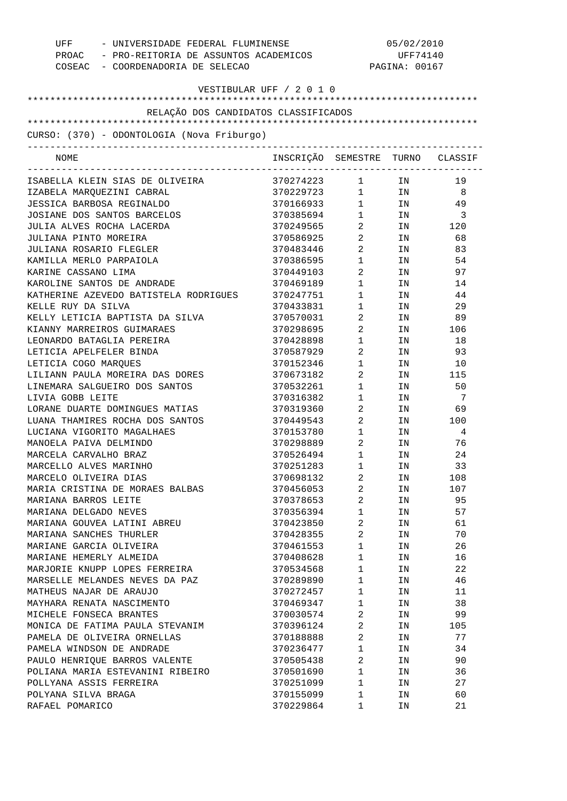| UFF - UNIVERSIDADE FEDERAL FLUMINENSE<br>COSEAC - COORDENADORIA DE SELECAO | PROAC - PRO-REITORIA DE ASSUNTOS ACADEMICOS |                                   | 05/02/2010<br>UFF74140<br>PAGINA: 00167                                                                        |                            |  |
|----------------------------------------------------------------------------|---------------------------------------------|-----------------------------------|----------------------------------------------------------------------------------------------------------------|----------------------------|--|
| VESTIBULAR UFF / 2 0 1 0                                                   |                                             |                                   |                                                                                                                |                            |  |
| RELAÇÃO DOS CANDIDATOS CLASSIFICADOS                                       |                                             |                                   |                                                                                                                |                            |  |
|                                                                            |                                             |                                   |                                                                                                                |                            |  |
| CURSO: (370) - ODONTOLOGIA (Nova Friburgo)<br>---------------------------- |                                             |                                   |                                                                                                                |                            |  |
| NOME                                                                       | INSCRIÇÃO SEMESTRE TURNO CLASSIF            |                                   |                                                                                                                |                            |  |
| ISABELLA KLEIN SIAS DE OLIVEIRA                                            | 370274223 1 IN                              |                                   |                                                                                                                | 19                         |  |
| IZABELA MARQUEZINI CABRAL                                                  | 370229723 1 IN 8                            |                                   |                                                                                                                |                            |  |
| JESSICA BARBOSA REGINALDO                                                  | 370166933                                   |                                   | $1 \hspace{3.1em} \text{IN} \hspace{3.1em} 49$                                                                 |                            |  |
| JOSIANE DOS SANTOS BARCELOS                                                | 370385694                                   | $1 \qquad \qquad$                 | IN                                                                                                             | $\overline{\phantom{a}}$ 3 |  |
| JULIA ALVES ROCHA LACERDA                                                  | 370249565                                   | $\overline{2}$                    |                                                                                                                | IN 120                     |  |
| JULIANA PINTO MOREIRA                                                      | 370586925                                   | $\overline{2}$                    | IN                                                                                                             | 68                         |  |
| JULIANA ROSARIO FLEGLER                                                    | 370483446                                   | $2 \left( \frac{1}{2} \right)$    | IN THE TEST OF THE TEST OF THE TEST OF THE TEST OF THE TEST OF THE TEST OF THE TEST OF THE TEST OF THE TEST OF | 83                         |  |
| KAMILLA MERLO PARPAIOLA                                                    | 370386595                                   | $1 \quad \blacksquare$            | IN THE TEST OF THE TEST OF THE TEST OF THE TEST OF THE TEST OF THE TEST OF THE TEST OF THE TEST OF THE TEST OF | 54                         |  |
| KARINE CASSANO LIMA                                                        | 370449103                                   | $\mathbf{2}$                      | IN                                                                                                             | 97                         |  |
| KAROLINE SANTOS DE ANDRADE                                                 | 370469189                                   | $1 \quad \blacksquare$            | IN THE TERM OF THE TERM OF THE TERM OF THE TERM OF THE TERM OF THE TERM OF THE TERM OF THE TERM OF THE TERM OF | 14                         |  |
| KATHERINE AZEVEDO BATISTELA RODRIGUES                                      | 370247751                                   | $1 \quad \blacksquare$            | IN                                                                                                             | 44                         |  |
| KELLE RUY DA SILVA                                                         | 370433831                                   | $1 \quad \blacksquare$            | IN THE TERM OF THE TERM OF THE TERM OF THE TERM OF THE TERM OF THE TERM OF THE TERM OF THE TERM OF THE TERM OF | 29                         |  |
| KELLY LETICIA BAPTISTA DA SILVA                                            | 370570031                                   | $\overline{2}$                    | IN                                                                                                             | 89                         |  |
| KIANNY MARREIROS GUIMARAES                                                 | 370298695                                   | $\mathbf{2}$                      |                                                                                                                | IN 106                     |  |
| LEONARDO BATAGLIA PEREIRA                                                  | 370428898                                   | $\mathbf 1$                       | IN                                                                                                             | 18                         |  |
| LETICIA APELFELER BINDA                                                    | 370587929                                   | $\overline{2}$                    | IN                                                                                                             | 93                         |  |
| LETICIA COGO MARQUES                                                       | 370152346                                   | $\mathbf 1$                       | IN THE TERM OF THE TERM OF THE TERM OF THE TERM OF THE TERM OF THE TERM OF THE TERM OF THE TERM OF THE TERM OF | 10                         |  |
| LILIANN PAULA MOREIRA DAS DORES                                            | 370673182                                   | $\overline{2}$ and $\overline{2}$ |                                                                                                                | IN 115                     |  |
| LINEMARA SALGUEIRO DOS SANTOS                                              | 370532261                                   | $1 \quad \cdots$                  | IN                                                                                                             | 50                         |  |
| LIVIA GOBB LEITE                                                           | 370316382                                   | $\mathbf 1$                       | IN                                                                                                             | $\overline{7}$             |  |
| LORANE DUARTE DOMINGUES MATIAS                                             | 370319360                                   | $\overline{2}$                    |                                                                                                                | IN 69                      |  |
| LUANA THAMIRES ROCHA DOS SANTOS                                            | 370449543                                   | $2 \left( \frac{1}{2} \right)$    | IN THE TERM OF THE TERM OF THE TERM OF THE TERM OF THE TERM OF THE TERM OF THE TERM OF THE TERM OF THE TERM OF | 100                        |  |
| LUCIANA VIGORITO MAGALHAES                                                 | 370153780                                   | $1 \quad \blacksquare$            | IN                                                                                                             | 4                          |  |
| MANOELA PAIVA DELMINDO                                                     | 370298889                                   | $\overline{2}$                    | ΙN                                                                                                             | 76                         |  |
| MARCELA CARVALHO BRAZ                                                      | 370526494                                   | $\mathbf{1}$                      | IN                                                                                                             | 24                         |  |
| MARCELLO ALVES MARINHO                                                     | 370251283                                   | 1                                 | ΙN                                                                                                             | 33                         |  |
| MARCELO OLIVEIRA DIAS                                                      | 370698132                                   | 2                                 | ΙN                                                                                                             | 108                        |  |
| MARIA CRISTINA DE MORAES BALBAS                                            | 370456053                                   | 2                                 | ΙN                                                                                                             | 107                        |  |
| MARIANA BARROS LEITE                                                       | 370378653                                   | 2                                 | ΙN                                                                                                             | 95                         |  |
| MARIANA DELGADO NEVES                                                      | 370356394                                   | $\mathbf 1$                       | ΙN                                                                                                             | 57                         |  |
| MARIANA GOUVEA LATINI ABREU                                                | 370423850                                   | 2                                 | ΙN                                                                                                             | 61                         |  |
| MARIANA SANCHES THURLER                                                    | 370428355                                   | 2                                 | ΙN                                                                                                             | 70                         |  |
| MARIANE GARCIA OLIVEIRA                                                    | 370461553                                   | $\mathbf 1$                       | ΙN                                                                                                             | 26                         |  |
| MARIANE HEMERLY ALMEIDA                                                    | 370408628                                   | $\mathbf 1$                       | ΙN                                                                                                             | 16                         |  |
| MARJORIE KNUPP LOPES FERREIRA                                              | 370534568                                   | $\mathbf 1$                       | ΙN                                                                                                             | 22                         |  |
| MARSELLE MELANDES NEVES DA PAZ                                             | 370289890                                   | $\mathbf 1$                       | ΙN                                                                                                             | 46                         |  |
| MATHEUS NAJAR DE ARAUJO                                                    | 370272457                                   | $\mathbf 1$                       | ΙN                                                                                                             | 11                         |  |
| MAYHARA RENATA NASCIMENTO                                                  | 370469347                                   | $\mathbf 1$                       | ΙN                                                                                                             | 38                         |  |
| MICHELE FONSECA BRANTES                                                    | 370030574                                   | 2                                 | ΙN                                                                                                             | 99                         |  |
| MONICA DE FATIMA PAULA STEVANIM                                            | 370396124                                   | 2                                 | IN                                                                                                             | 105                        |  |
| PAMELA DE OLIVEIRA ORNELLAS                                                | 370188888                                   | 2                                 | ΙN                                                                                                             | 77                         |  |
| PAMELA WINDSON DE ANDRADE                                                  | 370236477                                   | $\mathbf 1$                       | ΙN                                                                                                             | 34                         |  |
| PAULO HENRIQUE BARROS VALENTE                                              | 370505438                                   | 2                                 | ΙN                                                                                                             | 90                         |  |
| POLIANA MARIA ESTEVANINI RIBEIRO                                           | 370501690                                   | $\mathbf 1$                       | ΙN                                                                                                             | 36                         |  |
| POLLYANA ASSIS FERREIRA                                                    | 370251099                                   | $\mathbf 1$                       | ΙN                                                                                                             | 27                         |  |
| POLYANA SILVA BRAGA                                                        | 370155099                                   | $\mathbf 1$                       | ΙN                                                                                                             | 60                         |  |
| RAFAEL POMARICO                                                            | 370229864                                   | 1                                 | ΙN                                                                                                             | 21                         |  |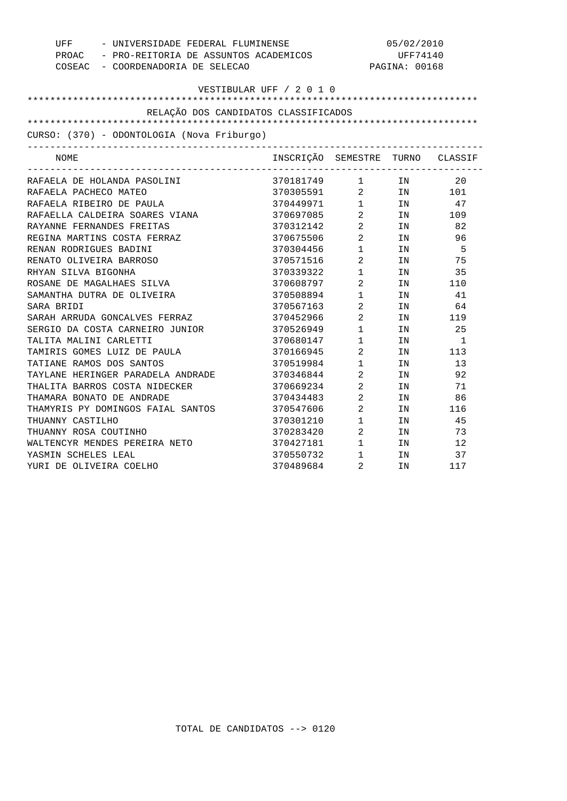| UFF                                        | - UNIVERSIDADE FEDERAL FLUMINENSE<br>PROAC - PRO-REITORIA DE ASSUNTOS ACADEMICOS |                        | 05/02/2010<br>UFF74140<br>PAGINA: 00168 |        |  |
|--------------------------------------------|----------------------------------------------------------------------------------|------------------------|-----------------------------------------|--------|--|
|                                            |                                                                                  |                        |                                         |        |  |
| COSEAC - COORDENADORIA DE SELECAO          |                                                                                  |                        |                                         |        |  |
|                                            | VESTIBULAR UFF / 2 0 1 0                                                         |                        |                                         |        |  |
|                                            |                                                                                  |                        |                                         |        |  |
| RELAÇÃO DOS CANDIDATOS CLASSIFICADOS       |                                                                                  |                        |                                         |        |  |
|                                            |                                                                                  |                        |                                         |        |  |
| CURSO: (370) - ODONTOLOGIA (Nova Friburgo) |                                                                                  |                        |                                         |        |  |
| NOME                                       | INSCRIÇÃO SEMESTRE TURNO CLASSIF                                                 |                        |                                         |        |  |
| RAFAELA DE HOLANDA PASOLINI                | 370181749 1 IN                                                                   |                        |                                         | 20     |  |
| RAFAELA PACHECO MATEO                      | 370305591 2 IN 20<br>370449971 1 IN 47<br>370697085 2 IN 109                     |                        |                                         |        |  |
| RAFAELA RIBEIRO DE PAULA                   |                                                                                  |                        |                                         |        |  |
| RAFAELLA CALDEIRA SOARES VIANA             |                                                                                  |                        |                                         |        |  |
| RAYANNE FERNANDES FREITAS                  | 370312142 2                                                                      |                        | TN                                      | 82     |  |
| REGINA MARTINS COSTA FERRAZ                | 370675506 2                                                                      |                        | IN                                      | 96     |  |
| RENAN RODRIGUES BADINI                     | 370304456 1                                                                      |                        | TN                                      | - 5    |  |
| RENATO OLIVEIRA BARROSO                    | 370571516 2                                                                      |                        | IN                                      | 75     |  |
| RHYAN SILVA BIGONHA                        | 370339322 1                                                                      |                        | IN                                      | 35     |  |
| ROSANE DE MAGALHAES SILVA                  | 370608797 2                                                                      |                        | IN                                      | 110    |  |
| SAMANTHA DUTRA DE OLIVEIRA                 | 370508894 1                                                                      |                        | IN                                      | 41     |  |
| SARA BRIDI                                 | 370567163 2                                                                      |                        | IN                                      | 64     |  |
| SARAH ARRUDA GONCALVES FERRAZ              | 370452966                                                                        | $\overline{2}$         |                                         | IN 119 |  |
| SERGIO DA COSTA CARNEIRO JUNIOR            | 370526949                                                                        | $1 \qquad \qquad$      |                                         | IN 25  |  |
| TALITA MALINI CARLETTI                     | 370680147                                                                        | $1 \quad \Box$         | IN                                      | 1      |  |
| TAMIRIS GOMES LUIZ DE PAULA                | 370166945                                                                        | $\overline{2}$         | IN                                      | 113    |  |
| TATIANE RAMOS DOS SANTOS                   | 370519984                                                                        | $1 \quad \blacksquare$ | IN                                      | 13     |  |
| TAYLANE HERINGER PARADELA ANDRADE          | 370346844                                                                        | $\overline{2}$         | IN                                      | 92     |  |
| THALITA BARROS COSTA NIDECKER              | 370669234                                                                        | $\overline{2}$         | IN                                      | 71     |  |
| THAMARA BONATO DE ANDRADE                  | 370434483                                                                        | $\overline{2}$         | IN                                      | 86     |  |
| THAMYRIS PY DOMINGOS FAIAL SANTOS          | 370547606                                                                        | $\overline{2}$         | IN                                      | 116    |  |
| THUANNY CASTILHO                           | 370301210                                                                        | $1$ $\hfill$           | IN                                      | 45     |  |
| THUANNY ROSA COUTINHO                      | 370283420                                                                        | $\overline{a}$         | IN                                      | 73     |  |
| WALTENCYR MENDES PEREIRA NETO              | 370427181                                                                        | $1 \quad \blacksquare$ | TN                                      | 12     |  |
| YASMIN SCHELES LEAL                        | 370550732                                                                        | 1                      | IN                                      | 37     |  |
| YURI DE OLIVEIRA COELHO                    | 370489684                                                                        | $\mathfrak{D}$         | TN                                      | 117    |  |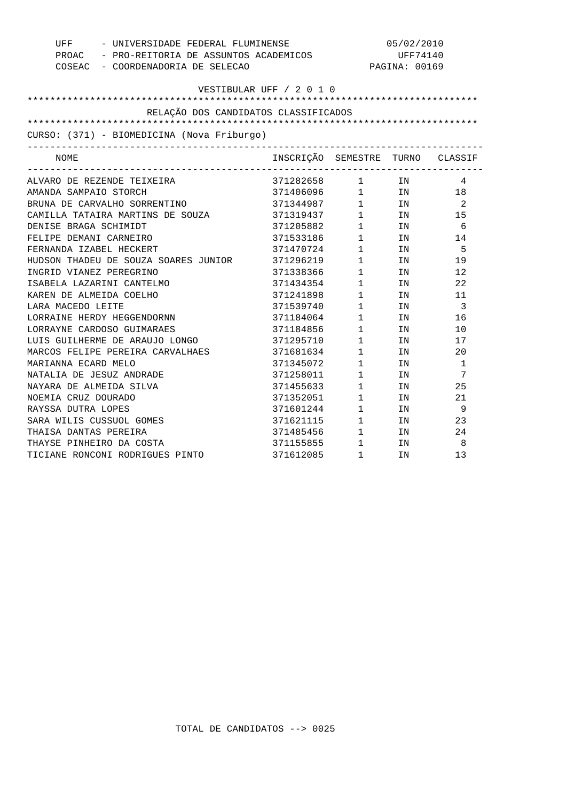| UFF                                         | - UNIVERSIDADE FEDERAL FLUMINENSE                                         |                                               |        | 05/02/2010                 |  |  |  |
|---------------------------------------------|---------------------------------------------------------------------------|-----------------------------------------------|--------|----------------------------|--|--|--|
|                                             | PROAC - PRO-REITORIA DE ASSUNTOS ACADEMICOS                               |                                               |        | UFF74140<br>PAGINA: 00169  |  |  |  |
|                                             | COSEAC - COORDENADORIA DE SELECAO                                         |                                               |        |                            |  |  |  |
| VESTIBULAR UFF / 2 0 1 0                    |                                                                           |                                               |        |                            |  |  |  |
|                                             |                                                                           |                                               |        |                            |  |  |  |
| RELAÇÃO DOS CANDIDATOS CLASSIFICADOS        |                                                                           |                                               |        |                            |  |  |  |
|                                             |                                                                           |                                               |        |                            |  |  |  |
| CURSO: (371) - BIOMEDICINA (Nova Friburgo)  |                                                                           |                                               |        |                            |  |  |  |
| -----------------------------------<br>NOME | INSCRIÇÃO SEMESTRE TURNO CLASSIF<br>------------------------------------- |                                               |        |                            |  |  |  |
| ALVARO DE REZENDE TEIXEIRA                  | 371282658 1 IN                                                            |                                               |        | 4                          |  |  |  |
| AMANDA SAMPAIO STORCH                       | 371406096 1 IN                                                            |                                               |        | 18                         |  |  |  |
| BRUNA DE CARVALHO SORRENTINO                | 371344987 1 IN                                                            |                                               |        | $\overline{\phantom{a}}^2$ |  |  |  |
| CAMILLA TATAIRA MARTINS DE SOUZA            | 371319437                                                                 |                                               | $1$ IN | 15                         |  |  |  |
| DENISE BRAGA SCHIMIDT                       | 371205882                                                                 |                                               | $1$ IN | 6                          |  |  |  |
| FELIPE DEMANI CARNEIRO                      | 371533186                                                                 |                                               | $1$ IN | 14                         |  |  |  |
| FERNANDA IZABEL HECKERT                     | 371470724                                                                 | $1 \qquad \qquad$                             | IN     | - 5                        |  |  |  |
| HUDSON THADEU DE SOUZA SOARES JUNIOR        | 371296219                                                                 | $1 \quad \blacksquare$                        | IN     | 19                         |  |  |  |
| INGRID VIANEZ PEREGRINO                     | 371338366                                                                 | $1 \quad \blacksquare$                        | IN     | 12                         |  |  |  |
| ISABELA LAZARINI CANTELMO                   | 371434354                                                                 | $1 \qquad \qquad$                             | IN     | 22                         |  |  |  |
| KAREN DE ALMEIDA COELHO                     | 371241898 1                                                               |                                               | IN     | 11                         |  |  |  |
| LARA MACEDO LEITE                           | 371539740 1                                                               |                                               | IN     | $\overline{\phantom{a}}$   |  |  |  |
| LORRAINE HERDY HEGGENDORNN                  | 371184064 1                                                               |                                               | IN     | 16                         |  |  |  |
| LORRAYNE CARDOSO GUIMARAES                  | 371184856 1                                                               |                                               | IN     | 10                         |  |  |  |
| LUIS GUILHERME DE ARAUJO LONGO              | 371295710 1                                                               |                                               | IN     | 17                         |  |  |  |
| MARCOS FELIPE PEREIRA CARVALHAES            | 371681634 1                                                               |                                               | IN     | 20                         |  |  |  |
| MARIANNA ECARD MELO                         | 371345072 1                                                               |                                               | IN     | 1                          |  |  |  |
| NATALIA DE JESUZ ANDRADE                    | 371258011                                                                 | 1                                             | IN     | 7                          |  |  |  |
| NAYARA DE ALMEIDA SILVA                     | 371455633                                                                 | $1 \qquad \qquad$                             | IN     | 25                         |  |  |  |
| NOEMIA CRUZ DOURADO                         | 371352051                                                                 | 1                                             | IN     | 21                         |  |  |  |
| RAYSSA DUTRA LOPES                          | 371601244 1                                                               |                                               | IN     | 9                          |  |  |  |
| SARA WILIS CUSSUOL GOMES                    | 371621115 1                                                               |                                               | IN     | 23                         |  |  |  |
| THAISA DANTAS PEREIRA                       | $371485456$ 1                                                             |                                               | IN     | 24                         |  |  |  |
| THAYSE PINHEIRO DA COSTA                    | 371155855                                                                 | $\begin{array}{ccc} 1 & & \\ & & \end{array}$ | IN     | 8                          |  |  |  |
| TICIANE RONCONI RODRIGUES PINTO             | 371612085                                                                 | $\mathbf{1}$                                  | IN     | 13                         |  |  |  |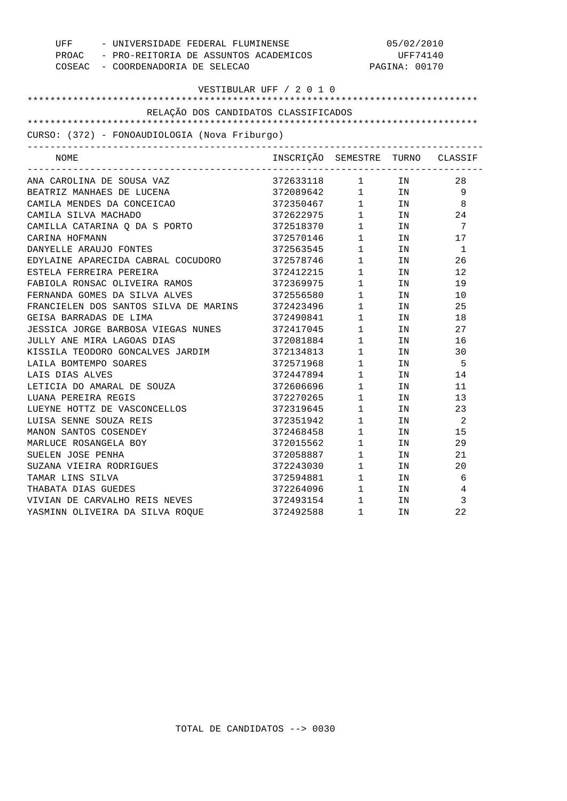|                                                       | UFF - UNIVERSIDADE FEDERAL FLUMINENSE                                                                                                                  |                        |                                                                         | 05/02/2010           |  |  |  |
|-------------------------------------------------------|--------------------------------------------------------------------------------------------------------------------------------------------------------|------------------------|-------------------------------------------------------------------------|----------------------|--|--|--|
| PROAC - PRO-REITORIA DE ASSUNTOS ACADEMICOS           | UFF74140                                                                                                                                               |                        |                                                                         |                      |  |  |  |
| COSEAC - COORDENADORIA DE SELECAO                     |                                                                                                                                                        |                        |                                                                         | PAGINA: 00170        |  |  |  |
|                                                       | VESTIBULAR UFF / 2 0 1 0                                                                                                                               |                        |                                                                         |                      |  |  |  |
|                                                       |                                                                                                                                                        |                        |                                                                         |                      |  |  |  |
| RELAÇÃO DOS CANDIDATOS CLASSIFICADOS                  |                                                                                                                                                        |                        |                                                                         |                      |  |  |  |
|                                                       |                                                                                                                                                        |                        |                                                                         |                      |  |  |  |
| CURSO: (372) - FONOAUDIOLOGIA (Nova Friburgo)         |                                                                                                                                                        |                        |                                                                         |                      |  |  |  |
| ------------------------------------<br>NOME          | INSCRIÇÃO SEMESTRE TURNO CLASSIF                                                                                                                       |                        |                                                                         |                      |  |  |  |
|                                                       |                                                                                                                                                        |                        |                                                                         |                      |  |  |  |
| ANA CAROLINA DE SOUSA VAZ                             | 372633118 1 IN 28                                                                                                                                      |                        |                                                                         |                      |  |  |  |
| BEATRIZ MANHAES DE LUCENA                             |                                                                                                                                                        |                        |                                                                         |                      |  |  |  |
| CAMILA MENDES DA CONCEICAO                            | $\begin{array}{cccccc} 372089642 & & 1 & & \text{IN} & & 9 \\ 372350467 & & 1 & & \text{IN} & & 8 \\ 372622975 & & 1 & & \text{IN} & & 24 \end{array}$ |                        |                                                                         |                      |  |  |  |
| CAMILA SILVA MACHADO<br>CAMILLA CATARINA Q DA S PORTO |                                                                                                                                                        |                        |                                                                         | 7                    |  |  |  |
|                                                       | 372518370 1 IN                                                                                                                                         |                        |                                                                         |                      |  |  |  |
| CARINA HOFMANN<br>DANYELLE ARAUJO FONTES              | 372570146 1 IN                                                                                                                                         |                        |                                                                         | 17<br>$\overline{1}$ |  |  |  |
|                                                       |                                                                                                                                                        |                        |                                                                         |                      |  |  |  |
| EDYLAINE APARECIDA CABRAL COCUDORO                    | 372412215 1 IN                                                                                                                                         |                        |                                                                         | 26                   |  |  |  |
| ESTELA FERREIRA PEREIRA                               |                                                                                                                                                        |                        |                                                                         | 12                   |  |  |  |
| FABIOLA RONSAC OLIVEIRA RAMOS                         | 372369975                                                                                                                                              |                        | $1$ IN                                                                  | 19                   |  |  |  |
| FERNANDA GOMES DA SILVA ALVES                         | 372556580 1 IN<br>372423496 1 IN                                                                                                                       |                        |                                                                         | 10                   |  |  |  |
| FRANCIELEN DOS SANTOS SILVA DE MARINS                 | 372490841 1 IN                                                                                                                                         |                        |                                                                         | 25                   |  |  |  |
| GEISA BARRADAS DE LIMA                                |                                                                                                                                                        |                        |                                                                         | 18                   |  |  |  |
| JESSICA JORGE BARBOSA VIEGAS NUNES                    | 372417045                                                                                                                                              |                        | $1$ IN                                                                  | 27                   |  |  |  |
| JULLY ANE MIRA LAGOAS DIAS                            | 372081884 1 IN<br>372134813 1 IN<br>372571968 1 IN<br>372081884                                                                                        |                        |                                                                         | 16                   |  |  |  |
| KISSILA TEODORO GONCALVES JARDIM                      |                                                                                                                                                        |                        |                                                                         | 30                   |  |  |  |
| LAILA BOMTEMPO SOARES                                 |                                                                                                                                                        |                        |                                                                         | - 5                  |  |  |  |
| LAIS DIAS ALVES                                       | 372447894                                                                                                                                              | $1 \quad \blacksquare$ | IN                                                                      | 14                   |  |  |  |
| LETICIA DO AMARAL DE SOUZA                            | 372606696                                                                                                                                              |                        | $1$ IN                                                                  | 11                   |  |  |  |
| LUANA PEREIRA REGIS                                   | 372270265                                                                                                                                              |                        | $\begin{array}{ccc} 1 & & & \text{IN} \\ 1 & & & \text{IN} \end{array}$ | 13                   |  |  |  |
| LUEYNE HOTTZ DE VASCONCELLOS                          | 372319645                                                                                                                                              |                        |                                                                         | 23                   |  |  |  |
| LUISA SENNE SOUZA REIS                                | 372351942                                                                                                                                              | $\mathbf 1$            | IN                                                                      | $\overline{2}$       |  |  |  |
| MANON SANTOS COSENDEY                                 | 372468458                                                                                                                                              |                        | $1$ IN                                                                  | 15                   |  |  |  |
| MARLUCE ROSANGELA BOY                                 | 372015562 1 IN<br>372058887 1 IN<br>372243030 1 IN                                                                                                     |                        |                                                                         | 29                   |  |  |  |
| SUELEN JOSE PENHA                                     |                                                                                                                                                        |                        |                                                                         | 21                   |  |  |  |
| SUZANA VIEIRA RODRIGUES                               |                                                                                                                                                        |                        |                                                                         | 20                   |  |  |  |
| TAMAR LINS SILVA                                      | 372594881                                                                                                                                              | $1 \quad \blacksquare$ | IN                                                                      | 6                    |  |  |  |
| THABATA DIAS GUEDES                                   | $372264096$ 1 IN                                                                                                                                       |                        |                                                                         | 4                    |  |  |  |
| VIVIAN DE CARVALHO REIS NEVES                         | $\begin{array}{cccc} 372493154 & 1 & \text{IN} \\ 372492588 & 1 & \text{IN} \end{array}$                                                               |                        |                                                                         | 3                    |  |  |  |
| YASMINN OLIVEIRA DA SILVA ROOUE                       |                                                                                                                                                        |                        |                                                                         | 22                   |  |  |  |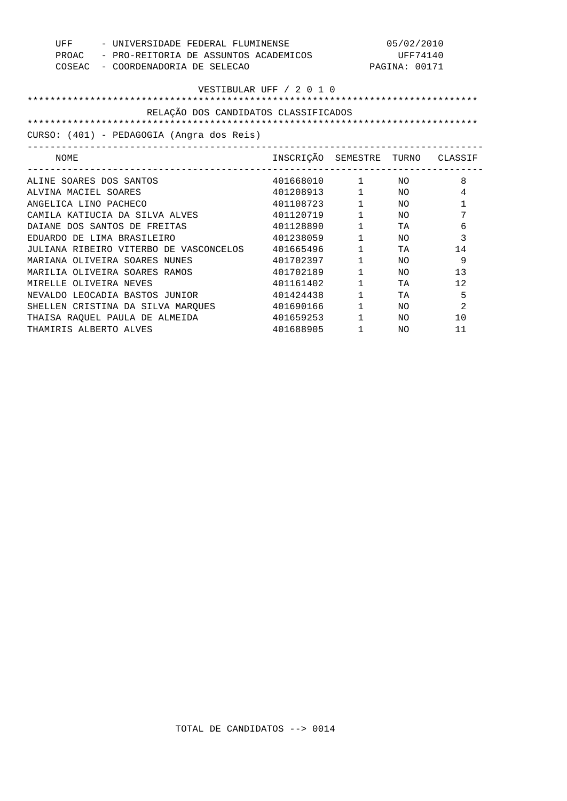| UFF                     | 05/02/2010<br>- UNIVERSIDADE FEDERAL FLUMINENSE |                                  |                        |               |                |  |
|-------------------------|-------------------------------------------------|----------------------------------|------------------------|---------------|----------------|--|
| PROAC                   | - PRO-REITORIA DE ASSUNTOS ACADEMICOS           | UFF74140                         |                        |               |                |  |
| COSEAC                  | - COORDENADORIA DE SELECAO                      |                                  |                        | PAGINA: 00171 |                |  |
|                         |                                                 |                                  |                        |               |                |  |
|                         |                                                 | VESTIBULAR UFF / 2 0 1 0         |                        |               |                |  |
|                         |                                                 |                                  |                        |               |                |  |
|                         | RELAÇÃO DOS CANDIDATOS CLASSIFICADOS            |                                  |                        |               |                |  |
|                         |                                                 |                                  |                        |               |                |  |
|                         | CURSO: (401) - PEDAGOGIA (Angra dos Reis)       |                                  |                        |               |                |  |
| NOME                    |                                                 | INSCRIÇÃO SEMESTRE TURNO CLASSIF |                        |               |                |  |
| ALINE SOARES DOS SANTOS |                                                 | 401668010                        | 1 NO                   |               | 8              |  |
| ALVINA MACIEL SOARES    |                                                 | 401208913                        | $1 \quad \Box$         | NO            | 4              |  |
| ANGELICA LINO PACHECO   |                                                 | 401108723                        | $1 \quad \blacksquare$ | NΟ            | $\mathbf{1}$   |  |
|                         | CAMILA KATIUCIA DA SILVA ALVES                  | 401120719                        | $1 \quad \Box$         | NO.           | 7              |  |
|                         | DAIANE DOS SANTOS DE FREITAS                    | 401128890                        | $1 \qquad \qquad$      | TA            | 6              |  |
|                         | EDUARDO DE LIMA BRASILEIRO                      | 401238059                        | $1 \qquad \qquad$      | NO.           | 3              |  |
|                         | JULIANA RIBEIRO VITERBO DE VASCONCELOS          | 401665496                        | $1 \qquad \qquad$      | TA            | 14             |  |
|                         | MARIANA OLIVEIRA SOARES NUNES                   | 401702397                        | $\mathbf{1}$           | NΟ            | 9              |  |
|                         | MARILIA OLIVEIRA SOARES RAMOS                   | 401702189                        | 1                      | NO.           | 13             |  |
| MIRELLE OLIVEIRA NEVES  |                                                 | 401161402                        | $\mathbf{1}$           | TA            | 12             |  |
|                         | NEVALDO LEOCADIA BASTOS JUNIOR                  | 401424438                        | $1 \quad \blacksquare$ | TA            | 5              |  |
|                         | SHELLEN CRISTINA DA SILVA MARQUES               | 401690166                        | $1 \qquad \qquad$      | NO.           | $\overline{2}$ |  |
|                         | THAISA RAOUEL PAULA DE ALMEIDA                  | 401659253                        | $1 \qquad \qquad$      | NO.           | 10             |  |
| THAMIRIS ALBERTO ALVES  |                                                 | 401688905                        | $\mathbf{1}$           | NO.           | 11             |  |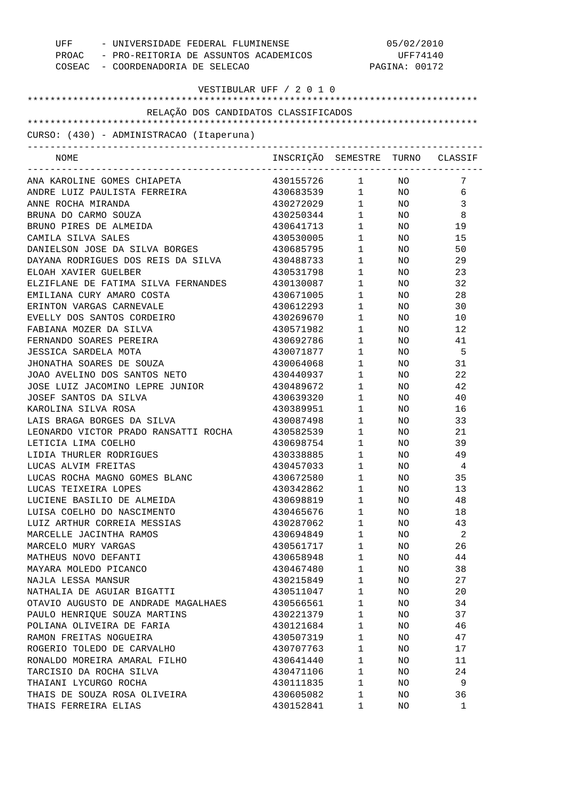| UFF - UNIVERSIDADE FEDERAL FLUMINENSE<br>PROAC - PRO-REITORIA DE ASSUNTOS ACADEMICOS<br>COSEAC - COORDENADORIA DE SELECAO |                                  |                        |                 | 05/02/2010<br>UFF74140<br>PAGINA: 00172 |  |  |  |
|---------------------------------------------------------------------------------------------------------------------------|----------------------------------|------------------------|-----------------|-----------------------------------------|--|--|--|
| VESTIBULAR UFF / 2 0 1 0                                                                                                  |                                  |                        |                 |                                         |  |  |  |
| RELAÇÃO DOS CANDIDATOS CLASSIFICADOS                                                                                      |                                  |                        |                 |                                         |  |  |  |
|                                                                                                                           |                                  |                        |                 |                                         |  |  |  |
| CURSO: (430) - ADMINISTRACAO (Itaperuna)                                                                                  |                                  |                        |                 |                                         |  |  |  |
| NOME                                                                                                                      | INSCRIÇÃO SEMESTRE TURNO CLASSIF |                        |                 |                                         |  |  |  |
| ANA KAROLINE GOMES CHIAPETA                                                                                               | 430155726                        | $1 \quad \cdots$       | NO.             | 7                                       |  |  |  |
| ANDRE LUIZ PAULISTA FERREIRA                                                                                              | 430683539 1                      |                        | NO              | 6                                       |  |  |  |
| ANNE ROCHA MIRANDA                                                                                                        | 430272029                        | $1 \quad \blacksquare$ | NO              | 3                                       |  |  |  |
| BRUNA DO CARMO SOUZA                                                                                                      | 430250344                        | $1 \quad \blacksquare$ | NO              | 8                                       |  |  |  |
| BRUNO PIRES DE ALMEIDA                                                                                                    | 430641713                        | $1 \quad \blacksquare$ | NO <sub>2</sub> | 19                                      |  |  |  |
| CAMILA SILVA SALES                                                                                                        | 430530005                        | $1 \quad \blacksquare$ | NO .            | 15                                      |  |  |  |
| DANIELSON JOSE DA SILVA BORGES                                                                                            | 430685795                        | $1 \quad \blacksquare$ | NO              | 50                                      |  |  |  |
| DAYANA RODRIGUES DOS REIS DA SILVA                                                                                        | 430488733                        | $1 \qquad \qquad$      | NO              | 29                                      |  |  |  |
| ELOAH XAVIER GUELBER                                                                                                      | 430531798                        | $1 \quad \blacksquare$ | NO.             | 23                                      |  |  |  |
| ELZIFLANE DE FATIMA SILVA FERNANDES                                                                                       | 430130087                        | $1 \quad \blacksquare$ | NO.             | 32                                      |  |  |  |
| EMILIANA CURY AMARO COSTA                                                                                                 | 430671005                        | $1 \qquad \qquad$      | NO.             | 28                                      |  |  |  |
| ERINTON VARGAS CARNEVALE                                                                                                  | 430612293                        | $1 \quad \blacksquare$ | NO.             | 30                                      |  |  |  |
| EVELLY DOS SANTOS CORDEIRO                                                                                                | 430269670                        | $1 \quad \blacksquare$ | NO.             | 10                                      |  |  |  |
| FABIANA MOZER DA SILVA                                                                                                    | 430571982                        | $1 \quad \blacksquare$ | NO.             | 12                                      |  |  |  |
| FERNANDO SOARES PEREIRA                                                                                                   | 430692786                        | $1 \quad \blacksquare$ | NO.             | 41                                      |  |  |  |
| JESSICA SARDELA MOTA                                                                                                      | 430071877                        | $1 \quad \blacksquare$ | NO.             | - 5                                     |  |  |  |
| JHONATHA SOARES DE SOUZA                                                                                                  | 430064068                        | $1 \quad \blacksquare$ | NO.             | 31                                      |  |  |  |
| JOAO AVELINO DOS SANTOS NETO                                                                                              | 430440937                        | $1 \quad \blacksquare$ | NO.             | 22                                      |  |  |  |
| JOSE LUIZ JACOMINO LEPRE JUNIOR                                                                                           | 430489672                        | $1 \quad \cdots$       | NO.             | 42                                      |  |  |  |
| JOSEF SANTOS DA SILVA                                                                                                     | 430639320                        | $1 \quad \blacksquare$ | NO.             | 40                                      |  |  |  |
| KAROLINA SILVA ROSA                                                                                                       | 430389951                        | $1 \qquad \qquad$      | NO.             | 16                                      |  |  |  |
| LAIS BRAGA BORGES DA SILVA                                                                                                | 430087498                        | $1 \qquad \qquad$      | NO              | 33                                      |  |  |  |
| LEONARDO VICTOR PRADO RANSATTI ROCHA                                                                                      | 430582539                        | $1 \quad \blacksquare$ | NO .            | 21                                      |  |  |  |
| LETICIA LIMA COELHO                                                                                                       | 430698754                        | $1 \qquad \qquad$      | NO.             | 39                                      |  |  |  |
| LIDIA THURLER RODRIGUES                                                                                                   | 430338885                        | $\mathbf{1}$           | NO.             | 49                                      |  |  |  |
| LUCAS ALVIM FREITAS                                                                                                       | 430457033                        | 1                      | ΝO              | 4                                       |  |  |  |
| LUCAS ROCHA MAGNO GOMES BLANC                                                                                             | 430672580                        | 1                      | NO              | 35                                      |  |  |  |
| LUCAS TEIXEIRA LOPES                                                                                                      | 430342862                        | 1                      | NO.             | 13                                      |  |  |  |
| LUCIENE BASILIO DE ALMEIDA                                                                                                | 430698819                        | $\mathbf 1$            | NO.             | 48                                      |  |  |  |
| LUISA COELHO DO NASCIMENTO                                                                                                | 430465676                        | 1                      | NO.             | 18                                      |  |  |  |
| LUIZ ARTHUR CORREIA MESSIAS                                                                                               | 430287062                        | 1                      | NO.             | 43                                      |  |  |  |
| MARCELLE JACINTHA RAMOS                                                                                                   | 430694849                        | $\mathbf 1$            | NO.             | 2                                       |  |  |  |
| MARCELO MURY VARGAS                                                                                                       | 430561717                        | 1                      | NO.             | 26                                      |  |  |  |
| MATHEUS NOVO DEFANTI                                                                                                      | 430658948                        | $\mathbf 1$            | NO.             | 44                                      |  |  |  |
| MAYARA MOLEDO PICANCO                                                                                                     | 430467480                        | 1                      | NO.             | 38                                      |  |  |  |
| NAJLA LESSA MANSUR                                                                                                        | 430215849                        | 1                      | NO.             | 27                                      |  |  |  |
| NATHALIA DE AGUIAR BIGATTI                                                                                                | 430511047                        | 1                      | NO.             | 20                                      |  |  |  |
|                                                                                                                           |                                  |                        |                 |                                         |  |  |  |
| OTAVIO AUGUSTO DE ANDRADE MAGALHAES<br>PAULO HENRIQUE SOUZA MARTINS                                                       | 430566561<br>430221379           | 1<br>1                 | NO.             | 34<br>37                                |  |  |  |
|                                                                                                                           |                                  |                        | NO.             |                                         |  |  |  |
| POLIANA OLIVEIRA DE FARIA                                                                                                 | 430121684                        | 1                      | NO.             | 46                                      |  |  |  |
| RAMON FREITAS NOGUEIRA                                                                                                    | 430507319                        | 1                      | NO.             | 47                                      |  |  |  |
| ROGERIO TOLEDO DE CARVALHO                                                                                                | 430707763                        | 1                      | NO.             | 17                                      |  |  |  |
| RONALDO MOREIRA AMARAL FILHO                                                                                              | 430641440                        | 1                      | NO.             | 11                                      |  |  |  |
| TARCISIO DA ROCHA SILVA                                                                                                   | 430471106                        | 1                      | NO.             | 24                                      |  |  |  |
| THAIANI LYCURGO ROCHA                                                                                                     | 430111835                        | 1                      | NO              | 9                                       |  |  |  |
| THAIS DE SOUZA ROSA OLIVEIRA                                                                                              | 430605082                        | 1                      | NO.             | 36                                      |  |  |  |
| THAIS FERREIRA ELIAS                                                                                                      | 430152841                        | 1                      | NO.             | 1                                       |  |  |  |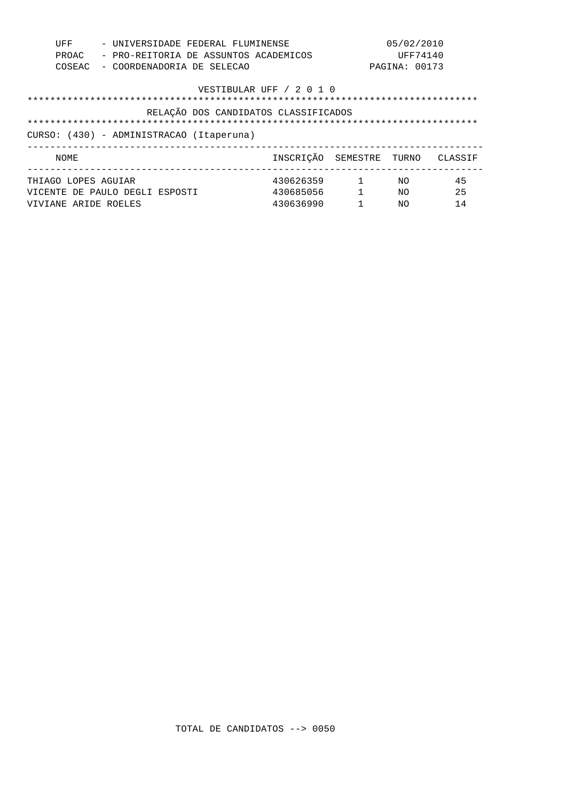| UFF<br>PROAC<br>COSEAC                                                                                                                               |                                                        | - UNIVERSIDADE FEDERAL FLUMINENSE<br>- PRO-REITORIA DE ASSUNTOS ACADEMICOS<br>- COORDENADORIA DE SELECAO |  |                                     |                            | 05/02/2010<br>UFF74140<br>PAGINA: 00173 |                |
|------------------------------------------------------------------------------------------------------------------------------------------------------|--------------------------------------------------------|----------------------------------------------------------------------------------------------------------|--|-------------------------------------|----------------------------|-----------------------------------------|----------------|
| VESTIBULAR UFF / 2 0 1 0<br>RELAÇÃO DOS CANDIDATOS CLASSIFICADOS<br>************************************<br>CURSO: (430) - ADMINISTRACAO (Itaperuna) |                                                        |                                                                                                          |  |                                     |                            |                                         |                |
| NOME                                                                                                                                                 |                                                        | ___________________________                                                                              |  |                                     | INSCRIÇÃO SEMESTRE TURNO   |                                         | CLASSIF        |
| THIAGO LOPES AGUIAR                                                                                                                                  | VICENTE DE PAULO DEGLI ESPOSTI<br>VIVIANE ARIDE ROELES |                                                                                                          |  | 430626359<br>430685056<br>430636990 | $\sim$ 1<br>$\overline{1}$ | NO.<br>NΟ<br>NΟ                         | 45<br>25<br>14 |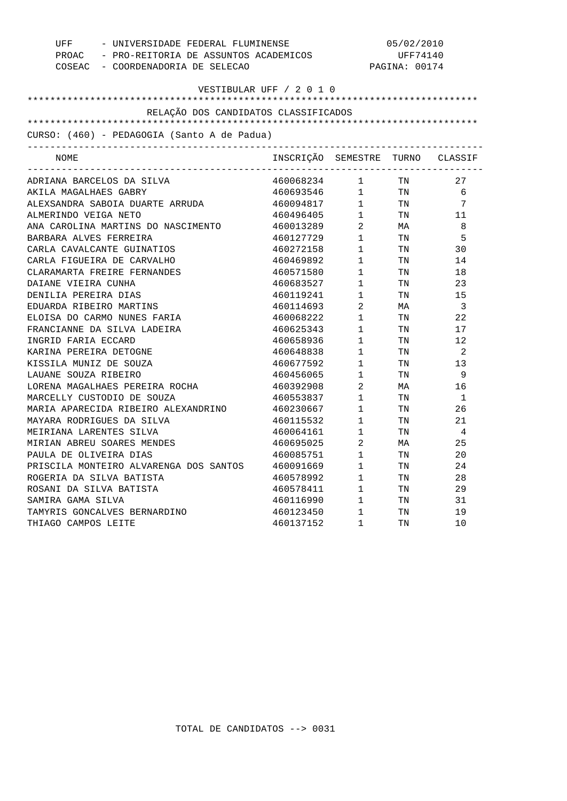| UFF<br>- UNIVERSIDADE FEDERAL FLUMINENSE<br>PROAC - PRO-REITORIA DE ASSUNTOS ACADEMICOS<br>COSEAC - COORDENADORIA DE SELECAO |                                      | PAGINA: 00174                         | 05/02/2010<br>UFF74140 |                |
|------------------------------------------------------------------------------------------------------------------------------|--------------------------------------|---------------------------------------|------------------------|----------------|
|                                                                                                                              | VESTIBULAR UFF / 2 0 1 0             |                                       |                        |                |
| RELAÇÃO DOS CANDIDATOS CLASSIFICADOS                                                                                         |                                      |                                       |                        |                |
| CURSO: (460) - PEDAGOGIA (Santo A de Padua)                                                                                  |                                      |                                       |                        |                |
|                                                                                                                              |                                      |                                       |                        |                |
| NOME                                                                                                                         | INSCRIÇÃO SEMESTRE                   |                                       |                        | TURNO CLASSIF  |
| ADRIANA BARCELOS DA SILVA                                                                                                    | $460068234$ 1 TN<br>$460693546$ 1 TN |                                       |                        | 27             |
| AKILA MAGALHAES GABRY                                                                                                        |                                      |                                       |                        | 6              |
| ALEXSANDRA SABOIA DUARTE ARRUDA                                                                                              | 460094817 1 TN                       |                                       |                        | 7              |
| ALMERINDO VEIGA NETO                                                                                                         | 460496405 1 TN                       |                                       |                        | 11             |
| ANA CAROLINA MARTINS DO NASCIMENTO                                                                                           | 460013289                            | $\overline{a}$                        | MA                     | 8              |
| BARBARA ALVES FERREIRA                                                                                                       | 460127729                            | $\begin{array}{c} 2 \\ 1 \end{array}$ | TN                     | 5              |
| CARLA CAVALCANTE GUINATIOS                                                                                                   | 460272158                            | $1 \quad \blacksquare$                | TN                     | 30             |
| CARLA FIGUEIRA DE CARVALHO                                                                                                   | 460469892 1                          |                                       | TN                     | 14             |
| CLARAMARTA FREIRE FERNANDES                                                                                                  | 460571580                            | $1 -$                                 | TN                     | 18             |
| DAIANE VIEIRA CUNHA                                                                                                          | 460683527                            | $\mathbf 1$                           | TN                     | 23             |
| DENILIA PEREIRA DIAS                                                                                                         | 460119241                            | $1 \quad \blacksquare$                | TN                     | 15             |
| EDUARDA RIBEIRO MARTINS                                                                                                      | 460114693                            | $\overline{a}$                        | МA                     | $\overline{3}$ |
| ELOISA DO CARMO NUNES FARIA                                                                                                  | 460068222                            | $1 -$                                 | TN                     | 22             |
| FRANCIANNE DA SILVA LADEIRA                                                                                                  | 460625343                            | 1                                     | TN                     | 17             |
| INGRID FARIA ECCARD                                                                                                          | 460658936                            | $1 \quad \blacksquare$                | TN                     | 12             |
| KARINA PEREIRA DETOGNE                                                                                                       | 460648838                            | $\frac{1}{1}$                         | TN                     | 2              |
| KISSILA MUNIZ DE SOUZA                                                                                                       | 460677592                            | $\mathbf{1}$                          | TN                     | 13             |
| LAUANE SOUZA RIBEIRO                                                                                                         | 460456065                            | 1                                     | TN                     | - 9            |
| LORENA MAGALHAES PEREIRA ROCHA                                                                                               | 460392908                            | $\overline{2}$                        | МA                     | 16             |
| MARCELLY CUSTODIO DE SOUZA                                                                                                   | 460553837                            | 1                                     | TN                     | 1              |
| MARIA APARECIDA RIBEIRO ALEXANDRINO                                                                                          | 460230667                            | 1                                     | TN                     | 26             |
| MAYARA RODRIGUES DA SILVA                                                                                                    | 460115532                            | $1 \quad \blacksquare$                | TN                     | 21             |
| MEIRIANA LARENTES SILVA                                                                                                      | 460064161                            | $1 \quad \blacksquare$                | TN                     | 4              |
| MIRIAN ABREU SOARES MENDES                                                                                                   | 460695025                            | $\overline{a}$                        | MA                     | 25             |
| PAULA DE OLIVEIRA DIAS                                                                                                       | 460085751                            | $\mathbf{1}$                          | TN                     | 20             |
| PRISCILA MONTEIRO ALVARENGA DOS SANTOS                                                                                       | 460091669                            | $1 \qquad \qquad$                     | TN                     | 24             |
| ROGERIA DA SILVA BATISTA                                                                                                     | 460578992                            | $\mathbf 1$                           | TN                     | 28             |
| ROSANI DA SILVA BATISTA                                                                                                      |                                      | 1                                     | TN                     | 29             |
| SAMIRA GAMA SILVA                                                                                                            | $460116990$ 1<br>$46012345$          |                                       | TN                     | 31             |
| TAMYRIS GONCALVES BERNARDINO                                                                                                 | 460123450                            | $1 \qquad \qquad$                     | TN                     | 19             |
| THIAGO CAMPOS LEITE                                                                                                          | 460137152                            | $\mathbf{1}$                          | TN                     | 10             |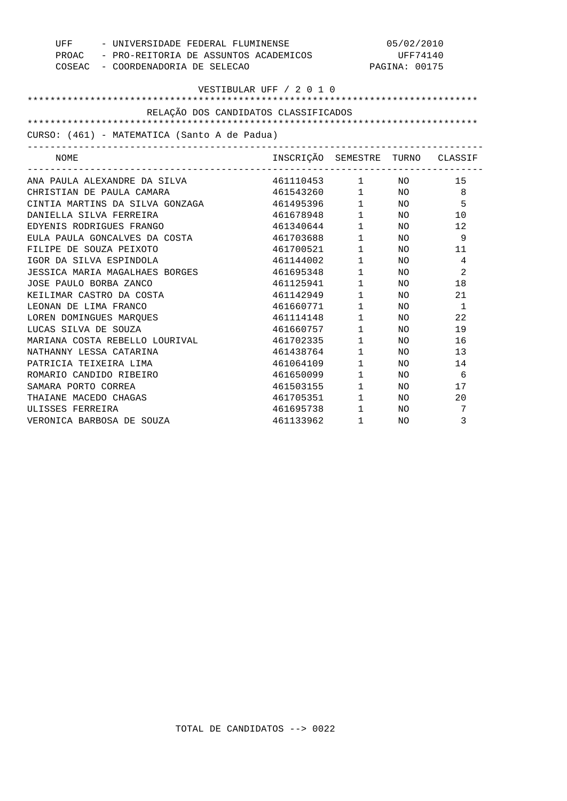| UFF<br>- UNIVERSIDADE FEDERAL FLUMINENSE     | 05/02/2010                        |                        |               |                |
|----------------------------------------------|-----------------------------------|------------------------|---------------|----------------|
| PROAC - PRO-REITORIA DE ASSUNTOS ACADEMICOS  | <b>UFF74140</b>                   |                        |               |                |
|                                              | COSEAC - COORDENADORIA DE SELECAO |                        | PAGINA: 00175 |                |
|                                              |                                   |                        |               |                |
|                                              | VESTIBULAR UFF / 2 0 1 0          |                        |               |                |
|                                              |                                   |                        |               |                |
| RELAÇÃO DOS CANDIDATOS CLASSIFICADOS         |                                   |                        |               |                |
| CURSO: (461) - MATEMATICA (Santo A de Padua) |                                   |                        |               |                |
|                                              | INSCRIÇÃO SEMESTRE TURNO CLASSIF  |                        |               |                |
| NOME                                         |                                   |                        |               |                |
| ANA PAULA ALEXANDRE DA SILVA                 | 461110453 1 NO                    |                        |               | 15             |
| CHRISTIAN DE PAULA CAMARA                    | 461543260 1 NO<br>461495396 1 NO  |                        |               | 8              |
| CINTIA MARTINS DA SILVA GONZAGA              |                                   |                        |               | 5              |
| DANIELLA SILVA FERREIRA                      | 461678948                         |                        | $1$ NO        | 10             |
| EDYENIS RODRIGUES FRANGO                     | 461340644                         |                        | $1$ NO        | 12             |
| EULA PAULA GONCALVES DA COSTA                | 461703688                         | $1 \qquad \qquad$      | NO            | 9              |
| FILIPE DE SOUZA PEIXOTO                      | 461700521                         | $\mathbf 1$            | NO.           | 11             |
| IGOR DA SILVA ESPINDOLA                      | 461144002                         | $1 \qquad \qquad$      | NO.           | 4              |
| JESSICA MARIA MAGALHAES BORGES               | 461695348                         | $1 \quad \Box$         | NO.           | $\overline{2}$ |
| JOSE PAULO BORBA ZANCO                       | 461125941                         | $1 \quad \Box$         | NO            | 18             |
| KEILIMAR CASTRO DA COSTA                     | 461142949                         | $1 \qquad \qquad$      | NO            | 21             |
| LEONAN DE LIMA FRANCO                        | 461660771                         | $1 \qquad \qquad$      | NO.           | 1              |
| LOREN DOMINGUES MARQUES                      | 461114148                         | $1 \quad \blacksquare$ | NO.           | 22             |
| LUCAS SILVA DE SOUZA                         | 461660757                         | $1 \qquad \qquad$      | NO.           | 19             |
| MARIANA COSTA REBELLO LOURIVAL               | 461702335                         | $1 \quad \blacksquare$ | NO.           | 16             |
| NATHANNY LESSA CATARINA                      | 461438764                         | $1 \qquad \qquad$      | NO.           | 13             |
| PATRICIA TEIXEIRA LIMA                       | 461064109                         | $\mathbf{1}$           | NO.           | 14             |
| ROMARIO CANDIDO RIBEIRO                      | 461650099                         | $1 \qquad \qquad$      | NO.           | 6              |
| SAMARA PORTO CORREA                          | 461503155                         | $1 \quad \Box$         | NO.           | 17             |
| THAIANE MACEDO CHAGAS                        | 461705351                         | $1 \quad \Box$         | NO.           | 20             |
| ULISSES FERREIRA                             | 461695738                         | $1 \quad \cdots$       | NO.           | 7              |
| VERONICA BARBOSA DE SOUZA                    | 461133962                         | $\mathbf{1}$           | NO.           | 3              |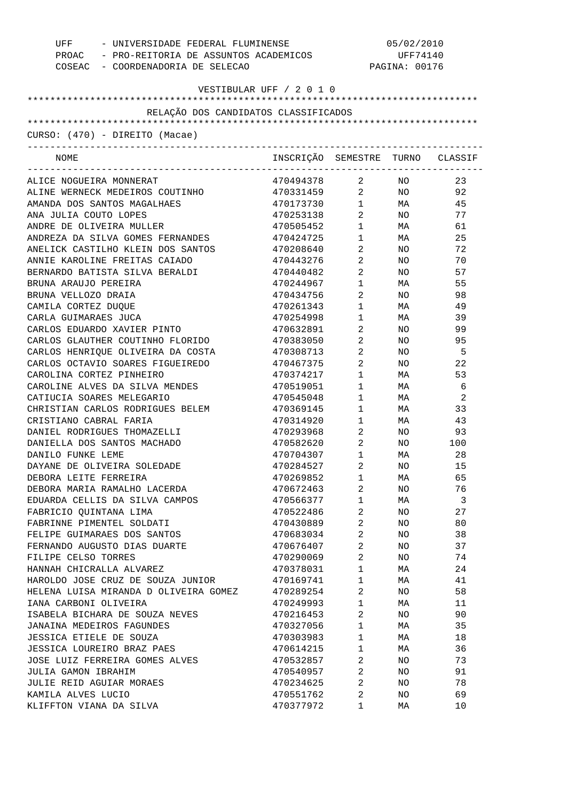| - UNIVERSIDADE FEDERAL FLUMINENSE<br>UFF<br>PROAC - PRO-REITORIA DE ASSUNTOS ACADEMICOS<br>COSEAC - COORDENADORIA DE SELECAO |                                  |                                   | 05/02/2010<br>UFF74140<br>PAGINA: 00176 |     |  |
|------------------------------------------------------------------------------------------------------------------------------|----------------------------------|-----------------------------------|-----------------------------------------|-----|--|
| VESTIBULAR UFF / 2 0 1 0                                                                                                     |                                  |                                   |                                         |     |  |
|                                                                                                                              |                                  |                                   |                                         |     |  |
| RELAÇÃO DOS CANDIDATOS CLASSIFICADOS                                                                                         |                                  |                                   |                                         |     |  |
| $CURSO: (470) - DIREITO (Macae)$                                                                                             |                                  |                                   |                                         |     |  |
| NOME                                                                                                                         | INSCRIÇÃO SEMESTRE TURNO CLASSIF |                                   |                                         |     |  |
| ALICE NOGUEIRA MONNERAT                                                                                                      | 470494378                        | $\mathbf{2}$                      | NO <sub>n</sub>                         | 23  |  |
| ALINE WERNECK MEDEIROS COUTINHO                                                                                              | 470331459 2 NO                   |                                   |                                         | 92  |  |
| AMANDA DOS SANTOS MAGALHAES                                                                                                  | 470173730 1                      |                                   | MA                                      | 45  |  |
| ANA JULIA COUTO LOPES                                                                                                        | 470253138                        | $2 \left( \frac{1}{2} \right)$    | NO <sub>2</sub>                         | 77  |  |
| ANDRE DE OLIVEIRA MULLER                                                                                                     | 470505452                        | $1 \qquad \qquad$                 | MA                                      | 61  |  |
| ANDREZA DA SILVA GOMES FERNANDES                                                                                             | 470424725                        | $1 \quad \blacksquare$            | MA                                      | 25  |  |
| ANELICK CASTILHO KLEIN DOS SANTOS                                                                                            | 470208640                        | $2 \left( \frac{1}{2} \right)$    | NO <sub>1</sub>                         | 72  |  |
| ANNIE KAROLINE FREITAS CAIADO                                                                                                | 470443276                        | $\overline{2}$                    | NO <sub>1</sub>                         | 70  |  |
| BERNARDO BATISTA SILVA BERALDI                                                                                               | 470440482                        | $\overline{2}$                    | NO <sub>2</sub>                         | 57  |  |
| BRUNA ARAUJO PEREIRA                                                                                                         | 470244967                        | $1 \quad \blacksquare$            | MA                                      | 55  |  |
| BRUNA VELLOZO DRAIA                                                                                                          | 470434756                        | $2 \left( \frac{1}{2} \right)$    | NO <sub>1</sub>                         | 98  |  |
| CAMILA CORTEZ DUQUE                                                                                                          | 470261343                        | $1 \quad \blacksquare$            | MA                                      | 49  |  |
| CARLA GUIMARAES JUCA                                                                                                         | 470254998                        | 1                                 | MA                                      | 39  |  |
| CARLOS EDUARDO XAVIER PINTO                                                                                                  | 470632891                        | $\overline{2}$ and $\overline{2}$ | NO.                                     | 99  |  |
| CARLOS GLAUTHER COUTINHO FLORIDO                                                                                             | 470383050                        | $2 \left( \frac{1}{2} \right)$    | NO                                      | 95  |  |
| CARLOS HENRIQUE OLIVEIRA DA COSTA                                                                                            | 470308713                        | $2 \left( \frac{1}{2} \right)$    | NO                                      | - 5 |  |
| CARLOS OCTAVIO SOARES FIGUEIREDO                                                                                             | 470467375                        | $\overline{a}$                    | NO                                      | 22  |  |
| CAROLINA CORTEZ PINHEIRO                                                                                                     | 470374217                        | $1 \qquad \qquad$                 | MA                                      | 53  |  |
| CAROLINE ALVES DA SILVA MENDES                                                                                               | 470519051                        | $1 \quad \blacksquare$            | MA                                      | 6   |  |
| CATIUCIA SOARES MELEGARIO                                                                                                    | 470545048                        | $1 \qquad \qquad$                 | MA                                      | 2   |  |
| CHRISTIAN CARLOS RODRIGUES BELEM                                                                                             | 470369145                        | $1 \quad \blacksquare$            | MA                                      | 33  |  |
| CRISTIANO CABRAL FARIA                                                                                                       | 470314920                        | $1 \quad \blacksquare$            | <b>MA</b>                               | 43  |  |
| DANIEL RODRIGUES THOMAZELLI                                                                                                  | 470293968                        | $\overline{2}$                    | NO <sub>2</sub>                         | 93  |  |
| DANIELLA DOS SANTOS MACHADO                                                                                                  | 470582620                        | $2 \left( \frac{1}{2} \right)$    | NO <sub>2</sub>                         | 100 |  |
| DANILO FUNKE LEME                                                                                                            | 470704307                        | $\mathbf{1}$                      | MA                                      | 28  |  |
| DAYANE DE OLIVEIRA SOLEDADE                                                                                                  | 470284527                        | 2                                 | ΝO                                      | 15  |  |
| DEBORA LEITE FERREIRA                                                                                                        | 470269852                        | 1                                 | МA                                      | 65  |  |
| DEBORA MARIA RAMALHO LACERDA                                                                                                 | 470672463                        | 2                                 | NO                                      | 76  |  |
| EDUARDA CELLIS DA SILVA CAMPOS                                                                                               | 470566377                        | 1                                 | МA                                      | 3   |  |
| FABRICIO QUINTANA LIMA                                                                                                       | 470522486                        | 2                                 | NO                                      | 27  |  |
| FABRINNE PIMENTEL SOLDATI                                                                                                    | 470430889                        | 2                                 | NO                                      | 80  |  |
| FELIPE GUIMARAES DOS SANTOS                                                                                                  | 470683034                        | 2                                 | NO                                      | 38  |  |
| FERNANDO AUGUSTO DIAS DUARTE                                                                                                 | 470676407                        | 2                                 | NO                                      | 37  |  |
| FILIPE CELSO TORRES                                                                                                          | 470290069                        | 2                                 | NO                                      | 74  |  |
| HANNAH CHICRALLA ALVAREZ                                                                                                     | 470378031                        | 1                                 | МA                                      | 24  |  |
| HAROLDO JOSE CRUZ DE SOUZA JUNIOR                                                                                            | 470169741                        | $\mathbf 1$                       | МA                                      | 41  |  |
| HELENA LUISA MIRANDA D OLIVEIRA GOMEZ                                                                                        | 470289254                        | 2                                 | NO                                      | 58  |  |
| IANA CARBONI OLIVEIRA                                                                                                        | 470249993                        | $\mathbf 1$                       | МA                                      | 11  |  |
| ISABELA BICHARA DE SOUZA NEVES                                                                                               | 470216453                        | 2                                 | NO                                      | 90  |  |
| JANAINA MEDEIROS FAGUNDES                                                                                                    | 470327056                        | $\mathbf 1$                       | МA                                      | 35  |  |
| JESSICA ETIELE DE SOUZA                                                                                                      | 470303983                        | 1                                 | МA                                      | 18  |  |
| JESSICA LOUREIRO BRAZ PAES                                                                                                   | 470614215                        | 1                                 | МA                                      | 36  |  |
| JOSE LUIZ FERREIRA GOMES ALVES                                                                                               | 470532857                        | 2                                 | NO                                      | 73  |  |
| JULIA GAMON IBRAHIM                                                                                                          | 470540957                        | 2                                 | NO                                      | 91  |  |
| JULIE REID AGUIAR MORAES                                                                                                     | 470234625                        | 2                                 | NO                                      | 78  |  |
| KAMILA ALVES LUCIO                                                                                                           | 470551762                        | 2                                 | NO                                      | 69  |  |
| KLIFFTON VIANA DA SILVA                                                                                                      | 470377972                        | 1                                 | МA                                      | 10  |  |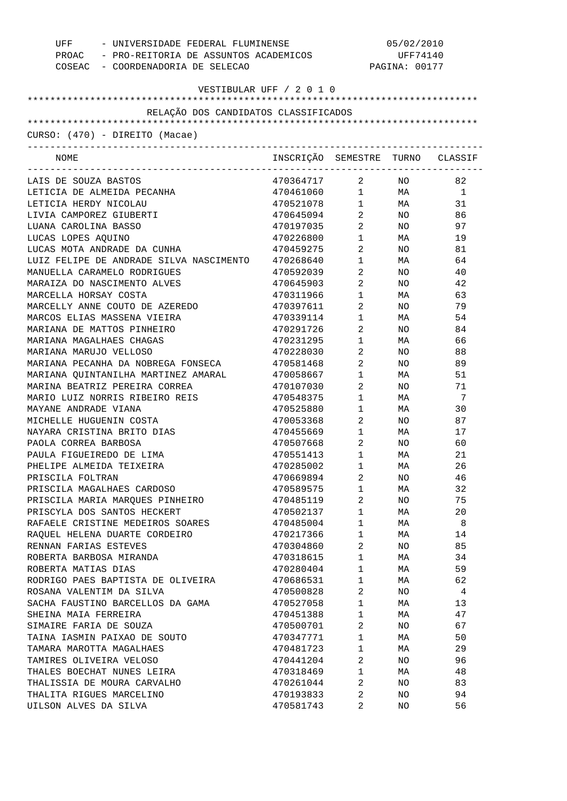| UFF - UNIVERSIDADE FEDERAL FLUMINENSE<br>PROAC - PRO-REITORIA DE ASSUNTOS ACADEMICOS<br>COSEAC - COORDENADORIA DE SELECAO | 05/02/2010<br>UFF74140<br>PAGINA: 00177 |                                |                 |     |
|---------------------------------------------------------------------------------------------------------------------------|-----------------------------------------|--------------------------------|-----------------|-----|
| VESTIBULAR UFF / 2 0 1 0                                                                                                  |                                         |                                |                 |     |
|                                                                                                                           |                                         |                                |                 |     |
| RELAÇÃO DOS CANDIDATOS CLASSIFICADOS                                                                                      |                                         |                                |                 |     |
|                                                                                                                           |                                         |                                |                 |     |
| CURSO: (470) - DIREITO (Macae)                                                                                            |                                         |                                |                 |     |
| NOME                                                                                                                      | INSCRIÇÃO SEMESTRE TURNO CLASSIF        |                                |                 |     |
| LAIS DE SOUZA BASTOS                                                                                                      | 470364717 2 NO                          |                                |                 | 82  |
| LETICIA DE ALMEIDA PECANHA                                                                                                | $470461060$ 1 MA 1                      |                                |                 |     |
| LETICIA HERDY NICOLAU                                                                                                     | 470521078 1 MA                          |                                |                 | 31  |
| LIVIA CAMPOREZ GIUBERTI                                                                                                   | 470645094                               | $\overline{a}$                 | NO <sub>2</sub> | 86  |
| LUANA CAROLINA BASSO                                                                                                      | 470197035                               | $\overline{2}$                 | NO <sub>1</sub> | 97  |
| LUCAS LOPES AQUINO                                                                                                        | 470226800                               | $1 \quad \Box$                 | <b>MA</b>       | 19  |
| LUCAS MOTA ANDRADE DA CUNHA                                                                                               | 470459275                               | $\overline{2}$                 | NO <sub>1</sub> | 81  |
| LUIZ FELIPE DE ANDRADE SILVA NASCIMENTO                                                                                   | 470268640                               | $1 \quad \Box$                 | MA              | 64  |
| MANUELLA CARAMELO RODRIGUES                                                                                               | 470592039                               | $\overline{2}$                 | NO .            | 40  |
| MARAIZA DO NASCIMENTO ALVES                                                                                               | 470645903                               | $\overline{2}$                 | NO .            | 42  |
| MARCELLA HORSAY COSTA                                                                                                     | 470311966                               | $1 \qquad \qquad$              | MA              | 63  |
| MARCELLY ANNE COUTO DE AZEREDO                                                                                            | 470397611                               | $\overline{2}$                 | NO .            | 79  |
| MARCOS ELIAS MASSENA VIEIRA                                                                                               | 470339114                               | $1 \quad \blacksquare$         | MA              | 54  |
| MARIANA DE MATTOS PINHEIRO                                                                                                | 470291726                               | $2 \left( \frac{1}{2} \right)$ | NO .            | 84  |
| MARIANA MAGALHAES CHAGAS                                                                                                  | 470231295                               | $1 \quad \Box$                 | MA              | 66  |
| MARIANA MARUJO VELLOSO                                                                                                    | 470228030                               | $\overline{2}$                 | NO .            | 88  |
| MARIANA PECANHA DA NOBREGA FONSECA                                                                                        | 470581468                               | $2 \left( \frac{1}{2} \right)$ | NO .            | 89  |
| MARIANA QUINTANILHA MARTINEZ AMARAL                                                                                       | 470058667                               | $1 \quad \Box$                 | MA              | 51  |
| MARINA BEATRIZ PEREIRA CORREA                                                                                             | 470107030                               | $2 \left( \frac{1}{2} \right)$ | NO .            | 71  |
| MARIO LUIZ NORRIS RIBEIRO REIS                                                                                            | 470548375                               | $1 \quad \Box$                 | MA              | - 7 |
| MAYANE ANDRADE VIANA                                                                                                      | 470525880                               | $1 \quad \Box$                 | MA              | 30  |
| MICHELLE HUGUENIN COSTA                                                                                                   | 470053368                               | $\overline{2}$                 | NO .            | 87  |
| NAYARA CRISTINA BRITO DIAS                                                                                                | 470455669                               | $1 \quad \blacksquare$         | MA              | 17  |
| PAOLA CORREA BARBOSA                                                                                                      | 470507668                               | $\overline{2}$                 | NO .            | 60  |
| PAULA FIGUEIREDO DE LIMA                                                                                                  | 470551413                               | $1 \quad \blacksquare$         | MA              | 21  |
| PHELIPE ALMEIDA TEIXEIRA                                                                                                  | 470285002                               | 1                              | МA              | 26  |
| PRISCILA FOLTRAN                                                                                                          | 470669894                               | 2                              | NO.             | 46  |
| PRISCILA MAGALHAES CARDOSO                                                                                                | 470589575                               | 1                              | МA              | 32  |
| PRISCILA MARIA MAROUES PINHEIRO                                                                                           | 470485119                               | 2                              | NO              | 75  |
| PRISCYLA DOS SANTOS HECKERT                                                                                               | 470502137                               | 1                              | МA              | 20  |
| RAFAELE CRISTINE MEDEIROS SOARES                                                                                          | 470485004                               | 1                              | МA              | 8   |
| RAQUEL HELENA DUARTE CORDEIRO                                                                                             | 470217366                               | 1                              | МA              | 14  |
| RENNAN FARIAS ESTEVES                                                                                                     | 470304860                               | 2                              | NO              | 85  |
| ROBERTA BARBOSA MIRANDA                                                                                                   | 470318615                               | 1                              | МA              | 34  |
| ROBERTA MATIAS DIAS                                                                                                       | 470280404                               | 1                              | MA              | 59  |
| RODRIGO PAES BAPTISTA DE OLIVEIRA                                                                                         | 470686531                               | $\mathbf 1$                    | МA              | 62  |
|                                                                                                                           |                                         | $\overline{2}$                 |                 | 4   |
| ROSANA VALENTIM DA SILVA                                                                                                  | 470500828                               |                                | NO              |     |
| SACHA FAUSTINO BARCELLOS DA GAMA                                                                                          | 470527058                               | 1                              | МA              | 13  |
| SHEINA MAIA FERREIRA                                                                                                      | 470451388                               | 1                              | МA              | 47  |
| SIMAIRE FARIA DE SOUZA                                                                                                    | 470500701                               | 2                              | NO              | 67  |
| TAINA IASMIN PAIXAO DE SOUTO                                                                                              | 470347771                               | 1                              | МA              | 50  |
| TAMARA MAROTTA MAGALHAES                                                                                                  | 470481723                               | 1                              | МA              | 29  |
| TAMIRES OLIVEIRA VELOSO                                                                                                   | 470441204                               | 2                              | NO              | 96  |
| THALES BOECHAT NUNES LEIRA                                                                                                | 470318469                               | 1                              | МA              | 48  |
| THALISSIA DE MOURA CARVALHO                                                                                               | 470261044                               | 2                              | NO              | 83  |
| THALITA RIGUES MARCELINO                                                                                                  | 470193833                               | 2                              | NO              | 94  |
| UILSON ALVES DA SILVA                                                                                                     | 470581743                               | 2                              | NO              | 56  |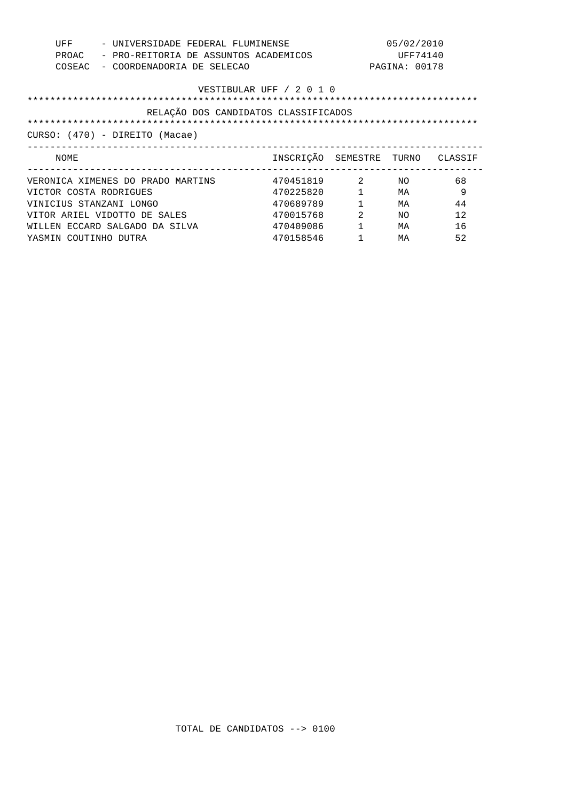| UFF<br>- UNIVERSIDADE FEDERAL FLUMINENSE<br>PROAC<br>- PRO-REITORIA DE ASSUNTOS ACADEMICOS<br>COSEAC<br>- COORDENADORIA DE SELECAO |                                  | 05/02/2010<br>UFF74140<br>PAGINA: 00178 |     |    |
|------------------------------------------------------------------------------------------------------------------------------------|----------------------------------|-----------------------------------------|-----|----|
|                                                                                                                                    | VESTIBULAR UFF / 2 0 1 0         |                                         |     |    |
| RELAÇÃO DOS CANDIDATOS CLASSIFICADOS                                                                                               |                                  |                                         |     |    |
|                                                                                                                                    |                                  |                                         |     |    |
| CURSO: (470) - DIREITO (Macae)                                                                                                     |                                  |                                         |     |    |
|                                                                                                                                    |                                  |                                         |     |    |
| NOME                                                                                                                               | INSCRIÇÃO SEMESTRE TURNO CLASSIF |                                         |     |    |
| VERONICA XIMENES DO PRADO MARTINS                                                                                                  | 470451819 2                      |                                         | NO. | 68 |
| VICTOR COSTA RODRIGUES                                                                                                             | 470225820                        |                                         | МA  | 9  |
| VINICIUS STANZANI LONGO                                                                                                            | 470689789                        | $\mathbf{1}$                            | MA  | 44 |
| VITOR ARIEL VIDOTTO DE SALES                                                                                                       | 470015768                        | 2                                       | NO. | 12 |
| WILLEN ECCARD SALGADO DA SILVA                                                                                                     | 470409086                        | $\mathbf{1}$                            | MA  | 16 |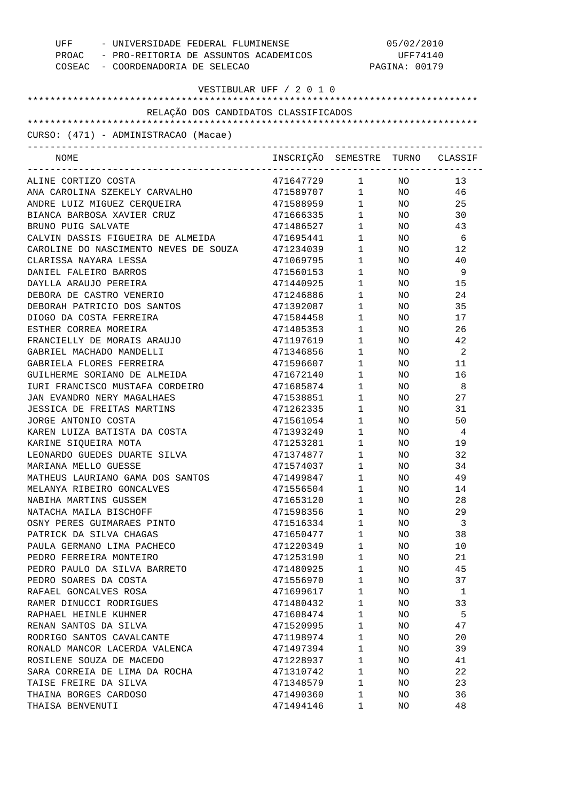| COSEAC - COORDENADORIA DE SELECAO     | UFF - UNIVERSIDADE FEDERAL FLUMINENSE<br>PROAC - PRO-REITORIA DE ASSUNTOS ACADEMICOS |                        |                 | 05/02/2010<br>UFF74140<br>PAGINA: 00179 |
|---------------------------------------|--------------------------------------------------------------------------------------|------------------------|-----------------|-----------------------------------------|
| VESTIBULAR UFF / 2 0 1 0              |                                                                                      |                        |                 |                                         |
|                                       |                                                                                      |                        |                 |                                         |
| RELAÇÃO DOS CANDIDATOS CLASSIFICADOS  |                                                                                      |                        |                 |                                         |
| CURSO: (471) - ADMINISTRACAO (Macae)  |                                                                                      |                        |                 |                                         |
| NOME                                  | INSCRIÇÃO SEMESTRE TURNO CLASSIF                                                     |                        |                 |                                         |
| ALINE CORTIZO COSTA                   | 471647729 1 NO                                                                       |                        |                 | 13                                      |
| ANA CAROLINA SZEKELY CARVALHO         | 471589707                                                                            |                        | $1$ NO          | 46                                      |
| ANDRE LUIZ MIGUEZ CERQUEIRA           | 471588959                                                                            |                        | $1$ NO          | 25                                      |
| BIANCA BARBOSA XAVIER CRUZ            | 471666335                                                                            | $1 \quad \blacksquare$ | NO <sub>2</sub> | 30                                      |
| BRUNO PUIG SALVATE                    | 471486527                                                                            | $1 \qquad \qquad$      | NO <sub>2</sub> | 43                                      |
| CALVIN DASSIS FIGUEIRA DE ALMEIDA     | 471695441                                                                            | $1 \qquad \qquad$      | NO <sub>n</sub> | - 6                                     |
| CAROLINE DO NASCIMENTO NEVES DE SOUZA | 471234039                                                                            | $1 \quad \blacksquare$ | NO <sub>2</sub> | 12                                      |
| CLARISSA NAYARA LESSA                 | 471069795                                                                            | $1 \qquad \qquad$      | NO              | 40                                      |
| DANIEL FALEIRO BARROS                 | 471560153                                                                            | $1 \quad \blacksquare$ | NO              | - 9                                     |
| DAYLLA ARAUJO PEREIRA                 | 471440925                                                                            | $1 \quad \blacksquare$ | NO.             | 15                                      |
| DEBORA DE CASTRO VENERIO              | 471246886                                                                            | $1 \quad \blacksquare$ | NO              | 24                                      |
| DEBORAH PATRICIO DOS SANTOS           | 471392087                                                                            | $1 \quad \Box$         | NO.             | 35                                      |
| DIOGO DA COSTA FERREIRA               | 471584458                                                                            | $1 \quad \blacksquare$ | NO              | 17                                      |
| ESTHER CORREA MOREIRA                 | 471405353                                                                            | $1 \quad \Box$         | NO              | 26                                      |
| FRANCIELLY DE MORAIS ARAUJO           | 471197619                                                                            | $1 \quad \blacksquare$ | NO.             | 42                                      |
| GABRIEL MACHADO MANDELLI              | 471346856                                                                            | $1 \quad \blacksquare$ | NO              | $\overline{\phantom{a}}^2$              |
| GABRIELA FLORES FERREIRA              | 471596607                                                                            | $1 \quad \Box$         | NO              | 11                                      |
| GUILHERME SORIANO DE ALMEIDA          | 471672140                                                                            | $1 \quad \blacksquare$ | NO              | 16                                      |
| IURI FRANCISCO MUSTAFA CORDEIRO       | 471685874                                                                            | $1 \quad \Box$         | NO              | - 8                                     |
| JAN EVANDRO NERY MAGALHAES            | 471538851                                                                            | $1 \quad \blacksquare$ | NO              | 27                                      |
| JESSICA DE FREITAS MARTINS            | 471262335                                                                            | $1 \quad \blacksquare$ | NO              | 31                                      |
| JORGE ANTONIO COSTA                   | 471561054                                                                            | $1 \quad \blacksquare$ | NO              | 50                                      |
| KAREN LUIZA BATISTA DA COSTA          | 471393249                                                                            | $1 \quad \blacksquare$ | NO              | - 4                                     |
| KARINE SIQUEIRA MOTA                  | 471253281                                                                            | $1 \qquad \qquad$      | NO              | 19                                      |
| LEONARDO GUEDES DUARTE SILVA          | 471374877                                                                            | $1 \quad \cdots$       | NO              | 32                                      |
| MARIANA MELLO GUESSE                  | 471574037                                                                            | 1                      | ΝO              | 34                                      |
| MATHEUS LAURIANO GAMA DOS SANTOS      | 471499847                                                                            | 1                      | NO              | 49                                      |
| MELANYA RIBEIRO GONCALVES             | 471556504                                                                            | 1                      | ΝO              | 14                                      |
| NABIHA MARTINS GUSSEM                 | 471653120                                                                            | $\mathbf 1$            | ΝO              | 28                                      |
| NATACHA MAILA BISCHOFF                | 471598356                                                                            | 1                      | ΝO              | 29                                      |
| OSNY PERES GUIMARAES PINTO            | 471516334                                                                            | 1                      | ΝO              | 3                                       |
| PATRICK DA SILVA CHAGAS               | 471650477                                                                            | $\mathbf 1$            | ΝO              | 38                                      |
| PAULA GERMANO LIMA PACHECO            | 471220349                                                                            | 1                      | ΝO              | 10                                      |
| PEDRO FERREIRA MONTEIRO               | 471253190                                                                            | $\mathbf 1$            | ΝO              | 21                                      |
| PEDRO PAULO DA SILVA BARRETO          | 471480925                                                                            | 1                      | ΝO              | 45                                      |
| PEDRO SOARES DA COSTA                 | 471556970                                                                            | 1                      | ΝO              | 37                                      |
| RAFAEL GONCALVES ROSA                 | 471699617                                                                            | 1                      | ΝO              | 1                                       |
| RAMER DINUCCI RODRIGUES               | 471480432                                                                            | 1                      | ΝO              | 33                                      |
| RAPHAEL HEINLE KUHNER                 | 471608474                                                                            | $\mathbf 1$            | ΝO              | 5                                       |
| RENAN SANTOS DA SILVA                 | 471520995                                                                            | 1                      | ΝO              | 47                                      |
| RODRIGO SANTOS CAVALCANTE             | 471198974                                                                            | 1                      | ΝO              | 20                                      |
| RONALD MANCOR LACERDA VALENCA         | 471497394                                                                            | 1                      | ΝO              | 39                                      |
| ROSILENE SOUZA DE MACEDO              | 471228937                                                                            | 1                      | ΝO              | 41                                      |
| SARA CORREIA DE LIMA DA ROCHA         | 471310742                                                                            | $\mathbf 1$            | ΝO              | 22                                      |
| TAISE FREIRE DA SILVA                 | 471348579                                                                            | 1                      | NO              | 23                                      |
| THAINA BORGES CARDOSO                 | 471490360                                                                            | 1                      | NO              | 36                                      |
| THAISA BENVENUTI                      | 471494146                                                                            | 1                      | NO              | 48                                      |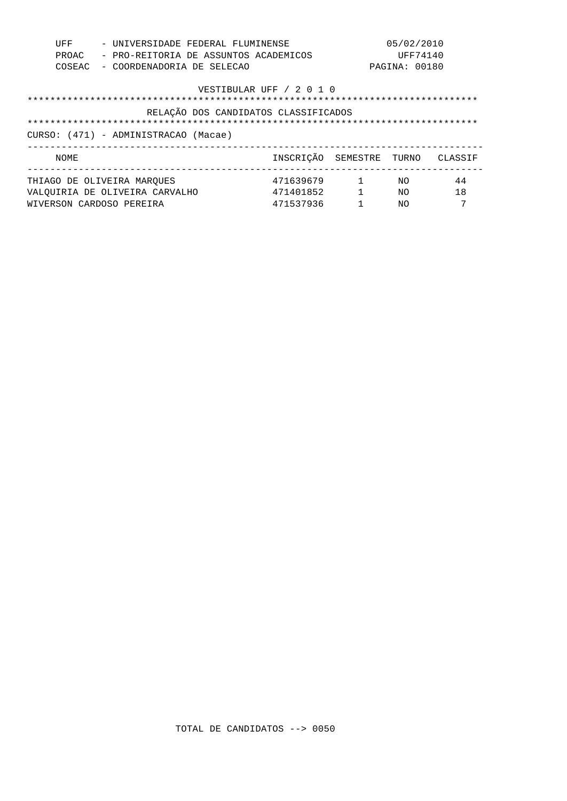| UFF<br>PROAC<br>COSEAC                                                                                   |  |                                                                                          | 05/02/2010<br>- UNIVERSIDADE FEDERAL FLUMINENSE<br>UFF74140<br>- PRO-REITORIA DE ASSUNTOS ACADEMICOS<br>PAGINA: 00180<br>- COORDENADORIA DE SELECAO |  |                                     |                          |                |               |
|----------------------------------------------------------------------------------------------------------|--|------------------------------------------------------------------------------------------|-----------------------------------------------------------------------------------------------------------------------------------------------------|--|-------------------------------------|--------------------------|----------------|---------------|
| VESTIBULAR UFF / 2 0 1 0<br>RELAÇÃO DOS CANDIDATOS CLASSIFICADOS<br>CURSO: (471) - ADMINISTRACAO (Macae) |  |                                                                                          |                                                                                                                                                     |  |                                     |                          |                |               |
| NOME                                                                                                     |  |                                                                                          |                                                                                                                                                     |  |                                     | INSCRICÃO SEMESTRE TURNO |                | CLASSIF       |
|                                                                                                          |  | THIAGO DE OLIVEIRA MAROUES<br>VALOUIRIA DE OLIVEIRA CARVALHO<br>WIVERSON CARDOSO PEREIRA |                                                                                                                                                     |  | 471639679<br>471401852<br>471537936 | $\sim$ 1<br>$\mathbf{1}$ | NΟ<br>NΟ<br>NΟ | 44<br>18<br>7 |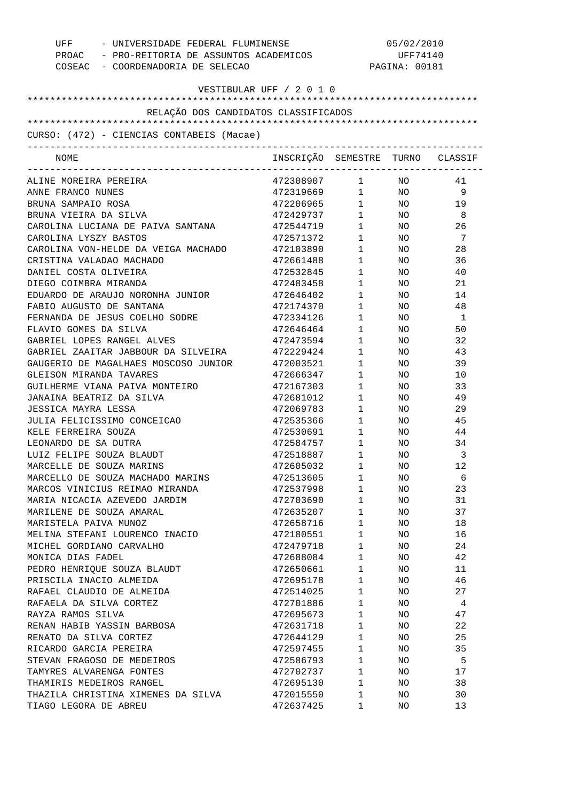| UFF - UNIVERSIDADE FEDERAL FLUMINENSE<br>PROAC - PRO-REITORIA DE ASSUNTOS ACADEMICOS<br>COSEAC - COORDENADORIA DE SELECAO |                                  |                        | 05/02/2010<br>UFF74140<br>PAGINA: 00181 |     |  |
|---------------------------------------------------------------------------------------------------------------------------|----------------------------------|------------------------|-----------------------------------------|-----|--|
| VESTIBULAR UFF / 2 0 1 0                                                                                                  |                                  |                        |                                         |     |  |
|                                                                                                                           |                                  |                        |                                         |     |  |
| RELAÇÃO DOS CANDIDATOS CLASSIFICADOS                                                                                      |                                  |                        |                                         |     |  |
| CURSO: (472) - CIENCIAS CONTABEIS (Macae)                                                                                 |                                  |                        |                                         |     |  |
|                                                                                                                           |                                  |                        |                                         |     |  |
| NOME                                                                                                                      | INSCRIÇÃO SEMESTRE TURNO CLASSIF |                        |                                         |     |  |
| ALINE MOREIRA PEREIRA                                                                                                     | 472308907 1 NO                   |                        |                                         | 41  |  |
| ANNE FRANCO NUNES                                                                                                         | 472319669 1 NO                   |                        |                                         | -9  |  |
| BRUNA SAMPAIO ROSA                                                                                                        | 472206965 1 NO                   |                        |                                         | 19  |  |
| BRUNA VIEIRA DA SILVA                                                                                                     | 472429737                        | $1 \quad \blacksquare$ | NO <sub>n</sub>                         | - 8 |  |
| CAROLINA LUCIANA DE PAIVA SANTANA                                                                                         | 472544719                        | $1 \quad \blacksquare$ | NO <sub>n</sub>                         | 26  |  |
| CAROLINA LYSZY BASTOS                                                                                                     | 472571372                        | $1 \quad \Box$         | NO <sub>1</sub>                         | 7   |  |
| CAROLINA VON-HELDE DA VEIGA MACHADO                                                                                       | 472103890                        | $1 \quad \Box$         | NO <sub>n</sub>                         | 28  |  |
| CRISTINA VALADAO MACHADO                                                                                                  | 472661488                        | $1 \quad \blacksquare$ | NO <sub>n</sub>                         | 36  |  |
| DANIEL COSTA OLIVEIRA                                                                                                     | 472532845                        | $1 \quad \blacksquare$ | NO <sub>1</sub>                         | 40  |  |
| DIEGO COIMBRA MIRANDA                                                                                                     | 472483458                        | $1 \quad \blacksquare$ | NO <sub>2</sub>                         | 21  |  |
| EDUARDO DE ARAUJO NORONHA JUNIOR                                                                                          | 472646402                        | $1 \quad \blacksquare$ | NO <sub>n</sub>                         | 14  |  |
| FABIO AUGUSTO DE SANTANA                                                                                                  | 472174370                        | $1 \quad \blacksquare$ | NO <sub>n</sub>                         | 48  |  |
| FERNANDA DE JESUS COELHO SODRE                                                                                            | 472334126                        | $1 \qquad \qquad$      | NO <sub>1</sub>                         | - 1 |  |
| FLAVIO GOMES DA SILVA                                                                                                     | 472646464                        | $1 \quad \blacksquare$ | NO <sub>n</sub>                         | 50  |  |
| GABRIEL LOPES RANGEL ALVES                                                                                                | 472473594                        | $1 \quad \blacksquare$ | NO <sub>n</sub>                         | 32  |  |
| GABRIEL ZAAITAR JABBOUR DA SILVEIRA                                                                                       | 472229424                        | $1 \quad \blacksquare$ | NO <sub>n</sub>                         | 43  |  |
| GAUGERIO DE MAGALHAES MOSCOSO JUNIOR                                                                                      | 472003521                        | $1 \quad \blacksquare$ | NO <sub>n</sub>                         | 39  |  |
| GLEISON MIRANDA TAVARES                                                                                                   | 472666347                        | $1 \qquad \qquad$      | NO <sub>2</sub>                         | 10  |  |
| GUILHERME VIANA PAIVA MONTEIRO                                                                                            | 472167303                        | $1 \qquad \qquad$      | NO                                      | 33  |  |
| JANAINA BEATRIZ DA SILVA                                                                                                  | 472681012                        | $1 \quad \blacksquare$ | NO                                      | 49  |  |
| JESSICA MAYRA LESSA                                                                                                       | 472069783                        | $1 \quad \blacksquare$ | NO <sub>n</sub>                         | 29  |  |
| JULIA FELICISSIMO CONCEICAO                                                                                               | 472535366                        | $1 \quad \blacksquare$ | NO <sub>n</sub>                         | 45  |  |
| KELE FERREIRA SOUZA                                                                                                       | 472530691                        | $1 \quad \blacksquare$ | NO <sub>n</sub>                         | 44  |  |
| LEONARDO DE SA DUTRA                                                                                                      |                                  | $1 \qquad \qquad$      |                                         |     |  |
|                                                                                                                           | 472584757                        | $1 \qquad \qquad$      | NO                                      | 34  |  |
| LUIZ FELIPE SOUZA BLAUDT                                                                                                  | 472518887                        |                        | NO.                                     | 3   |  |
| MARCELLE DE SOUZA MARINS                                                                                                  | 472605032                        | 1                      | ΝO                                      | 12  |  |
| MARCELLO DE SOUZA MACHADO MARINS                                                                                          | 472513605                        | $\mathbf 1$            | NO                                      | 6   |  |
| MARCOS VINICIUS REIMAO MIRANDA                                                                                            | 472537998                        | $\mathbf 1$            | NO                                      | 23  |  |
| MARIA NICACIA AZEVEDO JARDIM                                                                                              | 472703690                        | $\mathbf 1$            | NO                                      | 31  |  |
| MARILENE DE SOUZA AMARAL                                                                                                  | 472635207                        | 1                      | NO                                      | 37  |  |
| MARISTELA PAIVA MUNOZ                                                                                                     | 472658716                        | $\mathbf 1$            | NO                                      | 18  |  |
| MELINA STEFANI LOURENCO INACIO                                                                                            | 472180551                        | 1                      | NO                                      | 16  |  |
| MICHEL GORDIANO CARVALHO                                                                                                  | 472479718                        | $\mathbf 1$            | NO                                      | 24  |  |
| MONICA DIAS FADEL                                                                                                         | 472688084                        | $\mathbf 1$            | NO                                      | 42  |  |
| PEDRO HENRIQUE SOUZA BLAUDT                                                                                               | 472650661                        | 1                      | NO                                      | 11  |  |
| PRISCILA INACIO ALMEIDA                                                                                                   | 472695178                        | $\mathbf 1$            | NO                                      | 46  |  |
| RAFAEL CLAUDIO DE ALMEIDA                                                                                                 | 472514025                        | 1                      | NO                                      | 27  |  |
| RAFAELA DA SILVA CORTEZ                                                                                                   | 472701886                        | $\mathbf 1$            | NO                                      | 4   |  |
| RAYZA RAMOS SILVA                                                                                                         | 472695673                        | 1                      | NO                                      | 47  |  |
| RENAN HABIB YASSIN BARBOSA                                                                                                | 472631718                        | $\mathbf 1$            | NO                                      | 22  |  |
| RENATO DA SILVA CORTEZ                                                                                                    | 472644129                        | $\mathbf 1$            | NO                                      | 25  |  |
| RICARDO GARCIA PEREIRA                                                                                                    | 472597455                        | 1                      | NO                                      | 35  |  |
| STEVAN FRAGOSO DE MEDEIROS                                                                                                | 472586793                        | $\mathbf 1$            | NO                                      | 5   |  |
| TAMYRES ALVARENGA FONTES                                                                                                  | 472702737                        | 1                      | NO                                      | 17  |  |
| THAMIRIS MEDEIROS RANGEL                                                                                                  | 472695130                        | $\mathbf 1$            | NO                                      | 38  |  |
| THAZILA CHRISTINA XIMENES DA SILVA                                                                                        | 472015550                        | 1                      | NO                                      | 30  |  |
| TIAGO LEGORA DE ABREU                                                                                                     | 472637425                        | 1                      | NO                                      | 13  |  |